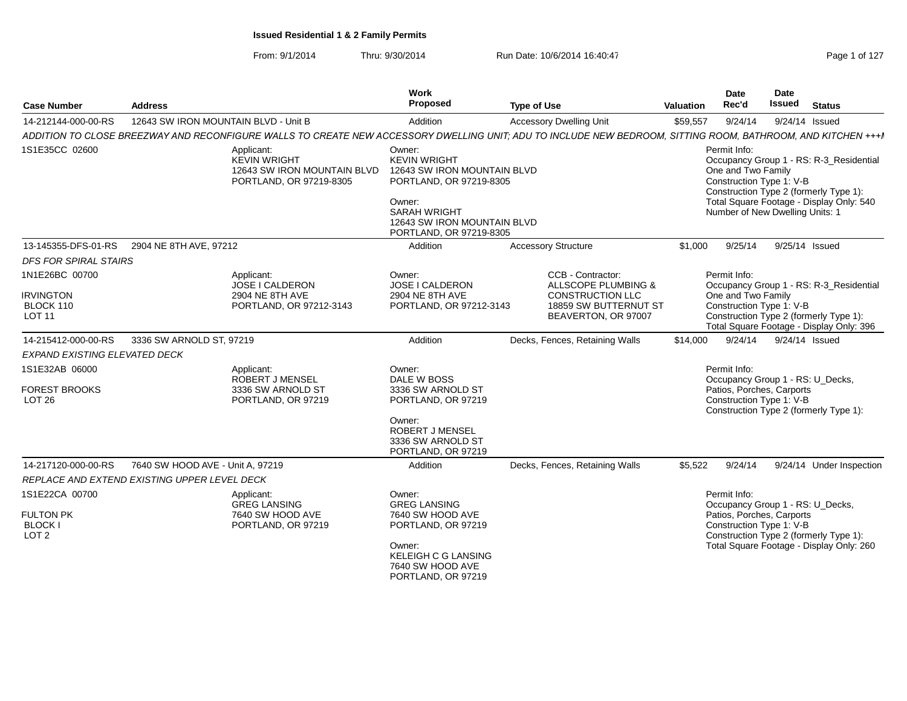| <b>Case Number</b>                                     | <b>Address</b>                       |                                                                                                                                                              | Work<br>Proposed                                                                                                                                                                   | <b>Type of Use</b>                                                                                  | Valuation | <b>Date</b><br>Rec'd                                                                              | Date<br>Issued | <b>Status</b>                                                                                                                 |
|--------------------------------------------------------|--------------------------------------|--------------------------------------------------------------------------------------------------------------------------------------------------------------|------------------------------------------------------------------------------------------------------------------------------------------------------------------------------------|-----------------------------------------------------------------------------------------------------|-----------|---------------------------------------------------------------------------------------------------|----------------|-------------------------------------------------------------------------------------------------------------------------------|
| 14-212144-000-00-RS                                    | 12643 SW IRON MOUNTAIN BLVD - Unit B |                                                                                                                                                              | Addition                                                                                                                                                                           | <b>Accessory Dwelling Unit</b>                                                                      | \$59,557  | 9/24/14                                                                                           |                | 9/24/14 Issued                                                                                                                |
|                                                        |                                      | ADDITION TO CLOSE BREEZWAY AND RECONFIGURE WALLS TO CREATE NEW ACCESSORY DWELLING UNIT; ADU TO INCLUDE NEW BEDROOM, SITTING ROOM, BATHROOM, AND KITCHEN +++I |                                                                                                                                                                                    |                                                                                                     |           |                                                                                                   |                |                                                                                                                               |
| 1S1E35CC 02600                                         |                                      | Applicant:<br><b>KEVIN WRIGHT</b><br>12643 SW IRON MOUNTAIN BLVD<br>PORTLAND, OR 97219-8305                                                                  | Owner:<br><b>KEVIN WRIGHT</b><br>12643 SW IRON MOUNTAIN BLVD<br>PORTLAND, OR 97219-8305<br>Owner:<br><b>SARAH WRIGHT</b><br>12643 SW IRON MOUNTAIN BLVD<br>PORTLAND, OR 97219-8305 |                                                                                                     |           | Permit Info:<br>One and Two Family<br>Construction Type 1: V-B<br>Number of New Dwelling Units: 1 |                | Occupancy Group 1 - RS: R-3_Residential<br>Construction Type 2 (formerly Type 1):<br>Total Square Footage - Display Only: 540 |
| 13-145355-DFS-01-RS                                    | 2904 NE 8TH AVE, 97212               |                                                                                                                                                              | Addition                                                                                                                                                                           | <b>Accessory Structure</b>                                                                          | \$1,000   | 9/25/14                                                                                           |                | 9/25/14 Issued                                                                                                                |
| <b>DFS FOR SPIRAL STAIRS</b>                           |                                      |                                                                                                                                                              |                                                                                                                                                                                    |                                                                                                     |           |                                                                                                   |                |                                                                                                                               |
| 1N1E26BC 00700<br><b>IRVINGTON</b><br>BLOCK 110        |                                      | Applicant:<br><b>JOSE I CALDERON</b><br>2904 NE 8TH AVE<br>PORTLAND, OR 97212-3143                                                                           | Owner:<br>JOSE I CALDERON<br>2904 NE 8TH AVE<br>PORTLAND, OR 97212-3143                                                                                                            | <b>CCB - Contractor:</b><br>ALLSCOPE PLUMBING &<br><b>CONSTRUCTION LLC</b><br>18859 SW BUTTERNUT ST |           | Permit Info:<br>One and Two Family<br>Construction Type 1: V-B                                    |                | Occupancy Group 1 - RS: R-3_Residential                                                                                       |
| <b>LOT 11</b>                                          |                                      |                                                                                                                                                              |                                                                                                                                                                                    | BEAVERTON, OR 97007                                                                                 |           |                                                                                                   |                | Construction Type 2 (formerly Type 1):<br>Total Square Footage - Display Only: 396                                            |
| 14-215412-000-00-RS                                    | 3336 SW ARNOLD ST, 97219             |                                                                                                                                                              | Addition                                                                                                                                                                           | Decks, Fences, Retaining Walls                                                                      | \$14,000  | 9/24/14                                                                                           |                | 9/24/14 Issued                                                                                                                |
| <b>EXPAND EXISTING ELEVATED DECK</b>                   |                                      |                                                                                                                                                              |                                                                                                                                                                                    |                                                                                                     |           |                                                                                                   |                |                                                                                                                               |
| 1S1E32AB 06000                                         |                                      | Applicant:<br><b>ROBERT J MENSEL</b>                                                                                                                         | Owner:<br>DALE W BOSS                                                                                                                                                              |                                                                                                     |           | Permit Info:                                                                                      |                |                                                                                                                               |
| <b>FOREST BROOKS</b><br>LOT <sub>26</sub>              |                                      | 3336 SW ARNOLD ST<br>PORTLAND, OR 97219                                                                                                                      | 3336 SW ARNOLD ST<br>PORTLAND, OR 97219                                                                                                                                            |                                                                                                     |           | Occupancy Group 1 - RS: U_Decks,<br>Patios, Porches, Carports<br>Construction Type 1: V-B         |                |                                                                                                                               |
|                                                        |                                      |                                                                                                                                                              | Owner:<br><b>ROBERT J MENSEL</b><br>3336 SW ARNOLD ST<br>PORTLAND, OR 97219                                                                                                        |                                                                                                     |           |                                                                                                   |                | Construction Type 2 (formerly Type 1):                                                                                        |
| 14-217120-000-00-RS                                    | 7640 SW HOOD AVE - Unit A, 97219     |                                                                                                                                                              | Addition                                                                                                                                                                           | Decks, Fences, Retaining Walls                                                                      | \$5,522   | 9/24/14                                                                                           |                | 9/24/14 Under Inspection                                                                                                      |
| REPLACE AND EXTEND EXISTING UPPER LEVEL DECK           |                                      |                                                                                                                                                              |                                                                                                                                                                                    |                                                                                                     |           |                                                                                                   |                |                                                                                                                               |
| 1S1E22CA 00700                                         |                                      | Applicant:<br><b>GREG LANSING</b>                                                                                                                            | Owner:<br><b>GREG LANSING</b>                                                                                                                                                      |                                                                                                     |           | Permit Info:<br>Occupancy Group 1 - RS: U_Decks,                                                  |                |                                                                                                                               |
| <b>FULTON PK</b><br><b>BLOCK I</b><br>LOT <sub>2</sub> |                                      | 7640 SW HOOD AVE<br>PORTLAND, OR 97219                                                                                                                       | 7640 SW HOOD AVE<br>PORTLAND, OR 97219                                                                                                                                             |                                                                                                     |           | Patios, Porches, Carports<br>Construction Type 1: V-B                                             |                | Construction Type 2 (formerly Type 1):                                                                                        |
|                                                        |                                      |                                                                                                                                                              | Owner:<br><b>KELEIGH C G LANSING</b><br>7640 SW HOOD AVE<br>PORTLAND, OR 97219                                                                                                     |                                                                                                     |           |                                                                                                   |                | Total Square Footage - Display Only: 260                                                                                      |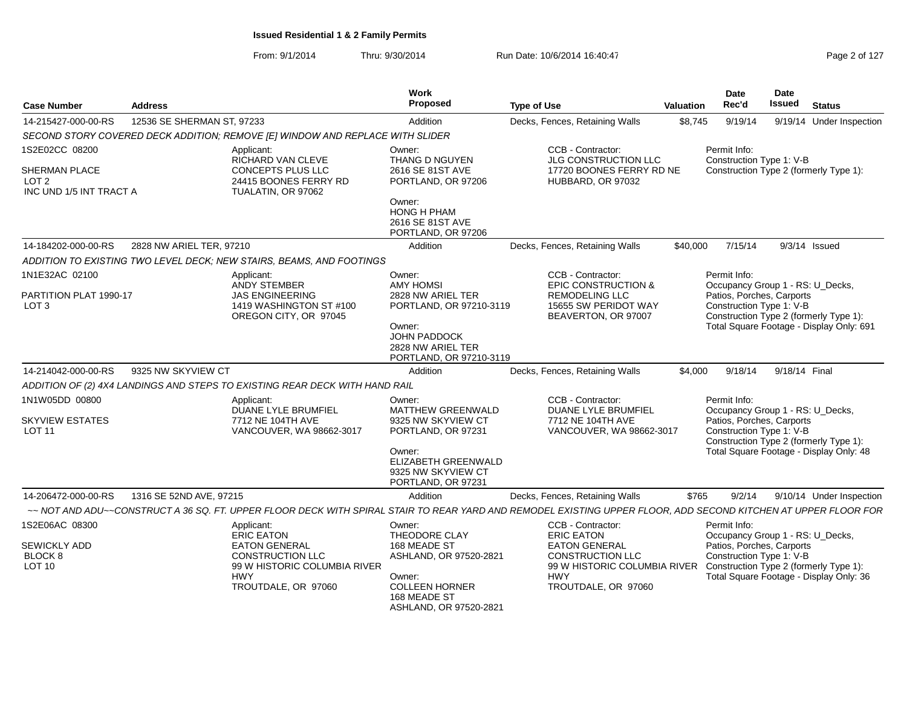| <b>Case Number</b>                                                  | <b>Address</b>             |                                                                                                                                                                | Work<br>Proposed                                                          | <b>Type of Use</b>                                                                                                     | Valuation | <b>Date</b><br>Rec'd                                                                                                                       | <b>Date</b><br><b>Issued</b> | <b>Status</b>                                                                      |
|---------------------------------------------------------------------|----------------------------|----------------------------------------------------------------------------------------------------------------------------------------------------------------|---------------------------------------------------------------------------|------------------------------------------------------------------------------------------------------------------------|-----------|--------------------------------------------------------------------------------------------------------------------------------------------|------------------------------|------------------------------------------------------------------------------------|
| 14-215427-000-00-RS                                                 | 12536 SE SHERMAN ST, 97233 |                                                                                                                                                                | Addition                                                                  | Decks, Fences, Retaining Walls                                                                                         | \$8,745   | 9/19/14                                                                                                                                    |                              | 9/19/14 Under Inspection                                                           |
|                                                                     |                            | SECOND STORY COVERED DECK ADDITION; REMOVE [E] WINDOW AND REPLACE WITH SLIDER                                                                                  |                                                                           |                                                                                                                        |           |                                                                                                                                            |                              |                                                                                    |
| 1S2E02CC 08200                                                      |                            | Applicant:<br>RICHARD VAN CLEVE                                                                                                                                | Owner:<br>THANG D NGUYEN                                                  | CCB - Contractor:<br>JLG CONSTRUCTION LLC                                                                              |           | Permit Info:<br>Construction Type 1: V-B                                                                                                   |                              |                                                                                    |
| <b>SHERMAN PLACE</b><br>LOT <sub>2</sub><br>INC UND 1/5 INT TRACT A |                            | CONCEPTS PLUS LLC<br>24415 BOONES FERRY RD<br>TUALATIN, OR 97062                                                                                               | 2616 SE 81ST AVE<br>PORTLAND, OR 97206                                    | 17720 BOONES FERRY RD NE<br>HUBBARD, OR 97032                                                                          |           |                                                                                                                                            |                              | Construction Type 2 (formerly Type 1):                                             |
|                                                                     |                            |                                                                                                                                                                | Owner:<br><b>HONG H PHAM</b><br>2616 SE 81ST AVE<br>PORTLAND, OR 97206    |                                                                                                                        |           |                                                                                                                                            |                              |                                                                                    |
| 14-184202-000-00-RS                                                 | 2828 NW ARIEL TER. 97210   |                                                                                                                                                                | Addition                                                                  | Decks, Fences, Retaining Walls                                                                                         | \$40,000  | 7/15/14                                                                                                                                    |                              | 9/3/14 Issued                                                                      |
|                                                                     |                            | ADDITION TO EXISTING TWO LEVEL DECK; NEW STAIRS, BEAMS, AND FOOTINGS                                                                                           |                                                                           |                                                                                                                        |           |                                                                                                                                            |                              |                                                                                    |
| 1N1E32AC 02100                                                      |                            | Applicant:<br><b>ANDY STEMBER</b>                                                                                                                              | Owner:<br><b>AMY HOMSI</b>                                                | CCB - Contractor:<br><b>EPIC CONSTRUCTION &amp;</b>                                                                    |           | Permit Info:                                                                                                                               |                              | Occupancy Group 1 - RS: U_Decks,                                                   |
| PARTITION PLAT 1990-17<br>LOT <sub>3</sub>                          |                            | <b>JAS ENGINEERING</b><br>1419 WASHINGTON ST #100<br>OREGON CITY, OR 97045                                                                                     | 2828 NW ARIEL TER<br>PORTLAND, OR 97210-3119<br>Owner:                    | <b>REMODELING LLC</b><br>15655 SW PERIDOT WAY<br>BEAVERTON, OR 97007                                                   |           | Patios, Porches, Carports<br>Construction Type 1: V-B                                                                                      |                              | Construction Type 2 (formerly Type 1):<br>Total Square Footage - Display Only: 691 |
|                                                                     |                            |                                                                                                                                                                | <b>JOHN PADDOCK</b><br>2828 NW ARIEL TER<br>PORTLAND, OR 97210-3119       |                                                                                                                        |           |                                                                                                                                            |                              |                                                                                    |
| 14-214042-000-00-RS                                                 | 9325 NW SKYVIEW CT         |                                                                                                                                                                | Addition                                                                  | Decks, Fences, Retaining Walls                                                                                         | \$4,000   | 9/18/14                                                                                                                                    | 9/18/14 Final                |                                                                                    |
|                                                                     |                            | ADDITION OF (2) 4X4 LANDINGS AND STEPS TO EXISTING REAR DECK WITH HAND RAIL                                                                                    |                                                                           |                                                                                                                        |           |                                                                                                                                            |                              |                                                                                    |
| 1N1W05DD 00800                                                      |                            | Applicant:<br><b>DUANE LYLE BRUMFIEL</b>                                                                                                                       | Owner:<br><b>MATTHEW GREENWALD</b>                                        | CCB - Contractor:<br><b>DUANE LYLE BRUMFIEL</b>                                                                        |           | Permit Info:                                                                                                                               |                              | Occupancy Group 1 - RS: U_Decks,                                                   |
| <b>SKYVIEW ESTATES</b><br><b>LOT 11</b>                             |                            | 7712 NE 104TH AVE<br>VANCOUVER, WA 98662-3017                                                                                                                  | 9325 NW SKYVIEW CT<br>PORTLAND, OR 97231                                  | 7712 NE 104TH AVE<br>VANCOUVER, WA 98662-3017                                                                          |           | Patios, Porches, Carports<br>Construction Type 1: V-B<br>Construction Type 2 (formerly Type 1):<br>Total Square Footage - Display Only: 48 |                              |                                                                                    |
|                                                                     |                            |                                                                                                                                                                | Owner:<br>ELIZABETH GREENWALD<br>9325 NW SKYVIEW CT<br>PORTLAND, OR 97231 |                                                                                                                        |           |                                                                                                                                            |                              |                                                                                    |
| 14-206472-000-00-RS                                                 | 1316 SE 52ND AVE, 97215    |                                                                                                                                                                | Addition                                                                  | Decks, Fences, Retaining Walls                                                                                         | \$765     | 9/2/14                                                                                                                                     |                              | 9/10/14 Under Inspection                                                           |
|                                                                     |                            | ~~ NOT AND ADU~~CONSTRUCT A 36 SQ. FT. UPPER FLOOR DECK WITH SPIRAL STAIR TO REAR YARD AND REMODEL EXISTING UPPER FLOOR, ADD SECOND KITCHEN AT UPPER FLOOR FOR |                                                                           |                                                                                                                        |           |                                                                                                                                            |                              |                                                                                    |
| 1S2E06AC 08300                                                      |                            | Applicant:<br><b>ERIC EATON</b>                                                                                                                                | Owner:<br>THEODORE CLAY                                                   | CCB - Contractor:<br><b>ERIC EATON</b>                                                                                 |           | Permit Info:                                                                                                                               |                              | Occupancy Group 1 - RS: U_Decks,                                                   |
| SEWICKLY ADD<br>BLOCK 8<br><b>LOT 10</b>                            |                            | <b>EATON GENERAL</b><br><b>CONSTRUCTION LLC</b><br>99 W HISTORIC COLUMBIA RIVER                                                                                | 168 MEADE ST<br>ASHLAND, OR 97520-2821                                    | <b>EATON GENERAL</b><br><b>CONSTRUCTION LLC</b><br>99 W HISTORIC COLUMBIA RIVER Construction Type 2 (formerly Type 1): |           | Patios, Porches, Carports<br>Construction Type 1: V-B                                                                                      |                              |                                                                                    |
|                                                                     |                            | <b>HWY</b><br>TROUTDALE, OR 97060                                                                                                                              | Owner:<br><b>COLLEEN HORNER</b><br>168 MEADE ST<br>ASHLAND, OR 97520-2821 | <b>HWY</b><br>TROUTDALE, OR 97060                                                                                      |           |                                                                                                                                            |                              | Total Square Footage - Display Only: 36                                            |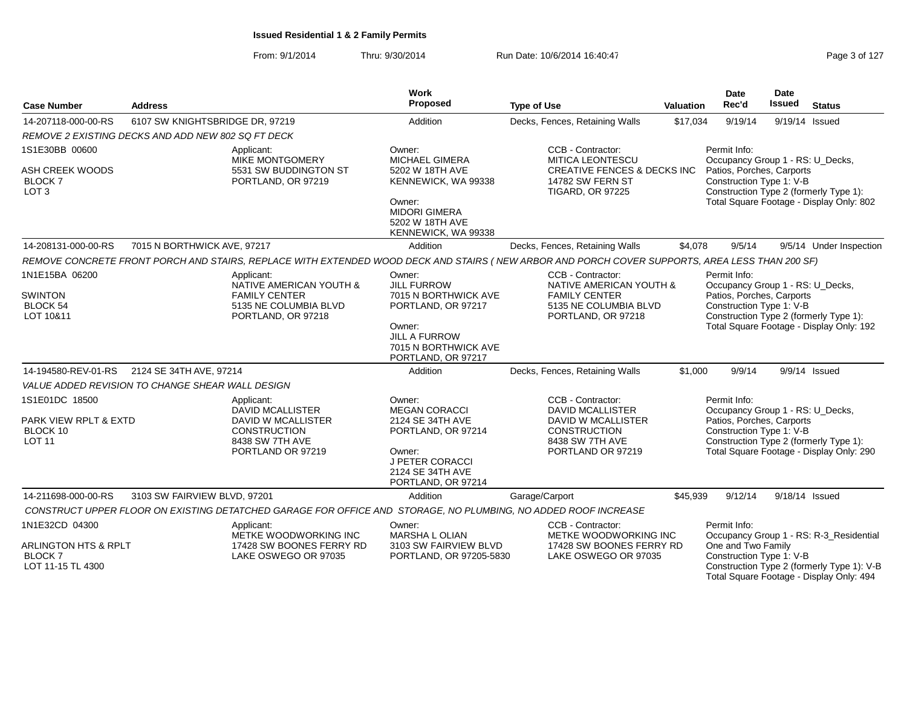From: 9/1/2014Thru: 9/30/2014 Run Date: 10/6/2014 16:40:47

| Page 3 of 127 |  |  |  |
|---------------|--|--|--|
|---------------|--|--|--|

| <b>Case Number</b>                                                                      | <b>Address</b>                                                                                                                                 | <b>Work</b><br>Proposed                                                                                                                                    | <b>Type of Use</b>                                                                                                                    | <b>Valuation</b> | <b>Date</b><br>Rec'd                                                                                      | <b>Date</b><br><b>Issued</b> | <b>Status</b>                                                                                                                     |
|-----------------------------------------------------------------------------------------|------------------------------------------------------------------------------------------------------------------------------------------------|------------------------------------------------------------------------------------------------------------------------------------------------------------|---------------------------------------------------------------------------------------------------------------------------------------|------------------|-----------------------------------------------------------------------------------------------------------|------------------------------|-----------------------------------------------------------------------------------------------------------------------------------|
| 14-207118-000-00-RS                                                                     | 6107 SW KNIGHTSBRIDGE DR, 97219                                                                                                                | Addition                                                                                                                                                   | Decks, Fences, Retaining Walls                                                                                                        | \$17,034         | 9/19/14                                                                                                   | 9/19/14 Issued               |                                                                                                                                   |
|                                                                                         | REMOVE 2 EXISTING DECKS AND ADD NEW 802 SQ FT DECK                                                                                             |                                                                                                                                                            |                                                                                                                                       |                  |                                                                                                           |                              |                                                                                                                                   |
| 1S1E30BB 00600<br>ASH CREEK WOODS<br><b>BLOCK 7</b><br>LOT <sub>3</sub>                 | Applicant:<br>MIKE MONTGOMERY<br>5531 SW BUDDINGTON ST<br>PORTLAND, OR 97219                                                                   | Owner:<br><b>MICHAEL GIMERA</b><br>5202 W 18TH AVE<br>KENNEWICK, WA 99338<br>Owner:<br><b>MIDORI GIMERA</b><br>5202 W 18TH AVE<br>KENNEWICK, WA 99338      | CCB - Contractor:<br><b>MITICA LEONTESCU</b><br><b>CREATIVE FENCES &amp; DECKS INC</b><br>14782 SW FERN ST<br><b>TIGARD, OR 97225</b> |                  | Permit Info:<br>Occupancy Group 1 - RS: U_Decks,<br>Patios, Porches, Carports<br>Construction Type 1: V-B |                              | Construction Type 2 (formerly Type 1):<br>Total Square Footage - Display Only: 802                                                |
| 14-208131-000-00-RS                                                                     | 7015 N BORTHWICK AVE, 97217                                                                                                                    | Addition                                                                                                                                                   | Decks, Fences, Retaining Walls                                                                                                        | \$4,078          | 9/5/14                                                                                                    |                              | 9/5/14 Under Inspection                                                                                                           |
|                                                                                         | REMOVE CONCRETE FRONT PORCH AND STAIRS, REPLACE WITH EXTENDED WOOD DECK AND STAIRS (NEW ARBOR AND PORCH COVER SUPPORTS, AREA LESS THAN 200 SF) |                                                                                                                                                            |                                                                                                                                       |                  |                                                                                                           |                              |                                                                                                                                   |
| 1N1E15BA 06200<br><b>SWINTON</b><br><b>BLOCK 54</b><br>LOT 10&11                        | Applicant:<br>NATIVE AMERICAN YOUTH &<br><b>FAMILY CENTER</b><br>5135 NE COLUMBIA BLVD<br>PORTLAND, OR 97218                                   | Owner:<br><b>JILL FURROW</b><br>7015 N BORTHWICK AVE<br>PORTLAND, OR 97217<br>Owner:<br><b>JILL A FURROW</b><br>7015 N BORTHWICK AVE<br>PORTLAND, OR 97217 | CCB - Contractor:<br>NATIVE AMERICAN YOUTH &<br><b>FAMILY CENTER</b><br>5135 NE COLUMBIA BLVD<br>PORTLAND, OR 97218                   |                  | Permit Info:<br>Occupancy Group 1 - RS: U_Decks,<br>Patios, Porches, Carports<br>Construction Type 1: V-B |                              | Construction Type 2 (formerly Type 1):<br>Total Square Footage - Display Only: 192                                                |
| 14-194580-REV-01-RS                                                                     | 2124 SE 34TH AVE, 97214                                                                                                                        | Addition                                                                                                                                                   | Decks, Fences, Retaining Walls                                                                                                        | \$1,000          | 9/9/14                                                                                                    |                              | 9/9/14 Issued                                                                                                                     |
|                                                                                         | VALUE ADDED REVISION TO CHANGE SHEAR WALL DESIGN                                                                                               |                                                                                                                                                            |                                                                                                                                       |                  |                                                                                                           |                              |                                                                                                                                   |
| 1S1E01DC 18500<br>PARK VIEW RPLT & EXTD<br>BLOCK 10<br><b>LOT 11</b>                    | Applicant:<br><b>DAVID MCALLISTER</b><br>DAVID W MCALLISTER<br><b>CONSTRUCTION</b><br>8438 SW 7TH AVE<br>PORTLAND OR 97219                     | Owner:<br><b>MEGAN CORACCI</b><br>2124 SE 34TH AVE<br>PORTLAND, OR 97214<br>Owner:<br><b>J PETER CORACCI</b><br>2124 SE 34TH AVE<br>PORTLAND, OR 97214     | CCB - Contractor:<br><b>DAVID MCALLISTER</b><br>DAVID W MCALLISTER<br><b>CONSTRUCTION</b><br>8438 SW 7TH AVE<br>PORTLAND OR 97219     |                  | Permit Info:<br>Occupancy Group 1 - RS: U_Decks,<br>Patios, Porches, Carports<br>Construction Type 1: V-B |                              | Construction Type 2 (formerly Type 1):<br>Total Square Footage - Display Only: 290                                                |
| 14-211698-000-00-RS                                                                     | 3103 SW FAIRVIEW BLVD, 97201                                                                                                                   | Addition                                                                                                                                                   | Garage/Carport                                                                                                                        | \$45,939         | 9/12/14                                                                                                   | 9/18/14 Issued               |                                                                                                                                   |
|                                                                                         | CONSTRUCT UPPER FLOOR ON EXISTING DETATCHED GARAGE FOR OFFICE AND STORAGE, NO PLUMBING, NO ADDED ROOF INCREASE                                 |                                                                                                                                                            |                                                                                                                                       |                  |                                                                                                           |                              |                                                                                                                                   |
| 1N1E32CD 04300<br><b>ARLINGTON HTS &amp; RPLT</b><br><b>BLOCK7</b><br>LOT 11-15 TL 4300 | Applicant:<br>METKE WOODWORKING INC<br>17428 SW BOONES FERRY RD<br>LAKE OSWEGO OR 97035                                                        | Owner:<br><b>MARSHA L OLIAN</b><br>3103 SW FAIRVIEW BLVD<br>PORTLAND, OR 97205-5830                                                                        | CCB - Contractor:<br>METKE WOODWORKING INC<br>17428 SW BOONES FERRY RD<br>LAKE OSWEGO OR 97035                                        |                  | Permit Info:<br>One and Two Family<br>Construction Type 1: V-B                                            |                              | Occupancy Group 1 - RS: R-3_Residential<br>Construction Type 2 (formerly Type 1): V-B<br>Total Square Footage - Display Only: 494 |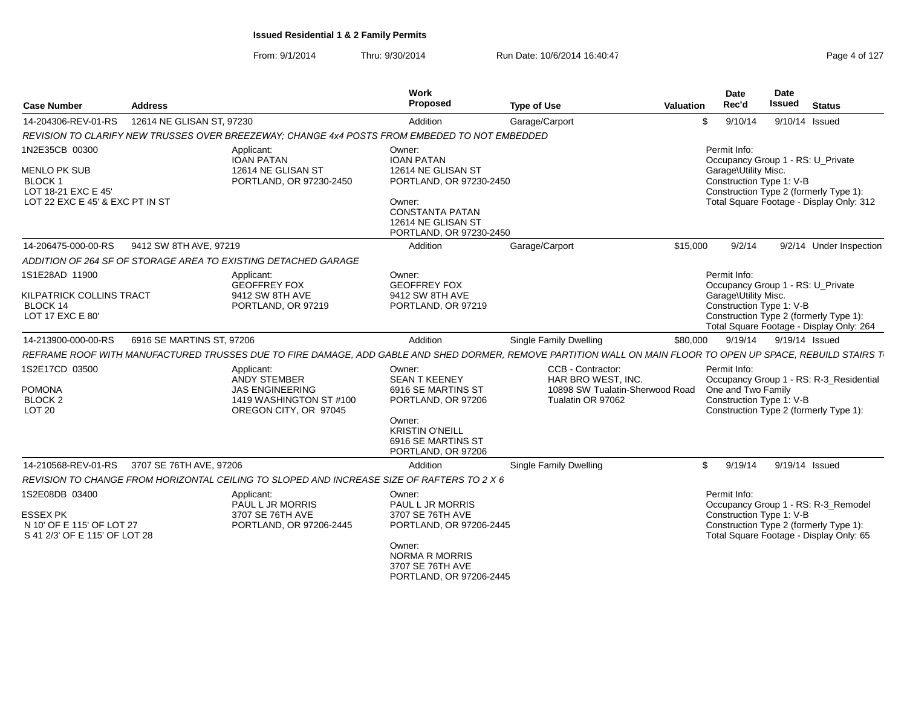From: 9/1/2014

| <b>Case Number</b>                                                                                               | <b>Address</b>            |                                                                                                          | Work<br>Proposed                                                                                               | <b>Type of Use</b>                                                                                                                                           | Valuation | <b>Date</b><br>Rec'd                                             | Date<br><b>Issued</b> | <b>Status</b>                                                                                                           |
|------------------------------------------------------------------------------------------------------------------|---------------------------|----------------------------------------------------------------------------------------------------------|----------------------------------------------------------------------------------------------------------------|--------------------------------------------------------------------------------------------------------------------------------------------------------------|-----------|------------------------------------------------------------------|-----------------------|-------------------------------------------------------------------------------------------------------------------------|
| 14-204306-REV-01-RS                                                                                              | 12614 NE GLISAN ST, 97230 |                                                                                                          | Addition                                                                                                       | Garage/Carport                                                                                                                                               | \$        | 9/10/14                                                          |                       | 9/10/14 Issued                                                                                                          |
|                                                                                                                  |                           | REVISION TO CLARIFY NEW TRUSSES OVER BREEZEWAY: CHANGE 4x4 POSTS FROM EMBEDED TO NOT EMBEDDED            |                                                                                                                |                                                                                                                                                              |           |                                                                  |                       |                                                                                                                         |
| 1N2E35CB 00300<br><b>MENLO PK SUB</b><br><b>BLOCK1</b><br>LOT 18-21 EXC E 45'<br>LOT 22 EXC E 45' & EXC PT IN ST |                           | Applicant:<br><b>IOAN PATAN</b><br>12614 NE GLISAN ST<br>PORTLAND, OR 97230-2450                         | Owner:<br><b>IOAN PATAN</b><br>12614 NE GLISAN ST<br>PORTLAND, OR 97230-2450<br>Owner:                         |                                                                                                                                                              |           | Permit Info:<br>Garage\Utility Misc.<br>Construction Type 1: V-B |                       | Occupancy Group 1 - RS: U_Private<br>Construction Type 2 (formerly Type 1):<br>Total Square Footage - Display Only: 312 |
|                                                                                                                  |                           |                                                                                                          | <b>CONSTANTA PATAN</b><br>12614 NE GLISAN ST<br>PORTLAND, OR 97230-2450                                        |                                                                                                                                                              |           |                                                                  |                       |                                                                                                                         |
| 14-206475-000-00-RS                                                                                              | 9412 SW 8TH AVE, 97219    |                                                                                                          | Addition                                                                                                       | Garage/Carport                                                                                                                                               | \$15,000  | 9/2/14                                                           |                       | 9/2/14 Under Inspection                                                                                                 |
|                                                                                                                  |                           | ADDITION OF 264 SF OF STORAGE AREA TO EXISTING DETACHED GARAGE                                           |                                                                                                                |                                                                                                                                                              |           |                                                                  |                       |                                                                                                                         |
| 1S1E28AD 11900                                                                                                   |                           | Applicant:<br><b>GEOFFREY FOX</b>                                                                        | Owner:<br><b>GEOFFREY FOX</b>                                                                                  |                                                                                                                                                              |           | Permit Info:                                                     |                       | Occupancy Group 1 - RS: U_Private                                                                                       |
| KILPATRICK COLLINS TRACT<br>BLOCK 14<br>LOT 17 EXC E 80'                                                         |                           | 9412 SW 8TH AVE<br>PORTLAND, OR 97219                                                                    | 9412 SW 8TH AVE<br>PORTLAND, OR 97219                                                                          |                                                                                                                                                              |           | Garage\Utility Misc.<br>Construction Type 1: V-B                 |                       | Construction Type 2 (formerly Type 1):<br>Total Square Footage - Display Only: 264                                      |
| 14-213900-000-00-RS                                                                                              | 6916 SE MARTINS ST, 97206 |                                                                                                          | Addition                                                                                                       | Single Family Dwelling                                                                                                                                       | \$80,000  | 9/19/14                                                          |                       | 9/19/14 Issued                                                                                                          |
|                                                                                                                  |                           |                                                                                                          |                                                                                                                | REFRAME ROOF WITH MANUFACTURED TRUSSES DUE TO FIRE DAMAGE, ADD GABLE AND SHED DORMER, REMOVE PARTITION WALL ON MAIN FLOOR TO OPEN UP SPACE, REBUILD STAIRS T |           |                                                                  |                       |                                                                                                                         |
| 1S2E17CD 03500<br><b>POMONA</b><br><b>BLOCK 2</b><br>LOT <sub>20</sub>                                           |                           | Applicant:<br>ANDY STEMBER<br><b>JAS ENGINEERING</b><br>1419 WASHINGTON ST #100<br>OREGON CITY, OR 97045 | Owner:<br><b>SEAN T KEENEY</b><br>6916 SE MARTINS ST<br>PORTLAND, OR 97206<br>Owner:<br><b>KRISTIN O'NEILL</b> | CCB - Contractor:<br>HAR BRO WEST, INC.<br>10898 SW Tualatin-Sherwood Road<br>Tualatin OR 97062                                                              |           | Permit Info:<br>One and Two Family<br>Construction Type 1: V-B   |                       | Occupancy Group 1 - RS: R-3_Residential<br>Construction Type 2 (formerly Type 1):                                       |
|                                                                                                                  |                           |                                                                                                          | 6916 SE MARTINS ST<br>PORTLAND, OR 97206                                                                       |                                                                                                                                                              |           |                                                                  |                       |                                                                                                                         |
| 14-210568-REV-01-RS                                                                                              | 3707 SE 76TH AVE, 97206   |                                                                                                          | Addition                                                                                                       | <b>Single Family Dwelling</b>                                                                                                                                | S.        | 9/19/14                                                          |                       | 9/19/14 Issued                                                                                                          |
|                                                                                                                  |                           | REVISION TO CHANGE FROM HORIZONTAL CEILING TO SLOPED AND INCREASE SIZE OF RAFTERS TO 2 X 6               |                                                                                                                |                                                                                                                                                              |           |                                                                  |                       |                                                                                                                         |
| 1S2E08DB 03400                                                                                                   |                           | Applicant:<br>PAUL L JR MORRIS                                                                           | Owner:<br>PAUL L JR MORRIS                                                                                     |                                                                                                                                                              |           | Permit Info:                                                     |                       | Occupancy Group 1 - RS: R-3_Remodel                                                                                     |
| <b>ESSEX PK</b><br>N 10' OF E 115' OF LOT 27<br>S 41 2/3' OF E 115' OF LOT 28                                    |                           | 3707 SE 76TH AVE<br>PORTLAND, OR 97206-2445                                                              | 3707 SE 76TH AVE<br>PORTLAND, OR 97206-2445                                                                    |                                                                                                                                                              |           | Construction Type 1: V-B                                         |                       | Construction Type 2 (formerly Type 1):<br>Total Square Footage - Display Only: 65                                       |
|                                                                                                                  |                           |                                                                                                          | Owner:<br><b>NORMA R MORRIS</b><br>3707 SE 76TH AVE<br>PORTLAND, OR 97206-2445                                 |                                                                                                                                                              |           |                                                                  |                       |                                                                                                                         |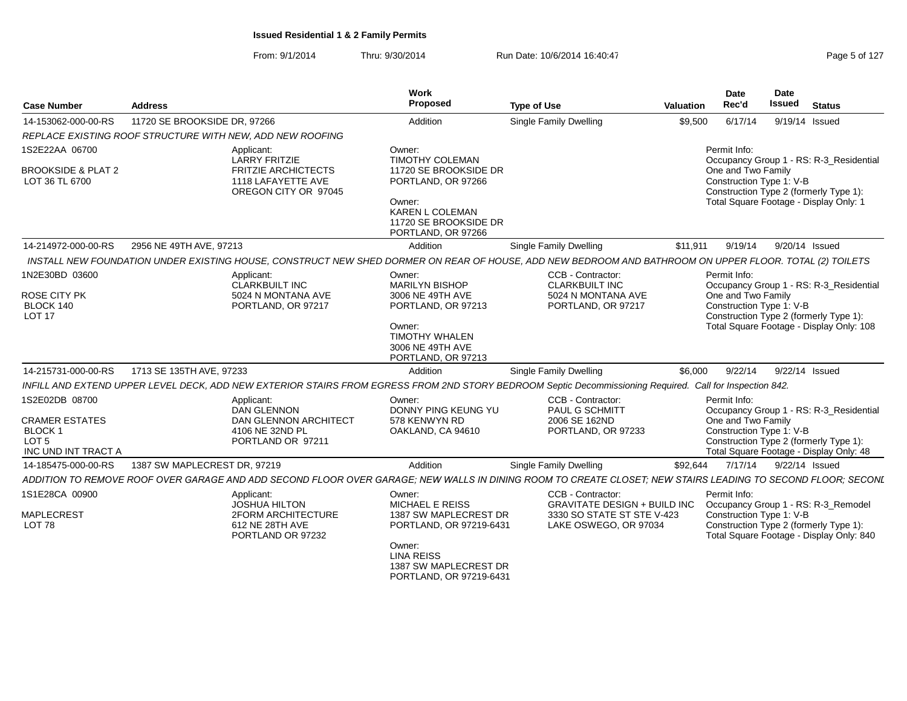From: 9/1/2014Thru: 9/30/2014 Run Date: 10/6/2014 16:40:47

| Page 5 of 127 |  |  |  |
|---------------|--|--|--|
|---------------|--|--|--|

| <b>Case Number</b>                                                                                  | <b>Address</b>                                                                                                                                              | Work<br>Proposed                                                                                                                                            | <b>Type of Use</b>                                                                     | Valuation                                                         | <b>Date</b><br>Rec'd                                                               | <b>Date</b><br><b>Issued</b>                                                                              | <b>Status</b>                                                                                                                |  |
|-----------------------------------------------------------------------------------------------------|-------------------------------------------------------------------------------------------------------------------------------------------------------------|-------------------------------------------------------------------------------------------------------------------------------------------------------------|----------------------------------------------------------------------------------------|-------------------------------------------------------------------|------------------------------------------------------------------------------------|-----------------------------------------------------------------------------------------------------------|------------------------------------------------------------------------------------------------------------------------------|--|
| 14-153062-000-00-RS                                                                                 | 11720 SE BROOKSIDE DR, 97266                                                                                                                                | Addition                                                                                                                                                    | Single Family Dwelling                                                                 | \$9,500                                                           | 6/17/14                                                                            |                                                                                                           | 9/19/14 Issued                                                                                                               |  |
|                                                                                                     | REPLACE EXISTING ROOF STRUCTURE WITH NEW, ADD NEW ROOFING                                                                                                   |                                                                                                                                                             |                                                                                        |                                                                   |                                                                                    |                                                                                                           |                                                                                                                              |  |
| 1S2E22AA 06700<br><b>BROOKSIDE &amp; PLAT 2</b><br>LOT 36 TL 6700                                   | Applicant:<br><b>LARRY FRITZIE</b><br><b>FRITZIE ARCHICTECTS</b><br>1118 LAFAYETTE AVE<br>OREGON CITY OR 97045                                              | Owner:<br>TIMOTHY COLEMAN<br>11720 SE BROOKSIDE DR<br>PORTLAND, OR 97266<br>Owner:<br><b>KAREN L COLEMAN</b><br>11720 SE BROOKSIDE DR<br>PORTLAND, OR 97266 |                                                                                        |                                                                   | Permit Info:<br>One and Two Family<br>Construction Type 1: V-B                     |                                                                                                           | Occupancy Group 1 - RS: R-3_Residential<br>Construction Type 2 (formerly Type 1):<br>Total Square Footage - Display Only: 1  |  |
| 14-214972-000-00-RS                                                                                 | 2956 NE 49TH AVE, 97213                                                                                                                                     | Addition                                                                                                                                                    | Single Family Dwelling                                                                 | \$11.911                                                          | 9/19/14                                                                            |                                                                                                           | 9/20/14 Issued                                                                                                               |  |
|                                                                                                     | INSTALL NEW FOUNDATION UNDER EXISTING HOUSE, CONSTRUCT NEW SHED DORMER ON REAR OF HOUSE, ADD NEW BEDROOM AND BATHROOM ON UPPER FLOOR. TOTAL (2) TOILETS     |                                                                                                                                                             |                                                                                        |                                                                   |                                                                                    |                                                                                                           |                                                                                                                              |  |
| 1N2E30BD 03600<br><b>ROSE CITY PK</b><br>BLOCK 140<br><b>LOT 17</b>                                 | Applicant:<br><b>CLARKBUILT INC</b><br>5024 N MONTANA AVE<br>PORTLAND, OR 97217                                                                             | Owner:<br><b>MARILYN BISHOP</b><br>3006 NE 49TH AVE<br>PORTLAND, OR 97213                                                                                   | CCB - Contractor:<br><b>CLARKBUILT INC</b><br>5024 N MONTANA AVE<br>PORTLAND, OR 97217 |                                                                   |                                                                                    | Permit Info:<br>Occupancy Group 1 - RS: R-3_Residential<br>One and Two Family<br>Construction Type 1: V-B |                                                                                                                              |  |
|                                                                                                     |                                                                                                                                                             | Owner:<br><b>TIMOTHY WHALEN</b><br>3006 NE 49TH AVE<br>PORTLAND, OR 97213                                                                                   |                                                                                        |                                                                   | Construction Type 2 (formerly Type 1):<br>Total Square Footage - Display Only: 108 |                                                                                                           |                                                                                                                              |  |
| 14-215731-000-00-RS                                                                                 | 1713 SE 135TH AVE, 97233                                                                                                                                    | Addition                                                                                                                                                    | Single Family Dwelling                                                                 | \$6,000                                                           | 9/22/14                                                                            |                                                                                                           | 9/22/14 Issued                                                                                                               |  |
|                                                                                                     | INFILL AND EXTEND UPPER LEVEL DECK, ADD NEW EXTERIOR STAIRS FROM EGRESS FROM 2ND STORY BEDROOM Septic Decommissioning Required. Call for Inspection 842.    |                                                                                                                                                             |                                                                                        |                                                                   |                                                                                    |                                                                                                           |                                                                                                                              |  |
| 1S2E02DB 08700<br><b>CRAMER ESTATES</b><br><b>BLOCK1</b><br>LOT <sub>5</sub><br>INC UND INT TRACT A | Applicant:<br><b>DAN GLENNON</b><br><b>DAN GLENNON ARCHITECT</b><br>4106 NE 32ND PL<br>PORTLAND OR 97211                                                    | Owner:<br>DONNY PING KEUNG YU<br>578 KENWYN RD<br>OAKLAND, CA 94610                                                                                         | CCB - Contractor:<br>PAUL G SCHMITT<br>2006 SE 162ND<br>PORTLAND, OR 97233             |                                                                   | Permit Info:<br>One and Two Family<br>Construction Type 1: V-B                     |                                                                                                           | Occupancy Group 1 - RS: R-3_Residential<br>Construction Type 2 (formerly Type 1):<br>Total Square Footage - Display Only: 48 |  |
| 14-185475-000-00-RS                                                                                 | 1387 SW MAPLECREST DR. 97219                                                                                                                                | Addition                                                                                                                                                    | Single Family Dwelling                                                                 | \$92.644                                                          | 7/17/14                                                                            |                                                                                                           | 9/22/14 Issued                                                                                                               |  |
|                                                                                                     | ADDITION TO REMOVE ROOF OVER GARAGE AND ADD SECOND FLOOR OVER GARAGE; NEW WALLS IN DINING ROOM TO CREATE CLOSET; NEW STAIRS LEADING TO SECOND FLOOR; SECONL |                                                                                                                                                             |                                                                                        |                                                                   |                                                                                    |                                                                                                           |                                                                                                                              |  |
| 1S1E28CA 00900<br><b>MAPLECREST</b>                                                                 | Applicant:<br><b>JOSHUA HILTON</b><br><b>2FORM ARCHITECTURE</b>                                                                                             | Owner:<br><b>MICHAEL E REISS</b><br>1387 SW MAPLECREST DR                                                                                                   | <b>CCB - Contractor:</b>                                                               | <b>GRAVITATE DESIGN + BUILD INC</b><br>3330 SO STATE ST STE V-423 |                                                                                    | Permit Info:<br>Occupancy Group 1 - RS: R-3_Remodel<br>Construction Type 1: V-B                           |                                                                                                                              |  |
| LOT <sub>78</sub>                                                                                   | 612 NE 28TH AVE<br>PORTLAND OR 97232                                                                                                                        | PORTLAND, OR 97219-6431<br>Owner:<br><b>LINA REISS</b><br>1387 SW MAPLECREST DR<br>PORTLAND, OR 97219-6431                                                  | LAKE OSWEGO, OR 97034                                                                  |                                                                   |                                                                                    |                                                                                                           | Construction Type 2 (formerly Type 1):<br>Total Square Footage - Display Only: 840                                           |  |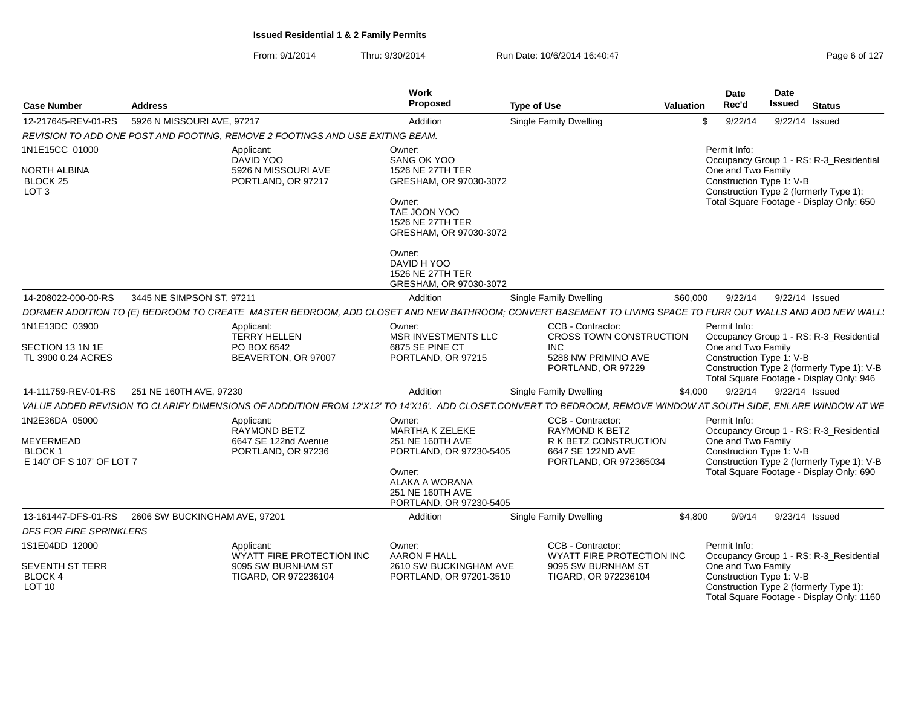| <b>Case Number</b>                                                  | <b>Address</b>                                      |                                                                               | Work<br>Proposed                                                                                                                                           | <b>Type of Use</b>                                                                                                                                               | Date<br>Rec'd<br><b>Valuation</b>  |         | Date<br>Issued<br><b>Status</b>                                                                                                                               |
|---------------------------------------------------------------------|-----------------------------------------------------|-------------------------------------------------------------------------------|------------------------------------------------------------------------------------------------------------------------------------------------------------|------------------------------------------------------------------------------------------------------------------------------------------------------------------|------------------------------------|---------|---------------------------------------------------------------------------------------------------------------------------------------------------------------|
| 12-217645-REV-01-RS                                                 | 5926 N MISSOURI AVE, 97217                          |                                                                               | Addition                                                                                                                                                   | <b>Single Family Dwelling</b>                                                                                                                                    | S.                                 | 9/22/14 | 9/22/14 Issued                                                                                                                                                |
|                                                                     |                                                     | REVISION TO ADD ONE POST AND FOOTING, REMOVE 2 FOOTINGS AND USE EXITING BEAM. |                                                                                                                                                            |                                                                                                                                                                  |                                    |         |                                                                                                                                                               |
| 1N1E15CC 01000                                                      |                                                     | Applicant:                                                                    | Owner:                                                                                                                                                     |                                                                                                                                                                  | Permit Info:                       |         |                                                                                                                                                               |
| <b>NORTH ALBINA</b><br>BLOCK <sub>25</sub><br>LOT <sub>3</sub>      |                                                     | DAVID YOO<br>5926 N MISSOURI AVE<br>PORTLAND, OR 97217                        | SANG OK YOO<br>1526 NE 27TH TER<br>GRESHAM, OR 97030-3072<br>Owner:<br>TAE JOON YOO<br>1526 NE 27TH TER<br>GRESHAM, OR 97030-3072                          |                                                                                                                                                                  | One and Two Family                 |         | Occupancy Group 1 - RS: R-3 Residential<br>Construction Type 1: V-B<br>Construction Type 2 (formerly Type 1):<br>Total Square Footage - Display Only: 650     |
|                                                                     |                                                     |                                                                               | Owner:<br>DAVID H YOO<br>1526 NE 27TH TER<br>GRESHAM, OR 97030-3072                                                                                        |                                                                                                                                                                  |                                    |         |                                                                                                                                                               |
| 14-208022-000-00-RS                                                 | 3445 NE SIMPSON ST, 97211                           |                                                                               | Addition                                                                                                                                                   | <b>Single Family Dwelling</b>                                                                                                                                    | \$60,000                           | 9/22/14 | 9/22/14 Issued                                                                                                                                                |
|                                                                     |                                                     |                                                                               |                                                                                                                                                            | DORMER ADDITION TO (E) BEDROOM TO CREATE MASTER BEDROOM, ADD CLOSET AND NEW BATHROOM; CONVERT BASEMENT TO LIVING SPACE TO FURR OUT WALLS AND ADD NEW WALL.       |                                    |         |                                                                                                                                                               |
| 1N1E13DC 03900                                                      |                                                     | Applicant:<br>TERRY HELLEN                                                    | Owner:<br>MSR INVESTMENTS LLC                                                                                                                              | CCB - Contractor:<br>CROSS TOWN CONSTRUCTION                                                                                                                     | Permit Info:                       |         | Occupancy Group 1 - RS: R-3_Residential                                                                                                                       |
| SECTION 13 1N 1E<br>TL 3900 0.24 ACRES                              |                                                     | PO BOX 6542<br>BEAVERTON, OR 97007                                            | 6875 SE PINE CT<br>PORTLAND, OR 97215                                                                                                                      | <b>INC</b><br>5288 NW PRIMINO AVE<br>PORTLAND, OR 97229                                                                                                          | One and Two Family                 |         | Construction Type 1: V-B<br>Construction Type 2 (formerly Type 1): V-B<br>Total Square Footage - Display Only: 946                                            |
|                                                                     | 14-111759-REV-01-RS 251 NE 160TH AVE, 97230         |                                                                               | Addition                                                                                                                                                   | <b>Single Family Dwelling</b>                                                                                                                                    | \$4.000                            |         | 9/22/14 9/22/14 Issued                                                                                                                                        |
|                                                                     |                                                     |                                                                               |                                                                                                                                                            | VALUE ADDED REVISION TO CLARIFY DIMENSIONS OF ADDDITION FROM 12'X12' TO 14'X16'. ADD CLOSET.CONVERT TO BEDROOM. REMOVE WINDOW AT SOUTH SIDE. ENLARE WINDOW AT WE |                                    |         |                                                                                                                                                               |
| 1N2E36DA 05000<br>MEYERMEAD<br>BLOCK 1<br>E 140' OF S 107' OF LOT 7 |                                                     | Applicant:<br>RAYMOND BETZ<br>6647 SE 122nd Avenue<br>PORTLAND, OR 97236      | Owner:<br><b>MARTHA K ZELEKE</b><br>251 NE 160TH AVE<br>PORTLAND, OR 97230-5405<br>Owner:<br>ALAKA A WORANA<br>251 NE 160TH AVE<br>PORTLAND, OR 97230-5405 | CCB - Contractor:<br>RAYMOND K BETZ<br>R K BETZ CONSTRUCTION<br>6647 SE 122ND AVE<br>PORTLAND, OR 972365034                                                      | Permit Info:<br>One and Two Family |         | Occupancy Group 1 - RS: R-3_Residential<br>Construction Type 1: V-B<br>Construction Type 2 (formerly Type 1): V-B<br>Total Square Footage - Display Only: 690 |
|                                                                     | 13-161447-DFS-01-RS   2606 SW BUCKINGHAM AVE, 97201 |                                                                               | Addition                                                                                                                                                   | <b>Single Family Dwelling</b>                                                                                                                                    | \$4.800                            | 9/9/14  | 9/23/14 Issued                                                                                                                                                |
| <b>DFS FOR FIRE SPRINKLERS</b>                                      |                                                     |                                                                               |                                                                                                                                                            |                                                                                                                                                                  |                                    |         |                                                                                                                                                               |
| 1S1E04DD 12000                                                      |                                                     | Applicant:<br>WYATT FIRE PROTECTION INC                                       | Owner:<br><b>AARON F HALL</b>                                                                                                                              | CCB - Contractor:<br>WYATT FIRE PROTECTION INC                                                                                                                   | Permit Info:                       |         | Occupancy Group 1 - RS: R-3_Residential                                                                                                                       |
| <b>SEVENTH ST TERR</b><br>BLOCK 4<br><b>LOT 10</b>                  |                                                     | 9095 SW BURNHAM ST<br>TIGARD, OR 972236104                                    | 2610 SW BUCKINGHAM AVE<br>PORTLAND, OR 97201-3510                                                                                                          | 9095 SW BURNHAM ST<br>TIGARD, OR 972236104                                                                                                                       | One and Two Family                 |         | Construction Type 1: V-B<br>Construction Type 2 (formerly Type 1):<br>Total Square Footage - Display Only: 1160                                               |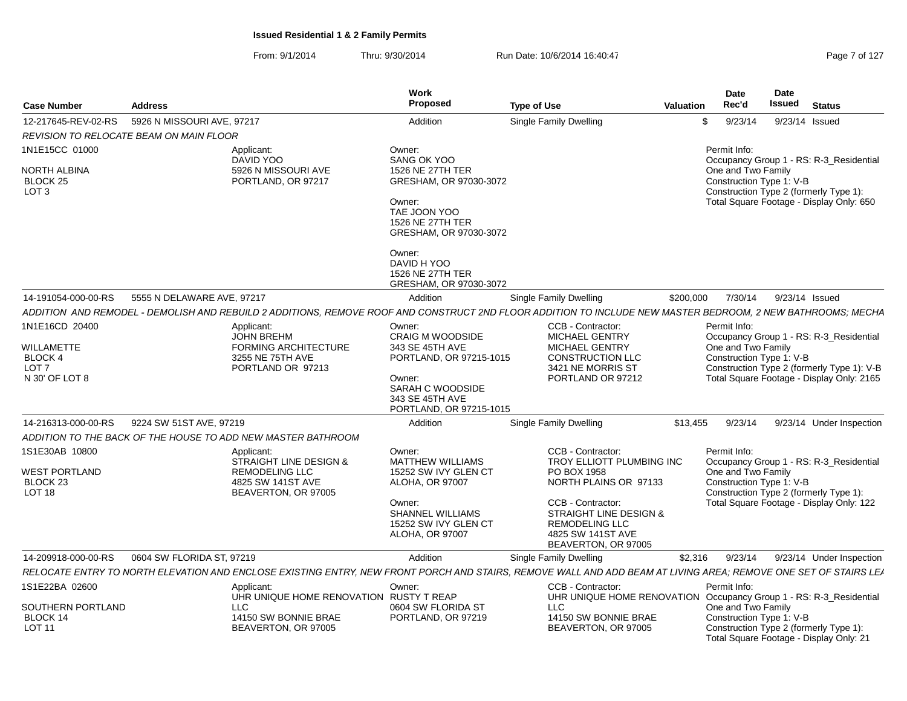From: 9/1/2014Thru: 9/30/2014 Run Date: 10/6/2014 16:40:47 Research 2010 Rage 7 of 127

|                                                                                      |                                         |                                                                                                                                                                                                                                                                        | Work<br>Proposed                                                                                                                                                                         |                                                                                                                                                                                                            |                                                                    | Date<br>Rec'd                                                  | <b>Date</b><br><b>Issued</b> |                                                                                                                                    |
|--------------------------------------------------------------------------------------|-----------------------------------------|------------------------------------------------------------------------------------------------------------------------------------------------------------------------------------------------------------------------------------------------------------------------|------------------------------------------------------------------------------------------------------------------------------------------------------------------------------------------|------------------------------------------------------------------------------------------------------------------------------------------------------------------------------------------------------------|--------------------------------------------------------------------|----------------------------------------------------------------|------------------------------|------------------------------------------------------------------------------------------------------------------------------------|
| Case Number                                                                          | <b>Address</b>                          |                                                                                                                                                                                                                                                                        |                                                                                                                                                                                          | <b>Type of Use</b>                                                                                                                                                                                         | <b>Valuation</b>                                                   |                                                                |                              | <b>Status</b>                                                                                                                      |
| 12-217645-REV-02-RS                                                                  | 5926 N MISSOURI AVE, 97217              |                                                                                                                                                                                                                                                                        | Addition                                                                                                                                                                                 | Single Family Dwelling                                                                                                                                                                                     |                                                                    | \$<br>9/23/14                                                  |                              | 9/23/14 Issued                                                                                                                     |
| 1N1E15CC 01000<br>NORTH ALBINA<br>BLOCK 25<br>LOT <sub>3</sub>                       | REVISION TO RELOCATE BEAM ON MAIN FLOOR | Applicant:<br>DAVID YOO<br>5926 N MISSOURI AVE<br>PORTLAND, OR 97217                                                                                                                                                                                                   | Owner:<br>SANG OK YOO<br>1526 NE 27TH TER<br>GRESHAM, OR 97030-3072<br>Owner:<br>TAE JOON YOO<br>1526 NE 27TH TER<br>GRESHAM, OR 97030-3072<br>Owner:<br>DAVID H YOO<br>1526 NE 27TH TER |                                                                                                                                                                                                            |                                                                    | Permit Info:<br>One and Two Family<br>Construction Type 1: V-B |                              | Occupancy Group 1 - RS: R-3_Residential<br>Construction Type 2 (formerly Type 1):<br>Total Square Footage - Display Only: 650      |
|                                                                                      |                                         |                                                                                                                                                                                                                                                                        | GRESHAM, OR 97030-3072                                                                                                                                                                   |                                                                                                                                                                                                            |                                                                    |                                                                |                              |                                                                                                                                    |
| 14-191054-000-00-RS                                                                  | 5555 N DELAWARE AVE, 97217              |                                                                                                                                                                                                                                                                        | Addition                                                                                                                                                                                 | <b>Single Family Dwelling</b>                                                                                                                                                                              | \$200,000                                                          | 7/30/14                                                        |                              | 9/23/14 Issued                                                                                                                     |
| 1N1E16CD 20400<br>WILLAMETTE<br><b>BLOCK 4</b><br>LOT <sub>7</sub><br>N 30' OF LOT 8 |                                         | ADDITION AND REMODEL - DEMOLISH AND REBUILD 2 ADDITIONS, REMOVE ROOF AND CONSTRUCT 2ND FLOOR ADDITION TO INCLUDE NEW MASTER BEDROOM, 2 NEW BATHROOMS; MECHA<br>Applicant:<br><b>JOHN BREHM</b><br><b>FORMING ARCHITECTURE</b><br>3255 NE 75TH AVE<br>PORTLAND OR 97213 | Owner:<br><b>CRAIG M WOODSIDE</b><br>343 SE 45TH AVE<br>PORTLAND, OR 97215-1015<br>Owner:<br>SARAH C WOODSIDE<br>343 SE 45TH AVE<br>PORTLAND, OR 97215-1015                              | CCB - Contractor:<br><b>MICHAEL GENTRY</b><br><b>MICHAEL GENTRY</b><br><b>CONSTRUCTION LLC</b><br>3421 NE MORRIS ST<br>PORTLAND OR 97212                                                                   |                                                                    | Permit Info:<br>One and Two Family<br>Construction Type 1: V-B |                              | Occupancy Group 1 - RS: R-3_Residential<br>Construction Type 2 (formerly Type 1): V-B<br>Total Square Footage - Display Only: 2165 |
| 14-216313-000-00-RS                                                                  | 9224 SW 51ST AVE, 97219                 |                                                                                                                                                                                                                                                                        | Addition                                                                                                                                                                                 | Single Family Dwelling                                                                                                                                                                                     | \$13,455                                                           | 9/23/14                                                        |                              | 9/23/14 Under Inspection                                                                                                           |
|                                                                                      |                                         | ADDITION TO THE BACK OF THE HOUSE TO ADD NEW MASTER BATHROOM                                                                                                                                                                                                           |                                                                                                                                                                                          |                                                                                                                                                                                                            |                                                                    |                                                                |                              |                                                                                                                                    |
| 1S1E30AB 10800<br>WEST PORTLAND<br>BLOCK <sub>23</sub><br>LOT <sub>18</sub>          |                                         | Applicant:<br>STRAIGHT LINE DESIGN &<br><b>REMODELING LLC</b><br>4825 SW 141ST AVE<br>BEAVERTON, OR 97005                                                                                                                                                              | Owner:<br><b>MATTHEW WILLIAMS</b><br>15252 SW IVY GLEN CT<br><b>ALOHA, OR 97007</b><br>Owner:<br><b>SHANNEL WILLIAMS</b><br>15252 SW IVY GLEN CT<br><b>ALOHA, OR 97007</b>               | CCB - Contractor:<br>TROY ELLIOTT PLUMBING INC<br>PO BOX 1958<br>NORTH PLAINS OR 97133<br>CCB - Contractor:<br>STRAIGHT LINE DESIGN &<br><b>REMODELING LLC</b><br>4825 SW 141ST AVE<br>BEAVERTON, OR 97005 |                                                                    | Permit Info:<br>One and Two Family<br>Construction Type 1: V-B |                              | Occupancy Group 1 - RS: R-3_Residential<br>Construction Type 2 (formerly Type 1):<br>Total Square Footage - Display Only: 122      |
| 14-209918-000-00-RS                                                                  | 0604 SW FLORIDA ST, 97219               |                                                                                                                                                                                                                                                                        | Addition                                                                                                                                                                                 | Single Family Dwelling                                                                                                                                                                                     | \$2,316                                                            | 9/23/14                                                        |                              | 9/23/14 Under Inspection                                                                                                           |
|                                                                                      |                                         | RELOCATE ENTRY TO NORTH ELEVATION AND ENCLOSE EXISTING ENTRY. NEW FRONT PORCH AND STAIRS. REMOVE WALL AND ADD BEAM AT LIVING AREA: REMOVE ONE SET OF STAIRS LEA                                                                                                        |                                                                                                                                                                                          |                                                                                                                                                                                                            |                                                                    |                                                                |                              |                                                                                                                                    |
| 1S1E22BA 02600<br>SOUTHERN PORTLAND<br>BLOCK 14<br><b>LOT 11</b>                     |                                         | Applicant:<br>UHR UNIQUE HOME RENOVATION RUSTY T REAP<br>LLC<br>14150 SW BONNIE BRAE<br>BEAVERTON, OR 97005                                                                                                                                                            | Owner:<br>0604 SW FLORIDA ST<br>PORTLAND, OR 97219                                                                                                                                       | CCB - Contractor:<br>LLC<br>14150 SW BONNIE BRAE<br>BEAVERTON, OR 97005                                                                                                                                    | UHR UNIQUE HOME RENOVATION Occupancy Group 1 - RS: R-3_Residential | Permit Info:<br>One and Two Family<br>Construction Type 1: V-B |                              | Construction Type 2 (formerly Type 1):<br>Total Square Footage - Display Only: 21                                                  |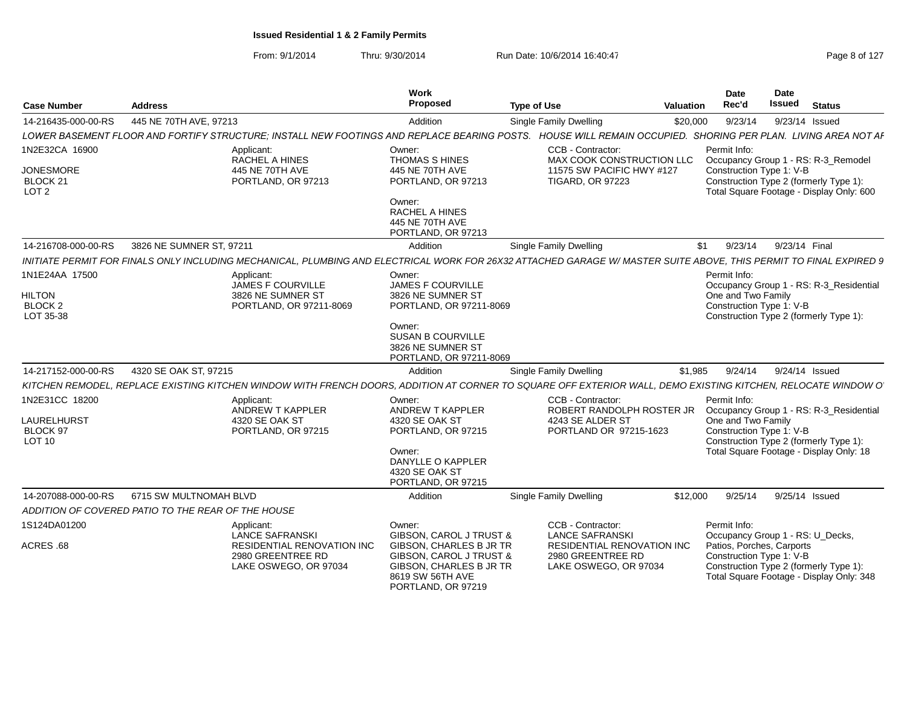| <b>Case Number</b>                                                            | <b>Address</b>                                                                                                                                                     | Work<br>Proposed                                                                                                                                 | <b>Type of Use</b>                                                                                     | <b>Valuation</b> | <b>Date</b><br>Rec'd                                           | Date<br><b>Issued</b> | <b>Status</b>                                                                                                                |
|-------------------------------------------------------------------------------|--------------------------------------------------------------------------------------------------------------------------------------------------------------------|--------------------------------------------------------------------------------------------------------------------------------------------------|--------------------------------------------------------------------------------------------------------|------------------|----------------------------------------------------------------|-----------------------|------------------------------------------------------------------------------------------------------------------------------|
| 14-216435-000-00-RS                                                           | 445 NE 70TH AVE, 97213                                                                                                                                             | Addition                                                                                                                                         | Single Family Dwelling                                                                                 | \$20,000         | 9/23/14                                                        | 9/23/14 Issued        |                                                                                                                              |
|                                                                               | LOWER BASEMENT FLOOR AND FORTIFY STRUCTURE; INSTALL NEW FOOTINGS AND REPLACE BEARING POSTS. HOUSE WILL REMAIN OCCUPIED. SHORING PER PLAN. LIVING AREA NOT AF       |                                                                                                                                                  |                                                                                                        |                  |                                                                |                       |                                                                                                                              |
| 1N2E32CA 16900<br><b>JONESMORE</b><br>BLOCK <sub>21</sub><br>LOT <sub>2</sub> | Applicant:<br><b>RACHEL A HINES</b><br>445 NE 70TH AVE<br>PORTLAND, OR 97213                                                                                       | Owner:<br>THOMAS S HINES<br>445 NE 70TH AVE<br>PORTLAND, OR 97213<br>Owner:<br>RACHEL A HINES<br>445 NE 70TH AVE                                 | CCB - Contractor:<br>MAX COOK CONSTRUCTION LLC<br>11575 SW PACIFIC HWY #127<br><b>TIGARD, OR 97223</b> |                  | Permit Info:<br>Construction Type 1: V-B                       |                       | Occupancy Group 1 - RS: R-3_Remodel<br>Construction Type 2 (formerly Type 1):<br>Total Square Footage - Display Only: 600    |
|                                                                               |                                                                                                                                                                    | PORTLAND, OR 97213                                                                                                                               |                                                                                                        |                  |                                                                |                       |                                                                                                                              |
| 14-216708-000-00-RS                                                           | 3826 NE SUMNER ST, 97211                                                                                                                                           | Addition                                                                                                                                         | Single Family Dwelling                                                                                 | \$1              | 9/23/14                                                        | 9/23/14 Final         |                                                                                                                              |
|                                                                               | INITIATE PERMIT FOR FINALS ONLY INCLUDING MECHANICAL, PLUMBING AND ELECTRICAL WORK FOR 26X32 ATTACHED GARAGE W/ MASTER SUITE ABOVE, THIS PERMIT TO FINAL EXPIRED 9 |                                                                                                                                                  |                                                                                                        |                  |                                                                |                       |                                                                                                                              |
| 1N1E24AA 17500<br><b>HILTON</b><br>BLOCK <sub>2</sub><br>LOT 35-38            | Applicant:<br><b>JAMES F COURVILLE</b><br>3826 NE SUMNER ST<br>PORTLAND, OR 97211-8069                                                                             | Owner:<br><b>JAMES F COURVILLE</b><br>3826 NE SUMNER ST<br>PORTLAND, OR 97211-8069                                                               |                                                                                                        |                  | Permit Info:<br>One and Two Family<br>Construction Type 1: V-B |                       | Occupancy Group 1 - RS: R-3_Residential<br>Construction Type 2 (formerly Type 1):                                            |
|                                                                               |                                                                                                                                                                    | Owner:<br><b>SUSAN B COURVILLE</b><br>3826 NE SUMNER ST<br>PORTLAND, OR 97211-8069                                                               |                                                                                                        |                  |                                                                |                       |                                                                                                                              |
| 14-217152-000-00-RS                                                           | 4320 SE OAK ST, 97215                                                                                                                                              | Addition                                                                                                                                         | <b>Single Family Dwelling</b>                                                                          | \$1,985          | 9/24/14                                                        | 9/24/14 Issued        |                                                                                                                              |
|                                                                               | KITCHEN REMODEL, REPLACE EXISTING KITCHEN WINDOW WITH FRENCH DOORS, ADDITION AT CORNER TO SQUARE OFF EXTERIOR WALL, DEMO EXISTING KITCHEN, RELOCATE WINDOW O       |                                                                                                                                                  |                                                                                                        |                  |                                                                |                       |                                                                                                                              |
| 1N2E31CC 18200<br>LAURELHURST<br><b>BLOCK 97</b><br><b>LOT 10</b>             | Applicant:<br>ANDREW T KAPPLER<br>4320 SE OAK ST<br>PORTLAND, OR 97215                                                                                             | Owner:<br><b>ANDREW T KAPPLER</b><br>4320 SE OAK ST<br>PORTLAND, OR 97215<br>Owner:<br>DANYLLE O KAPPLER<br>4320 SE OAK ST<br>PORTLAND, OR 97215 | CCB - Contractor:<br>ROBERT RANDOLPH ROSTER JR<br>4243 SE ALDER ST<br>PORTLAND OR 97215-1623           |                  | Permit Info:<br>One and Two Family<br>Construction Type 1: V-B |                       | Occupancy Group 1 - RS: R-3_Residential<br>Construction Type 2 (formerly Type 1):<br>Total Square Footage - Display Only: 18 |
| 14-207088-000-00-RS                                                           | 6715 SW MULTNOMAH BLVD                                                                                                                                             | Addition                                                                                                                                         | Single Family Dwelling                                                                                 | \$12,000         | 9/25/14                                                        | 9/25/14 Issued        |                                                                                                                              |
|                                                                               | ADDITION OF COVERED PATIO TO THE REAR OF THE HOUSE                                                                                                                 |                                                                                                                                                  |                                                                                                        |                  |                                                                |                       |                                                                                                                              |
| 1S124DA01200                                                                  | Applicant:<br><b>LANCE SAFRANSKI</b>                                                                                                                               | Owner:<br>GIBSON, CAROL J TRUST &                                                                                                                | CCB - Contractor:<br><b>LANCE SAFRANSKI</b>                                                            |                  | Permit Info:<br>Occupancy Group 1 - RS: U_Decks,               |                       |                                                                                                                              |
| ACRES .68                                                                     | RESIDENTIAL RENOVATION INC<br>2980 GREENTREE RD<br>LAKE OSWEGO, OR 97034                                                                                           | GIBSON, CHARLES B JR TR<br>GIBSON, CAROL J TRUST &<br>GIBSON, CHARLES B JR TR<br>8619 SW 56TH AVE<br>PORTLAND, OR 97219                          | RESIDENTIAL RENOVATION INC<br>2980 GREENTREE RD<br>LAKE OSWEGO, OR 97034                               |                  | Patios, Porches, Carports<br>Construction Type 1: V-B          |                       | Construction Type 2 (formerly Type 1):<br>Total Square Footage - Display Only: 348                                           |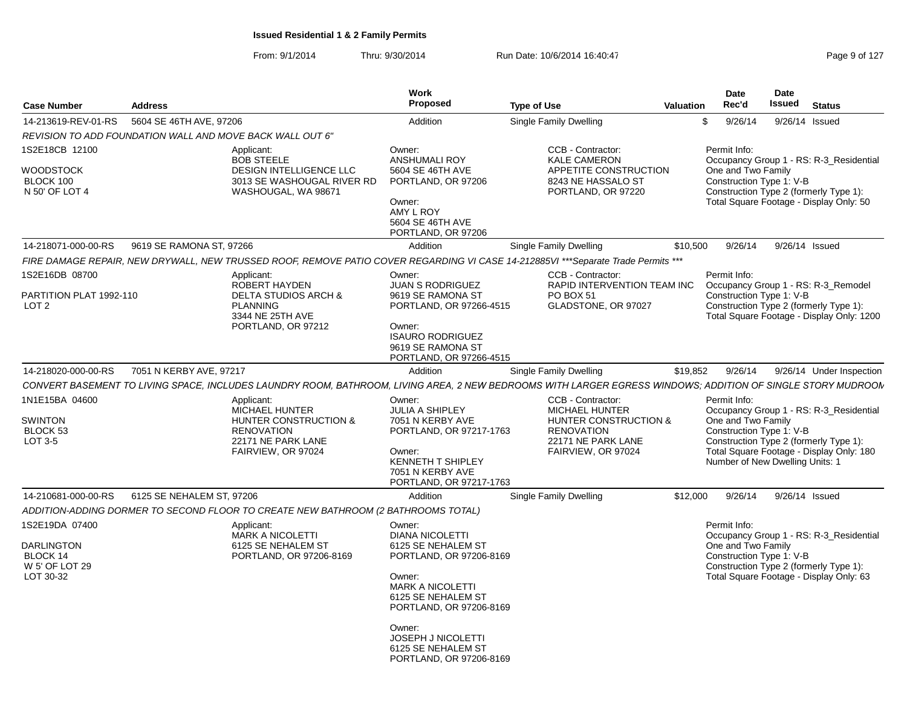From: 9/1/2014Thru: 9/30/2014 Run Date: 10/6/2014 16:40:47

| Page 9 of 127 |  |  |  |
|---------------|--|--|--|
|---------------|--|--|--|

| <b>Case Number</b>                                                             | <b>Address</b>                                                                                                                                              | <b>Work</b><br>Proposed                                                                                                                                                                                                                                  | <b>Type of Use</b>                                                                                                                   | <b>Valuation</b> | <b>Date</b><br>Rec'd                                                                              | Date<br><b>Issued</b> | <b>Status</b>                                                                                                                 |
|--------------------------------------------------------------------------------|-------------------------------------------------------------------------------------------------------------------------------------------------------------|----------------------------------------------------------------------------------------------------------------------------------------------------------------------------------------------------------------------------------------------------------|--------------------------------------------------------------------------------------------------------------------------------------|------------------|---------------------------------------------------------------------------------------------------|-----------------------|-------------------------------------------------------------------------------------------------------------------------------|
| 14-213619-REV-01-RS                                                            | 5604 SE 46TH AVE, 97206                                                                                                                                     | Addition                                                                                                                                                                                                                                                 | <b>Single Family Dwelling</b>                                                                                                        |                  | 9/26/14<br>\$.                                                                                    | 9/26/14 Issued        |                                                                                                                               |
|                                                                                | REVISION TO ADD FOUNDATION WALL AND MOVE BACK WALL OUT 6"                                                                                                   |                                                                                                                                                                                                                                                          |                                                                                                                                      |                  |                                                                                                   |                       |                                                                                                                               |
| 1S2E18CB 12100<br>WOODSTOCK<br>BLOCK 100<br>N 50' OF LOT 4                     | Applicant:<br><b>BOB STEELE</b><br>DESIGN INTELLIGENCE LLC<br>3013 SE WASHOUGAL RIVER RD<br>WASHOUGAL, WA 98671                                             | Owner:<br><b>ANSHUMALI ROY</b><br>5604 SE 46TH AVE<br>PORTLAND, OR 97206<br>Owner:<br>AMY L ROY<br>5604 SE 46TH AVE<br>PORTLAND, OR 97206                                                                                                                | CCB - Contractor:<br><b>KALE CAMERON</b><br>APPETITE CONSTRUCTION<br>8243 NE HASSALO ST<br>PORTLAND, OR 97220                        |                  | Permit Info:<br>One and Two Family<br>Construction Type 1: V-B                                    |                       | Occupancy Group 1 - RS: R-3_Residential<br>Construction Type 2 (formerly Type 1):<br>Total Square Footage - Display Only: 50  |
| 14-218071-000-00-RS                                                            | 9619 SE RAMONA ST. 97266                                                                                                                                    | Addition                                                                                                                                                                                                                                                 | Single Family Dwelling                                                                                                               | \$10,500         | 9/26/14                                                                                           | 9/26/14 Issued        |                                                                                                                               |
|                                                                                | FIRE DAMAGE REPAIR, NEW DRYWALL, NEW TRUSSED ROOF, REMOVE PATIO COVER REGARDING VI CASE 14-212885VI ***Separate Trade Permits ***                           |                                                                                                                                                                                                                                                          |                                                                                                                                      |                  |                                                                                                   |                       |                                                                                                                               |
| 1S2E16DB 08700<br>PARTITION PLAT 1992-110<br>LOT <sub>2</sub>                  | Applicant:<br>ROBERT HAYDEN<br><b>DELTA STUDIOS ARCH &amp;</b><br><b>PLANNING</b><br>3344 NE 25TH AVE<br>PORTLAND, OR 97212                                 | Owner:<br><b>JUAN S RODRIGUEZ</b><br>9619 SE RAMONA ST<br>PORTLAND, OR 97266-4515<br>Owner:<br><b>ISAURO RODRIGUEZ</b><br>9619 SE RAMONA ST<br>PORTLAND, OR 97266-4515                                                                                   | CCB - Contractor:<br>RAPID INTERVENTION TEAM INC<br>PO BOX 51<br>GLADSTONE, OR 97027                                                 |                  | Permit Info:<br>Construction Type 1: V-B                                                          |                       | Occupancy Group 1 - RS: R-3_Remodel<br>Construction Type 2 (formerly Type 1):<br>Total Square Footage - Display Only: 1200    |
| 14-218020-000-00-RS                                                            | 7051 N KERBY AVE, 97217                                                                                                                                     | Addition                                                                                                                                                                                                                                                 | <b>Single Family Dwelling</b>                                                                                                        | \$19,852         | 9/26/14                                                                                           |                       | 9/26/14 Under Inspection                                                                                                      |
|                                                                                | CONVERT BASEMENT TO LIVING SPACE, INCLUDES LAUNDRY ROOM, BATHROOM, LIVING AREA, 2 NEW BEDROOMS WITH LARGER EGRESS WINDOWS; ADDITION OF SINGLE STORY MUDROON |                                                                                                                                                                                                                                                          |                                                                                                                                      |                  |                                                                                                   |                       |                                                                                                                               |
| 1N1E15BA 04600<br><b>SWINTON</b><br>BLOCK 53<br>LOT 3-5                        | Applicant:<br>MICHAEL HUNTER<br>HUNTER CONSTRUCTION &<br><b>RENOVATION</b><br>22171 NE PARK LANE<br>FAIRVIEW, OR 97024                                      | Owner:<br><b>JULIA A SHIPLEY</b><br>7051 N KERBY AVE<br>PORTLAND, OR 97217-1763<br>Owner:<br><b>KENNETH T SHIPLEY</b><br>7051 N KERBY AVE<br>PORTLAND, OR 97217-1763                                                                                     | CCB - Contractor:<br><b>MICHAEL HUNTER</b><br>HUNTER CONSTRUCTION &<br><b>RENOVATION</b><br>22171 NE PARK LANE<br>FAIRVIEW, OR 97024 |                  | Permit Info:<br>One and Two Family<br>Construction Type 1: V-B<br>Number of New Dwelling Units: 1 |                       | Occupancy Group 1 - RS: R-3_Residential<br>Construction Type 2 (formerly Type 1):<br>Total Square Footage - Display Only: 180 |
| 14-210681-000-00-RS                                                            | 6125 SE NEHALEM ST, 97206                                                                                                                                   | Addition                                                                                                                                                                                                                                                 | Single Family Dwelling                                                                                                               | \$12,000         | 9/26/14                                                                                           | 9/26/14 Issued        |                                                                                                                               |
|                                                                                | ADDITION-ADDING DORMER TO SECOND FLOOR TO CREATE NEW BATHROOM (2 BATHROOMS TOTAL)                                                                           |                                                                                                                                                                                                                                                          |                                                                                                                                      |                  |                                                                                                   |                       |                                                                                                                               |
| 1S2E19DA 07400<br><b>DARLINGTON</b><br>BLOCK 14<br>W 5' OF LOT 29<br>LOT 30-32 | Applicant:<br><b>MARK A NICOLETTI</b><br>6125 SE NEHALEM ST<br>PORTLAND, OR 97206-8169                                                                      | Owner:<br><b>DIANA NICOLETTI</b><br>6125 SE NEHALEM ST<br>PORTLAND, OR 97206-8169<br>Owner:<br><b>MARK A NICOLETTI</b><br>6125 SE NEHALEM ST<br>PORTLAND, OR 97206-8169<br>Owner:<br>JOSEPH J NICOLETTI<br>6125 SE NEHALEM ST<br>PORTLAND, OR 97206-8169 |                                                                                                                                      |                  | Permit Info:<br>One and Two Family<br>Construction Type 1: V-B                                    |                       | Occupancy Group 1 - RS: R-3_Residential<br>Construction Type 2 (formerly Type 1):<br>Total Square Footage - Display Only: 63  |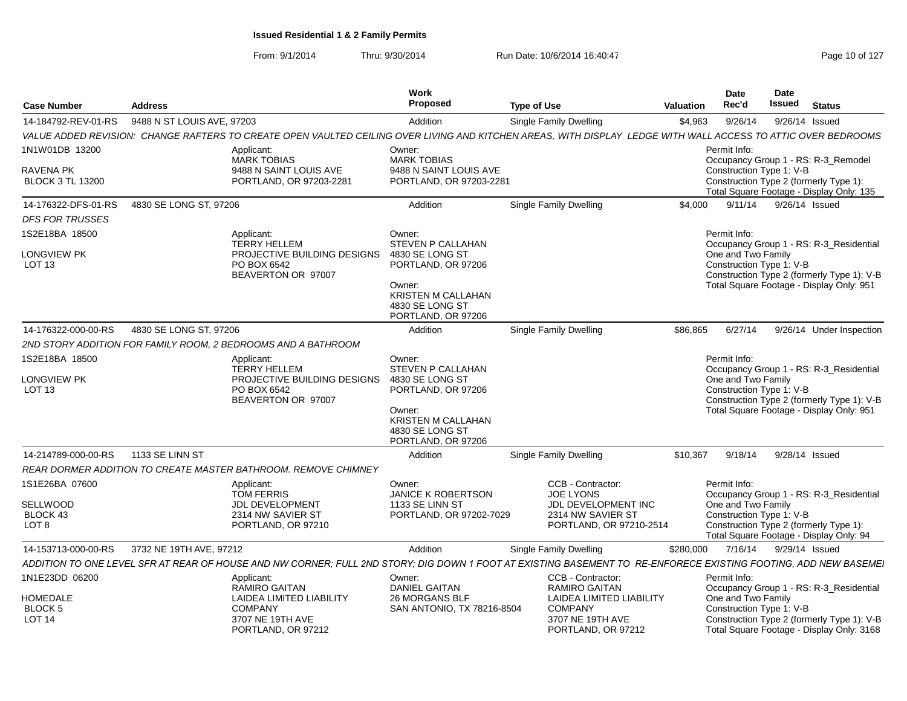| <b>Issued Status</b><br>Address<br>14-184792-REV-01-RS 9488 N ST LOUIS AVE, 97203<br>Addition<br>Single Family Dwelling<br>\$4,963 9/26/14 9/26/14 Issued<br>Owner:<br>Permit Info:<br>Applicant:<br><b>MARK TOBIAS</b><br><b>MARK TOBIAS</b><br>9488 N SAINT LOUIS AVE<br>9488 N SAINT LOUIS AVE<br>Construction Type 1: V-B<br>PORTLAND, OR 97203-2281<br>PORTLAND, OR 97203-2281<br><b>Single Family Dwelling</b><br>\$4,000 9/11/14 9/26/14 Issued<br>Addition<br>Owner:<br>Permit Info:<br>Applicant:<br><b>STEVEN P CALLAHAN</b><br>TERRY HELLEM<br>PROJECTIVE BUILDING DESIGNS 4830 SE LONG ST<br>One and Two Family<br>PORTLAND, OR 97206<br>Construction Type 1: V-B<br>LOT 13<br>PO BOX 6542<br>BEAVERTON OR 97007<br>Owner:<br>KRISTEN M CALLAHAN<br>4830 SE LONG ST<br>PORTLAND, OR 97206<br>Addition<br>Single Family Dwelling<br>Owner:<br>Permit Info:<br>Applicant:<br>STEVEN P CALLAHAN<br>TERRY HELLEM<br>PROJECTIVE BUILDING DESIGNS 4830 SE LONG ST<br>One and Two Family<br>PORTLAND, OR 97206<br>Construction Type 1: V-B<br>LOT 13<br>PO BOX 6542<br>BEAVERTON OR 97007<br>Owner:<br><b>KRISTEN M CALLAHAN</b><br>4830 SE LONG ST<br>PORTLAND, OR 97206<br>Addition<br>Single Family Dwelling<br>\$10,367 9/18/14 9/28/14 Issued<br>CCB - Contractor:<br>Permit Info:<br>Owner:<br>Applicant:<br>TOM FFRRIS<br><b>JANICE K ROBERTSON</b><br><b>JOE LYONS</b><br><b>JDL DEVELOPMENT</b><br>JDL DEVELOPMENT INC<br>1133 SE LINN ST<br>One and Two Family<br>2314 NW SAVIER ST<br>PORTLAND, OR 97202-7029<br>2314 NW SAVIER ST<br>Construction Type 1: V-B<br>PORTLAND, OR 97210<br>PORTLAND, OR 97210-2514<br>LOT 8<br>Single Family Dwelling<br>\$280,000 7/16/14 9/29/14 Issued<br>Addition<br>CCB - Contractor:<br>Owner:<br>Permit Info:<br>Applicant:<br><b>DANIEL GAITAN</b><br><b>RAMIRO GAITAN</b><br>RAMIRO GAITAN<br>LAIDEA LIMITED LIABILITY<br>26 MORGANS BLF<br>LAIDEA LIMITED LIABILITY<br>One and Two Family<br>SAN ANTONIO, TX 78216-8504<br>Construction Type 1: V-B<br>COMPANY<br>COMPANY<br>3707 NE 19TH AVE<br>3707 NE 19TH AVE<br>LOT 14 |             |                    | Work     |                    | <b>Date</b><br>Date |  |
|------------------------------------------------------------------------------------------------------------------------------------------------------------------------------------------------------------------------------------------------------------------------------------------------------------------------------------------------------------------------------------------------------------------------------------------------------------------------------------------------------------------------------------------------------------------------------------------------------------------------------------------------------------------------------------------------------------------------------------------------------------------------------------------------------------------------------------------------------------------------------------------------------------------------------------------------------------------------------------------------------------------------------------------------------------------------------------------------------------------------------------------------------------------------------------------------------------------------------------------------------------------------------------------------------------------------------------------------------------------------------------------------------------------------------------------------------------------------------------------------------------------------------------------------------------------------------------------------------------------------------------------------------------------------------------------------------------------------------------------------------------------------------------------------------------------------------------------------------------------------------------------------------------------------------------------------------------------------------------------------------------------------------------------------------------------------------------|-------------|--------------------|----------|--------------------|---------------------|--|
| VALUE ADDED REVISION: CHANGE RAFTERS TO CREATE OPEN VAULTED CEILING OVER LIVING AND KIT<br>CHEN AREAS, WITH DISPLAY LEDGE WITH WALL ACCESS TO ATTIC OVER BEDROOMS<br>Occupancy Group 1 - RS: R-3_Remodel<br>RAVENA PK<br>Construction Type 2 (formerly Type 1):<br>Total Square Footage - Display Only: 135<br>Occupancy Group 1 - RS: R-3_Residential<br>LONGVIEW PK<br>Construction Type 2 (formerly Type 1): V-B<br>Total Square Footage - Display Only: 951<br>\$86,865 6/27/14 9/26/14 Under Inspection<br>Occupancy Group 1 - RS: R-3_Residential<br>LONGVIEW PK<br>Construction Type 2 (formerly Type 1): V-B<br>Total Square Footage - Display Only: 951<br>Occupancy Group 1 - RS: R-3_Residential<br>Construction Type 2 (formerly Type 1):<br>Total Square Footage - Display Only: 94<br>ADDITION TO ONE LEVEL SFR AT REAR OF HOUSE AND NW CORNER; FULL 2ND STORY; DIG DOWN 1 FOOT AT EXISTING BASEMENT TO RE-ENFORECE EXISTING FOOTING, ADD NEW BASEMEI<br>Occupancy Group 1 - RS: R-3_Residential<br>BLOCK 5<br>Construction Type 2 (formerly Type 1): V-B<br>Total Square Footage - Display Only: 3168                                                                                                                                                                                                                                                                                                                                                                                                                                                                                                                                                                                                                                                                                                                                                                                                                                                                                                                                                               | Case Number |                    | Proposed | <b>Type of Use</b> | Rec'd<br>Valuation  |  |
| 1N1W01DB 13200<br><b>BLOCK 3 TL 13200</b><br>14-176322-DFS-01-RS   4830 SE LONG ST, 97206<br><b>DFS FOR TRUSSES</b><br>1S2E18BA 18500<br>14-176322-000-00-RS   4830 SE LONG ST, 97206<br>2ND STORY ADDITION FOR FAMILY ROOM, 2 BEDROOMS AND A BATHROOM<br>1S2E18BA 18500<br>14-214789-000-00-RS 1133 SE LINN ST<br>REAR DORMER ADDITION TO CREATE MASTER BATHROOM. REMOVE CHIMNEY<br>1S1E26BA 07600<br>SELLWOOD<br>BLOCK 43<br>14-153713-000-00-RS 3732 NE 19TH AVE, 97212<br>1N1E23DD 06200<br><b>HOMEDALE</b>                                                                                                                                                                                                                                                                                                                                                                                                                                                                                                                                                                                                                                                                                                                                                                                                                                                                                                                                                                                                                                                                                                                                                                                                                                                                                                                                                                                                                                                                                                                                                                    |             |                    |          |                    |                     |  |
|                                                                                                                                                                                                                                                                                                                                                                                                                                                                                                                                                                                                                                                                                                                                                                                                                                                                                                                                                                                                                                                                                                                                                                                                                                                                                                                                                                                                                                                                                                                                                                                                                                                                                                                                                                                                                                                                                                                                                                                                                                                                                    |             |                    |          |                    |                     |  |
|                                                                                                                                                                                                                                                                                                                                                                                                                                                                                                                                                                                                                                                                                                                                                                                                                                                                                                                                                                                                                                                                                                                                                                                                                                                                                                                                                                                                                                                                                                                                                                                                                                                                                                                                                                                                                                                                                                                                                                                                                                                                                    |             |                    |          |                    |                     |  |
|                                                                                                                                                                                                                                                                                                                                                                                                                                                                                                                                                                                                                                                                                                                                                                                                                                                                                                                                                                                                                                                                                                                                                                                                                                                                                                                                                                                                                                                                                                                                                                                                                                                                                                                                                                                                                                                                                                                                                                                                                                                                                    |             |                    |          |                    |                     |  |
|                                                                                                                                                                                                                                                                                                                                                                                                                                                                                                                                                                                                                                                                                                                                                                                                                                                                                                                                                                                                                                                                                                                                                                                                                                                                                                                                                                                                                                                                                                                                                                                                                                                                                                                                                                                                                                                                                                                                                                                                                                                                                    |             |                    |          |                    |                     |  |
|                                                                                                                                                                                                                                                                                                                                                                                                                                                                                                                                                                                                                                                                                                                                                                                                                                                                                                                                                                                                                                                                                                                                                                                                                                                                                                                                                                                                                                                                                                                                                                                                                                                                                                                                                                                                                                                                                                                                                                                                                                                                                    |             |                    |          |                    |                     |  |
|                                                                                                                                                                                                                                                                                                                                                                                                                                                                                                                                                                                                                                                                                                                                                                                                                                                                                                                                                                                                                                                                                                                                                                                                                                                                                                                                                                                                                                                                                                                                                                                                                                                                                                                                                                                                                                                                                                                                                                                                                                                                                    |             |                    |          |                    |                     |  |
|                                                                                                                                                                                                                                                                                                                                                                                                                                                                                                                                                                                                                                                                                                                                                                                                                                                                                                                                                                                                                                                                                                                                                                                                                                                                                                                                                                                                                                                                                                                                                                                                                                                                                                                                                                                                                                                                                                                                                                                                                                                                                    |             |                    |          |                    |                     |  |
|                                                                                                                                                                                                                                                                                                                                                                                                                                                                                                                                                                                                                                                                                                                                                                                                                                                                                                                                                                                                                                                                                                                                                                                                                                                                                                                                                                                                                                                                                                                                                                                                                                                                                                                                                                                                                                                                                                                                                                                                                                                                                    |             |                    |          |                    |                     |  |
|                                                                                                                                                                                                                                                                                                                                                                                                                                                                                                                                                                                                                                                                                                                                                                                                                                                                                                                                                                                                                                                                                                                                                                                                                                                                                                                                                                                                                                                                                                                                                                                                                                                                                                                                                                                                                                                                                                                                                                                                                                                                                    |             |                    |          |                    |                     |  |
|                                                                                                                                                                                                                                                                                                                                                                                                                                                                                                                                                                                                                                                                                                                                                                                                                                                                                                                                                                                                                                                                                                                                                                                                                                                                                                                                                                                                                                                                                                                                                                                                                                                                                                                                                                                                                                                                                                                                                                                                                                                                                    |             |                    |          |                    |                     |  |
|                                                                                                                                                                                                                                                                                                                                                                                                                                                                                                                                                                                                                                                                                                                                                                                                                                                                                                                                                                                                                                                                                                                                                                                                                                                                                                                                                                                                                                                                                                                                                                                                                                                                                                                                                                                                                                                                                                                                                                                                                                                                                    |             |                    |          |                    |                     |  |
|                                                                                                                                                                                                                                                                                                                                                                                                                                                                                                                                                                                                                                                                                                                                                                                                                                                                                                                                                                                                                                                                                                                                                                                                                                                                                                                                                                                                                                                                                                                                                                                                                                                                                                                                                                                                                                                                                                                                                                                                                                                                                    |             |                    |          |                    |                     |  |
|                                                                                                                                                                                                                                                                                                                                                                                                                                                                                                                                                                                                                                                                                                                                                                                                                                                                                                                                                                                                                                                                                                                                                                                                                                                                                                                                                                                                                                                                                                                                                                                                                                                                                                                                                                                                                                                                                                                                                                                                                                                                                    |             |                    |          |                    |                     |  |
|                                                                                                                                                                                                                                                                                                                                                                                                                                                                                                                                                                                                                                                                                                                                                                                                                                                                                                                                                                                                                                                                                                                                                                                                                                                                                                                                                                                                                                                                                                                                                                                                                                                                                                                                                                                                                                                                                                                                                                                                                                                                                    |             |                    |          |                    |                     |  |
|                                                                                                                                                                                                                                                                                                                                                                                                                                                                                                                                                                                                                                                                                                                                                                                                                                                                                                                                                                                                                                                                                                                                                                                                                                                                                                                                                                                                                                                                                                                                                                                                                                                                                                                                                                                                                                                                                                                                                                                                                                                                                    |             |                    |          |                    |                     |  |
|                                                                                                                                                                                                                                                                                                                                                                                                                                                                                                                                                                                                                                                                                                                                                                                                                                                                                                                                                                                                                                                                                                                                                                                                                                                                                                                                                                                                                                                                                                                                                                                                                                                                                                                                                                                                                                                                                                                                                                                                                                                                                    |             |                    |          |                    |                     |  |
|                                                                                                                                                                                                                                                                                                                                                                                                                                                                                                                                                                                                                                                                                                                                                                                                                                                                                                                                                                                                                                                                                                                                                                                                                                                                                                                                                                                                                                                                                                                                                                                                                                                                                                                                                                                                                                                                                                                                                                                                                                                                                    |             |                    |          |                    |                     |  |
|                                                                                                                                                                                                                                                                                                                                                                                                                                                                                                                                                                                                                                                                                                                                                                                                                                                                                                                                                                                                                                                                                                                                                                                                                                                                                                                                                                                                                                                                                                                                                                                                                                                                                                                                                                                                                                                                                                                                                                                                                                                                                    |             |                    |          |                    |                     |  |
|                                                                                                                                                                                                                                                                                                                                                                                                                                                                                                                                                                                                                                                                                                                                                                                                                                                                                                                                                                                                                                                                                                                                                                                                                                                                                                                                                                                                                                                                                                                                                                                                                                                                                                                                                                                                                                                                                                                                                                                                                                                                                    |             |                    |          |                    |                     |  |
|                                                                                                                                                                                                                                                                                                                                                                                                                                                                                                                                                                                                                                                                                                                                                                                                                                                                                                                                                                                                                                                                                                                                                                                                                                                                                                                                                                                                                                                                                                                                                                                                                                                                                                                                                                                                                                                                                                                                                                                                                                                                                    |             |                    |          |                    |                     |  |
|                                                                                                                                                                                                                                                                                                                                                                                                                                                                                                                                                                                                                                                                                                                                                                                                                                                                                                                                                                                                                                                                                                                                                                                                                                                                                                                                                                                                                                                                                                                                                                                                                                                                                                                                                                                                                                                                                                                                                                                                                                                                                    |             |                    |          |                    |                     |  |
|                                                                                                                                                                                                                                                                                                                                                                                                                                                                                                                                                                                                                                                                                                                                                                                                                                                                                                                                                                                                                                                                                                                                                                                                                                                                                                                                                                                                                                                                                                                                                                                                                                                                                                                                                                                                                                                                                                                                                                                                                                                                                    |             |                    |          |                    |                     |  |
|                                                                                                                                                                                                                                                                                                                                                                                                                                                                                                                                                                                                                                                                                                                                                                                                                                                                                                                                                                                                                                                                                                                                                                                                                                                                                                                                                                                                                                                                                                                                                                                                                                                                                                                                                                                                                                                                                                                                                                                                                                                                                    |             |                    |          |                    |                     |  |
|                                                                                                                                                                                                                                                                                                                                                                                                                                                                                                                                                                                                                                                                                                                                                                                                                                                                                                                                                                                                                                                                                                                                                                                                                                                                                                                                                                                                                                                                                                                                                                                                                                                                                                                                                                                                                                                                                                                                                                                                                                                                                    |             |                    |          |                    |                     |  |
|                                                                                                                                                                                                                                                                                                                                                                                                                                                                                                                                                                                                                                                                                                                                                                                                                                                                                                                                                                                                                                                                                                                                                                                                                                                                                                                                                                                                                                                                                                                                                                                                                                                                                                                                                                                                                                                                                                                                                                                                                                                                                    |             |                    |          |                    |                     |  |
|                                                                                                                                                                                                                                                                                                                                                                                                                                                                                                                                                                                                                                                                                                                                                                                                                                                                                                                                                                                                                                                                                                                                                                                                                                                                                                                                                                                                                                                                                                                                                                                                                                                                                                                                                                                                                                                                                                                                                                                                                                                                                    |             |                    |          |                    |                     |  |
|                                                                                                                                                                                                                                                                                                                                                                                                                                                                                                                                                                                                                                                                                                                                                                                                                                                                                                                                                                                                                                                                                                                                                                                                                                                                                                                                                                                                                                                                                                                                                                                                                                                                                                                                                                                                                                                                                                                                                                                                                                                                                    |             |                    |          |                    |                     |  |
|                                                                                                                                                                                                                                                                                                                                                                                                                                                                                                                                                                                                                                                                                                                                                                                                                                                                                                                                                                                                                                                                                                                                                                                                                                                                                                                                                                                                                                                                                                                                                                                                                                                                                                                                                                                                                                                                                                                                                                                                                                                                                    |             |                    |          |                    |                     |  |
|                                                                                                                                                                                                                                                                                                                                                                                                                                                                                                                                                                                                                                                                                                                                                                                                                                                                                                                                                                                                                                                                                                                                                                                                                                                                                                                                                                                                                                                                                                                                                                                                                                                                                                                                                                                                                                                                                                                                                                                                                                                                                    |             |                    |          |                    |                     |  |
|                                                                                                                                                                                                                                                                                                                                                                                                                                                                                                                                                                                                                                                                                                                                                                                                                                                                                                                                                                                                                                                                                                                                                                                                                                                                                                                                                                                                                                                                                                                                                                                                                                                                                                                                                                                                                                                                                                                                                                                                                                                                                    |             |                    |          |                    |                     |  |
|                                                                                                                                                                                                                                                                                                                                                                                                                                                                                                                                                                                                                                                                                                                                                                                                                                                                                                                                                                                                                                                                                                                                                                                                                                                                                                                                                                                                                                                                                                                                                                                                                                                                                                                                                                                                                                                                                                                                                                                                                                                                                    |             |                    |          |                    |                     |  |
|                                                                                                                                                                                                                                                                                                                                                                                                                                                                                                                                                                                                                                                                                                                                                                                                                                                                                                                                                                                                                                                                                                                                                                                                                                                                                                                                                                                                                                                                                                                                                                                                                                                                                                                                                                                                                                                                                                                                                                                                                                                                                    |             |                    |          |                    |                     |  |
|                                                                                                                                                                                                                                                                                                                                                                                                                                                                                                                                                                                                                                                                                                                                                                                                                                                                                                                                                                                                                                                                                                                                                                                                                                                                                                                                                                                                                                                                                                                                                                                                                                                                                                                                                                                                                                                                                                                                                                                                                                                                                    |             |                    |          |                    |                     |  |
|                                                                                                                                                                                                                                                                                                                                                                                                                                                                                                                                                                                                                                                                                                                                                                                                                                                                                                                                                                                                                                                                                                                                                                                                                                                                                                                                                                                                                                                                                                                                                                                                                                                                                                                                                                                                                                                                                                                                                                                                                                                                                    |             |                    |          |                    |                     |  |
|                                                                                                                                                                                                                                                                                                                                                                                                                                                                                                                                                                                                                                                                                                                                                                                                                                                                                                                                                                                                                                                                                                                                                                                                                                                                                                                                                                                                                                                                                                                                                                                                                                                                                                                                                                                                                                                                                                                                                                                                                                                                                    |             |                    |          |                    |                     |  |
|                                                                                                                                                                                                                                                                                                                                                                                                                                                                                                                                                                                                                                                                                                                                                                                                                                                                                                                                                                                                                                                                                                                                                                                                                                                                                                                                                                                                                                                                                                                                                                                                                                                                                                                                                                                                                                                                                                                                                                                                                                                                                    |             | PORTLAND, OR 97212 |          | PORTLAND, OR 97212 |                     |  |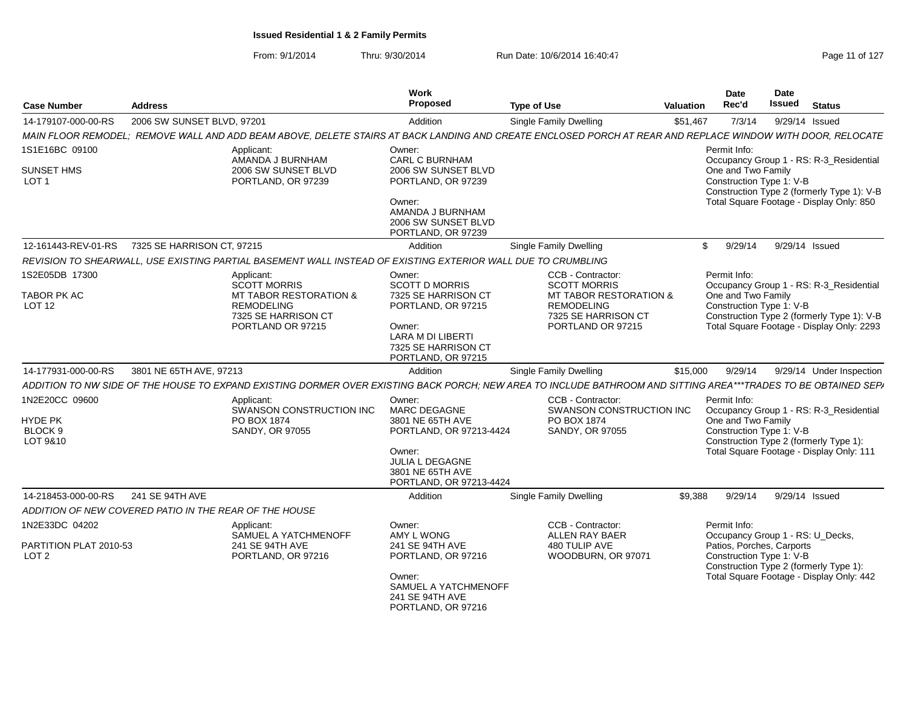| <b>Case Number</b>                         | <b>Address</b>                                         |                                                                                                              | Work<br>Proposed                                                                                                      | <b>Type of Use</b>                                                                                                                                              | Valuation | <b>Date</b><br>Rec'd                                  | Date<br><b>Issued</b><br><b>Status</b>                                                  |
|--------------------------------------------|--------------------------------------------------------|--------------------------------------------------------------------------------------------------------------|-----------------------------------------------------------------------------------------------------------------------|-----------------------------------------------------------------------------------------------------------------------------------------------------------------|-----------|-------------------------------------------------------|-----------------------------------------------------------------------------------------|
| 14-179107-000-00-RS                        | 2006 SW SUNSET BLVD, 97201                             |                                                                                                              | Addition                                                                                                              | Single Family Dwelling                                                                                                                                          | \$51,467  | 7/3/14                                                | 9/29/14 Issued                                                                          |
|                                            |                                                        |                                                                                                              |                                                                                                                       | MAIN FLOOR REMODEL: REMOVE WALL AND ADD BEAM ABOVE. DELETE STAIRS AT BACK LANDING AND CREATE ENCLOSED PORCH AT REAR AND REPLACE WINDOW WITH DOOR. RELOCATE      |           |                                                       |                                                                                         |
| 1S1E16BC 09100                             |                                                        | Applicant:<br>AMANDA J BURNHAM                                                                               | Owner:<br><b>CARL C BURNHAM</b>                                                                                       |                                                                                                                                                                 |           | Permit Info:                                          | Occupancy Group 1 - RS: R-3_Residential                                                 |
| <b>SUNSET HMS</b><br>LOT <sub>1</sub>      |                                                        | 2006 SW SUNSET BLVD<br>PORTLAND, OR 97239                                                                    | 2006 SW SUNSET BLVD<br>PORTLAND, OR 97239                                                                             |                                                                                                                                                                 |           | One and Two Family<br>Construction Type 1: V-B        | Construction Type 2 (formerly Type 1): V-B                                              |
|                                            |                                                        |                                                                                                              | Owner:<br>AMANDA J BURNHAM<br>2006 SW SUNSET BLVD<br>PORTLAND, OR 97239                                               |                                                                                                                                                                 |           |                                                       | Total Square Footage - Display Only: 850                                                |
| 12-161443-REV-01-RS                        | 7325 SE HARRISON CT. 97215                             |                                                                                                              | Addition                                                                                                              | <b>Single Family Dwelling</b>                                                                                                                                   |           | 9/29/14<br>$\mathbb{S}$                               | 9/29/14 Issued                                                                          |
|                                            |                                                        | REVISION TO SHEARWALL, USE EXISTING PARTIAL BASEMENT WALL INSTEAD OF EXISTING EXTERIOR WALL DUE TO CRUMBLING |                                                                                                                       |                                                                                                                                                                 |           |                                                       |                                                                                         |
| 1S2E05DB 17300                             |                                                        | Applicant:<br><b>SCOTT MORRIS</b>                                                                            | Owner:<br><b>SCOTT D MORRIS</b>                                                                                       | CCB - Contractor:<br><b>SCOTT MORRIS</b>                                                                                                                        |           | Permit Info:                                          | Occupancy Group 1 - RS: R-3_Residential                                                 |
| TABOR PK AC<br><b>LOT 12</b>               |                                                        | MT TABOR RESTORATION &<br><b>REMODELING</b><br>7325 SE HARRISON CT<br>PORTLAND OR 97215                      | 7325 SE HARRISON CT<br>PORTLAND, OR 97215<br>Owner:<br>LARA M DI LIBERTI<br>7325 SE HARRISON CT<br>PORTLAND, OR 97215 | <b>MT TABOR RESTORATION &amp;</b><br><b>REMODELING</b><br>7325 SE HARRISON CT<br>PORTLAND OR 97215                                                              |           | One and Two Family<br>Construction Type 1: V-B        | Construction Type 2 (formerly Type 1): V-B<br>Total Square Footage - Display Only: 2293 |
| 14-177931-000-00-RS                        | 3801 NE 65TH AVE, 97213                                |                                                                                                              | Addition                                                                                                              | Single Family Dwelling                                                                                                                                          | \$15,000  | 9/29/14                                               | 9/29/14 Under Inspection                                                                |
|                                            |                                                        |                                                                                                              |                                                                                                                       | ADDITION TO NW SIDE OF THE HOUSE TO EXPAND EXISTING DORMER OVER EXISTING BACK PORCH; NEW AREA TO INCLUDE BATHROOM AND SITTING AREA***TRADES TO BE OBTAINED SEPA |           |                                                       |                                                                                         |
| 1N2E20CC 09600                             |                                                        | Applicant:<br>SWANSON CONSTRUCTION INC                                                                       | Owner:<br>MARC DEGAGNE                                                                                                | CCB - Contractor:<br>SWANSON CONSTRUCTION INC                                                                                                                   |           | Permit Info:                                          | Occupancy Group 1 - RS: R-3_Residential                                                 |
| <b>HYDE PK</b>                             |                                                        | PO BOX 1874                                                                                                  | 3801 NE 65TH AVE                                                                                                      | PO BOX 1874                                                                                                                                                     |           | One and Two Family                                    |                                                                                         |
| BLOCK 9                                    |                                                        | SANDY, OR 97055                                                                                              | PORTLAND, OR 97213-4424                                                                                               | SANDY, OR 97055                                                                                                                                                 |           | Construction Type 1: V-B                              |                                                                                         |
| LOT 9&10                                   |                                                        |                                                                                                              | Owner:<br>JULIA L DEGAGNE<br>3801 NE 65TH AVE<br>PORTLAND, OR 97213-4424                                              |                                                                                                                                                                 |           |                                                       | Construction Type 2 (formerly Type 1):<br>Total Square Footage - Display Only: 111      |
| 14-218453-000-00-RS                        | 241 SE 94TH AVE                                        |                                                                                                              | Addition                                                                                                              | <b>Single Family Dwelling</b>                                                                                                                                   | \$9.388   | 9/29/14                                               | 9/29/14 Issued                                                                          |
|                                            | ADDITION OF NEW COVERED PATIO IN THE REAR OF THE HOUSE |                                                                                                              |                                                                                                                       |                                                                                                                                                                 |           |                                                       |                                                                                         |
| 1N2E33DC 04202                             |                                                        | Applicant:<br>SAMUEL A YATCHMENOFF                                                                           | Owner:<br>AMY L WONG                                                                                                  | CCB - Contractor:<br><b>ALLEN RAY BAER</b>                                                                                                                      |           | Permit Info:                                          | Occupancy Group 1 - RS: U_Decks,                                                        |
| PARTITION PLAT 2010-53<br>LOT <sub>2</sub> |                                                        | 241 SE 94TH AVE<br>PORTLAND, OR 97216                                                                        | 241 SE 94TH AVE<br>PORTLAND, OR 97216                                                                                 | 480 TULIP AVE<br>WOODBURN, OR 97071                                                                                                                             |           | Patios, Porches, Carports<br>Construction Type 1: V-B | Construction Type 2 (formerly Type 1):                                                  |
|                                            |                                                        |                                                                                                              | Owner:<br>SAMUEL A YATCHMENOFF<br>241 SE 94TH AVE<br>PORTLAND, OR 97216                                               |                                                                                                                                                                 |           |                                                       | Total Square Footage - Display Only: 442                                                |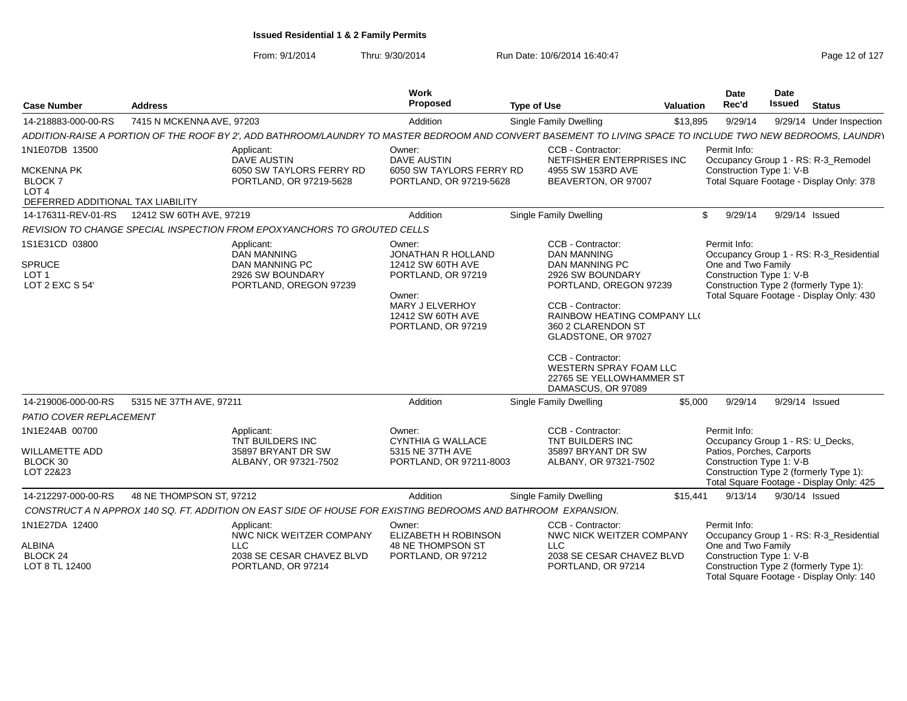| <b>Case Number</b>                                                                                            | <b>Address</b>            |                                                                                                                                                              | Work<br><b>Proposed</b>                                                                                                                         | <b>Type of Use</b>                                                                                                                                                                                                                                                                                               | Valuation | <b>Date</b><br>Rec'd                                           | Date<br><b>Issued</b> | <b>Status</b>                                                                                                                 |
|---------------------------------------------------------------------------------------------------------------|---------------------------|--------------------------------------------------------------------------------------------------------------------------------------------------------------|-------------------------------------------------------------------------------------------------------------------------------------------------|------------------------------------------------------------------------------------------------------------------------------------------------------------------------------------------------------------------------------------------------------------------------------------------------------------------|-----------|----------------------------------------------------------------|-----------------------|-------------------------------------------------------------------------------------------------------------------------------|
| 14-218883-000-00-RS                                                                                           | 7415 N MCKENNA AVE, 97203 |                                                                                                                                                              | Addition                                                                                                                                        | <b>Single Family Dwelling</b>                                                                                                                                                                                                                                                                                    | \$13,895  | 9/29/14                                                        |                       | 9/29/14 Under Inspection                                                                                                      |
|                                                                                                               |                           | ADDITION-RAISE A PORTION OF THE ROOF BY 2', ADD BATHROOM/LAUNDRY TO MASTER BEDROOM AND CONVERT BASEMENT TO LIVING SPACE TO INCLUDE TWO NEW BEDROOMS, LAUNDRY |                                                                                                                                                 |                                                                                                                                                                                                                                                                                                                  |           |                                                                |                       |                                                                                                                               |
| 1N1E07DB 13500<br><b>MCKENNA PK</b><br><b>BLOCK7</b><br>LOT <sub>4</sub><br>DEFERRED ADDITIONAL TAX LIABILITY |                           | Applicant:<br><b>DAVE AUSTIN</b><br>6050 SW TAYLORS FERRY RD<br>PORTLAND, OR 97219-5628                                                                      | Owner:<br><b>DAVE AUSTIN</b><br>6050 SW TAYLORS FERRY RD<br>PORTLAND, OR 97219-5628                                                             | CCB - Contractor:<br>NETFISHER ENTERPRISES INC<br>4955 SW 153RD AVE<br>BEAVERTON, OR 97007                                                                                                                                                                                                                       |           | Permit Info:<br>Construction Type 1: V-B                       |                       | Occupancy Group 1 - RS: R-3_Remodel<br>Total Square Footage - Display Only: 378                                               |
| 14-176311-REV-01-RS                                                                                           | 12412 SW 60TH AVE, 97219  |                                                                                                                                                              | Addition                                                                                                                                        | <b>Single Family Dwelling</b>                                                                                                                                                                                                                                                                                    |           | 9/29/14<br>\$                                                  | 9/29/14 Issued        |                                                                                                                               |
|                                                                                                               |                           | REVISION TO CHANGE SPECIAL INSPECTION FROM EPOXYANCHORS TO GROUTED CELLS                                                                                     |                                                                                                                                                 |                                                                                                                                                                                                                                                                                                                  |           |                                                                |                       |                                                                                                                               |
| 1S1E31CD 03800<br><b>SPRUCE</b><br>LOT <sub>1</sub><br>LOT 2 EXC S 54                                         |                           | Applicant:<br><b>DAN MANNING</b><br><b>DAN MANNING PC</b><br>2926 SW BOUNDARY<br>PORTLAND, OREGON 97239                                                      | Owner:<br>JONATHAN R HOLLAND<br>12412 SW 60TH AVE<br>PORTLAND, OR 97219<br>Owner:<br>MARY J ELVERHOY<br>12412 SW 60TH AVE<br>PORTLAND, OR 97219 | CCB - Contractor:<br><b>DAN MANNING</b><br>DAN MANNING PC<br>2926 SW BOUNDARY<br>PORTLAND, OREGON 97239<br>CCB - Contractor:<br>RAINBOW HEATING COMPANY LLO<br>360 2 CLARENDON ST<br>GLADSTONE, OR 97027<br>CCB - Contractor:<br><b>WESTERN SPRAY FOAM LLC</b><br>22765 SE YELLOWHAMMER ST<br>DAMASCUS, OR 97089 |           | Permit Info:<br>One and Two Family<br>Construction Type 1: V-B |                       | Occupancy Group 1 - RS: R-3_Residential<br>Construction Type 2 (formerly Type 1):<br>Total Square Footage - Display Only: 430 |
| 14-219006-000-00-RS                                                                                           | 5315 NE 37TH AVE, 97211   |                                                                                                                                                              | Addition                                                                                                                                        | Single Family Dwelling                                                                                                                                                                                                                                                                                           | \$5,000   | 9/29/14                                                        | 9/29/14 Issued        |                                                                                                                               |
| PATIO COVER REPLACEMENT                                                                                       |                           |                                                                                                                                                              |                                                                                                                                                 |                                                                                                                                                                                                                                                                                                                  |           |                                                                |                       |                                                                                                                               |
| 1N1E24AB 00700                                                                                                |                           | Applicant:<br>TNT BUILDERS INC                                                                                                                               | Owner:<br><b>CYNTHIA G WALLACE</b>                                                                                                              | CCB - Contractor:<br>TNT BUILDERS INC                                                                                                                                                                                                                                                                            |           | Permit Info:<br>Occupancy Group 1 - RS: U_Decks,               |                       |                                                                                                                               |
| <b>WILLAMETTE ADD</b><br>BLOCK 30<br>LOT 22&23                                                                |                           | 35897 BRYANT DR SW<br>ALBANY, OR 97321-7502                                                                                                                  | 5315 NE 37TH AVE<br>PORTLAND, OR 97211-8003                                                                                                     | 35897 BRYANT DR SW<br>ALBANY, OR 97321-7502                                                                                                                                                                                                                                                                      |           | Patios, Porches, Carports<br>Construction Type 1: V-B          |                       | Construction Type 2 (formerly Type 1):<br>Total Square Footage - Display Only: 425                                            |
| 14-212297-000-00-RS                                                                                           | 48 NE THOMPSON ST, 97212  |                                                                                                                                                              | Addition                                                                                                                                        | Single Family Dwelling                                                                                                                                                                                                                                                                                           | \$15,441  | 9/13/14                                                        | 9/30/14 Issued        |                                                                                                                               |
|                                                                                                               |                           | CONSTRUCT A N APPROX 140 SQ. FT. ADDITION ON EAST SIDE OF HOUSE FOR EXISTING BEDROOMS AND BATHROOM EXPANSION.                                                |                                                                                                                                                 |                                                                                                                                                                                                                                                                                                                  |           |                                                                |                       |                                                                                                                               |
| 1N1E27DA 12400                                                                                                |                           | Applicant:<br>NWC NICK WEITZER COMPANY                                                                                                                       | Owner:<br>ELIZABETH H ROBINSON                                                                                                                  | CCB - Contractor:<br>NWC NICK WEITZER COMPANY                                                                                                                                                                                                                                                                    |           | Permit Info:                                                   |                       | Occupancy Group 1 - RS: R-3_Residential                                                                                       |
| ALBINA<br><b>BLOCK 24</b><br>LOT 8 TL 12400                                                                   |                           | <b>LLC</b><br>2038 SE CESAR CHAVEZ BLVD<br>PORTLAND, OR 97214                                                                                                | 48 NE THOMPSON ST<br>PORTLAND, OR 97212                                                                                                         | LLC<br>2038 SE CESAR CHAVEZ BLVD<br>PORTLAND, OR 97214                                                                                                                                                                                                                                                           |           | One and Two Family<br>Construction Type 1: V-B                 |                       | Construction Type 2 (formerly Type 1):<br>Total Square Footage - Display Only: 140                                            |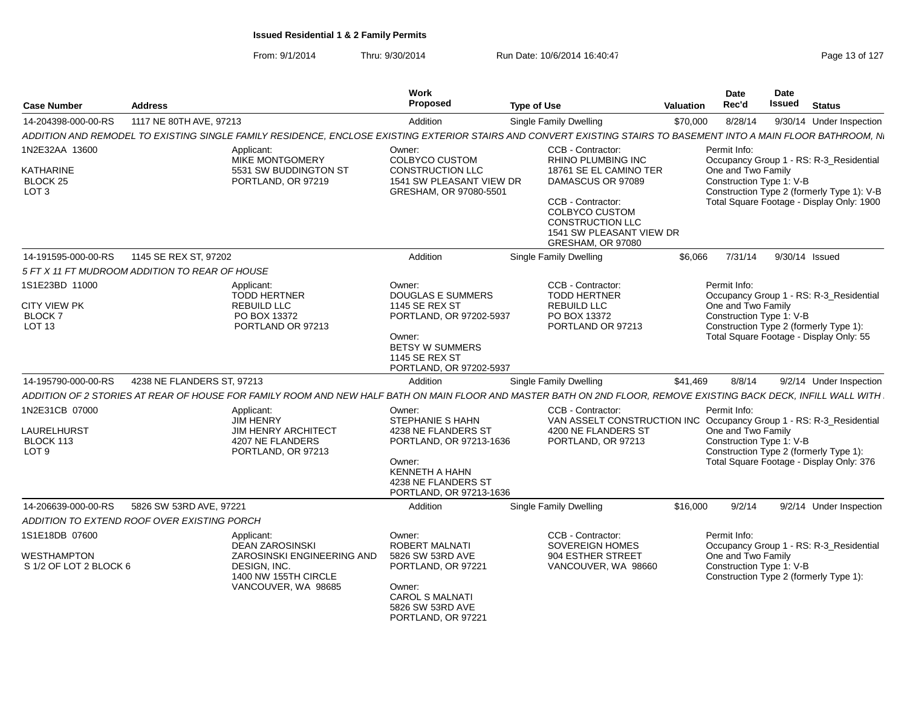| <b>Case Number</b>                             | <b>Address</b>                              |                                                                                                                                                                   | Work<br>Proposed                                                                                                                              | <b>Type of Use</b>                                                                                                                                                                                 | <b>Valuation</b> | Date<br>Rec'd                                  | Date<br>Issued | <b>Status</b>                                                                                                                      |
|------------------------------------------------|---------------------------------------------|-------------------------------------------------------------------------------------------------------------------------------------------------------------------|-----------------------------------------------------------------------------------------------------------------------------------------------|----------------------------------------------------------------------------------------------------------------------------------------------------------------------------------------------------|------------------|------------------------------------------------|----------------|------------------------------------------------------------------------------------------------------------------------------------|
| 14-204398-000-00-RS                            | 1117 NE 80TH AVE, 97213                     |                                                                                                                                                                   | Addition                                                                                                                                      | Single Family Dwelling                                                                                                                                                                             | \$70,000         | 8/28/14                                        |                | 9/30/14 Under Inspection                                                                                                           |
|                                                |                                             | ADDITION AND REMODEL TO EXISTING SINGLE FAMILY RESIDENCE, ENCLOSE EXISTING EXTERIOR STAIRS AND CONVERT EXISTING STAIRS TO BASEMENT INTO A MAIN FLOOR BATHROOM, N. |                                                                                                                                               |                                                                                                                                                                                                    |                  |                                                |                |                                                                                                                                    |
| 1N2E32AA 13600                                 |                                             | Applicant:                                                                                                                                                        | Owner:                                                                                                                                        | CCB - Contractor:                                                                                                                                                                                  |                  | Permit Info:                                   |                |                                                                                                                                    |
| KATHARINE<br>BLOCK 25<br>LOT <sub>3</sub>      |                                             | MIKE MONTGOMERY<br>5531 SW BUDDINGTON ST<br>PORTLAND, OR 97219                                                                                                    | COLBYCO CUSTOM<br>CONSTRUCTION LLC<br>1541 SW PLEASANT VIEW DR<br>GRESHAM, OR 97080-5501                                                      | <b>RHINO PLUMBING INC</b><br>18761 SE EL CAMINO TER<br>DAMASCUS OR 97089<br>CCB - Contractor:<br><b>COLBYCO CUSTOM</b><br><b>CONSTRUCTION LLC</b><br>1541 SW PLEASANT VIEW DR<br>GRESHAM, OR 97080 |                  | One and Two Family<br>Construction Type 1: V-B |                | Occupancy Group 1 - RS: R-3_Residential<br>Construction Type 2 (formerly Type 1): V-B<br>Total Square Footage - Display Only: 1900 |
| 14-191595-000-00-RS                            | 1145 SE REX ST, 97202                       |                                                                                                                                                                   | Addition                                                                                                                                      | Single Family Dwelling                                                                                                                                                                             | \$6,066          | 7/31/14                                        |                | 9/30/14 Issued                                                                                                                     |
| 5 FT X 11 FT MUDROOM ADDITION TO REAR OF HOUSE |                                             |                                                                                                                                                                   |                                                                                                                                               |                                                                                                                                                                                                    |                  |                                                |                |                                                                                                                                    |
| 1S1E23BD 11000                                 |                                             | Applicant:<br><b>TODD HERTNER</b>                                                                                                                                 | Owner:<br><b>DOUGLAS E SUMMERS</b>                                                                                                            | CCB - Contractor:<br><b>TODD HERTNER</b>                                                                                                                                                           |                  | Permit Info:                                   |                | Occupancy Group 1 - RS: R-3 Residential                                                                                            |
| <b>CITY VIEW PK</b><br><b>BLOCK7</b><br>LOT 13 |                                             | <b>REBUILD LLC</b><br>PO BOX 13372<br>PORTLAND OR 97213                                                                                                           | 1145 SE REX ST<br>PORTLAND, OR 97202-5937                                                                                                     | <b>REBUILD LLC</b><br>PO BOX 13372<br>PORTLAND OR 97213                                                                                                                                            |                  | One and Two Family<br>Construction Type 1: V-B |                | Construction Type 2 (formerly Type 1):                                                                                             |
|                                                |                                             |                                                                                                                                                                   | Owner:<br><b>BETSY W SUMMERS</b><br>1145 SE REX ST<br>PORTLAND, OR 97202-5937                                                                 |                                                                                                                                                                                                    |                  |                                                |                | Total Square Footage - Display Only: 55                                                                                            |
| 14-195790-000-00-RS                            | 4238 NE FLANDERS ST, 97213                  |                                                                                                                                                                   | Addition                                                                                                                                      | Single Family Dwelling                                                                                                                                                                             | \$41,469         | 8/8/14                                         |                | 9/2/14 Under Inspection                                                                                                            |
|                                                |                                             | ADDITION OF 2 STORIES AT REAR OF HOUSE FOR FAMILY ROOM AND NEW HALF BATH ON MAIN FLOOR AND MASTER BATH ON 2ND FLOOR, REMOVE EXISTING BACK DECK, INFILL WALL WITH  |                                                                                                                                               |                                                                                                                                                                                                    |                  |                                                |                |                                                                                                                                    |
| 1N2E31CB 07000                                 |                                             | Applicant:<br><b>JIM HENRY</b>                                                                                                                                    | Owner:<br>STEPHANIE S HAHN                                                                                                                    | CCB - Contractor:<br>VAN ASSELT CONSTRUCTION INC Occupancy Group 1 - RS: R-3_Residential                                                                                                           |                  | Permit Info:                                   |                |                                                                                                                                    |
| LAURELHURST<br>BLOCK 113<br>LOT <sub>9</sub>   |                                             | <b>JIM HENRY ARCHITECT</b><br>4207 NE FLANDERS<br>PORTLAND, OR 97213                                                                                              | 4238 NE FLANDERS ST<br>PORTLAND, OR 97213-1636<br>Owner:<br><b>KENNETH A HAHN</b><br>4238 NE FLANDERS ST<br>PORTLAND, OR 97213-1636           | 4200 NE FLANDERS ST<br>PORTLAND, OR 97213                                                                                                                                                          |                  | One and Two Family<br>Construction Type 1: V-B |                | Construction Type 2 (formerly Type 1):<br>Total Square Footage - Display Only: 376                                                 |
| 14-206639-000-00-RS                            | 5826 SW 53RD AVE, 97221                     |                                                                                                                                                                   | Addition                                                                                                                                      | Single Family Dwelling                                                                                                                                                                             | \$16,000         | 9/2/14                                         |                | 9/2/14 Under Inspection                                                                                                            |
|                                                | ADDITION TO EXTEND ROOF OVER EXISTING PORCH |                                                                                                                                                                   |                                                                                                                                               |                                                                                                                                                                                                    |                  |                                                |                |                                                                                                                                    |
| 1S1E18DB 07600                                 |                                             | Applicant:                                                                                                                                                        | Owner:                                                                                                                                        | CCB - Contractor:                                                                                                                                                                                  |                  | Permit Info:                                   |                |                                                                                                                                    |
| WESTHAMPTON<br>S 1/2 OF LOT 2 BLOCK 6          |                                             | <b>DEAN ZAROSINSKI</b><br>ZAROSINSKI ENGINEERING AND<br>DESIGN. INC.<br>1400 NW 155TH CIRCLE<br>VANCOUVER, WA 98685                                               | <b>ROBERT MALNATI</b><br>5826 SW 53RD AVE<br>PORTLAND, OR 97221<br>Owner:<br><b>CAROL S MALNATI</b><br>5826 SW 53RD AVE<br>PORTLAND, OR 97221 | <b>SOVEREIGN HOMES</b><br>904 ESTHER STREET<br>VANCOUVER, WA 98660                                                                                                                                 |                  | One and Two Family<br>Construction Type 1: V-B |                | Occupancy Group 1 - RS: R-3_Residential<br>Construction Type 2 (formerly Type 1):                                                  |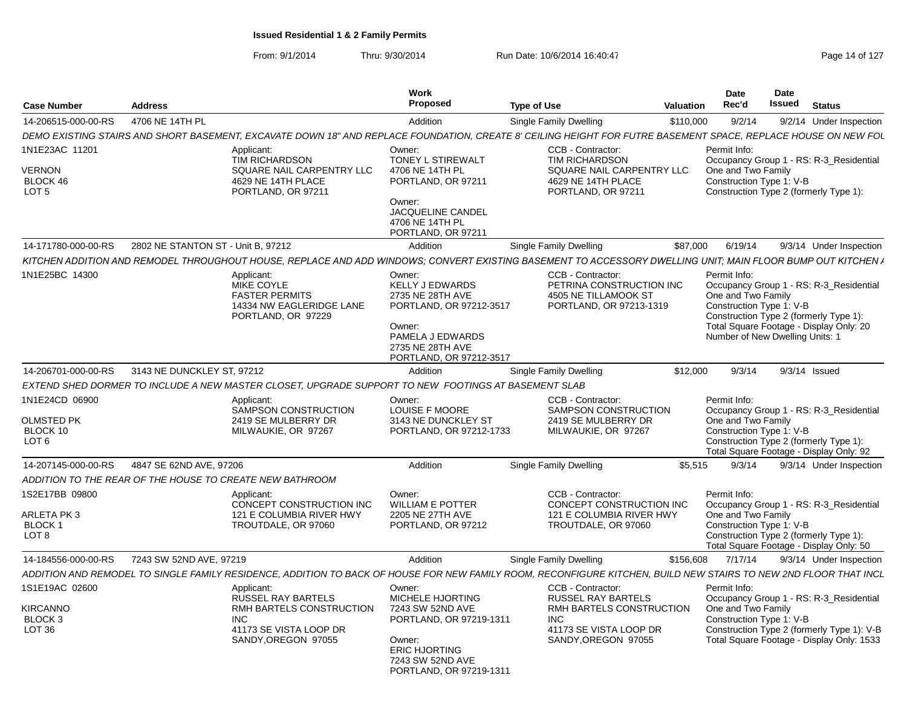| <b>Case Number</b>                                                    | <b>Address</b>                     |                                                                                                                                                                  | Work<br>Proposed                                                                                                                                                  | <b>Type of Use</b>                                                                                                                      | <b>Valuation</b> | Date<br>Rec'd                                                                                                                               | <b>Date</b><br>Issued | <b>Status</b>                                                                                                                      |
|-----------------------------------------------------------------------|------------------------------------|------------------------------------------------------------------------------------------------------------------------------------------------------------------|-------------------------------------------------------------------------------------------------------------------------------------------------------------------|-----------------------------------------------------------------------------------------------------------------------------------------|------------------|---------------------------------------------------------------------------------------------------------------------------------------------|-----------------------|------------------------------------------------------------------------------------------------------------------------------------|
| 14-206515-000-00-RS                                                   | 4706 NE 14TH PL                    |                                                                                                                                                                  | Addition                                                                                                                                                          | Single Family Dwelling                                                                                                                  | \$110,000        | 9/2/14                                                                                                                                      |                       | 9/2/14 Under Inspection                                                                                                            |
|                                                                       |                                    | DEMO EXISTING STAIRS AND SHORT BASEMENT. EXCAVATE DOWN 18" AND REPLACE FOUNDATION. CREATE 8' CEILING HEIGHT FOR FUTRE BASEMENT SPACE. REPLACE HOUSE ON NEW FOL   |                                                                                                                                                                   |                                                                                                                                         |                  |                                                                                                                                             |                       |                                                                                                                                    |
| 1N1E23AC 11201<br>VERNON<br>BLOCK 46<br>LOT <sub>5</sub>              |                                    | Applicant:<br>TIM RICHARDSON<br>SQUARE NAIL CARPENTRY LLC<br>4629 NE 14TH PLACE<br>PORTLAND, OR 97211                                                            | Owner:<br>TONEY L STIREWALT<br>4706 NE 14TH PL<br>PORTLAND, OR 97211<br>Owner:<br><b>JACQUELINE CANDEL</b><br>4706 NE 14TH PL<br>PORTLAND, OR 97211               | CCB - Contractor:<br><b>TIM RICHARDSON</b><br>SQUARE NAIL CARPENTRY LLC<br>4629 NE 14TH PLACE<br>PORTLAND, OR 97211                     |                  | Permit Info:<br>One and Two Family<br>Construction Type 1: V-B                                                                              |                       | Occupancy Group 1 - RS: R-3_Residential<br>Construction Type 2 (formerly Type 1):                                                  |
| 14-171780-000-00-RS                                                   | 2802 NE STANTON ST - Unit B, 97212 |                                                                                                                                                                  | Addition                                                                                                                                                          | Single Family Dwelling                                                                                                                  | \$87,000         | 6/19/14                                                                                                                                     |                       | 9/3/14 Under Inspection                                                                                                            |
|                                                                       |                                    | KITCHEN ADDITION AND REMODEL THROUGHOUT HOUSE, REPLACE AND ADD WINDOWS; CONVERT EXISTING BASEMENT TO ACCESSORY DWELLING UNIT; MAIN FLOOR BUMP OUT KITCHEN /      |                                                                                                                                                                   |                                                                                                                                         |                  |                                                                                                                                             |                       |                                                                                                                                    |
| 1N1E25BC 14300                                                        |                                    | Applicant:<br>MIKE COYLE<br><b>FASTER PERMITS</b><br>14334 NW EAGLERIDGE LANE<br>PORTLAND, OR 97229                                                              | Owner:<br><b>KELLY J EDWARDS</b><br>2735 NE 28TH AVE<br>PORTLAND, OR 97212-3517<br>Owner:<br>PAMELA J EDWARDS<br>2735 NE 28TH AVE<br>PORTLAND, OR 97212-3517      | CCB - Contractor<br>PETRINA CONSTRUCTION INC<br>4505 NE TILLAMOOK ST<br>PORTLAND, OR 97213-1319                                         |                  | Permit Info:<br>One and Two Family<br>Construction Type 1: V-B<br>Construction Type 2 (formerly Type 1):<br>Number of New Dwelling Units: 1 |                       | Occupancy Group 1 - RS: R-3_Residential<br>Total Square Footage - Display Only: 20                                                 |
| 14-206701-000-00-RS                                                   | 3143 NE DUNCKLEY ST, 97212         |                                                                                                                                                                  | Addition                                                                                                                                                          | <b>Single Family Dwelling</b>                                                                                                           | \$12,000         | 9/3/14                                                                                                                                      |                       | $9/3/14$ Issued                                                                                                                    |
|                                                                       |                                    | EXTEND SHED DORMER TO INCLUDE A NEW MASTER CLOSET, UPGRADE SUPPORT TO NEW FOOTINGS AT BASEMENT SLAB                                                              |                                                                                                                                                                   |                                                                                                                                         |                  |                                                                                                                                             |                       |                                                                                                                                    |
| 1N1E24CD 06900<br><b>OLMSTED PK</b><br>BLOCK 10<br>LOT <sub>6</sub>   |                                    | Applicant:<br>SAMPSON CONSTRUCTION<br>2419 SE MULBERRY DR<br>MILWAUKIE, OR 97267                                                                                 | Owner:<br><b>LOUISE F MOORE</b><br>3143 NE DUNCKLEY ST<br>PORTLAND, OR 97212-1733                                                                                 | CCB - Contractor:<br><b>SAMPSON CONSTRUCTION</b><br>2419 SE MULBERRY DR<br>MILWAUKIE, OR 97267                                          |                  | Permit Info:<br>One and Two Family<br>Construction Type 1: V-B                                                                              |                       | Occupancy Group 1 - RS: R-3_Residential<br>Construction Type 2 (formerly Type 1):<br>Total Square Footage - Display Only: 92       |
| 14-207145-000-00-RS                                                   | 4847 SE 62ND AVE, 97206            |                                                                                                                                                                  | Addition                                                                                                                                                          | Single Family Dwelling                                                                                                                  | \$5,515          | 9/3/14                                                                                                                                      |                       | 9/3/14 Under Inspection                                                                                                            |
|                                                                       |                                    | ADDITION TO THE REAR OF THE HOUSE TO CREATE NEW BATHROOM                                                                                                         |                                                                                                                                                                   |                                                                                                                                         |                  |                                                                                                                                             |                       |                                                                                                                                    |
| 1S2E17BB 09800<br>ARLETA PK 3<br>BLOCK 1<br>LOT <sub>8</sub>          |                                    | Applicant:<br>CONCEPT CONSTRUCTION INC<br>121 E COLUMBIA RIVER HWY<br>TROUTDALE, OR 97060                                                                        | Owner:<br><b>WILLIAM E POTTER</b><br>2205 NE 27TH AVE<br>PORTLAND, OR 97212                                                                                       | CCB - Contractor:<br>CONCEPT CONSTRUCTION INC<br>121 E COLUMBIA RIVER HWY<br>TROUTDALE, OR 97060                                        |                  | Permit Info:<br>One and Two Family<br>Construction Type 1: V-B                                                                              |                       | Occupancy Group 1 - RS: R-3_Residential<br>Construction Type 2 (formerly Type 1):<br>Total Square Footage - Display Only: 50       |
| 14-184556-000-00-RS                                                   | 7243 SW 52ND AVE, 97219            |                                                                                                                                                                  | Addition                                                                                                                                                          | Single Family Dwelling                                                                                                                  | \$156,608        | 7/17/14                                                                                                                                     |                       | 9/3/14 Under Inspection                                                                                                            |
|                                                                       |                                    | ADDITION AND REMODEL TO SINGLE FAMILY RESIDENCE, ADDITION TO BACK OF HOUSE FOR NEW FAMILY ROOM, RECONFIGURE KITCHEN, BUILD NEW STAIRS TO NEW 2ND FLOOR THAT INCL |                                                                                                                                                                   |                                                                                                                                         |                  |                                                                                                                                             |                       |                                                                                                                                    |
| 1S1E19AC 02600<br>KIRCANNO<br>BLOCK <sub>3</sub><br>LOT <sub>36</sub> |                                    | Applicant:<br>RUSSEL RAY BARTELS<br>RMH BARTELS CONSTRUCTION<br><b>INC</b><br>41173 SE VISTA LOOP DR<br>SANDY, OREGON 97055                                      | Owner:<br><b>MICHELE HJORTING</b><br>7243 SW 52ND AVE<br>PORTLAND, OR 97219-1311<br>Owner:<br><b>ERIC HJORTING</b><br>7243 SW 52ND AVE<br>PORTLAND, OR 97219-1311 | CCB - Contractor<br><b>RUSSEL RAY BARTELS</b><br>RMH BARTELS CONSTRUCTION<br><b>INC</b><br>41173 SE VISTA LOOP DR<br>SANDY.OREGON 97055 |                  | Permit Info:<br>One and Two Family<br>Construction Type 1: V-B                                                                              |                       | Occupancy Group 1 - RS: R-3 Residential<br>Construction Type 2 (formerly Type 1): V-B<br>Total Square Footage - Display Only: 1533 |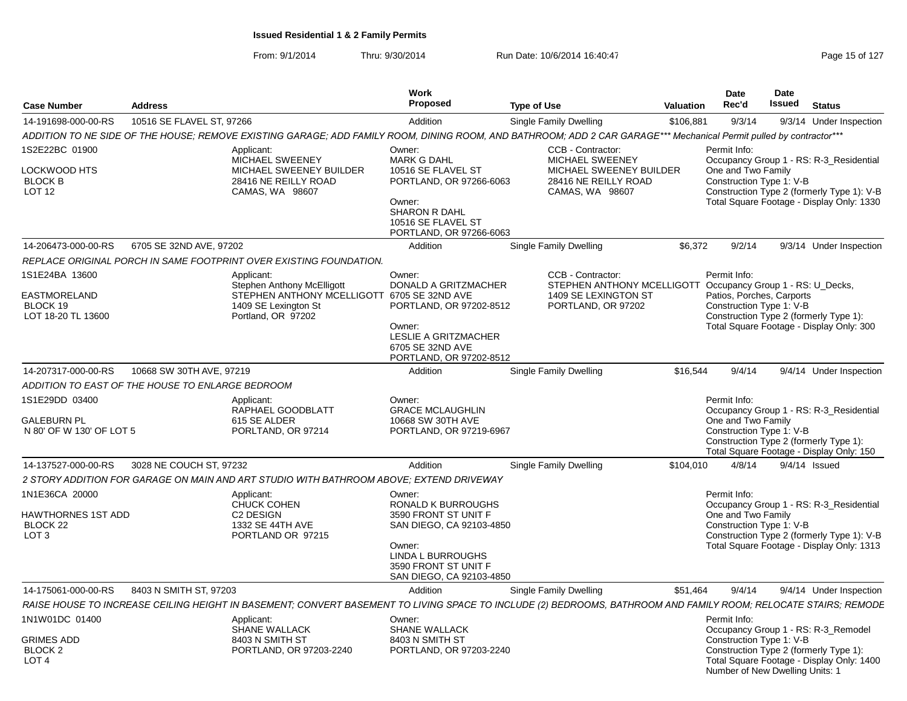From: 9/1/2014Thru: 9/30/2014 Run Date: 10/6/2014 16:40:47 Rege 15 of 127

| <b>Case Number</b>                                                            | <b>Address</b>                                   |                                                                                                                                                                     | <b>Work</b><br><b>Proposed</b>                                                                                                                                                    | <b>Type of Use</b>                                                                                                             | <b>Valuation</b> | <b>Date</b><br>Rec'd                                                        | <b>Date</b><br><b>Issued</b> | <b>Status</b>                                                                                                                      |
|-------------------------------------------------------------------------------|--------------------------------------------------|---------------------------------------------------------------------------------------------------------------------------------------------------------------------|-----------------------------------------------------------------------------------------------------------------------------------------------------------------------------------|--------------------------------------------------------------------------------------------------------------------------------|------------------|-----------------------------------------------------------------------------|------------------------------|------------------------------------------------------------------------------------------------------------------------------------|
| 14-191698-000-00-RS                                                           | 10516 SE FLAVEL ST, 97266                        |                                                                                                                                                                     | Addition                                                                                                                                                                          | Single Family Dwelling                                                                                                         | \$106,881        | 9/3/14                                                                      |                              | 9/3/14 Under Inspection                                                                                                            |
|                                                                               |                                                  | ADDITION TO NE SIDE OF THE HOUSE; REMOVE EXISTING GARAGE; ADD FAMILY ROOM, DINING ROOM, AND BATHROOM; ADD 2 CAR GARAGE*** Mechanical Permit pulled by contractor*** |                                                                                                                                                                                   |                                                                                                                                |                  |                                                                             |                              |                                                                                                                                    |
| 1S2E22BC 01900<br>LOCKWOOD HTS<br><b>BLOCK B</b><br><b>LOT 12</b>             |                                                  | Applicant:<br>MICHAEL SWEENEY<br>MICHAEL SWEENEY BUILDER<br>28416 NE REILLY ROAD<br>CAMAS, WA 98607                                                                 | Owner:<br><b>MARK G DAHL</b><br>10516 SE FLAVEL ST<br>PORTLAND, OR 97266-6063<br>Owner:<br><b>SHARON R DAHL</b><br>10516 SE FLAVEL ST<br>PORTLAND, OR 97266-6063                  | CCB - Contractor:<br>MICHAEL SWEENEY<br>MICHAEL SWEENEY BUILDER<br>28416 NE REILLY ROAD<br>CAMAS, WA 98607                     |                  | Permit Info:<br>One and Two Family<br>Construction Type 1: V-B              |                              | Occupancy Group 1 - RS: R-3_Residential<br>Construction Type 2 (formerly Type 1): V-B<br>Total Square Footage - Display Only: 1330 |
| 14-206473-000-00-RS                                                           | 6705 SE 32ND AVE, 97202                          |                                                                                                                                                                     | Addition                                                                                                                                                                          | Single Family Dwelling                                                                                                         | \$6,372          | 9/2/14                                                                      |                              | 9/3/14 Under Inspection                                                                                                            |
|                                                                               |                                                  | REPLACE ORIGINAL PORCH IN SAME FOOTPRINT OVER EXISTING FOUNDATION.                                                                                                  |                                                                                                                                                                                   |                                                                                                                                |                  |                                                                             |                              |                                                                                                                                    |
| 1S1E24BA 13600<br><b>EASTMORELAND</b><br>BLOCK 19<br>LOT 18-20 TL 13600       |                                                  | Applicant:<br><b>Stephen Anthony McElligott</b><br>STEPHEN ANTHONY MCELLIGOTT 6705 SE 32ND AVE<br>1409 SE Lexington St<br>Portland, OR 97202                        | Owner:<br>DONALD A GRITZMACHER<br>PORTLAND, OR 97202-8512<br>Owner:<br>LESLIE A GRITZMACHER<br>6705 SE 32ND AVE<br>PORTLAND, OR 97202-8512                                        | CCB - Contractor:<br>STEPHEN ANTHONY MCELLIGOTT Occupancy Group 1 - RS: U_Decks,<br>1409 SE LEXINGTON ST<br>PORTLAND, OR 97202 |                  | Permit Info:<br>Patios, Porches, Carports<br>Construction Type 1: V-B       |                              | Construction Type 2 (formerly Type 1):<br>Total Square Footage - Display Only: 300                                                 |
| 14-207317-000-00-RS                                                           | 10668 SW 30TH AVE, 97219                         |                                                                                                                                                                     | Addition                                                                                                                                                                          | Single Family Dwelling                                                                                                         | \$16,544         | 9/4/14                                                                      |                              | 9/4/14 Under Inspection                                                                                                            |
|                                                                               | ADDITION TO EAST OF THE HOUSE TO ENLARGE BEDROOM |                                                                                                                                                                     |                                                                                                                                                                                   |                                                                                                                                |                  |                                                                             |                              |                                                                                                                                    |
| 1S1E29DD 03400<br><b>GALEBURN PL</b><br>N 80' OF W 130' OF LOT 5              |                                                  | Applicant:<br>RAPHAEL GOODBLATT<br>615 SE ALDER<br>PORLTAND, OR 97214                                                                                               | Owner:<br><b>GRACE MCLAUGHLIN</b><br>10668 SW 30TH AVE<br>PORTLAND, OR 97219-6967                                                                                                 |                                                                                                                                |                  | Permit Info:<br>One and Two Family<br>Construction Type 1: V-B              |                              | Occupancy Group 1 - RS: R-3 Residential<br>Construction Type 2 (formerly Type 1):<br>Total Square Footage - Display Only: 150      |
| 14-137527-000-00-RS                                                           | 3028 NE COUCH ST, 97232                          |                                                                                                                                                                     | Addition                                                                                                                                                                          | Single Family Dwelling                                                                                                         | \$104.010        | 4/8/14                                                                      |                              | 9/4/14 Issued                                                                                                                      |
|                                                                               |                                                  | 2 STORY ADDITION FOR GARAGE ON MAIN AND ART STUDIO WITH BATHROOM ABOVE; EXTEND DRIVEWAY                                                                             |                                                                                                                                                                                   |                                                                                                                                |                  |                                                                             |                              |                                                                                                                                    |
| 1N1E36CA 20000<br>HAWTHORNES 1ST ADD<br>BLOCK 22<br>LOT <sub>3</sub>          |                                                  | Applicant:<br>CHUCK COHEN<br>C <sub>2</sub> DESIGN<br>1332 SE 44TH AVE<br>PORTLAND OR 97215                                                                         | Owner:<br><b>RONALD K BURROUGHS</b><br>3590 FRONT ST UNIT F<br>SAN DIEGO, CA 92103-4850<br>Owner:<br><b>LINDA L BURROUGHS</b><br>3590 FRONT ST UNIT F<br>SAN DIEGO, CA 92103-4850 |                                                                                                                                |                  | Permit Info:<br>One and Two Family<br>Construction Type 1: V-B              |                              | Occupancy Group 1 - RS: R-3 Residential<br>Construction Type 2 (formerly Type 1): V-B<br>Total Square Footage - Display Only: 1313 |
| 14-175061-000-00-RS                                                           | 8403 N SMITH ST, 97203                           |                                                                                                                                                                     | Addition                                                                                                                                                                          | Single Family Dwelling                                                                                                         | \$51,464         | 9/4/14                                                                      |                              | 9/4/14 Under Inspection                                                                                                            |
|                                                                               |                                                  | RAISE HOUSE TO INCREASE CEILING HEIGHT IN BASEMENT; CONVERT BASEMENT TO LIVING SPACE TO INCLUDE (2) BEDROOMS, BATHROOM AND FAMILY ROOM; RELOCATE STAIRS; REMODE     |                                                                                                                                                                                   |                                                                                                                                |                  |                                                                             |                              |                                                                                                                                    |
| 1N1W01DC 01400<br><b>GRIMES ADD</b><br>BLOCK <sub>2</sub><br>LOT <sub>4</sub> |                                                  | Applicant:<br>SHANE WALLACK<br>8403 N SMITH ST<br>PORTLAND, OR 97203-2240                                                                                           | Owner:<br><b>SHANE WALLACK</b><br>8403 N SMITH ST<br>PORTLAND, OR 97203-2240                                                                                                      |                                                                                                                                |                  | Permit Info:<br>Construction Type 1: V-B<br>Number of New Dwelling Units: 1 |                              | Occupancy Group 1 - RS: R-3_Remodel<br>Construction Type 2 (formerly Type 1):<br>Total Square Footage - Display Only: 1400         |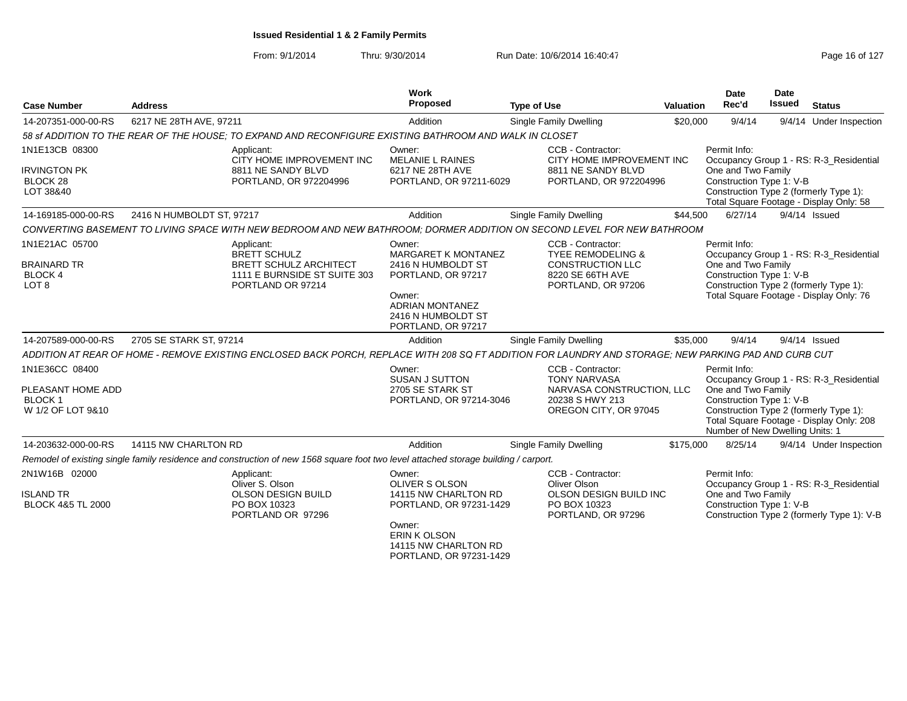| <b>Case Number</b>                                                | <b>Address</b>                                                                                                                                        |                                                     | Work<br><b>Proposed</b>                                                                      | <b>Type of Use</b>                                                                                | <b>Valuation</b> | <b>Date</b><br>Rec'd                                                              | <b>Date</b><br><b>Issued</b> | <b>Status</b>                                                                                                                |
|-------------------------------------------------------------------|-------------------------------------------------------------------------------------------------------------------------------------------------------|-----------------------------------------------------|----------------------------------------------------------------------------------------------|---------------------------------------------------------------------------------------------------|------------------|-----------------------------------------------------------------------------------|------------------------------|------------------------------------------------------------------------------------------------------------------------------|
| 14-207351-000-00-RS                                               | 6217 NE 28TH AVE, 97211                                                                                                                               |                                                     | Addition                                                                                     | Single Family Dwelling                                                                            | \$20,000         | 9/4/14                                                                            |                              | 9/4/14 Under Inspection                                                                                                      |
|                                                                   | 58 sf ADDITION TO THE REAR OF THE HOUSE; TO EXPAND AND RECONFIGURE EXISTING BATHROOM AND WALK IN CLOSET                                               |                                                     |                                                                                              |                                                                                                   |                  |                                                                                   |                              |                                                                                                                              |
| 1N1E13CB 08300<br><b>IRVINGTON PK</b><br>BLOCK 28<br>LOT 38&40    | Applicant:<br>8811 NE SANDY BLVD                                                                                                                      | CITY HOME IMPROVEMENT INC<br>PORTLAND, OR 972204996 | Owner:<br><b>MELANIE L RAINES</b><br>6217 NE 28TH AVE<br>PORTLAND, OR 97211-6029             | CCB - Contractor:<br>CITY HOME IMPROVEMENT INC<br>8811 NE SANDY BLVD<br>PORTLAND, OR 972204996    |                  | Permit Info:<br>One and Two Family<br>Construction Type 1: V-B                    |                              | Occupancy Group 1 - RS: R-3_Residential<br>Construction Type 2 (formerly Type 1):<br>Total Square Footage - Display Only: 58 |
| 14-169185-000-00-RS                                               | 2416 N HUMBOLDT ST, 97217                                                                                                                             |                                                     | Addition                                                                                     | Single Family Dwelling                                                                            | \$44,500         | 6/27/14                                                                           |                              | $9/4/14$ Issued                                                                                                              |
|                                                                   | CONVERTING BASEMENT TO LIVING SPACE WITH NEW BEDROOM AND NEW BATHROOM: DORMER ADDITION ON SECOND LEVEL FOR NEW BATHROOM                               |                                                     |                                                                                              |                                                                                                   |                  |                                                                                   |                              |                                                                                                                              |
| 1N1E21AC 05700<br><b>BRAINARD TR</b>                              | Applicant:<br><b>BRETT SCHULZ</b>                                                                                                                     | <b>BRETT SCHULZ ARCHITECT</b>                       | Owner:<br><b>MARGARET K MONTANEZ</b><br>2416 N HUMBOLDT ST                                   | CCB - Contractor:<br>TYEE REMODELING &<br><b>CONSTRUCTION LLC</b>                                 |                  | Permit Info:<br>One and Two Family                                                |                              | Occupancy Group 1 - RS: R-3_Residential                                                                                      |
| <b>BLOCK4</b><br>LOT <sub>8</sub>                                 | PORTLAND OR 97214                                                                                                                                     | 1111 E BURNSIDE ST SUITE 303                        | PORTLAND, OR 97217<br>Owner:<br><b>ADRIAN MONTANEZ</b><br>2416 N HUMBOLDT ST                 | 8220 SE 66TH AVE<br>PORTLAND, OR 97206                                                            |                  | Construction Type 1: V-B                                                          |                              | Construction Type 2 (formerly Type 1):<br>Total Square Footage - Display Only: 76                                            |
| 14-207589-000-00-RS                                               | 2705 SE STARK ST, 97214                                                                                                                               |                                                     | PORTLAND, OR 97217<br>Addition                                                               | Single Family Dwelling                                                                            | \$35,000         | 9/4/14                                                                            |                              | $9/4/14$ Issued                                                                                                              |
|                                                                   | ADDITION AT REAR OF HOME - REMOVE EXISTING ENCLOSED BACK PORCH, REPLACE WITH 208 SQ FT ADDITION FOR LAUNDRY AND STORAGE; NEW PARKING PAD AND CURB CUT |                                                     |                                                                                              |                                                                                                   |                  |                                                                                   |                              |                                                                                                                              |
| 1N1E36CC 08400                                                    |                                                                                                                                                       |                                                     | Owner:<br><b>SUSAN J SUTTON</b>                                                              | CCB - Contractor:<br><b>TONY NARVASA</b>                                                          |                  | Permit Info:                                                                      |                              | Occupancy Group 1 - RS: R-3_Residential                                                                                      |
| PLEASANT HOME ADD<br><b>BLOCK1</b><br>W 1/2 OF LOT 9&10           |                                                                                                                                                       |                                                     | 2705 SE STARK ST<br>PORTLAND, OR 97214-3046                                                  | NARVASA CONSTRUCTION, LLC<br>20238 S HWY 213<br>OREGON CITY, OR 97045                             |                  | One and Two Family<br>Construction Type 1: V-B<br>Number of New Dwelling Units: 1 |                              | Construction Type 2 (formerly Type 1):<br>Total Square Footage - Display Only: 208                                           |
| 14-203632-000-00-RS                                               | 14115 NW CHARLTON RD                                                                                                                                  |                                                     | Addition                                                                                     | Single Family Dwelling                                                                            | \$175,000        | 8/25/14                                                                           |                              | 9/4/14 Under Inspection                                                                                                      |
|                                                                   | Remodel of existing single family residence and construction of new 1568 square foot two level attached storage building / carport.                   |                                                     |                                                                                              |                                                                                                   |                  |                                                                                   |                              |                                                                                                                              |
| 2N1W16B 02000<br><b>ISLAND TR</b><br><b>BLOCK 4&amp;5 TL 2000</b> | Applicant:<br>Oliver S. Olson<br><b>OLSON DESIGN BUILD</b><br>PO BOX 10323<br>PORTLAND OR 97296                                                       |                                                     | Owner:<br><b>OLIVER S OLSON</b><br>14115 NW CHARLTON RD<br>PORTLAND, OR 97231-1429<br>Owner: | CCB - Contractor:<br>Oliver Olson<br>OLSON DESIGN BUILD INC<br>PO BOX 10323<br>PORTLAND, OR 97296 |                  | Permit Info:<br>One and Two Family<br>Construction Type 1: V-B                    |                              | Occupancy Group 1 - RS: R-3_Residential<br>Construction Type 2 (formerly Type 1): V-B                                        |
|                                                                   |                                                                                                                                                       |                                                     | ERIN K OLSON<br>14115 NW CHARLTON RD<br>PORTLAND, OR 97231-1429                              |                                                                                                   |                  |                                                                                   |                              |                                                                                                                              |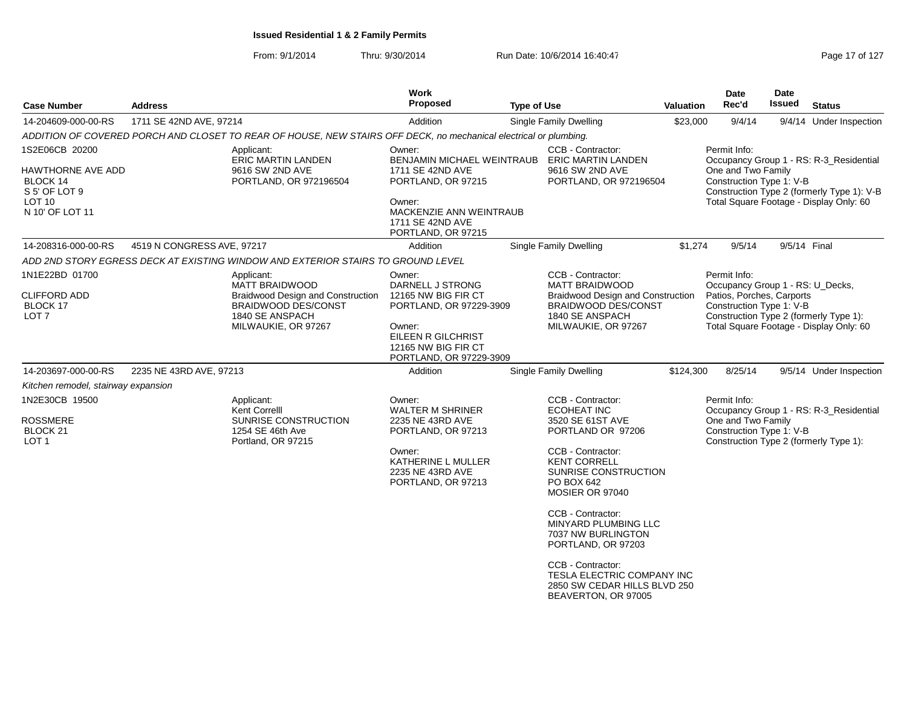| <b>Case Number</b>                                                                                       | <b>Address</b>             |                                                                                                                                    | Work<br>Proposed                                                                                                                                                                        | <b>Type of Use</b> |                                                                                                                                                                                                                                                                                                                                                                                          | <b>Valuation</b> | Date<br>Rec'd                                                                                             | Date<br>Issued | <b>Status</b>                                                                                                                    |
|----------------------------------------------------------------------------------------------------------|----------------------------|------------------------------------------------------------------------------------------------------------------------------------|-----------------------------------------------------------------------------------------------------------------------------------------------------------------------------------------|--------------------|------------------------------------------------------------------------------------------------------------------------------------------------------------------------------------------------------------------------------------------------------------------------------------------------------------------------------------------------------------------------------------------|------------------|-----------------------------------------------------------------------------------------------------------|----------------|----------------------------------------------------------------------------------------------------------------------------------|
| 14-204609-000-00-RS                                                                                      | 1711 SE 42ND AVE, 97214    |                                                                                                                                    | Addition                                                                                                                                                                                |                    | Single Family Dwelling                                                                                                                                                                                                                                                                                                                                                                   | \$23,000         | 9/4/14                                                                                                    |                | 9/4/14 Under Inspection                                                                                                          |
|                                                                                                          |                            | ADDITION OF COVERED PORCH AND CLOSET TO REAR OF HOUSE, NEW STAIRS OFF DECK, no mechanical electrical or plumbing.                  |                                                                                                                                                                                         |                    |                                                                                                                                                                                                                                                                                                                                                                                          |                  |                                                                                                           |                |                                                                                                                                  |
| 1S2E06CB 20200<br>HAWTHORNE AVE ADD<br>BLOCK 14<br>S 5' OF LOT 9<br>LOT <sub>10</sub><br>N 10' OF LOT 11 |                            | Applicant:<br>ERIC MARTIN LANDEN<br>9616 SW 2ND AVE<br>PORTLAND, OR 972196504                                                      | Owner:<br>BENJAMIN MICHAEL WEINTRAUB ERIC MARTIN LANDEN<br>1711 SE 42ND AVE<br>PORTLAND, OR 97215<br>Owner:<br><b>MACKENZIE ANN WEINTRAUB</b><br>1711 SE 42ND AVE<br>PORTLAND, OR 97215 |                    | CCB - Contractor:<br>9616 SW 2ND AVE<br>PORTLAND, OR 972196504                                                                                                                                                                                                                                                                                                                           |                  | Permit Info:<br>One and Two Family<br>Construction Type 1: V-B                                            |                | Occupancy Group 1 - RS: R-3_Residential<br>Construction Type 2 (formerly Type 1): V-B<br>Total Square Footage - Display Only: 60 |
| 14-208316-000-00-RS                                                                                      | 4519 N CONGRESS AVE, 97217 |                                                                                                                                    | Addition                                                                                                                                                                                |                    | Single Family Dwelling                                                                                                                                                                                                                                                                                                                                                                   | \$1,274          | 9/5/14                                                                                                    | 9/5/14 Final   |                                                                                                                                  |
|                                                                                                          |                            | ADD 2ND STORY EGRESS DECK AT EXISTING WINDOW AND EXTERIOR STAIRS TO GROUND LEVEL                                                   |                                                                                                                                                                                         |                    |                                                                                                                                                                                                                                                                                                                                                                                          |                  |                                                                                                           |                |                                                                                                                                  |
| 1N1E22BD 01700<br><b>CLIFFORD ADD</b><br>BLOCK 17<br>LOT <sub>7</sub>                                    |                            | Applicant:<br>MATT BRAIDWOOD<br>Braidwood Design and Construction<br>BRAIDWOOD DES/CONST<br>1840 SE ANSPACH<br>MILWAUKIE, OR 97267 | Owner:<br>DARNELL J STRONG<br>12165 NW BIG FIR CT<br>PORTLAND, OR 97229-3909<br>Owner:<br>EILEEN R GILCHRIST<br>12165 NW BIG FIR CT<br>PORTLAND, OR 97229-3909                          |                    | CCB - Contractor:<br>MATT BRAIDWOOD<br><b>Braidwood Design and Construction</b><br><b>BRAIDWOOD DES/CONST</b><br>1840 SE ANSPACH<br>MILWAUKIE, OR 97267                                                                                                                                                                                                                                  |                  | Permit Info:<br>Occupancy Group 1 - RS: U_Decks,<br>Patios, Porches, Carports<br>Construction Type 1: V-B |                | Construction Type 2 (formerly Type 1):<br>Total Square Footage - Display Only: 60                                                |
| 14-203697-000-00-RS                                                                                      | 2235 NE 43RD AVE, 97213    |                                                                                                                                    | Addition                                                                                                                                                                                |                    | Single Family Dwelling                                                                                                                                                                                                                                                                                                                                                                   | \$124,300        | 8/25/14                                                                                                   |                | 9/5/14 Under Inspection                                                                                                          |
| Kitchen remodel, stairway expansion                                                                      |                            |                                                                                                                                    |                                                                                                                                                                                         |                    |                                                                                                                                                                                                                                                                                                                                                                                          |                  |                                                                                                           |                |                                                                                                                                  |
| 1N2E30CB 19500<br><b>ROSSMERE</b><br>BLOCK <sub>21</sub><br>LOT <sub>1</sub>                             |                            | Applicant:<br>Kent Correlll<br>SUNRISE CONSTRUCTION<br>1254 SE 46th Ave<br>Portland, OR 97215                                      | Owner:<br><b>WALTER M SHRINER</b><br>2235 NE 43RD AVE<br>PORTLAND, OR 97213<br>Owner:<br>KATHERINE L MULLER<br>2235 NE 43RD AVE<br>PORTLAND, OR 97213                                   |                    | CCB - Contractor:<br><b>ECOHEAT INC</b><br>3520 SE 61ST AVE<br>PORTLAND OR 97206<br>CCB - Contractor:<br><b>KENT CORRELL</b><br>SUNRISE CONSTRUCTION<br>PO BOX 642<br>MOSIER OR 97040<br>CCB - Contractor:<br>MINYARD PLUMBING LLC<br>7037 NW BURLINGTON<br>PORTLAND, OR 97203<br>CCB - Contractor:<br>TESLA ELECTRIC COMPANY INC<br>2850 SW CEDAR HILLS BLVD 250<br>BEAVERTON, OR 97005 |                  | Permit Info:<br>One and Two Family<br>Construction Type 1: V-B                                            |                | Occupancy Group 1 - RS: R-3_Residential<br>Construction Type 2 (formerly Type 1):                                                |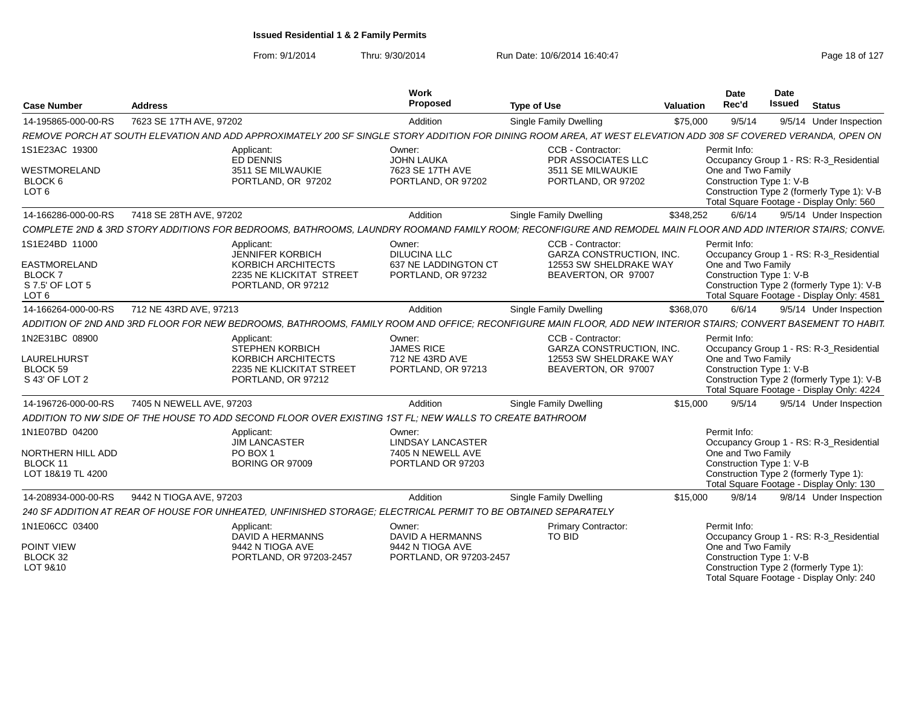| <b>Case Number</b>                                                          | <b>Address</b>           |                                                                                                                | Work<br>Proposed                                     | <b>Type of Use</b>                                                                                                                                             | Valuation | <b>Date</b><br>Rec'd                           | <b>Date</b><br>Issued | <b>Status</b>                                                                                                                     |
|-----------------------------------------------------------------------------|--------------------------|----------------------------------------------------------------------------------------------------------------|------------------------------------------------------|----------------------------------------------------------------------------------------------------------------------------------------------------------------|-----------|------------------------------------------------|-----------------------|-----------------------------------------------------------------------------------------------------------------------------------|
| 14-195865-000-00-RS                                                         | 7623 SE 17TH AVE, 97202  |                                                                                                                | Addition                                             | Single Family Dwelling                                                                                                                                         | \$75,000  | 9/5/14                                         |                       | 9/5/14 Under Inspection                                                                                                           |
|                                                                             |                          |                                                                                                                |                                                      | REMOVE PORCH AT SOUTH ELEVATION AND ADD APPROXIMATELY 200 SF SINGLE STORY ADDITION FOR DINING ROOM AREA, AT WEST ELEVATION ADD 308 SF COVERED VERANDA, OPEN ON |           |                                                |                       |                                                                                                                                   |
| 1S1E23AC 19300                                                              |                          | Applicant:                                                                                                     | Owner:                                               | CCB - Contractor                                                                                                                                               |           | Permit Info:                                   |                       |                                                                                                                                   |
| WESTMORELAND<br>BLOCK 6<br>LOT <sub>6</sub>                                 |                          | ED DENNIS<br>3511 SE MILWAUKIE<br>PORTLAND, OR 97202                                                           | JOHN LAUKA<br>7623 SE 17TH AVE<br>PORTLAND, OR 97202 | PDR ASSOCIATES LLC<br>3511 SE MILWAUKIE<br>PORTLAND, OR 97202                                                                                                  |           | One and Two Family<br>Construction Type 1: V-B |                       | Occupancy Group 1 - RS: R-3_Residential<br>Construction Type 2 (formerly Type 1): V-B<br>Total Square Footage - Display Only: 560 |
| 14-166286-000-00-RS                                                         | 7418 SE 28TH AVE, 97202  |                                                                                                                | Addition                                             | <b>Single Family Dwelling</b>                                                                                                                                  | \$348,252 | 6/6/14                                         |                       | 9/5/14 Under Inspection                                                                                                           |
|                                                                             |                          |                                                                                                                |                                                      | COMPLETE 2ND & 3RD STORY ADDITIONS FOR BEDROOMS. BATHROOMS, LAUNDRY ROOMAND FAMILY ROOM: RECONFIGURE AND REMODEL MAIN FLOOR AND ADD INTERIOR STAIRS: CONVE.    |           |                                                |                       |                                                                                                                                   |
| 1S1E24BD 11000                                                              |                          | Applicant:<br><b>JENNIFER KORBICH</b>                                                                          | Owner:<br><b>DILUCINA LLC</b>                        | CCB - Contractor:<br>GARZA CONSTRUCTION, INC.                                                                                                                  |           | Permit Info:                                   |                       | Occupancy Group 1 - RS: R-3 Residential                                                                                           |
| <b>EASTMORELAND</b><br><b>BLOCK7</b><br>S 7.5' OF LOT 5<br>LOT <sub>6</sub> |                          | <b>KORBICH ARCHITECTS</b><br>2235 NE KLICKITAT STREET<br>PORTLAND, OR 97212                                    | 637 NE LADDINGTON CT<br>PORTLAND, OR 97232           | 12553 SW SHELDRAKE WAY<br>BEAVERTON, OR 97007                                                                                                                  |           | One and Two Family<br>Construction Type 1: V-B |                       | Construction Type 2 (formerly Type 1): V-B<br>Total Square Footage - Display Only: 4581                                           |
| 14-166264-000-00-RS                                                         | 712 NE 43RD AVE, 97213   |                                                                                                                | Addition                                             | Single Family Dwelling                                                                                                                                         | \$368,070 | 6/6/14                                         |                       | 9/5/14 Under Inspection                                                                                                           |
|                                                                             |                          |                                                                                                                |                                                      | ADDITION OF 2ND AND 3RD FLOOR FOR NEW BEDROOMS, BATHROOMS, FAMILY ROOM AND OFFICE: RECONFIGURE MAIN FLOOR, ADD NEW INTERIOR STAIRS; CONVERT BASEMENT TO HABIT, |           |                                                |                       |                                                                                                                                   |
| 1N2E31BC 08900<br><b>LAURELHURST</b>                                        |                          | Applicant:<br><b>STEPHEN KORBICH</b><br><b>KORBICH ARCHITECTS</b>                                              | Owner:<br><b>JAMES RICE</b><br>712 NE 43RD AVE       | CCB - Contractor<br><b>GARZA CONSTRUCTION. INC.</b><br>12553 SW SHELDRAKE WAY                                                                                  |           | Permit Info:<br>One and Two Family             |                       | Occupancy Group 1 - RS: R-3_Residential                                                                                           |
| BLOCK 59<br>S 43' OF LOT 2                                                  |                          | 2235 NE KLICKITAT STREET<br>PORTLAND, OR 97212                                                                 | PORTLAND, OR 97213                                   | BEAVERTON, OR 97007                                                                                                                                            |           | Construction Type 1: V-B                       |                       | Construction Type 2 (formerly Type 1): V-B<br>Total Square Footage - Display Only: 4224                                           |
| 14-196726-000-00-RS                                                         | 7405 N NEWELL AVE, 97203 |                                                                                                                | Addition                                             | Single Family Dwelling                                                                                                                                         | \$15,000  | 9/5/14                                         |                       | 9/5/14 Under Inspection                                                                                                           |
|                                                                             |                          | ADDITION TO NW SIDE OF THE HOUSE TO ADD SECOND FLOOR OVER EXISTING 1ST FL: NEW WALLS TO CREATE BATHROOM        |                                                      |                                                                                                                                                                |           |                                                |                       |                                                                                                                                   |
| 1N1E07BD 04200                                                              |                          | Applicant:<br><b>JIM LANCASTER</b>                                                                             | Owner:<br><b>LINDSAY LANCASTER</b>                   |                                                                                                                                                                |           | Permit Info:                                   |                       | Occupancy Group 1 - RS: R-3 Residential                                                                                           |
| NORTHERN HILL ADD<br>BLOCK 11<br>LOT 18&19 TL 4200                          |                          | PO BOX 1<br><b>BORING OR 97009</b>                                                                             | 7405 N NEWELL AVE<br>PORTLAND OR 97203               |                                                                                                                                                                |           | One and Two Family<br>Construction Type 1: V-B |                       | Construction Type 2 (formerly Type 1):<br>Total Square Footage - Display Only: 130                                                |
| 14-208934-000-00-RS                                                         | 9442 N TIOGA AVE, 97203  |                                                                                                                | Addition                                             | <b>Single Family Dwelling</b>                                                                                                                                  | \$15,000  | 9/8/14                                         |                       | 9/8/14 Under Inspection                                                                                                           |
|                                                                             |                          | 240 SF ADDITION AT REAR OF HOUSE FOR UNHEATED, UNFINISHED STORAGE; ELECTRICAL PERMIT TO BE OBTAINED SEPARATELY |                                                      |                                                                                                                                                                |           |                                                |                       |                                                                                                                                   |
| 1N1E06CC 03400                                                              |                          | Applicant:<br>DAVID A HERMANNS                                                                                 | Owner:<br>DAVID A HERMANNS                           | <b>Primary Contractor:</b><br>TO BID                                                                                                                           |           | Permit Info:                                   |                       | Occupancy Group 1 - RS: R-3_Residential                                                                                           |
| POINT VIEW<br>BLOCK 32<br>LOT 9&10                                          |                          | 9442 N TIOGA AVE<br>PORTLAND, OR 97203-2457                                                                    | 9442 N TIOGA AVE<br>PORTLAND, OR 97203-2457          |                                                                                                                                                                |           | One and Two Family<br>Construction Type 1: V-B |                       | Construction Type 2 (formerly Type 1):<br>Total Square Footage - Display Only: 240                                                |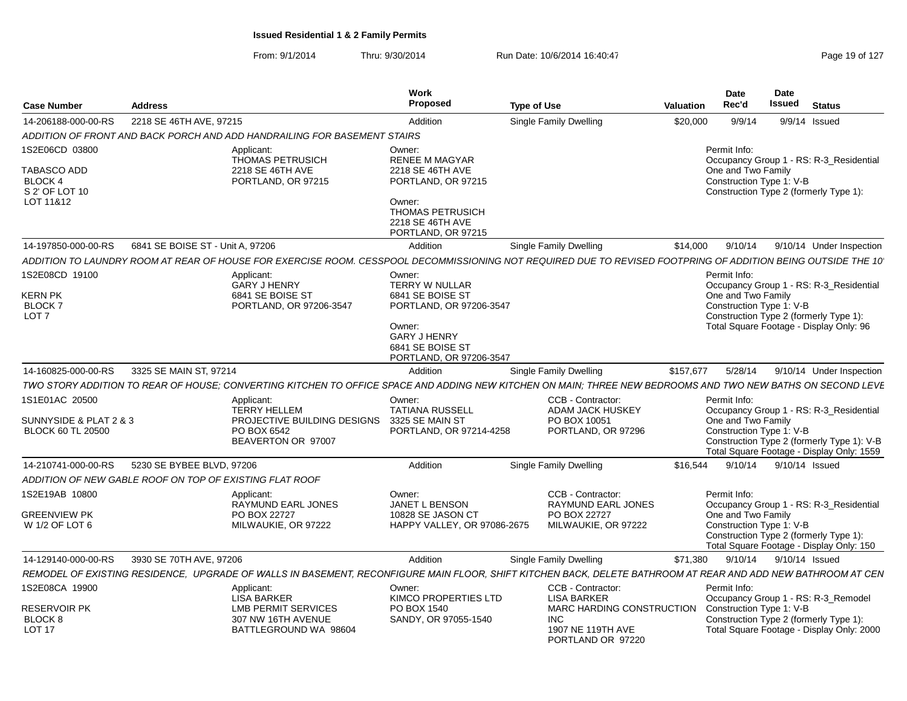| <b>Case Number</b>                                                      | Address                          |                                                                                                                                                              | Work<br>Proposed                                                                                                                                        | <b>Type of Use</b>                                                                                                        | Date<br>Rec'd<br>Valuation | Date<br>Issued<br>Status                                                                                                                                                             |
|-------------------------------------------------------------------------|----------------------------------|--------------------------------------------------------------------------------------------------------------------------------------------------------------|---------------------------------------------------------------------------------------------------------------------------------------------------------|---------------------------------------------------------------------------------------------------------------------------|----------------------------|--------------------------------------------------------------------------------------------------------------------------------------------------------------------------------------|
| 14-206188-000-00-RS                                                     | 2218 SE 46TH AVE, 97215          |                                                                                                                                                              | Addition                                                                                                                                                | <b>Single Family Dwelling</b>                                                                                             | \$20,000<br>9/9/14         | 9/9/14 Issued                                                                                                                                                                        |
|                                                                         |                                  | ADDITION OF FRONT AND BACK PORCH AND ADD HANDRAILING FOR BASEMENT STAIRS                                                                                     |                                                                                                                                                         |                                                                                                                           |                            |                                                                                                                                                                                      |
| IS2E06CD 03800<br>TABASCO ADD<br>BLOCK 4<br>S 2' OF LOT 10<br>LOT 11&12 |                                  | Applicant:<br><b>THOMAS PETRUSICH</b><br>2218 SE 46TH AVE<br>PORTLAND, OR 97215                                                                              | Owner:<br><b>RENEE M MAGYAR</b><br>2218 SE 46TH AVE<br>PORTLAND, OR 97215<br>Owner:<br>THOMAS PETRUSICH<br>2218 SE 46TH AVE<br>PORTLAND, OR 97215       |                                                                                                                           | Permit Info:               | Occupancy Group 1 - RS: R-3_Residential<br>One and Two Family<br>Construction Type 1: V-B<br>Construction Type 2 (formerly Type 1):                                                  |
| 14-197850-000-00-RS                                                     | 6841 SE BOISE ST - Unit A, 97206 |                                                                                                                                                              | Addition                                                                                                                                                | <b>Single Family Dwelling</b>                                                                                             |                            | \$14,000 9/10/14 9/10/14 Under Inspection                                                                                                                                            |
|                                                                         |                                  | ADDITION TO LAUNDRY ROOM AT REAR OF HOUSE FOR EXERCISE ROOM. CESSPOOL DECOMMISSIONING NOT REQUIRED DUE TO REVISED FOOTPRING OF ADDITION BEING OUTSIDE THE 10 |                                                                                                                                                         |                                                                                                                           |                            |                                                                                                                                                                                      |
| 1S2E08CD 19100<br><b>KERN PK</b><br><b>BLOCK7</b><br>LOT <sub>7</sub>   |                                  | Applicant:<br><b>GARY J HENRY</b><br>6841 SE BOISE ST<br>PORTLAND, OR 97206-3547                                                                             | Owner:<br>TERRY W NULLAR<br>6841 SE BOISE ST<br>PORTLAND, OR 97206-3547<br>Owner:<br><b>GARY J HENRY</b><br>6841 SE BOISE ST<br>PORTLAND, OR 97206-3547 |                                                                                                                           | Permit Info:               | Occupancy Group 1 - RS: R-3_Residential<br>One and Two Family<br>Construction Type 1: V-B<br>Construction Type 2 (formerly Type 1):<br>Total Square Footage - Display Only: 96       |
| 14-160825-000-00-RS 3325 SE MAIN ST, 97214                              |                                  |                                                                                                                                                              | Addition                                                                                                                                                | <b>Single Family Dwelling</b>                                                                                             | \$157.677<br>5/28/14       | 9/10/14 Under Inspection                                                                                                                                                             |
|                                                                         |                                  | TWO STORY ADDITION TO REAR OF HOUSE; CONVERTING KITCHEN TO OFFICE SPACE AND ADDING NEW KITCHEN ON MAIN; THREE NEW BEDROOMS AND TWO NEW BATHS ON SECOND LEVE  |                                                                                                                                                         |                                                                                                                           |                            |                                                                                                                                                                                      |
| 1S1E01AC 20500<br>SUNNYSIDE & PLAT 2 & 3<br><b>BLOCK 60 TL 20500</b>    |                                  | Applicant:<br><b>TERRY HELLEM</b><br>PROJECTIVE BUILDING DESIGNS 3325 SE MAIN ST<br>PO BOX 6542<br>BEAVERTON OR 97007                                        | Owner:<br><b>TATIANA RUSSELL</b><br>PORTLAND, OR 97214-4258                                                                                             | CCB - Contractor:<br>ADAM JACK HUSKEY<br>PO BOX 10051<br>PORTLAND, OR 97296                                               | Permit Info:               | Occupancy Group 1 - RS: R-3_Residential<br>One and Two Family<br>Construction Type 1: V-B<br>Construction Type 2 (formerly Type 1): V-B<br>Total Square Footage - Display Only: 1559 |
| 14-210741-000-00-RS 5230 SE BYBEE BLVD, 97206                           |                                  |                                                                                                                                                              | Addition                                                                                                                                                | <b>Single Family Dwelling</b>                                                                                             |                            | \$16,544 9/10/14 9/10/14 Issued                                                                                                                                                      |
| ADDITION OF NEW GABLE ROOF ON TOP OF EXISTING FLAT ROOF                 |                                  |                                                                                                                                                              |                                                                                                                                                         |                                                                                                                           |                            |                                                                                                                                                                                      |
| IS2E19AB 10800<br>GREENVIEW PK<br>W 1/2 OF LOT 6                        |                                  | Applicant:<br><b>RAYMUND EARL JONES</b><br>PO BOX 22727<br>MILWAUKIE, OR 97222                                                                               | Owner:<br>JANET L BENSON<br>10828 SE JASON CT<br>HAPPY VALLEY, OR 97086-2675                                                                            | <b>CCB - Contractor:</b><br><b>RAYMUND EARL JONES</b><br>PO BOX 22727<br>MILWAUKIE, OR 97222                              | Permit Info:               | Occupancy Group 1 - RS: R-3_Residential<br>One and Two Family<br>Construction Type 1: V-B<br>Construction Type 2 (formerly Type 1):                                                  |
| 14-129140-000-00-RS 3930 SE 70TH AVE, 97206                             |                                  |                                                                                                                                                              |                                                                                                                                                         |                                                                                                                           |                            | Total Square Footage - Display Only: 150                                                                                                                                             |
|                                                                         |                                  | REMODEL OF EXISTING RESIDENCE, UPGRADE OF WALLS IN BASEMENT, RECONFIGURE MAIN FLOOR, SHIFT KITCHEN BACK, DELETE BATHROOM AT REAR AND ADD NEW BATHROOM AT CEN | Addition                                                                                                                                                | <b>Single Family Dwelling</b>                                                                                             |                            | \$71,380 9/10/14 9/10/14 Issued                                                                                                                                                      |
| 1S2E08CA 19900                                                          |                                  | Applicant:                                                                                                                                                   | Owner:                                                                                                                                                  | <b>CCB - Contractor:</b>                                                                                                  | Permit Info:               |                                                                                                                                                                                      |
| RESERVOIR PK<br>BLOCK 8<br>LOT 17                                       |                                  | <b>LISA BARKER</b><br><b>LMB PERMIT SERVICES</b><br>307 NW 16TH AVENUE<br>BATTLEGROUND WA 98604                                                              | KIMCO PROPERTIES LTD<br>PO BOX 1540<br>SANDY, OR 97055-1540                                                                                             | LISA BARKER<br>MARC HARDING CONSTRUCTION Construction Type 1: V-B<br><b>INC</b><br>1907 NE 119TH AVE<br>PORTLAND OR 97220 |                            | Occupancy Group 1 - RS: R-3_Remodel<br>Construction Type 2 (formerly Type 1)<br>Total Square Footage - Display Only: 2000                                                            |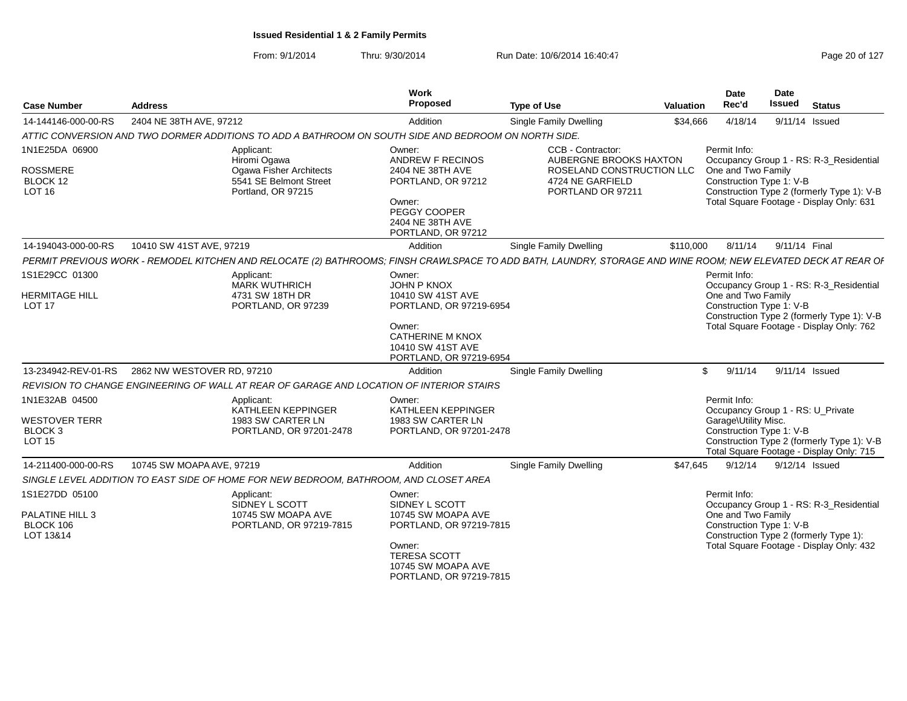| <b>Case Number</b>                                             | <b>Address</b>             |                                                                                                                                                               | Work<br>Proposed                                                                                                                         | <b>Type of Use</b>                                                                                                | <b>Valuation</b> | Date<br>Rec'd                                                  | Date<br>Issued | <b>Status</b>                                                                                                                     |
|----------------------------------------------------------------|----------------------------|---------------------------------------------------------------------------------------------------------------------------------------------------------------|------------------------------------------------------------------------------------------------------------------------------------------|-------------------------------------------------------------------------------------------------------------------|------------------|----------------------------------------------------------------|----------------|-----------------------------------------------------------------------------------------------------------------------------------|
| 14-144146-000-00-RS                                            | 2404 NE 38TH AVE, 97212    |                                                                                                                                                               | Addition                                                                                                                                 | Single Family Dwelling                                                                                            | \$34,666         | 4/18/14                                                        |                | 9/11/14 Issued                                                                                                                    |
|                                                                |                            | ATTIC CONVERSION AND TWO DORMER ADDITIONS TO ADD A BATHROOM ON SOUTH SIDE AND BEDROOM ON NORTH SIDE.                                                          |                                                                                                                                          |                                                                                                                   |                  |                                                                |                |                                                                                                                                   |
| 1N1E25DA 06900<br><b>ROSSMERE</b><br>BLOCK 12<br><b>LOT 16</b> |                            | Applicant:<br>Hiromi Ogawa<br>Ogawa Fisher Architects<br>5541 SE Belmont Street<br>Portland, OR 97215                                                         | Owner:<br>ANDREW F RECINOS<br>2404 NE 38TH AVE<br>PORTLAND, OR 97212<br>Owner:<br>PEGGY COOPER<br>2404 NE 38TH AVE<br>PORTLAND, OR 97212 | CCB - Contractor:<br>AUBERGNE BROOKS HAXTON<br>ROSELAND CONSTRUCTION LLC<br>4724 NE GARFIELD<br>PORTLAND OR 97211 |                  | Permit Info:<br>One and Two Family<br>Construction Type 1: V-B |                | Occupancy Group 1 - RS: R-3_Residential<br>Construction Type 2 (formerly Type 1): V-B<br>Total Square Footage - Display Only: 631 |
| 14-194043-000-00-RS                                            | 10410 SW 41ST AVE, 97219   |                                                                                                                                                               | Addition                                                                                                                                 | <b>Single Family Dwelling</b>                                                                                     | \$110,000        | 8/11/14                                                        | 9/11/14 Final  |                                                                                                                                   |
|                                                                |                            | PERMIT PREVIOUS WORK - REMODEL KITCHEN AND RELOCATE (2) BATHROOMS; FINSH CRAWLSPACE TO ADD BATH, LAUNDRY, STORAGE AND WINE ROOM; NEW ELEVATED DECK AT REAR OF |                                                                                                                                          |                                                                                                                   |                  |                                                                |                |                                                                                                                                   |
| 1S1E29CC 01300                                                 |                            | Applicant:<br><b>MARK WUTHRICH</b>                                                                                                                            | Owner:<br><b>JOHN P KNOX</b>                                                                                                             |                                                                                                                   |                  | Permit Info:                                                   |                | Occupancy Group 1 - RS: R-3_Residential                                                                                           |
| <b>HERMITAGE HILL</b><br><b>LOT 17</b>                         |                            | 4731 SW 18TH DR<br>PORTLAND, OR 97239                                                                                                                         | 10410 SW 41ST AVE<br>PORTLAND, OR 97219-6954                                                                                             |                                                                                                                   |                  | One and Two Family<br>Construction Type 1: V-B                 |                | Construction Type 2 (formerly Type 1): V-B                                                                                        |
|                                                                |                            |                                                                                                                                                               | Owner:<br><b>CATHERINE M KNOX</b><br>10410 SW 41ST AVE<br>PORTLAND, OR 97219-6954                                                        |                                                                                                                   |                  |                                                                |                | Total Square Footage - Display Only: 762                                                                                          |
| 13-234942-REV-01-RS                                            | 2862 NW WESTOVER RD, 97210 |                                                                                                                                                               | Addition                                                                                                                                 | <b>Single Family Dwelling</b>                                                                                     | \$               | 9/11/14                                                        |                | 9/11/14 Issued                                                                                                                    |
|                                                                |                            | REVISION TO CHANGE ENGINEERING OF WALL AT REAR OF GARAGE AND LOCATION OF INTERIOR STAIRS                                                                      |                                                                                                                                          |                                                                                                                   |                  |                                                                |                |                                                                                                                                   |
| 1N1E32AB 04500                                                 |                            | Applicant:<br>KATHLEEN KEPPINGER                                                                                                                              | Owner:<br>KATHLEEN KEPPINGER                                                                                                             |                                                                                                                   |                  | Permit Info:<br>Occupancy Group 1 - RS: U_Private              |                |                                                                                                                                   |
| <b>WESTOVER TERR</b><br>BLOCK 3<br><b>LOT 15</b>               |                            | 1983 SW CARTER LN<br>PORTLAND, OR 97201-2478                                                                                                                  | 1983 SW CARTER LN<br>PORTLAND, OR 97201-2478                                                                                             |                                                                                                                   |                  | Garage\Utility Misc.<br>Construction Type 1: V-B               |                | Construction Type 2 (formerly Type 1): V-B<br>Total Square Footage - Display Only: 715                                            |
| 14-211400-000-00-RS                                            | 10745 SW MOAPA AVE, 97219  |                                                                                                                                                               | Addition                                                                                                                                 | <b>Single Family Dwelling</b>                                                                                     | \$47.645         | 9/12/14                                                        |                | 9/12/14 Issued                                                                                                                    |
|                                                                |                            | SINGLE LEVEL ADDITION TO EAST SIDE OF HOME FOR NEW BEDROOM, BATHROOM, AND CLOSET AREA                                                                         |                                                                                                                                          |                                                                                                                   |                  |                                                                |                |                                                                                                                                   |
| 1S1E27DD 05100                                                 |                            | Applicant:<br>SIDNEY L SCOTT                                                                                                                                  | Owner:<br>SIDNEY L SCOTT                                                                                                                 |                                                                                                                   |                  | Permit Info:                                                   |                | Occupancy Group 1 - RS: R-3 Residential                                                                                           |
| PALATINE HILL 3<br>BLOCK 106<br>LOT 13&14                      |                            | 10745 SW MOAPA AVE<br>PORTLAND, OR 97219-7815                                                                                                                 | 10745 SW MOAPA AVE<br>PORTLAND, OR 97219-7815                                                                                            |                                                                                                                   |                  | One and Two Family<br>Construction Type 1: V-B                 |                | Construction Type 2 (formerly Type 1):                                                                                            |
|                                                                |                            |                                                                                                                                                               | Owner:<br><b>TERESA SCOTT</b><br>10745 SW MOAPA AVE<br>PORTLAND, OR 97219-7815                                                           |                                                                                                                   |                  |                                                                |                | Total Square Footage - Display Only: 432                                                                                          |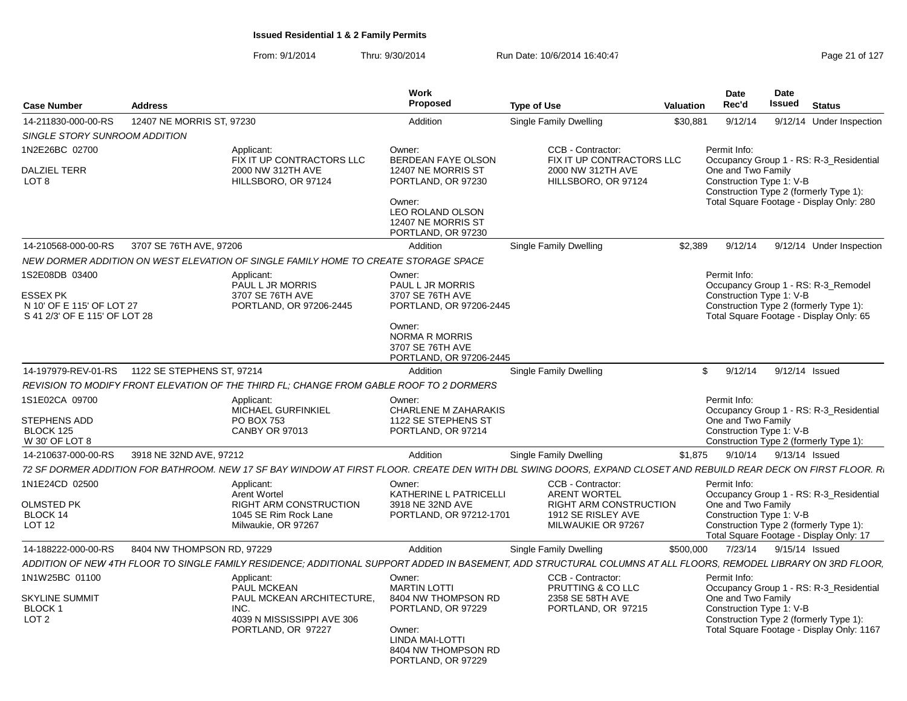| <b>Case Number</b>                                                                       | <b>Address</b>             |                                                                                                                                                                  | Work<br>Proposed                                                                                                    | <b>Type of Use</b>                                                  | <b>Valuation</b> | Date<br>Rec'd                                  | Date<br>Issued<br><b>Status</b>                                                                                          |  |
|------------------------------------------------------------------------------------------|----------------------------|------------------------------------------------------------------------------------------------------------------------------------------------------------------|---------------------------------------------------------------------------------------------------------------------|---------------------------------------------------------------------|------------------|------------------------------------------------|--------------------------------------------------------------------------------------------------------------------------|--|
| 14-211830-000-00-RS                                                                      | 12407 NE MORRIS ST, 97230  |                                                                                                                                                                  | Addition                                                                                                            | <b>Single Family Dwelling</b>                                       | \$30,881         | 9/12/14                                        | 9/12/14 Under Inspection                                                                                                 |  |
| SINGLE STORY SUNROOM ADDITION                                                            |                            |                                                                                                                                                                  |                                                                                                                     |                                                                     |                  |                                                |                                                                                                                          |  |
| 1N2E26BC 02700<br><b>DALZIEL TERR</b>                                                    |                            | Applicant:<br>FIX IT UP CONTRACTORS LLC<br>2000 NW 312TH AVE                                                                                                     | Owner:<br>BERDEAN FAYE OLSON<br>12407 NE MORRIS ST                                                                  | CCB - Contractor:<br>FIX IT UP CONTRACTORS LLC<br>2000 NW 312TH AVE |                  | Permit Info:<br>One and Two Family             | Occupancy Group 1 - RS: R-3_Residential                                                                                  |  |
| LOT <sub>8</sub>                                                                         |                            | HILLSBORO, OR 97124                                                                                                                                              | PORTLAND, OR 97230<br>Owner:<br>LEO ROLAND OLSON<br>12407 NE MORRIS ST<br>PORTLAND, OR 97230                        | HILLSBORO, OR 97124                                                 |                  | Construction Type 1: V-B                       | Construction Type 2 (formerly Type 1):<br>Total Square Footage - Display Only: 280                                       |  |
| 14-210568-000-00-RS                                                                      | 3707 SE 76TH AVE, 97206    |                                                                                                                                                                  | Addition                                                                                                            | <b>Single Family Dwelling</b>                                       | \$2,389          | 9/12/14                                        | 9/12/14 Under Inspection                                                                                                 |  |
|                                                                                          |                            | NEW DORMER ADDITION ON WEST ELEVATION OF SINGLE FAMILY HOME TO CREATE STORAGE SPACE                                                                              |                                                                                                                     |                                                                     |                  |                                                |                                                                                                                          |  |
| 1S2E08DB 03400<br>ESSEX PK<br>N 10' OF E 115' OF LOT 27<br>S 41 2/3' OF E 115' OF LOT 28 |                            | Applicant:<br>PAUL L JR MORRIS<br>3707 SE 76TH AVE<br>PORTLAND, OR 97206-2445                                                                                    | Owner:<br><b>PAUL L JR MORRIS</b><br>3707 SE 76TH AVE<br>PORTLAND, OR 97206-2445<br>Owner:<br><b>NORMA R MORRIS</b> |                                                                     |                  | Permit Info:<br>Construction Type 1: V-B       | Occupancy Group 1 - RS: R-3 Remodel<br>Construction Type 2 (formerly Type 1):<br>Total Square Footage - Display Only: 65 |  |
|                                                                                          |                            |                                                                                                                                                                  | 3707 SE 76TH AVE<br>PORTLAND, OR 97206-2445                                                                         |                                                                     |                  |                                                |                                                                                                                          |  |
| 14-197979-REV-01-RS                                                                      | 1122 SE STEPHENS ST, 97214 |                                                                                                                                                                  | Addition                                                                                                            | Single Family Dwelling                                              |                  | 9/12/14<br>\$                                  | 9/12/14 Issued                                                                                                           |  |
|                                                                                          |                            | REVISION TO MODIFY FRONT ELEVATION OF THE THIRD FL: CHANGE FROM GABLE ROOF TO 2 DORMERS                                                                          |                                                                                                                     |                                                                     |                  |                                                |                                                                                                                          |  |
| 1S1E02CA 09700<br>STEPHENS ADD                                                           |                            | Applicant:<br><b>MICHAEL GURFINKIEL</b><br>PO BOX 753                                                                                                            | Owner:<br><b>CHARLENE M ZAHARAKIS</b><br>1122 SE STEPHENS ST                                                        |                                                                     |                  | Permit Info:<br>One and Two Family             | Occupancy Group 1 - RS: R-3_Residential                                                                                  |  |
| BLOCK 125<br>W 30' OF LOT 8                                                              |                            | <b>CANBY OR 97013</b>                                                                                                                                            | PORTLAND, OR 97214                                                                                                  |                                                                     |                  | Construction Type 1: V-B                       | Construction Type 2 (formerly Type 1):                                                                                   |  |
| 14-210637-000-00-RS                                                                      | 3918 NE 32ND AVE, 97212    |                                                                                                                                                                  | Addition                                                                                                            | Single Family Dwelling                                              | \$1,875          | 9/10/14                                        | 9/13/14 Issued                                                                                                           |  |
|                                                                                          |                            | 72 SF DORMER ADDITION FOR BATHROOM. NEW 17 SF BAY WINDOW AT FIRST FLOOR. CREATE DEN WITH DBL SWING DOORS, EXPAND CLOSET AND REBUILD REAR DECK ON FIRST FLOOR. R. |                                                                                                                     |                                                                     |                  |                                                |                                                                                                                          |  |
| 1N1E24CD 02500                                                                           |                            | Applicant:<br><b>Arent Wortel</b>                                                                                                                                | Owner:<br>KATHERINE L PATRICELLI                                                                                    | CCB - Contractor:<br><b>ARENT WORTEL</b>                            |                  | Permit Info:                                   | Occupancy Group 1 - RS: R-3_Residential                                                                                  |  |
| <b>OLMSTED PK</b>                                                                        |                            | <b>RIGHT ARM CONSTRUCTION</b>                                                                                                                                    | 3918 NE 32ND AVE                                                                                                    | <b>RIGHT ARM CONSTRUCTION</b>                                       |                  | One and Two Family                             |                                                                                                                          |  |
| BLOCK 14<br><b>LOT 12</b>                                                                |                            | 1045 SE Rim Rock Lane<br>Milwaukie, OR 97267                                                                                                                     | PORTLAND, OR 97212-1701                                                                                             | 1912 SE RISLEY AVE<br>MILWAUKIE OR 97267                            |                  | Construction Type 1: V-B                       | Construction Type 2 (formerly Type 1):<br>Total Square Footage - Display Only: 17                                        |  |
| 14-188222-000-00-RS                                                                      | 8404 NW THOMPSON RD, 97229 |                                                                                                                                                                  | Addition                                                                                                            | Single Family Dwelling                                              | \$500,000        | 7/23/14                                        | 9/15/14 Issued                                                                                                           |  |
|                                                                                          |                            | ADDITION OF NEW 4TH FLOOR TO SINGLE FAMILY RESIDENCE: ADDITIONAL SUPPORT ADDED IN BASEMENT. ADD STRUCTURAL COLUMNS AT ALL FLOORS. REMODEL LIBRARY ON 3RD FLOOR.  |                                                                                                                     |                                                                     |                  |                                                |                                                                                                                          |  |
| 1N1W25BC 01100                                                                           |                            | Applicant:<br>PAUL MCKEAN                                                                                                                                        | Owner:<br><b>MARTIN LOTTI</b>                                                                                       | CCB - Contractor:<br>PRUTTING & CO LLC                              |                  | Permit Info:                                   | Occupancy Group 1 - RS: R-3_Residential                                                                                  |  |
| <b>SKYLINE SUMMIT</b><br><b>BLOCK1</b><br>LOT <sub>2</sub>                               |                            | PAUL MCKEAN ARCHITECTURE,<br>INC.<br>4039 N MISSISSIPPI AVE 306<br>PORTLAND, OR 97227                                                                            | 8404 NW THOMPSON RD<br>PORTLAND, OR 97229<br>Owner:<br>LINDA MAI-LOTTI<br>8404 NW THOMPSON RD<br>PORTLAND, OR 97229 | 2358 SE 58TH AVE<br>PORTLAND, OR 97215                              |                  | One and Two Family<br>Construction Type 1: V-B | Construction Type 2 (formerly Type 1):<br>Total Square Footage - Display Only: 1167                                      |  |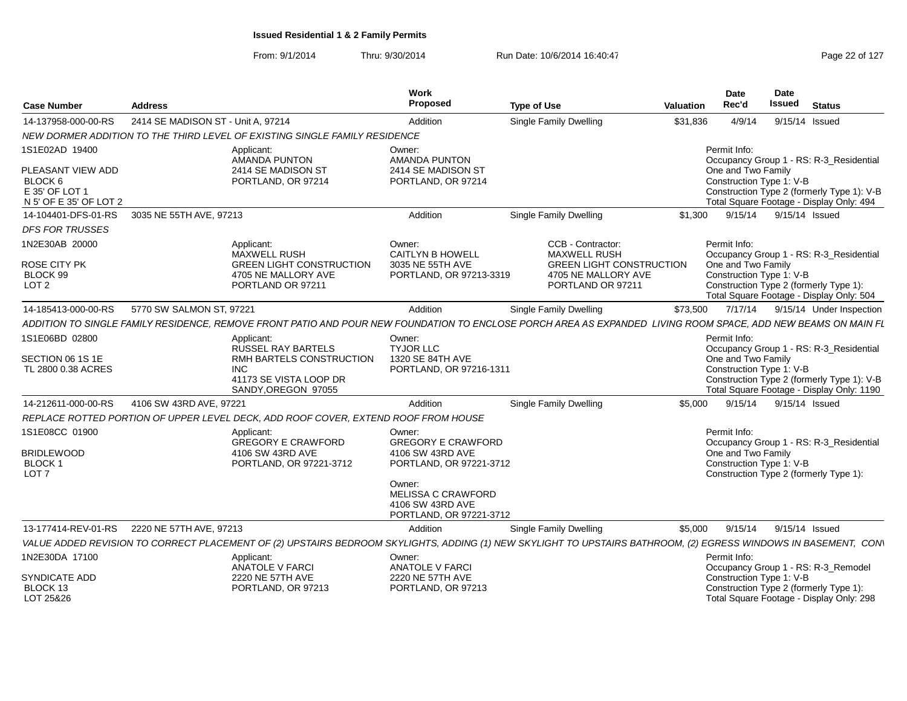| <b>Case Numbe</b>                                                             | <b>Address</b>                                                                                                                                                 | Work<br>Proposed                     |                                                                          | <b>Type of Use</b>                                                          | <b>Valuation</b> | Date<br>Rec'd                                                  | Date<br><b>Issued</b> | Status                                                                                 |
|-------------------------------------------------------------------------------|----------------------------------------------------------------------------------------------------------------------------------------------------------------|--------------------------------------|--------------------------------------------------------------------------|-----------------------------------------------------------------------------|------------------|----------------------------------------------------------------|-----------------------|----------------------------------------------------------------------------------------|
| 14-137958-000-00-RS                                                           | 2414 SE MADISON ST - Unit A. 97214                                                                                                                             | Addition                             |                                                                          | Single Family Dwelling                                                      | \$31,836         | 4/9/14                                                         | 9/15/14 Issued        |                                                                                        |
|                                                                               | NEW DORMER ADDITION TO THE THIRD LEVEL OF EXISTING SINGLE FAMILY RESIDENCE                                                                                     |                                      |                                                                          |                                                                             |                  |                                                                |                       |                                                                                        |
| 1S1E02AD 19400                                                                | Applicant:<br>AMANDA PUNTON                                                                                                                                    | Owner:                               | AMANDA PUNTON                                                            |                                                                             |                  | Permit Info:                                                   |                       | Occupancy Group 1 - RS: R-3_Residential                                                |
| PLEASANT VIEW ADD<br>BLOCK 6<br>E 35' OF LOT 1<br>N 5' OF E 35' OF LOT 2      | 2414 SE MADISON ST<br>PORTLAND, OR 97214                                                                                                                       |                                      | 2414 SE MADISON ST<br>PORTLAND, OR 97214                                 |                                                                             |                  | One and Two Family<br>Construction Type 1: V-B                 |                       | Construction Type 2 (formerly Type 1): V-B<br>Total Square Footage - Display Only: 494 |
|                                                                               | 14-104401-DFS-01-RS 3035 NE 55TH AVE, 97213                                                                                                                    | Addition                             |                                                                          | Single Family Dwelling                                                      |                  | \$1,300 9/15/14 9/15/14 Issued                                 |                       |                                                                                        |
| <b>DFS FOR TRUSSES</b>                                                        |                                                                                                                                                                |                                      |                                                                          |                                                                             |                  |                                                                |                       |                                                                                        |
| 1N2E30AB 20000<br><b>ROSE CITY PK</b>                                         | Applicant:<br>MAXWELL RUSH<br><b>GREEN LIGHT CONSTRUCTION</b>                                                                                                  | Owner:                               | <b>CAITLYN B HOWELL</b><br>3035 NE 55TH AVE                              | CCB - Contractor:<br><b>MAXWELL RUSH</b><br><b>GREEN LIGHT CONSTRUCTION</b> |                  | Permit Info:<br>One and Two Family                             |                       | Occupancy Group 1 - RS: R-3_Residential                                                |
| BLOCK 99<br>LOT <sub>2</sub>                                                  | 4705 NE MALLORY AVE<br>PORTLAND OR 97211                                                                                                                       |                                      | PORTLAND, OR 97213-3319                                                  | 4705 NE MALLORY AVE<br>PORTLAND OR 97211                                    |                  | Construction Type 1: V-B                                       |                       | Construction Type 2 (formerly Type 1):<br>Total Square Footage - Display Only: 504     |
| 14-185413-000-00-RS                                                           | 5770 SW SALMON ST, 97221                                                                                                                                       | Addition                             |                                                                          | Single Family Dwelling                                                      | \$73.500         |                                                                |                       | 7/17/14 9/15/14 Under Inspection                                                       |
|                                                                               | ADDITION TO SINGLE FAMILY RESIDENCE, REMOVE FRONT PATIO AND POUR NEW FOUNDATION TO ENCLOSE PORCH AREA AS EXPANDED LIVING ROOM SPACE, ADD NEW BEAMS ON MAIN FL  |                                      |                                                                          |                                                                             |                  |                                                                |                       |                                                                                        |
| 1S1E06BD 02800                                                                | Applicant:                                                                                                                                                     | Owner:                               |                                                                          |                                                                             |                  | Permit Info:                                                   |                       |                                                                                        |
| SECTION 06 1S 1E<br>TL 2800 0.38 ACRES                                        | RUSSEL RAY BARTELS<br>RMH BARTELS CONSTRUCTION<br><b>INC</b><br>41173 SE VISTA LOOP DR                                                                         | <b>TYJOR LLC</b><br>1320 SE 84TH AVE | PORTLAND, OR 97216-1311                                                  |                                                                             |                  | One and Two Family<br>Construction Type 1: V-B                 |                       | Occupancy Group 1 - RS: R-3_Residential<br>Construction Type 2 (formerly Type 1): V-B  |
|                                                                               | SANDY, OREGON 97055                                                                                                                                            |                                      |                                                                          |                                                                             |                  |                                                                |                       | Total Square Footage - Display Only: 1190                                              |
| 14-212611-000-00-RS                                                           | 4106 SW 43RD AVE, 97221                                                                                                                                        | Addition                             |                                                                          | Single Family Dwelling                                                      | \$5,000          | 9/15/14 9/15/14 Issued                                         |                       |                                                                                        |
|                                                                               | REPLACE ROTTED PORTION OF UPPER LEVEL DECK, ADD ROOF COVER, EXTEND ROOF FROM HOUSE                                                                             |                                      |                                                                          |                                                                             |                  |                                                                |                       |                                                                                        |
| 1S1E08CC 01900<br><b>BRIDLEWOOD</b><br>BLOCK <sup>-</sup><br>LOT <sub>7</sub> | Applicant:<br><b>GREGORY E CRAWFORD</b><br>4106 SW 43RD AVE<br>PORTLAND, OR 97221-3712                                                                         | Owner:                               | <b>GREGORY E CRAWFORD</b><br>4106 SW 43RD AVE<br>PORTLAND, OR 97221-3712 |                                                                             |                  | Permit Info:<br>One and Two Family<br>Construction Type 1: V-B |                       | Occupancy Group 1 - RS: R-3_Residential<br>Construction Type 2 (formerly Type 1):      |
|                                                                               |                                                                                                                                                                | Owner:                               | <b>MELISSA C CRAWFORD</b><br>4106 SW 43RD AVE<br>PORTLAND, OR 97221-3712 |                                                                             |                  |                                                                |                       |                                                                                        |
|                                                                               | 13-177414-REV-01-RS 2220 NE 57TH AVE, 97213                                                                                                                    | Addition                             |                                                                          | <b>Single Family Dwelling</b>                                               | \$5,000          | 9/15/14 9/15/14 Issued                                         |                       |                                                                                        |
|                                                                               | VALUE ADDED REVISION TO CORRECT PLACEMENT OF (2) UPSTAIRS BEDROOM SKYLIGHTS, ADDING (1) NEW SKYLIGHT TO UPSTAIRS BATHROOM, (2) EGRESS WINDOWS IN BASEMENT, CON |                                      |                                                                          |                                                                             |                  |                                                                |                       |                                                                                        |
| 1N2E30DA 17100                                                                | Applicant:<br><b>ANATOLE V FARCI</b>                                                                                                                           | Owner:                               | <b>ANATOLE V FARCI</b>                                                   |                                                                             |                  | Permit Info:                                                   |                       | Occupancy Group 1 - RS: R-3_Remodel                                                    |
| <b>SYNDICATE ADD</b><br>BLOCK 13<br>LOT 25&26                                 | 2220 NE 57TH AVE<br>PORTLAND, OR 97213                                                                                                                         | 2220 NE 57TH AVE                     | PORTLAND, OR 97213                                                       |                                                                             |                  | Construction Type 1: V-B                                       |                       | Construction Type 2 (formerly Type 1):<br>Total Square Footage - Display Only: 298     |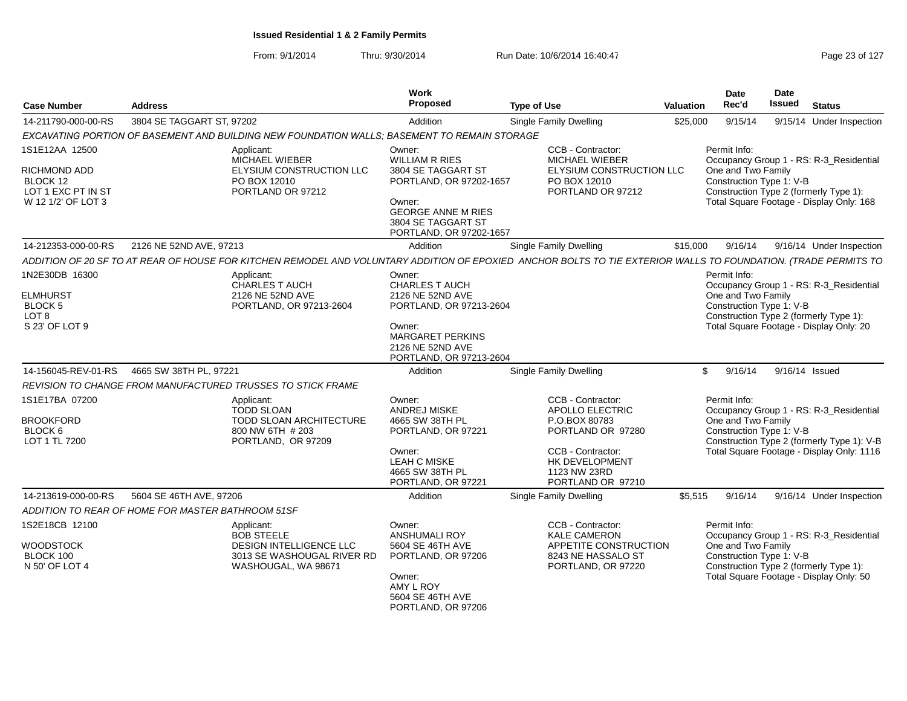| <b>Case Number</b>                                                                 | <b>Address</b>                                                                                                                                                  | Work<br><b>Proposed</b>                                                                                                                                     | <b>Type of Use</b>                                                                                                                                     | <b>Valuation</b> | Date<br>Rec'd                                                                                                                        | Date<br>Issued | <b>Status</b>                                                                                                                      |
|------------------------------------------------------------------------------------|-----------------------------------------------------------------------------------------------------------------------------------------------------------------|-------------------------------------------------------------------------------------------------------------------------------------------------------------|--------------------------------------------------------------------------------------------------------------------------------------------------------|------------------|--------------------------------------------------------------------------------------------------------------------------------------|----------------|------------------------------------------------------------------------------------------------------------------------------------|
| 14-211790-000-00-RS                                                                | 3804 SE TAGGART ST, 97202                                                                                                                                       | Addition                                                                                                                                                    | <b>Single Family Dwelling</b>                                                                                                                          | \$25,000         | 9/15/14                                                                                                                              |                | 9/15/14 Under Inspection                                                                                                           |
|                                                                                    | EXCAVATING PORTION OF BASEMENT AND BUILDING NEW FOUNDATION WALLS; BASEMENT TO REMAIN STORAGE                                                                    |                                                                                                                                                             |                                                                                                                                                        |                  |                                                                                                                                      |                |                                                                                                                                    |
| 1S1E12AA 12500                                                                     | Applicant:<br>MICHAEL WIEBER                                                                                                                                    | Owner:<br><b>WILLIAM R RIES</b>                                                                                                                             | CCB - Contractor:<br>MICHAEL WIEBER                                                                                                                    |                  | Permit Info:                                                                                                                         |                | Occupancy Group 1 - RS: R-3_Residential                                                                                            |
| <b>RICHMOND ADD</b><br>BLOCK 12<br>LOT 1 EXC PT IN ST<br>W 12 1/2' OF LOT 3        | ELYSIUM CONSTRUCTION LLC<br>PO BOX 12010<br>PORTLAND OR 97212                                                                                                   | 3804 SE TAGGART ST<br>PORTLAND, OR 97202-1657<br>Owner:<br><b>GEORGE ANNE M RIES</b><br>3804 SE TAGGART ST<br>PORTLAND, OR 97202-1657                       | ELYSIUM CONSTRUCTION LLC<br>PO BOX 12010<br>PORTLAND OR 97212                                                                                          |                  | One and Two Family<br>Construction Type 1: V-B<br>Construction Type 2 (formerly Type 1):<br>Total Square Footage - Display Only: 168 |                |                                                                                                                                    |
| 14-212353-000-00-RS                                                                | 2126 NE 52ND AVE, 97213                                                                                                                                         | Addition                                                                                                                                                    | Single Family Dwelling                                                                                                                                 | \$15,000         | 9/16/14                                                                                                                              |                | 9/16/14 Under Inspection                                                                                                           |
|                                                                                    | ADDITION OF 20 SF TO AT REAR OF HOUSE FOR KITCHEN REMODEL AND VOLUNTARY ADDITION OF EPOXIED ANCHOR BOLTS TO TIE EXTERIOR WALLS TO FOUNDATION. (TRADE PERMITS TO |                                                                                                                                                             |                                                                                                                                                        |                  |                                                                                                                                      |                |                                                                                                                                    |
| 1N2E30DB 16300<br><b>ELMHURST</b><br>BLOCK 5<br>LOT <sub>8</sub><br>S 23' OF LOT 9 | Applicant:<br>CHARLES T AUCH<br>2126 NE 52ND AVE<br>PORTLAND, OR 97213-2604                                                                                     | Owner:<br>CHARLES T AUCH<br>2126 NE 52ND AVE<br>PORTLAND, OR 97213-2604<br>Owner:<br><b>MARGARET PERKINS</b><br>2126 NE 52ND AVE<br>PORTLAND, OR 97213-2604 |                                                                                                                                                        |                  | Permit Info:<br>One and Two Family<br>Construction Type 1: V-B                                                                       |                | Occupancy Group 1 - RS: R-3_Residential<br>Construction Type 2 (formerly Type 1):<br>Total Square Footage - Display Only: 20       |
| 14-156045-REV-01-RS                                                                | 4665 SW 38TH PL, 97221                                                                                                                                          | Addition                                                                                                                                                    | <b>Single Family Dwelling</b>                                                                                                                          | \$               | 9/16/14                                                                                                                              | 9/16/14 Issued |                                                                                                                                    |
|                                                                                    | REVISION TO CHANGE FROM MANUFACTURED TRUSSES TO STICK FRAME                                                                                                     |                                                                                                                                                             |                                                                                                                                                        |                  |                                                                                                                                      |                |                                                                                                                                    |
| 1S1E17BA 07200<br><b>BROOKFORD</b><br>BLOCK <sub>6</sub><br>LOT 1 TL 7200          | Applicant:<br><b>TODD SLOAN</b><br>TODD SLOAN ARCHITECTURE<br>800 NW 6TH # 203<br>PORTLAND, OR 97209                                                            | Owner:<br>ANDREJ MISKE<br>4665 SW 38TH PL<br>PORTLAND, OR 97221<br>Owner:<br><b>LEAH C MISKE</b><br>4665 SW 38TH PL<br>PORTLAND, OR 97221                   | CCB - Contractor:<br>APOLLO ELECTRIC<br>P.O.BOX 80783<br>PORTLAND OR 97280<br>CCB - Contractor:<br>HK DEVELOPMENT<br>1123 NW 23RD<br>PORTLAND OR 97210 |                  | Permit Info:<br>One and Two Family<br>Construction Type 1: V-B                                                                       |                | Occupancy Group 1 - RS: R-3_Residential<br>Construction Type 2 (formerly Type 1): V-B<br>Total Square Footage - Display Only: 1116 |
| 14-213619-000-00-RS                                                                | 5604 SE 46TH AVE, 97206                                                                                                                                         | Addition                                                                                                                                                    | <b>Single Family Dwelling</b>                                                                                                                          | \$5,515          | 9/16/14                                                                                                                              |                | 9/16/14 Under Inspection                                                                                                           |
|                                                                                    | ADDITION TO REAR OF HOME FOR MASTER BATHROOM 51SF                                                                                                               |                                                                                                                                                             |                                                                                                                                                        |                  |                                                                                                                                      |                |                                                                                                                                    |
| 1S2E18CB 12100<br><b>WOODSTOCK</b><br>BLOCK 100<br>N 50' OF LOT 4                  | Applicant:<br><b>BOB STEELE</b><br>DESIGN INTELLIGENCE LLC<br>3013 SE WASHOUGAL RIVER RD<br>WASHOUGAL, WA 98671                                                 | Owner:<br><b>ANSHUMALI ROY</b><br>5604 SE 46TH AVE<br>PORTLAND, OR 97206<br>Owner:<br>AMY L ROY<br>5604 SE 46TH AVE<br>PORTLAND, OR 97206                   | CCB - Contractor:<br><b>KALE CAMERON</b><br>APPETITE CONSTRUCTION<br>8243 NE HASSALO ST<br>PORTLAND, OR 97220                                          |                  | Permit Info:<br>One and Two Family<br>Construction Type 1: V-B                                                                       |                | Occupancy Group 1 - RS: R-3_Residential<br>Construction Type 2 (formerly Type 1):<br>Total Square Footage - Display Only: 50       |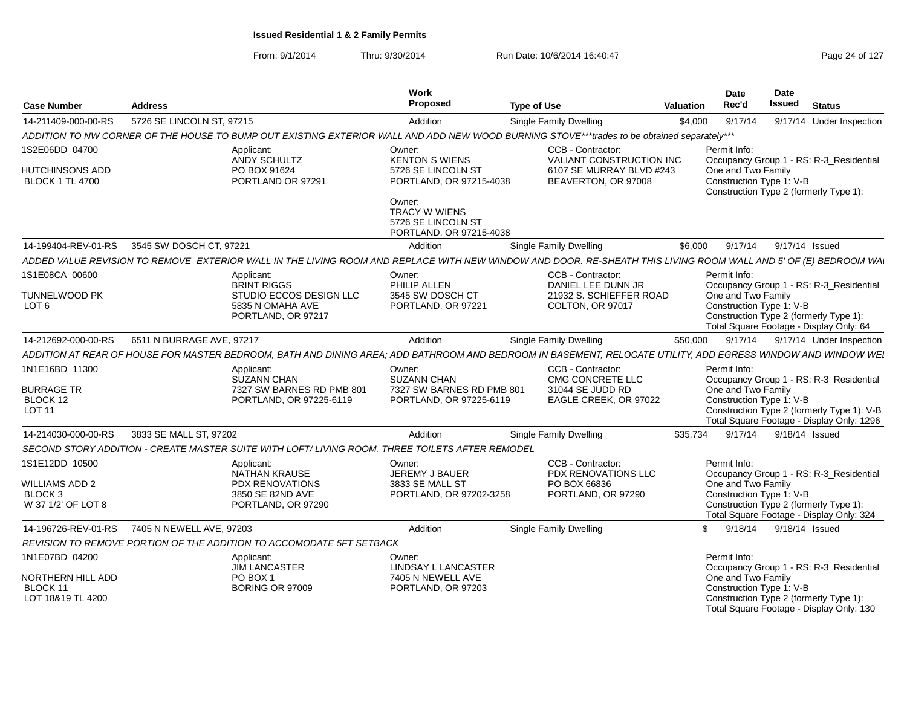| <b>Case Number</b>                                         | <b>Address</b>                                                                                                                                                  | <b>Work</b><br>Proposed                                                         | <b>Type of Use</b>                              | <b>Valuation</b> | <b>Date</b><br>Rec'd                           | Date<br><b>Issued</b> | <b>Status</b>                                                                           |
|------------------------------------------------------------|-----------------------------------------------------------------------------------------------------------------------------------------------------------------|---------------------------------------------------------------------------------|-------------------------------------------------|------------------|------------------------------------------------|-----------------------|-----------------------------------------------------------------------------------------|
| 14-211409-000-00-RS                                        | 5726 SE LINCOLN ST, 97215                                                                                                                                       | Addition                                                                        | Single Family Dwelling                          | \$4,000          | 9/17/14                                        |                       | 9/17/14 Under Inspection                                                                |
|                                                            | ADDITION TO NW CORNER OF THE HOUSE TO BUMP OUT EXISTING EXTERIOR WALL AND ADD NEW WOOD BURNING STOVE***trades to be obtained separately***                      |                                                                                 |                                                 |                  |                                                |                       |                                                                                         |
| 1S2E06DD 04700                                             | Applicant:<br>ANDY SCHULTZ                                                                                                                                      | Owner:<br><b>KENTON S WIENS</b>                                                 | CCB - Contractor:<br>VALIANT CONSTRUCTION INC   |                  | Permit Info:                                   |                       | Occupancy Group 1 - RS: R-3_Residential                                                 |
| HUTCHINSONS ADD<br><b>BLOCK 1 TL 4700</b>                  | PO BOX 91624<br>PORTLAND OR 97291                                                                                                                               | 5726 SE LINCOLN ST<br>PORTLAND, OR 97215-4038                                   | 6107 SE MURRAY BLVD #243<br>BEAVERTON, OR 97008 |                  | One and Two Family<br>Construction Type 1: V-B |                       | Construction Type 2 (formerly Type 1):                                                  |
|                                                            |                                                                                                                                                                 | Owner:<br><b>TRACY W WIENS</b><br>5726 SE LINCOLN ST<br>PORTLAND, OR 97215-4038 |                                                 |                  |                                                |                       |                                                                                         |
| 14-199404-REV-01-RS                                        | 3545 SW DOSCH CT, 97221                                                                                                                                         | Addition                                                                        | <b>Single Family Dwelling</b>                   | \$6,000          | 9/17/14                                        | 9/17/14 Issued        |                                                                                         |
|                                                            | ADDED VALUE REVISION TO REMOVE EXTERIOR WALL IN THE LIVING ROOM AND REPLACE WITH NEW WINDOW AND DOOR. RE-SHEATH THIS LIVING ROOM WALL AND 5' OF (E) BEDROOM WAL |                                                                                 |                                                 |                  |                                                |                       |                                                                                         |
| 1S1E08CA 00600                                             | Applicant:<br><b>BRINT RIGGS</b>                                                                                                                                | Owner:<br>PHILIP ALLEN                                                          | CCB - Contractor:<br>DANIEL LEE DUNN JR         |                  | Permit Info:                                   |                       | Occupancy Group 1 - RS: R-3_Residential                                                 |
| <b>TUNNELWOOD PK</b><br>LOT <sub>6</sub>                   | STUDIO ECCOS DESIGN LLC<br>5835 N OMAHA AVE<br>PORTLAND, OR 97217                                                                                               | 3545 SW DOSCH CT<br>PORTLAND, OR 97221                                          | 21932 S. SCHIEFFER ROAD<br>COLTON, OR 97017     |                  | One and Two Family<br>Construction Type 1: V-B |                       | Construction Type 2 (formerly Type 1):<br>Total Square Footage - Display Only: 64       |
| 14-212692-000-00-RS                                        | 6511 N BURRAGE AVE, 97217                                                                                                                                       | Addition                                                                        | Single Family Dwelling                          | \$50,000         | 9/17/14                                        |                       | 9/17/14 Under Inspection                                                                |
|                                                            | ADDITION AT REAR OF HOUSE FOR MASTER BEDROOM, BATH AND DINING AREA; ADD BATHROOM AND BEDROOM IN BASEMENT, RELOCATE UTILITY, ADD EGRESS WINDOW AND WINDOW WEI    |                                                                                 |                                                 |                  |                                                |                       |                                                                                         |
| 1N1E16BD 11300                                             | Applicant:<br><b>SUZANN CHAN</b>                                                                                                                                | Owner:<br><b>SUZANN CHAN</b>                                                    | CCB - Contractor:<br>CMG CONCRETE LLC           |                  | Permit Info:                                   |                       | Occupancy Group 1 - RS: R-3_Residential                                                 |
| <b>BURRAGE TR</b>                                          | 7327 SW BARNES RD PMB 801                                                                                                                                       | 7327 SW BARNES RD PMB 801                                                       | 31044 SE JUDD RD                                |                  | One and Two Family                             |                       |                                                                                         |
| BLOCK 12<br><b>LOT 11</b>                                  | PORTLAND, OR 97225-6119                                                                                                                                         | PORTLAND, OR 97225-6119                                                         | EAGLE CREEK, OR 97022                           |                  | Construction Type 1: V-B                       |                       | Construction Type 2 (formerly Type 1): V-B<br>Total Square Footage - Display Only: 1296 |
| 14-214030-000-00-RS                                        | 3833 SE MALL ST, 97202                                                                                                                                          | Addition                                                                        | <b>Single Family Dwelling</b>                   | \$35.734         | 9/17/14                                        | 9/18/14 Issued        |                                                                                         |
|                                                            | SECOND STORY ADDITION - CREATE MASTER SUITE WITH LOFT/ LIVING ROOM. THREE TOILETS AFTER REMODEL                                                                 |                                                                                 |                                                 |                  |                                                |                       |                                                                                         |
| 1S1E12DD 10500                                             | Applicant:<br><b>NATHAN KRAUSE</b>                                                                                                                              | Owner:<br>JEREMY J BAUER                                                        | CCB - Contractor:<br>PDX RENOVATIONS LLC        |                  | Permit Info:                                   |                       | Occupancy Group 1 - RS: R-3_Residential                                                 |
| WILLIAMS ADD 2<br>BLOCK <sub>3</sub><br>W 37 1/2' OF LOT 8 | <b>PDX RENOVATIONS</b><br>3850 SE 82ND AVE<br>PORTLAND, OR 97290                                                                                                | 3833 SE MALL ST<br>PORTLAND, OR 97202-3258                                      | PO BOX 66836<br>PORTLAND, OR 97290              |                  | One and Two Family<br>Construction Type 1: V-B |                       | Construction Type 2 (formerly Type 1):<br>Total Square Footage - Display Only: 324      |
| 14-196726-REV-01-RS                                        | 7405 N NEWELL AVE, 97203                                                                                                                                        | Addition                                                                        | <b>Single Family Dwelling</b>                   | \$               | 9/18/14                                        | 9/18/14 Issued        |                                                                                         |
|                                                            | REVISION TO REMOVE PORTION OF THE ADDITION TO ACCOMODATE 5FT SETBACK                                                                                            |                                                                                 |                                                 |                  |                                                |                       |                                                                                         |
| 1N1E07BD 04200                                             | Applicant:<br><b>JIM LANCASTER</b>                                                                                                                              | Owner:<br>LINDSAY L LANCASTER                                                   |                                                 |                  | Permit Info:                                   |                       | Occupancy Group 1 - RS: R-3_Residential                                                 |
| NORTHERN HILL ADD<br>BLOCK 11<br>LOT 18&19 TL 4200         | PO BOX 1<br><b>BORING OR 97009</b>                                                                                                                              | 7405 N NEWELL AVE<br>PORTLAND, OR 97203                                         |                                                 |                  | One and Two Family<br>Construction Type 1: V-B |                       | Construction Type 2 (formerly Type 1):<br>Total Square Footage - Display Only: 130      |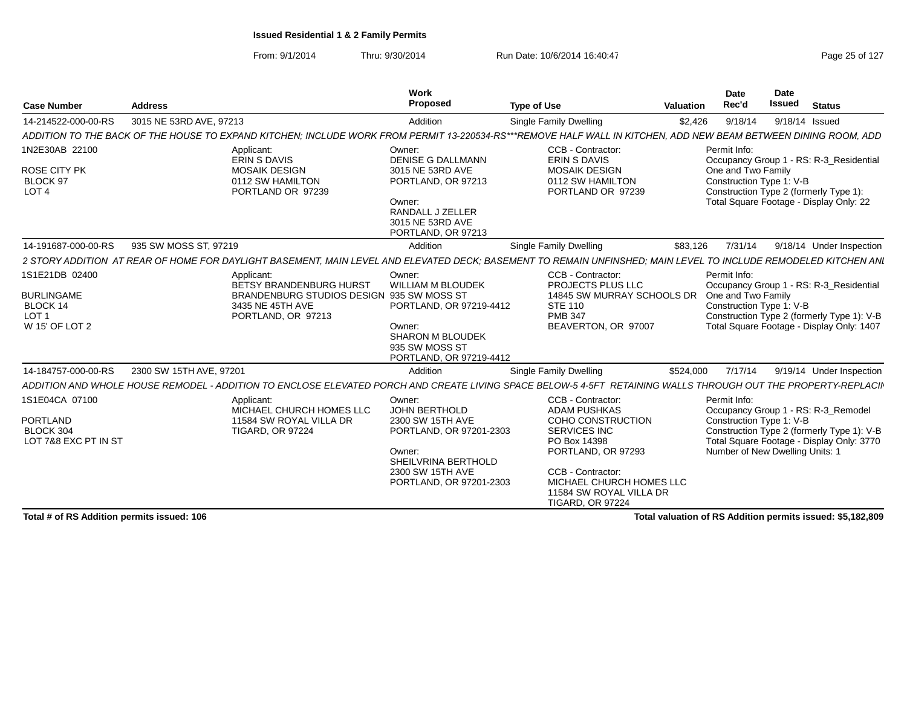From: 9/1/2014Thru: 9/30/2014 Run Date: 10/6/2014 16:40:47 Page 25 of 127

| <b>Case Number</b>                                                     | <b>Address</b>                                                                                                                                                  | Work<br>Proposed                                                                                          | <b>Type of Use</b>                                                                                                               | Valuation | Date<br>Rec'd                                                  | Date<br><b>Issued</b> | <b>Status</b>                                                                                                                  |
|------------------------------------------------------------------------|-----------------------------------------------------------------------------------------------------------------------------------------------------------------|-----------------------------------------------------------------------------------------------------------|----------------------------------------------------------------------------------------------------------------------------------|-----------|----------------------------------------------------------------|-----------------------|--------------------------------------------------------------------------------------------------------------------------------|
| 14-214522-000-00-RS                                                    | 3015 NE 53RD AVE, 97213                                                                                                                                         | Addition                                                                                                  | <b>Single Family Dwelling</b>                                                                                                    | \$2,426   | 9/18/14                                                        |                       | 9/18/14 Issued                                                                                                                 |
|                                                                        | ADDITION TO THE BACK OF THE HOUSE TO EXPAND KITCHEN: INCLUDE WORK FROM PERMIT 13-220534-RS***REMOVE HALF WALL IN KITCHEN. ADD NEW BEAM BETWEEN DINING ROOM. ADD |                                                                                                           |                                                                                                                                  |           |                                                                |                       |                                                                                                                                |
| 1N2E30AB 22100<br>ROSE CITY PK<br>BLOCK 97<br>LOT <sub>4</sub>         | Applicant:<br>ERIN S DAVIS<br><b>MOSAIK DESIGN</b><br>0112 SW HAMILTON<br>PORTLAND OR 97239                                                                     | Owner:<br><b>DENISE G DALLMANN</b><br>3015 NE 53RD AVE<br>PORTLAND, OR 97213<br>Owner:                    | CCB - Contractor:<br>ERIN S DAVIS<br>MOSAIK DESIGN<br>0112 SW HAMILTON<br>PORTLAND OR 97239                                      |           | Permit Info:<br>One and Two Family<br>Construction Type 1: V-B |                       | Occupancy Group 1 - RS: R-3 Residential<br>Construction Type 2 (formerly Type 1):<br>Total Square Footage - Display Only: 22   |
|                                                                        |                                                                                                                                                                 | RANDALL J ZELLER<br>3015 NE 53RD AVE<br>PORTLAND, OR 97213                                                |                                                                                                                                  |           |                                                                |                       |                                                                                                                                |
| 14-191687-000-00-RS                                                    | 935 SW MOSS ST, 97219                                                                                                                                           | Addition                                                                                                  | <b>Single Family Dwelling</b>                                                                                                    | \$83,126  |                                                                |                       | 9/18/14 Under Inspection                                                                                                       |
|                                                                        | 2 STORY ADDITION AT REAR OF HOME FOR DAYLIGHT BASEMENT. MAIN LEVEL AND ELEVATED DECK: BASEMENT                                                                  |                                                                                                           | TO REMAIN UNFINSHED: MAIN LEVEL TO INCLUDE REMODELED KITCHEN ANI                                                                 |           |                                                                |                       |                                                                                                                                |
| 1S1E21DB 02400                                                         | Applicant:<br>BETSY BRANDENBURG HURST                                                                                                                           | Owner:<br>WILLIAM M BLOUDEK                                                                               | CCB - Contractor:<br>PROJECTS PLUS LLC                                                                                           |           | Permit Info:                                                   |                       | Occupancy Group 1 - RS: R-3_Residential                                                                                        |
| <b>BURLINGAME</b><br>BLOCK 14<br>LOT <sub>1</sub><br>W 15' OF LOT 2    | BRANDENBURG STUDIOS DESIGN 935 SW MOSS ST<br>3435 NE 45TH AVE<br>PORTLAND, OR 97213                                                                             | PORTLAND, OR 97219-4412<br>Owner:<br><b>SHARON M BLOUDEK</b><br>935 SW MOSS ST<br>PORTLAND, OR 97219-4412 | 14845 SW MURRAY SCHOOLS DR One and Two Family<br><b>STE 110</b><br><b>PMB 347</b><br>BEAVERTON, OR 97007                         |           | Construction Type 1: V-B                                       |                       | Construction Type 2 (formerly Type 1): V-B<br>Total Square Footage - Display Only: 1407                                        |
| 14-184757-000-00-RS                                                    | 2300 SW 15TH AVE, 97201                                                                                                                                         | Addition                                                                                                  | <b>Single Family Dwelling</b>                                                                                                    | \$524,000 |                                                                |                       | 9/19/14 Under Inspection                                                                                                       |
| ADDITION AND WHOLE HOUSE REMODEL                                       |                                                                                                                                                                 |                                                                                                           | - ADDITION TO ENCLOSE ELEVATED PORCH AND CREATE LIVING SPACE BELOW-5 4-5FT RETAINING WALLS THROUGH OUT THE PROPERTY-REPLACII     |           |                                                                |                       |                                                                                                                                |
| 1S1E04CA 07100<br><b>PORTLAND</b><br>BLOCK 304<br>LOT 7&8 EXC PT IN ST | Applicant:<br>MICHAEL CHURCH HOMES LLC<br>11584 SW ROYAL VILLA DR<br><b>TIGARD, OR 97224</b>                                                                    | Owner:<br>JOHN BERTHOLD<br>2300 SW 15TH AVE<br>PORTLAND, OR 97201-2303                                    | CCB - Contractor:<br><b>ADAM PUSHKAS</b><br>COHO CONSTRUCTION<br><b>SERVICES INC</b><br>PO Box 14398                             |           | Permit Info:<br>Construction Type 1: V-B                       |                       | Occupancy Group 1 - RS: R-3_Remodel<br>Construction Type 2 (formerly Type 1): V-B<br>Total Square Footage - Display Only: 3770 |
|                                                                        |                                                                                                                                                                 | Owner:<br>SHEILVRINA BERTHOLD<br>2300 SW 15TH AVE<br>PORTLAND, OR 97201-2303                              | PORTLAND, OR 97293<br><b>CCB - Contractor:</b><br>MICHAEL CHURCH HOMES LLC<br>11584 SW ROYAL VILLA DR<br><b>TIGARD, OR 97224</b> |           | Number of New Dwelling Units: 1                                |                       |                                                                                                                                |

**Total # of RS Addition permits issued: 106**

**Total valuation of RS Addition permits issued: \$5,182,809**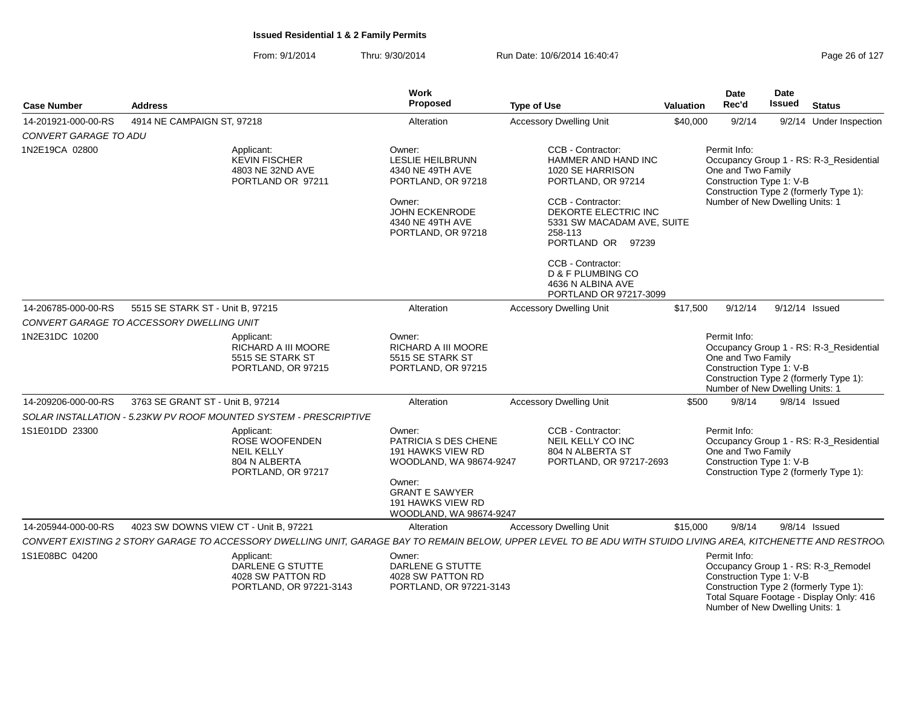| <b>Case Number</b>    | <b>Address</b>                                                                                                                                                  | Work<br><b>Proposed</b>                                                                                                                                           | <b>Type of Use</b>                                                                                                                                                                                   | Valuation | <b>Date</b><br>Rec'd                                                                              | Date<br><b>Issued</b> | <b>Status</b>                                                                                                             |
|-----------------------|-----------------------------------------------------------------------------------------------------------------------------------------------------------------|-------------------------------------------------------------------------------------------------------------------------------------------------------------------|------------------------------------------------------------------------------------------------------------------------------------------------------------------------------------------------------|-----------|---------------------------------------------------------------------------------------------------|-----------------------|---------------------------------------------------------------------------------------------------------------------------|
| 14-201921-000-00-RS   | 4914 NE CAMPAIGN ST, 97218                                                                                                                                      | Alteration                                                                                                                                                        | <b>Accessory Dwelling Unit</b>                                                                                                                                                                       | \$40,000  | 9/2/14                                                                                            |                       | 9/2/14 Under Inspection                                                                                                   |
| CONVERT GARAGE TO ADU |                                                                                                                                                                 |                                                                                                                                                                   |                                                                                                                                                                                                      |           |                                                                                                   |                       |                                                                                                                           |
| 1N2E19CA 02800        | Applicant:<br><b>KEVIN FISCHER</b><br>4803 NE 32ND AVE<br>PORTLAND OR 97211                                                                                     | Owner:<br><b>LESLIE HEILBRUNN</b><br>4340 NE 49TH AVE<br>PORTLAND, OR 97218<br>Owner:<br><b>JOHN ECKENRODE</b><br>4340 NE 49TH AVE<br>PORTLAND, OR 97218          | CCB - Contractor:<br><b>HAMMER AND HAND INC</b><br>1020 SE HARRISON<br>PORTLAND, OR 97214<br>CCB - Contractor:<br>DEKORTE ELECTRIC INC<br>5331 SW MACADAM AVE, SUITE<br>258-113<br>PORTLAND OR 97239 |           | Permit Info:<br>One and Two Family<br>Construction Type 1: V-B<br>Number of New Dwelling Units: 1 |                       | Occupancy Group 1 - RS: R-3_Residential<br>Construction Type 2 (formerly Type 1):                                         |
|                       |                                                                                                                                                                 |                                                                                                                                                                   | CCB - Contractor:<br>D & F PLUMBING CO<br>4636 N ALBINA AVE<br>PORTLAND OR 97217-3099                                                                                                                |           |                                                                                                   |                       |                                                                                                                           |
| 14-206785-000-00-RS   | 5515 SE STARK ST - Unit B, 97215                                                                                                                                | Alteration                                                                                                                                                        | <b>Accessory Dwelling Unit</b>                                                                                                                                                                       | \$17,500  | 9/12/14                                                                                           |                       | 9/12/14 Issued                                                                                                            |
|                       | CONVERT GARAGE TO ACCESSORY DWELLING UNIT                                                                                                                       |                                                                                                                                                                   |                                                                                                                                                                                                      |           |                                                                                                   |                       |                                                                                                                           |
| 1N2E31DC 10200        | Applicant:<br>RICHARD A III MOORE<br>5515 SE STARK ST<br>PORTLAND, OR 97215                                                                                     | Owner:<br>RICHARD A III MOORE<br>5515 SE STARK ST<br>PORTLAND, OR 97215                                                                                           |                                                                                                                                                                                                      |           | Permit Info:<br>One and Two Family<br>Construction Type 1: V-B<br>Number of New Dwelling Units: 1 |                       | Occupancy Group 1 - RS: R-3_Residential<br>Construction Type 2 (formerly Type 1):                                         |
| 14-209206-000-00-RS   | 3763 SE GRANT ST - Unit B, 97214                                                                                                                                | Alteration                                                                                                                                                        | <b>Accessory Dwelling Unit</b>                                                                                                                                                                       | \$500     | 9/8/14                                                                                            |                       | 9/8/14 Issued                                                                                                             |
|                       | SOLAR INSTALLATION - 5.23KW PV ROOF MOUNTED SYSTEM - PRESCRIPTIVE                                                                                               |                                                                                                                                                                   |                                                                                                                                                                                                      |           |                                                                                                   |                       |                                                                                                                           |
| 1S1E01DD 23300        | Applicant:<br>ROSE WOOFENDEN<br><b>NEIL KELLY</b><br>804 N ALBERTA<br>PORTLAND, OR 97217                                                                        | Owner:<br>PATRICIA S DES CHENE<br>191 HAWKS VIEW RD<br>WOODLAND, WA 98674-9247<br>Owner:<br><b>GRANT E SAWYER</b><br>191 HAWKS VIEW RD<br>WOODLAND, WA 98674-9247 | CCB - Contractor:<br>NEIL KELLY CO INC<br>804 N ALBERTA ST<br>PORTLAND, OR 97217-2693                                                                                                                |           | Permit Info:<br>One and Two Family<br>Construction Type 1: V-B                                    |                       | Occupancy Group 1 - RS: R-3_Residential<br>Construction Type 2 (formerly Type 1):                                         |
| 14-205944-000-00-RS   | 4023 SW DOWNS VIEW CT - Unit B, 97221                                                                                                                           | Alteration                                                                                                                                                        | <b>Accessory Dwelling Unit</b>                                                                                                                                                                       | \$15,000  | 9/8/14                                                                                            |                       | 9/8/14 Issued                                                                                                             |
|                       | CONVERT EXISTING 2 STORY GARAGE TO ACCESSORY DWELLING UNIT, GARAGE BAY TO REMAIN BELOW, UPPER LEVEL TO BE ADU WITH STUIDO LIVING AREA, KITCHENETTE AND RESTROO. |                                                                                                                                                                   |                                                                                                                                                                                                      |           |                                                                                                   |                       |                                                                                                                           |
| 1S1E08BC 04200        | Applicant:<br>DARLENE G STUTTE<br>4028 SW PATTON RD<br>PORTLAND, OR 97221-3143                                                                                  | Owner:<br>DARLENE G STUTTE<br>4028 SW PATTON RD<br>PORTLAND, OR 97221-3143                                                                                        |                                                                                                                                                                                                      |           | Permit Info:<br>Construction Type 1: V-B<br>Number of New Dwelling Units: 1                       |                       | Occupancy Group 1 - RS: R-3_Remodel<br>Construction Type 2 (formerly Type 1):<br>Total Square Footage - Display Only: 416 |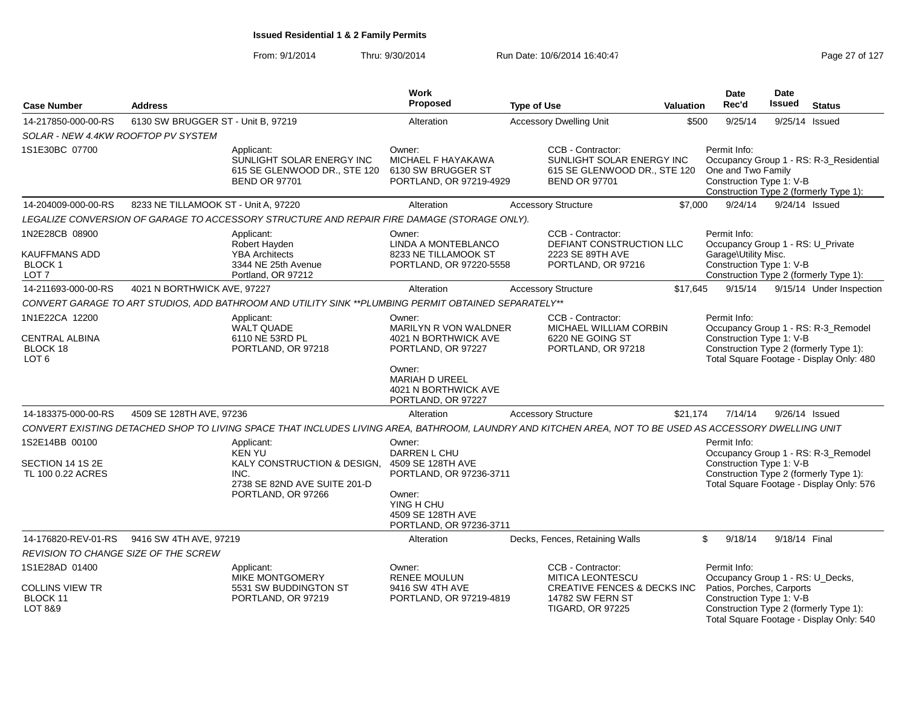|                                                                         |                                      |                                                                                                                                                         | Work<br>Proposed                                                                                                                     |                    |                                                                                                        |                  | <b>Date</b><br>Rec'd                                                                                  | <b>Date</b><br><b>Issued</b> |                                                                                                                           |
|-------------------------------------------------------------------------|--------------------------------------|---------------------------------------------------------------------------------------------------------------------------------------------------------|--------------------------------------------------------------------------------------------------------------------------------------|--------------------|--------------------------------------------------------------------------------------------------------|------------------|-------------------------------------------------------------------------------------------------------|------------------------------|---------------------------------------------------------------------------------------------------------------------------|
| <b>Case Number</b>                                                      | <b>Address</b>                       |                                                                                                                                                         |                                                                                                                                      | <b>Type of Use</b> |                                                                                                        | <b>Valuation</b> |                                                                                                       |                              | <b>Status</b>                                                                                                             |
| 14-217850-000-00-RS                                                     | 6130 SW BRUGGER ST - Unit B, 97219   |                                                                                                                                                         | Alteration                                                                                                                           |                    | <b>Accessory Dwelling Unit</b>                                                                         | \$500            | 9/25/14                                                                                               | 9/25/14 Issued               |                                                                                                                           |
| SOLAR - NEW 4.4KW ROOFTOP PV SYSTEM                                     |                                      |                                                                                                                                                         |                                                                                                                                      |                    |                                                                                                        |                  |                                                                                                       |                              |                                                                                                                           |
| 1S1E30BC 07700                                                          |                                      | Applicant:<br>SUNLIGHT SOLAR ENERGY INC<br>615 SE GLENWOOD DR., STE 120<br><b>BEND OR 97701</b>                                                         | Owner:<br>MICHAEL F HAYAKAWA<br>6130 SW BRUGGER ST<br>PORTLAND, OR 97219-4929                                                        |                    | CCB - Contractor:<br>SUNLIGHT SOLAR ENERGY INC<br>615 SE GLENWOOD DR., STE 120<br><b>BEND OR 97701</b> |                  | Permit Info:<br>One and Two Family<br>Construction Type 1: V-B                                        |                              | Occupancy Group 1 - RS: R-3_Residential<br>Construction Type 2 (formerly Type 1):                                         |
| 14-204009-000-00-RS                                                     | 8233 NE TILLAMOOK ST - Unit A, 97220 |                                                                                                                                                         | Alteration                                                                                                                           |                    | <b>Accessory Structure</b>                                                                             | \$7,000          | 9/24/14                                                                                               |                              | 9/24/14 Issued                                                                                                            |
|                                                                         |                                      | LEGALIZE CONVERSION OF GARAGE TO ACCESSORY STRUCTURE AND REPAIR FIRE DAMAGE (STORAGE ONLY).                                                             |                                                                                                                                      |                    |                                                                                                        |                  |                                                                                                       |                              |                                                                                                                           |
| 1N2E28CB 08900<br><b>KAUFFMANS ADD</b><br>BLOCK 1<br>LOT <sub>7</sub>   |                                      | Applicant:<br>Robert Hayden<br><b>YBA Architects</b><br>3344 NE 25th Avenue<br>Portland, OR 97212                                                       | Owner:<br>LINDA A MONTEBLANCO<br>8233 NE TILLAMOOK ST<br>PORTLAND, OR 97220-5558                                                     |                    | CCB - Contractor:<br>DEFIANT CONSTRUCTION LLC<br>2223 SE 89TH AVE<br>PORTLAND, OR 97216                |                  | Permit Info:<br>Occupancy Group 1 - RS: U_Private<br>Garage\Utility Misc.<br>Construction Type 1: V-B |                              | Construction Type 2 (formerly Type 1):                                                                                    |
| 14-211693-000-00-RS                                                     | 4021 N BORTHWICK AVE, 97227          |                                                                                                                                                         | Alteration                                                                                                                           |                    | <b>Accessory Structure</b>                                                                             | \$17,645         | 9/15/14                                                                                               |                              | 9/15/14 Under Inspection                                                                                                  |
|                                                                         |                                      | CONVERT GARAGE TO ART STUDIOS, ADD BATHROOM AND UTILITY SINK **PLUMBING PERMIT OBTAINED SEPARATELY**                                                    |                                                                                                                                      |                    |                                                                                                        |                  |                                                                                                       |                              |                                                                                                                           |
| 1N1E22CA 12200<br><b>CENTRAL ALBINA</b><br>BLOCK 18<br>LOT <sub>6</sub> |                                      | Applicant:<br><b>WALT QUADE</b><br>6110 NE 53RD PL<br>PORTLAND, OR 97218                                                                                | Owner:<br>MARILYN R VON WALDNER<br>4021 N BORTHWICK AVE<br>PORTLAND, OR 97227                                                        |                    | CCB - Contractor:<br>MICHAEL WILLIAM CORBIN<br>6220 NE GOING ST<br>PORTLAND, OR 97218                  |                  | Permit Info:<br>Construction Type 1: V-B                                                              |                              | Occupancy Group 1 - RS: R-3_Remodel<br>Construction Type 2 (formerly Type 1):<br>Total Square Footage - Display Only: 480 |
|                                                                         |                                      |                                                                                                                                                         | Owner:<br>MARIAH D UREEL<br>4021 N BORTHWICK AVE<br>PORTLAND, OR 97227                                                               |                    |                                                                                                        |                  |                                                                                                       |                              |                                                                                                                           |
| 14-183375-000-00-RS                                                     | 4509 SE 128TH AVE, 97236             |                                                                                                                                                         | Alteration                                                                                                                           |                    | <b>Accessory Structure</b>                                                                             | \$21,174         | 7/14/14                                                                                               |                              | 9/26/14 Issued                                                                                                            |
|                                                                         |                                      | CONVERT EXISTING DETACHED SHOP TO LIVING SPACE THAT INCLUDES LIVING AREA, BATHROOM, LAUNDRY AND KITCHEN AREA, NOT TO BE USED AS ACCESSORY DWELLING UNIT |                                                                                                                                      |                    |                                                                                                        |                  |                                                                                                       |                              |                                                                                                                           |
| 1S2E14BB 00100                                                          |                                      | Applicant:                                                                                                                                              | Owner:                                                                                                                               |                    |                                                                                                        |                  | Permit Info:                                                                                          |                              |                                                                                                                           |
| SECTION 14 1S 2E<br>TL 100 0.22 ACRES                                   |                                      | <b>KEN YU</b><br>KALY CONSTRUCTION & DESIGN,<br>INC.<br>2738 SE 82ND AVE SUITE 201-D<br>PORTLAND, OR 97266                                              | DARREN L CHU<br>4509 SE 128TH AVE<br>PORTLAND, OR 97236-3711<br>Owner:<br>YING H CHU<br>4509 SE 128TH AVE<br>PORTLAND, OR 97236-3711 |                    |                                                                                                        |                  | Construction Type 1: V-B                                                                              |                              | Occupancy Group 1 - RS: R-3_Remodel<br>Construction Type 2 (formerly Type 1):<br>Total Square Footage - Display Only: 576 |
| 14-176820-REV-01-RS                                                     | 9416 SW 4TH AVE, 97219               |                                                                                                                                                         | Alteration                                                                                                                           |                    | Decks, Fences, Retaining Walls                                                                         |                  | \$<br>9/18/14                                                                                         | 9/18/14 Final                |                                                                                                                           |
| REVISION TO CHANGE SIZE OF THE SCREW                                    |                                      |                                                                                                                                                         |                                                                                                                                      |                    |                                                                                                        |                  |                                                                                                       |                              |                                                                                                                           |
| 1S1E28AD 01400                                                          |                                      | Applicant:<br><b>MIKE MONTGOMERY</b>                                                                                                                    | Owner:<br><b>RENEE MOULUN</b>                                                                                                        |                    | CCB - Contractor:<br><b>MITICA LEONTESCU</b>                                                           |                  | Permit Info:<br>Occupancy Group 1 - RS: U_Decks,                                                      |                              |                                                                                                                           |
| <b>COLLINS VIEW TR</b><br>BLOCK 11<br>LOT 8&9                           |                                      | 5531 SW BUDDINGTON ST<br>PORTLAND, OR 97219                                                                                                             | 9416 SW 4TH AVE<br>PORTLAND, OR 97219-4819                                                                                           |                    | <b>CREATIVE FENCES &amp; DECKS INC</b><br>14782 SW FERN ST<br><b>TIGARD, OR 97225</b>                  |                  | Patios, Porches, Carports<br>Construction Type 1: V-B                                                 |                              | Construction Type 2 (formerly Type 1):<br>Total Square Footage - Display Only: 540                                        |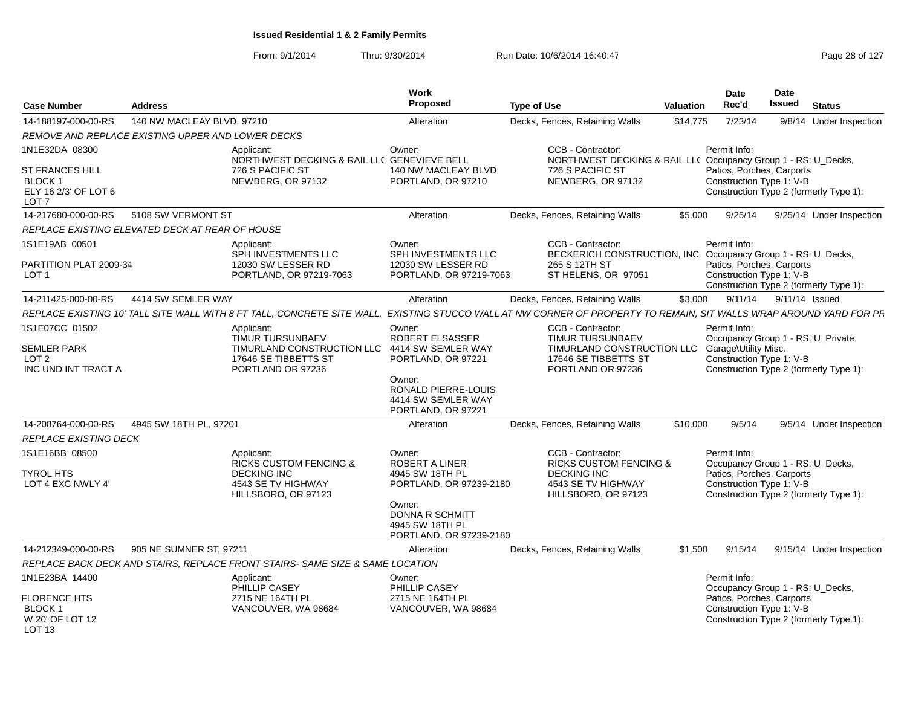| <b>Case Number</b>                                                     | <b>Address</b>             |                                                                                                                                                                    | Work<br>Proposed                                                          | <b>Type of Use</b>                                                                                 | Valuation | Date<br>Rec'd                                                                                             | <b>Date</b><br>Issued | <b>Status</b>                          |
|------------------------------------------------------------------------|----------------------------|--------------------------------------------------------------------------------------------------------------------------------------------------------------------|---------------------------------------------------------------------------|----------------------------------------------------------------------------------------------------|-----------|-----------------------------------------------------------------------------------------------------------|-----------------------|----------------------------------------|
| 14-188197-000-00-RS                                                    | 140 NW MACLEAY BLVD, 97210 |                                                                                                                                                                    | Alteration                                                                | Decks, Fences, Retaining Walls                                                                     | \$14,775  | 7/23/14                                                                                                   |                       | 9/8/14 Under Inspection                |
| REMOVE AND REPLACE EXISTING UPPER AND LOWER DECKS                      |                            |                                                                                                                                                                    |                                                                           |                                                                                                    |           |                                                                                                           |                       |                                        |
| 1N1E32DA 08300                                                         |                            | Applicant:<br>NORTHWEST DECKING & RAIL LLC GENEVIEVE BELL                                                                                                          | Owner:                                                                    | CCB - Contractor:<br>NORTHWEST DECKING & RAIL LL( Occupancy Group 1 - RS: U_Decks,                 |           | Permit Info:                                                                                              |                       |                                        |
| <b>ST FRANCES HILL</b><br>BLOCK 1<br>ELY 16 2/3' OF LOT 6<br>LOT 7     |                            | 726 S PACIFIC ST<br>NEWBERG, OR 97132                                                                                                                              | 140 NW MACLEAY BLVD<br>PORTLAND, OR 97210                                 | 726 S PACIFIC ST<br>NEWBERG, OR 97132                                                              |           | Patios, Porches, Carports<br>Construction Type 1: V-B                                                     |                       | Construction Type 2 (formerly Type 1): |
| 14-217680-000-00-RS                                                    | 5108 SW VERMONT ST         |                                                                                                                                                                    | Alteration                                                                | Decks, Fences, Retaining Walls                                                                     | \$5,000   | 9/25/14                                                                                                   |                       | 9/25/14 Under Inspection               |
| REPLACE EXISTING ELEVATED DECK AT REAR OF HOUSE                        |                            |                                                                                                                                                                    |                                                                           |                                                                                                    |           |                                                                                                           |                       |                                        |
| 1S1E19AB 00501                                                         |                            | Applicant:<br>SPH INVESTMENTS LLC                                                                                                                                  | Owner:<br>SPH INVESTMENTS LLC                                             | CCB - Contractor:<br>BECKERICH CONSTRUCTION, INC. Occupancy Group 1 - RS: U_Decks,                 |           | Permit Info:                                                                                              |                       |                                        |
| PARTITION PLAT 2009-34<br>LOT <sub>1</sub>                             |                            | 12030 SW LESSER RD<br>PORTLAND, OR 97219-7063                                                                                                                      | 12030 SW LESSER RD<br>PORTLAND, OR 97219-7063                             | 265 S 12TH ST<br>ST HELENS, OR 97051                                                               |           | Patios, Porches, Carports<br>Construction Type 1: V-B                                                     |                       | Construction Type 2 (formerly Type 1): |
| 14-211425-000-00-RS                                                    | 4414 SW SEMLER WAY         |                                                                                                                                                                    | Alteration                                                                | Decks, Fences, Retaining Walls                                                                     | \$3,000   | 9/11/14                                                                                                   | 9/11/14 Issued        |                                        |
|                                                                        |                            | REPLACE EXISTING 10' TALL SITE WALL WITH 8 FT TALL, CONCRETE SITE WALL. EXISTING STUCCO WALL AT NW CORNER OF PROPERTY TO REMAIN, SIT WALLS WRAP AROUND YARD FOR PF |                                                                           |                                                                                                    |           |                                                                                                           |                       |                                        |
| 1S1E07CC 01502<br><b>SEMLER PARK</b>                                   |                            | Applicant:<br><b>TIMUR TURSUNBAEV</b><br>TIMURLAND CONSTRUCTION LLC                                                                                                | Owner:<br><b>ROBERT ELSASSER</b><br>4414 SW SEMLER WAY                    | CCB - Contractor:<br><b>TIMUR TURSUNBAEV</b><br>TIMURLAND CONSTRUCTION LLC                         |           | Permit Info:<br>Occupancy Group 1 - RS: U_Private<br>Garage\Utility Misc.                                 |                       |                                        |
| LOT <sub>2</sub><br>INC UND INT TRACT A                                |                            | 17646 SE TIBBETTS ST<br>PORTLAND OR 97236                                                                                                                          | PORTLAND, OR 97221                                                        | 17646 SE TIBBETTS ST<br>PORTLAND OR 97236                                                          |           | Construction Type 1: V-B                                                                                  |                       | Construction Type 2 (formerly Type 1): |
|                                                                        |                            |                                                                                                                                                                    | Owner:<br>RONALD PIERRE-LOUIS<br>4414 SW SEMLER WAY<br>PORTLAND, OR 97221 |                                                                                                    |           |                                                                                                           |                       |                                        |
| 14-208764-000-00-RS                                                    | 4945 SW 18TH PL, 97201     |                                                                                                                                                                    | Alteration                                                                | Decks, Fences, Retaining Walls                                                                     | \$10,000  | 9/5/14                                                                                                    |                       | 9/5/14 Under Inspection                |
| <b>REPLACE EXISTING DECK</b>                                           |                            |                                                                                                                                                                    |                                                                           |                                                                                                    |           |                                                                                                           |                       |                                        |
| 1S1E16BB 08500<br><b>TYROL HTS</b><br>LOT 4 EXC NWLY 4'                |                            | Applicant:<br><b>RICKS CUSTOM FENCING &amp;</b><br><b>DECKING INC</b><br>4543 SE TV HIGHWAY                                                                        | Owner:<br>ROBERT A LINER<br>4945 SW 18TH PL<br>PORTLAND, OR 97239-2180    | CCB - Contractor:<br><b>RICKS CUSTOM FENCING &amp;</b><br><b>DECKING INC</b><br>4543 SE TV HIGHWAY |           | Permit Info:<br>Occupancy Group 1 - RS: U_Decks,<br>Patios, Porches, Carports<br>Construction Type 1: V-B |                       |                                        |
|                                                                        |                            | HILLSBORO, OR 97123                                                                                                                                                | Owner:<br>DONNA R SCHMITT<br>4945 SW 18TH PL<br>PORTLAND, OR 97239-2180   | HILLSBORO, OR 97123                                                                                |           |                                                                                                           |                       | Construction Type 2 (formerly Type 1): |
| 14-212349-000-00-RS                                                    | 905 NE SUMNER ST, 97211    |                                                                                                                                                                    | Alteration                                                                | Decks, Fences, Retaining Walls                                                                     | \$1.500   | 9/15/14                                                                                                   |                       | 9/15/14 Under Inspection               |
|                                                                        |                            | REPLACE BACK DECK AND STAIRS, REPLACE FRONT STAIRS- SAME SIZE & SAME LOCATION                                                                                      |                                                                           |                                                                                                    |           |                                                                                                           |                       |                                        |
| 1N1E23BA 14400                                                         |                            | Applicant:<br>PHILLIP CASEY                                                                                                                                        | Owner:<br>PHILLIP CASEY                                                   |                                                                                                    |           | Permit Info:<br>Occupancy Group 1 - RS: U_Decks,                                                          |                       |                                        |
| <b>FLORENCE HTS</b><br>BLOCK 1<br>W 20' OF LOT 12<br>LOT <sub>13</sub> |                            | 2715 NE 164TH PL<br>VANCOUVER, WA 98684                                                                                                                            | 2715 NE 164TH PL<br>VANCOUVER, WA 98684                                   |                                                                                                    |           | Patios, Porches, Carports<br>Construction Type 1: V-B                                                     |                       | Construction Type 2 (formerly Type 1): |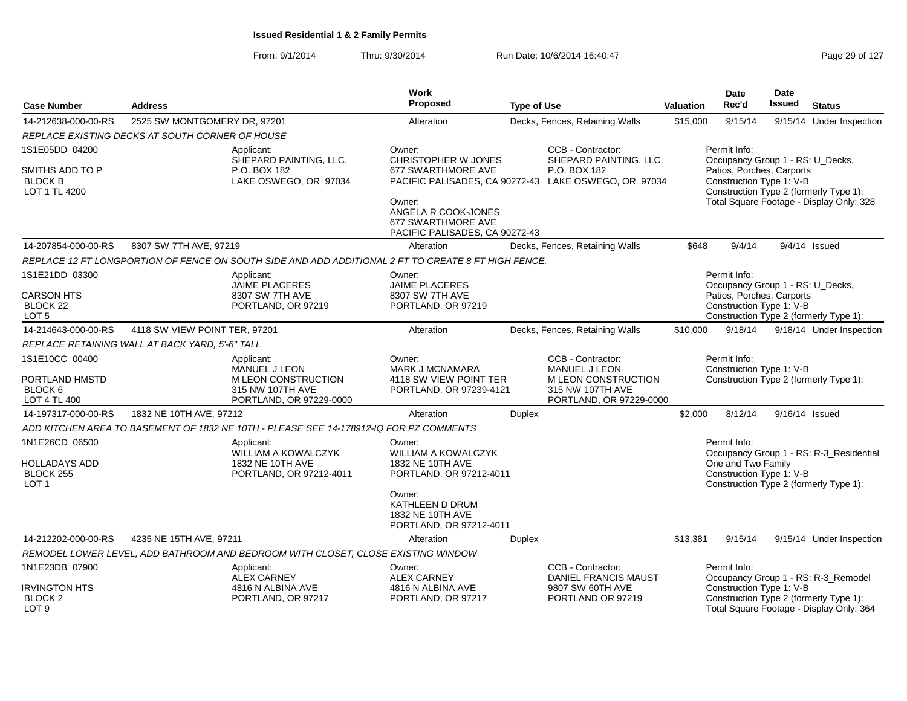|                                                                                |                                                 |                                                                                                          | Work                                                                                                    |                    |                                                                                                                 |                  | Date                                                                                                      | <b>Date</b>   |                                                                                    |
|--------------------------------------------------------------------------------|-------------------------------------------------|----------------------------------------------------------------------------------------------------------|---------------------------------------------------------------------------------------------------------|--------------------|-----------------------------------------------------------------------------------------------------------------|------------------|-----------------------------------------------------------------------------------------------------------|---------------|------------------------------------------------------------------------------------|
| <b>Case Number</b>                                                             | <b>Address</b>                                  |                                                                                                          | <b>Proposed</b>                                                                                         | <b>Type of Use</b> |                                                                                                                 | <b>Valuation</b> | Rec'd                                                                                                     | <b>Issued</b> | <b>Status</b>                                                                      |
| 14-212638-000-00-RS                                                            | 2525 SW MONTGOMERY DR, 97201                    |                                                                                                          | Alteration                                                                                              |                    | Decks, Fences, Retaining Walls                                                                                  | \$15,000         | 9/15/14                                                                                                   | 9/15/14       | Under Inspection                                                                   |
|                                                                                | REPLACE EXISTING DECKS AT SOUTH CORNER OF HOUSE |                                                                                                          |                                                                                                         |                    |                                                                                                                 |                  |                                                                                                           |               |                                                                                    |
| 1S1E05DD 04200                                                                 |                                                 | Applicant:                                                                                               | Owner:                                                                                                  |                    | CCB - Contractor:                                                                                               |                  | Permit Info:                                                                                              |               |                                                                                    |
| SMITHS ADD TO P<br><b>BLOCK B</b><br>LOT 1 TL 4200                             |                                                 | SHEPARD PAINTING, LLC.<br>P.O. BOX 182<br>LAKE OSWEGO, OR 97034                                          | <b>CHRISTOPHER W JONES</b><br>677 SWARTHMORE AVE<br>Owner:<br>ANGELA R COOK-JONES<br>677 SWARTHMORE AVE |                    | SHEPARD PAINTING, LLC.<br>P.O. BOX 182<br>PACIFIC PALISADES, CA 90272-43 LAKE OSWEGO, OR 97034                  |                  | Occupancy Group 1 - RS: U_Decks,<br>Patios, Porches, Carports<br>Construction Type 1: V-B                 |               | Construction Type 2 (formerly Type 1):<br>Total Square Footage - Display Only: 328 |
|                                                                                |                                                 |                                                                                                          | PACIFIC PALISADES, CA 90272-43                                                                          |                    |                                                                                                                 |                  |                                                                                                           |               |                                                                                    |
| 14-207854-000-00-RS                                                            | 8307 SW 7TH AVE, 97219                          |                                                                                                          | Alteration                                                                                              |                    | Decks, Fences, Retaining Walls                                                                                  | \$648            | 9/4/14                                                                                                    |               | $9/4/14$ Issued                                                                    |
|                                                                                |                                                 | REPLACE 12 FT LONGPORTION OF FENCE ON SOUTH SIDE AND ADD ADDITIONAL 2 FT TO CREATE 8 FT HIGH FENCE.      |                                                                                                         |                    |                                                                                                                 |                  |                                                                                                           |               |                                                                                    |
| 1S1E21DD 03300<br><b>CARSON HTS</b><br>BLOCK <sub>22</sub><br>LOT <sub>5</sub> |                                                 | Applicant:<br><b>JAIME PLACERES</b><br>8307 SW 7TH AVE<br>PORTLAND, OR 97219                             | Owner:<br><b>JAIME PLACERES</b><br>8307 SW 7TH AVE<br>PORTLAND, OR 97219                                |                    |                                                                                                                 |                  | Permit Info:<br>Occupancy Group 1 - RS: U_Decks,<br>Patios, Porches, Carports<br>Construction Type 1: V-B |               | Construction Type 2 (formerly Type 1):                                             |
| 14-214643-000-00-RS                                                            | 4118 SW VIEW POINT TER, 97201                   |                                                                                                          | Alteration                                                                                              |                    | Decks, Fences, Retaining Walls                                                                                  | \$10,000         | 9/18/14                                                                                                   |               | 9/18/14 Under Inspection                                                           |
|                                                                                | REPLACE RETAINING WALL AT BACK YARD, 5'-6" TALL |                                                                                                          |                                                                                                         |                    |                                                                                                                 |                  |                                                                                                           |               |                                                                                    |
| 1S1E10CC 00400<br>PORTLAND HMSTD<br>BLOCK 6<br>LOT 4 TL 400                    |                                                 | Applicant:<br><b>MANUEL J LEON</b><br>M LEON CONSTRUCTION<br>315 NW 107TH AVE<br>PORTLAND, OR 97229-0000 | Owner:<br><b>MARK J MCNAMARA</b><br>4118 SW VIEW POINT TER<br>PORTLAND, OR 97239-4121                   |                    | CCB - Contractor:<br><b>MANUEL J LEON</b><br>M LEON CONSTRUCTION<br>315 NW 107TH AVE<br>PORTLAND, OR 97229-0000 |                  | Permit Info:<br>Construction Type 1: V-B                                                                  |               | Construction Type 2 (formerly Type 1):                                             |
| 14-197317-000-00-RS                                                            | 1832 NE 10TH AVE, 97212                         |                                                                                                          | Alteration                                                                                              | <b>Duplex</b>      |                                                                                                                 | \$2,000          | 8/12/14                                                                                                   |               | 9/16/14 Issued                                                                     |
|                                                                                |                                                 | ADD KITCHEN AREA TO BASEMENT OF 1832 NE 10TH - PLEASE SEE 14-178912-IQ FOR PZ COMMENTS                   |                                                                                                         |                    |                                                                                                                 |                  |                                                                                                           |               |                                                                                    |
| 1N1E26CD 06500<br><b>HOLLADAYS ADD</b><br>BLOCK 255<br>LOT <sub>1</sub>        |                                                 | Applicant:<br><b>WILLIAM A KOWALCZYK</b><br>1832 NE 10TH AVE<br>PORTLAND, OR 97212-4011                  | Owner:<br><b>WILLIAM A KOWALCZYK</b><br>1832 NE 10TH AVE<br>PORTLAND, OR 97212-4011                     |                    |                                                                                                                 |                  | Permit Info:<br>One and Two Family<br>Construction Type 1: V-B                                            |               | Occupancy Group 1 - RS: R-3_Residential<br>Construction Type 2 (formerly Type 1):  |
|                                                                                |                                                 |                                                                                                          | Owner:<br>KATHLEEN D DRUM<br>1832 NE 10TH AVE<br>PORTLAND, OR 97212-4011                                |                    |                                                                                                                 |                  |                                                                                                           |               |                                                                                    |
| 14-212202-000-00-RS                                                            | 4235 NE 15TH AVE, 97211                         |                                                                                                          | Alteration                                                                                              | Duplex             |                                                                                                                 | \$13,381         | 9/15/14                                                                                                   |               | 9/15/14 Under Inspection                                                           |
|                                                                                |                                                 | REMODEL LOWER LEVEL, ADD BATHROOM AND BEDROOM WITH CLOSET, CLOSE EXISTING WINDOW                         |                                                                                                         |                    |                                                                                                                 |                  |                                                                                                           |               |                                                                                    |
| 1N1E23DB 07900                                                                 |                                                 | Applicant:<br><b>ALEX CARNEY</b>                                                                         | Owner:<br><b>ALEX CARNEY</b>                                                                            |                    | CCB - Contractor:<br>DANIEL FRANCIS MAUST                                                                       |                  | Permit Info:                                                                                              |               | Occupancy Group 1 - RS: R-3_Remodel                                                |
| <b>IRVINGTON HTS</b><br>BLOCK 2<br>LOT <sub>9</sub>                            |                                                 | 4816 N ALBINA AVE<br>PORTLAND, OR 97217                                                                  | 4816 N ALBINA AVE<br>PORTLAND, OR 97217                                                                 |                    | 9807 SW 60TH AVE<br>PORTLAND OR 97219                                                                           |                  | Construction Type 1: V-B                                                                                  |               | Construction Type 2 (formerly Type 1):<br>Total Square Footage - Display Only: 364 |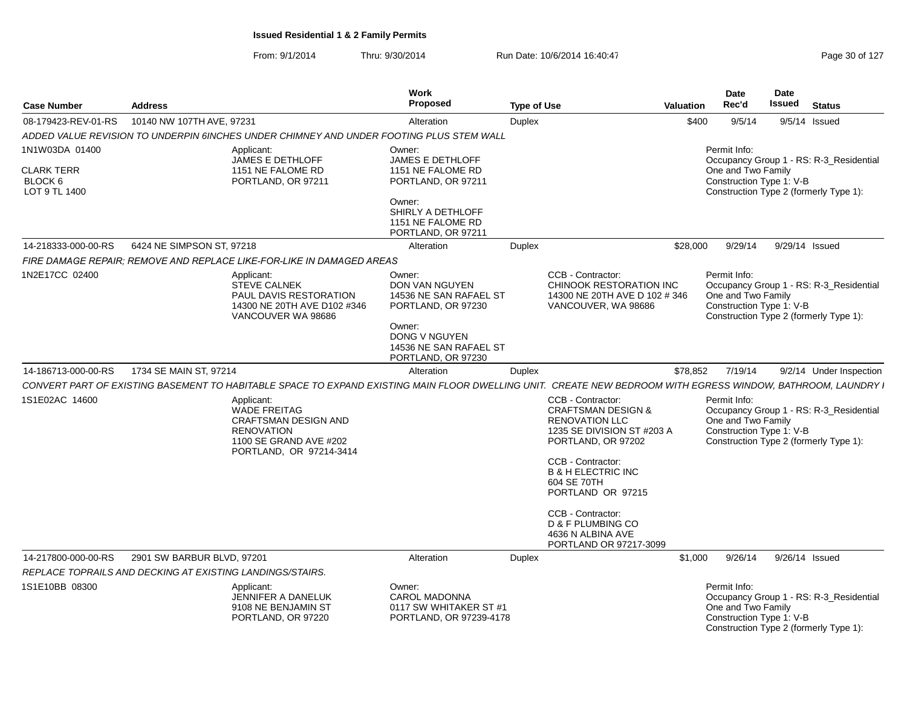| <b>Case Number</b>                                              | <b>Address</b>                                                                                                                                               | Work<br><b>Proposed</b>                                                                                                                                    | <b>Type of Use</b> | <b>Valuation</b>                                                                                                                                                                                                                                                                                                              | <b>Date</b><br>Rec'd                                           | <b>Date</b><br><b>Issued</b> | <b>Status</b>                                                                     |
|-----------------------------------------------------------------|--------------------------------------------------------------------------------------------------------------------------------------------------------------|------------------------------------------------------------------------------------------------------------------------------------------------------------|--------------------|-------------------------------------------------------------------------------------------------------------------------------------------------------------------------------------------------------------------------------------------------------------------------------------------------------------------------------|----------------------------------------------------------------|------------------------------|-----------------------------------------------------------------------------------|
| 08-179423-REV-01-RS                                             | 10140 NW 107TH AVE, 97231                                                                                                                                    | Alteration                                                                                                                                                 | Duplex             | \$400                                                                                                                                                                                                                                                                                                                         | 9/5/14                                                         |                              | $9/5/14$ Issued                                                                   |
|                                                                 | ADDED VALUE REVISION TO UNDERPIN 6INCHES UNDER CHIMNEY AND UNDER FOOTING PLUS STEM WALL                                                                      |                                                                                                                                                            |                    |                                                                                                                                                                                                                                                                                                                               |                                                                |                              |                                                                                   |
| 1N1W03DA 01400<br><b>CLARK TERR</b><br>BLOCK 6<br>LOT 9 TL 1400 | Applicant:<br><b>JAMES E DETHLOFF</b><br>1151 NE FALOME RD<br>PORTLAND, OR 97211                                                                             | Owner:<br><b>JAMES E DETHLOFF</b><br>1151 NE FALOME RD<br>PORTLAND, OR 97211<br>Owner:<br>SHIRLY A DETHLOFF<br>1151 NE FALOME RD<br>PORTLAND, OR 97211     |                    |                                                                                                                                                                                                                                                                                                                               | Permit Info:<br>One and Two Family<br>Construction Type 1: V-B |                              | Occupancy Group 1 - RS: R-3_Residential<br>Construction Type 2 (formerly Type 1): |
| 14-218333-000-00-RS                                             | 6424 NE SIMPSON ST, 97218                                                                                                                                    | Alteration                                                                                                                                                 | Duplex             | \$28,000                                                                                                                                                                                                                                                                                                                      | 9/29/14                                                        |                              | 9/29/14 Issued                                                                    |
|                                                                 | FIRE DAMAGE REPAIR; REMOVE AND REPLACE LIKE-FOR-LIKE IN DAMAGED AREAS                                                                                        |                                                                                                                                                            |                    |                                                                                                                                                                                                                                                                                                                               |                                                                |                              |                                                                                   |
| 1N2E17CC 02400                                                  | Applicant:<br><b>STEVE CALNEK</b><br>PAUL DAVIS RESTORATION<br>14300 NE 20TH AVE D102 #346<br>VANCOUVER WA 98686                                             | Owner:<br><b>DON VAN NGUYEN</b><br>14536 NE SAN RAFAEL ST<br>PORTLAND, OR 97230<br>Owner:<br>DONG V NGUYEN<br>14536 NE SAN RAFAEL ST<br>PORTLAND, OR 97230 |                    | CCB - Contractor:<br>CHINOOK RESTORATION INC<br>14300 NE 20TH AVE D 102 # 346<br>VANCOUVER, WA 98686                                                                                                                                                                                                                          | Permit Info:<br>One and Two Family<br>Construction Type 1: V-B |                              | Occupancy Group 1 - RS: R-3 Residential<br>Construction Type 2 (formerly Type 1): |
| 14-186713-000-00-RS                                             | 1734 SE MAIN ST, 97214                                                                                                                                       | Alteration                                                                                                                                                 | Duplex             | \$78,852                                                                                                                                                                                                                                                                                                                      | 7/19/14                                                        |                              | 9/2/14 Under Inspection                                                           |
|                                                                 | CONVERT PART OF EXISTING BASEMENT TO HABITABLE SPACE TO EXPAND EXISTING MAIN FLOOR DWELLING UNIT. CREATE NEW BEDROOM WITH EGRESS WINDOW, BATHROOM, LAUNDRY I |                                                                                                                                                            |                    |                                                                                                                                                                                                                                                                                                                               |                                                                |                              |                                                                                   |
| 1S1E02AC 14600                                                  | Applicant:<br><b>WADE FREITAG</b><br><b>CRAFTSMAN DESIGN AND</b><br><b>RENOVATION</b><br>1100 SE GRAND AVE #202<br>PORTLAND, OR 97214-3414                   |                                                                                                                                                            |                    | CCB - Contractor:<br><b>CRAFTSMAN DESIGN &amp;</b><br><b>RENOVATION LLC</b><br>1235 SE DIVISION ST #203 A<br>PORTLAND, OR 97202<br>CCB - Contractor:<br><b>B &amp; H ELECTRIC INC</b><br>604 SE 70TH<br>PORTLAND OR 97215<br>CCB - Contractor:<br><b>D &amp; F PLUMBING CO</b><br>4636 N ALBINA AVE<br>PORTLAND OR 97217-3099 | Permit Info:<br>One and Two Family<br>Construction Type 1: V-B |                              | Occupancy Group 1 - RS: R-3_Residential<br>Construction Type 2 (formerly Type 1): |
| 14-217800-000-00-RS                                             | 2901 SW BARBUR BLVD, 97201                                                                                                                                   | Alteration                                                                                                                                                 | Duplex             | \$1,000                                                                                                                                                                                                                                                                                                                       | 9/26/14                                                        |                              | 9/26/14 Issued                                                                    |
|                                                                 | REPLACE TOPRAILS AND DECKING AT EXISTING LANDINGS/STAIRS.                                                                                                    |                                                                                                                                                            |                    |                                                                                                                                                                                                                                                                                                                               |                                                                |                              |                                                                                   |
| 1S1E10BB 08300                                                  | Applicant:<br><b>JENNIFER A DANELUK</b><br>9108 NE BENJAMIN ST<br>PORTLAND, OR 97220                                                                         | Owner:<br>CAROL MADONNA<br>0117 SW WHITAKER ST #1<br>PORTLAND, OR 97239-4178                                                                               |                    |                                                                                                                                                                                                                                                                                                                               | Permit Info:<br>One and Two Family<br>Construction Type 1: V-B |                              | Occupancy Group 1 - RS: R-3_Residential<br>Construction Type 2 (formerly Type 1): |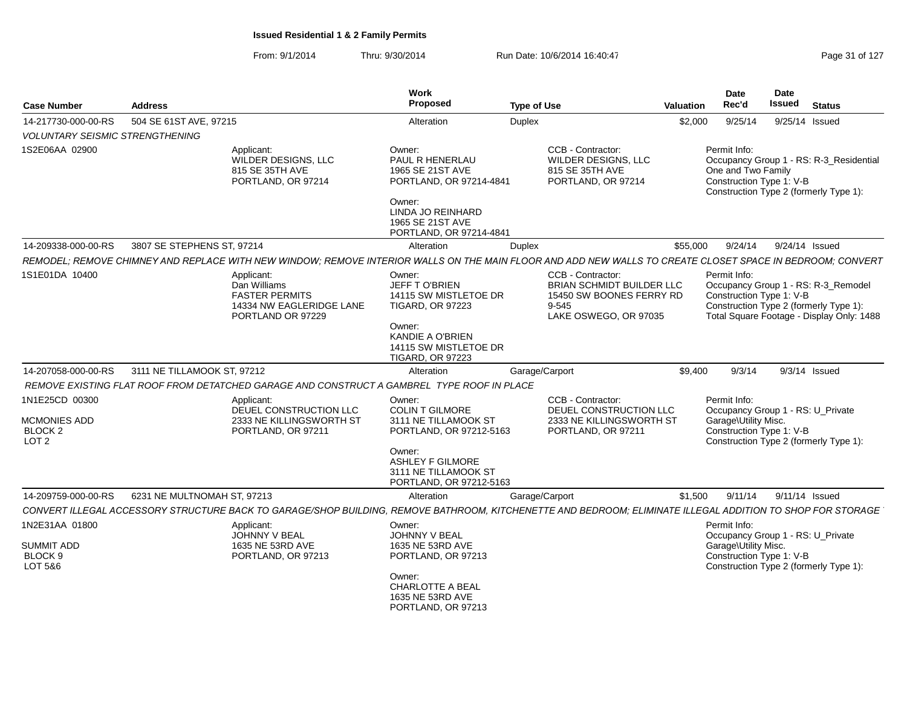| <b>Case Number</b>                                            | <b>Address</b>              |                                                                                                                                                            | Work<br><b>Proposed</b>                                                                                                                                              | <b>Type of Use</b> |                                                                                                              | Valuation | <b>Date</b><br>Rec'd                                           | <b>Date</b><br>Issued | <b>Status</b>                                                                                                              |
|---------------------------------------------------------------|-----------------------------|------------------------------------------------------------------------------------------------------------------------------------------------------------|----------------------------------------------------------------------------------------------------------------------------------------------------------------------|--------------------|--------------------------------------------------------------------------------------------------------------|-----------|----------------------------------------------------------------|-----------------------|----------------------------------------------------------------------------------------------------------------------------|
| 14-217730-000-00-RS<br><b>VOLUNTARY SEISMIC STRENGTHENING</b> | 504 SE 61ST AVE, 97215      |                                                                                                                                                            | Alteration                                                                                                                                                           | <b>Duplex</b>      |                                                                                                              | \$2,000   | 9/25/14                                                        |                       | 9/25/14 Issued                                                                                                             |
| 1S2E06AA 02900                                                |                             | Applicant:<br><b>WILDER DESIGNS, LLC</b><br>815 SE 35TH AVE<br>PORTLAND, OR 97214                                                                          | Owner:<br>PAUL R HENERLAU<br>1965 SE 21ST AVE<br>PORTLAND, OR 97214-4841<br>Owner:<br>LINDA JO REINHARD<br>1965 SE 21ST AVE<br>PORTLAND, OR 97214-4841               |                    | CCB - Contractor:<br>WILDER DESIGNS, LLC<br>815 SE 35TH AVE<br>PORTLAND, OR 97214                            |           | Permit Info:<br>One and Two Family<br>Construction Type 1: V-B |                       | Occupancy Group 1 - RS: R-3_Residential<br>Construction Type 2 (formerly Type 1):                                          |
| 14-209338-000-00-RS                                           | 3807 SE STEPHENS ST, 97214  |                                                                                                                                                            | Alteration                                                                                                                                                           | Duplex             |                                                                                                              | \$55,000  | 9/24/14                                                        |                       | 9/24/14 Issued                                                                                                             |
|                                                               |                             | REMODEL; REMOVE CHIMNEY AND REPLACE WITH NEW WINDOW; REMOVE INTERIOR WALLS ON THE MAIN FLOOR AND ADD NEW WALLS TO CREATE CLOSET SPACE IN BEDROOM; CONVERT  |                                                                                                                                                                      |                    |                                                                                                              |           |                                                                |                       |                                                                                                                            |
| 1S1E01DA 10400                                                |                             | Applicant:<br>Dan Williams<br><b>FASTER PERMITS</b><br>14334 NW EAGLERIDGE LANE<br>PORTLAND OR 97229                                                       | Owner:<br><b>JEFF TO'BRIEN</b><br>14115 SW MISTLETOE DR<br><b>TIGARD, OR 97223</b><br>Owner:<br>KANDIE A O'BRIEN<br>14115 SW MISTLETOE DR<br><b>TIGARD, OR 97223</b> |                    | CCB - Contractor:<br>BRIAN SCHMIDT BUILDER LLC<br>15450 SW BOONES FERRY RD<br>9-545<br>LAKE OSWEGO, OR 97035 |           | Permit Info:<br>Construction Type 1: V-B                       |                       | Occupancy Group 1 - RS: R-3_Remodel<br>Construction Type 2 (formerly Type 1):<br>Total Square Footage - Display Only: 1488 |
| 14-207058-000-00-RS                                           | 3111 NE TILLAMOOK ST, 97212 |                                                                                                                                                            | Alteration                                                                                                                                                           | Garage/Carport     |                                                                                                              | \$9,400   | 9/3/14                                                         |                       | $9/3/14$ Issued                                                                                                            |
|                                                               |                             | REMOVE EXISTING FLAT ROOF FROM DETATCHED GARAGE AND CONSTRUCT A GAMBREL TYPE ROOF IN PLACE                                                                 |                                                                                                                                                                      |                    |                                                                                                              |           |                                                                |                       |                                                                                                                            |
| 1N1E25CD 00300                                                |                             | Applicant:                                                                                                                                                 | Owner:                                                                                                                                                               |                    | CCB - Contractor:                                                                                            |           | Permit Info:                                                   |                       |                                                                                                                            |
|                                                               |                             | DEUEL CONSTRUCTION LLC                                                                                                                                     | <b>COLIN T GILMORE</b>                                                                                                                                               |                    | DEUEL CONSTRUCTION LLC                                                                                       |           |                                                                |                       | Occupancy Group 1 - RS: U_Private                                                                                          |
| MCMONIES ADD                                                  |                             | 2333 NE KILLINGSWORTH ST                                                                                                                                   | 3111 NE TILLAMOOK ST                                                                                                                                                 |                    | 2333 NE KILLINGSWORTH ST                                                                                     |           | Garage\Utility Misc.                                           |                       |                                                                                                                            |
| BLOCK <sub>2</sub><br>LOT <sub>2</sub>                        |                             | PORTLAND, OR 97211                                                                                                                                         | PORTLAND, OR 97212-5163                                                                                                                                              |                    | PORTLAND, OR 97211                                                                                           |           | Construction Type 1: V-B                                       |                       | Construction Type 2 (formerly Type 1):                                                                                     |
|                                                               |                             |                                                                                                                                                            | Owner:<br><b>ASHLEY F GILMORE</b><br>3111 NE TILLAMOOK ST<br>PORTLAND, OR 97212-5163                                                                                 |                    |                                                                                                              |           |                                                                |                       |                                                                                                                            |
| 14-209759-000-00-RS                                           | 6231 NE MULTNOMAH ST, 97213 |                                                                                                                                                            | Alteration                                                                                                                                                           | Garage/Carport     |                                                                                                              | \$1,500   | 9/11/14                                                        |                       | 9/11/14 Issued                                                                                                             |
|                                                               |                             | CONVERT ILLEGAL ACCESSORY STRUCTURE BACK TO GARAGE/SHOP BUILDING, REMOVE BATHROOM, KITCHENETTE AND BEDROOM; ELIMINATE ILLEGAL ADDITION TO SHOP FOR STORAGE |                                                                                                                                                                      |                    |                                                                                                              |           |                                                                |                       |                                                                                                                            |
| 1N2E31AA 01800                                                |                             | Applicant:                                                                                                                                                 | Owner:                                                                                                                                                               |                    |                                                                                                              |           | Permit Info:                                                   |                       |                                                                                                                            |
|                                                               |                             | <b>JOHNNY V BEAL</b>                                                                                                                                       | JOHNNY V BEAL                                                                                                                                                        |                    |                                                                                                              |           |                                                                |                       | Occupancy Group 1 - RS: U_Private                                                                                          |
| <b>SUMMIT ADD</b>                                             |                             | 1635 NE 53RD AVE                                                                                                                                           | 1635 NE 53RD AVE                                                                                                                                                     |                    |                                                                                                              |           | Garage\Utility Misc.                                           |                       |                                                                                                                            |
| BLOCK 9<br>LOT 5&6                                            |                             | PORTLAND, OR 97213                                                                                                                                         | PORTLAND, OR 97213                                                                                                                                                   |                    |                                                                                                              |           | Construction Type 1: V-B                                       |                       | Construction Type 2 (formerly Type 1):                                                                                     |
|                                                               |                             |                                                                                                                                                            | Owner:                                                                                                                                                               |                    |                                                                                                              |           |                                                                |                       |                                                                                                                            |
|                                                               |                             |                                                                                                                                                            | CHARLOTTE A BEAL                                                                                                                                                     |                    |                                                                                                              |           |                                                                |                       |                                                                                                                            |
|                                                               |                             |                                                                                                                                                            | 1635 NE 53RD AVE                                                                                                                                                     |                    |                                                                                                              |           |                                                                |                       |                                                                                                                            |
|                                                               |                             |                                                                                                                                                            | PORTLAND, OR 97213                                                                                                                                                   |                    |                                                                                                              |           |                                                                |                       |                                                                                                                            |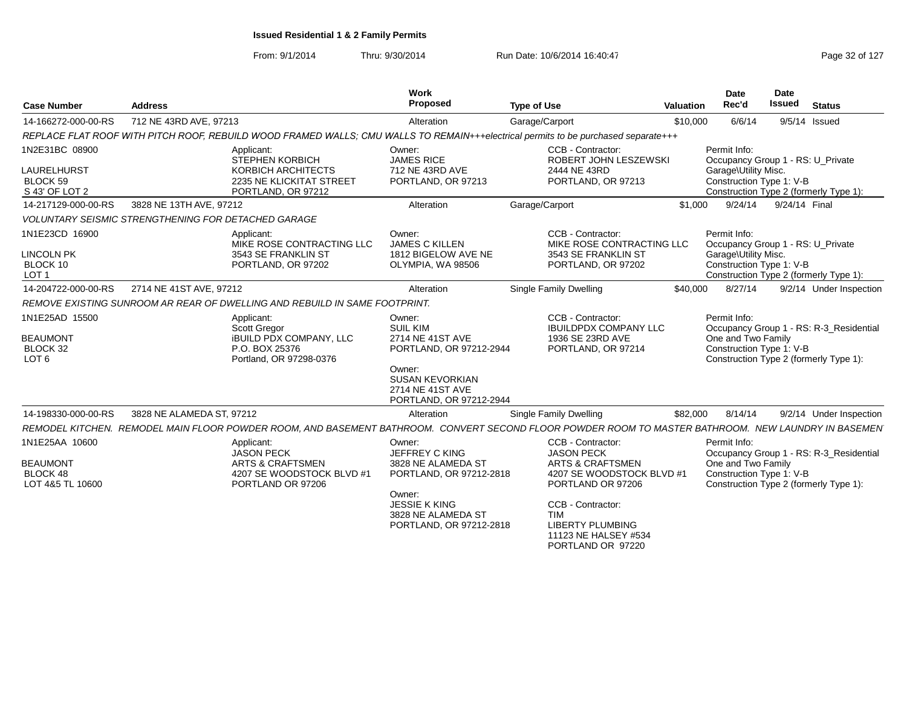From: 9/1/2014Thru: 9/30/2014 Run Date: 10/6/2014 16:40:47 Run Date: 10/6/2014 16:40:47

| 712 NE 43RD AVE, 97213<br>6/6/14<br>Garage/Carport<br>\$10,000<br>9/5/14 Issued<br>14-166272-000-00-RS<br>Alteration<br>REPLACE FLAT ROOF WITH PITCH ROOF, REBUILD WOOD FRAMED WALLS; CMU WALLS TO REMAIN+++electrical permits to be purchased separate+++<br>1N2E31BC 08900<br>CCB - Contractor:<br>Permit Info:<br>Applicant:<br>Owner:<br><b>JAMES RICE</b><br><b>STEPHEN KORBICH</b><br>ROBERT JOHN LESZEWSKI<br>Occupancy Group 1 - RS: U Private<br>KORBICH ARCHITECTS<br>712 NE 43RD AVE<br>Garage\Utility Misc.<br><b>LAURELHURST</b><br>2444 NE 43RD<br>BLOCK 59<br>Construction Type 1: V-B<br>2235 NE KLICKITAT STREET<br>PORTLAND, OR 97213<br>PORTLAND, OR 97213                         |                         |
|-------------------------------------------------------------------------------------------------------------------------------------------------------------------------------------------------------------------------------------------------------------------------------------------------------------------------------------------------------------------------------------------------------------------------------------------------------------------------------------------------------------------------------------------------------------------------------------------------------------------------------------------------------------------------------------------------------|-------------------------|
|                                                                                                                                                                                                                                                                                                                                                                                                                                                                                                                                                                                                                                                                                                       |                         |
|                                                                                                                                                                                                                                                                                                                                                                                                                                                                                                                                                                                                                                                                                                       |                         |
| S 43' OF LOT 2<br>PORTLAND, OR 97212<br>Construction Type 2 (formerly Type 1):                                                                                                                                                                                                                                                                                                                                                                                                                                                                                                                                                                                                                        |                         |
| Garage/Carport<br>\$1,000<br>9/24/14<br>9/24/14 Final<br>14-217129-000-00-RS<br>3828 NE 13TH AVE, 97212<br>Alteration                                                                                                                                                                                                                                                                                                                                                                                                                                                                                                                                                                                 |                         |
| <b>VOLUNTARY SEISMIC STRENGTHENING FOR DETACHED GARAGE</b>                                                                                                                                                                                                                                                                                                                                                                                                                                                                                                                                                                                                                                            |                         |
| 1N1E23CD 16900<br>CCB - Contractor:<br>Permit Info:<br>Applicant:<br>Owner:<br><b>JAMES C KILLEN</b><br>Occupancy Group 1 - RS: U_Private<br>MIKE ROSE CONTRACTING LLC<br>MIKE ROSE CONTRACTING LLC<br><b>LINCOLN PK</b><br>3543 SE FRANKLIN ST<br>1812 BIGELOW AVE NE<br>3543 SE FRANKLIN ST<br>Garage\Utility Misc.<br>BLOCK 10<br>Construction Type 1: V-B<br>PORTLAND, OR 97202<br>OLYMPIA, WA 98506<br>PORTLAND, OR 97202<br>Construction Type 2 (formerly Type 1):<br>LOT <sub>1</sub>                                                                                                                                                                                                          |                         |
| 2714 NE 41ST AVE, 97212<br>Single Family Dwelling<br>\$40,000<br>8/27/14<br>14-204722-000-00-RS<br>Alteration                                                                                                                                                                                                                                                                                                                                                                                                                                                                                                                                                                                         | 9/2/14 Under Inspection |
| REMOVE EXISTING SUNROOM AR REAR OF DWELLING AND REBUILD IN SAME FOOTPRINT.                                                                                                                                                                                                                                                                                                                                                                                                                                                                                                                                                                                                                            |                         |
| 1N1E25AD 15500<br>CCB - Contractor:<br>Permit Info:<br>Applicant:<br>Owner:<br><b>SUIL KIM</b><br>Occupancy Group 1 - RS: R-3_Residential<br>Scott Gregor<br><b>IBUILDPDX COMPANY LLC</b><br><b>BEAUMONT</b><br><b>IBUILD PDX COMPANY, LLC</b><br>2714 NE 41ST AVE<br>1936 SE 23RD AVE<br>One and Two Family<br>Construction Type 1: V-B<br>BLOCK 32<br>P.O. BOX 25376<br>PORTLAND, OR 97212-2944<br>PORTLAND, OR 97214<br>LOT <sub>6</sub><br>Portland, OR 97298-0376<br>Construction Type 2 (formerly Type 1):<br>Owner:<br><b>SUSAN KEVORKIAN</b><br>2714 NE 41ST AVE<br>PORTLAND, OR 97212-2944                                                                                                   |                         |
| 14-198330-000-00-RS<br>3828 NE ALAMEDA ST, 97212<br>Single Family Dwelling<br>\$82,000<br>8/14/14<br>Alteration                                                                                                                                                                                                                                                                                                                                                                                                                                                                                                                                                                                       | 9/2/14 Under Inspection |
| REMODEL KITCHEN. REMODEL MAIN FLOOR POWDER ROOM. AND BASEMENT BATHROOM. CONVERT SECOND FLOOR POWDER ROOM TO MASTER BATHROOM. NEW LAUNDRY IN BASEMEN                                                                                                                                                                                                                                                                                                                                                                                                                                                                                                                                                   |                         |
| 1N1E25AA 10600<br>CCB - Contractor:<br>Permit Info:<br>Applicant:<br>Owner:<br><b>JASON PECK</b><br>JEFFREY C KING<br>Occupancy Group 1 - RS: R-3 Residential<br><b>JASON PECK</b><br><b>BEAUMONT</b><br><b>ARTS &amp; CRAFTSMEN</b><br>3828 NE ALAMEDA ST<br>One and Two Family<br><b>ARTS &amp; CRAFTSMEN</b><br>BLOCK 48<br>Construction Type 1: V-B<br>4207 SE WOODSTOCK BLVD #1<br>PORTLAND, OR 97212-2818<br>4207 SE WOODSTOCK BLVD #1<br>LOT 4&5 TL 10600<br>PORTLAND OR 97206<br>PORTLAND OR 97206<br>Construction Type 2 (formerly Type 1):<br>Owner:<br><b>JESSIE K KING</b><br>CCB - Contractor:<br>3828 NE ALAMEDA ST<br><b>TIM</b><br><b>LIBERTY PLUMBING</b><br>PORTLAND, OR 97212-2818 |                         |

PORTLAND OR 97220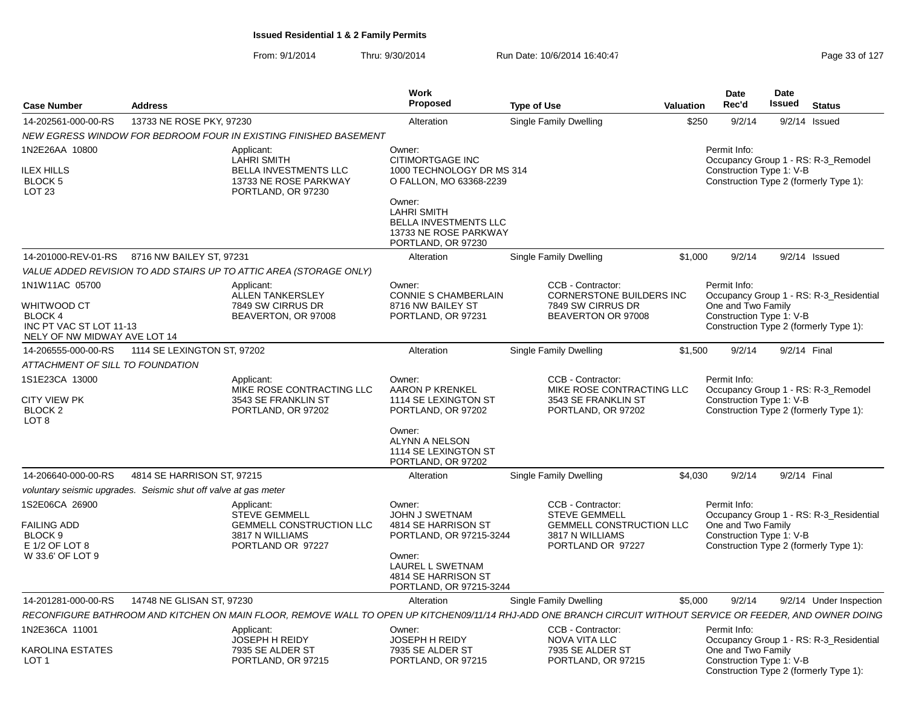| <b>Case Number</b><br><b>Address</b>                                                                |                             |                                                                                                                                                              | <b>Work</b><br><b>Proposed</b>                                                                                                                                                                    | <b>Type of Use</b>                                                                                                   | Valuation | Date<br>Rec'd                                                  | <b>Date</b><br>Issued | <b>Status</b>                                                                     |
|-----------------------------------------------------------------------------------------------------|-----------------------------|--------------------------------------------------------------------------------------------------------------------------------------------------------------|---------------------------------------------------------------------------------------------------------------------------------------------------------------------------------------------------|----------------------------------------------------------------------------------------------------------------------|-----------|----------------------------------------------------------------|-----------------------|-----------------------------------------------------------------------------------|
| 14-202561-000-00-RS                                                                                 | 13733 NE ROSE PKY, 97230    |                                                                                                                                                              | Alteration                                                                                                                                                                                        | Single Family Dwelling                                                                                               | \$250     | 9/2/14                                                         |                       | $9/2/14$ Issued                                                                   |
|                                                                                                     |                             | NEW EGRESS WINDOW FOR BEDROOM FOUR IN EXISTING FINISHED BASEMENT                                                                                             |                                                                                                                                                                                                   |                                                                                                                      |           |                                                                |                       |                                                                                   |
| 1N2E26AA 10800<br>ILEX HILLS<br><b>BLOCK 5</b><br>LOT <sub>23</sub>                                 |                             | Applicant:<br><b>LAHRI SMITH</b><br>BELLA INVESTMENTS LLC<br>13733 NE ROSE PARKWAY<br>PORTLAND, OR 97230                                                     | Owner:<br><b>CITIMORTGAGE INC</b><br>1000 TECHNOLOGY DR MS 314<br>O FALLON, MO 63368-2239<br>Owner:<br><b>LAHRI SMITH</b><br>BELLA INVESTMENTS LLC<br>13733 NE ROSE PARKWAY<br>PORTLAND, OR 97230 |                                                                                                                      |           | Permit Info:<br>Construction Type 1: V-B                       |                       | Occupancy Group 1 - RS: R-3_Remodel<br>Construction Type 2 (formerly Type 1):     |
| 14-201000-REV-01-RS                                                                                 | 8716 NW BAILEY ST, 97231    |                                                                                                                                                              | Alteration                                                                                                                                                                                        | <b>Single Family Dwelling</b>                                                                                        | \$1,000   | 9/2/14                                                         |                       | $9/2/14$ Issued                                                                   |
|                                                                                                     |                             | VALUE ADDED REVISION TO ADD STAIRS UP TO ATTIC AREA (STORAGE ONLY)                                                                                           |                                                                                                                                                                                                   |                                                                                                                      |           |                                                                |                       |                                                                                   |
| 1N1W11AC 05700<br>WHITWOOD CT<br>BLOCK 4<br>INC PT VAC ST LOT 11-13<br>NELY OF NW MIDWAY AVE LOT 14 |                             | Applicant:<br><b>ALLEN TANKERSLEY</b><br>7849 SW CIRRUS DR<br>BEAVERTON, OR 97008                                                                            | Owner:<br><b>CONNIE S CHAMBERLAIN</b><br>8716 NW BAILEY ST<br>PORTLAND, OR 97231                                                                                                                  | CCB - Contractor:<br><b>CORNERSTONE BUILDERS INC</b><br>7849 SW CIRRUS DR<br>BEAVERTON OR 97008                      |           | Permit Info:<br>One and Two Family<br>Construction Type 1: V-B |                       | Occupancy Group 1 - RS: R-3_Residential<br>Construction Type 2 (formerly Type 1): |
| 14-206555-000-00-RS                                                                                 | 1114 SE LEXINGTON ST, 97202 |                                                                                                                                                              | Alteration                                                                                                                                                                                        | <b>Single Family Dwelling</b>                                                                                        | \$1,500   | 9/2/14                                                         | 9/2/14 Final          |                                                                                   |
| ATTACHMENT OF SILL TO FOUNDATION                                                                    |                             |                                                                                                                                                              |                                                                                                                                                                                                   |                                                                                                                      |           |                                                                |                       |                                                                                   |
| 1S1E23CA 13000<br><b>CITY VIEW PK</b><br>BLOCK <sub>2</sub><br>LOT <sub>8</sub>                     |                             | Applicant:<br>MIKE ROSE CONTRACTING LLC<br>3543 SE FRANKLIN ST<br>PORTLAND, OR 97202                                                                         | Owner:<br><b>AARON P KRENKEL</b><br>1114 SE LEXINGTON ST<br>PORTLAND, OR 97202<br>Owner:<br><b>ALYNN A NELSON</b><br>1114 SE LEXINGTON ST<br>PORTLAND, OR 97202                                   | CCB - Contractor:<br>MIKE ROSE CONTRACTING LLC<br>3543 SE FRANKLIN ST<br>PORTLAND, OR 97202                          |           | Permit Info:<br>Construction Type 1: V-B                       |                       | Occupancy Group 1 - RS: R-3_Remodel<br>Construction Type 2 (formerly Type 1):     |
| 14-206640-000-00-RS                                                                                 | 4814 SE HARRISON ST, 97215  |                                                                                                                                                              | Alteration                                                                                                                                                                                        | <b>Single Family Dwelling</b>                                                                                        | \$4,030   | 9/2/14                                                         |                       | 9/2/14 Final                                                                      |
| voluntary seismic upgrades. Seismic shut off valve at gas meter                                     |                             |                                                                                                                                                              |                                                                                                                                                                                                   |                                                                                                                      |           |                                                                |                       |                                                                                   |
| 1S2E06CA 26900<br><b>FAILING ADD</b><br>BLOCK 9<br>E 1/2 OF LOT 8<br>W 33.6' OF LOT 9               |                             | Applicant:<br><b>STEVE GEMMELL</b><br><b>GEMMELL CONSTRUCTION LLC</b><br>3817 N WILLIAMS<br>PORTLAND OR 97227                                                | Owner:<br><b>JOHN J SWETNAM</b><br>4814 SE HARRISON ST<br>PORTLAND, OR 97215-3244<br>Owner:<br>LAUREL L SWETNAM<br>4814 SE HARRISON ST<br>PORTLAND, OR 97215-3244                                 | CCB - Contractor:<br><b>STEVE GEMMELL</b><br><b>GEMMELL CONSTRUCTION LLC</b><br>3817 N WILLIAMS<br>PORTLAND OR 97227 |           | Permit Info:<br>One and Two Family<br>Construction Type 1: V-B |                       | Occupancy Group 1 - RS: R-3_Residential<br>Construction Type 2 (formerly Type 1): |
| 14-201281-000-00-RS                                                                                 | 14748 NE GLISAN ST, 97230   |                                                                                                                                                              | Alteration                                                                                                                                                                                        | <b>Single Family Dwelling</b>                                                                                        | \$5,000   | 9/2/14                                                         |                       | 9/2/14 Under Inspection                                                           |
|                                                                                                     |                             | RECONFIGURE BATHROOM AND KITCHEN ON MAIN FLOOR, REMOVE WALL TO OPEN UP KITCHEN09/11/14 RHJ-ADD ONE BRANCH CIRCUIT WITHOUT SERVICE OR FEEDER, AND OWNER DOING |                                                                                                                                                                                                   |                                                                                                                      |           |                                                                |                       |                                                                                   |
| 1N2E36CA 11001<br><b>KAROLINA ESTATES</b>                                                           |                             | Applicant:<br>JOSEPH H REIDY<br>7935 SE ALDER ST                                                                                                             | Owner:<br><b>JOSEPH H REIDY</b><br>7935 SE ALDER ST                                                                                                                                               | CCB - Contractor:<br><b>NOVA VITA LLC</b><br>7935 SE ALDER ST                                                        |           | Permit Info:<br>One and Two Family                             |                       | Occupancy Group 1 - RS: R-3_Residential                                           |
| LOT 1                                                                                               |                             | PORTLAND, OR 97215                                                                                                                                           | PORTLAND, OR 97215                                                                                                                                                                                | PORTLAND, OR 97215                                                                                                   |           | Construction Type 1: V-B                                       |                       | Construction Type 2 (formerly Type 1):                                            |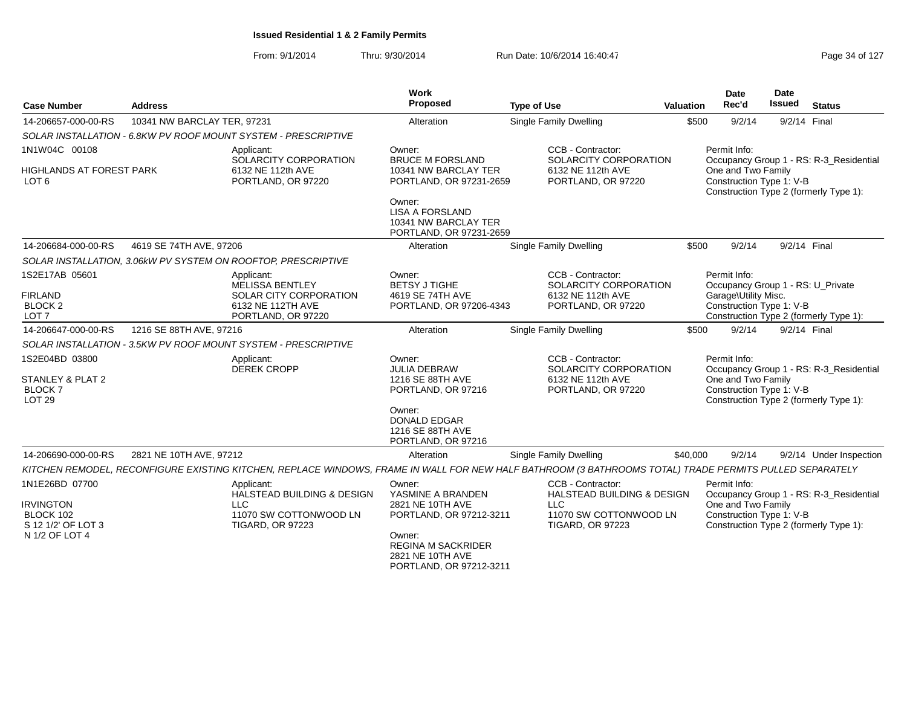| <b>Case Number</b>                                                                      | <b>Address</b>              |                                                                                                                                                         | Work<br>Proposed                                                                                                                                                 | <b>Type of Use</b>                                                                                                     | Valuation                                                                                                                                           | <b>Date</b><br>Rec'd                                                                                                                | <b>Date</b><br><b>Issued</b> | <b>Status</b>                                                                     |
|-----------------------------------------------------------------------------------------|-----------------------------|---------------------------------------------------------------------------------------------------------------------------------------------------------|------------------------------------------------------------------------------------------------------------------------------------------------------------------|------------------------------------------------------------------------------------------------------------------------|-----------------------------------------------------------------------------------------------------------------------------------------------------|-------------------------------------------------------------------------------------------------------------------------------------|------------------------------|-----------------------------------------------------------------------------------|
| 14-206657-000-00-RS                                                                     | 10341 NW BARCLAY TER, 97231 |                                                                                                                                                         | Alteration                                                                                                                                                       | <b>Single Family Dwelling</b>                                                                                          | \$500                                                                                                                                               | 9/2/14                                                                                                                              | 9/2/14 Final                 |                                                                                   |
|                                                                                         |                             | SOLAR INSTALLATION - 6.8KW PV ROOF MOUNT SYSTEM - PRESCRIPTIVE                                                                                          |                                                                                                                                                                  |                                                                                                                        |                                                                                                                                                     |                                                                                                                                     |                              |                                                                                   |
| 1N1W04C 00108                                                                           |                             | Applicant:                                                                                                                                              | Owner:                                                                                                                                                           | CCB - Contractor:                                                                                                      |                                                                                                                                                     | Permit Info:                                                                                                                        |                              |                                                                                   |
| <b>HIGHLANDS AT FOREST PARK</b><br>LOT 6                                                |                             | SOLARCITY CORPORATION<br>6132 NE 112th AVE<br>PORTLAND, OR 97220                                                                                        | <b>BRUCE M FORSLAND</b><br>10341 NW BARCLAY TER<br>PORTLAND, OR 97231-2659                                                                                       | <b>SOLARCITY CORPORATION</b><br>6132 NE 112th AVE<br>PORTLAND, OR 97220                                                |                                                                                                                                                     | Occupancy Group 1 - RS: R-3_Residential<br>One and Two Family<br>Construction Type 1: V-B<br>Construction Type 2 (formerly Type 1): |                              |                                                                                   |
|                                                                                         |                             |                                                                                                                                                         | Owner:<br><b>LISA A FORSLAND</b><br>10341 NW BARCLAY TER<br>PORTLAND, OR 97231-2659                                                                              |                                                                                                                        |                                                                                                                                                     |                                                                                                                                     |                              |                                                                                   |
| 14-206684-000-00-RS                                                                     | 4619 SE 74TH AVE, 97206     |                                                                                                                                                         | Alteration                                                                                                                                                       | <b>Single Family Dwelling</b>                                                                                          | \$500                                                                                                                                               | 9/2/14                                                                                                                              | 9/2/14 Final                 |                                                                                   |
|                                                                                         |                             | SOLAR INSTALLATION, 3.06kW PV SYSTEM ON ROOFTOP, PRESCRIPTIVE                                                                                           |                                                                                                                                                                  |                                                                                                                        |                                                                                                                                                     |                                                                                                                                     |                              |                                                                                   |
| 1S2E17AB 05601<br><b>FIRLAND</b><br><b>BLOCK 2</b><br>LOT <sub>7</sub>                  |                             | Applicant:<br><b>MELISSA BENTLEY</b><br>SOLAR CITY CORPORATION<br>6132 NE 112TH AVE<br>PORTLAND, OR 97220                                               | Owner:<br><b>BETSY J TIGHE</b><br>4619 SE 74TH AVE<br>PORTLAND, OR 97206-4343                                                                                    | CCB - Contractor:<br>SOLARCITY CORPORATION<br>6132 NE 112th AVE<br>PORTLAND, OR 97220                                  |                                                                                                                                                     | Permit Info:<br>Occupancy Group 1 - RS: U Private<br>Garage\Utility Misc.<br>Construction Type 1: V-B                               |                              | Construction Type 2 (formerly Type 1):                                            |
| 14-206647-000-00-RS                                                                     | 1216 SE 88TH AVE, 97216     |                                                                                                                                                         | Alteration                                                                                                                                                       | Single Family Dwelling                                                                                                 | \$500                                                                                                                                               | 9/2/14                                                                                                                              | 9/2/14 Final                 |                                                                                   |
|                                                                                         |                             | SOLAR INSTALLATION - 3.5KW PV ROOF MOUNT SYSTEM - PRESCRIPTIVE                                                                                          |                                                                                                                                                                  |                                                                                                                        |                                                                                                                                                     |                                                                                                                                     |                              |                                                                                   |
| 1S2E04BD 03800<br>STANLEY & PLAT 2<br><b>BLOCK7</b><br><b>LOT 29</b>                    |                             | Applicant:<br><b>DEREK CROPP</b>                                                                                                                        | Owner:<br><b>JULIA DEBRAW</b><br>1216 SE 88TH AVE<br>PORTLAND, OR 97216                                                                                          | CCB - Contractor:<br>SOLARCITY CORPORATION<br>6132 NE 112th AVE<br>PORTLAND, OR 97220                                  | Permit Info:<br>Occupancy Group 1 - RS: R-3 Residential<br>One and Two Family<br>Construction Type 1: V-B<br>Construction Type 2 (formerly Type 1): |                                                                                                                                     |                              |                                                                                   |
|                                                                                         |                             |                                                                                                                                                         | Owner:<br><b>DONALD EDGAR</b><br>1216 SE 88TH AVE<br>PORTLAND, OR 97216                                                                                          |                                                                                                                        |                                                                                                                                                     |                                                                                                                                     |                              |                                                                                   |
| 14-206690-000-00-RS                                                                     | 2821 NE 10TH AVE, 97212     |                                                                                                                                                         | Alteration                                                                                                                                                       | Single Family Dwelling                                                                                                 | \$40,000                                                                                                                                            | 9/2/14                                                                                                                              |                              | 9/2/14 Under Inspection                                                           |
|                                                                                         |                             | KITCHEN REMODEL, RECONFIGURE EXISTING KITCHEN, REPLACE WINDOWS, FRAME IN WALL FOR NEW HALF BATHROOM (3 BATHROOMS TOTAL) TRADE PERMITS PULLED SEPARATELY |                                                                                                                                                                  |                                                                                                                        |                                                                                                                                                     |                                                                                                                                     |                              |                                                                                   |
| 1N1E26BD 07700<br><b>IRVINGTON</b><br>BLOCK 102<br>S 12 1/2' OF LOT 3<br>N 1/2 OF LOT 4 |                             | Applicant:<br><b>HALSTEAD BUILDING &amp; DESIGN</b><br><b>LLC</b><br>11070 SW COTTONWOOD LN<br><b>TIGARD, OR 97223</b>                                  | Owner:<br>YASMINE A BRANDEN<br>2821 NE 10TH AVE<br>PORTLAND, OR 97212-3211<br>Owner:<br><b>REGINA M SACKRIDER</b><br>2821 NE 10TH AVE<br>PORTLAND, OR 97212-3211 | CCB - Contractor:<br><b>HALSTEAD BUILDING &amp; DESIGN</b><br>LLC<br>11070 SW COTTONWOOD LN<br><b>TIGARD, OR 97223</b> |                                                                                                                                                     | Permit Info:<br>One and Two Family<br>Construction Type 1: V-B                                                                      |                              | Occupancy Group 1 - RS: R-3 Residential<br>Construction Type 2 (formerly Type 1): |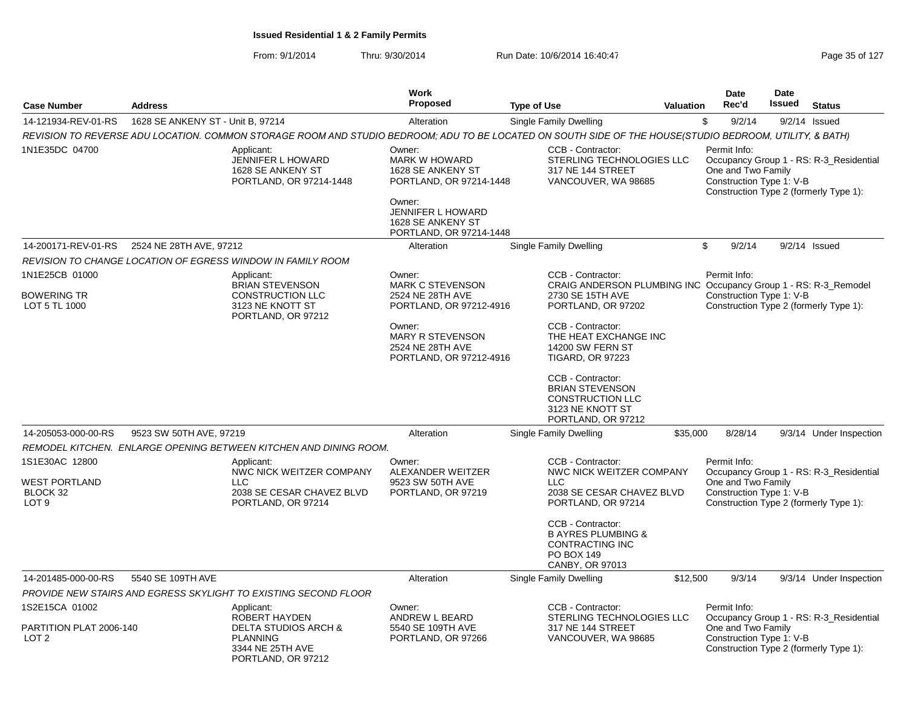|                                                                        |                                   |                                                                                                                                                         | <b>Work</b>                                                                              |                                                                                                                  |                  | <b>Date</b>                                                    | Date          |                                                                                   |
|------------------------------------------------------------------------|-----------------------------------|---------------------------------------------------------------------------------------------------------------------------------------------------------|------------------------------------------------------------------------------------------|------------------------------------------------------------------------------------------------------------------|------------------|----------------------------------------------------------------|---------------|-----------------------------------------------------------------------------------|
| <b>Case Number</b>                                                     | <b>Address</b>                    |                                                                                                                                                         | <b>Proposed</b>                                                                          | <b>Type of Use</b>                                                                                               | <b>Valuation</b> | Rec'd                                                          | <b>Issued</b> | <b>Status</b>                                                                     |
| 14-121934-REV-01-RS                                                    | 1628 SE ANKENY ST - Unit B, 97214 |                                                                                                                                                         | Alteration                                                                               | Single Family Dwelling                                                                                           |                  | \$<br>9/2/14                                                   |               | $9/2/14$ Issued                                                                   |
|                                                                        |                                   | REVISION TO REVERSE ADU LOCATION. COMMON STORAGE ROOM AND STUDIO BEDROOM; ADU TO BE LOCATED ON SOUTH SIDE OF THE HOUSE(STUDIO BEDROOM, UTILITY, & BATH) |                                                                                          |                                                                                                                  |                  |                                                                |               |                                                                                   |
| 1N1E35DC 04700                                                         |                                   | Applicant:<br><b>JENNIFER L HOWARD</b><br>1628 SE ANKENY ST<br>PORTLAND, OR 97214-1448                                                                  | Owner:<br><b>MARK W HOWARD</b><br>1628 SE ANKENY ST<br>PORTLAND, OR 97214-1448<br>Owner: | CCB - Contractor:<br>STERLING TECHNOLOGIES LLC<br>317 NE 144 STREET<br>VANCOUVER, WA 98685                       |                  | Permit Info:<br>One and Two Family<br>Construction Type 1: V-B |               | Occupancy Group 1 - RS: R-3_Residential<br>Construction Type 2 (formerly Type 1): |
|                                                                        |                                   |                                                                                                                                                         | JENNIFER L HOWARD<br>1628 SE ANKENY ST<br>PORTLAND, OR 97214-1448                        |                                                                                                                  |                  |                                                                |               |                                                                                   |
| 14-200171-REV-01-RS                                                    | 2524 NE 28TH AVE, 97212           |                                                                                                                                                         | Alteration                                                                               | Single Family Dwelling                                                                                           |                  | \$<br>9/2/14                                                   |               | $9/2/14$ Issued                                                                   |
|                                                                        |                                   | REVISION TO CHANGE LOCATION OF EGRESS WINDOW IN FAMILY ROOM                                                                                             |                                                                                          |                                                                                                                  |                  |                                                                |               |                                                                                   |
| 1N1E25CB 01000                                                         |                                   | Applicant:                                                                                                                                              | Owner:                                                                                   | CCB - Contractor:                                                                                                |                  | Permit Info:                                                   |               |                                                                                   |
| <b>BOWERING TR</b><br>LOT 5 TL 1000                                    |                                   | <b>BRIAN STEVENSON</b><br><b>CONSTRUCTION LLC</b><br>3123 NE KNOTT ST<br>PORTLAND, OR 97212                                                             | <b>MARK C STEVENSON</b><br>2524 NE 28TH AVE<br>PORTLAND, OR 97212-4916                   | CRAIG ANDERSON PLUMBING INC Occupancy Group 1 - RS: R-3_Remodel<br>2730 SE 15TH AVE<br>PORTLAND, OR 97202        |                  | Construction Type 1: V-B                                       |               | Construction Type 2 (formerly Type 1):                                            |
|                                                                        |                                   |                                                                                                                                                         | Owner:<br><b>MARY R STEVENSON</b><br>2524 NE 28TH AVE<br>PORTLAND, OR 97212-4916         | CCB - Contractor:<br>THE HEAT EXCHANGE INC<br><b>14200 SW FERN ST</b><br><b>TIGARD, OR 97223</b>                 |                  |                                                                |               |                                                                                   |
|                                                                        |                                   |                                                                                                                                                         |                                                                                          | CCB - Contractor:<br><b>BRIAN STEVENSON</b><br><b>CONSTRUCTION LLC</b><br>3123 NE KNOTT ST<br>PORTLAND, OR 97212 |                  |                                                                |               |                                                                                   |
| 14-205053-000-00-RS                                                    | 9523 SW 50TH AVE, 97219           |                                                                                                                                                         | Alteration                                                                               | Single Family Dwelling                                                                                           | \$35,000         | 8/28/14                                                        |               | 9/3/14 Under Inspection                                                           |
|                                                                        |                                   | REMODEL KITCHEN. ENLARGE OPENING BETWEEN KITCHEN AND DINING ROOM.                                                                                       |                                                                                          |                                                                                                                  |                  |                                                                |               |                                                                                   |
| 1S1E30AC 12800<br><b>WEST PORTLAND</b><br>BLOCK 32<br>LOT <sub>9</sub> |                                   | Applicant:<br>NWC NICK WEITZER COMPANY<br><b>LLC</b><br>2038 SE CESAR CHAVEZ BLVD<br>PORTLAND, OR 97214                                                 | Owner:<br>ALEXANDER WEITZER<br>9523 SW 50TH AVE<br>PORTLAND, OR 97219                    | CCB - Contractor:<br>NWC NICK WEITZER COMPANY<br><b>LLC</b><br>2038 SE CESAR CHAVEZ BLVD<br>PORTLAND, OR 97214   |                  | Permit Info:<br>One and Two Family<br>Construction Type 1: V-B |               | Occupancy Group 1 - RS: R-3 Residential<br>Construction Type 2 (formerly Type 1): |
|                                                                        |                                   |                                                                                                                                                         |                                                                                          | CCB - Contractor:<br><b>B AYRES PLUMBING &amp;</b><br><b>CONTRACTING INC</b><br>PO BOX 149<br>CANBY, OR 97013    |                  |                                                                |               |                                                                                   |
| 14-201485-000-00-RS                                                    | 5540 SE 109TH AVE                 |                                                                                                                                                         | Alteration                                                                               | Single Family Dwelling                                                                                           | \$12,500         | 9/3/14                                                         |               | 9/3/14 Under Inspection                                                           |
|                                                                        |                                   | PROVIDE NEW STAIRS AND EGRESS SKYLIGHT TO EXISTING SECOND FLOOR                                                                                         |                                                                                          |                                                                                                                  |                  |                                                                |               |                                                                                   |
| 1S2E15CA 01002                                                         |                                   | Applicant:                                                                                                                                              | Owner:                                                                                   | CCB - Contractor:                                                                                                |                  | Permit Info:                                                   |               |                                                                                   |
| PARTITION PLAT 2006-140<br>LOT <sub>2</sub>                            |                                   | ROBERT HAYDEN<br><b>DELTA STUDIOS ARCH &amp;</b><br><b>PLANNING</b><br>3344 NE 25TH AVE<br>PORTLAND, OR 97212                                           | ANDREW L BEARD<br>5540 SE 109TH AVE<br>PORTLAND, OR 97266                                | STERLING TECHNOLOGIES LLC<br>317 NE 144 STREET<br>VANCOUVER, WA 98685                                            |                  | One and Two Family<br>Construction Type 1: V-B                 |               | Occupancy Group 1 - RS: R-3_Residential<br>Construction Type 2 (formerly Type 1): |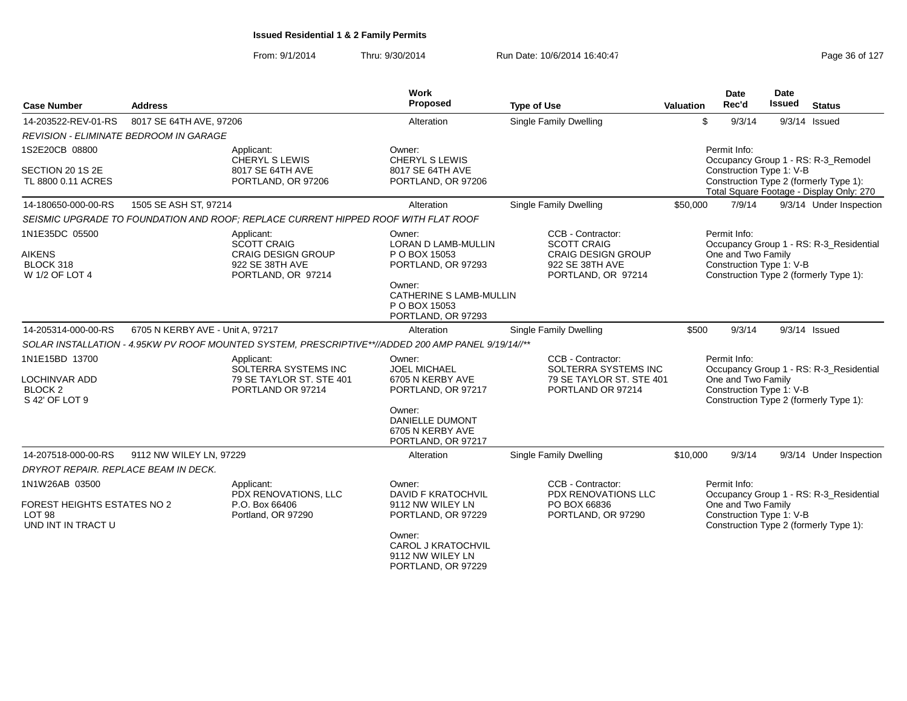| <b>Case Number</b>                                                                       | <b>Address</b>                                                         |                                                                                                        | Work<br>Proposed                                                                                                                                        | <b>Type of Use</b>                                                                                            | <b>Valuation</b>                                                                                                                                                      | <b>Date</b><br>Rec'd                                                                                                                                | <b>Date</b><br><b>Issued</b> | <b>Status</b>                                                                     |  |
|------------------------------------------------------------------------------------------|------------------------------------------------------------------------|--------------------------------------------------------------------------------------------------------|---------------------------------------------------------------------------------------------------------------------------------------------------------|---------------------------------------------------------------------------------------------------------------|-----------------------------------------------------------------------------------------------------------------------------------------------------------------------|-----------------------------------------------------------------------------------------------------------------------------------------------------|------------------------------|-----------------------------------------------------------------------------------|--|
| 14-203522-REV-01-RS                                                                      | 8017 SE 64TH AVE, 97206                                                |                                                                                                        | Alteration                                                                                                                                              | <b>Single Family Dwelling</b>                                                                                 | \$                                                                                                                                                                    | 9/3/14                                                                                                                                              |                              | $9/3/14$ Issued                                                                   |  |
|                                                                                          | REVISION - ELIMINATE BEDROOM IN GARAGE                                 |                                                                                                        |                                                                                                                                                         |                                                                                                               |                                                                                                                                                                       |                                                                                                                                                     |                              |                                                                                   |  |
| 1S2E20CB 08800<br>SECTION 20 1S 2E<br>TL 8800 0.11 ACRES                                 | Applicant:<br>CHERYL S LEWIS<br>8017 SE 64TH AVE<br>PORTLAND, OR 97206 |                                                                                                        | Owner:<br>CHERYL S LEWIS<br>8017 SE 64TH AVE<br>PORTLAND, OR 97206                                                                                      |                                                                                                               | Permit Info:<br>Occupancy Group 1 - RS: R-3_Remodel<br>Construction Type 1: V-B<br>Construction Type 2 (formerly Type 1):<br>Total Square Footage - Display Only: 270 |                                                                                                                                                     |                              |                                                                                   |  |
| 14-180650-000-00-RS                                                                      | 1505 SE ASH ST, 97214                                                  |                                                                                                        | Alteration                                                                                                                                              | Single Family Dwelling                                                                                        | \$50,000                                                                                                                                                              | 7/9/14                                                                                                                                              |                              | 9/3/14 Under Inspection                                                           |  |
|                                                                                          |                                                                        | SEISMIC UPGRADE TO FOUNDATION AND ROOF: REPLACE CURRENT HIPPED ROOF WITH FLAT ROOF                     |                                                                                                                                                         |                                                                                                               |                                                                                                                                                                       |                                                                                                                                                     |                              |                                                                                   |  |
| 1N1E35DC 05500<br><b>AIKENS</b><br>BLOCK 318<br>W 1/2 OF LOT 4                           |                                                                        | Applicant:<br><b>SCOTT CRAIG</b><br><b>CRAIG DESIGN GROUP</b><br>922 SE 38TH AVE<br>PORTLAND, OR 97214 | Owner:<br>LORAN D LAMB-MULLIN<br>P O BOX 15053<br>PORTLAND, OR 97293<br>Owner:<br>CATHERINE S LAMB-MULLIN<br>P O BOX 15053<br>PORTLAND, OR 97293        | CCB - Contractor:<br><b>SCOTT CRAIG</b><br><b>CRAIG DESIGN GROUP</b><br>922 SE 38TH AVE<br>PORTLAND, OR 97214 |                                                                                                                                                                       | Permit Info:<br>One and Two Family<br>Construction Type 1: V-B                                                                                      |                              | Occupancy Group 1 - RS: R-3_Residential<br>Construction Type 2 (formerly Type 1): |  |
| 14-205314-000-00-RS                                                                      | 6705 N KERBY AVE - Unit A, 97217                                       |                                                                                                        | Alteration                                                                                                                                              | Single Family Dwelling                                                                                        | \$500                                                                                                                                                                 | 9/3/14                                                                                                                                              |                              | $9/3/14$ Issued                                                                   |  |
|                                                                                          |                                                                        | SOLAR INSTALLATION - 4.95KW PV ROOF MOUNTED SYSTEM, PRESCRIPTIVE**//ADDED 200 AMP PANEL 9/19/14//**    |                                                                                                                                                         |                                                                                                               |                                                                                                                                                                       |                                                                                                                                                     |                              |                                                                                   |  |
| 1N1E15BD 13700<br><b>LOCHINVAR ADD</b><br>BLOCK <sub>2</sub><br>S 42' OF LOT 9           |                                                                        | Applicant:<br>SOLTERRA SYSTEMS INC<br>79 SE TAYLOR ST. STE 401<br>PORTLAND OR 97214                    | Owner:<br><b>JOEL MICHAEL</b><br>6705 N KERBY AVE<br>PORTLAND, OR 97217<br>Owner:<br>DANIELLE DUMONT<br>6705 N KERBY AVE<br>PORTLAND, OR 97217          | CCB - Contractor:<br>SOLTERRA SYSTEMS INC<br>79 SE TAYLOR ST. STE 401<br>PORTLAND OR 97214                    |                                                                                                                                                                       | Permit Info:<br>Occupancy Group 1 - RS: R-3_Residential<br>One and Two Family<br>Construction Type 1: V-B<br>Construction Type 2 (formerly Type 1): |                              |                                                                                   |  |
| 14-207518-000-00-RS                                                                      | 9112 NW WILEY LN, 97229                                                |                                                                                                        | Alteration                                                                                                                                              | <b>Single Family Dwelling</b>                                                                                 | \$10,000                                                                                                                                                              | 9/3/14                                                                                                                                              |                              | 9/3/14 Under Inspection                                                           |  |
| DRYROT REPAIR. REPLACE BEAM IN DECK.                                                     |                                                                        |                                                                                                        |                                                                                                                                                         |                                                                                                               |                                                                                                                                                                       |                                                                                                                                                     |                              |                                                                                   |  |
| 1N1W26AB 03500<br>FOREST HEIGHTS ESTATES NO 2<br>LOT <sub>98</sub><br>UND INT IN TRACT U |                                                                        | Applicant:<br>PDX RENOVATIONS, LLC<br>P.O. Box 66406<br>Portland, OR 97290                             | Owner:<br><b>DAVID F KRATOCHVIL</b><br>9112 NW WILEY LN<br>PORTLAND, OR 97229<br>Owner:<br>CAROL J KRATOCHVIL<br>9112 NW WILEY LN<br>PORTLAND, OR 97229 | CCB - Contractor:<br><b>PDX RENOVATIONS LLC</b><br>PO BOX 66836<br>PORTLAND, OR 97290                         |                                                                                                                                                                       | Permit Info:<br>One and Two Family<br>Construction Type 1: V-B                                                                                      |                              | Occupancy Group 1 - RS: R-3_Residential<br>Construction Type 2 (formerly Type 1): |  |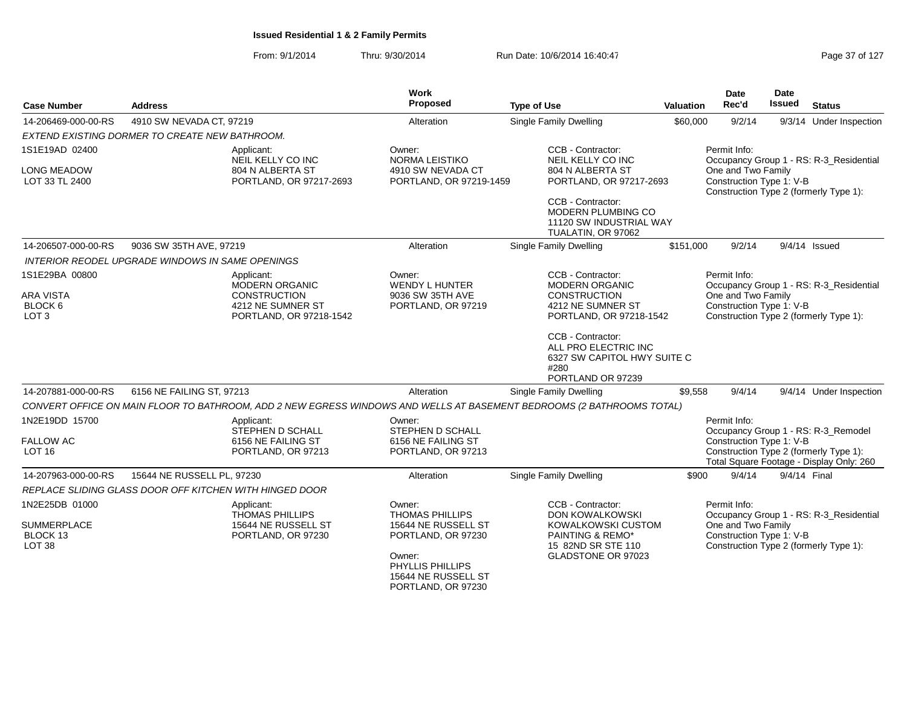| <b>Case Number</b>                                  | <b>Address</b>                                                                                                        | Work<br>Proposed                                                        | <b>Type of Use</b>                                                                                    | <b>Valuation</b> | Date<br>Rec'd                                  | <b>Date</b><br><b>Issued</b> | <b>Status</b>                                                                      |
|-----------------------------------------------------|-----------------------------------------------------------------------------------------------------------------------|-------------------------------------------------------------------------|-------------------------------------------------------------------------------------------------------|------------------|------------------------------------------------|------------------------------|------------------------------------------------------------------------------------|
| 14-206469-000-00-RS                                 | 4910 SW NEVADA CT, 97219                                                                                              | Alteration                                                              | <b>Single Family Dwelling</b>                                                                         | \$60,000         | 9/2/14                                         |                              | 9/3/14 Under Inspection                                                            |
|                                                     | EXTEND EXISTING DORMER TO CREATE NEW BATHROOM.                                                                        |                                                                         |                                                                                                       |                  |                                                |                              |                                                                                    |
| 1S1E19AD 02400                                      | Applicant:<br>NEIL KELLY CO INC                                                                                       | Owner:<br>NORMA LEISTIKO                                                | CCB - Contractor:<br>NEIL KELLY CO INC                                                                |                  | Permit Info:                                   |                              | Occupancy Group 1 - RS: R-3_Residential                                            |
| <b>LONG MEADOW</b><br>LOT 33 TL 2400                | 804 N ALBERTA ST<br>PORTLAND, OR 97217-2693                                                                           | 4910 SW NEVADA CT<br>PORTLAND, OR 97219-1459                            | 804 N ALBERTA ST<br>PORTLAND, OR 97217-2693                                                           |                  | One and Two Family<br>Construction Type 1: V-B |                              | Construction Type 2 (formerly Type 1):                                             |
|                                                     |                                                                                                                       |                                                                         | CCB - Contractor:<br>MODERN PLUMBING CO<br>11120 SW INDUSTRIAL WAY<br>TUALATIN, OR 97062              |                  |                                                |                              |                                                                                    |
| 14-206507-000-00-RS                                 | 9036 SW 35TH AVE, 97219                                                                                               | Alteration                                                              | Single Family Dwelling                                                                                | \$151,000        | 9/2/14                                         |                              | $9/4/14$ Issued                                                                    |
|                                                     | INTERIOR REODEL UPGRADE WINDOWS IN SAME OPENINGS                                                                      |                                                                         |                                                                                                       |                  |                                                |                              |                                                                                    |
| 1S1E29BA 00800                                      | Applicant:<br>MODERN ORGANIC                                                                                          | Owner:<br><b>WENDY L HUNTER</b>                                         | CCB - Contractor:<br><b>MODERN ORGANIC</b>                                                            |                  | Permit Info:                                   |                              | Occupancy Group 1 - RS: R-3_Residential                                            |
| ARA VISTA<br>BLOCK 6<br>LOT <sub>3</sub>            | <b>CONSTRUCTION</b><br>4212 NE SUMNER ST<br>PORTLAND, OR 97218-1542                                                   | 9036 SW 35TH AVE<br>PORTLAND, OR 97219                                  | <b>CONSTRUCTION</b><br>4212 NE SUMNER ST<br>PORTLAND, OR 97218-1542                                   |                  | One and Two Family<br>Construction Type 1: V-B |                              | Construction Type 2 (formerly Type 1):                                             |
|                                                     |                                                                                                                       |                                                                         | CCB - Contractor:<br>ALL PRO ELECTRIC INC<br>6327 SW CAPITOL HWY SUITE C<br>#280<br>PORTLAND OR 97239 |                  |                                                |                              |                                                                                    |
| 14-207881-000-00-RS                                 | 6156 NE FAILING ST, 97213                                                                                             | Alteration                                                              | Single Family Dwelling                                                                                | \$9,558          | 9/4/14                                         |                              | 9/4/14 Under Inspection                                                            |
|                                                     | CONVERT OFFICE ON MAIN FLOOR TO BATHROOM, ADD 2 NEW EGRESS WINDOWS AND WELLS AT BASEMENT BEDROOMS (2 BATHROOMS TOTAL) |                                                                         |                                                                                                       |                  |                                                |                              |                                                                                    |
| 1N2E19DD 15700                                      | Applicant:<br><b>STEPHEN D SCHALL</b>                                                                                 | Owner:<br>STEPHEN D SCHALL                                              |                                                                                                       |                  | Permit Info:                                   |                              | Occupancy Group 1 - RS: R-3_Remodel                                                |
| <b>FALLOW AC</b><br><b>LOT 16</b>                   | 6156 NE FAILING ST<br>PORTLAND, OR 97213                                                                              | 6156 NE FAILING ST<br>PORTLAND, OR 97213                                |                                                                                                       |                  | Construction Type 1: V-B                       |                              | Construction Type 2 (formerly Type 1):<br>Total Square Footage - Display Only: 260 |
| 14-207963-000-00-RS                                 | 15644 NE RUSSELL PL, 97230                                                                                            | Alteration                                                              | Single Family Dwelling                                                                                | \$900            | 9/4/14                                         | 9/4/14 Final                 |                                                                                    |
|                                                     | REPLACE SLIDING GLASS DOOR OFF KITCHEN WITH HINGED DOOR                                                               |                                                                         |                                                                                                       |                  |                                                |                              |                                                                                    |
| 1N2E25DB 01000                                      | Applicant:<br><b>THOMAS PHILLIPS</b>                                                                                  | Owner:<br><b>THOMAS PHILLIPS</b>                                        | CCB - Contractor:<br><b>DON KOWALKOWSKI</b>                                                           |                  | Permit Info:                                   |                              | Occupancy Group 1 - RS: R-3_Residential                                            |
| <b>SUMMERPLACE</b><br>BLOCK 13<br>LOT <sub>38</sub> | 15644 NE RUSSELL ST<br>PORTLAND, OR 97230                                                                             | 15644 NE RUSSELL ST<br>PORTLAND, OR 97230                               | KOWALKOWSKI CUSTOM<br>PAINTING & REMO*<br>15 82ND SR STE 110                                          |                  | One and Two Family<br>Construction Type 1: V-B |                              | Construction Type 2 (formerly Type 1):                                             |
|                                                     |                                                                                                                       | Owner:<br>PHYLLIS PHILLIPS<br>15644 NE RUSSELL ST<br>PORTLAND, OR 97230 | GLADSTONE OR 97023                                                                                    |                  |                                                |                              |                                                                                    |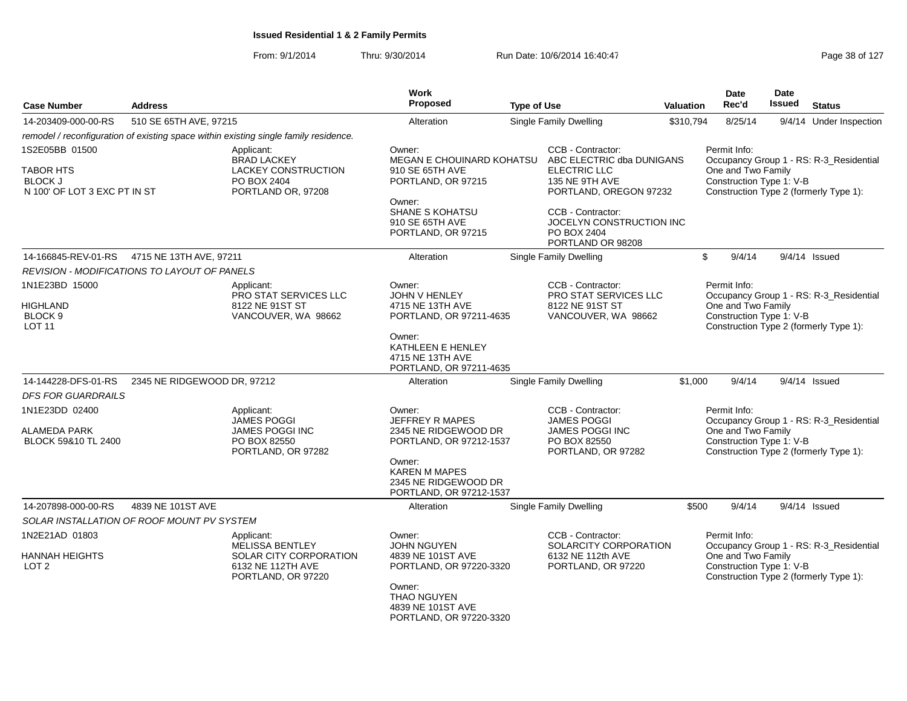| <b>Case Number</b>                                                 | <b>Address</b>                               |                                                                                       | <b>Work</b><br><b>Proposed</b>                                             | <b>Type of Use</b> |                                                                                       | Valuation | Date<br>Rec'd      | Date<br><b>Issued</b>    | <b>Status</b>                                                                     |
|--------------------------------------------------------------------|----------------------------------------------|---------------------------------------------------------------------------------------|----------------------------------------------------------------------------|--------------------|---------------------------------------------------------------------------------------|-----------|--------------------|--------------------------|-----------------------------------------------------------------------------------|
| 14-203409-000-00-RS                                                | 510 SE 65TH AVE, 97215                       |                                                                                       | Alteration                                                                 |                    | Single Family Dwelling                                                                | \$310,794 | 8/25/14            |                          | 9/4/14 Under Inspection                                                           |
|                                                                    |                                              | remodel / reconfiguration of existing space within existing single family residence.  |                                                                            |                    |                                                                                       |           |                    |                          |                                                                                   |
| 1S2E05BB 01500                                                     |                                              | Applicant:                                                                            | Owner:                                                                     |                    | CCB - Contractor:                                                                     |           | Permit Info:       |                          |                                                                                   |
| <b>TABOR HTS</b><br><b>BLOCK J</b><br>N 100' OF LOT 3 EXC PT IN ST |                                              | <b>BRAD LACKEY</b><br><b>LACKEY CONSTRUCTION</b><br>PO BOX 2404<br>PORTLAND OR, 97208 | MEGAN E CHOUINARD KOHATSU<br>910 SE 65TH AVE<br>PORTLAND, OR 97215         |                    | ABC ELECTRIC dba DUNIGANS<br>ELECTRIC LLC<br>135 NE 9TH AVE<br>PORTLAND, OREGON 97232 |           | One and Two Family | Construction Type 1: V-B | Occupancy Group 1 - RS: R-3 Residential<br>Construction Type 2 (formerly Type 1): |
|                                                                    |                                              |                                                                                       | Owner:<br>SHANE S KOHATSU<br>910 SE 65TH AVE<br>PORTLAND, OR 97215         |                    | CCB - Contractor:<br>JOCELYN CONSTRUCTION INC<br>PO BOX 2404<br>PORTLAND OR 98208     |           |                    |                          |                                                                                   |
| 14-166845-REV-01-RS                                                | 4715 NE 13TH AVE, 97211                      |                                                                                       | Alteration                                                                 |                    | <b>Single Family Dwelling</b>                                                         |           | \$<br>9/4/14       |                          | $9/4/14$ Issued                                                                   |
|                                                                    | REVISION - MODIFICATIONS TO LAYOUT OF PANELS |                                                                                       |                                                                            |                    |                                                                                       |           |                    |                          |                                                                                   |
| 1N1E23BD 15000                                                     |                                              | Applicant:<br>PRO STAT SERVICES LLC                                                   | Owner:<br>JOHN V HENLEY                                                    |                    | CCB - Contractor:<br>PRO STAT SERVICES LLC                                            |           | Permit Info:       |                          | Occupancy Group 1 - RS: R-3_Residential                                           |
| HIGHLAND<br>BLOCK <sub>9</sub><br><b>LOT 11</b>                    |                                              | 8122 NE 91ST ST<br>VANCOUVER, WA 98662                                                | 4715 NE 13TH AVE<br>PORTLAND, OR 97211-4635                                |                    | 8122 NE 91ST ST<br>VANCOUVER, WA 98662                                                |           | One and Two Family | Construction Type 1: V-B | Construction Type 2 (formerly Type 1):                                            |
|                                                                    |                                              |                                                                                       | Owner:<br>KATHLEEN E HENLEY<br>4715 NE 13TH AVE<br>PORTLAND, OR 97211-4635 |                    |                                                                                       |           |                    |                          |                                                                                   |
| 14-144228-DFS-01-RS                                                | 2345 NE RIDGEWOOD DR, 97212                  |                                                                                       | Alteration                                                                 |                    | Single Family Dwelling                                                                | \$1,000   | 9/4/14             |                          | $9/4/14$ Issued                                                                   |
| <b>DFS FOR GUARDRAILS</b>                                          |                                              |                                                                                       |                                                                            |                    |                                                                                       |           |                    |                          |                                                                                   |
| 1N1E23DD 02400                                                     |                                              | Applicant:<br><b>JAMES POGGI</b>                                                      | Owner:<br>JEFFREY R MAPES                                                  |                    | CCB - Contractor:<br><b>JAMES POGGI</b>                                               |           | Permit Info:       |                          | Occupancy Group 1 - RS: R-3_Residential                                           |
| ALAMEDA PARK<br>BLOCK 59&10 TL 2400                                |                                              | JAMES POGGI INC<br>PO BOX 82550<br>PORTLAND, OR 97282                                 | 2345 NE RIDGEWOOD DR<br>PORTLAND, OR 97212-1537                            |                    | JAMES POGGI INC<br>PO BOX 82550<br>PORTLAND, OR 97282                                 |           | One and Two Family | Construction Type 1: V-B | Construction Type 2 (formerly Type 1):                                            |
|                                                                    |                                              |                                                                                       | Owner:<br>KAREN M MAPES<br>2345 NE RIDGEWOOD DR<br>PORTLAND, OR 97212-1537 |                    |                                                                                       |           |                    |                          |                                                                                   |
| 14-207898-000-00-RS                                                | 4839 NE 101ST AVE                            |                                                                                       | Alteration                                                                 |                    | <b>Single Family Dwelling</b>                                                         | \$500     | 9/4/14             |                          | $9/4/14$ Issued                                                                   |
|                                                                    | SOLAR INSTALLATION OF ROOF MOUNT PV SYSTEM   |                                                                                       |                                                                            |                    |                                                                                       |           |                    |                          |                                                                                   |
| 1N2E21AD 01803                                                     |                                              | Applicant:<br>MELISSA BENTLEY                                                         | Owner:<br><b>JOHN NGUYEN</b>                                               |                    | CCB - Contractor:<br>SOLARCITY CORPORATION                                            |           | Permit Info:       |                          | Occupancy Group 1 - RS: R-3_Residential                                           |
| <b>HANNAH HEIGHTS</b><br>LOT <sub>2</sub>                          |                                              | SOLAR CITY CORPORATION<br>6132 NE 112TH AVE<br>PORTLAND, OR 97220                     | 4839 NE 101ST AVE<br>PORTLAND, OR 97220-3320                               |                    | 6132 NE 112th AVE<br>PORTLAND, OR 97220                                               |           | One and Two Family | Construction Type 1: V-B | Construction Type 2 (formerly Type 1):                                            |
|                                                                    |                                              |                                                                                       | Owner:<br>THAO NGUYEN<br>4839 NE 101ST AVE<br>PORTLAND, OR 97220-3320      |                    |                                                                                       |           |                    |                          |                                                                                   |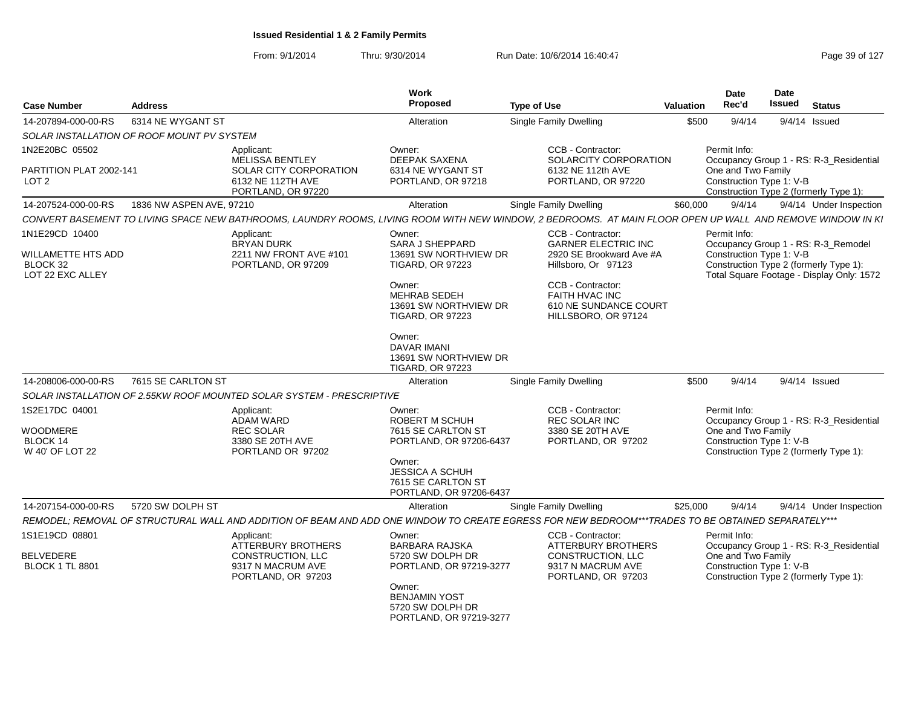| <b>Case Number</b>                                                          | <b>Address</b>                             |                                                                                                  | <b>Work</b><br>Proposed                                                                                                                                                   | <b>Type of Use</b>                                                                                                                                                                               | Valuation | Date<br><b>Rec'd</b>                                           | <b>Date</b><br><b>Issued</b> | <b>Status</b>                                                                                                              |
|-----------------------------------------------------------------------------|--------------------------------------------|--------------------------------------------------------------------------------------------------|---------------------------------------------------------------------------------------------------------------------------------------------------------------------------|--------------------------------------------------------------------------------------------------------------------------------------------------------------------------------------------------|-----------|----------------------------------------------------------------|------------------------------|----------------------------------------------------------------------------------------------------------------------------|
| 14-207894-000-00-RS                                                         | 6314 NE WYGANT ST                          |                                                                                                  | Alteration                                                                                                                                                                | Single Family Dwelling                                                                                                                                                                           | \$500     | 9/4/14                                                         |                              | 9/4/14 Issued                                                                                                              |
|                                                                             | SOLAR INSTALLATION OF ROOF MOUNT PV SYSTEM |                                                                                                  |                                                                                                                                                                           |                                                                                                                                                                                                  |           |                                                                |                              |                                                                                                                            |
| 1N2E20BC 05502                                                              |                                            | Applicant:<br>MELISSA BENTLEY                                                                    | Owner:<br>DEEPAK SAXENA                                                                                                                                                   | CCB - Contractor:<br>SOLARCITY CORPORATION                                                                                                                                                       |           | Permit Info:                                                   |                              | Occupancy Group 1 - RS: R-3_Residential                                                                                    |
| PARTITION PLAT 2002-141<br>LOT 2                                            |                                            | SOLAR CITY CORPORATION<br>6132 NE 112TH AVE<br>PORTLAND, OR 97220                                | 6314 NE WYGANT ST<br>PORTLAND, OR 97218                                                                                                                                   | 6132 NE 112th AVE<br>PORTLAND, OR 97220                                                                                                                                                          |           | One and Two Family<br>Construction Type 1: V-B                 |                              | Construction Type 2 (formerly Type 1):                                                                                     |
| 14-207524-000-00-RS                                                         | 1836 NW ASPEN AVE, 97210                   |                                                                                                  | Alteration                                                                                                                                                                | Single Family Dwelling                                                                                                                                                                           | \$60,000  | 9/4/14                                                         |                              | 9/4/14 Under Inspection                                                                                                    |
|                                                                             |                                            |                                                                                                  |                                                                                                                                                                           | CONVERT BASEMENT TO LIVING SPACE NEW BATHROOMS, LAUNDRY ROOMS, LIVING ROOM WITH NEW WINDOW, 2 BEDROOMS. AT MAIN FLOOR OPEN UP WALL AND REMOVE WINDOW IN KI                                       |           |                                                                |                              |                                                                                                                            |
| 1N1E29CD 10400<br><b>WILLAMETTE HTS ADD</b><br>BLOCK 32<br>LOT 22 EXC ALLEY |                                            | Applicant:<br><b>BRYAN DURK</b><br>2211 NW FRONT AVE #101<br>PORTLAND, OR 97209                  | Owner:<br><b>SARA J SHEPPARD</b><br>13691 SW NORTHVIEW DR<br><b>TIGARD, OR 97223</b><br>Owner:<br><b>MEHRAB SEDEH</b><br>13691 SW NORTHVIEW DR<br><b>TIGARD, OR 97223</b> | CCB - Contractor:<br><b>GARNER ELECTRIC INC</b><br>2920 SE Brookward Ave #A<br>Hillsboro, Or 97123<br>CCB - Contractor:<br><b>FAITH HVAC INC</b><br>610 NE SUNDANCE COURT<br>HILLSBORO, OR 97124 |           | Permit Info:<br>Construction Type 1: V-B                       |                              | Occupancy Group 1 - RS: R-3_Remodel<br>Construction Type 2 (formerly Type 1):<br>Total Square Footage - Display Only: 1572 |
| 14-208006-000-00-RS                                                         | 7615 SE CARLTON ST                         |                                                                                                  | Owner:<br><b>DAVAR IMANI</b><br>13691 SW NORTHVIEW DR<br><b>TIGARD, OR 97223</b><br>Alteration                                                                            | <b>Single Family Dwelling</b>                                                                                                                                                                    | \$500     | 9/4/14                                                         |                              | 9/4/14 Issued                                                                                                              |
|                                                                             |                                            | SOLAR INSTALLATION OF 2.55KW ROOF MOUNTED SOLAR SYSTEM - PRESCRIPTIVE                            |                                                                                                                                                                           |                                                                                                                                                                                                  |           |                                                                |                              |                                                                                                                            |
| 1S2E17DC 04001                                                              |                                            | Applicant:                                                                                       | Owner:                                                                                                                                                                    | CCB - Contractor:                                                                                                                                                                                |           | Permit Info:                                                   |                              |                                                                                                                            |
| WOODMERE<br><b>BLOCK 14</b><br>W 40' OF LOT 22                              |                                            | <b>ADAM WARD</b><br><b>REC SOLAR</b><br>3380 SE 20TH AVE<br>PORTLAND OR 97202                    | <b>ROBERT M SCHUH</b><br>7615 SE CARLTON ST<br>PORTLAND, OR 97206-6437<br>Owner:<br>JESSICA A SCHUH<br>7615 SE CARLTON ST<br>PORTLAND, OR 97206-6437                      | REC SOLAR INC<br>3380 SE 20TH AVE<br>PORTLAND, OR 97202                                                                                                                                          |           | One and Two Family<br>Construction Type 1: V-B                 |                              | Occupancy Group 1 - RS: R-3_Residential<br>Construction Type 2 (formerly Type 1):                                          |
| 14-207154-000-00-RS                                                         | 5720 SW DOLPH ST                           |                                                                                                  | Alteration                                                                                                                                                                | Single Family Dwelling                                                                                                                                                                           | \$25,000  | 9/4/14                                                         |                              | 9/4/14 Under Inspection                                                                                                    |
|                                                                             |                                            |                                                                                                  |                                                                                                                                                                           | REMODEL; REMOVAL OF STRUCTURAL WALL AND ADDITION OF BEAM AND ADD ONE WINDOW TO CREATE EGRESS FOR NEW BEDROOM***TRADES TO BE OBTAINED SEPARATELY***                                               |           |                                                                |                              |                                                                                                                            |
| 1S1E19CD 08801<br><b>BELVEDERE</b><br><b>BLOCK 1 TL 8801</b>                |                                            | Applicant:<br>ATTERBURY BROTHERS<br>CONSTRUCTION, LLC<br>9317 N MACRUM AVE<br>PORTLAND, OR 97203 | Owner:<br><b>BARBARA RAJSKA</b><br>5720 SW DOLPH DR<br>PORTLAND, OR 97219-3277                                                                                            | CCB - Contractor:<br><b>ATTERBURY BROTHERS</b><br>CONSTRUCTION, LLC<br>9317 N MACRUM AVE<br>PORTLAND, OR 97203                                                                                   |           | Permit Info:<br>One and Two Family<br>Construction Type 1: V-B |                              | Occupancy Group 1 - RS: R-3_Residential<br>Construction Type 2 (formerly Type 1):                                          |
|                                                                             |                                            |                                                                                                  | Owner:<br><b>BENJAMIN YOST</b><br>5720 SW DOLPH DR<br>PORTLAND, OR 97219-3277                                                                                             |                                                                                                                                                                                                  |           |                                                                |                              |                                                                                                                            |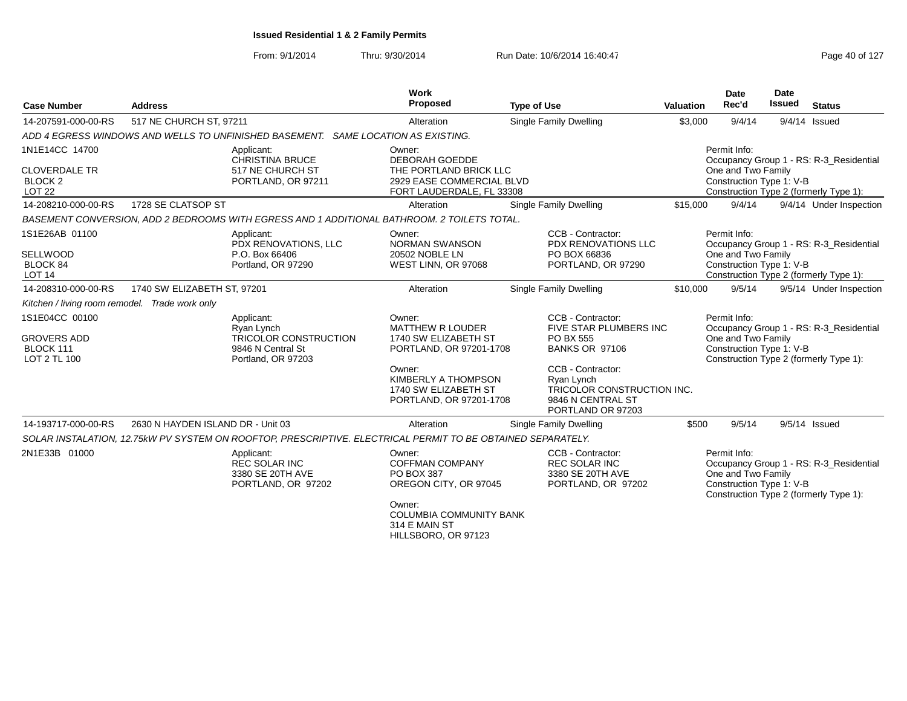From: 9/1/2014Thru: 9/30/2014 Run Date: 10/6/2014 16:40:47 Run Date: 10/6/2014 16:40:47

| <b>Case Number</b>                                                            | <b>Address</b>                    |                                                                                                             | Work<br>Proposed                                                                                                                                                         | <b>Type of Use</b>                                                                                                                                                                           | <b>Valuation</b> | <b>Date</b><br>Rec'd                                           | <b>Date</b><br><b>Issued</b> | <b>Status</b>                                                                     |
|-------------------------------------------------------------------------------|-----------------------------------|-------------------------------------------------------------------------------------------------------------|--------------------------------------------------------------------------------------------------------------------------------------------------------------------------|----------------------------------------------------------------------------------------------------------------------------------------------------------------------------------------------|------------------|----------------------------------------------------------------|------------------------------|-----------------------------------------------------------------------------------|
| 14-207591-000-00-RS                                                           | 517 NE CHURCH ST, 97211           |                                                                                                             | Alteration                                                                                                                                                               | <b>Single Family Dwelling</b>                                                                                                                                                                | \$3,000          | 9/4/14                                                         |                              | $9/4/14$ Issued                                                                   |
|                                                                               |                                   | ADD 4 EGRESS WINDOWS AND WELLS TO UNFINISHED BASEMENT. SAME LOCATION AS EXISTING.                           |                                                                                                                                                                          |                                                                                                                                                                                              |                  |                                                                |                              |                                                                                   |
| 1N1E14CC 14700<br><b>CLOVERDALE TR</b><br>BLOCK <sub>2</sub><br><b>LOT 22</b> |                                   | Applicant:<br><b>CHRISTINA BRUCE</b><br>517 NE CHURCH ST<br>PORTLAND, OR 97211                              | Owner:<br>DEBORAH GOEDDE<br>THE PORTLAND BRICK LLC<br>2929 EASE COMMERCIAL BLVD<br>FORT LAUDERDALE, FL 33308                                                             |                                                                                                                                                                                              |                  | Permit Info:<br>One and Two Family<br>Construction Type 1: V-B |                              | Occupancy Group 1 - RS: R-3 Residential<br>Construction Type 2 (formerly Type 1): |
| 14-208210-000-00-RS                                                           | 1728 SE CLATSOP ST                |                                                                                                             | Alteration                                                                                                                                                               | Single Family Dwelling                                                                                                                                                                       | \$15,000         | 9/4/14                                                         |                              | 9/4/14 Under Inspection                                                           |
|                                                                               |                                   | BASEMENT CONVERSION, ADD 2 BEDROOMS WITH EGRESS AND 1 ADDITIONAL BATHROOM. 2 TOILETS TOTAL.                 |                                                                                                                                                                          |                                                                                                                                                                                              |                  |                                                                |                              |                                                                                   |
| 1S1E26AB 01100<br><b>SELLWOOD</b><br>BLOCK 84<br><b>LOT 14</b>                |                                   | Applicant:<br>PDX RENOVATIONS, LLC<br>P.O. Box 66406<br>Portland, OR 97290                                  | Owner:<br><b>NORMAN SWANSON</b><br>20502 NOBLE LN<br>WEST LINN, OR 97068                                                                                                 | CCB - Contractor:<br><b>PDX RENOVATIONS LLC</b><br>PO BOX 66836<br>PORTLAND, OR 97290                                                                                                        |                  | Permit Info:<br>One and Two Family<br>Construction Type 1: V-B |                              | Occupancy Group 1 - RS: R-3_Residential<br>Construction Type 2 (formerly Type 1): |
| 14-208310-000-00-RS                                                           | 1740 SW ELIZABETH ST, 97201       |                                                                                                             | Alteration                                                                                                                                                               | Single Family Dwelling                                                                                                                                                                       | \$10,000         | 9/5/14                                                         |                              | 9/5/14 Under Inspection                                                           |
| Kitchen / living room remodel. Trade work only                                |                                   |                                                                                                             |                                                                                                                                                                          |                                                                                                                                                                                              |                  |                                                                |                              |                                                                                   |
| 1S1E04CC 00100<br><b>GROVERS ADD</b><br>BLOCK 111<br>LOT 2 TL 100             |                                   | Applicant:<br>Ryan Lynch<br><b>TRICOLOR CONSTRUCTION</b><br>9846 N Central St<br>Portland, OR 97203         | Owner:<br><b>MATTHEW R LOUDER</b><br>1740 SW ELIZABETH ST<br>PORTLAND, OR 97201-1708<br>Owner:<br>KIMBERLY A THOMPSON<br>1740 SW ELIZABETH ST<br>PORTLAND, OR 97201-1708 | CCB - Contractor:<br>FIVE STAR PLUMBERS INC<br>PO BX 555<br><b>BANKS OR 97106</b><br>CCB - Contractor:<br>Ryan Lynch<br>TRICOLOR CONSTRUCTION INC.<br>9846 N CENTRAL ST<br>PORTLAND OR 97203 |                  | Permit Info:<br>One and Two Family<br>Construction Type 1: V-B |                              | Occupancy Group 1 - RS: R-3_Residential<br>Construction Type 2 (formerly Type 1): |
| 14-193717-000-00-RS                                                           | 2630 N HAYDEN ISLAND DR - Unit 03 |                                                                                                             | Alteration                                                                                                                                                               | Single Family Dwelling                                                                                                                                                                       | \$500            | 9/5/14                                                         |                              | $9/5/14$ Issued                                                                   |
|                                                                               |                                   | SOLAR INSTALATION, 12.75kW PV SYSTEM ON ROOFTOP, PRESCRIPTIVE. ELECTRICAL PERMIT TO BE OBTAINED SEPARATELY. |                                                                                                                                                                          |                                                                                                                                                                                              |                  |                                                                |                              |                                                                                   |
| 2N1E33B 01000                                                                 |                                   | Applicant:<br><b>REC SOLAR INC</b><br>3380 SE 20TH AVE<br>PORTLAND, OR 97202                                | Owner:<br><b>COFFMAN COMPANY</b><br>PO BOX 387<br>OREGON CITY, OR 97045<br>Owner:<br><b>COLUMBIA COMMUNITY BANK</b><br>314 E MAIN ST                                     | CCB - Contractor:<br><b>REC SOLAR INC</b><br>3380 SE 20TH AVE<br>PORTLAND, OR 97202                                                                                                          |                  | Permit Info:<br>One and Two Family<br>Construction Type 1: V-B |                              | Occupancy Group 1 - RS: R-3_Residential<br>Construction Type 2 (formerly Type 1): |

HILLSBORO, OR 97123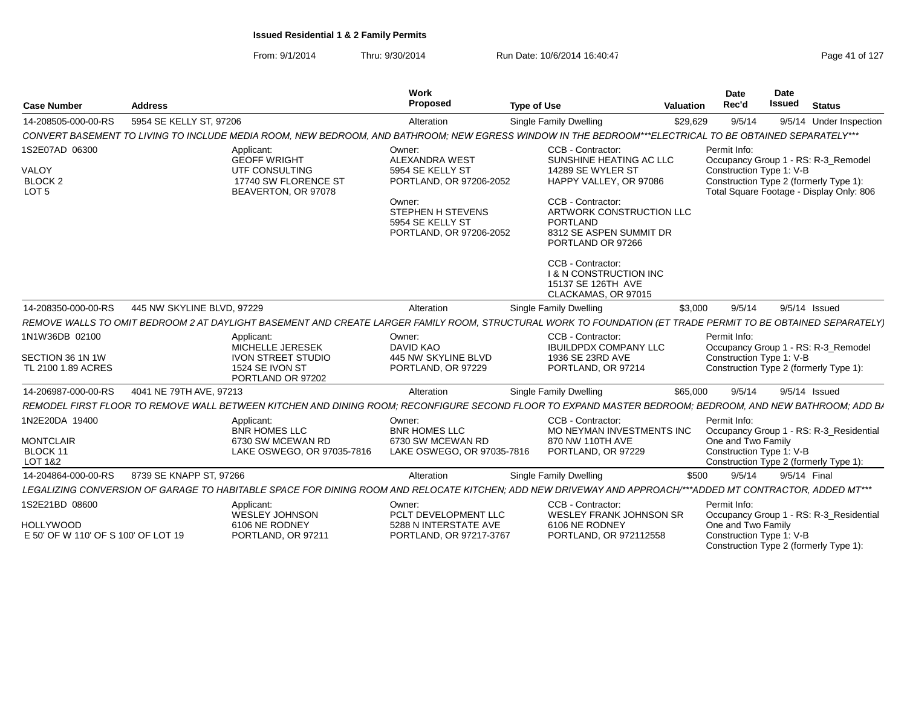From: 9/1/2014Thru: 9/30/2014 Run Date: 10/6/2014 16:40:47 Rege 41 of 127

| <b>Case Number</b>                                                        | <b>Address</b>             |                                                                                                                                                              | Work<br>Proposed                                                                                                                                                    | <b>Type of Use</b>                                                                                                                                                                                                                                                                                                     | Valuation | Date<br>Rec'd                                                  | Date<br><b>Issued</b> | <b>Status</b>                                                                                                             |
|---------------------------------------------------------------------------|----------------------------|--------------------------------------------------------------------------------------------------------------------------------------------------------------|---------------------------------------------------------------------------------------------------------------------------------------------------------------------|------------------------------------------------------------------------------------------------------------------------------------------------------------------------------------------------------------------------------------------------------------------------------------------------------------------------|-----------|----------------------------------------------------------------|-----------------------|---------------------------------------------------------------------------------------------------------------------------|
| 14-208505-000-00-RS                                                       | 5954 SE KELLY ST, 97206    |                                                                                                                                                              | Alteration                                                                                                                                                          | Single Family Dwelling                                                                                                                                                                                                                                                                                                 | \$29.629  | 9/5/14                                                         |                       | 9/5/14 Under Inspection                                                                                                   |
|                                                                           |                            | CONVERT BASEMENT TO LIVING TO INCLUDE MEDIA ROOM, NEW BEDROOM, AND BATHROOM; NEW EGRESS WINDOW IN THE BEDROOM***ELECTRICAL TO BE OBTAINED SEPARATELY***      |                                                                                                                                                                     |                                                                                                                                                                                                                                                                                                                        |           |                                                                |                       |                                                                                                                           |
| 1S2E07AD 06300<br>VALOY<br>BLOCK <sub>2</sub><br>LOT <sub>5</sub>         |                            | Applicant:<br><b>GEOFF WRIGHT</b><br>UTF CONSULTING<br>17740 SW FLORENCE ST<br>BEAVERTON, OR 97078                                                           | Owner:<br><b>ALEXANDRA WEST</b><br>5954 SE KELLY ST<br>PORTLAND, OR 97206-2052<br>Owner:<br><b>STEPHEN H STEVENS</b><br>5954 SE KELLY ST<br>PORTLAND, OR 97206-2052 | CCB - Contractor:<br>SUNSHINE HEATING AC LLC<br>14289 SE WYLER ST<br>HAPPY VALLEY, OR 97086<br>CCB - Contractor:<br>ARTWORK CONSTRUCTION LLC<br><b>PORTLAND</b><br>8312 SE ASPEN SUMMIT DR<br>PORTLAND OR 97266<br>CCB - Contractor:<br><b>I &amp; N CONSTRUCTION INC</b><br>15137 SE 126TH AVE<br>CLACKAMAS, OR 97015 |           | Permit Info:<br>Construction Type 1: V-B                       |                       | Occupancy Group 1 - RS: R-3_Remodel<br>Construction Type 2 (formerly Type 1):<br>Total Square Footage - Display Only: 806 |
| 14-208350-000-00-RS                                                       | 445 NW SKYLINE BLVD, 97229 |                                                                                                                                                              | Alteration                                                                                                                                                          | <b>Single Family Dwelling</b>                                                                                                                                                                                                                                                                                          | \$3,000   | 9/5/14                                                         |                       | 9/5/14 Issued                                                                                                             |
|                                                                           |                            | REMOVE WALLS TO OMIT BEDROOM 2 AT DAYLIGHT BASEMENT AND CREATE LARGER FAMILY ROOM, STRUCTURAL WORK TO FOUNDATION (ET TRADE PERMIT TO BE OBTAINED SEPARATELY, |                                                                                                                                                                     |                                                                                                                                                                                                                                                                                                                        |           |                                                                |                       |                                                                                                                           |
| 1N1W36DB 02100<br>SECTION 36 1N 1W<br>TL 2100 1.89 ACRES                  |                            | Applicant:<br>MICHELLE JERESEK<br><b>IVON STREET STUDIO</b><br>1524 SE IVON ST<br>PORTLAND OR 97202                                                          | Owner:<br>DAVID KAO<br>445 NW SKYLINE BLVD<br>PORTLAND, OR 97229                                                                                                    | CCB - Contractor:<br><b>IBUILDPDX COMPANY LLC</b><br>1936 SE 23RD AVE<br>PORTLAND, OR 97214                                                                                                                                                                                                                            |           | Permit Info:<br>Construction Type 1: V-B                       |                       | Occupancy Group 1 - RS: R-3_Remodel<br>Construction Type 2 (formerly Type 1):                                             |
| 14-206987-000-00-RS                                                       | 4041 NE 79TH AVE, 97213    |                                                                                                                                                              | Alteration                                                                                                                                                          | <b>Single Family Dwelling</b>                                                                                                                                                                                                                                                                                          | \$65,000  | 9/5/14                                                         |                       | 9/5/14 Issued                                                                                                             |
|                                                                           |                            | REMODEL FIRST FLOOR TO REMOVE WALL BETWEEN KITCHEN AND DINING ROOM: RECONFIGURE SECOND FLOOR TO EXPAND MASTER BEDROOM: BEDROOM. AND NEW BATHROOM: ADD BA     |                                                                                                                                                                     |                                                                                                                                                                                                                                                                                                                        |           |                                                                |                       |                                                                                                                           |
| 1N2E20DA 19400<br><b>MONTCLAIR</b><br>BLOCK 11<br><b>LOT 1&amp;2</b>      |                            | Applicant:<br><b>BNR HOMES LLC</b><br>6730 SW MCEWAN RD<br>LAKE OSWEGO, OR 97035-7816                                                                        | Owner:<br>BNR HOMES LLC<br>6730 SW MCEWAN RD<br>LAKE OSWEGO, OR 97035-7816                                                                                          | CCB - Contractor:<br>MO NEYMAN INVESTMENTS INC<br>870 NW 110TH AVE<br>PORTLAND, OR 97229                                                                                                                                                                                                                               |           | Permit Info:<br>One and Two Family<br>Construction Type 1: V-B |                       | Occupancy Group 1 - RS: R-3_Residential<br>Construction Type 2 (formerly Type 1):                                         |
| 14-204864-000-00-RS                                                       | 8739 SE KNAPP ST, 97266    |                                                                                                                                                              | Alteration                                                                                                                                                          | Single Family Dwelling                                                                                                                                                                                                                                                                                                 | \$500     | 9/5/14                                                         |                       | 9/5/14 Final                                                                                                              |
|                                                                           |                            | LEGALIZING CONVERSION OF GARAGE TO HABITABLE SPACE FOR DINING ROOM AND RELOCATE KITCHEN: ADD NEW DRIVEWAY AND APPROACH/***ADDED MT CONTRACTOR. ADDED MT***   |                                                                                                                                                                     |                                                                                                                                                                                                                                                                                                                        |           |                                                                |                       |                                                                                                                           |
| 1S2E21BD 08600<br><b>HOLLYWOOD</b><br>E 50' OF W 110' OF S 100' OF LOT 19 |                            | Applicant:<br><b>WESLEY JOHNSON</b><br>6106 NE RODNEY<br>PORTLAND, OR 97211                                                                                  | Owner:<br>PCLT DEVELOPMENT LLC<br>5288 N INTERSTATE AVE<br>PORTLAND, OR 97217-3767                                                                                  | CCB - Contractor:<br><b>WESLEY FRANK JOHNSON SR</b><br>6106 NE RODNEY<br>PORTLAND, OR 972112558                                                                                                                                                                                                                        |           | Permit Info:<br>One and Two Family<br>Construction Type 1: V-B |                       | Occupancy Group 1 - RS: R-3_Residential<br>Construction Type 2 (formerly Type 1):                                         |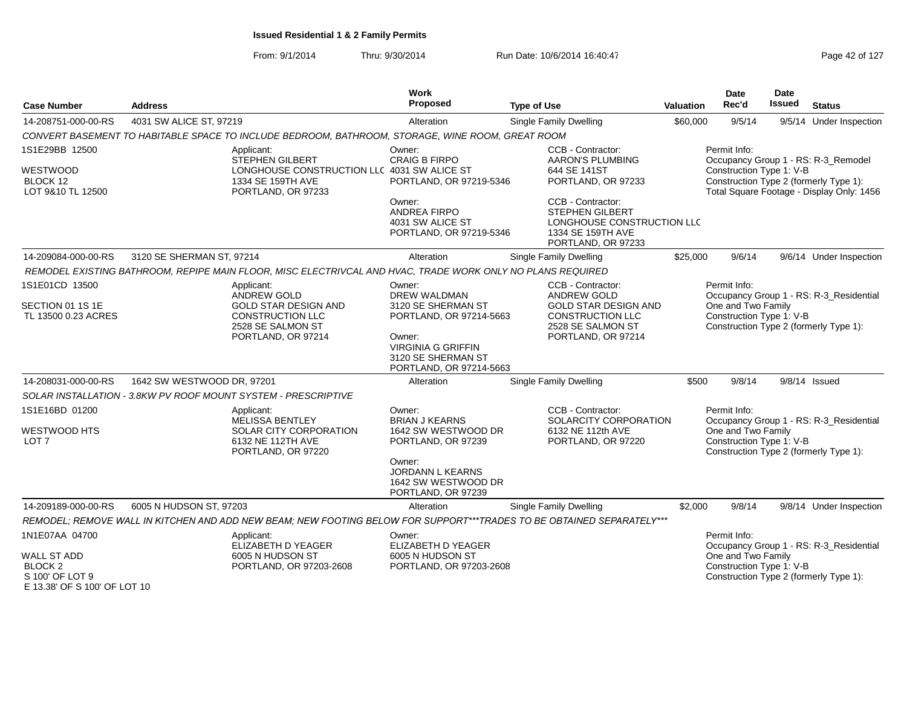From: 9/1/2014Thru: 9/30/2014 Run Date: 10/6/2014 16:40:47 Run Date: 10/6/2014 16:40:47

| <b>Case Number</b>                                          | <b>Address</b>                                                                                                                 | Work<br>Proposed                                                                                                                                                       | <b>Type of Use</b>                                                                                                                           | Valuation | Date<br>Rec'd                                                  | <b>Date</b><br><b>Issued</b> | <b>Status</b>                                                                                                              |
|-------------------------------------------------------------|--------------------------------------------------------------------------------------------------------------------------------|------------------------------------------------------------------------------------------------------------------------------------------------------------------------|----------------------------------------------------------------------------------------------------------------------------------------------|-----------|----------------------------------------------------------------|------------------------------|----------------------------------------------------------------------------------------------------------------------------|
| 14-208751-000-00-RS                                         | 4031 SW ALICE ST, 97219                                                                                                        | Alteration                                                                                                                                                             | Single Family Dwelling                                                                                                                       | \$60,000  | 9/5/14                                                         |                              | 9/5/14 Under Inspection                                                                                                    |
|                                                             | CONVERT BASEMENT TO HABITABLE SPACE TO INCLUDE BEDROOM, BATHROOM, STORAGE, WINE ROOM, GREAT ROOM                               |                                                                                                                                                                        |                                                                                                                                              |           |                                                                |                              |                                                                                                                            |
| 1S1E29BB 12500<br>WESTWOOD<br>BLOCK 12<br>LOT 9&10 TL 12500 | Applicant:<br>STEPHEN GILBERT<br>LONGHOUSE CONSTRUCTION LLC 4031 SW ALICE ST<br>1334 SE 159TH AVE<br>PORTLAND, OR 97233        | Owner:<br><b>CRAIG B FIRPO</b><br>PORTLAND, OR 97219-5346                                                                                                              | CCB - Contractor:<br><b>AARON'S PLUMBING</b><br>644 SE 141ST<br>PORTLAND, OR 97233                                                           |           | Permit Info:<br>Construction Type 1: V-B                       |                              | Occupancy Group 1 - RS: R-3_Remodel<br>Construction Type 2 (formerly Type 1):<br>Total Square Footage - Display Only: 1456 |
|                                                             |                                                                                                                                | Owner:<br>ANDREA FIRPO<br>4031 SW ALICE ST<br>PORTLAND, OR 97219-5346                                                                                                  | CCB - Contractor:<br><b>STEPHEN GILBERT</b><br>LONGHOUSE CONSTRUCTION LLC<br>1334 SE 159TH AVE<br>PORTLAND, OR 97233                         |           |                                                                |                              |                                                                                                                            |
| 14-209084-000-00-RS                                         | 3120 SE SHERMAN ST, 97214                                                                                                      | Alteration                                                                                                                                                             | Single Family Dwelling                                                                                                                       | \$25,000  | 9/6/14                                                         |                              | 9/6/14 Under Inspection                                                                                                    |
|                                                             | REMODEL EXISTING BATHROOM, REPIPE MAIN FLOOR, MISC ELECTRIVCAL AND HVAC, TRADE WORK ONLY NO PLANS REQUIRED                     |                                                                                                                                                                        |                                                                                                                                              |           |                                                                |                              |                                                                                                                            |
| 1S1E01CD 13500<br>SECTION 01 1S 1E<br>TL 13500 0.23 ACRES   | Applicant:<br>ANDREW GOLD<br><b>GOLD STAR DESIGN AND</b><br><b>CONSTRUCTION LLC</b><br>2528 SE SALMON ST<br>PORTLAND, OR 97214 | Owner:<br><b>DREW WALDMAN</b><br>3120 SE SHERMAN ST<br>PORTLAND, OR 97214-5663<br>Owner:<br><b>VIRGINIA G GRIFFIN</b><br>3120 SE SHERMAN ST<br>PORTLAND, OR 97214-5663 | CCB - Contractor:<br><b>ANDREW GOLD</b><br><b>GOLD STAR DESIGN AND</b><br><b>CONSTRUCTION LLC</b><br>2528 SE SALMON ST<br>PORTLAND, OR 97214 |           | Permit Info:<br>One and Two Family<br>Construction Type 1: V-B |                              | Occupancy Group 1 - RS: R-3_Residential<br>Construction Type 2 (formerly Type 1):                                          |
| 14-208031-000-00-RS                                         | 1642 SW WESTWOOD DR, 97201                                                                                                     | Alteration                                                                                                                                                             | <b>Single Family Dwelling</b>                                                                                                                | \$500     | 9/8/14                                                         |                              | $9/8/14$ Issued                                                                                                            |
|                                                             | SOLAR INSTALLATION - 3.8KW PV ROOF MOUNT SYSTEM - PRESCRIPTIVE                                                                 |                                                                                                                                                                        |                                                                                                                                              |           |                                                                |                              |                                                                                                                            |
| 1S1E16BD 01200<br><b>WESTWOOD HTS</b><br>LOT <sub>7</sub>   | Applicant:<br><b>MELISSA BENTLEY</b><br><b>SOLAR CITY CORPORATION</b><br>6132 NE 112TH AVE<br>PORTLAND, OR 97220               | Owner:<br><b>BRIAN J KEARNS</b><br>1642 SW WESTWOOD DR<br>PORTLAND, OR 97239<br>Owner:<br><b>JORDANN L KEARNS</b><br>1642 SW WESTWOOD DR<br>PORTLAND, OR 97239         | CCB - Contractor:<br>SOLARCITY CORPORATION<br>6132 NE 112th AVE<br>PORTLAND, OR 97220                                                        |           | Permit Info:<br>One and Two Family<br>Construction Type 1: V-B |                              | Occupancy Group 1 - RS: R-3_Residential<br>Construction Type 2 (formerly Type 1):                                          |
| 14-209189-000-00-RS                                         | 6005 N HUDSON ST, 97203                                                                                                        | Alteration                                                                                                                                                             | Single Family Dwelling                                                                                                                       | \$2,000   | 9/8/14                                                         |                              | 9/8/14 Under Inspection                                                                                                    |
|                                                             | REMODEL; REMOVE WALL IN KITCHEN AND ADD NEW BEAM; NEW FOOTING BELOW FOR SUPPORT***TRADES TO BE OBTAINED SEPARATELY***          |                                                                                                                                                                        |                                                                                                                                              |           |                                                                |                              |                                                                                                                            |
| 1N1E07AA 04700<br><b>WALL ST ADD</b>                        | Applicant:<br>ELIZABETH D YEAGER<br>6005 N HUDSON ST                                                                           | Owner:<br>ELIZABETH D YEAGER<br>6005 N HUDSON ST                                                                                                                       |                                                                                                                                              |           | Permit Info:<br>One and Two Family                             |                              | Occupancy Group 1 - RS: R-3 Residential                                                                                    |
| <b>BLOCK 2</b><br>S 100' OF LOT 9                           | PORTLAND, OR 97203-2608                                                                                                        | PORTLAND, OR 97203-2608                                                                                                                                                |                                                                                                                                              |           | Construction Type 1: V-B                                       |                              | Construction Type 2 (formerly Type 1):                                                                                     |

E 13.38' OF S 100' OF LOT 10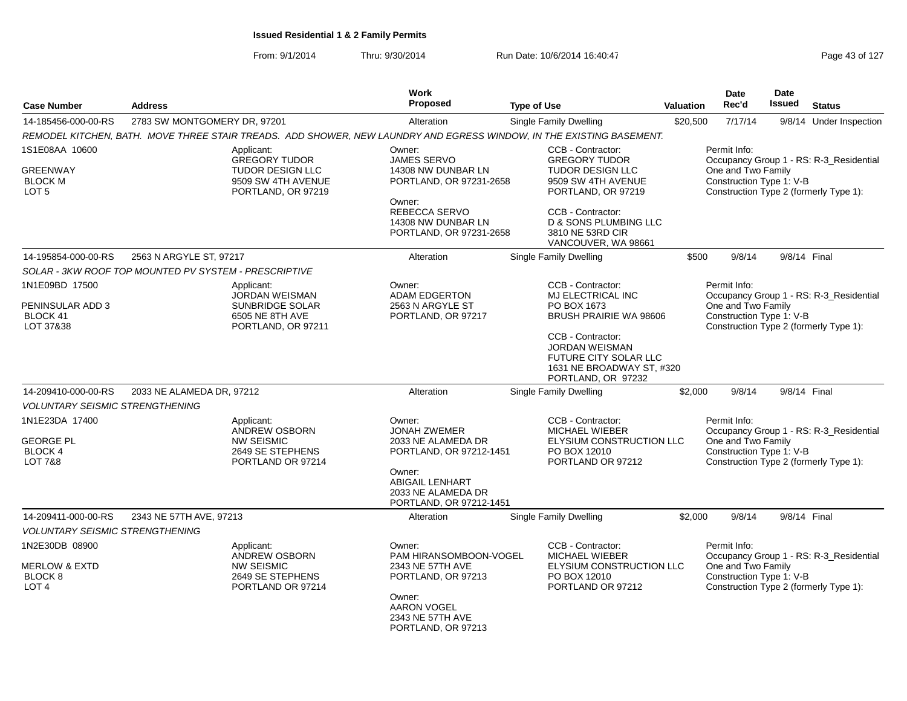| <b>Case Number</b>                                                        | <b>Address</b>                                                                                                       | Work<br><b>Proposed</b>                                                                                                                                             | <b>Type of Use</b>                                                                                                                                                                                                   | <b>Valuation</b> | Date<br>Rec'd                                                  | Date<br><b>Issued</b> | <b>Status</b>                                                                     |
|---------------------------------------------------------------------------|----------------------------------------------------------------------------------------------------------------------|---------------------------------------------------------------------------------------------------------------------------------------------------------------------|----------------------------------------------------------------------------------------------------------------------------------------------------------------------------------------------------------------------|------------------|----------------------------------------------------------------|-----------------------|-----------------------------------------------------------------------------------|
| 14-185456-000-00-RS                                                       | 2783 SW MONTGOMERY DR, 97201                                                                                         | Alteration                                                                                                                                                          | <b>Single Family Dwelling</b>                                                                                                                                                                                        | \$20,500         | 7/17/14                                                        |                       | 9/8/14 Under Inspection                                                           |
|                                                                           | REMODEL KITCHEN, BATH. MOVE THREE STAIR TREADS. ADD SHOWER, NEW LAUNDRY AND EGRESS WINDOW, IN THE EXISTING BASEMENT. |                                                                                                                                                                     |                                                                                                                                                                                                                      |                  |                                                                |                       |                                                                                   |
| 1S1E08AA 10600<br><b>GREENWAY</b><br><b>BLOCK M</b><br>LOT <sub>5</sub>   | Applicant:<br><b>GREGORY TUDOR</b><br><b>TUDOR DESIGN LLC</b><br>9509 SW 4TH AVENUE<br>PORTLAND, OR 97219            | Owner:<br><b>JAMES SERVO</b><br>14308 NW DUNBAR LN<br>PORTLAND, OR 97231-2658<br>Owner:<br>REBECCA SERVO<br>14308 NW DUNBAR LN<br>PORTLAND, OR 97231-2658           | CCB - Contractor:<br><b>GREGORY TUDOR</b><br><b>TUDOR DESIGN LLC</b><br>9509 SW 4TH AVENUE<br>PORTLAND, OR 97219<br>CCB - Contractor:<br><b>D &amp; SONS PLUMBING LLC</b><br>3810 NE 53RD CIR<br>VANCOUVER, WA 98661 |                  | Permit Info:<br>One and Two Family<br>Construction Type 1: V-B |                       | Occupancy Group 1 - RS: R-3_Residential<br>Construction Type 2 (formerly Type 1): |
| 14-195854-000-00-RS                                                       | 2563 N ARGYLE ST, 97217                                                                                              | Alteration                                                                                                                                                          | <b>Single Family Dwelling</b>                                                                                                                                                                                        | \$500            | 9/8/14                                                         |                       | 9/8/14 Final                                                                      |
|                                                                           | SOLAR - 3KW ROOF TOP MOUNTED PV SYSTEM - PRESCRIPTIVE                                                                |                                                                                                                                                                     |                                                                                                                                                                                                                      |                  |                                                                |                       |                                                                                   |
| 1N1E09BD 17500<br>PENINSULAR ADD 3<br>BLOCK 41<br>LOT 37&38               | Applicant:<br><b>JORDAN WEISMAN</b><br><b>SUNBRIDGE SOLAR</b><br>6505 NE 8TH AVE<br>PORTLAND, OR 97211               | Owner:<br><b>ADAM EDGERTON</b><br>2563 N ARGYLE ST<br>PORTLAND, OR 97217                                                                                            | CCB - Contractor:<br>MJ ELECTRICAL INC<br>PO BOX 1673<br>BRUSH PRAIRIE WA 98606<br>CCB - Contractor:<br><b>JORDAN WEISMAN</b><br><b>FUTURE CITY SOLAR LLC</b><br>1631 NE BROADWAY ST, #320<br>PORTLAND, OR 97232     |                  | Permit Info:<br>One and Two Family<br>Construction Type 1: V-B |                       | Occupancy Group 1 - RS: R-3_Residential<br>Construction Type 2 (formerly Type 1): |
| 14-209410-000-00-RS                                                       | 2033 NE ALAMEDA DR, 97212                                                                                            | Alteration                                                                                                                                                          | Single Family Dwelling                                                                                                                                                                                               | \$2,000          | 9/8/14                                                         |                       | 9/8/14 Final                                                                      |
| <b>VOLUNTARY SEISMIC STRENGTHENING</b>                                    |                                                                                                                      |                                                                                                                                                                     |                                                                                                                                                                                                                      |                  |                                                                |                       |                                                                                   |
| 1N1E23DA 17400<br>GEORGE PL<br>BLOCK 4<br><b>LOT 7&amp;8</b>              | Applicant:<br><b>ANDREW OSBORN</b><br><b>NW SEISMIC</b><br>2649 SE STEPHENS<br>PORTLAND OR 97214                     | Owner:<br><b>JONAH ZWEMER</b><br>2033 NE ALAMEDA DR<br>PORTLAND, OR 97212-1451<br>Owner:<br><b>ABIGAIL LENHART</b><br>2033 NE ALAMEDA DR<br>PORTLAND, OR 97212-1451 | CCB - Contractor:<br><b>MICHAEL WIEBER</b><br>ELYSIUM CONSTRUCTION LLC<br>PO BOX 12010<br>PORTLAND OR 97212                                                                                                          |                  | Permit Info:<br>One and Two Family<br>Construction Type 1: V-B |                       | Occupancy Group 1 - RS: R-3_Residential<br>Construction Type 2 (formerly Type 1): |
| 14-209411-000-00-RS                                                       | 2343 NE 57TH AVE, 97213                                                                                              | Alteration                                                                                                                                                          | <b>Single Family Dwelling</b>                                                                                                                                                                                        | \$2,000          | 9/8/14                                                         |                       | 9/8/14 Final                                                                      |
| <b>VOLUNTARY SEISMIC STRENGTHENING</b>                                    |                                                                                                                      |                                                                                                                                                                     |                                                                                                                                                                                                                      |                  |                                                                |                       |                                                                                   |
| 1N2E30DB 08900<br><b>MERLOW &amp; EXTD</b><br>BLOCK 8<br>LOT <sub>4</sub> | Applicant:<br>ANDREW OSBORN<br><b>NW SEISMIC</b><br>2649 SE STEPHENS<br>PORTLAND OR 97214                            | Owner:<br>PAM HIRANSOMBOON-VOGEL<br>2343 NE 57TH AVE<br>PORTLAND, OR 97213<br>Owner:<br><b>AARON VOGEL</b><br>2343 NE 57TH AVE<br>PORTLAND, OR 97213                | CCB - Contractor:<br>MICHAEL WIEBER<br>ELYSIUM CONSTRUCTION LLC<br>PO BOX 12010<br>PORTLAND OR 97212                                                                                                                 |                  | Permit Info:<br>One and Two Family<br>Construction Type 1: V-B |                       | Occupancy Group 1 - RS: R-3_Residential<br>Construction Type 2 (formerly Type 1): |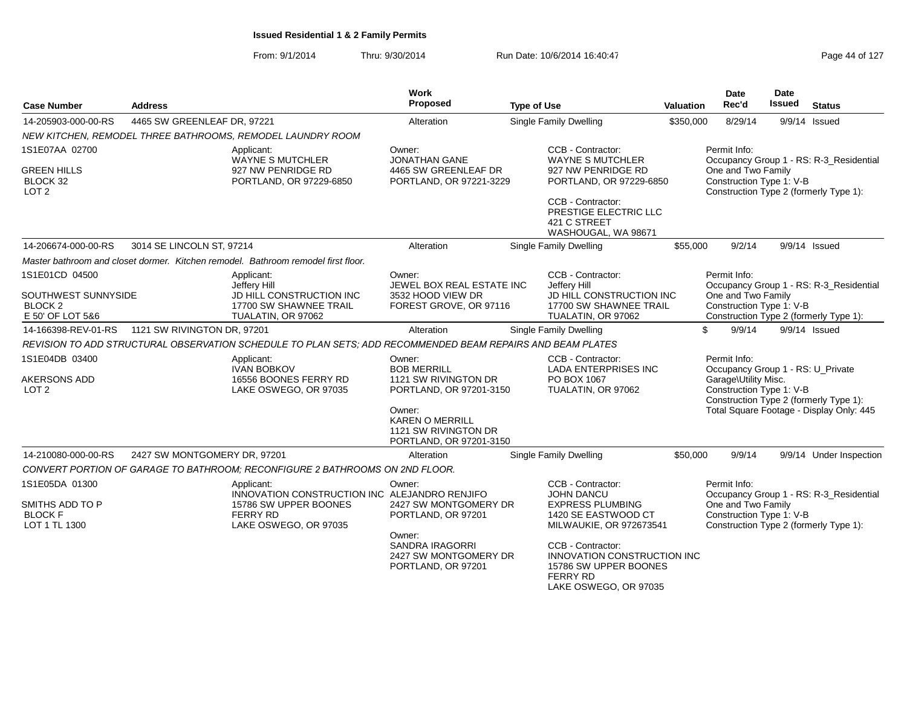| <b>Case Number</b>                                        | <b>Address</b>               |                                                                                                            | Work<br>Proposed                                                                    | <b>Type of Use</b>                                                                                                           | <b>Valuation</b> | <b>Date</b><br>Rec'd                                                                                  | <b>Date</b><br><b>Issued</b> | <b>Status</b>                            |
|-----------------------------------------------------------|------------------------------|------------------------------------------------------------------------------------------------------------|-------------------------------------------------------------------------------------|------------------------------------------------------------------------------------------------------------------------------|------------------|-------------------------------------------------------------------------------------------------------|------------------------------|------------------------------------------|
| 14-205903-000-00-RS                                       | 4465 SW GREENLEAF DR, 97221  |                                                                                                            | Alteration                                                                          | Single Family Dwelling                                                                                                       | \$350,000        | 8/29/14                                                                                               |                              | $9/9/14$ Issued                          |
|                                                           |                              | NEW KITCHEN, REMODEL THREE BATHROOMS, REMODEL LAUNDRY ROOM                                                 |                                                                                     |                                                                                                                              |                  |                                                                                                       |                              |                                          |
| 1S1E07AA 02700                                            |                              | Applicant:<br><b>WAYNE S MUTCHLER</b>                                                                      | Owner:<br><b>JONATHAN GANE</b>                                                      | CCB - Contractor:<br><b>WAYNE S MUTCHLER</b>                                                                                 |                  | Permit Info:                                                                                          |                              | Occupancy Group 1 - RS: R-3 Residential  |
| <b>GREEN HILLS</b><br>BLOCK 32<br>LOT <sub>2</sub>        |                              | 927 NW PENRIDGE RD<br>PORTLAND, OR 97229-6850                                                              | 4465 SW GREENLEAF DR<br>PORTLAND, OR 97221-3229                                     | 927 NW PENRIDGE RD<br>PORTLAND, OR 97229-6850                                                                                |                  | One and Two Family<br>Construction Type 1: V-B                                                        |                              | Construction Type 2 (formerly Type 1):   |
|                                                           |                              |                                                                                                            |                                                                                     | CCB - Contractor:<br>PRESTIGE ELECTRIC LLC<br>421 C STREET<br>WASHOUGAL, WA 98671                                            |                  |                                                                                                       |                              |                                          |
| 14-206674-000-00-RS                                       | 3014 SE LINCOLN ST, 97214    |                                                                                                            | Alteration                                                                          | Single Family Dwelling                                                                                                       | \$55,000         | 9/2/14                                                                                                |                              | 9/9/14 Issued                            |
|                                                           |                              | Master bathroom and closet dormer. Kitchen remodel. Bathroom remodel first floor.                          |                                                                                     |                                                                                                                              |                  |                                                                                                       |                              |                                          |
| 1S1E01CD 04500                                            |                              | Applicant:<br>Jeffery Hill                                                                                 | Owner:<br>JEWEL BOX REAL ESTATE INC                                                 | CCB - Contractor:<br>Jeffery Hill                                                                                            |                  | Permit Info:                                                                                          |                              | Occupancy Group 1 - RS: R-3 Residential  |
| SOUTHWEST SUNNYSIDE<br><b>BLOCK 2</b><br>E 50' OF LOT 5&6 |                              | JD HILL CONSTRUCTION INC<br>17700 SW SHAWNEE TRAIL<br>TUALATIN, OR 97062                                   | 3532 HOOD VIEW DR<br>FOREST GROVE, OR 97116                                         | JD HILL CONSTRUCTION INC<br>17700 SW SHAWNEE TRAIL<br>TUALATIN, OR 97062                                                     |                  | One and Two Family<br>Construction Type 1: V-B                                                        |                              | Construction Type 2 (formerly Type 1):   |
| 14-166398-REV-01-RS                                       | 1121 SW RIVINGTON DR, 97201  |                                                                                                            | Alteration                                                                          | Single Family Dwelling                                                                                                       |                  | \$<br>9/9/14                                                                                          |                              | 9/9/14 Issued                            |
|                                                           |                              | REVISION TO ADD STRUCTURAL OBSERVATION SCHEDULE TO PLAN SETS; ADD RECOMMENDED BEAM REPAIRS AND BEAM PLATES |                                                                                     |                                                                                                                              |                  |                                                                                                       |                              |                                          |
| 1S1E04DB 03400<br><b>AKERSONS ADD</b><br>LOT <sub>2</sub> |                              | Applicant:<br><b>IVAN BOBKOV</b><br>16556 BOONES FERRY RD<br>LAKE OSWEGO, OR 97035                         | Owner:<br><b>BOB MERRILL</b><br>1121 SW RIVINGTON DR<br>PORTLAND, OR 97201-3150     | CCB - Contractor:<br><b>LADA ENTERPRISES INC</b><br>PO BOX 1067<br>TUALATIN, OR 97062                                        |                  | Permit Info:<br>Occupancy Group 1 - RS: U_Private<br>Garage\Utility Misc.<br>Construction Type 1: V-B |                              | Construction Type 2 (formerly Type 1):   |
|                                                           |                              |                                                                                                            | Owner:<br><b>KAREN O MERRILL</b><br>1121 SW RIVINGTON DR<br>PORTLAND, OR 97201-3150 |                                                                                                                              |                  |                                                                                                       |                              | Total Square Footage - Display Only: 445 |
| 14-210080-000-00-RS                                       | 2427 SW MONTGOMERY DR, 97201 |                                                                                                            | Alteration                                                                          | Single Family Dwelling                                                                                                       | \$50,000         | 9/9/14                                                                                                |                              | 9/9/14 Under Inspection                  |
|                                                           |                              | CONVERT PORTION OF GARAGE TO BATHROOM: RECONFIGURE 2 BATHROOMS ON 2ND FLOOR.                               |                                                                                     |                                                                                                                              |                  |                                                                                                       |                              |                                          |
| 1S1E05DA 01300                                            |                              | Applicant:<br>INNOVATION CONSTRUCTION INC ALEJANDRO RENJIFO                                                | Owner:                                                                              | CCB - Contractor:<br><b>JOHN DANCU</b>                                                                                       |                  | Permit Info:                                                                                          |                              | Occupancy Group 1 - RS: R-3_Residential  |
| SMITHS ADD TO P<br><b>BLOCK F</b><br>LOT 1 TL 1300        |                              | 15786 SW UPPER BOONES<br><b>FERRY RD</b><br>LAKE OSWEGO, OR 97035                                          | 2427 SW MONTGOMERY DR<br>PORTLAND, OR 97201                                         | <b>EXPRESS PLUMBING</b><br>1420 SE EASTWOOD CT<br>MILWAUKIE, OR 972673541                                                    |                  | One and Two Family<br>Construction Type 1: V-B                                                        |                              | Construction Type 2 (formerly Type 1):   |
|                                                           |                              |                                                                                                            | Owner:<br><b>SANDRA IRAGORRI</b><br>2427 SW MONTGOMERY DR<br>PORTLAND, OR 97201     | CCB - Contractor:<br><b>INNOVATION CONSTRUCTION INC</b><br>15786 SW UPPER BOONES<br><b>FERRY RD</b><br>LAKE OSWEGO, OR 97035 |                  |                                                                                                       |                              |                                          |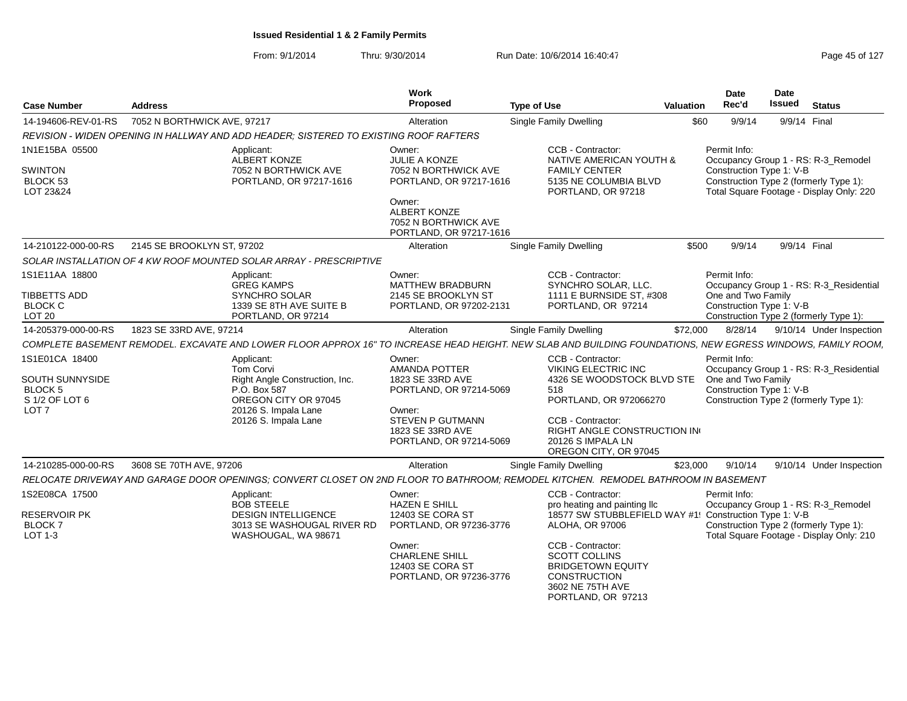| <b>Case Number</b>                              | <b>Address</b>                                                                                                                                              | Work<br>Proposed                                                               | <b>Type of Use</b>                                                                                                                     | <b>Valuation</b> | Date<br>Rec'd                                  | <b>Date</b><br><b>Issued</b> | <b>Status</b>                                                                      |
|-------------------------------------------------|-------------------------------------------------------------------------------------------------------------------------------------------------------------|--------------------------------------------------------------------------------|----------------------------------------------------------------------------------------------------------------------------------------|------------------|------------------------------------------------|------------------------------|------------------------------------------------------------------------------------|
| 14-194606-REV-01-RS                             | 7052 N BORTHWICK AVE, 97217                                                                                                                                 | Alteration                                                                     | <b>Single Family Dwelling</b>                                                                                                          | \$60             | 9/9/14                                         |                              | 9/9/14 Final                                                                       |
|                                                 | REVISION - WIDEN OPENING IN HALLWAY AND ADD HEADER; SISTERED TO EXISTING ROOF RAFTERS                                                                       |                                                                                |                                                                                                                                        |                  |                                                |                              |                                                                                    |
| 1N1E15BA 05500                                  | Applicant:<br><b>ALBERT KONZE</b>                                                                                                                           | Owner:<br><b>JULIE A KONZE</b>                                                 | CCB - Contractor:<br>NATIVE AMERICAN YOUTH &                                                                                           |                  | Permit Info:                                   |                              | Occupancy Group 1 - RS: R-3_Remodel                                                |
| <b>SWINTON</b><br>BLOCK 53<br>LOT 23&24         | 7052 N BORTHWICK AVE<br>PORTLAND, OR 97217-1616                                                                                                             | 7052 N BORTHWICK AVE<br>PORTLAND, OR 97217-1616<br>Owner:                      | <b>FAMILY CENTER</b><br>5135 NE COLUMBIA BLVD<br>PORTLAND, OR 97218                                                                    |                  | Construction Type 1: V-B                       |                              | Construction Type 2 (formerly Type 1):<br>Total Square Footage - Display Only: 220 |
|                                                 |                                                                                                                                                             | <b>ALBERT KONZE</b><br>7052 N BORTHWICK AVE<br>PORTLAND, OR 97217-1616         |                                                                                                                                        |                  |                                                |                              |                                                                                    |
| 14-210122-000-00-RS                             | 2145 SE BROOKLYN ST, 97202                                                                                                                                  | Alteration                                                                     | <b>Single Family Dwelling</b>                                                                                                          | \$500            | 9/9/14                                         |                              | 9/9/14 Final                                                                       |
|                                                 | SOLAR INSTALLATION OF 4 KW ROOF MOUNTED SOLAR ARRAY - PRESCRIPTIVE                                                                                          |                                                                                |                                                                                                                                        |                  |                                                |                              |                                                                                    |
| 1S1E11AA 18800                                  | Applicant:<br><b>GREG KAMPS</b>                                                                                                                             | Owner:<br><b>MATTHEW BRADBURN</b>                                              | CCB - Contractor:<br>SYNCHRO SOLAR, LLC.                                                                                               |                  | Permit Info:                                   |                              | Occupancy Group 1 - RS: R-3_Residential                                            |
| TIBBETTS ADD<br><b>BLOCK C</b><br><b>LOT 20</b> | SYNCHRO SOLAR<br>1339 SE 8TH AVE SUITE B<br>PORTLAND, OR 97214                                                                                              | 2145 SE BROOKLYN ST<br>PORTLAND, OR 97202-2131                                 | 1111 E BURNSIDE ST. #308<br>PORTLAND, OR 97214                                                                                         |                  | One and Two Family<br>Construction Type 1: V-B |                              | Construction Type 2 (formerly Type 1):                                             |
| 14-205379-000-00-RS                             | 1823 SE 33RD AVE, 97214                                                                                                                                     | Alteration                                                                     | Single Family Dwelling                                                                                                                 | \$72,000         | 8/28/14                                        |                              | 9/10/14 Under Inspection                                                           |
|                                                 | COMPLETE BASEMENT REMODEL. EXCAVATE AND LOWER FLOOR APPROX 16" TO INCREASE HEAD HEIGHT. NEW SLAB AND BUILDING FOUNDATIONS, NEW EGRESS WINDOWS, FAMILY ROOM, |                                                                                |                                                                                                                                        |                  |                                                |                              |                                                                                    |
| 1S1E01CA 18400                                  | Applicant:<br>Tom Corvi                                                                                                                                     | Owner:<br>AMANDA POTTER                                                        | CCB - Contractor:<br><b>VIKING ELECTRIC INC</b>                                                                                        |                  | Permit Info:                                   |                              | Occupancy Group 1 - RS: R-3 Residential                                            |
| SOUTH SUNNYSIDE<br><b>BLOCK 5</b>               | Right Angle Construction, Inc.<br>P.O. Box 587                                                                                                              | 1823 SE 33RD AVE<br>PORTLAND, OR 97214-5069                                    | 4326 SE WOODSTOCK BLVD STE<br>518                                                                                                      |                  | One and Two Family<br>Construction Type 1: V-B |                              |                                                                                    |
| S 1/2 OF LOT 6<br>LOT <sub>7</sub>              | OREGON CITY OR 97045<br>20126 S. Impala Lane                                                                                                                | Owner:                                                                         | PORTLAND, OR 972066270                                                                                                                 |                  |                                                |                              | Construction Type 2 (formerly Type 1):                                             |
|                                                 | 20126 S. Impala Lane                                                                                                                                        | <b>STEVEN P GUTMANN</b><br>1823 SE 33RD AVE<br>PORTLAND, OR 97214-5069         | CCB - Contractor:<br><b>RIGHT ANGLE CONSTRUCTION IN</b><br>20126 S IMPALA LN<br>OREGON CITY, OR 97045                                  |                  |                                                |                              |                                                                                    |
| 14-210285-000-00-RS                             | 3608 SE 70TH AVE, 97206                                                                                                                                     | Alteration                                                                     | Single Family Dwelling                                                                                                                 | \$23,000         | 9/10/14                                        |                              | 9/10/14 Under Inspection                                                           |
|                                                 | RELOCATE DRIVEWAY AND GARAGE DOOR OPENINGS: CONVERT CLOSET ON 2ND FLOOR TO BATHROOM: REMODEL KITCHEN. REMODEL BATHROOM IN BASEMENT                          |                                                                                |                                                                                                                                        |                  |                                                |                              |                                                                                    |
| 1S2E08CA 17500                                  | Applicant:<br><b>BOB STEELE</b>                                                                                                                             | Owner:<br><b>HAZEN E SHILL</b>                                                 | CCB - Contractor:<br>pro heating and painting IIc                                                                                      |                  | Permit Info:                                   |                              | Occupancy Group 1 - RS: R-3_Remodel                                                |
| RESERVOIR PK<br><b>BLOCK7</b><br>LOT 1-3        | <b>DESIGN INTELLIGENCE</b><br>3013 SE WASHOUGAL RIVER RD<br>WASHOUGAL, WA 98671                                                                             | 12403 SE CORA ST<br>PORTLAND, OR 97236-3776                                    | 18577 SW STUBBLEFIELD WAY #1! Construction Type 1: V-B<br>ALOHA, OR 97006                                                              |                  |                                                |                              | Construction Type 2 (formerly Type 1):<br>Total Square Footage - Display Only: 210 |
|                                                 |                                                                                                                                                             | Owner:<br><b>CHARLENE SHILL</b><br>12403 SE CORA ST<br>PORTLAND, OR 97236-3776 | CCB - Contractor:<br><b>SCOTT COLLINS</b><br><b>BRIDGETOWN EQUITY</b><br><b>CONSTRUCTION</b><br>3602 NE 75TH AVE<br>PORTLAND, OR 97213 |                  |                                                |                              |                                                                                    |
|                                                 |                                                                                                                                                             |                                                                                |                                                                                                                                        |                  |                                                |                              |                                                                                    |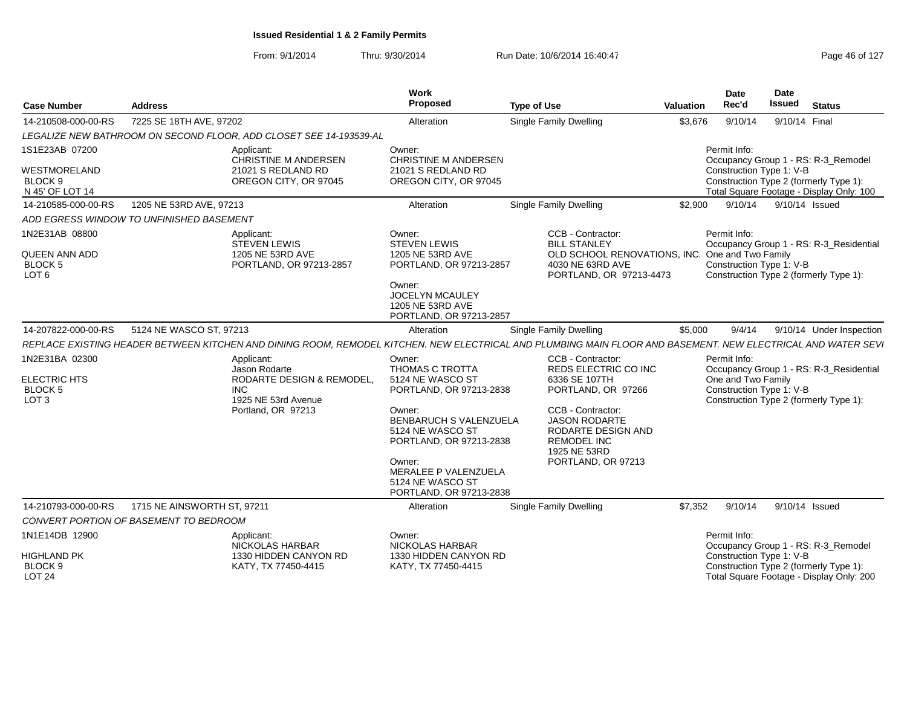| <b>Case Number</b>                                                           | <b>Address</b>                           |                                                                                  | <b>Work</b><br>Proposed                                                                                                                                         | <b>Type of Use</b>                                                                                                                                           | <b>Valuation</b> | Date<br>Rec'd                                                  | <b>Date</b><br><b>Issued</b> | <b>Status</b>                                                                      |
|------------------------------------------------------------------------------|------------------------------------------|----------------------------------------------------------------------------------|-----------------------------------------------------------------------------------------------------------------------------------------------------------------|--------------------------------------------------------------------------------------------------------------------------------------------------------------|------------------|----------------------------------------------------------------|------------------------------|------------------------------------------------------------------------------------|
| 14-210508-000-00-RS                                                          | 7225 SE 18TH AVE, 97202                  |                                                                                  | Alteration                                                                                                                                                      | <b>Single Family Dwelling</b>                                                                                                                                | \$3,676          | 9/10/14                                                        | 9/10/14 Final                |                                                                                    |
|                                                                              |                                          | LEGALIZE NEW BATHROOM ON SECOND FLOOR, ADD CLOSET SEE 14-193539-AL               |                                                                                                                                                                 |                                                                                                                                                              |                  |                                                                |                              |                                                                                    |
| 1S1E23AB 07200                                                               |                                          | Applicant:<br><b>CHRISTINE M ANDERSEN</b>                                        | Owner:<br><b>CHRISTINE M ANDERSEN</b>                                                                                                                           |                                                                                                                                                              |                  | Permit Info:                                                   |                              | Occupancy Group 1 - RS: R-3 Remodel                                                |
| <b>WESTMORELAND</b><br>BLOCK <sub>9</sub><br>N 45' OF LOT 14                 |                                          | 21021 S REDLAND RD<br>OREGON CITY, OR 97045                                      | 21021 S REDLAND RD<br>OREGON CITY, OR 97045                                                                                                                     |                                                                                                                                                              |                  | Construction Type 1: V-B                                       |                              | Construction Type 2 (formerly Type 1):<br>Total Square Footage - Display Only: 100 |
| 14-210585-000-00-RS                                                          | 1205 NE 53RD AVE, 97213                  |                                                                                  | Alteration                                                                                                                                                      | <b>Single Family Dwelling</b>                                                                                                                                | \$2,900          | 9/10/14                                                        |                              | 9/10/14 Issued                                                                     |
|                                                                              | ADD EGRESS WINDOW TO UNFINISHED BASEMENT |                                                                                  |                                                                                                                                                                 |                                                                                                                                                              |                  |                                                                |                              |                                                                                    |
| 1N2E31AB 08800<br><b>QUEEN ANN ADD</b><br><b>BLOCK 5</b><br>LOT <sub>6</sub> |                                          | Applicant:<br><b>STEVEN LEWIS</b><br>1205 NE 53RD AVE<br>PORTLAND, OR 97213-2857 | Owner:<br><b>STEVEN LEWIS</b><br>1205 NE 53RD AVE<br>PORTLAND, OR 97213-2857<br>Owner:<br><b>JOCELYN MCAULEY</b><br>1205 NE 53RD AVE<br>PORTLAND, OR 97213-2857 | CCB - Contractor:<br><b>BILL STANLEY</b><br>OLD SCHOOL RENOVATIONS, INC.<br>4030 NE 63RD AVE<br>PORTLAND, OR 97213-4473                                      |                  | Permit Info:<br>One and Two Family<br>Construction Type 1: V-B |                              | Occupancy Group 1 - RS: R-3_Residential<br>Construction Type 2 (formerly Type 1):  |
| 14-207822-000-00-RS                                                          | 5124 NE WASCO ST, 97213                  |                                                                                  | Alteration                                                                                                                                                      | Single Family Dwelling                                                                                                                                       | \$5,000          | 9/4/14                                                         |                              | 9/10/14 Under Inspection                                                           |
|                                                                              |                                          |                                                                                  |                                                                                                                                                                 | REPLACE EXISTING HEADER BETWEEN KITCHEN AND DINING ROOM, REMODEL KITCHEN. NEW ELECTRICAL AND PLUMBING MAIN FLOOR AND BASEMENT. NEW ELECTRICAL AND WATER SEVI |                  |                                                                |                              |                                                                                    |
| 1N2E31BA 02300                                                               |                                          | Applicant:                                                                       | Owner:                                                                                                                                                          | CCB - Contractor:                                                                                                                                            |                  | Permit Info:                                                   |                              |                                                                                    |
| <b>ELECTRIC HTS</b><br><b>BLOCK 5</b><br>LOT <sub>3</sub>                    |                                          | Jason Rodarte<br>RODARTE DESIGN & REMODEL,<br><b>INC</b><br>1925 NE 53rd Avenue  | THOMAS C TROTTA<br>5124 NE WASCO ST<br>PORTLAND, OR 97213-2838                                                                                                  | REDS ELECTRIC CO INC<br>6336 SE 107TH<br>PORTLAND, OR 97266                                                                                                  |                  | One and Two Family<br>Construction Type 1: V-B                 |                              | Occupancy Group 1 - RS: R-3 Residential<br>Construction Type 2 (formerly Type 1):  |
|                                                                              |                                          | Portland, OR 97213                                                               | Owner:<br>BENBARUCH S VALENZUELA<br>5124 NE WASCO ST<br>PORTLAND, OR 97213-2838                                                                                 | CCB - Contractor:<br><b>JASON RODARTE</b><br>RODARTE DESIGN AND<br><b>REMODEL INC</b><br>1925 NE 53RD                                                        |                  |                                                                |                              |                                                                                    |
|                                                                              |                                          |                                                                                  | Owner:<br>MERALEE P VALENZUELA<br>5124 NE WASCO ST<br>PORTLAND, OR 97213-2838                                                                                   | PORTLAND, OR 97213                                                                                                                                           |                  |                                                                |                              |                                                                                    |
| 14-210793-000-00-RS                                                          | 1715 NE AINSWORTH ST, 97211              |                                                                                  | Alteration                                                                                                                                                      | <b>Single Family Dwelling</b>                                                                                                                                | \$7.352          | 9/10/14                                                        | 9/10/14 Issued               |                                                                                    |
|                                                                              | CONVERT PORTION OF BASEMENT TO BEDROOM   |                                                                                  |                                                                                                                                                                 |                                                                                                                                                              |                  |                                                                |                              |                                                                                    |
| 1N1E14DB 12900                                                               |                                          | Applicant:<br>NICKOLAS HARBAR                                                    | Owner:<br><b>NICKOLAS HARBAR</b>                                                                                                                                |                                                                                                                                                              |                  | Permit Info:                                                   |                              | Occupancy Group 1 - RS: R-3_Remodel                                                |
| HIGHLAND PK<br>BLOCK <sub>9</sub><br><b>LOT 24</b>                           |                                          | 1330 HIDDEN CANYON RD<br>KATY, TX 77450-4415                                     | 1330 HIDDEN CANYON RD<br>KATY, TX 77450-4415                                                                                                                    |                                                                                                                                                              |                  | Construction Type 1: V-B                                       |                              | Construction Type 2 (formerly Type 1):<br>Total Square Footage - Display Only: 200 |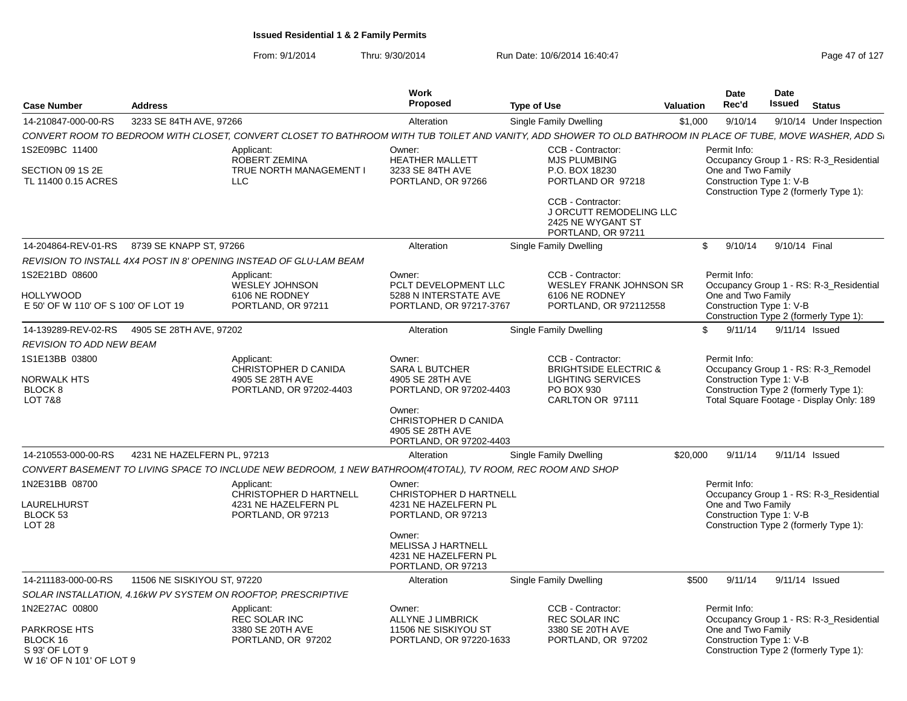W 16' OF N 101' OF LOT 9

| <b>Case Number</b>                               | <b>Address</b>              |                                                                                                                                                              | Work<br>Proposed                                                                                         | <b>Type of Use</b>                                                                      | <b>Valuation</b> | <b>Date</b><br>Rec'd                           | <b>Date</b><br>Issued | <b>Status</b>                                                                      |
|--------------------------------------------------|-----------------------------|--------------------------------------------------------------------------------------------------------------------------------------------------------------|----------------------------------------------------------------------------------------------------------|-----------------------------------------------------------------------------------------|------------------|------------------------------------------------|-----------------------|------------------------------------------------------------------------------------|
| 14-210847-000-00-RS                              | 3233 SE 84TH AVE, 97266     |                                                                                                                                                              | Alteration                                                                                               | Single Family Dwelling                                                                  | \$1,000          | 9/10/14                                        |                       | 9/10/14 Under Inspection                                                           |
|                                                  |                             | CONVERT ROOM TO BEDROOM WITH CLOSET, CONVERT CLOSET TO BATHROOM WITH TUB TOILET AND VANITY, ADD SHOWER TO OLD BATHROOM IN PLACE OF TUBE, MOVE WASHER, ADD S. |                                                                                                          |                                                                                         |                  |                                                |                       |                                                                                    |
| 1S2E09BC 11400                                   |                             | Applicant:<br>ROBERT ZEMINA                                                                                                                                  | Owner:<br><b>HEATHER MALLETT</b>                                                                         | CCB - Contractor:<br><b>MJS PLUMBING</b>                                                |                  | Permit Info:                                   |                       | Occupancy Group 1 - RS: R-3_Residential                                            |
| SECTION 09 1S 2E<br>TL 11400 0.15 ACRES          |                             | <b>TRUE NORTH MANAGEMENT I</b><br><b>LLC</b>                                                                                                                 | 3233 SE 84TH AVE<br>PORTLAND, OR 97266                                                                   | P.O. BOX 18230<br>PORTLAND OR 97218                                                     |                  | One and Two Family<br>Construction Type 1: V-B |                       | Construction Type 2 (formerly Type 1):                                             |
|                                                  |                             |                                                                                                                                                              |                                                                                                          | CCB - Contractor:<br>J ORCUTT REMODELING LLC<br>2425 NE WYGANT ST<br>PORTLAND, OR 97211 |                  |                                                |                       |                                                                                    |
| 14-204864-REV-01-RS                              | 8739 SE KNAPP ST, 97266     |                                                                                                                                                              | Alteration                                                                                               | Single Family Dwelling                                                                  |                  | \$<br>9/10/14                                  | 9/10/14 Final         |                                                                                    |
|                                                  |                             | REVISION TO INSTALL 4X4 POST IN 8' OPENING INSTEAD OF GLU-LAM BEAM                                                                                           |                                                                                                          |                                                                                         |                  |                                                |                       |                                                                                    |
| 1S2E21BD 08600                                   |                             | Applicant:<br><b>WESLEY JOHNSON</b>                                                                                                                          | Owner:<br>PCLT DEVELOPMENT LLC                                                                           | CCB - Contractor:<br><b>WESLEY FRANK JOHNSON SR</b>                                     |                  | Permit Info:                                   |                       | Occupancy Group 1 - RS: R-3_Residential                                            |
| HOLLYWOOD<br>E 50' OF W 110' OF S 100' OF LOT 19 |                             | 6106 NE RODNEY<br>PORTLAND, OR 97211                                                                                                                         | 5288 N INTERSTATE AVE<br>PORTLAND, OR 97217-3767                                                         | 6106 NE RODNEY<br>PORTLAND, OR 972112558                                                |                  | One and Two Family<br>Construction Type 1: V-B |                       | Construction Type 2 (formerly Type 1):                                             |
| 14-139289-REV-02-RS                              | 4905 SE 28TH AVE, 97202     |                                                                                                                                                              | Alteration                                                                                               | Single Family Dwelling                                                                  |                  | 9/11/14<br>\$.                                 |                       | 9/11/14 Issued                                                                     |
| REVISION TO ADD NEW BEAM                         |                             |                                                                                                                                                              |                                                                                                          |                                                                                         |                  |                                                |                       |                                                                                    |
| 1S1E13BB 03800                                   |                             | Applicant:                                                                                                                                                   | Owner:                                                                                                   | CCB - Contractor:                                                                       |                  | Permit Info:                                   |                       |                                                                                    |
| NORWALK HTS                                      |                             | CHRISTOPHER D CANIDA<br>4905 SE 28TH AVE                                                                                                                     | <b>SARA L BUTCHER</b><br>4905 SE 28TH AVE                                                                | <b>BRIGHTSIDE ELECTRIC &amp;</b><br><b>LIGHTING SERVICES</b>                            |                  | Construction Type 1: V-B                       |                       | Occupancy Group 1 - RS: R-3_Remodel                                                |
| BLOCK <sub>8</sub><br><b>LOT 7&amp;8</b>         |                             | PORTLAND, OR 97202-4403                                                                                                                                      | PORTLAND, OR 97202-4403<br>Owner:<br>CHRISTOPHER D CANIDA<br>4905 SE 28TH AVE<br>PORTLAND, OR 97202-4403 | PO BOX 930<br>CARLTON OR 97111                                                          |                  |                                                |                       | Construction Type 2 (formerly Type 1):<br>Total Square Footage - Display Only: 189 |
| 14-210553-000-00-RS                              | 4231 NE HAZELFERN PL, 97213 |                                                                                                                                                              | Alteration                                                                                               | Single Family Dwelling                                                                  | \$20,000         | 9/11/14                                        |                       | 9/11/14 Issued                                                                     |
|                                                  |                             | CONVERT BASEMENT TO LIVING SPACE TO INCLUDE NEW BEDROOM, 1 NEW BATHROOM(4TOTAL), TV ROOM, REC ROOM AND SHOP                                                  |                                                                                                          |                                                                                         |                  |                                                |                       |                                                                                    |
| 1N2E31BB 08700                                   |                             | Applicant:                                                                                                                                                   | Owner:                                                                                                   |                                                                                         |                  | Permit Info:                                   |                       |                                                                                    |
| LAURELHURST<br>BLOCK 53<br>LOT <sub>28</sub>     |                             | CHRISTOPHER D HARTNELL<br>4231 NE HAZELFERN PL<br>PORTLAND, OR 97213                                                                                         | <b>CHRISTOPHER D HARTNELL</b><br>4231 NE HAZELFERN PL<br>PORTLAND, OR 97213                              |                                                                                         |                  | One and Two Family<br>Construction Type 1: V-B |                       | Occupancy Group 1 - RS: R-3_Residential<br>Construction Type 2 (formerly Type 1):  |
|                                                  |                             |                                                                                                                                                              | Owner:<br>MELISSA J HARTNELL<br>4231 NE HAZELFERN PL<br>PORTLAND, OR 97213                               |                                                                                         |                  |                                                |                       |                                                                                    |
| 14-211183-000-00-RS                              | 11506 NE SISKIYOU ST, 97220 |                                                                                                                                                              | Alteration                                                                                               | Single Family Dwelling                                                                  | \$500            | 9/11/14                                        |                       | 9/11/14 Issued                                                                     |
|                                                  |                             | SOLAR INSTALLATION, 4.16kW PV SYSTEM ON ROOFTOP, PRESCRIPTIVE                                                                                                |                                                                                                          |                                                                                         |                  |                                                |                       |                                                                                    |
| 1N2E27AC 00800                                   |                             | Applicant:<br><b>REC SOLAR INC</b>                                                                                                                           | Owner:<br>ALLYNE J LIMBRICK                                                                              | CCB - Contractor:<br><b>REC SOLAR INC</b>                                               |                  | Permit Info:                                   |                       | Occupancy Group 1 - RS: R-3_Residential                                            |
| PARKROSE HTS<br>BLOCK 16<br>S 93' OF LOT 9       |                             | 3380 SE 20TH AVE<br>PORTLAND, OR 97202                                                                                                                       | 11506 NE SISKIYOU ST<br>PORTLAND, OR 97220-1633                                                          | 3380 SE 20TH AVE<br>PORTLAND, OR 97202                                                  |                  | One and Two Family<br>Construction Type 1: V-B |                       | Construction Type 2 (formerly Type 1):                                             |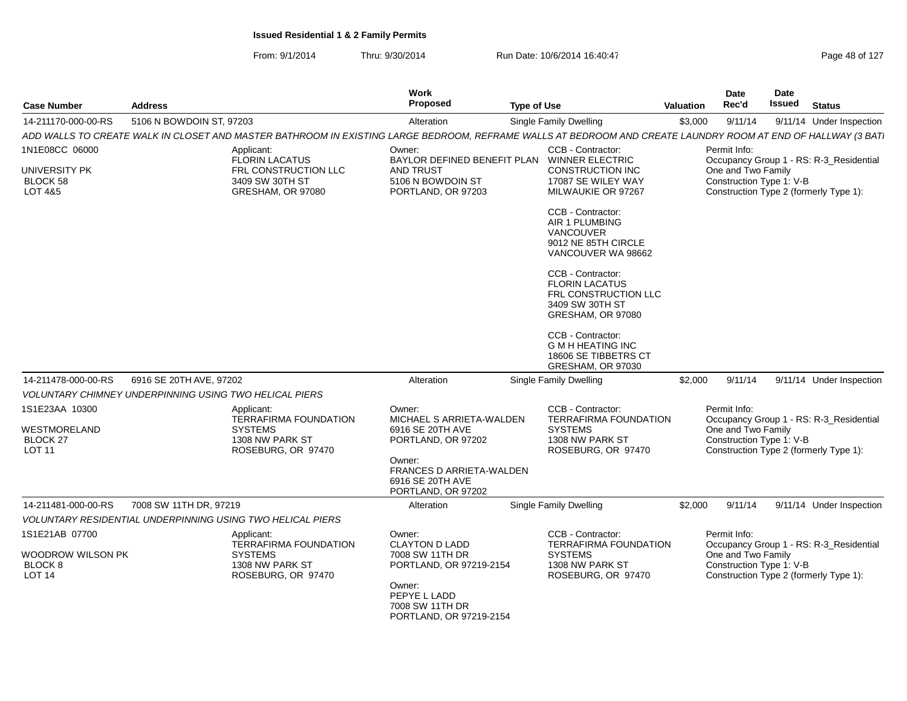| From: 9/1/2014 | Thru: 9/30/2014 | Run Date: 10/6/2014 16:40:47 | Page 48 of 127 |
|----------------|-----------------|------------------------------|----------------|
|----------------|-----------------|------------------------------|----------------|

| <b>Case Number</b>                                                             | <b>Address</b>                                                                                                                                               | <b>Work</b><br><b>Proposed</b>                                                                                                                               | <b>Type of Use</b>                                                                                           | <b>Valuation</b> | <b>Date</b><br>Rec'd                                           | Date<br><b>Issued</b> | <b>Status</b>                                                                     |
|--------------------------------------------------------------------------------|--------------------------------------------------------------------------------------------------------------------------------------------------------------|--------------------------------------------------------------------------------------------------------------------------------------------------------------|--------------------------------------------------------------------------------------------------------------|------------------|----------------------------------------------------------------|-----------------------|-----------------------------------------------------------------------------------|
| 14-211170-000-00-RS                                                            | 5106 N BOWDOIN ST, 97203                                                                                                                                     | Alteration                                                                                                                                                   | Single Family Dwelling                                                                                       | \$3,000          | 9/11/14                                                        |                       | 9/11/14 Under Inspection                                                          |
|                                                                                | ADD WALLS TO CREATE WALK IN CLOSET AND MASTER BATHROOM IN EXISTING LARGE BEDROOM, REFRAME WALLS AT BEDROOM AND CREATE LAUNDRY ROOM AT END OF HALLWAY (3 BAT. |                                                                                                                                                              |                                                                                                              |                  |                                                                |                       |                                                                                   |
| 1N1E08CC 06000                                                                 | Applicant:<br>FLORIN LACATUS                                                                                                                                 | Owner:                                                                                                                                                       | CCB - Contractor:<br>BAYLOR DEFINED BENEFIT PLAN WINNER ELECTRIC                                             |                  | Permit Info:                                                   |                       | Occupancy Group 1 - RS: R-3_Residential                                           |
| UNIVERSITY PK<br>BLOCK 58<br>LOT 4&5                                           | FRL CONSTRUCTION LLC<br>3409 SW 30TH ST<br>GRESHAM, OR 97080                                                                                                 | AND TRUST<br>5106 N BOWDOIN ST<br>PORTLAND, OR 97203                                                                                                         | CONSTRUCTION INC<br>17087 SE WILEY WAY<br>MILWAUKIE OR 97267                                                 |                  | One and Two Family<br>Construction Type 1: V-B                 |                       | Construction Type 2 (formerly Type 1):                                            |
|                                                                                |                                                                                                                                                              |                                                                                                                                                              | CCB - Contractor:<br>AIR 1 PLUMBING<br><b>VANCOUVER</b><br>9012 NE 85TH CIRCLE<br>VANCOUVER WA 98662         |                  |                                                                |                       |                                                                                   |
|                                                                                |                                                                                                                                                              |                                                                                                                                                              | CCB - Contractor:<br><b>FLORIN LACATUS</b><br>FRL CONSTRUCTION LLC<br>3409 SW 30TH ST<br>GRESHAM, OR 97080   |                  |                                                                |                       |                                                                                   |
|                                                                                |                                                                                                                                                              |                                                                                                                                                              | CCB - Contractor:<br><b>G M H HEATING INC</b><br>18606 SE TIBBETRS CT<br>GRESHAM, OR 97030                   |                  |                                                                |                       |                                                                                   |
| 14-211478-000-00-RS                                                            | 6916 SE 20TH AVE, 97202                                                                                                                                      | Alteration                                                                                                                                                   | Single Family Dwelling                                                                                       | \$2,000          | 9/11/14                                                        |                       | 9/11/14 Under Inspection                                                          |
|                                                                                | <b>VOLUNTARY CHIMNEY UNDERPINNING USING TWO HELICAL PIERS</b>                                                                                                |                                                                                                                                                              |                                                                                                              |                  |                                                                |                       |                                                                                   |
| 1S1E23AA 10300<br>WESTMORELAND<br><b>BLOCK 27</b><br><b>LOT 11</b>             | Applicant:<br><b>TERRAFIRMA FOUNDATION</b><br><b>SYSTEMS</b><br>1308 NW PARK ST<br>ROSEBURG, OR 97470                                                        | Owner:<br>MICHAEL S ARRIETA-WALDEN<br>6916 SE 20TH AVE<br>PORTLAND, OR 97202<br>Owner:<br>FRANCES D ARRIETA-WALDEN<br>6916 SE 20TH AVE<br>PORTLAND, OR 97202 | CCB - Contractor:<br><b>TERRAFIRMA FOUNDATION</b><br><b>SYSTEMS</b><br>1308 NW PARK ST<br>ROSEBURG, OR 97470 |                  | Permit Info:<br>One and Two Family<br>Construction Type 1: V-B |                       | Occupancy Group 1 - RS: R-3_Residential<br>Construction Type 2 (formerly Type 1): |
| 14-211481-000-00-RS                                                            | 7008 SW 11TH DR, 97219                                                                                                                                       | Alteration                                                                                                                                                   | Single Family Dwelling                                                                                       | \$2,000          | 9/11/14                                                        |                       | 9/11/14 Under Inspection                                                          |
|                                                                                | <b>VOLUNTARY RESIDENTIAL UNDERPINNING USING TWO HELICAL PIERS</b>                                                                                            |                                                                                                                                                              |                                                                                                              |                  |                                                                |                       |                                                                                   |
| 1S1E21AB 07700<br>WOODROW WILSON PK<br>BLOCK <sub>8</sub><br>LOT <sub>14</sub> | Applicant:<br><b>TERRAFIRMA FOUNDATION</b><br><b>SYSTEMS</b><br>1308 NW PARK ST<br>ROSEBURG, OR 97470                                                        | Owner:<br><b>CLAYTON D LADD</b><br>7008 SW 11TH DR<br>PORTLAND, OR 97219-2154<br>Owner:<br>PEPYE L LADD<br>7008 SW 11TH DR<br>PORTLAND, OR 97219-2154        | CCB - Contractor:<br><b>TERRAFIRMA FOUNDATION</b><br><b>SYSTEMS</b><br>1308 NW PARK ST<br>ROSEBURG, OR 97470 |                  | Permit Info:<br>One and Two Family<br>Construction Type 1: V-B |                       | Occupancy Group 1 - RS: R-3_Residential<br>Construction Type 2 (formerly Type 1): |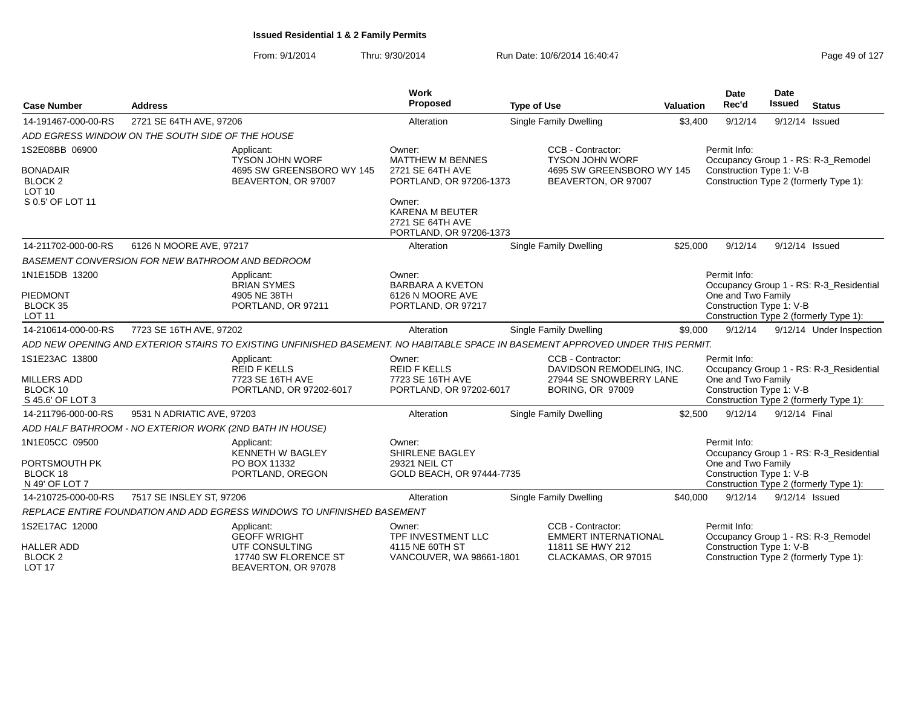| <b>Case Number</b>                                       | <b>Address</b>                                           |                                                                                                                                 | Work<br>Proposed                                                                | <b>Type of Use</b>                                                                                   | Valuation | <b>Date</b><br>Rec'd                                           | Date<br>Issued | <b>Status</b>                           |
|----------------------------------------------------------|----------------------------------------------------------|---------------------------------------------------------------------------------------------------------------------------------|---------------------------------------------------------------------------------|------------------------------------------------------------------------------------------------------|-----------|----------------------------------------------------------------|----------------|-----------------------------------------|
| 14-191467-000-00-RS                                      | 2721 SE 64TH AVE, 97206                                  |                                                                                                                                 | Alteration                                                                      | <b>Single Family Dwelling</b>                                                                        | \$3,400   | 9/12/14                                                        | 9/12/14 Issued |                                         |
|                                                          | ADD EGRESS WINDOW ON THE SOUTH SIDE OF THE HOUSE         |                                                                                                                                 |                                                                                 |                                                                                                      |           |                                                                |                |                                         |
| 1S2E08BB 06900<br><b>BONADAIR</b>                        |                                                          | Applicant:<br><b>TYSON JOHN WORF</b><br>4695 SW GREENSBORO WY 145                                                               | Owner:<br><b>MATTHEW M BENNES</b><br>2721 SE 64TH AVE                           | CCB - Contractor:<br><b>TYSON JOHN WORF</b><br>4695 SW GREENSBORO WY 145                             |           | Permit Info:<br>Construction Type 1: V-B                       |                | Occupancy Group 1 - RS: R-3 Remodel     |
| BLOCK <sub>2</sub><br>LOT <sub>10</sub>                  |                                                          | BEAVERTON, OR 97007                                                                                                             | PORTLAND, OR 97206-1373                                                         | BEAVERTON, OR 97007                                                                                  |           |                                                                |                | Construction Type 2 (formerly Type 1):  |
| S 0.5' OF LOT 11                                         |                                                          |                                                                                                                                 | Owner:<br><b>KARENA M BEUTER</b><br>2721 SE 64TH AVE<br>PORTLAND, OR 97206-1373 |                                                                                                      |           |                                                                |                |                                         |
| 14-211702-000-00-RS                                      | 6126 N MOORE AVE, 97217                                  |                                                                                                                                 | Alteration                                                                      | Single Family Dwelling                                                                               | \$25,000  | 9/12/14                                                        | 9/12/14 Issued |                                         |
|                                                          | BASEMENT CONVERSION FOR NEW BATHROOM AND BEDROOM         |                                                                                                                                 |                                                                                 |                                                                                                      |           |                                                                |                |                                         |
| 1N1E15DB 13200                                           |                                                          | Applicant:<br><b>BRIAN SYMES</b>                                                                                                | Owner:<br><b>BARBARA A KVETON</b>                                               |                                                                                                      |           | Permit Info:                                                   |                | Occupancy Group 1 - RS: R-3 Residential |
| PIEDMONT<br><b>BLOCK 35</b><br><b>LOT 11</b>             |                                                          | 4905 NE 38TH<br>PORTLAND, OR 97211                                                                                              | 6126 N MOORE AVE<br>PORTLAND, OR 97217                                          |                                                                                                      |           | One and Two Family<br>Construction Type 1: V-B                 |                | Construction Type 2 (formerly Type 1):  |
| 14-210614-000-00-RS                                      | 7723 SE 16TH AVE, 97202                                  |                                                                                                                                 | Alteration                                                                      | Single Family Dwelling                                                                               | \$9,000   | 9/12/14                                                        |                | 9/12/14 Under Inspection                |
|                                                          |                                                          | ADD NEW OPENING AND EXTERIOR STAIRS TO EXISTING UNFINISHED BASEMENT. NO HABITABLE SPACE IN BASEMENT APPROVED UNDER THIS PERMIT. |                                                                                 |                                                                                                      |           |                                                                |                |                                         |
| 1S1E23AC 13800<br>MILLERS ADD<br>BLOCK 10                |                                                          | Applicant:<br><b>REID F KELLS</b><br>7723 SE 16TH AVE<br>PORTLAND, OR 97202-6017                                                | Owner:<br><b>REID F KELLS</b><br>7723 SE 16TH AVE<br>PORTLAND, OR 97202-6017    | CCB - Contractor:<br>DAVIDSON REMODELING. INC.<br>27944 SE SNOWBERRY LANE<br><b>BORING, OR 97009</b> |           | Permit Info:<br>One and Two Family<br>Construction Type 1: V-B |                | Occupancy Group 1 - RS: R-3 Residential |
| S 45.6' OF LOT 3<br>14-211796-000-00-RS                  | 9531 N ADRIATIC AVE, 97203                               |                                                                                                                                 | Alteration                                                                      | <b>Single Family Dwelling</b>                                                                        | \$2,500   | 9/12/14                                                        | 9/12/14 Final  | Construction Type 2 (formerly Type 1):  |
|                                                          | ADD HALF BATHROOM - NO EXTERIOR WORK (2ND BATH IN HOUSE) |                                                                                                                                 |                                                                                 |                                                                                                      |           |                                                                |                |                                         |
| 1N1E05CC 09500                                           |                                                          | Applicant:<br><b>KENNETH W BAGLEY</b>                                                                                           | Owner:<br><b>SHIRLENE BAGLEY</b>                                                |                                                                                                      |           | Permit Info:                                                   |                | Occupancy Group 1 - RS: R-3_Residential |
| PORTSMOUTH PK<br>BLOCK 18<br>N 49' OF LOT 7              |                                                          | PO BOX 11332<br>PORTLAND, OREGON                                                                                                | 29321 NEIL CT<br>GOLD BEACH, OR 97444-7735                                      |                                                                                                      |           | One and Two Family<br>Construction Type 1: V-B                 |                | Construction Type 2 (formerly Type 1):  |
| 14-210725-000-00-RS                                      | 7517 SE INSLEY ST, 97206                                 |                                                                                                                                 | Alteration                                                                      | <b>Single Family Dwelling</b>                                                                        | \$40,000  | 9/12/14                                                        | 9/12/14 Issued |                                         |
|                                                          |                                                          | REPLACE ENTIRE FOUNDATION AND ADD EGRESS WINDOWS TO UNFINISHED BASEMENT                                                         |                                                                                 |                                                                                                      |           |                                                                |                |                                         |
| 1S2E17AC 12000                                           |                                                          | Applicant:<br><b>GEOFF WRIGHT</b>                                                                                               | Owner:<br>TPF INVESTMENT LLC                                                    | CCB - Contractor:<br><b>EMMERT INTERNATIONAL</b>                                                     |           | Permit Info:                                                   |                | Occupancy Group 1 - RS: R-3_Remodel     |
| <b>HALLER ADD</b><br><b>BLOCK 2</b><br>LOT <sub>17</sub> |                                                          | UTF CONSULTING<br>17740 SW FLORENCE ST<br>BEAVERTON, OR 97078                                                                   | 4115 NE 60TH ST<br>VANCOUVER, WA 98661-1801                                     | 11811 SE HWY 212<br>CLACKAMAS, OR 97015                                                              |           | Construction Type 1: V-B                                       |                | Construction Type 2 (formerly Type 1):  |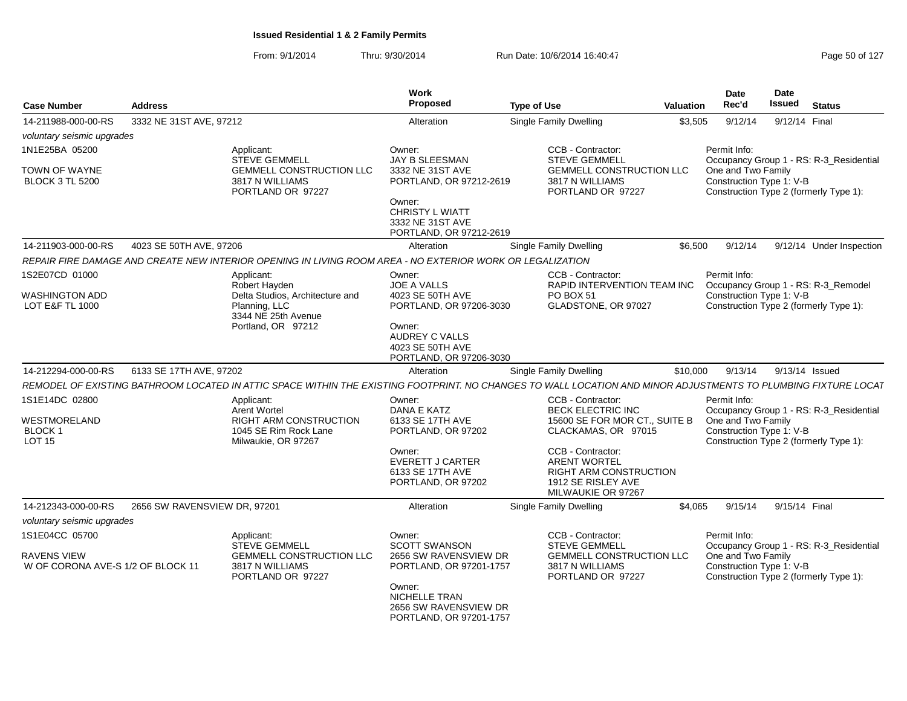| <b>Case Number</b>                                               | <b>Address</b>               |                                                                                                                                                                | <b>Work</b><br>Proposed                                                                                                                      | <b>Type of Use</b>                                                                                                    | <b>Valuation</b> | <b>Date</b><br>Rec'd                                                                                     | <b>Date</b><br>Issued | <b>Status</b>                           |
|------------------------------------------------------------------|------------------------------|----------------------------------------------------------------------------------------------------------------------------------------------------------------|----------------------------------------------------------------------------------------------------------------------------------------------|-----------------------------------------------------------------------------------------------------------------------|------------------|----------------------------------------------------------------------------------------------------------|-----------------------|-----------------------------------------|
| 14-211988-000-00-RS                                              | 3332 NE 31ST AVE, 97212      |                                                                                                                                                                | Alteration                                                                                                                                   | <b>Single Family Dwelling</b>                                                                                         | \$3,505          | 9/12/14                                                                                                  | 9/12/14 Final         |                                         |
| voluntary seismic upgrades                                       |                              |                                                                                                                                                                |                                                                                                                                              |                                                                                                                       |                  |                                                                                                          |                       |                                         |
| 1N1E25BA 05200                                                   |                              | Applicant:<br><b>STEVE GEMMELL</b>                                                                                                                             | Owner:<br>JAY B SLEESMAN                                                                                                                     | CCB - Contractor:<br><b>STEVE GEMMELL</b>                                                                             |                  | Permit Info:                                                                                             |                       |                                         |
| <b>TOWN OF WAYNE</b><br><b>BLOCK 3 TL 5200</b>                   |                              | <b>GEMMELL CONSTRUCTION LLC</b><br>3817 N WILLIAMS<br>PORTLAND OR 97227                                                                                        | 3332 NE 31ST AVE<br>PORTLAND, OR 97212-2619<br>Owner:<br><b>CHRISTY L WIATT</b><br>3332 NE 31ST AVE<br>PORTLAND, OR 97212-2619               | <b>GEMMELL CONSTRUCTION LLC</b><br>3817 N WILLIAMS<br>PORTLAND OR 97227                                               |                  | One and Two Family<br>Construction Type 1: V-B<br>Construction Type 2 (formerly Type 1):                 |                       | Occupancy Group 1 - RS: R-3_Residential |
| 14-211903-000-00-RS                                              | 4023 SE 50TH AVE, 97206      |                                                                                                                                                                | Alteration                                                                                                                                   | Single Family Dwelling                                                                                                | \$6.500          | 9/12/14                                                                                                  |                       | 9/12/14 Under Inspection                |
|                                                                  |                              | REPAIR FIRE DAMAGE AND CREATE NEW INTERIOR OPENING IN LIVING ROOM AREA - NO EXTERIOR WORK OR LEGALIZATION                                                      |                                                                                                                                              |                                                                                                                       |                  |                                                                                                          |                       |                                         |
| 1S2E07CD 01000                                                   |                              | Applicant:                                                                                                                                                     | Owner:                                                                                                                                       | CCB - Contractor:                                                                                                     |                  | Permit Info:                                                                                             |                       |                                         |
| WASHINGTON ADD<br>LOT E&F TL 1000                                |                              | Robert Hayden<br>Delta Studios, Architecture and<br>Planning, LLC<br>3344 NE 25th Avenue<br>Portland, OR 97212                                                 | <b>JOE A VALLS</b><br>4023 SE 50TH AVE<br>PORTLAND, OR 97206-3030<br>Owner:<br>AUDREY C VALLS<br>4023 SE 50TH AVE<br>PORTLAND, OR 97206-3030 | <b>RAPID INTERVENTION TEAM INC</b><br><b>PO BOX 51</b><br>GLADSTONE, OR 97027                                         |                  | Construction Type 1: V-B<br>Construction Type 2 (formerly Type 1):                                       |                       | Occupancy Group 1 - RS: R-3_Remodel     |
| 14-212294-000-00-RS                                              | 6133 SE 17TH AVE, 97202      |                                                                                                                                                                | Alteration                                                                                                                                   | Single Family Dwelling                                                                                                | \$10,000         | 9/13/14                                                                                                  | 9/13/14 Issued        |                                         |
|                                                                  |                              | REMODEL OF EXISTING BATHROOM LOCATED IN ATTIC SPACE WITHIN THE EXISTING FOOTPRINT. NO CHANGES TO WALL LOCATION AND MINOR ADJUSTMENTS TO PLUMBING FIXTURE LOCAT |                                                                                                                                              |                                                                                                                       |                  |                                                                                                          |                       |                                         |
| 1S1E14DC 02800<br>WESTMORELAND<br><b>BLOCK1</b><br><b>LOT 15</b> |                              | Applicant:<br>Arent Wortel<br><b>RIGHT ARM CONSTRUCTION</b><br>1045 SE Rim Rock Lane<br>Milwaukie, OR 97267                                                    | Owner:<br>DANA E KATZ<br>6133 SE 17TH AVE<br>PORTLAND, OR 97202                                                                              | CCB - Contractor:<br><b>BECK ELECTRIC INC</b><br>15600 SE FOR MOR CT., SUITE B<br>CLACKAMAS, OR 97015                 |                  | Permit Info:<br>One and Two Family<br>Construction Type 1: V-B<br>Construction Type 2 (formerly Type 1): |                       | Occupancy Group 1 - RS: R-3_Residential |
|                                                                  |                              |                                                                                                                                                                | Owner:<br><b>EVERETT J CARTER</b><br>6133 SE 17TH AVE<br>PORTLAND, OR 97202                                                                  | CCB - Contractor:<br><b>ARENT WORTEL</b><br><b>RIGHT ARM CONSTRUCTION</b><br>1912 SE RISLEY AVE<br>MILWAUKIE OR 97267 |                  |                                                                                                          |                       |                                         |
| 14-212343-000-00-RS                                              | 2656 SW RAVENSVIEW DR, 97201 |                                                                                                                                                                | Alteration                                                                                                                                   | Single Family Dwelling                                                                                                | \$4.065          | 9/15/14                                                                                                  | 9/15/14 Final         |                                         |
| voluntary seismic upgrades                                       |                              |                                                                                                                                                                |                                                                                                                                              |                                                                                                                       |                  |                                                                                                          |                       |                                         |
| 1S1E04CC 05700                                                   |                              | Applicant:<br><b>STEVE GEMMELL</b>                                                                                                                             | Owner:<br><b>SCOTT SWANSON</b>                                                                                                               | CCB - Contractor:<br><b>STEVE GEMMELL</b>                                                                             |                  | Permit Info:                                                                                             |                       | Occupancy Group 1 - RS: R-3 Residential |
| RAVENS VIEW<br>W OF CORONA AVE-S 1/2 OF BLOCK 11                 |                              | <b>GEMMELL CONSTRUCTION LLC</b><br>3817 N WILLIAMS<br>PORTLAND OR 97227                                                                                        | 2656 SW RAVENSVIEW DR<br>PORTLAND, OR 97201-1757<br>Owner:<br><b>NICHELLE TRAN</b>                                                           | GEMMELL CONSTRUCTION LLC<br>3817 N WILLIAMS<br>PORTLAND OR 97227                                                      |                  | One and Two Family<br>Construction Type 1: V-B<br>Construction Type 2 (formerly Type 1):                 |                       |                                         |
|                                                                  |                              |                                                                                                                                                                | 2656 SW RAVENSVIEW DR<br>PORTLAND, OR 97201-1757                                                                                             |                                                                                                                       |                  |                                                                                                          |                       |                                         |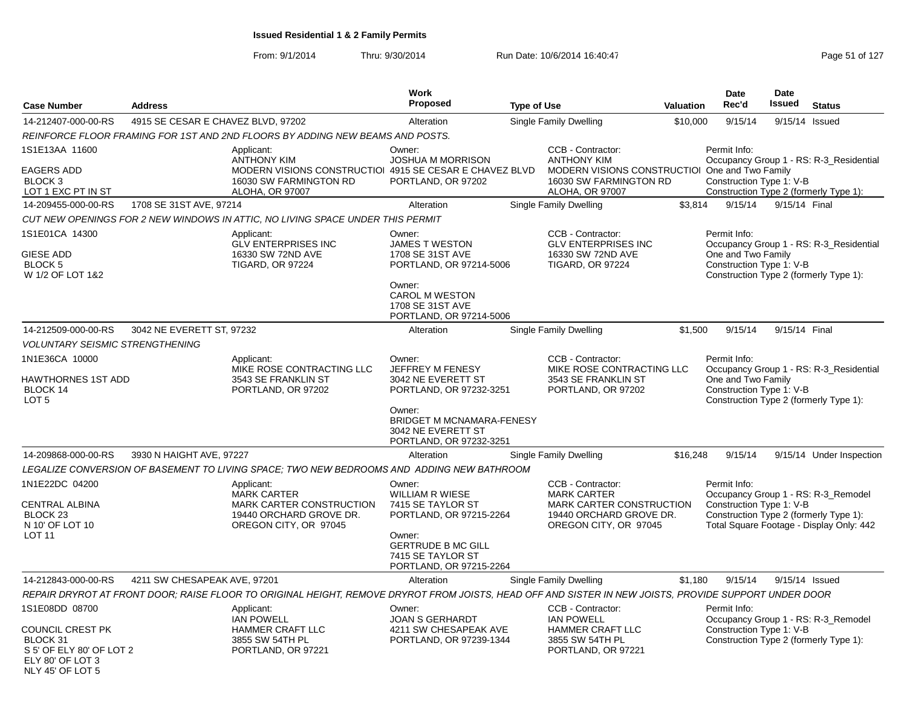|                                                                                                                    |                                    |                                                                                                                                                       | <b>Work</b>                                                                                                                                                             |                    |                                                                                                                                        |           | <b>Date</b>                                                    | <b>Date</b>    |                                                                                                                           |
|--------------------------------------------------------------------------------------------------------------------|------------------------------------|-------------------------------------------------------------------------------------------------------------------------------------------------------|-------------------------------------------------------------------------------------------------------------------------------------------------------------------------|--------------------|----------------------------------------------------------------------------------------------------------------------------------------|-----------|----------------------------------------------------------------|----------------|---------------------------------------------------------------------------------------------------------------------------|
| <b>Case Number</b>                                                                                                 | <b>Address</b>                     |                                                                                                                                                       | <b>Proposed</b>                                                                                                                                                         | <b>Type of Use</b> |                                                                                                                                        | Valuation | Rec'd                                                          | <b>Issued</b>  | <b>Status</b>                                                                                                             |
| 14-212407-000-00-RS                                                                                                | 4915 SE CESAR E CHAVEZ BLVD, 97202 |                                                                                                                                                       | Alteration                                                                                                                                                              |                    | <b>Single Family Dwelling</b>                                                                                                          | \$10,000  | 9/15/14                                                        | 9/15/14 Issued |                                                                                                                           |
|                                                                                                                    |                                    | REINFORCE FLOOR FRAMING FOR 1ST AND 2ND FLOORS BY ADDING NEW BEAMS AND POSTS.                                                                         |                                                                                                                                                                         |                    |                                                                                                                                        |           |                                                                |                |                                                                                                                           |
| 1S1E13AA 11600<br><b>EAGERS ADD</b><br><b>BLOCK 3</b><br>LOT 1 EXC PT IN ST                                        |                                    | Applicant:<br><b>ANTHONY KIM</b><br>MODERN VISIONS CONSTRUCTIOI 4915 SE CESAR E CHAVEZ BLVD<br>16030 SW FARMINGTON RD<br>ALOHA, OR 97007              | Owner:<br><b>JOSHUA M MORRISON</b><br>PORTLAND, OR 97202                                                                                                                |                    | CCB - Contractor:<br><b>ANTHONY KIM</b><br>MODERN VISIONS CONSTRUCTIOI One and Two Family<br>16030 SW FARMINGTON RD<br>ALOHA, OR 97007 |           | Permit Info:<br>Construction Type 1: V-B                       |                | Occupancy Group 1 - RS: R-3_Residential<br>Construction Type 2 (formerly Type 1):                                         |
| 14-209455-000-00-RS                                                                                                | 1708 SE 31ST AVE, 97214            |                                                                                                                                                       | Alteration                                                                                                                                                              |                    | <b>Single Family Dwelling</b>                                                                                                          | \$3,814   | 9/15/14                                                        | 9/15/14 Final  |                                                                                                                           |
|                                                                                                                    |                                    | CUT NEW OPENINGS FOR 2 NEW WINDOWS IN ATTIC, NO LIVING SPACE UNDER THIS PERMIT                                                                        |                                                                                                                                                                         |                    |                                                                                                                                        |           |                                                                |                |                                                                                                                           |
| 1S1E01CA 14300<br><b>GIESE ADD</b><br>BLOCK 5<br>W 1/2 OF LOT 1&2                                                  |                                    | Applicant:<br><b>GLV ENTERPRISES INC</b><br>16330 SW 72ND AVE<br><b>TIGARD, OR 97224</b>                                                              | Owner:<br><b>JAMES T WESTON</b><br>1708 SE 31ST AVE<br>PORTLAND, OR 97214-5006<br>Owner:<br><b>CAROL M WESTON</b><br>1708 SE 31ST AVE<br>PORTLAND, OR 97214-5006        |                    | CCB - Contractor:<br><b>GLV ENTERPRISES INC</b><br>16330 SW 72ND AVE<br><b>TIGARD, OR 97224</b>                                        |           | Permit Info:<br>One and Two Family<br>Construction Type 1: V-B |                | Occupancy Group 1 - RS: R-3_Residential<br>Construction Type 2 (formerly Type 1):                                         |
| 14-212509-000-00-RS                                                                                                | 3042 NE EVERETT ST, 97232          |                                                                                                                                                       | Alteration                                                                                                                                                              |                    | Single Family Dwelling                                                                                                                 | \$1,500   | 9/15/14                                                        | 9/15/14 Final  |                                                                                                                           |
| <b>VOLUNTARY SEISMIC STRENGTHENING</b>                                                                             |                                    |                                                                                                                                                       |                                                                                                                                                                         |                    |                                                                                                                                        |           |                                                                |                |                                                                                                                           |
| 1N1E36CA 10000<br>HAWTHORNES 1ST ADD<br>BLOCK 14<br>LOT <sub>5</sub>                                               |                                    | Applicant:<br>MIKE ROSE CONTRACTING LLC<br>3543 SE FRANKLIN ST<br>PORTLAND, OR 97202                                                                  | Owner:<br>JEFFREY M FENESY<br>3042 NE EVERETT ST<br>PORTLAND, OR 97232-3251<br>Owner:<br><b>BRIDGET M MCNAMARA-FENESY</b><br>3042 NE EVERETT ST                         |                    | CCB - Contractor:<br>MIKE ROSE CONTRACTING LLC<br>3543 SE FRANKLIN ST<br>PORTLAND, OR 97202                                            |           | Permit Info:<br>One and Two Family<br>Construction Type 1: V-B |                | Occupancy Group 1 - RS: R-3_Residential<br>Construction Type 2 (formerly Type 1):                                         |
| 14-209868-000-00-RS                                                                                                | 3930 N HAIGHT AVE, 97227           |                                                                                                                                                       | PORTLAND, OR 97232-3251<br>Alteration                                                                                                                                   |                    | Single Family Dwelling                                                                                                                 | \$16,248  | 9/15/14                                                        |                | 9/15/14 Under Inspection                                                                                                  |
|                                                                                                                    |                                    | LEGALIZE CONVERSION OF BASEMENT TO LIVING SPACE; TWO NEW BEDROOMS AND ADDING NEW BATHROOM                                                             |                                                                                                                                                                         |                    |                                                                                                                                        |           |                                                                |                |                                                                                                                           |
| 1N1E22DC 04200<br>CENTRAL ALBINA<br>BLOCK <sub>23</sub><br>N 10' OF LOT 10<br><b>LOT 11</b>                        |                                    | Applicant:<br><b>MARK CARTER</b><br>MARK CARTER CONSTRUCTION<br>19440 ORCHARD GROVE DR.<br>OREGON CITY, OR 97045                                      | Owner:<br><b>WILLIAM R WIESE</b><br>7415 SE TAYLOR ST<br>PORTLAND, OR 97215-2264<br>Owner:<br><b>GERTRUDE B MC GILL</b><br>7415 SE TAYLOR ST<br>PORTLAND, OR 97215-2264 |                    | CCB - Contractor:<br><b>MARK CARTER</b><br>MARK CARTER CONSTRUCTION<br>19440 ORCHARD GROVE DR.<br>OREGON CITY, OR 97045                |           | Permit Info:<br>Construction Type 1: V-B                       |                | Occupancy Group 1 - RS: R-3_Remodel<br>Construction Type 2 (formerly Type 1):<br>Total Square Footage - Display Only: 442 |
| 14-212843-000-00-RS                                                                                                | 4211 SW CHESAPEAK AVE, 97201       |                                                                                                                                                       | Alteration                                                                                                                                                              |                    | <b>Single Family Dwelling</b>                                                                                                          | \$1,180   | 9/15/14                                                        |                | 9/15/14 Issued                                                                                                            |
|                                                                                                                    |                                    | REPAIR DRYROT AT FRONT DOOR; RAISE FLOOR TO ORIGINAL HEIGHT, REMOVE DRYROT FROM JOISTS, HEAD OFF AND SISTER IN NEW JOISTS, PROVIDE SUPPORT UNDER DOOR |                                                                                                                                                                         |                    |                                                                                                                                        |           |                                                                |                |                                                                                                                           |
| 1S1E08DD 08700<br>COUNCIL CREST PK<br>BLOCK 31<br>S 5' OF ELY 80' OF LOT 2<br>ELY 80' OF LOT 3<br>NLY 45' OF LOT 5 |                                    | Applicant:<br><b>IAN POWELL</b><br>HAMMER CRAFT LLC<br>3855 SW 54TH PL<br>PORTLAND, OR 97221                                                          | Owner:<br>JOAN S GERHARDT<br>4211 SW CHESAPEAK AVE<br>PORTLAND, OR 97239-1344                                                                                           |                    | CCB - Contractor:<br><b>IAN POWELL</b><br>HAMMER CRAFT LLC<br>3855 SW 54TH PL<br>PORTLAND, OR 97221                                    |           | Permit Info:<br>Construction Type 1: V-B                       |                | Occupancy Group 1 - RS: R-3_Remodel<br>Construction Type 2 (formerly Type 1):                                             |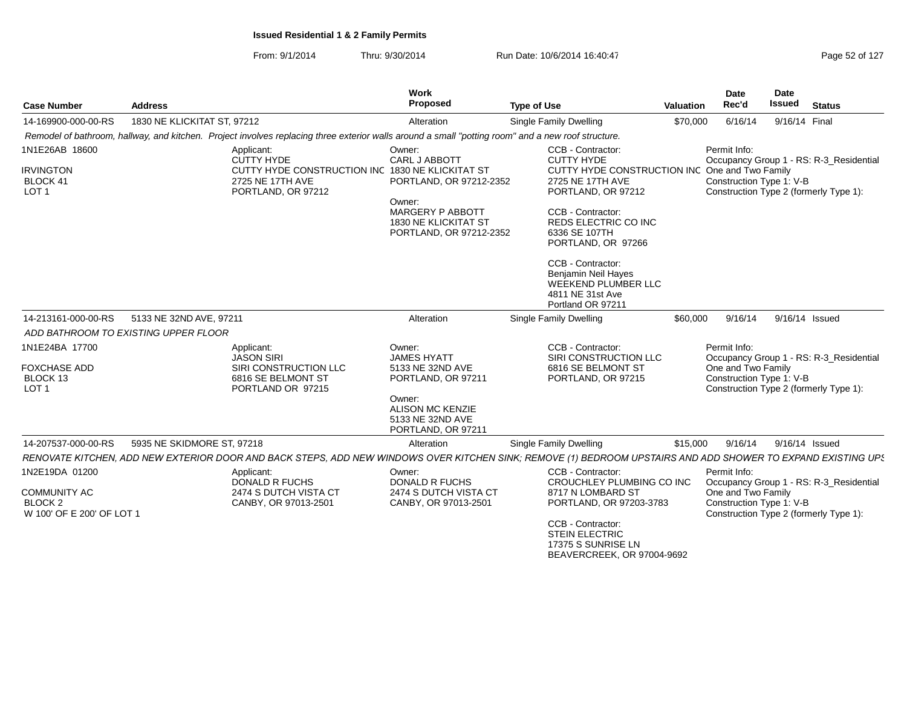From: 9/1/2014Thru: 9/30/2014 Run Date: 10/6/2014 16:40:47 Run Date: 10/6/2014 16:40:47

| <b>Case Number</b>                                                                       | <b>Address</b>                                                                                                                                               | <b>Work</b><br>Proposed                                                                                                                               | <b>Type of Use</b>                                                                                                                                                                                                                                                                                                            | <b>Valuation</b> | <b>Date</b><br>Rec'd                                                                                     | Date<br><b>Issued</b> | <b>Status</b>                           |
|------------------------------------------------------------------------------------------|--------------------------------------------------------------------------------------------------------------------------------------------------------------|-------------------------------------------------------------------------------------------------------------------------------------------------------|-------------------------------------------------------------------------------------------------------------------------------------------------------------------------------------------------------------------------------------------------------------------------------------------------------------------------------|------------------|----------------------------------------------------------------------------------------------------------|-----------------------|-----------------------------------------|
| 14-169900-000-00-RS                                                                      | 1830 NE KLICKITAT ST, 97212                                                                                                                                  | Alteration                                                                                                                                            | Single Family Dwelling                                                                                                                                                                                                                                                                                                        | \$70,000         | 6/16/14                                                                                                  | 9/16/14 Final         |                                         |
|                                                                                          | Remodel of bathroom, hallway, and kitchen. Project involves replacing three exterior walls around a small "potting room" and a new roof structure.           |                                                                                                                                                       |                                                                                                                                                                                                                                                                                                                               |                  |                                                                                                          |                       |                                         |
| 1N1E26AB 18600<br><b>IRVINGTON</b><br>BLOCK 41<br>LOT <sub>1</sub>                       | Applicant:<br><b>CUTTY HYDE</b><br>CUTTY HYDE CONSTRUCTION INC 1830 NE KLICKITAT ST<br>2725 NE 17TH AVE<br>PORTLAND, OR 97212                                | Owner:<br><b>CARL J ABBOTT</b><br>PORTLAND, OR 97212-2352<br>Owner:<br>MARGERY P ABBOTT<br>1830 NE KLICKITAT ST<br>PORTLAND, OR 97212-2352            | CCB - Contractor:<br><b>CUTTY HYDE</b><br>CUTTY HYDE CONSTRUCTION INC<br>2725 NE 17TH AVE<br>PORTLAND, OR 97212<br>CCB - Contractor:<br><b>REDS ELECTRIC CO INC</b><br>6336 SE 107TH<br>PORTLAND, OR 97266<br>CCB - Contractor:<br>Benjamin Neil Hayes<br><b>WEEKEND PLUMBER LLC</b><br>4811 NE 31st Ave<br>Portland OR 97211 |                  | Permit Info:<br>One and Two Family<br>Construction Type 1: V-B<br>Construction Type 2 (formerly Type 1): |                       | Occupancy Group 1 - RS: R-3_Residential |
| 14-213161-000-00-RS                                                                      | 5133 NE 32ND AVE, 97211                                                                                                                                      | Alteration                                                                                                                                            | Single Family Dwelling                                                                                                                                                                                                                                                                                                        | \$60,000         | 9/16/14                                                                                                  | 9/16/14 Issued        |                                         |
| ADD BATHROOM TO EXISTING UPPER FLOOR                                                     |                                                                                                                                                              |                                                                                                                                                       |                                                                                                                                                                                                                                                                                                                               |                  |                                                                                                          |                       |                                         |
| 1N1E24BA 17700<br><b>FOXCHASE ADD</b><br>BLOCK 13<br>LOT <sub>1</sub>                    | Applicant:<br><b>JASON SIRI</b><br>SIRI CONSTRUCTION LLC<br>6816 SE BELMONT ST<br>PORTLAND OR 97215                                                          | Owner:<br><b>JAMES HYATT</b><br>5133 NE 32ND AVE<br>PORTLAND, OR 97211<br>Owner:<br><b>ALISON MC KENZIE</b><br>5133 NE 32ND AVE<br>PORTLAND, OR 97211 | CCB - Contractor:<br>SIRI CONSTRUCTION LLC<br>6816 SE BELMONT ST<br>PORTLAND, OR 97215                                                                                                                                                                                                                                        |                  | Permit Info:<br>One and Two Family<br>Construction Type 1: V-B<br>Construction Type 2 (formerly Type 1): |                       | Occupancy Group 1 - RS: R-3_Residential |
| 14-207537-000-00-RS                                                                      | 5935 NE SKIDMORE ST, 97218                                                                                                                                   | Alteration                                                                                                                                            | Single Family Dwelling                                                                                                                                                                                                                                                                                                        | \$15,000         | 9/16/14                                                                                                  | 9/16/14 Issued        |                                         |
|                                                                                          | RENOVATE KITCHEN, ADD NEW EXTERIOR DOOR AND BACK STEPS, ADD NEW WINDOWS OVER KITCHEN SINK; REMOVE (1) BEDROOM UPSTAIRS AND ADD SHOWER TO EXPAND EXISTING UPS |                                                                                                                                                       |                                                                                                                                                                                                                                                                                                                               |                  |                                                                                                          |                       |                                         |
| 1N2E19DA 01200<br><b>COMMUNITY AC</b><br>BLOCK <sub>2</sub><br>W 100' OF E 200' OF LOT 1 | Applicant:<br><b>DONALD R FUCHS</b><br>2474 S DUTCH VISTA CT<br>CANBY, OR 97013-2501                                                                         | Owner:<br><b>DONALD R FUCHS</b><br>2474 S DUTCH VISTA CT<br>CANBY, OR 97013-2501                                                                      | CCB - Contractor:<br>CROUCHLEY PLUMBING CO INC<br>8717 N LOMBARD ST<br>PORTLAND, OR 97203-3783<br>CCB - Contractor:<br><b>STEIN ELECTRIC</b><br>17375 S SUNRISE LN                                                                                                                                                            |                  | Permit Info:<br>One and Two Family<br>Construction Type 1: V-B<br>Construction Type 2 (formerly Type 1): |                       | Occupancy Group 1 - RS: R-3_Residential |

BEAVERCREEK, OR 97004-9692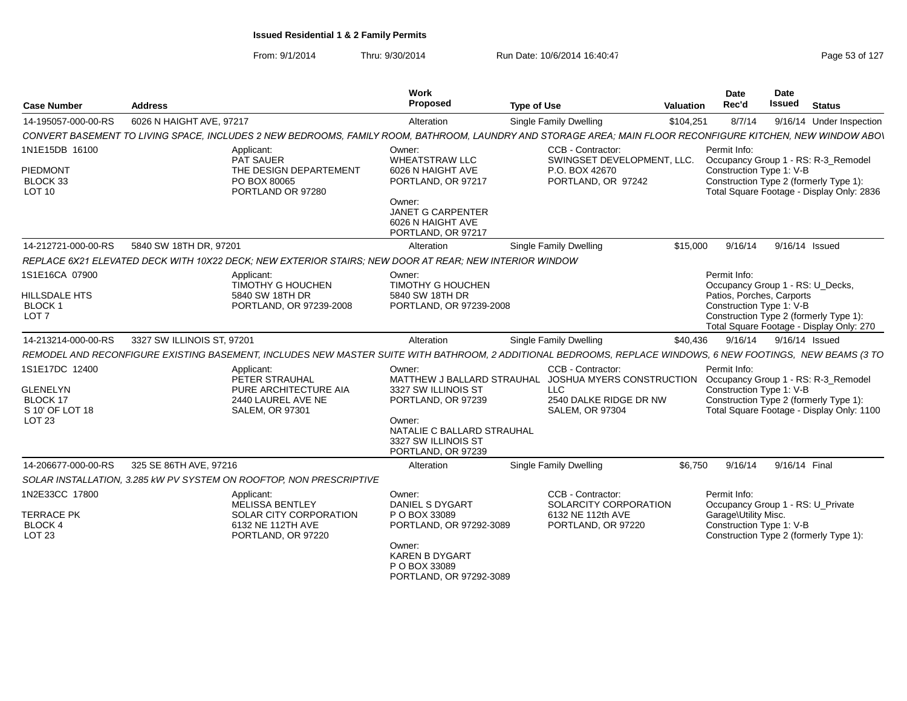| <b>Case Number</b>                    | <b>Address</b>                                                                                                                                              | Work<br><b>Proposed</b>                                                       | <b>Type of Use</b>                                                                       | Valuation | Date<br>Rec'd        | Date<br><b>Issued</b>             | <b>Status</b>                                                                       |
|---------------------------------------|-------------------------------------------------------------------------------------------------------------------------------------------------------------|-------------------------------------------------------------------------------|------------------------------------------------------------------------------------------|-----------|----------------------|-----------------------------------|-------------------------------------------------------------------------------------|
| 14-195057-000-00-RS                   | 6026 N HAIGHT AVE, 97217                                                                                                                                    | Alteration                                                                    | <b>Single Family Dwelling</b>                                                            | \$104,251 | 8/7/14               |                                   | 9/16/14 Under Inspection                                                            |
|                                       | CONVERT BASEMENT TO LIVING SPACE, INCLUDES 2 NEW BEDROOMS, FAMILY ROOM, BATHROOM, LAUNDRY AND STORAGE AREA; MAIN FLOOR RECONFIGURE KITCHEN, NEW WINDOW ABOV |                                                                               |                                                                                          |           |                      |                                   |                                                                                     |
| 1N1E15DB 16100                        | Applicant:<br>PAT SAUER                                                                                                                                     | Owner:<br><b>WHEATSTRAW LLC</b>                                               | CCB - Contractor:<br>SWINGSET DEVELOPMENT, LLC.                                          |           | Permit Info:         |                                   | Occupancy Group 1 - RS: R-3_Remodel                                                 |
| PIEDMONT<br>BLOCK 33<br><b>LOT 10</b> | THE DESIGN DEPARTEMENT<br>PO BOX 80065<br>PORTLAND OR 97280                                                                                                 | 6026 N HAIGHT AVE<br>PORTLAND, OR 97217                                       | P.O. BOX 42670<br>PORTLAND, OR 97242                                                     |           |                      | Construction Type 1: V-B          | Construction Type 2 (formerly Type 1):<br>Total Square Footage - Display Only: 2836 |
|                                       |                                                                                                                                                             | Owner:<br><b>JANET G CARPENTER</b><br>6026 N HAIGHT AVE<br>PORTLAND, OR 97217 |                                                                                          |           |                      |                                   |                                                                                     |
| 14-212721-000-00-RS                   | 5840 SW 18TH DR, 97201                                                                                                                                      | Alteration                                                                    | Single Family Dwelling                                                                   | \$15,000  | 9/16/14              | 9/16/14 Issued                    |                                                                                     |
|                                       | REPLACE 6X21 ELEVATED DECK WITH 10X22 DECK; NEW EXTERIOR STAIRS; NEW DOOR AT REAR; NEW INTERIOR WINDOW                                                      |                                                                               |                                                                                          |           |                      |                                   |                                                                                     |
| 1S1E16CA 07900                        | Applicant:<br><b>TIMOTHY G HOUCHEN</b>                                                                                                                      | Owner:<br><b>TIMOTHY G HOUCHEN</b>                                            |                                                                                          |           | Permit Info:         | Occupancy Group 1 - RS: U_Decks,  |                                                                                     |
| HILLSDALE HTS                         | 5840 SW 18TH DR                                                                                                                                             | 5840 SW 18TH DR                                                               |                                                                                          |           |                      | Patios, Porches, Carports         |                                                                                     |
| BLOCK 1<br>LOT <sub>7</sub>           | PORTLAND, OR 97239-2008                                                                                                                                     | PORTLAND, OR 97239-2008                                                       |                                                                                          |           |                      | Construction Type 1: V-B          |                                                                                     |
|                                       |                                                                                                                                                             |                                                                               |                                                                                          |           |                      |                                   | Construction Type 2 (formerly Type 1):<br>Total Square Footage - Display Only: 270  |
| 14-213214-000-00-RS                   | 3327 SW ILLINOIS ST, 97201                                                                                                                                  | Alteration                                                                    | <b>Single Family Dwelling</b>                                                            | \$40.436  | 9/16/14              | 9/16/14 Issued                    |                                                                                     |
|                                       | REMODEL AND RECONFIGURE EXISTING BASEMENT, INCLUDES NEW MASTER SUITE WITH BATHROOM, 2 ADDITIONAL BEDROOMS, REPLACE WINDOWS, 6 NEW FOOTINGS, NEW BEAMS (3 TO |                                                                               |                                                                                          |           |                      |                                   |                                                                                     |
| 1S1E17DC 12400                        | Applicant:                                                                                                                                                  | Owner:                                                                        | CCB - Contractor:                                                                        |           | Permit Info:         |                                   |                                                                                     |
|                                       | PETER STRAUHAL                                                                                                                                              |                                                                               | MATTHEW J BALLARD STRAUHAL JOSHUA MYERS CONSTRUCTION Occupancy Group 1 - RS: R-3_Remodel |           |                      |                                   |                                                                                     |
| <b>GLENELYN</b>                       | PURE ARCHITECTURE AIA                                                                                                                                       | 3327 SW ILLINOIS ST                                                           | <b>LLC</b>                                                                               |           |                      | Construction Type 1: V-B          |                                                                                     |
| BLOCK 17<br>S 10' OF LOT 18           | 2440 LAUREL AVE NE<br><b>SALEM, OR 97301</b>                                                                                                                | PORTLAND, OR 97239                                                            | 2540 DALKE RIDGE DR NW<br><b>SALEM, OR 97304</b>                                         |           |                      |                                   | Construction Type 2 (formerly Type 1):<br>Total Square Footage - Display Only: 1100 |
| LOT 23                                |                                                                                                                                                             | Owner:                                                                        |                                                                                          |           |                      |                                   |                                                                                     |
|                                       |                                                                                                                                                             | NATALIE C BALLARD STRAUHAL                                                    |                                                                                          |           |                      |                                   |                                                                                     |
|                                       |                                                                                                                                                             | 3327 SW ILLINOIS ST<br>PORTLAND, OR 97239                                     |                                                                                          |           |                      |                                   |                                                                                     |
| 14-206677-000-00-RS                   | 325 SE 86TH AVE, 97216                                                                                                                                      | Alteration                                                                    | <b>Single Family Dwelling</b>                                                            | \$6.750   | 9/16/14              | 9/16/14 Final                     |                                                                                     |
|                                       | SOLAR INSTALLATION, 3.285 kW PV SYSTEM ON ROOFTOP, NON PRESCRIPTIVE                                                                                         |                                                                               |                                                                                          |           |                      |                                   |                                                                                     |
| 1N2E33CC 17800                        | Applicant:                                                                                                                                                  | Owner:                                                                        | CCB - Contractor:                                                                        |           | Permit Info:         |                                   |                                                                                     |
|                                       | MELISSA BENTLEY                                                                                                                                             | DANIEL S DYGART                                                               | SOLARCITY CORPORATION                                                                    |           |                      | Occupancy Group 1 - RS: U_Private |                                                                                     |
| <b>TERRACE PK</b>                     | SOLAR CITY CORPORATION                                                                                                                                      | P O BOX 33089                                                                 | 6132 NE 112th AVE                                                                        |           | Garage\Utility Misc. |                                   |                                                                                     |
| <b>BLOCK 4</b><br><b>LOT 23</b>       | 6132 NE 112TH AVE<br>PORTLAND, OR 97220                                                                                                                     | PORTLAND, OR 97292-3089                                                       | PORTLAND, OR 97220                                                                       |           |                      | Construction Type 1: V-B          | Construction Type 2 (formerly Type 1):                                              |
|                                       |                                                                                                                                                             | Owner:                                                                        |                                                                                          |           |                      |                                   |                                                                                     |
|                                       |                                                                                                                                                             | <b>KAREN B DYGART</b>                                                         |                                                                                          |           |                      |                                   |                                                                                     |
|                                       |                                                                                                                                                             | P O BOX 33089<br>PORTLAND, OR 97292-3089                                      |                                                                                          |           |                      |                                   |                                                                                     |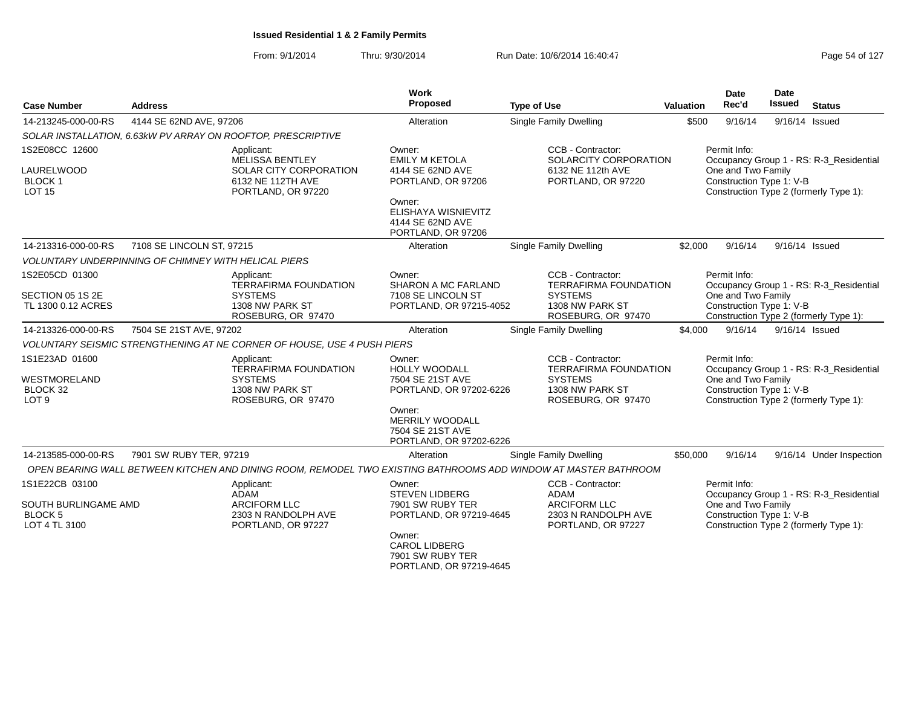| <b>Case Number</b>                                                        | <b>Address</b>                                              |                                                                                                           | Work<br>Proposed                                                                                                                                                 | <b>Type of Use</b>                                                                                              | Valuation | Date<br>Rec'd                                                  | <b>Date</b><br>Issued | <b>Status</b>                                                                     |
|---------------------------------------------------------------------------|-------------------------------------------------------------|-----------------------------------------------------------------------------------------------------------|------------------------------------------------------------------------------------------------------------------------------------------------------------------|-----------------------------------------------------------------------------------------------------------------|-----------|----------------------------------------------------------------|-----------------------|-----------------------------------------------------------------------------------|
| 14-213245-000-00-RS                                                       | 4144 SE 62ND AVE, 97206                                     |                                                                                                           | Alteration                                                                                                                                                       | <b>Single Family Dwelling</b>                                                                                   | \$500     | 9/16/14                                                        |                       | 9/16/14 Issued                                                                    |
|                                                                           |                                                             | SOLAR INSTALLATION, 6.63kW PV ARRAY ON ROOFTOP, PRESCRIPTIVE                                              |                                                                                                                                                                  |                                                                                                                 |           |                                                                |                       |                                                                                   |
| 1S2E08CC 12600<br>LAURELWOOD<br><b>BLOCK1</b><br><b>LOT 15</b>            |                                                             | Applicant:<br><b>MELISSA BENTLEY</b><br>SOLAR CITY CORPORATION<br>6132 NE 112TH AVE<br>PORTLAND, OR 97220 | Owner:<br><b>EMILY M KETOLA</b><br>4144 SE 62ND AVE<br>PORTLAND, OR 97206<br>Owner:<br>ELISHAYA WISNIEVITZ<br>4144 SE 62ND AVE<br>PORTLAND, OR 97206             | CCB - Contractor:<br>SOLARCITY CORPORATION<br>6132 NE 112th AVE<br>PORTLAND, OR 97220                           |           | Permit Info:<br>One and Two Family<br>Construction Type 1: V-B |                       | Occupancy Group 1 - RS: R-3 Residential<br>Construction Type 2 (formerly Type 1): |
| 14-213316-000-00-RS                                                       | 7108 SE LINCOLN ST, 97215                                   |                                                                                                           | Alteration                                                                                                                                                       | <b>Single Family Dwelling</b>                                                                                   | \$2,000   | 9/16/14                                                        |                       | 9/16/14 Issued                                                                    |
|                                                                           | <b>VOLUNTARY UNDERPINNING OF CHIMNEY WITH HELICAL PIERS</b> |                                                                                                           |                                                                                                                                                                  |                                                                                                                 |           |                                                                |                       |                                                                                   |
| 1S2E05CD 01300<br>SECTION 05 1S 2E<br>TL 1300 0.12 ACRES                  |                                                             | Applicant:<br><b>TERRAFIRMA FOUNDATION</b><br><b>SYSTEMS</b><br>1308 NW PARK ST<br>ROSEBURG, OR 97470     | Owner:<br><b>SHARON A MC FARLAND</b><br>7108 SE LINCOLN ST<br>PORTLAND, OR 97215-4052                                                                            | CCB - Contractor:<br><b>TERRAFIRMA FOUNDATION</b><br><b>SYSTEMS</b><br>1308 NW PARK ST<br>ROSEBURG, OR 97470    |           | Permit Info:<br>One and Two Family<br>Construction Type 1: V-B |                       | Occupancy Group 1 - RS: R-3_Residential<br>Construction Type 2 (formerly Type 1): |
| 14-213326-000-00-RS                                                       | 7504 SE 21ST AVE, 97202                                     |                                                                                                           | Alteration                                                                                                                                                       | Single Family Dwelling                                                                                          | \$4,000   | 9/16/14                                                        |                       | 9/16/14 Issued                                                                    |
|                                                                           |                                                             | VOLUNTARY SEISMIC STRENGTHENING AT NE CORNER OF HOUSE, USE 4 PUSH PIERS                                   |                                                                                                                                                                  |                                                                                                                 |           |                                                                |                       |                                                                                   |
| 1S1E23AD 01600<br><b>WESTMORELAND</b><br>BLOCK 32<br>LOT <sub>9</sub>     |                                                             | Applicant:<br><b>TERRAFIRMA FOUNDATION</b><br><b>SYSTEMS</b><br>1308 NW PARK ST<br>ROSEBURG, OR 97470     | Owner:<br><b>HOLLY WOODALL</b><br>7504 SE 21ST AVE<br>PORTLAND, OR 97202-6226<br>Owner:<br><b>MERRILY WOODALL</b><br>7504 SE 21ST AVE<br>PORTLAND, OR 97202-6226 | CCB - Contractor:<br><b>TERRAFIRMA FOUNDATION</b><br><b>SYSTEMS</b><br>1308 NW PARK ST<br>ROSEBURG, OR 97470    |           | Permit Info:<br>One and Two Family<br>Construction Type 1: V-B |                       | Occupancy Group 1 - RS: R-3_Residential<br>Construction Type 2 (formerly Type 1): |
| 14-213585-000-00-RS                                                       | 7901 SW RUBY TER, 97219                                     |                                                                                                           | Alteration                                                                                                                                                       | Single Family Dwelling                                                                                          | \$50,000  | 9/16/14                                                        |                       | 9/16/14 Under Inspection                                                          |
|                                                                           |                                                             |                                                                                                           |                                                                                                                                                                  | OPEN BEARING WALL BETWEEN KITCHEN AND DINING ROOM, REMODEL TWO EXISTING BATHROOMS ADD WINDOW AT MASTER BATHROOM |           |                                                                |                       |                                                                                   |
| 1S1E22CB 03100<br>SOUTH BURLINGAME AMD<br><b>BLOCK 5</b><br>LOT 4 TL 3100 |                                                             | Applicant:<br>ADAM<br><b>ARCIFORM LLC</b><br>2303 N RANDOLPH AVE<br>PORTLAND, OR 97227                    | Owner:<br><b>STEVEN LIDBERG</b><br>7901 SW RUBY TER<br>PORTLAND, OR 97219-4645<br>Owner:<br><b>CAROL LIDBERG</b><br>7901 SW RUBY TER<br>PORTLAND, OR 97219-4645  | CCB - Contractor:<br><b>ADAM</b><br><b>ARCIFORM LLC</b><br>2303 N RANDOLPH AVE<br>PORTLAND, OR 97227            |           | Permit Info:<br>One and Two Family<br>Construction Type 1: V-B |                       | Occupancy Group 1 - RS: R-3_Residential<br>Construction Type 2 (formerly Type 1): |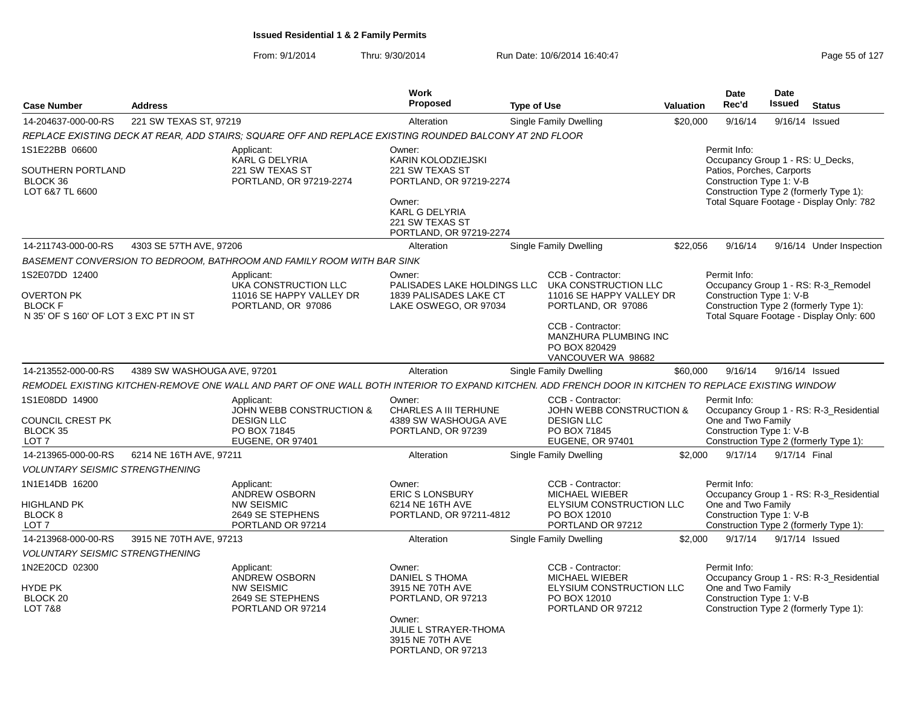|                                                                                                |                             |                                                                                                                                                      | Work<br><b>Proposed</b>                                                                                                                                       |                                                                                                                                                                                  |                  | <b>Date</b><br>Rec'd                                                                                      | Date<br><b>Issued</b> |                                                                                                                           |
|------------------------------------------------------------------------------------------------|-----------------------------|------------------------------------------------------------------------------------------------------------------------------------------------------|---------------------------------------------------------------------------------------------------------------------------------------------------------------|----------------------------------------------------------------------------------------------------------------------------------------------------------------------------------|------------------|-----------------------------------------------------------------------------------------------------------|-----------------------|---------------------------------------------------------------------------------------------------------------------------|
| <b>Case Number</b>                                                                             | <b>Address</b>              |                                                                                                                                                      |                                                                                                                                                               | <b>Type of Use</b>                                                                                                                                                               | <b>Valuation</b> |                                                                                                           |                       | <b>Status</b>                                                                                                             |
| 14-204637-000-00-RS                                                                            | 221 SW TEXAS ST, 97219      |                                                                                                                                                      | Alteration                                                                                                                                                    | Single Family Dwelling                                                                                                                                                           | \$20,000         | 9/16/14                                                                                                   |                       | 9/16/14 Issued                                                                                                            |
|                                                                                                |                             | REPLACE EXISTING DECK AT REAR, ADD STAIRS; SQUARE OFF AND REPLACE EXISTING ROUNDED BALCONY AT 2ND FLOOR                                              |                                                                                                                                                               |                                                                                                                                                                                  |                  |                                                                                                           |                       |                                                                                                                           |
| 1S1E22BB 06600<br>SOUTHERN PORTLAND<br>BLOCK 36<br>LOT 6&7 TL 6600                             |                             | Applicant:<br><b>KARL G DELYRIA</b><br>221 SW TEXAS ST<br>PORTLAND, OR 97219-2274                                                                    | Owner:<br>KARIN KOLODZIEJSKI<br>221 SW TEXAS ST<br>PORTLAND, OR 97219-2274<br>Owner:<br>KARL G DELYRIA<br>221 SW TEXAS ST                                     |                                                                                                                                                                                  |                  | Permit Info:<br>Occupancy Group 1 - RS: U Decks,<br>Patios, Porches, Carports<br>Construction Type 1: V-B |                       | Construction Type 2 (formerly Type 1):<br>Total Square Footage - Display Only: 782                                        |
|                                                                                                |                             |                                                                                                                                                      | PORTLAND, OR 97219-2274                                                                                                                                       |                                                                                                                                                                                  |                  |                                                                                                           |                       |                                                                                                                           |
| 14-211743-000-00-RS                                                                            | 4303 SE 57TH AVE, 97206     |                                                                                                                                                      | Alteration                                                                                                                                                    | <b>Single Family Dwelling</b>                                                                                                                                                    | \$22,056         | 9/16/14                                                                                                   |                       | 9/16/14 Under Inspection                                                                                                  |
|                                                                                                |                             | BASEMENT CONVERSION TO BEDROOM, BATHROOM AND FAMILY ROOM WITH BAR SINK                                                                               |                                                                                                                                                               |                                                                                                                                                                                  |                  |                                                                                                           |                       |                                                                                                                           |
| 1S2E07DD 12400<br><b>OVERTON PK</b><br><b>BLOCK F</b><br>N 35' OF S 160' OF LOT 3 EXC PT IN ST |                             | Applicant:<br>UKA CONSTRUCTION LLC<br>11016 SE HAPPY VALLEY DR<br>PORTLAND, OR 97086                                                                 | Owner:<br>PALISADES LAKE HOLDINGS LLC<br>1839 PALISADES LAKE CT<br>LAKE OSWEGO, OR 97034                                                                      | CCB - Contractor:<br>UKA CONSTRUCTION LLC<br>11016 SE HAPPY VALLEY DR<br>PORTLAND, OR 97086<br>CCB - Contractor:<br>MANZHURA PLUMBING INC<br>PO BOX 820429<br>VANCOUVER WA 98682 |                  | Permit Info:<br>Construction Type 1: V-B                                                                  |                       | Occupancy Group 1 - RS: R-3 Remodel<br>Construction Type 2 (formerly Type 1):<br>Total Square Footage - Display Only: 600 |
| 14-213552-000-00-RS                                                                            | 4389 SW WASHOUGA AVE, 97201 |                                                                                                                                                      | Alteration                                                                                                                                                    | <b>Single Family Dwelling</b>                                                                                                                                                    | \$60,000         | 9/16/14                                                                                                   |                       | 9/16/14 Issued                                                                                                            |
|                                                                                                |                             | REMODEL EXISTING KITCHEN-REMOVE ONE WALL AND PART OF ONE WALL BOTH INTERIOR TO EXPAND KITCHEN. ADD FRENCH DOOR IN KITCHEN TO REPLACE EXISTING WINDOW |                                                                                                                                                               |                                                                                                                                                                                  |                  |                                                                                                           |                       |                                                                                                                           |
| 1S1E08DD 14900<br><b>COUNCIL CREST PK</b>                                                      |                             | Applicant:<br>JOHN WEBB CONSTRUCTION &<br><b>DESIGN LLC</b>                                                                                          | Owner:<br>CHARLES A III TERHUNE<br>4389 SW WASHOUGA AVE                                                                                                       | CCB - Contractor:<br><b>JOHN WEBB CONSTRUCTION &amp;</b><br><b>DESIGN LLC</b>                                                                                                    |                  | Permit Info:<br>One and Two Family                                                                        |                       | Occupancy Group 1 - RS: R-3_Residential                                                                                   |
| BLOCK 35<br>LOT 7                                                                              |                             | PO BOX 71845<br><b>EUGENE, OR 97401</b>                                                                                                              | PORTLAND, OR 97239                                                                                                                                            | PO BOX 71845<br><b>EUGENE, OR 97401</b>                                                                                                                                          |                  | Construction Type 1: V-B                                                                                  |                       | Construction Type 2 (formerly Type 1):                                                                                    |
| 14-213965-000-00-RS                                                                            | 6214 NE 16TH AVE, 97211     |                                                                                                                                                      | Alteration                                                                                                                                                    | <b>Single Family Dwelling</b>                                                                                                                                                    | \$2,000          | 9/17/14                                                                                                   | 9/17/14 Final         |                                                                                                                           |
| <b>VOLUNTARY SEISMIC STRENGTHENING</b>                                                         |                             |                                                                                                                                                      |                                                                                                                                                               |                                                                                                                                                                                  |                  |                                                                                                           |                       |                                                                                                                           |
| 1N1E14DB 16200<br><b>HIGHLAND PK</b><br>BLOCK 8<br>LOT 7                                       |                             | Applicant:<br>ANDREW OSBORN<br><b>NW SEISMIC</b><br>2649 SE STEPHENS<br>PORTLAND OR 97214                                                            | Owner:<br><b>ERIC S LONSBURY</b><br>6214 NE 16TH AVE<br>PORTLAND, OR 97211-4812                                                                               | CCB - Contractor:<br>MICHAEL WIEBER<br>ELYSIUM CONSTRUCTION LLC<br>PO BOX 12010<br>PORTLAND OR 97212                                                                             |                  | Permit Info:<br>One and Two Family<br>Construction Type 1: V-B                                            |                       | Occupancy Group 1 - RS: R-3_Residential<br>Construction Type 2 (formerly Type 1):                                         |
| 14-213968-000-00-RS                                                                            | 3915 NE 70TH AVE, 97213     |                                                                                                                                                      | Alteration                                                                                                                                                    | <b>Single Family Dwelling</b>                                                                                                                                                    | \$2,000          | 9/17/14                                                                                                   |                       | 9/17/14 Issued                                                                                                            |
| <b>VOLUNTARY SEISMIC STRENGTHENING</b>                                                         |                             |                                                                                                                                                      |                                                                                                                                                               |                                                                                                                                                                                  |                  |                                                                                                           |                       |                                                                                                                           |
| 1N2E20CD 02300<br>HYDE PK<br>BLOCK <sub>20</sub><br><b>LOT 7&amp;8</b>                         |                             | Applicant:<br>ANDREW OSBORN<br><b>NW SEISMIC</b><br>2649 SE STEPHENS<br>PORTLAND OR 97214                                                            | Owner:<br><b>DANIEL S THOMA</b><br>3915 NE 70TH AVE<br>PORTLAND, OR 97213<br>Owner:<br><b>JULIE L STRAYER-THOMA</b><br>3915 NE 70TH AVE<br>PORTLAND, OR 97213 | CCB - Contractor:<br>MICHAEL WIEBER<br>ELYSIUM CONSTRUCTION LLC<br>PO BOX 12010<br>PORTLAND OR 97212                                                                             |                  | Permit Info:<br>One and Two Family<br>Construction Type 1: V-B                                            |                       | Occupancy Group 1 - RS: R-3 Residential<br>Construction Type 2 (formerly Type 1):                                         |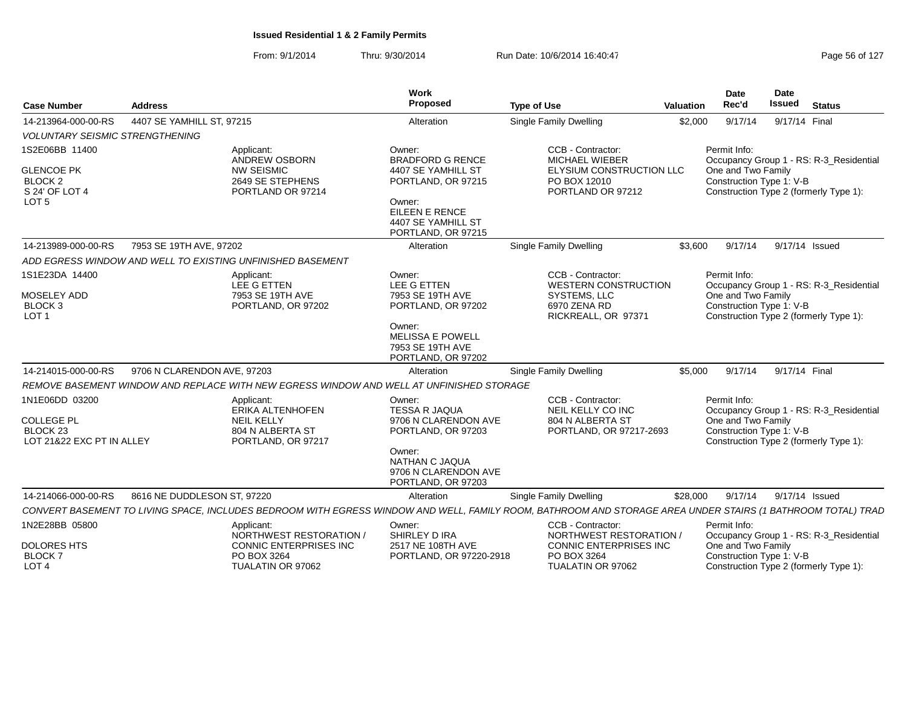| <b>Case Number</b>                                                                              | <b>Address</b>                                             |                                                                                          | Work<br>Proposed                                                                                                                                       | <b>Type of Use</b>                                                                                                                                          | <b>Valuation</b> | <b>Date</b><br>Rec'd                                           | <b>Date</b><br>Issued | <b>Status</b>                                                                     |
|-------------------------------------------------------------------------------------------------|------------------------------------------------------------|------------------------------------------------------------------------------------------|--------------------------------------------------------------------------------------------------------------------------------------------------------|-------------------------------------------------------------------------------------------------------------------------------------------------------------|------------------|----------------------------------------------------------------|-----------------------|-----------------------------------------------------------------------------------|
| 14-213964-000-00-RS                                                                             | 4407 SE YAMHILL ST, 97215                                  |                                                                                          | Alteration                                                                                                                                             | <b>Single Family Dwelling</b>                                                                                                                               | \$2,000          | 9/17/14                                                        | 9/17/14 Final         |                                                                                   |
| <b>VOLUNTARY SEISMIC STRENGTHENING</b>                                                          |                                                            |                                                                                          |                                                                                                                                                        |                                                                                                                                                             |                  |                                                                |                       |                                                                                   |
| 1S2E06BB 11400<br><b>GLENCOE PK</b><br>BLOCK <sub>2</sub><br>S 24' OF LOT 4<br>LOT <sub>5</sub> | Applicant:                                                 | ANDREW OSBORN<br><b>NW SEISMIC</b><br>2649 SE STEPHENS<br>PORTLAND OR 97214              | Owner:<br><b>BRADFORD G RENCE</b><br>4407 SE YAMHILL ST<br>PORTLAND, OR 97215<br>Owner:<br>EILEEN E RENCE<br>4407 SE YAMHILL ST<br>PORTLAND, OR 97215  | CCB - Contractor:<br><b>MICHAEL WIEBER</b><br>ELYSIUM CONSTRUCTION LLC<br>PO BOX 12010<br>PORTLAND OR 97212                                                 |                  | Permit Info:<br>One and Two Family<br>Construction Type 1: V-B |                       | Occupancy Group 1 - RS: R-3_Residential<br>Construction Type 2 (formerly Type 1): |
| 14-213989-000-00-RS                                                                             | 7953 SE 19TH AVE, 97202                                    |                                                                                          | Alteration                                                                                                                                             | <b>Single Family Dwelling</b>                                                                                                                               | \$3.600          | 9/17/14                                                        |                       | 9/17/14 Issued                                                                    |
|                                                                                                 | ADD EGRESS WINDOW AND WELL TO EXISTING UNFINISHED BASEMENT |                                                                                          |                                                                                                                                                        |                                                                                                                                                             |                  |                                                                |                       |                                                                                   |
| 1S1E23DA 14400<br>MOSELEY ADD<br><b>BLOCK 3</b><br>LOT <sub>1</sub>                             | Applicant:                                                 | LEE G ETTEN<br>7953 SE 19TH AVE<br>PORTLAND, OR 97202                                    | Owner:<br><b>LEE G ETTEN</b><br>7953 SE 19TH AVE<br>PORTLAND, OR 97202<br>Owner:<br><b>MELISSA E POWELL</b><br>7953 SE 19TH AVE<br>PORTLAND, OR 97202  | CCB - Contractor:<br><b>WESTERN CONSTRUCTION</b><br>SYSTEMS, LLC<br>6970 ZENA RD<br>RICKREALL, OR 97371                                                     |                  | Permit Info:<br>One and Two Family<br>Construction Type 1: V-B |                       | Occupancy Group 1 - RS: R-3 Residential<br>Construction Type 2 (formerly Type 1): |
| 14-214015-000-00-RS                                                                             | 9706 N CLARENDON AVE, 97203                                |                                                                                          | Alteration                                                                                                                                             | Single Family Dwelling                                                                                                                                      | \$5.000          | 9/17/14                                                        | 9/17/14 Final         |                                                                                   |
|                                                                                                 |                                                            | REMOVE BASEMENT WINDOW AND REPLACE WITH NEW EGRESS WINDOW AND WELL AT UNFINISHED STORAGE |                                                                                                                                                        |                                                                                                                                                             |                  |                                                                |                       |                                                                                   |
| 1N1E06DD 03200<br><b>COLLEGE PL</b><br>BLOCK <sub>23</sub><br>LOT 21&22 EXC PT IN ALLEY         | Applicant:                                                 | ERIKA ALTENHOFEN<br><b>NEIL KELLY</b><br>804 N ALBERTA ST<br>PORTLAND, OR 97217          | Owner:<br><b>TESSA R JAQUA</b><br>9706 N CLARENDON AVE<br>PORTLAND, OR 97203<br>Owner:<br>NATHAN C JAQUA<br>9706 N CLARENDON AVE<br>PORTLAND, OR 97203 | CCB - Contractor:<br>NEIL KELLY CO INC<br>804 N ALBERTA ST<br>PORTLAND, OR 97217-2693                                                                       |                  | Permit Info:<br>One and Two Family<br>Construction Type 1: V-B |                       | Occupancy Group 1 - RS: R-3_Residential<br>Construction Type 2 (formerly Type 1): |
| 14-214066-000-00-RS                                                                             | 8616 NE DUDDLESON ST, 97220                                |                                                                                          | Alteration                                                                                                                                             | Single Family Dwelling                                                                                                                                      | \$28,000         | 9/17/14                                                        |                       | 9/17/14 Issued                                                                    |
|                                                                                                 |                                                            |                                                                                          |                                                                                                                                                        | CONVERT BASEMENT TO LIVING SPACE, INCLUDES BEDROOM WITH EGRESS WINDOW AND WELL, FAMILY ROOM, BATHROOM AND STORAGE AREA UNDER STAIRS (1 BATHROOM TOTAL) TRAC |                  |                                                                |                       |                                                                                   |
| 1N2E28BB 05800<br><b>DOLORES HTS</b><br><b>BLOCK7</b><br>LOT <sub>4</sub>                       | Applicant:                                                 | NORTHWEST RESTORATION /<br>CONNIC ENTERPRISES INC<br>PO BOX 3264<br>TUALATIN OR 97062    | Owner:<br>SHIRLEY D IRA<br>2517 NE 108TH AVE<br>PORTLAND, OR 97220-2918                                                                                | CCB - Contractor:<br><b>NORTHWEST RESTORATION /</b><br>CONNIC ENTERPRISES INC<br>PO BOX 3264<br>TUALATIN OR 97062                                           |                  | Permit Info:<br>One and Two Family<br>Construction Type 1: V-B |                       | Occupancy Group 1 - RS: R-3_Residential<br>Construction Type 2 (formerly Type 1): |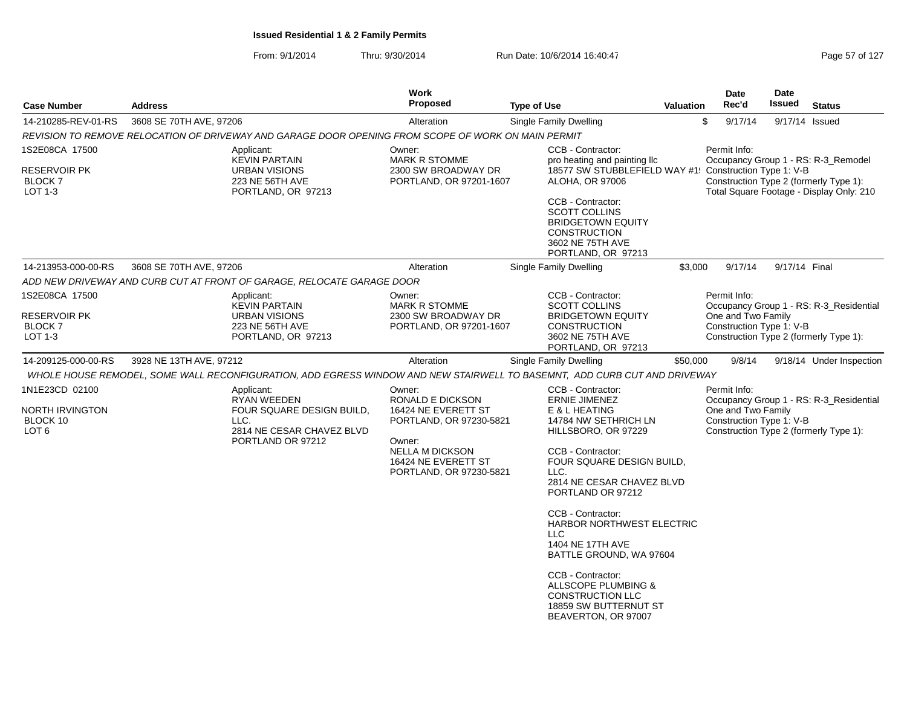|                                                                        |                                                                                                                           | Work                                                                                                                                                               |                                                                                                                                                                                                                                                                                                                                                                                                                                                             |                  | Date                                                           | Date           |                                                                                                                           |
|------------------------------------------------------------------------|---------------------------------------------------------------------------------------------------------------------------|--------------------------------------------------------------------------------------------------------------------------------------------------------------------|-------------------------------------------------------------------------------------------------------------------------------------------------------------------------------------------------------------------------------------------------------------------------------------------------------------------------------------------------------------------------------------------------------------------------------------------------------------|------------------|----------------------------------------------------------------|----------------|---------------------------------------------------------------------------------------------------------------------------|
| <b>Case Number</b>                                                     | <b>Address</b>                                                                                                            | <b>Proposed</b>                                                                                                                                                    | <b>Type of Use</b>                                                                                                                                                                                                                                                                                                                                                                                                                                          | <b>Valuation</b> | Rec'd                                                          | <b>Issued</b>  | <b>Status</b>                                                                                                             |
| 14-210285-REV-01-RS                                                    | 3608 SE 70TH AVE, 97206                                                                                                   | Alteration                                                                                                                                                         | <b>Single Family Dwelling</b>                                                                                                                                                                                                                                                                                                                                                                                                                               |                  | \$<br>9/17/14                                                  | 9/17/14 Issued |                                                                                                                           |
|                                                                        | REVISION TO REMOVE RELOCATION OF DRIVEWAY AND GARAGE DOOR OPENING FROM SCOPE OF WORK ON MAIN PERMIT                       |                                                                                                                                                                    |                                                                                                                                                                                                                                                                                                                                                                                                                                                             |                  |                                                                |                |                                                                                                                           |
| 1S2E08CA 17500<br>RESERVOIR PK<br><b>BLOCK7</b><br>LOT 1-3             | Applicant:<br><b>KEVIN PARTAIN</b><br><b>URBAN VISIONS</b><br>223 NE 56TH AVE<br>PORTLAND, OR 97213                       | Owner:<br><b>MARK R STOMME</b><br>2300 SW BROADWAY DR<br>PORTLAND, OR 97201-1607                                                                                   | <b>CCB - Contractor:</b><br>pro heating and painting Ilc<br>18577 SW STUBBLEFIELD WAY #1! Construction Type 1: V-B<br><b>ALOHA, OR 97006</b><br>CCB - Contractor:<br><b>SCOTT COLLINS</b><br><b>BRIDGETOWN EQUITY</b><br><b>CONSTRUCTION</b><br>3602 NE 75TH AVE<br>PORTLAND, OR 97213                                                                                                                                                                      |                  | Permit Info:                                                   |                | Occupancy Group 1 - RS: R-3 Remodel<br>Construction Type 2 (formerly Type 1):<br>Total Square Footage - Display Only: 210 |
| 14-213953-000-00-RS                                                    | 3608 SE 70TH AVE, 97206                                                                                                   | Alteration                                                                                                                                                         | <b>Single Family Dwelling</b>                                                                                                                                                                                                                                                                                                                                                                                                                               | \$3,000          | 9/17/14                                                        | 9/17/14 Final  |                                                                                                                           |
|                                                                        | ADD NEW DRIVEWAY AND CURB CUT AT FRONT OF GARAGE, RELOCATE GARAGE DOOR                                                    |                                                                                                                                                                    |                                                                                                                                                                                                                                                                                                                                                                                                                                                             |                  |                                                                |                |                                                                                                                           |
| 1S2E08CA 17500<br><b>RESERVOIR PK</b><br>BLOCK <sub>7</sub><br>LOT 1-3 | Applicant:<br><b>KEVIN PARTAIN</b><br><b>URBAN VISIONS</b><br>223 NE 56TH AVE<br>PORTLAND, OR 97213                       | Owner:<br><b>MARK R STOMME</b><br>2300 SW BROADWAY DR<br>PORTLAND, OR 97201-1607                                                                                   | CCB - Contractor:<br><b>SCOTT COLLINS</b><br><b>BRIDGETOWN EQUITY</b><br><b>CONSTRUCTION</b><br>3602 NE 75TH AVE<br>PORTLAND, OR 97213                                                                                                                                                                                                                                                                                                                      |                  | Permit Info:<br>One and Two Family<br>Construction Type 1: V-B |                | Occupancy Group 1 - RS: R-3_Residential<br>Construction Type 2 (formerly Type 1):                                         |
| 14-209125-000-00-RS                                                    | 3928 NE 13TH AVE, 97212                                                                                                   | Alteration                                                                                                                                                         | <b>Single Family Dwelling</b>                                                                                                                                                                                                                                                                                                                                                                                                                               | \$50,000         | 9/8/14                                                         |                | 9/18/14 Under Inspection                                                                                                  |
|                                                                        | WHOLE HOUSE REMODEL, SOME WALL RECONFIGURATION, ADD EGRESS WINDOW AND NEW STAIRWELL TO BASEMNT, ADD CURB CUT AND DRIVEWAY |                                                                                                                                                                    |                                                                                                                                                                                                                                                                                                                                                                                                                                                             |                  |                                                                |                |                                                                                                                           |
| 1N1E23CD 02100<br>NORTH IRVINGTON<br>BLOCK 10<br>LOT <sub>6</sub>      | Applicant:<br><b>RYAN WEEDEN</b><br>FOUR SQUARE DESIGN BUILD,<br>LLC.<br>2814 NE CESAR CHAVEZ BLVD<br>PORTLAND OR 97212   | Owner:<br>RONALD E DICKSON<br>16424 NE EVERETT ST<br>PORTLAND, OR 97230-5821<br>Owner:<br><b>NELLA M DICKSON</b><br>16424 NE EVERETT ST<br>PORTLAND, OR 97230-5821 | CCB - Contractor:<br><b>ERNIE JIMENEZ</b><br>E & L HEATING<br>14784 NW SETHRICH LN<br>HILLSBORO, OR 97229<br>CCB - Contractor:<br>FOUR SQUARE DESIGN BUILD,<br>LLC.<br>2814 NE CESAR CHAVEZ BLVD<br>PORTLAND OR 97212<br>CCB - Contractor:<br>HARBOR NORTHWEST ELECTRIC<br><b>LLC</b><br>1404 NE 17TH AVE<br>BATTLE GROUND, WA 97604<br>CCB - Contractor:<br>ALLSCOPE PLUMBING &<br><b>CONSTRUCTION LLC</b><br>18859 SW BUTTERNUT ST<br>BEAVERTON, OR 97007 |                  | Permit Info:<br>One and Two Family<br>Construction Type 1: V-B |                | Occupancy Group 1 - RS: R-3_Residential<br>Construction Type 2 (formerly Type 1):                                         |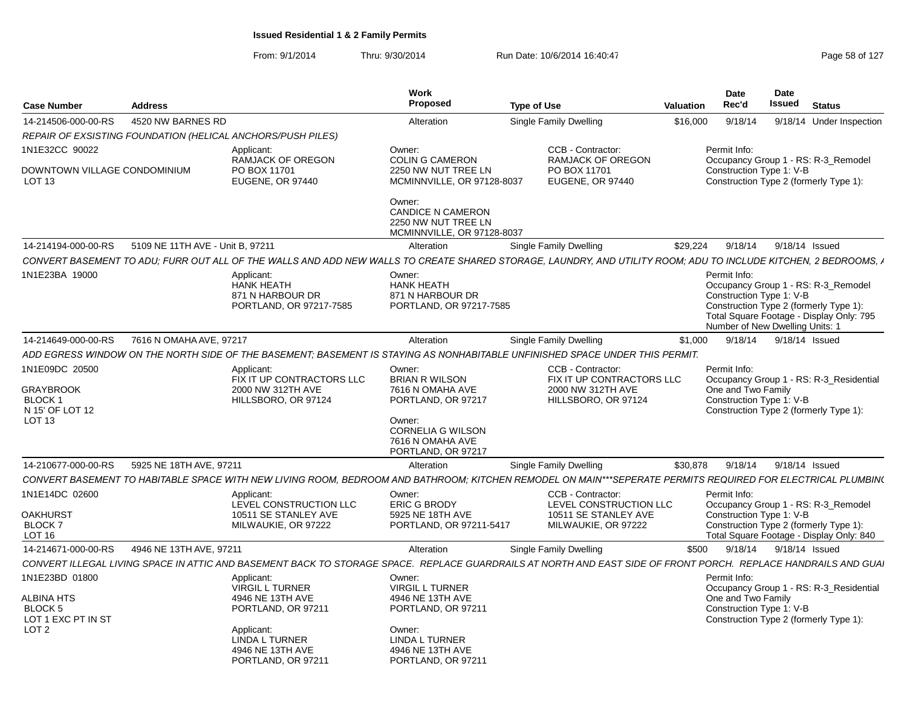| Proposed<br>Rec'd<br>Issued<br><b>Status</b><br><b>Type of Use</b><br><b>Case Number</b><br><b>Address</b><br><b>Valuation</b><br>14-214506-000-00-RS<br>4520 NW BARNES RD<br>\$16,000<br>9/18/14<br>9/18/14 Under Inspection<br>Alteration<br>Single Family Dwelling<br>REPAIR OF EXSISTING FOUNDATION (HELICAL ANCHORS/PUSH PILES)<br>1N1E32CC 90022<br>CCB - Contractor:<br>Permit Info:<br>Owner:<br>Applicant:<br>RAMJACK OF OREGON<br><b>COLIN G CAMERON</b><br>RAMJACK OF OREGON<br>Occupancy Group 1 - RS: R-3 Remodel<br>Construction Type 1: V-B<br>DOWNTOWN VILLAGE CONDOMINIUM<br>PO BOX 11701<br>2250 NW NUT TREE LN<br>PO BOX 11701<br>Construction Type 2 (formerly Type 1):<br>LOT <sub>13</sub><br>EUGENE, OR 97440<br>MCMINNVILLE, OR 97128-8037<br><b>EUGENE, OR 97440</b><br>Owner:<br><b>CANDICE N CAMERON</b><br>2250 NW NUT TREE LN<br>MCMINNVILLE, OR 97128-8037<br>14-214194-000-00-RS<br>5109 NE 11TH AVE - Unit B, 97211<br>\$29,224<br>9/18/14<br>9/18/14 Issued<br>Alteration<br>Single Family Dwelling<br>CONVERT BASEMENT TO ADU: FURR OUT ALL OF THE WALLS AND ADD NEW WALLS TO CREATE SHARED STORAGE, LAUNDRY, AND UTILITY ROOM; ADU TO INCLUDE KITCHEN, 2 BEDROOMS, A<br>1N1E23BA 19000<br>Owner:<br>Permit Info:<br>Applicant:<br><b>HANK HEATH</b><br><b>HANK HEATH</b><br>Occupancy Group 1 - RS: R-3 Remodel<br>871 N HARBOUR DR<br>Construction Type 1: V-B<br>871 N HARBOUR DR<br>Construction Type 2 (formerly Type 1):<br>PORTLAND, OR 97217-7585<br>PORTLAND, OR 97217-7585<br>Total Square Footage - Display Only: 795<br>Number of New Dwelling Units: 1<br>14-214649-000-00-RS<br>7616 N OMAHA AVE, 97217<br><b>Single Family Dwelling</b><br>9/18/14 Issued<br>Alteration<br>\$1,000<br>9/18/14<br>ADD EGRESS WINDOW ON THE NORTH SIDE OF THE BASEMENT; BASEMENT IS STAYING AS NONHABITABLE UNFINISHED SPACE UNDER THIS PERMIT.<br>1N1E09DC 20500<br>Owner:<br>CCB - Contractor:<br>Permit Info:<br>Applicant:<br>FIX IT UP CONTRACTORS LLC<br><b>BRIAN R WILSON</b><br>FIX IT UP CONTRACTORS LLC<br>Occupancy Group 1 - RS: R-3 Residential<br><b>GRAYBROOK</b><br>2000 NW 312TH AVE<br>7616 N OMAHA AVE<br>2000 NW 312TH AVE<br>One and Two Family<br>HILLSBORO, OR 97124<br>PORTLAND, OR 97217<br>HILLSBORO, OR 97124<br>Construction Type 1: V-B<br>BLOCK 1<br>N 15' OF LOT 12<br>Construction Type 2 (formerly Type 1):<br>LOT <sub>13</sub><br>Owner:<br><b>CORNELIA G WILSON</b><br>7616 N OMAHA AVE<br>PORTLAND, OR 97217<br>14-210677-000-00-RS<br>5925 NE 18TH AVE, 97211<br>Single Family Dwelling<br>\$30.878<br>9/18/14<br>9/18/14 Issued<br>Alteration<br>CONVERT BASEMENT TO HABITABLE SPACE WITH NEW LIVING ROOM, BEDROOM AND BATHROOM; KITCHEN REMODEL ON MAIN***SEPERATE PERMITS REQUIRED FOR ELECTRICAL PLUMBIN(<br>1N1E14DC 02600<br>CCB - Contractor:<br>Permit Info:<br>Applicant:<br>Owner:<br>LEVEL CONSTRUCTION LLC<br><b>ERIC G BRODY</b><br>LEVEL CONSTRUCTION LLC<br>Occupancy Group 1 - RS: R-3 Remodel |
|-------------------------------------------------------------------------------------------------------------------------------------------------------------------------------------------------------------------------------------------------------------------------------------------------------------------------------------------------------------------------------------------------------------------------------------------------------------------------------------------------------------------------------------------------------------------------------------------------------------------------------------------------------------------------------------------------------------------------------------------------------------------------------------------------------------------------------------------------------------------------------------------------------------------------------------------------------------------------------------------------------------------------------------------------------------------------------------------------------------------------------------------------------------------------------------------------------------------------------------------------------------------------------------------------------------------------------------------------------------------------------------------------------------------------------------------------------------------------------------------------------------------------------------------------------------------------------------------------------------------------------------------------------------------------------------------------------------------------------------------------------------------------------------------------------------------------------------------------------------------------------------------------------------------------------------------------------------------------------------------------------------------------------------------------------------------------------------------------------------------------------------------------------------------------------------------------------------------------------------------------------------------------------------------------------------------------------------------------------------------------------------------------------------------------------------------------------------------------------------------------------------------------------------------------------------------------------------------------------------------------------------------------------------------------------------------------------------------------------------------------------------------------------------------------------------------------------------------------------------------------------------------------------------------------------------------------------------------------------------|
|                                                                                                                                                                                                                                                                                                                                                                                                                                                                                                                                                                                                                                                                                                                                                                                                                                                                                                                                                                                                                                                                                                                                                                                                                                                                                                                                                                                                                                                                                                                                                                                                                                                                                                                                                                                                                                                                                                                                                                                                                                                                                                                                                                                                                                                                                                                                                                                                                                                                                                                                                                                                                                                                                                                                                                                                                                                                                                                                                                                     |
|                                                                                                                                                                                                                                                                                                                                                                                                                                                                                                                                                                                                                                                                                                                                                                                                                                                                                                                                                                                                                                                                                                                                                                                                                                                                                                                                                                                                                                                                                                                                                                                                                                                                                                                                                                                                                                                                                                                                                                                                                                                                                                                                                                                                                                                                                                                                                                                                                                                                                                                                                                                                                                                                                                                                                                                                                                                                                                                                                                                     |
|                                                                                                                                                                                                                                                                                                                                                                                                                                                                                                                                                                                                                                                                                                                                                                                                                                                                                                                                                                                                                                                                                                                                                                                                                                                                                                                                                                                                                                                                                                                                                                                                                                                                                                                                                                                                                                                                                                                                                                                                                                                                                                                                                                                                                                                                                                                                                                                                                                                                                                                                                                                                                                                                                                                                                                                                                                                                                                                                                                                     |
|                                                                                                                                                                                                                                                                                                                                                                                                                                                                                                                                                                                                                                                                                                                                                                                                                                                                                                                                                                                                                                                                                                                                                                                                                                                                                                                                                                                                                                                                                                                                                                                                                                                                                                                                                                                                                                                                                                                                                                                                                                                                                                                                                                                                                                                                                                                                                                                                                                                                                                                                                                                                                                                                                                                                                                                                                                                                                                                                                                                     |
|                                                                                                                                                                                                                                                                                                                                                                                                                                                                                                                                                                                                                                                                                                                                                                                                                                                                                                                                                                                                                                                                                                                                                                                                                                                                                                                                                                                                                                                                                                                                                                                                                                                                                                                                                                                                                                                                                                                                                                                                                                                                                                                                                                                                                                                                                                                                                                                                                                                                                                                                                                                                                                                                                                                                                                                                                                                                                                                                                                                     |
|                                                                                                                                                                                                                                                                                                                                                                                                                                                                                                                                                                                                                                                                                                                                                                                                                                                                                                                                                                                                                                                                                                                                                                                                                                                                                                                                                                                                                                                                                                                                                                                                                                                                                                                                                                                                                                                                                                                                                                                                                                                                                                                                                                                                                                                                                                                                                                                                                                                                                                                                                                                                                                                                                                                                                                                                                                                                                                                                                                                     |
|                                                                                                                                                                                                                                                                                                                                                                                                                                                                                                                                                                                                                                                                                                                                                                                                                                                                                                                                                                                                                                                                                                                                                                                                                                                                                                                                                                                                                                                                                                                                                                                                                                                                                                                                                                                                                                                                                                                                                                                                                                                                                                                                                                                                                                                                                                                                                                                                                                                                                                                                                                                                                                                                                                                                                                                                                                                                                                                                                                                     |
|                                                                                                                                                                                                                                                                                                                                                                                                                                                                                                                                                                                                                                                                                                                                                                                                                                                                                                                                                                                                                                                                                                                                                                                                                                                                                                                                                                                                                                                                                                                                                                                                                                                                                                                                                                                                                                                                                                                                                                                                                                                                                                                                                                                                                                                                                                                                                                                                                                                                                                                                                                                                                                                                                                                                                                                                                                                                                                                                                                                     |
|                                                                                                                                                                                                                                                                                                                                                                                                                                                                                                                                                                                                                                                                                                                                                                                                                                                                                                                                                                                                                                                                                                                                                                                                                                                                                                                                                                                                                                                                                                                                                                                                                                                                                                                                                                                                                                                                                                                                                                                                                                                                                                                                                                                                                                                                                                                                                                                                                                                                                                                                                                                                                                                                                                                                                                                                                                                                                                                                                                                     |
|                                                                                                                                                                                                                                                                                                                                                                                                                                                                                                                                                                                                                                                                                                                                                                                                                                                                                                                                                                                                                                                                                                                                                                                                                                                                                                                                                                                                                                                                                                                                                                                                                                                                                                                                                                                                                                                                                                                                                                                                                                                                                                                                                                                                                                                                                                                                                                                                                                                                                                                                                                                                                                                                                                                                                                                                                                                                                                                                                                                     |
|                                                                                                                                                                                                                                                                                                                                                                                                                                                                                                                                                                                                                                                                                                                                                                                                                                                                                                                                                                                                                                                                                                                                                                                                                                                                                                                                                                                                                                                                                                                                                                                                                                                                                                                                                                                                                                                                                                                                                                                                                                                                                                                                                                                                                                                                                                                                                                                                                                                                                                                                                                                                                                                                                                                                                                                                                                                                                                                                                                                     |
|                                                                                                                                                                                                                                                                                                                                                                                                                                                                                                                                                                                                                                                                                                                                                                                                                                                                                                                                                                                                                                                                                                                                                                                                                                                                                                                                                                                                                                                                                                                                                                                                                                                                                                                                                                                                                                                                                                                                                                                                                                                                                                                                                                                                                                                                                                                                                                                                                                                                                                                                                                                                                                                                                                                                                                                                                                                                                                                                                                                     |
|                                                                                                                                                                                                                                                                                                                                                                                                                                                                                                                                                                                                                                                                                                                                                                                                                                                                                                                                                                                                                                                                                                                                                                                                                                                                                                                                                                                                                                                                                                                                                                                                                                                                                                                                                                                                                                                                                                                                                                                                                                                                                                                                                                                                                                                                                                                                                                                                                                                                                                                                                                                                                                                                                                                                                                                                                                                                                                                                                                                     |
|                                                                                                                                                                                                                                                                                                                                                                                                                                                                                                                                                                                                                                                                                                                                                                                                                                                                                                                                                                                                                                                                                                                                                                                                                                                                                                                                                                                                                                                                                                                                                                                                                                                                                                                                                                                                                                                                                                                                                                                                                                                                                                                                                                                                                                                                                                                                                                                                                                                                                                                                                                                                                                                                                                                                                                                                                                                                                                                                                                                     |
|                                                                                                                                                                                                                                                                                                                                                                                                                                                                                                                                                                                                                                                                                                                                                                                                                                                                                                                                                                                                                                                                                                                                                                                                                                                                                                                                                                                                                                                                                                                                                                                                                                                                                                                                                                                                                                                                                                                                                                                                                                                                                                                                                                                                                                                                                                                                                                                                                                                                                                                                                                                                                                                                                                                                                                                                                                                                                                                                                                                     |
|                                                                                                                                                                                                                                                                                                                                                                                                                                                                                                                                                                                                                                                                                                                                                                                                                                                                                                                                                                                                                                                                                                                                                                                                                                                                                                                                                                                                                                                                                                                                                                                                                                                                                                                                                                                                                                                                                                                                                                                                                                                                                                                                                                                                                                                                                                                                                                                                                                                                                                                                                                                                                                                                                                                                                                                                                                                                                                                                                                                     |
| Construction Type 1: V-B<br><b>OAKHURST</b><br>10511 SE STANLEY AVE<br>5925 NE 18TH AVE<br>10511 SE STANLEY AVE<br>BLOCK 7<br>MILWAUKIE, OR 97222<br>Construction Type 2 (formerly Type 1):<br>MILWAUKIE, OR 97222<br>PORTLAND, OR 97211-5417<br>LOT 16<br>Total Square Footage - Display Only: 840                                                                                                                                                                                                                                                                                                                                                                                                                                                                                                                                                                                                                                                                                                                                                                                                                                                                                                                                                                                                                                                                                                                                                                                                                                                                                                                                                                                                                                                                                                                                                                                                                                                                                                                                                                                                                                                                                                                                                                                                                                                                                                                                                                                                                                                                                                                                                                                                                                                                                                                                                                                                                                                                                 |
| 14-214671-000-00-RS<br>4946 NE 13TH AVE, 97211<br><b>Single Family Dwelling</b><br>9/18/14<br>9/18/14 Issued<br>Alteration<br>\$500                                                                                                                                                                                                                                                                                                                                                                                                                                                                                                                                                                                                                                                                                                                                                                                                                                                                                                                                                                                                                                                                                                                                                                                                                                                                                                                                                                                                                                                                                                                                                                                                                                                                                                                                                                                                                                                                                                                                                                                                                                                                                                                                                                                                                                                                                                                                                                                                                                                                                                                                                                                                                                                                                                                                                                                                                                                 |
| CONVERT ILLEGAL LIVING SPACE IN ATTIC AND BASEMENT BACK TO STORAGE SPACE. REPLACE GUARDRAILS AT NORTH AND EAST SIDE OF FRONT PORCH. REPLACE HANDRAILS AND GUAI                                                                                                                                                                                                                                                                                                                                                                                                                                                                                                                                                                                                                                                                                                                                                                                                                                                                                                                                                                                                                                                                                                                                                                                                                                                                                                                                                                                                                                                                                                                                                                                                                                                                                                                                                                                                                                                                                                                                                                                                                                                                                                                                                                                                                                                                                                                                                                                                                                                                                                                                                                                                                                                                                                                                                                                                                      |
| 1N1E23BD 01800<br>Permit Info:<br>Applicant:<br>Owner:<br><b>VIRGIL L TURNER</b><br><b>VIRGIL L TURNER</b><br>Occupancy Group 1 - RS: R-3_Residential                                                                                                                                                                                                                                                                                                                                                                                                                                                                                                                                                                                                                                                                                                                                                                                                                                                                                                                                                                                                                                                                                                                                                                                                                                                                                                                                                                                                                                                                                                                                                                                                                                                                                                                                                                                                                                                                                                                                                                                                                                                                                                                                                                                                                                                                                                                                                                                                                                                                                                                                                                                                                                                                                                                                                                                                                               |
| One and Two Family<br><b>ALBINA HTS</b><br>4946 NE 13TH AVE<br>4946 NE 13TH AVE<br>Construction Type 1: V-B<br>BLOCK 5<br>PORTLAND, OR 97211<br>PORTLAND, OR 97211<br>LOT 1 EXC PT IN ST<br>Construction Type 2 (formerly Type 1):                                                                                                                                                                                                                                                                                                                                                                                                                                                                                                                                                                                                                                                                                                                                                                                                                                                                                                                                                                                                                                                                                                                                                                                                                                                                                                                                                                                                                                                                                                                                                                                                                                                                                                                                                                                                                                                                                                                                                                                                                                                                                                                                                                                                                                                                                                                                                                                                                                                                                                                                                                                                                                                                                                                                                  |
| LOT <sub>2</sub><br>Applicant:<br>Owner:<br><b>LINDA L TURNER</b><br>LINDA L TURNER<br>4946 NE 13TH AVE<br>4946 NE 13TH AVE<br>PORTLAND, OR 97211<br>PORTLAND, OR 97211                                                                                                                                                                                                                                                                                                                                                                                                                                                                                                                                                                                                                                                                                                                                                                                                                                                                                                                                                                                                                                                                                                                                                                                                                                                                                                                                                                                                                                                                                                                                                                                                                                                                                                                                                                                                                                                                                                                                                                                                                                                                                                                                                                                                                                                                                                                                                                                                                                                                                                                                                                                                                                                                                                                                                                                                             |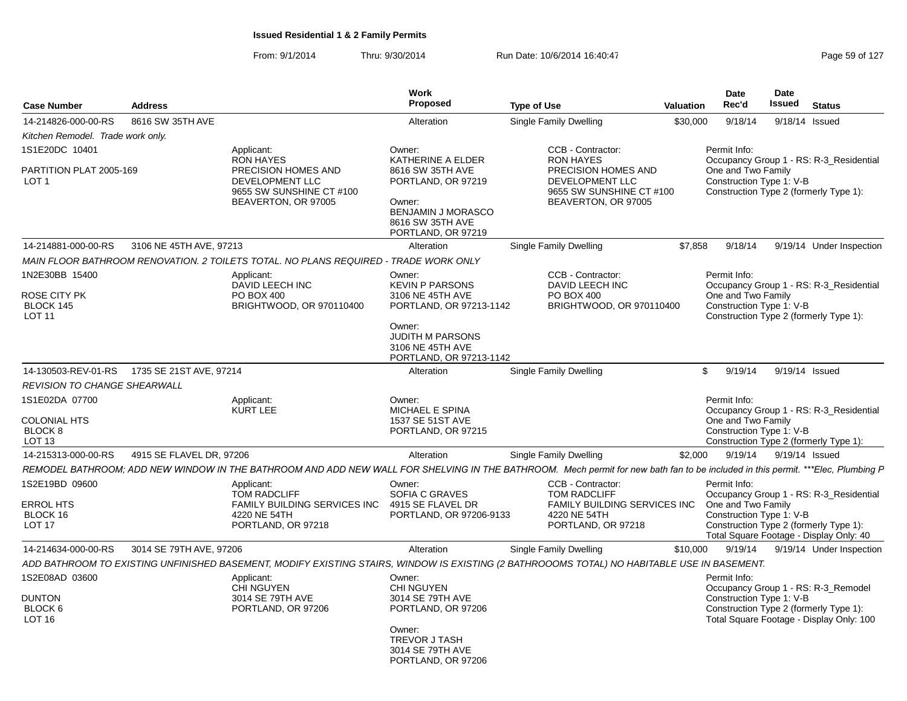|                                                                 |                          |                                                                                                                                                                                 | <b>Work</b>                                                                                                                                                         |                                                                                                                |           | Date                                                           | Date          |                                                                                                                              |
|-----------------------------------------------------------------|--------------------------|---------------------------------------------------------------------------------------------------------------------------------------------------------------------------------|---------------------------------------------------------------------------------------------------------------------------------------------------------------------|----------------------------------------------------------------------------------------------------------------|-----------|----------------------------------------------------------------|---------------|------------------------------------------------------------------------------------------------------------------------------|
| <b>Case Number</b>                                              | <b>Address</b>           |                                                                                                                                                                                 | Proposed                                                                                                                                                            | <b>Type of Use</b>                                                                                             | Valuation | Rec'd                                                          | <b>Issued</b> | <b>Status</b>                                                                                                                |
| 14-214826-000-00-RS                                             | 8616 SW 35TH AVE         |                                                                                                                                                                                 | Alteration                                                                                                                                                          | Single Family Dwelling                                                                                         | \$30,000  | 9/18/14                                                        |               | 9/18/14 Issued                                                                                                               |
| Kitchen Remodel. Trade work only.                               |                          |                                                                                                                                                                                 |                                                                                                                                                                     |                                                                                                                |           |                                                                |               |                                                                                                                              |
| 1S1E20DC 10401                                                  |                          | Applicant:                                                                                                                                                                      | Owner:                                                                                                                                                              | CCB - Contractor:                                                                                              |           | Permit Info:                                                   |               |                                                                                                                              |
| PARTITION PLAT 2005-169<br>LOT 1                                |                          | <b>RON HAYES</b><br>PRECISION HOMES AND<br>DEVELOPMENT LLC<br>9655 SW SUNSHINE CT #100<br>BEAVERTON, OR 97005                                                                   | KATHERINE A ELDER<br>8616 SW 35TH AVE<br>PORTLAND, OR 97219<br>Owner:<br><b>BENJAMIN J MORASCO</b><br>8616 SW 35TH AVE<br>PORTLAND, OR 97219                        | <b>RON HAYES</b><br>PRECISION HOMES AND<br>DEVELOPMENT LLC<br>9655 SW SUNSHINE CT #100<br>BEAVERTON, OR 97005  |           | One and Two Family<br>Construction Type 1: V-B                 |               | Occupancy Group 1 - RS: R-3 Residential<br>Construction Type 2 (formerly Type 1):                                            |
| 14-214881-000-00-RS                                             | 3106 NE 45TH AVE, 97213  |                                                                                                                                                                                 | Alteration                                                                                                                                                          | Single Family Dwelling                                                                                         | \$7,858   | 9/18/14                                                        |               | 9/19/14 Under Inspection                                                                                                     |
|                                                                 |                          | MAIN FLOOR BATHROOM RENOVATION. 2 TOILETS TOTAL. NO PLANS REQUIRED - TRADE WORK ONLY                                                                                            |                                                                                                                                                                     |                                                                                                                |           |                                                                |               |                                                                                                                              |
| 1N2E30BB 15400<br>ROSE CITY PK<br>BLOCK 145<br><b>LOT 11</b>    |                          | Applicant:<br>DAVID LEECH INC<br>PO BOX 400<br>BRIGHTWOOD, OR 970110400                                                                                                         | Owner:<br><b>KEVIN P PARSONS</b><br>3106 NE 45TH AVE<br>PORTLAND, OR 97213-1142<br>Owner:<br><b>JUDITH M PARSONS</b><br>3106 NE 45TH AVE<br>PORTLAND, OR 97213-1142 | CCB - Contractor:<br>DAVID LEECH INC<br>PO BOX 400<br>BRIGHTWOOD, OR 970110400                                 |           | Permit Info:<br>One and Two Family<br>Construction Type 1: V-B |               | Occupancy Group 1 - RS: R-3 Residential<br>Construction Type 2 (formerly Type 1):                                            |
|                                                                 |                          |                                                                                                                                                                                 | Alteration                                                                                                                                                          | Single Family Dwelling                                                                                         |           | \$<br>9/19/14                                                  |               | 9/19/14 Issued                                                                                                               |
| <b>REVISION TO CHANGE SHEARWALL</b>                             |                          |                                                                                                                                                                                 |                                                                                                                                                                     |                                                                                                                |           |                                                                |               |                                                                                                                              |
| 1S1E02DA 07700                                                  |                          | Applicant:                                                                                                                                                                      | Owner:                                                                                                                                                              |                                                                                                                |           | Permit Info:                                                   |               |                                                                                                                              |
| <b>COLONIAL HTS</b><br>BLOCK 8<br>LOT <sub>13</sub>             |                          | <b>KURT LEE</b>                                                                                                                                                                 | MICHAEL E SPINA<br>1537 SE 51ST AVE<br>PORTLAND, OR 97215                                                                                                           |                                                                                                                |           | One and Two Family<br>Construction Type 1: V-B                 |               | Occupancy Group 1 - RS: R-3 Residential<br>Construction Type 2 (formerly Type 1):                                            |
| 14-215313-000-00-RS                                             | 4915 SE FLAVEL DR, 97206 |                                                                                                                                                                                 | Alteration                                                                                                                                                          | Single Family Dwelling                                                                                         | \$2,000   | 9/19/14                                                        |               | 9/19/14 Issued                                                                                                               |
|                                                                 |                          | REMODEL BATHROOM; ADD NEW WINDOW IN THE BATHROOM AND ADD NEW WALL FOR SHELVING IN THE BATHROOM. Mech permit for new bath fan to be included in this permit. ***Elec, Plumbing P |                                                                                                                                                                     |                                                                                                                |           |                                                                |               |                                                                                                                              |
| 1S2E19BD 09600<br><b>ERROL HTS</b><br>BLOCK 16<br><b>LOT 17</b> |                          | Applicant:<br><b>TOM RADCLIFF</b><br>FAMILY BUILDING SERVICES INC<br>4220 NE 54TH<br>PORTLAND, OR 97218                                                                         | Owner:<br>SOFIA C GRAVES<br>4915 SE FLAVEL DR<br>PORTLAND, OR 97206-9133                                                                                            | CCB - Contractor:<br><b>TOM RADCLIFF</b><br>FAMILY BUILDING SERVICES INC<br>4220 NE 54TH<br>PORTLAND, OR 97218 |           | Permit Info:<br>One and Two Family<br>Construction Type 1: V-B |               | Occupancy Group 1 - RS: R-3_Residential<br>Construction Type 2 (formerly Type 1):<br>Total Square Footage - Display Only: 40 |
| 14-214634-000-00-RS                                             | 3014 SE 79TH AVE, 97206  |                                                                                                                                                                                 | Alteration                                                                                                                                                          | Single Family Dwelling                                                                                         | \$10,000  | 9/19/14                                                        |               | 9/19/14 Under Inspection                                                                                                     |
|                                                                 |                          | ADD BATHROOM TO EXISTING UNFINISHED BASEMENT. MODIFY EXISTING STAIRS. WINDOW IS EXISTING (2 BATHROOOMS TOTAL) NO HABITABLE USE IN BASEMENT.                                     |                                                                                                                                                                     |                                                                                                                |           |                                                                |               |                                                                                                                              |
| 1S2E08AD 03600<br><b>DUNTON</b><br>BLOCK 6<br>LOT <sub>16</sub> |                          | Applicant:<br><b>CHI NGUYEN</b><br>3014 SE 79TH AVE<br>PORTLAND, OR 97206                                                                                                       | Owner:<br><b>CHI NGUYEN</b><br>3014 SE 79TH AVE<br>PORTLAND, OR 97206<br>Owner:<br>TREVOR J TASH<br>3014 SE 79TH AVE<br>PORTLAND, OR 97206                          |                                                                                                                |           | Permit Info:<br>Construction Type 1: V-B                       |               | Occupancy Group 1 - RS: R-3_Remodel<br>Construction Type 2 (formerly Type 1):<br>Total Square Footage - Display Only: 100    |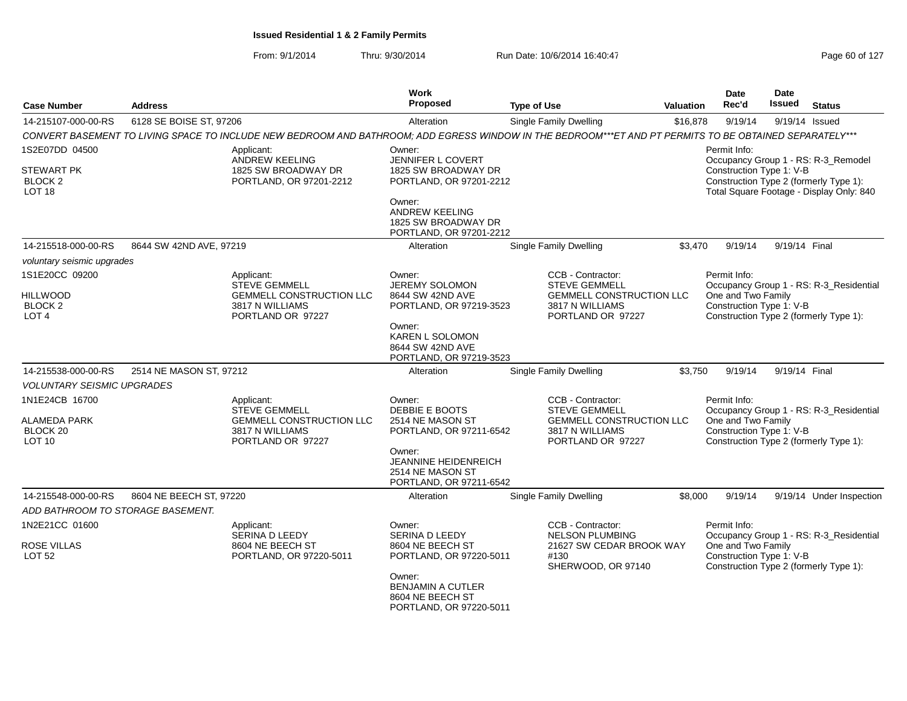| <b>Case Number</b>                            | <b>Address</b>          |                                                                                                                                                         | <b>Work</b><br><b>Proposed</b>                                                    | <b>Type of Use</b>                                                           | <b>Valuation</b> | Date<br>Rec'd                                                                            | Date<br><b>Issued</b> | <b>Status</b>                            |
|-----------------------------------------------|-------------------------|---------------------------------------------------------------------------------------------------------------------------------------------------------|-----------------------------------------------------------------------------------|------------------------------------------------------------------------------|------------------|------------------------------------------------------------------------------------------|-----------------------|------------------------------------------|
| 14-215107-000-00-RS                           | 6128 SE BOISE ST, 97206 |                                                                                                                                                         | Alteration                                                                        | Single Family Dwelling                                                       | \$16,878         | 9/19/14                                                                                  |                       | 9/19/14 Issued                           |
|                                               |                         | CONVERT BASEMENT TO LIVING SPACE TO INCLUDE NEW BEDROOM AND BATHROOM; ADD EGRESS WINDOW IN THE BEDROOM***ET AND PT PERMITS TO BE OBTAINED SEPARATELY*** |                                                                                   |                                                                              |                  |                                                                                          |                       |                                          |
| 1S2E07DD 04500<br>STEWART PK                  |                         | Applicant:<br><b>ANDREW KEELING</b><br>1825 SW BROADWAY DR                                                                                              | Owner:<br><b>JENNIFER L COVERT</b><br>1825 SW BROADWAY DR                         |                                                                              |                  | Permit Info:<br>Construction Type 1: V-B                                                 |                       | Occupancy Group 1 - RS: R-3_Remodel      |
| BLOCK <sub>2</sub><br>LOT <sub>18</sub>       |                         | PORTLAND, OR 97201-2212                                                                                                                                 | PORTLAND, OR 97201-2212<br>Owner:                                                 |                                                                              |                  | Construction Type 2 (formerly Type 1):                                                   |                       | Total Square Footage - Display Only: 840 |
|                                               |                         |                                                                                                                                                         | ANDREW KEELING<br>1825 SW BROADWAY DR<br>PORTLAND, OR 97201-2212                  |                                                                              |                  |                                                                                          |                       |                                          |
| 14-215518-000-00-RS                           | 8644 SW 42ND AVE, 97219 |                                                                                                                                                         | Alteration                                                                        | Single Family Dwelling                                                       | \$3,470          | 9/19/14                                                                                  | 9/19/14 Final         |                                          |
| voluntary seismic upgrades                    |                         |                                                                                                                                                         |                                                                                   |                                                                              |                  |                                                                                          |                       |                                          |
| 1S1E20CC 09200<br><b>HILLWOOD</b>             |                         | Applicant:<br>STEVE GEMMELL<br>GEMMELL CONSTRUCTION LLC                                                                                                 | Owner:<br><b>JEREMY SOLOMON</b><br>8644 SW 42ND AVE                               | CCB - Contractor:<br><b>STEVE GEMMELL</b><br><b>GEMMELL CONSTRUCTION LLC</b> |                  | Permit Info:<br>One and Two Family                                                       |                       | Occupancy Group 1 - RS: R-3_Residential  |
| BLOCK <sub>2</sub><br>LOT <sub>4</sub>        |                         | 3817 N WILLIAMS<br>PORTLAND OR 97227                                                                                                                    | PORTLAND, OR 97219-3523                                                           | 3817 N WILLIAMS<br>PORTLAND OR 97227                                         |                  | Construction Type 1: V-B<br>Construction Type 2 (formerly Type 1):                       |                       |                                          |
|                                               |                         |                                                                                                                                                         | Owner:<br><b>KAREN L SOLOMON</b><br>8644 SW 42ND AVE<br>PORTLAND, OR 97219-3523   |                                                                              |                  |                                                                                          |                       |                                          |
| 14-215538-000-00-RS                           | 2514 NE MASON ST, 97212 |                                                                                                                                                         | Alteration                                                                        | Single Family Dwelling                                                       | \$3,750          | 9/19/14                                                                                  | 9/19/14 Final         |                                          |
| <b>VOLUNTARY SEISMIC UPGRADES</b>             |                         |                                                                                                                                                         |                                                                                   |                                                                              |                  |                                                                                          |                       |                                          |
| 1N1E24CB 16700                                |                         | Applicant:<br>STEVE GEMMELL                                                                                                                             | Owner:<br>DEBBIE E BOOTS                                                          | CCB - Contractor:<br><b>STEVE GEMMELL</b>                                    |                  | Permit Info:                                                                             |                       | Occupancy Group 1 - RS: R-3_Residential  |
| ALAMEDA PARK<br>BLOCK 20<br>LOT <sub>10</sub> |                         | <b>GEMMELL CONSTRUCTION LLC</b><br>3817 N WILLIAMS<br>PORTLAND OR 97227                                                                                 | 2514 NE MASON ST<br>PORTLAND, OR 97211-6542                                       | <b>GEMMELL CONSTRUCTION LLC</b><br>3817 N WILLIAMS<br>PORTLAND OR 97227      |                  | One and Two Family<br>Construction Type 1: V-B<br>Construction Type 2 (formerly Type 1): |                       |                                          |
|                                               |                         |                                                                                                                                                         | Owner:<br>JEANNINE HEIDENREICH<br>2514 NE MASON ST<br>PORTLAND, OR 97211-6542     |                                                                              |                  |                                                                                          |                       |                                          |
| 14-215548-000-00-RS                           | 8604 NE BEECH ST, 97220 |                                                                                                                                                         | Alteration                                                                        | <b>Single Family Dwelling</b>                                                | \$8,000          | 9/19/14                                                                                  |                       | 9/19/14 Under Inspection                 |
| ADD BATHROOM TO STORAGE BASEMENT.             |                         |                                                                                                                                                         |                                                                                   |                                                                              |                  |                                                                                          |                       |                                          |
| 1N2E21CC 01600                                |                         | Applicant:<br>SERINA D LEEDY                                                                                                                            | Owner:<br>SERINA D LEEDY                                                          | CCB - Contractor:<br><b>NELSON PLUMBING</b>                                  |                  | Permit Info:                                                                             |                       | Occupancy Group 1 - RS: R-3_Residential  |
| <b>ROSE VILLAS</b><br><b>LOT 52</b>           |                         | 8604 NE BEECH ST<br>PORTLAND, OR 97220-5011                                                                                                             | 8604 NE BEECH ST<br>PORTLAND, OR 97220-5011                                       | 21627 SW CEDAR BROOK WAY<br>#130<br>SHERWOOD, OR 97140                       |                  | One and Two Family<br>Construction Type 1: V-B<br>Construction Type 2 (formerly Type 1): |                       |                                          |
|                                               |                         |                                                                                                                                                         | Owner:<br><b>BENJAMIN A CUTLER</b><br>8604 NE BEECH ST<br>PORTLAND, OR 97220-5011 |                                                                              |                  |                                                                                          |                       |                                          |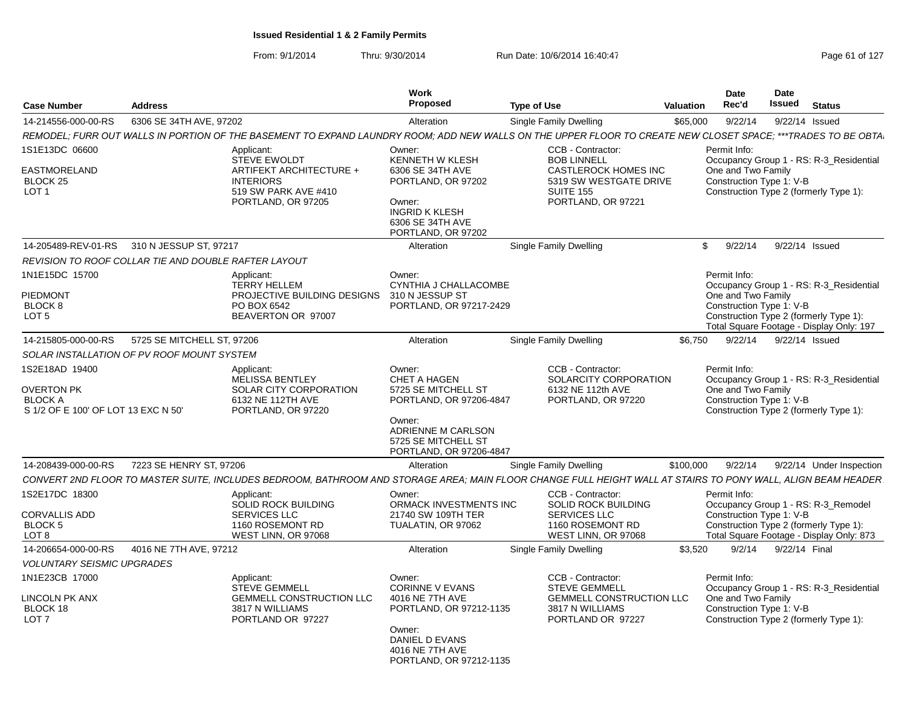|                                                                                                               | <b>Work</b>                                                                                                                                                                                                                                                                                                                                                                   |                                                                                                                                                                                      | <b>Date</b>                                                                                                                                                                                                                                                                      | Date                                                                                                                                                                                                                                                                                                                                                                                                                                                                                                                                                                                                                                                                                                                                                           |
|---------------------------------------------------------------------------------------------------------------|-------------------------------------------------------------------------------------------------------------------------------------------------------------------------------------------------------------------------------------------------------------------------------------------------------------------------------------------------------------------------------|--------------------------------------------------------------------------------------------------------------------------------------------------------------------------------------|----------------------------------------------------------------------------------------------------------------------------------------------------------------------------------------------------------------------------------------------------------------------------------|----------------------------------------------------------------------------------------------------------------------------------------------------------------------------------------------------------------------------------------------------------------------------------------------------------------------------------------------------------------------------------------------------------------------------------------------------------------------------------------------------------------------------------------------------------------------------------------------------------------------------------------------------------------------------------------------------------------------------------------------------------------|
|                                                                                                               |                                                                                                                                                                                                                                                                                                                                                                               |                                                                                                                                                                                      |                                                                                                                                                                                                                                                                                  | <b>Issued Status</b>                                                                                                                                                                                                                                                                                                                                                                                                                                                                                                                                                                                                                                                                                                                                           |
|                                                                                                               |                                                                                                                                                                                                                                                                                                                                                                               |                                                                                                                                                                                      |                                                                                                                                                                                                                                                                                  | 9/22/14  9/22/14  Issued                                                                                                                                                                                                                                                                                                                                                                                                                                                                                                                                                                                                                                                                                                                                       |
|                                                                                                               |                                                                                                                                                                                                                                                                                                                                                                               |                                                                                                                                                                                      |                                                                                                                                                                                                                                                                                  |                                                                                                                                                                                                                                                                                                                                                                                                                                                                                                                                                                                                                                                                                                                                                                |
| STEVE EWOLDT<br>ARTIFEKT ARCHITECTURE +<br><b>INTERIORS</b><br>519 SW PARK AVE #410<br>PORTLAND, OR 97205     | KENNETH W KLESH<br>6306 SE 34TH AVE<br>PORTLAND, OR 97202<br>Owner:<br><b>INGRID K KLESH</b><br>6306 SE 34TH AVE                                                                                                                                                                                                                                                              | <b>BOB LINNELL</b><br><b>CASTLEROCK HOMES INC</b><br>5319 SW WESTGATE DRIVE<br><b>SUITE 155</b><br>PORTLAND, OR 97221                                                                |                                                                                                                                                                                                                                                                                  | Occupancy Group 1 - RS: R-3_Residential<br>Construction Type 2 (formerly Type 1):                                                                                                                                                                                                                                                                                                                                                                                                                                                                                                                                                                                                                                                                              |
|                                                                                                               |                                                                                                                                                                                                                                                                                                                                                                               |                                                                                                                                                                                      |                                                                                                                                                                                                                                                                                  |                                                                                                                                                                                                                                                                                                                                                                                                                                                                                                                                                                                                                                                                                                                                                                |
|                                                                                                               |                                                                                                                                                                                                                                                                                                                                                                               |                                                                                                                                                                                      |                                                                                                                                                                                                                                                                                  |                                                                                                                                                                                                                                                                                                                                                                                                                                                                                                                                                                                                                                                                                                                                                                |
|                                                                                                               |                                                                                                                                                                                                                                                                                                                                                                               |                                                                                                                                                                                      |                                                                                                                                                                                                                                                                                  |                                                                                                                                                                                                                                                                                                                                                                                                                                                                                                                                                                                                                                                                                                                                                                |
| <b>TERRY HELLEM</b><br>PO BOX 6542<br>BEAVERTON OR 97007                                                      | CYNTHIA J CHALLACOMBE<br>PORTLAND, OR 97217-2429                                                                                                                                                                                                                                                                                                                              |                                                                                                                                                                                      |                                                                                                                                                                                                                                                                                  | Occupancy Group 1 - RS: R-3_Residential<br>Construction Type 2 (formerly Type 1):<br>Total Square Footage - Display Only: 197                                                                                                                                                                                                                                                                                                                                                                                                                                                                                                                                                                                                                                  |
|                                                                                                               | Alteration                                                                                                                                                                                                                                                                                                                                                                    |                                                                                                                                                                                      |                                                                                                                                                                                                                                                                                  | 9/22/14 Issued                                                                                                                                                                                                                                                                                                                                                                                                                                                                                                                                                                                                                                                                                                                                                 |
|                                                                                                               |                                                                                                                                                                                                                                                                                                                                                                               |                                                                                                                                                                                      |                                                                                                                                                                                                                                                                                  |                                                                                                                                                                                                                                                                                                                                                                                                                                                                                                                                                                                                                                                                                                                                                                |
| Applicant:<br>MELISSA BENTLEY<br>SOLAR CITY CORPORATION<br>6132 NE 112TH AVE<br>PORTLAND, OR 97220            | Owner:<br><b>CHET A HAGEN</b><br>5725 SE MITCHELL ST<br>Owner:<br>ADRIENNE M CARLSON<br>5725 SE MITCHELL ST                                                                                                                                                                                                                                                                   | CCB - Contractor:<br>SOLARCITY CORPORATION<br>6132 NE 112th AVE<br>PORTLAND, OR 97220                                                                                                | Permit Info:                                                                                                                                                                                                                                                                     | Occupancy Group 1 - RS: R-3_Residential<br>Construction Type 2 (formerly Type 1):                                                                                                                                                                                                                                                                                                                                                                                                                                                                                                                                                                                                                                                                              |
|                                                                                                               |                                                                                                                                                                                                                                                                                                                                                                               |                                                                                                                                                                                      |                                                                                                                                                                                                                                                                                  | 9/22/14  9/22/14  Under Inspection                                                                                                                                                                                                                                                                                                                                                                                                                                                                                                                                                                                                                                                                                                                             |
|                                                                                                               |                                                                                                                                                                                                                                                                                                                                                                               |                                                                                                                                                                                      |                                                                                                                                                                                                                                                                                  |                                                                                                                                                                                                                                                                                                                                                                                                                                                                                                                                                                                                                                                                                                                                                                |
| Applicant:<br>SOLID ROCK BUILDING<br><b>SERVICES LLC</b><br>1160 ROSEMONT RD                                  | Owner:<br>21740 SW 109TH TER<br>TUALATIN, OR 97062                                                                                                                                                                                                                                                                                                                            | CCB - Contractor:<br><b>SOLID ROCK BUILDING</b><br><b>SERVICES LLC</b><br>1160 ROSEMONT RD                                                                                           | Permit Info:                                                                                                                                                                                                                                                                     | Occupancy Group 1 - RS: R-3_Remodel<br>Construction Type 2 (formerly Type 1):<br>Total Square Footage - Display Only: 873                                                                                                                                                                                                                                                                                                                                                                                                                                                                                                                                                                                                                                      |
|                                                                                                               |                                                                                                                                                                                                                                                                                                                                                                               |                                                                                                                                                                                      |                                                                                                                                                                                                                                                                                  |                                                                                                                                                                                                                                                                                                                                                                                                                                                                                                                                                                                                                                                                                                                                                                |
|                                                                                                               |                                                                                                                                                                                                                                                                                                                                                                               |                                                                                                                                                                                      |                                                                                                                                                                                                                                                                                  |                                                                                                                                                                                                                                                                                                                                                                                                                                                                                                                                                                                                                                                                                                                                                                |
| Applicant:<br><b>STEVE GEMMELL</b><br><b>GEMMELL CONSTRUCTION LLC</b><br>3817 N WILLIAMS<br>PORTLAND OR 97227 | Owner:<br><b>CORINNE V EVANS</b><br>4016 NE 7TH AVE                                                                                                                                                                                                                                                                                                                           | CCB - Contractor:<br><b>STEVE GEMMELL</b><br>3817 N WILLIAMS<br>PORTLAND OR 97227                                                                                                    | Permit Info:                                                                                                                                                                                                                                                                     | Occupancy Group 1 - RS: R-3_Residential<br>Construction Type 2 (formerly Type 1):                                                                                                                                                                                                                                                                                                                                                                                                                                                                                                                                                                                                                                                                              |
|                                                                                                               | 6306 SE 34TH AVE, 97202<br>Applicant:<br>14-205489-REV-01-RS 310 N JESSUP ST, 97217<br>REVISION TO ROOF COLLAR TIE AND DOUBLE RAFTER LAYOUT<br>Applicant:<br>14-215805-000-00-RS 5725 SE MITCHELL ST, 97206<br>SOLAR INSTALLATION OF PV ROOF MOUNT SYSTEM<br>14-208439-000-00-RS 7223 SE HENRY ST. 97206<br>WEST LINN, OR 97068<br>14-206654-000-00-RS 4016 NE 7TH AVE, 97212 | Proposed<br>Alteration<br>Owner:<br>PORTLAND, OR 97202<br>Alteration<br>Owner:<br>PROJECTIVE BUILDING DESIGNS 310 N JESSUP ST<br>PORTLAND, OR 97206-4847<br>Alteration<br>Alteration | <b>Type of Use</b><br>Single Family Dwelling<br>CCB - Contractor:<br>Single Family Dwelling<br>Single Family Dwelling<br>PORTLAND, OR 97206-4847<br>Single Family Dwelling<br>ORMACK INVESTMENTS INC<br>WEST LINN, OR 97068<br>Single Family Dwelling<br>PORTLAND, OR 97212-1135 | Rec'd<br>Valuation<br>\$65,000<br>REMODEL; FURR OUT WALLS IN PORTION OF THE BASEMENT TO EXPAND LAUNDRY ROOM; ADD NEW WALLS ON THE UPPER FLOOR TO CREATE NEW CLOSET SPACE; ***TRADES TO BE OBTA<br>Permit Info:<br>One and Two Family<br>Construction Type 1: V-B<br>\$ 9/22/14 9/22/14 Issued<br>Permit Info:<br>One and Two Family<br>Construction Type 1: V-B<br>\$6,750<br>9/22/14<br>One and Two Family<br>Construction Type 1: V-B<br>\$100.000<br>CONVERT 2ND FLOOR TO MASTER SUITE, INCLUDES BEDROOM, BATHROOM AND STORAGE AREA; MAIN FLOOR CHANGE FULL HEIGHT WALL AT STAIRS TO PONY WALL, ALIGN BEAM HEADER<br>Construction Type 1: V-B<br>\$3,520 9/2/14 9/22/14 Final<br>GEMMELL CONSTRUCTION LLC<br>One and Two Family<br>Construction Type 1: V-B |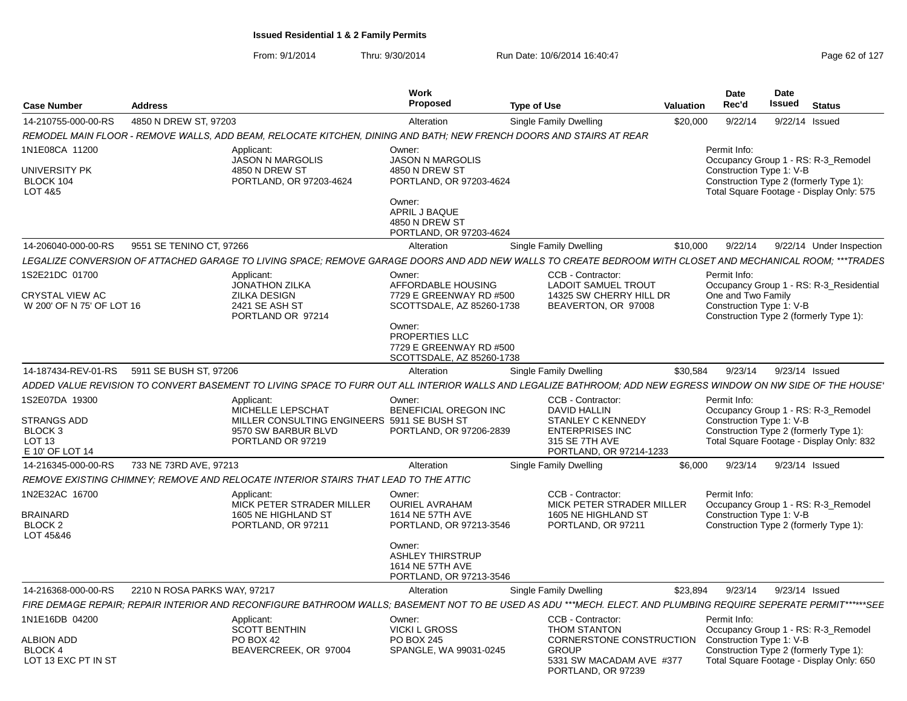|                                                                                                    |                                                                                                                                                                  | Work                                                                                                                                                                     |                                                                                                                                             |           | <b>Date</b>                                                    | <b>Date</b>   |                                                                                                                           |
|----------------------------------------------------------------------------------------------------|------------------------------------------------------------------------------------------------------------------------------------------------------------------|--------------------------------------------------------------------------------------------------------------------------------------------------------------------------|---------------------------------------------------------------------------------------------------------------------------------------------|-----------|----------------------------------------------------------------|---------------|---------------------------------------------------------------------------------------------------------------------------|
| <b>Case Number</b>                                                                                 | <b>Address</b>                                                                                                                                                   | <b>Proposed</b>                                                                                                                                                          | <b>Type of Use</b>                                                                                                                          | Valuation | Rec'd                                                          | <b>Issued</b> | <b>Status</b>                                                                                                             |
| 14-210755-000-00-RS                                                                                | 4850 N DREW ST, 97203                                                                                                                                            | Alteration                                                                                                                                                               | Single Family Dwelling                                                                                                                      | \$20,000  | 9/22/14                                                        |               | 9/22/14 Issued                                                                                                            |
|                                                                                                    | REMODEL MAIN FLOOR - REMOVE WALLS, ADD BEAM, RELOCATE KITCHEN, DINING AND BATH; NEW FRENCH DOORS AND STAIRS AT REAR                                              |                                                                                                                                                                          |                                                                                                                                             |           |                                                                |               |                                                                                                                           |
| 1N1E08CA 11200<br>UNIVERSITY PK<br>BLOCK 104<br>LOT 4&5                                            | Applicant:<br><b>JASON N MARGOLIS</b><br>4850 N DREW ST<br>PORTLAND, OR 97203-4624                                                                               | Owner:<br><b>JASON N MARGOLIS</b><br>4850 N DREW ST<br>PORTLAND, OR 97203-4624<br>Owner:<br>APRIL J BAQUE<br>4850 N DREW ST<br>PORTLAND, OR 97203-4624                   |                                                                                                                                             |           | Permit Info:<br>Construction Type 1: V-B                       |               | Occupancy Group 1 - RS: R-3 Remodel<br>Construction Type 2 (formerly Type 1):<br>Total Square Footage - Display Only: 575 |
| 14-206040-000-00-RS                                                                                | 9551 SE TENINO CT, 97266                                                                                                                                         | Alteration                                                                                                                                                               | Single Family Dwelling                                                                                                                      | \$10,000  | 9/22/14                                                        |               | 9/22/14 Under Inspection                                                                                                  |
|                                                                                                    | LEGALIZE CONVERSION OF ATTACHED GARAGE TO LIVING SPACE: REMOVE GARAGE DOORS AND ADD NEW WALLS TO CREATE BEDROOM WITH CLOSET AND MECHANICAL ROOM: ***TRADES       |                                                                                                                                                                          |                                                                                                                                             |           |                                                                |               |                                                                                                                           |
| 1S2E21DC 01700<br>CRYSTAL VIEW AC<br>W 200' OF N 75' OF LOT 16                                     | Applicant:<br><b>JONATHON ZILKA</b><br><b>ZILKA DESIGN</b><br>2421 SE ASH ST<br>PORTLAND OR 97214                                                                | Owner:<br>AFFORDABLE HOUSING<br>7729 E GREENWAY RD #500<br>SCOTTSDALE, AZ 85260-1738<br>Owner:<br>PROPERTIES LLC<br>7729 E GREENWAY RD #500<br>SCOTTSDALE, AZ 85260-1738 | CCB - Contractor:<br><b>LADOIT SAMUEL TROUT</b><br>14325 SW CHERRY HILL DR<br>BEAVERTON, OR 97008                                           |           | Permit Info:<br>One and Two Family<br>Construction Type 1: V-B |               | Occupancy Group 1 - RS: R-3_Residential<br>Construction Type 2 (formerly Type 1):                                         |
| 14-187434-REV-01-RS                                                                                | 5911 SE BUSH ST, 97206                                                                                                                                           | Alteration                                                                                                                                                               | Single Family Dwelling                                                                                                                      | \$30.584  | 9/23/14                                                        |               | 9/23/14 Issued                                                                                                            |
|                                                                                                    | ADDED VALUE REVISION TO CONVERT BASEMENT TO LIVING SPACE TO FURR OUT ALL INTERIOR WALLS AND LEGALIZE BATHROOM: ADD NEW EGRESS WINDOW ON NW SIDE OF THE HOUSE'    |                                                                                                                                                                          |                                                                                                                                             |           |                                                                |               |                                                                                                                           |
| 1S2E07DA 19300<br><b>STRANGS ADD</b><br>BLOCK <sub>3</sub><br>LOT <sub>13</sub><br>E 10' OF LOT 14 | Applicant:<br>MICHELLE LEPSCHAT<br>9570 SW BARBUR BLVD<br>PORTLAND OR 97219                                                                                      | Owner:<br>BENEFICIAL OREGON INC<br>MILLER CONSULTING ENGINEERS 5911 SE BUSH ST<br>PORTLAND, OR 97206-2839                                                                | CCB - Contractor:<br><b>DAVID HALLIN</b><br><b>STANLEY C KENNEDY</b><br><b>ENTERPRISES INC</b><br>315 SE 7TH AVE<br>PORTLAND, OR 97214-1233 |           | Permit Info:<br>Construction Type 1: V-B                       |               | Occupancy Group 1 - RS: R-3 Remodel<br>Construction Type 2 (formerly Type 1):<br>Total Square Footage - Display Only: 832 |
| 14-216345-000-00-RS                                                                                | 733 NE 73RD AVE, 97213                                                                                                                                           | Alteration                                                                                                                                                               | Single Family Dwelling                                                                                                                      | \$6,000   | 9/23/14                                                        |               | 9/23/14 Issued                                                                                                            |
|                                                                                                    | REMOVE EXISTING CHIMNEY: REMOVE AND RELOCATE INTERIOR STAIRS THAT LEAD TO THE ATTIC                                                                              |                                                                                                                                                                          |                                                                                                                                             |           |                                                                |               |                                                                                                                           |
| 1N2E32AC 16700<br>BRAINARD<br>BLOCK <sub>2</sub><br>LOT 45&46                                      | Applicant:<br>MICK PETER STRADER MILLER<br>1605 NE HIGHLAND ST<br>PORTLAND, OR 97211                                                                             | Owner:<br><b>OURIEL AVRAHAM</b><br>1614 NE 57TH AVE<br>PORTLAND, OR 97213-3546<br>Owner:<br><b>ASHLEY THIRSTRUP</b><br>1614 NE 57TH AVE<br>PORTLAND, OR 97213-3546       | CCB - Contractor:<br>MICK PETER STRADER MILLER<br>1605 NE HIGHLAND ST<br>PORTLAND, OR 97211                                                 |           | Permit Info:<br>Construction Type 1: V-B                       |               | Occupancy Group 1 - RS: R-3_Remodel<br>Construction Type 2 (formerly Type 1):                                             |
| 14-216368-000-00-RS                                                                                | 2210 N ROSA PARKS WAY, 97217                                                                                                                                     | Alteration                                                                                                                                                               | Single Family Dwelling                                                                                                                      | \$23,894  | 9/23/14                                                        |               | 9/23/14 Issued                                                                                                            |
|                                                                                                    | FIRE DEMAGE REPAIR; REPAIR INTERIOR AND RECONFIGURE BATHROOM WALLS; BASEMENT NOT TO BE USED AS ADU ***MECH. ELECT. AND PLUMBING REQUIRE SEPERATE PERMIT******SEE |                                                                                                                                                                          |                                                                                                                                             |           |                                                                |               |                                                                                                                           |
| 1N1E16DB 04200<br>ALBION ADD<br>BLOCK 4<br>LOT 13 EXC PT IN ST                                     | Applicant:<br><b>SCOTT BENTHIN</b><br>PO BOX 42<br>BEAVERCREEK, OR 97004                                                                                         | Owner:<br><b>VICKI L GROSS</b><br>PO BOX 245<br>SPANGLE, WA 99031-0245                                                                                                   | CCB - Contractor:<br><b>THOM STANTON</b><br>CORNERSTONE CONSTRUCTION<br><b>GROUP</b><br>5331 SW MACADAM AVE #377<br>PORTLAND, OR 97239      |           | Permit Info:<br>Construction Type 1: V-B                       |               | Occupancy Group 1 - RS: R-3_Remodel<br>Construction Type 2 (formerly Type 1):<br>Total Square Footage - Display Only: 650 |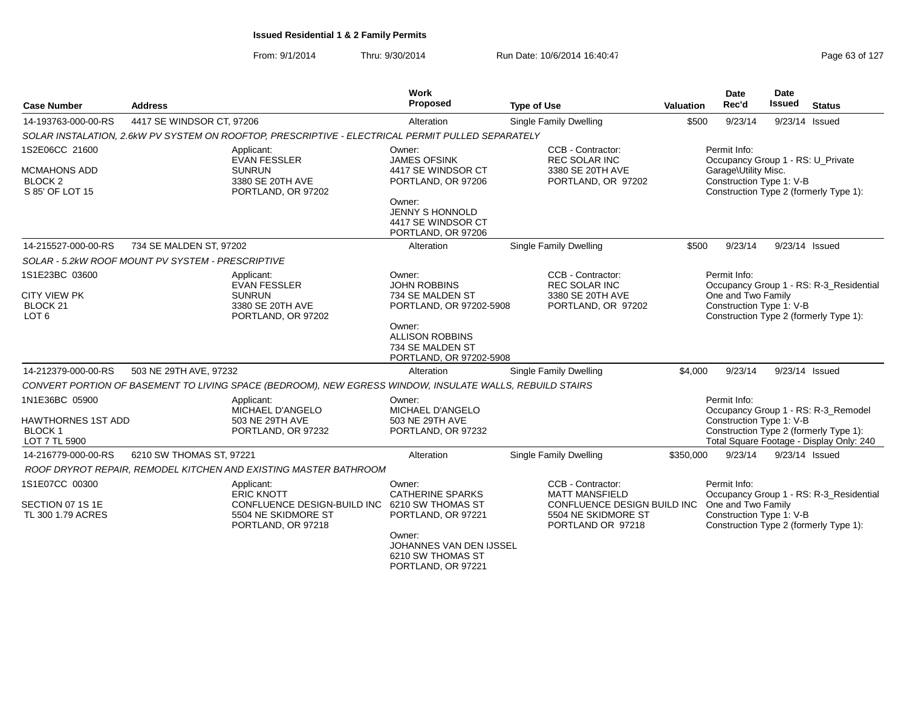|                                                                |                                                   |                                                                                                          | Work                                                                            |                                                                         |           | <b>Date</b>                                       | <b>Date</b>                            |                                                                                    |
|----------------------------------------------------------------|---------------------------------------------------|----------------------------------------------------------------------------------------------------------|---------------------------------------------------------------------------------|-------------------------------------------------------------------------|-----------|---------------------------------------------------|----------------------------------------|------------------------------------------------------------------------------------|
| <b>Case Number</b>                                             | <b>Address</b>                                    |                                                                                                          | Proposed                                                                        | <b>Type of Use</b>                                                      | Valuation | Rec'd                                             | Issued                                 | <b>Status</b>                                                                      |
| 14-193763-000-00-RS                                            | 4417 SE WINDSOR CT, 97206                         |                                                                                                          | Alteration                                                                      | <b>Single Family Dwelling</b>                                           | \$500     | 9/23/14                                           |                                        | 9/23/14 Issued                                                                     |
|                                                                |                                                   | SOLAR INSTALATION, 2.6kW PV SYSTEM ON ROOFTOP, PRESCRIPTIVE - ELECTRICAL PERMIT PULLED SEPARATELY        |                                                                                 |                                                                         |           |                                                   |                                        |                                                                                    |
| 1S2E06CC 21600                                                 |                                                   | Applicant:<br><b>EVAN FESSLER</b>                                                                        | Owner:<br><b>JAMES OFSINK</b>                                                   | CCB - Contractor:<br>REC SOLAR INC                                      |           | Permit Info:<br>Occupancy Group 1 - RS: U_Private |                                        |                                                                                    |
| <b>MCMAHONS ADD</b><br><b>BLOCK 2</b><br>S 85' OF LOT 15       |                                                   | <b>SUNRUN</b><br>3380 SE 20TH AVE<br>PORTLAND, OR 97202                                                  | 4417 SE WINDSOR CT<br>PORTLAND, OR 97206                                        | 3380 SE 20TH AVE<br>PORTLAND, OR 97202                                  |           | Garage\Utility Misc.<br>Construction Type 1: V-B  | Construction Type 2 (formerly Type 1): |                                                                                    |
|                                                                |                                                   |                                                                                                          | Owner:<br>JENNY S HONNOLD<br>4417 SE WINDSOR CT<br>PORTLAND, OR 97206           |                                                                         |           |                                                   |                                        |                                                                                    |
| 14-215527-000-00-RS                                            | 734 SE MALDEN ST, 97202                           |                                                                                                          | Alteration                                                                      | Single Family Dwelling                                                  | \$500     | 9/23/14                                           |                                        | 9/23/14 Issued                                                                     |
|                                                                | SOLAR - 5.2kW ROOF MOUNT PV SYSTEM - PRESCRIPTIVE |                                                                                                          |                                                                                 |                                                                         |           |                                                   |                                        |                                                                                    |
| 1S1E23BC 03600                                                 |                                                   | Applicant:<br><b>EVAN FESSLER</b>                                                                        | Owner:<br><b>JOHN ROBBINS</b>                                                   | CCB - Contractor:<br><b>REC SOLAR INC</b>                               |           | Permit Info:                                      |                                        | Occupancy Group 1 - RS: R-3_Residential                                            |
| <b>CITY VIEW PK</b><br>BLOCK <sub>21</sub><br>LOT <sub>6</sub> |                                                   | <b>SUNRUN</b><br>3380 SE 20TH AVE<br>PORTLAND, OR 97202                                                  | 734 SE MALDEN ST<br>PORTLAND, OR 97202-5908                                     | 3380 SE 20TH AVE<br>PORTLAND, OR 97202                                  |           | One and Two Family<br>Construction Type 1: V-B    |                                        | Construction Type 2 (formerly Type 1):                                             |
|                                                                |                                                   |                                                                                                          | Owner:<br><b>ALLISON ROBBINS</b><br>734 SE MALDEN ST<br>PORTLAND, OR 97202-5908 |                                                                         |           |                                                   |                                        |                                                                                    |
| 14-212379-000-00-RS                                            | 503 NE 29TH AVE, 97232                            |                                                                                                          | Alteration                                                                      | <b>Single Family Dwelling</b>                                           | \$4,000   | 9/23/14                                           |                                        | 9/23/14 Issued                                                                     |
|                                                                |                                                   | CONVERT PORTION OF BASEMENT TO LIVING SPACE (BEDROOM), NEW EGRESS WINDOW, INSULATE WALLS, REBUILD STAIRS |                                                                                 |                                                                         |           |                                                   |                                        |                                                                                    |
| 1N1E36BC 05900                                                 |                                                   | Applicant:<br>MICHAEL D'ANGELO                                                                           | Owner:<br>MICHAEL D'ANGELO                                                      |                                                                         |           | Permit Info:                                      |                                        | Occupancy Group 1 - RS: R-3_Remodel                                                |
| <b>HAWTHORNES 1ST ADD</b><br><b>BLOCK1</b><br>LOT 7 TL 5900    |                                                   | 503 NE 29TH AVE<br>PORTLAND, OR 97232                                                                    | 503 NE 29TH AVE<br>PORTLAND, OR 97232                                           |                                                                         |           | Construction Type 1: V-B                          |                                        | Construction Type 2 (formerly Type 1):<br>Total Square Footage - Display Only: 240 |
| 14-216779-000-00-RS                                            | 6210 SW THOMAS ST, 97221                          |                                                                                                          | Alteration                                                                      | <b>Single Family Dwelling</b>                                           | \$350,000 | 9/23/14                                           |                                        | 9/23/14 Issued                                                                     |
|                                                                |                                                   | ROOF DRYROT REPAIR, REMODEL KITCHEN AND EXISTING MASTER BATHROOM                                         |                                                                                 |                                                                         |           |                                                   |                                        |                                                                                    |
| 1S1E07CC 00300                                                 |                                                   | Applicant:<br><b>ERIC KNOTT</b>                                                                          | Owner:<br><b>CATHERINE SPARKS</b>                                               | CCB - Contractor:<br><b>MATT MANSFIELD</b>                              |           | Permit Info:                                      |                                        | Occupancy Group 1 - RS: R-3_Residential                                            |
| SECTION 07 1S 1E<br>TL 300 1.79 ACRES                          |                                                   | CONFLUENCE DESIGN-BUILD INC<br>5504 NE SKIDMORE ST<br>PORTLAND, OR 97218                                 | 6210 SW THOMAS ST<br>PORTLAND, OR 97221                                         | CONFLUENCE DESIGN BUILD INC<br>5504 NE SKIDMORE ST<br>PORTLAND OR 97218 |           | One and Two Family<br>Construction Type 1: V-B    |                                        | Construction Type 2 (formerly Type 1):                                             |
|                                                                |                                                   |                                                                                                          | Owner:<br>JOHANNES VAN DEN IJSSEL<br>6210 SW THOMAS ST<br>PORTLAND, OR 97221    |                                                                         |           |                                                   |                                        |                                                                                    |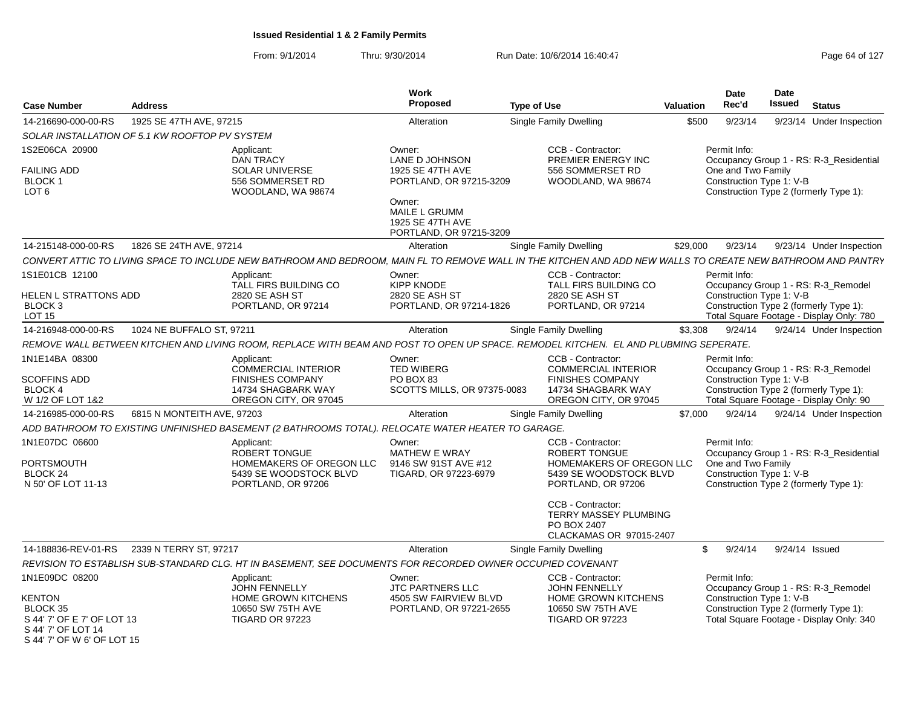| <b>Case Number</b>                                                                                                     | <b>Address</b>             |                                                                                                                                                              | Work<br>Proposed                                                                                   | <b>Type of Use</b> |                                                                                                                                                                             | <b>Valuation</b> | <b>Date</b><br>Rec'd                                           | Date<br>Issued | <b>Status</b>                                                                                                             |
|------------------------------------------------------------------------------------------------------------------------|----------------------------|--------------------------------------------------------------------------------------------------------------------------------------------------------------|----------------------------------------------------------------------------------------------------|--------------------|-----------------------------------------------------------------------------------------------------------------------------------------------------------------------------|------------------|----------------------------------------------------------------|----------------|---------------------------------------------------------------------------------------------------------------------------|
| 14-216690-000-00-RS                                                                                                    | 1925 SE 47TH AVE, 97215    |                                                                                                                                                              | Alteration                                                                                         |                    | <b>Single Family Dwelling</b>                                                                                                                                               | \$500            | 9/23/14                                                        |                | 9/23/14 Under Inspection                                                                                                  |
| SOLAR INSTALLATION OF 5.1 KW ROOFTOP PV SYSTEM                                                                         |                            |                                                                                                                                                              |                                                                                                    |                    |                                                                                                                                                                             |                  |                                                                |                |                                                                                                                           |
| 1S2E06CA 20900<br><b>FAILING ADD</b><br><b>BLOCK1</b><br>LOT <sub>6</sub>                                              |                            | Applicant:<br><b>DAN TRACY</b><br><b>SOLAR UNIVERSE</b><br>556 SOMMERSET RD<br>WOODLAND, WA 98674                                                            | Owner:<br>LANE D JOHNSON<br>1925 SE 47TH AVE<br>PORTLAND, OR 97215-3209<br>Owner:<br>MAILE L GRUMM |                    | CCB - Contractor:<br>PREMIER ENERGY INC<br>556 SOMMERSET RD<br>WOODLAND, WA 98674                                                                                           |                  | Permit Info:<br>One and Two Family<br>Construction Type 1: V-B |                | Occupancy Group 1 - RS: R-3 Residential<br>Construction Type 2 (formerly Type 1):                                         |
|                                                                                                                        |                            |                                                                                                                                                              | 1925 SE 47TH AVE<br>PORTLAND, OR 97215-3209                                                        |                    |                                                                                                                                                                             |                  |                                                                |                |                                                                                                                           |
| 14-215148-000-00-RS                                                                                                    | 1826 SE 24TH AVE, 97214    |                                                                                                                                                              | Alteration                                                                                         |                    | Single Family Dwelling                                                                                                                                                      | \$29,000         | 9/23/14                                                        |                | 9/23/14 Under Inspection                                                                                                  |
|                                                                                                                        |                            | CONVERT ATTIC TO LIVING SPACE TO INCLUDE NEW BATHROOM AND BEDROOM. MAIN FL TO REMOVE WALL IN THE KITCHEN AND ADD NEW WALLS TO CREATE NEW BATHROOM AND PANTRY |                                                                                                    |                    |                                                                                                                                                                             |                  |                                                                |                |                                                                                                                           |
| 1S1E01CB 12100                                                                                                         |                            | Applicant:<br>TALL FIRS BUILDING CO                                                                                                                          | Owner:<br><b>KIPP KNODE</b>                                                                        |                    | CCB - Contractor:<br>TALL FIRS BUILDING CO                                                                                                                                  |                  | Permit Info:                                                   |                | Occupancy Group 1 - RS: R-3_Remodel                                                                                       |
| HELEN L STRATTONS ADD<br>BLOCK <sub>3</sub><br>LOT <sub>15</sub>                                                       |                            | 2820 SE ASH ST<br>PORTLAND, OR 97214                                                                                                                         | 2820 SE ASH ST<br>PORTLAND, OR 97214-1826                                                          |                    | 2820 SE ASH ST<br>PORTLAND, OR 97214                                                                                                                                        |                  | Construction Type 1: V-B                                       |                | Construction Type 2 (formerly Type 1):<br>Total Square Footage - Display Only: 780                                        |
| 14-216948-000-00-RS                                                                                                    | 1024 NE BUFFALO ST, 97211  |                                                                                                                                                              | Alteration                                                                                         |                    | <b>Single Family Dwelling</b>                                                                                                                                               | \$3,308          | 9/24/14                                                        |                | 9/24/14 Under Inspection                                                                                                  |
|                                                                                                                        |                            | REMOVE WALL BETWEEN KITCHEN AND LIVING ROOM, REPLACE WITH BEAM AND POST TO OPEN UP SPACE. REMODEL KITCHEN. EL AND PLUBMING SEPERATE.                         |                                                                                                    |                    |                                                                                                                                                                             |                  |                                                                |                |                                                                                                                           |
| 1N1E14BA 08300<br><b>SCOFFINS ADD</b><br><b>BLOCK 4</b><br>W 1/2 OF LOT 1&2                                            |                            | Applicant:<br><b>COMMERCIAL INTERIOR</b><br><b>FINISHES COMPANY</b><br>14734 SHAGBARK WAY<br>OREGON CITY, OR 97045                                           | Owner:<br><b>TED WIBERG</b><br>PO BOX 83<br><b>SCOTTS MILLS, OR 97375-0083</b>                     |                    | CCB - Contractor:<br><b>COMMERCIAL INTERIOR</b><br><b>FINISHES COMPANY</b><br>14734 SHAGBARK WAY<br>OREGON CITY, OR 97045                                                   |                  | Permit Info:<br>Construction Type 1: V-B                       |                | Occupancy Group 1 - RS: R-3_Remodel<br>Construction Type 2 (formerly Type 1):<br>Total Square Footage - Display Only: 90  |
| 14-216985-000-00-RS                                                                                                    | 6815 N MONTEITH AVE, 97203 |                                                                                                                                                              | Alteration                                                                                         |                    | Single Family Dwelling                                                                                                                                                      | \$7,000          | 9/24/14                                                        |                | 9/24/14 Under Inspection                                                                                                  |
|                                                                                                                        |                            | ADD BATHROOM TO EXISTING UNFINISHED BASEMENT (2 BATHROOMS TOTAL). RELOCATE WATER HEATER TO GARAGE.                                                           |                                                                                                    |                    |                                                                                                                                                                             |                  |                                                                |                |                                                                                                                           |
| 1N1E07DC 06600<br>PORTSMOUTH<br>BLOCK 24<br>N 50' OF LOT 11-13                                                         |                            | Applicant:<br>ROBERT TONGUE<br>HOMEMAKERS OF OREGON LLC<br>5439 SE WOODSTOCK BLVD<br>PORTLAND, OR 97206                                                      | Owner:<br>MATHEW E WRAY<br>9146 SW 91ST AVE #12<br>TIGARD, OR 97223-6979                           |                    | CCB - Contractor:<br>ROBERT TONGUE<br>HOMEMAKERS OF OREGON LLC<br>5439 SE WOODSTOCK BLVD<br>PORTLAND, OR 97206<br>CCB - Contractor:<br>TERRY MASSEY PLUMBING<br>PO BOX 2407 |                  | Permit Info:<br>One and Two Family<br>Construction Type 1: V-B |                | Occupancy Group 1 - RS: R-3 Residential<br>Construction Type 2 (formerly Type 1):                                         |
|                                                                                                                        |                            |                                                                                                                                                              |                                                                                                    |                    | CLACKAMAS OR 97015-2407                                                                                                                                                     |                  |                                                                |                |                                                                                                                           |
| 14-188836-REV-01-RS                                                                                                    | 2339 N TERRY ST, 97217     |                                                                                                                                                              | Alteration                                                                                         |                    | Single Family Dwelling                                                                                                                                                      | \$               | 9/24/14                                                        | 9/24/14 Issued |                                                                                                                           |
|                                                                                                                        |                            | REVISION TO ESTABLISH SUB-STANDARD CLG. HT IN BASEMENT, SEE DOCUMENTS FOR RECORDED OWNER OCCUPIED COVENANT                                                   |                                                                                                    |                    |                                                                                                                                                                             |                  |                                                                |                |                                                                                                                           |
| 1N1E09DC 08200<br>KENTON<br>BLOCK 35<br>S 44' 7' OF E 7' OF LOT 13<br>S 44' 7' OF LOT 14<br>S 44' 7' OF W 6' OF LOT 15 |                            | Applicant:<br><b>JOHN FENNELLY</b><br><b>HOME GROWN KITCHENS</b><br>10650 SW 75TH AVE<br>TIGARD OR 97223                                                     | Owner:<br><b>JTC PARTNERS LLC</b><br>4505 SW FAIRVIEW BLVD<br>PORTLAND, OR 97221-2655              |                    | CCB - Contractor:<br><b>JOHN FENNELLY</b><br>HOME GROWN KITCHENS<br>10650 SW 75TH AVE<br>TIGARD OR 97223                                                                    |                  | Permit Info:<br>Construction Type 1: V-B                       |                | Occupancy Group 1 - RS: R-3_Remodel<br>Construction Type 2 (formerly Type 1):<br>Total Square Footage - Display Only: 340 |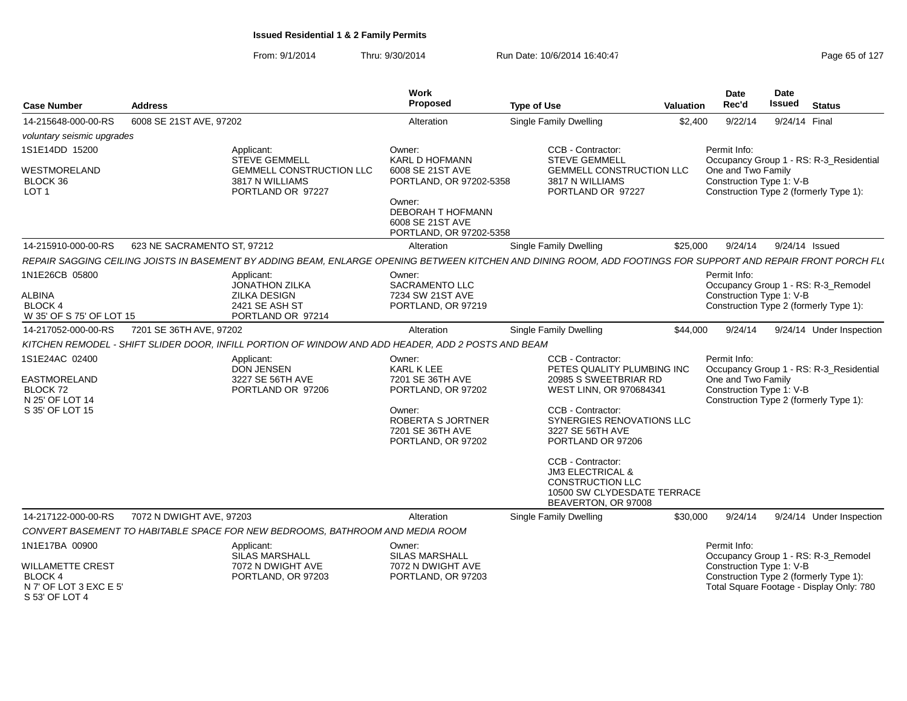| <b>Case Number</b>                                                                    | <b>Address</b>              |                                                                                                                                                                | Work<br>Proposed                                                                                                | <b>Type of Use</b>                                                                                                                                 | Valuation | Date<br>Rec'd                                                                                                  | <b>Date</b><br><b>Issued</b> | <b>Status</b>  |                          |
|---------------------------------------------------------------------------------------|-----------------------------|----------------------------------------------------------------------------------------------------------------------------------------------------------------|-----------------------------------------------------------------------------------------------------------------|----------------------------------------------------------------------------------------------------------------------------------------------------|-----------|----------------------------------------------------------------------------------------------------------------|------------------------------|----------------|--------------------------|
| 14-215648-000-00-RS                                                                   | 6008 SE 21ST AVE, 97202     |                                                                                                                                                                | Alteration                                                                                                      | Single Family Dwelling                                                                                                                             | \$2,400   | 9/22/14                                                                                                        |                              | 9/24/14 Final  |                          |
| voluntary seismic upgrades                                                            |                             |                                                                                                                                                                |                                                                                                                 |                                                                                                                                                    |           |                                                                                                                |                              |                |                          |
| 1S1E14DD 15200                                                                        |                             | Applicant:<br><b>STEVE GEMMELL</b>                                                                                                                             | Owner:<br><b>KARL D HOFMANN</b>                                                                                 | <b>CCB - Contractor:</b><br><b>STEVE GEMMELL</b>                                                                                                   |           | Permit Info:<br>Occupancy Group 1 - RS: R-3 Residential                                                        |                              |                |                          |
| WESTMORELAND<br>BLOCK 36<br>LOT <sub>1</sub>                                          |                             | <b>GEMMELL CONSTRUCTION LLC</b><br>3817 N WILLIAMS<br>PORTLAND OR 97227                                                                                        | 6008 SE 21ST AVE<br>PORTLAND, OR 97202-5358                                                                     | <b>GEMMELL CONSTRUCTION LLC</b><br>3817 N WILLIAMS<br>PORTLAND OR 97227                                                                            |           | One and Two Family<br>Construction Type 1: V-B<br>Construction Type 2 (formerly Type 1):                       |                              |                |                          |
|                                                                                       |                             |                                                                                                                                                                | Owner:<br>DEBORAH T HOFMANN<br>6008 SE 21ST AVE<br>PORTLAND, OR 97202-5358                                      |                                                                                                                                                    |           |                                                                                                                |                              |                |                          |
| 14-215910-000-00-RS                                                                   | 623 NE SACRAMENTO ST, 97212 |                                                                                                                                                                | Alteration                                                                                                      | Single Family Dwelling                                                                                                                             | \$25,000  | 9/24/14                                                                                                        |                              | 9/24/14 Issued |                          |
|                                                                                       |                             | REPAIR SAGGING CEILING JOISTS IN BASEMENT BY ADDING BEAM, ENLARGE OPENING BETWEEN KITCHEN AND DINING ROOM, ADD FOOTINGS FOR SUPPORT AND REPAIR FRONT PORCH FLI |                                                                                                                 |                                                                                                                                                    |           |                                                                                                                |                              |                |                          |
| 1N1E26CB 05800                                                                        |                             | Applicant:<br><b>JONATHON ZILKA</b>                                                                                                                            | Owner:<br>SACRAMENTO LLC                                                                                        |                                                                                                                                                    |           | Permit Info:<br>Occupancy Group 1 - RS: R-3_Remodel                                                            |                              |                |                          |
| ALBINA<br><b>BLOCK 4</b><br>W 35' OF S 75' OF LOT 15                                  |                             | <b>ZILKA DESIGN</b><br>2421 SE ASH ST<br>PORTLAND OR 97214                                                                                                     | 7234 SW 21ST AVE<br>PORTLAND, OR 97219                                                                          |                                                                                                                                                    |           | Construction Type 1: V-B<br>Construction Type 2 (formerly Type 1):                                             |                              |                |                          |
| 14-217052-000-00-RS                                                                   | 7201 SE 36TH AVE, 97202     |                                                                                                                                                                | Alteration                                                                                                      | <b>Single Family Dwelling</b>                                                                                                                      | \$44.000  | 9/24/14                                                                                                        |                              |                | 9/24/14 Under Inspection |
|                                                                                       |                             | KITCHEN REMODEL - SHIFT SLIDER DOOR, INFILL PORTION OF WINDOW AND ADD HEADER, ADD 2 POSTS AND BEAM                                                             |                                                                                                                 |                                                                                                                                                    |           |                                                                                                                |                              |                |                          |
| 1S1E24AC 02400                                                                        |                             | Applicant:<br><b>DON JENSEN</b>                                                                                                                                | Owner:<br>KARL K LEE                                                                                            | <b>CCB - Contractor:</b><br>PETES QUALITY PLUMBING INC                                                                                             |           | Permit Info:<br>Occupancy Group 1 - RS: R-3_Residential                                                        |                              |                |                          |
| EASTMORELAND<br>BLOCK 72<br>N 25' OF LOT 14<br>S 35' OF LOT 15                        |                             | 3227 SE 56TH AVE<br>PORTLAND OR 97206                                                                                                                          | 7201 SE 36TH AVE<br>PORTLAND, OR 97202<br>Owner:<br>ROBERTA S JORTNER<br>7201 SE 36TH AVE<br>PORTLAND, OR 97202 | 20985 S SWEETBRIAR RD<br>WEST LINN, OR 970684341<br>CCB - Contractor:<br><b>SYNERGIES RENOVATIONS LLC</b><br>3227 SE 56TH AVE<br>PORTLAND OR 97206 |           | One and Two Family<br>Construction Type 1: V-B<br>Construction Type 2 (formerly Type 1):                       |                              |                |                          |
|                                                                                       |                             |                                                                                                                                                                |                                                                                                                 | CCB - Contractor:<br><b>JM3 ELECTRICAL &amp;</b><br><b>CONSTRUCTION LLC</b><br>10500 SW CLYDESDATE TERRACE<br>BEAVERTON, OR 97008                  |           |                                                                                                                |                              |                |                          |
| 14-217122-000-00-RS                                                                   | 7072 N DWIGHT AVE, 97203    |                                                                                                                                                                | Alteration                                                                                                      | Single Family Dwelling                                                                                                                             | \$30,000  | 9/24/14                                                                                                        |                              |                | 9/24/14 Under Inspection |
|                                                                                       |                             | CONVERT BASEMENT TO HABITABLE SPACE FOR NEW BEDROOMS, BATHROOM AND MEDIA ROOM                                                                                  |                                                                                                                 |                                                                                                                                                    |           |                                                                                                                |                              |                |                          |
| 1N1E17BA 00900                                                                        |                             | Applicant:<br><b>SILAS MARSHALL</b>                                                                                                                            | Owner:<br><b>SILAS MARSHALL</b>                                                                                 |                                                                                                                                                    |           | Permit Info:<br>Occupancy Group 1 - RS: R-3_Remodel                                                            |                              |                |                          |
| <b>WILLAMETTE CREST</b><br><b>BLOCK 4</b><br>N 7' OF LOT 3 EXC E 5'<br>S 53' OF LOT 4 |                             | 7072 N DWIGHT AVE<br>PORTLAND, OR 97203                                                                                                                        | 7072 N DWIGHT AVE<br>PORTLAND, OR 97203                                                                         |                                                                                                                                                    |           | Construction Type 1: V-B<br>Construction Type 2 (formerly Type 1):<br>Total Square Footage - Display Only: 780 |                              |                |                          |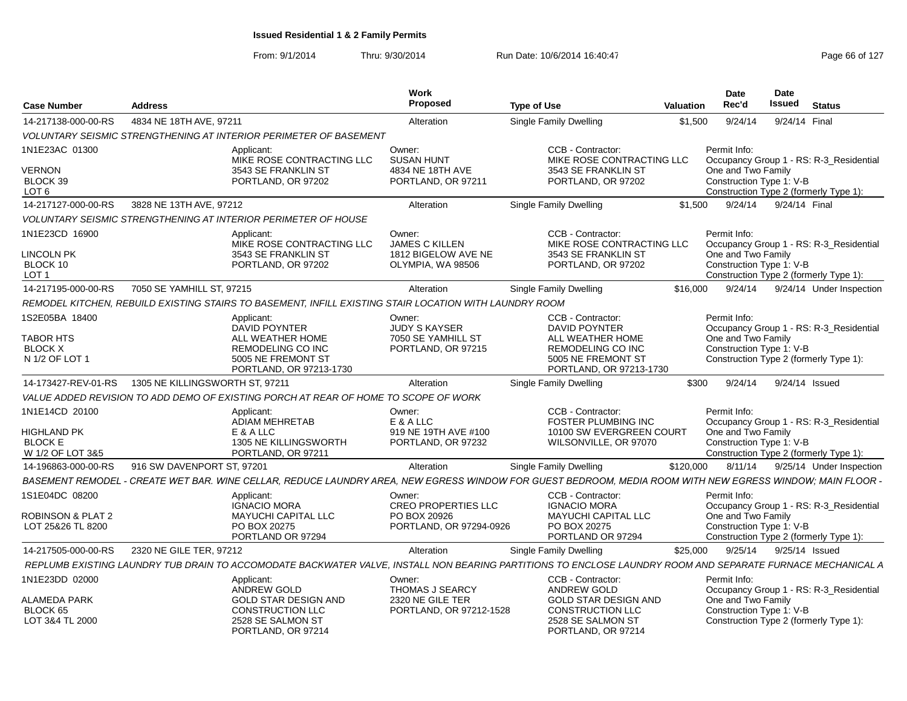| <b>Case Number</b>                                                  | Address                                                                                                                                                    | Work<br>Proposec                                                            | <b>Type of Use</b>                                                                                 | <b>Valuation</b> | <b>Date</b><br>Rec'd                                                                                     | Date<br>Issued | <b>Status</b>                           |
|---------------------------------------------------------------------|------------------------------------------------------------------------------------------------------------------------------------------------------------|-----------------------------------------------------------------------------|----------------------------------------------------------------------------------------------------|------------------|----------------------------------------------------------------------------------------------------------|----------------|-----------------------------------------|
| 14-217138-000-00-RS                                                 | 4834 NE 18TH AVE, 97211                                                                                                                                    | Alteration                                                                  | <b>Single Family Dwelling</b>                                                                      | \$1.500          | 9/24/14                                                                                                  | 9/24/14 Final  |                                         |
|                                                                     | VOLUNTARY SEISMIC STRENGTHENING AT INTERIOR PERIMETER OF BASEMENT                                                                                          |                                                                             |                                                                                                    |                  |                                                                                                          |                |                                         |
| 1N1E23AC 01300<br><b>VERNON</b><br>BLOCK 39                         | Applicant:<br>MIKE ROSE CONTRACTING LLC<br>3543 SE FRANKLIN ST<br>PORTLAND, OR 97202                                                                       | Owner:<br><b>SUSAN HUNT</b><br>4834 NE 18TH AVE<br>PORTLAND, OR 97211       | <b>CCB - Contractor:</b><br>MIKE ROSE CONTRACTING LLC<br>3543 SE FRANKLIN ST<br>PORTLAND, OR 97202 |                  | Permit Info:<br>One and Two Family<br>Construction Type 1: V-B                                           |                | Occupancy Group 1 - RS: R-3 Residential |
| LOT 6                                                               |                                                                                                                                                            |                                                                             |                                                                                                    |                  | Construction Type 2 (formerly Type 1):                                                                   |                |                                         |
| 14-217127-000-00-RS                                                 | 3828 NE 13TH AVE, 97212                                                                                                                                    | Alteration                                                                  | <b>Single Family Dwelling</b>                                                                      | \$1.500          | 9/24/14                                                                                                  | 9/24/14 Final  |                                         |
|                                                                     | <b>VOLUNTARY SEISMIC STRENGTHENING AT INTERIOR PERIMETER OF HOUSE</b>                                                                                      |                                                                             |                                                                                                    |                  |                                                                                                          |                |                                         |
| 1N1E23CD 16900<br><b>LINCOLN PK</b><br>BLOCK 10<br>LOT <sub>1</sub> | Applicant:<br>MIKE ROSE CONTRACTING LLC<br>3543 SE FRANKLIN ST<br>PORTLAND, OR 97202                                                                       | Owner:<br><b>JAMES C KILLEN</b><br>1812 BIGELOW AVE NE<br>OLYMPIA, WA 98506 | CCB - Contractor:<br>MIKE ROSE CONTRACTING LLC<br>3543 SE FRANKLIN ST<br>PORTLAND, OR 97202        |                  | Permit Info:<br>One and Two Family<br>Construction Type 1: V-B<br>Construction Type 2 (formerly Type 1): |                | Occupancy Group 1 - RS: R-3_Residential |
| 14-217195-000-00-RS                                                 | 7050 SE YAMHILL ST, 97215                                                                                                                                  | Alteration                                                                  | Single Family Dwelling                                                                             | \$16.000         |                                                                                                          |                | 9/24/14  9/24/14  Under Inspection      |
|                                                                     | REMODEL KITCHEN. REBUILD EXISTING STAIRS TO BASEMENT. INFILL EXISTING STAIR LOCATION WITH LAUNDRY ROOM                                                     |                                                                             |                                                                                                    |                  |                                                                                                          |                |                                         |
| 1S2E05BA 18400                                                      | Applicant:<br>DAVID POYNTER                                                                                                                                | Owner:<br><b>JUDY S KAYSER</b>                                              | CCB - Contractor:<br><b>DAVID POYNTER</b>                                                          |                  | Permit Info:                                                                                             |                | Occupancy Group 1 - RS: R-3 Residential |
| <b>TABOR HTS</b><br><b>BLOCK X</b><br>N 1/2 OF LOT 1                | ALL WEATHER HOME<br><b>REMODELING CO INC</b><br>5005 NE FREMONT ST<br>PORTLAND, OR 97213-1730                                                              | 7050 SE YAMHILL ST<br>PORTLAND, OR 97215                                    | ALL WEATHER HOME<br><b>REMODELING CO INC</b><br>5005 NE FREMONT ST<br>PORTLAND, OR 97213-1730      |                  | One and Two Family<br>Construction Type 1: V-B<br>Construction Type 2 (formerly Type 1):                 |                |                                         |
| 14-173427-REV-01-RS                                                 | 1305 NE KILLINGSWORTH ST. 97211                                                                                                                            | Alteration                                                                  | Single Family Dwelling                                                                             | \$300            | 9/24/14                                                                                                  | 9/24/14 Issued |                                         |
|                                                                     | VALUE ADDED REVISION TO ADD DEMO OF EXISTING PORCH AT REAR OF HOME TO SCOPE OF WORK                                                                        |                                                                             |                                                                                                    |                  |                                                                                                          |                |                                         |
| 1N1E14CD 20100                                                      | Applicant:<br>ADIAM MEHRETAB                                                                                                                               | Owner:<br>E & A LLC                                                         | CCB - Contractor:<br><b>FOSTER PLUMBING INC</b>                                                    |                  | Permit Info:                                                                                             |                | Occupancy Group 1 - RS: R-3 Residential |
| <b>HIGHLAND PK</b><br><b>BLOCK E</b><br>W 1/2 OF LOT 3&5            | E & A LLC<br>1305 NE KILLINGSWORTH<br>PORTLAND, OR 97211                                                                                                   | 919 NE 19TH AVE #100<br>PORTLAND, OR 97232                                  | 10100 SW EVERGREEN COURT<br>WILSONVILLE, OR 97070                                                  |                  | One and Two Family<br>Construction Type 1: V-B                                                           |                | Construction Type 2 (formerly Type 1):  |
| 14-196863-000-00-RS                                                 | 916 SW DAVENPORT ST. 97201                                                                                                                                 | Alteration                                                                  | Single Family Dwelling                                                                             | \$120,000        | 8/11/14                                                                                                  |                | 9/25/14 Under Inspection                |
|                                                                     | BASEMENT REMODEL - CREATE WET BAR. WINE CELLAR. REDUCE LAUNDRY AREA. NEW EGRESS WINDOW FOR GUEST BEDROOM. MEDIA ROOM WITH NEW EGRESS WINDOW: MAIN FLOOR ·  |                                                                             |                                                                                                    |                  |                                                                                                          |                |                                         |
| 1S1E04DC 08200                                                      | Applicant:<br><b>IGNACIO MORA</b>                                                                                                                          | Owner:<br><b>CREO PROPERTIES LLC</b>                                        | CCB - Contractor:<br><b>IGNACIO MORA</b>                                                           |                  | Permit Info:                                                                                             |                | Occupancy Group 1 - RS: R-3_Residential |
| ROBINSON & PLAT 2<br>LOT 25&26 TL 8200                              | <b>MAYUCHI CAPITAL LLC</b><br>PO BOX 20275<br>PORTLAND OR 97294                                                                                            | PO BOX 20926<br>PORTLAND, OR 97294-0926                                     | <b>MAYUCHI CAPITAL LLC</b><br>PO BOX 20275<br>PORTLAND OR 97294                                    |                  | One and Two Family<br>Construction Type 1: V-B<br>Construction Type 2 (formerly Type 1):                 |                |                                         |
| 14-217505-000-00-RS                                                 | 2320 NE GILE TER, 97212                                                                                                                                    | Alteration                                                                  | Single Family Dwelling                                                                             | \$25,000         | 9/25/14                                                                                                  | 9/25/14 Issued |                                         |
|                                                                     | REPLUMB EXISTING LAUNDRY TUB DRAIN TO ACCOMODATE BACKWATER VALVE, INSTALL NON BEARING PARTITIONS TO ENCLOSE LAUNDRY ROOM AND SEPARATE FURNACE MECHANICAL A |                                                                             |                                                                                                    |                  |                                                                                                          |                |                                         |
| 1N1E23DD 02000                                                      | Applicant:<br>ANDREW GOLD                                                                                                                                  | Owner:<br><b>THOMAS J SEARCY</b>                                            | CCB - Contractor:<br>ANDREW GOLD                                                                   |                  | Permit Info:                                                                                             |                | Occupancy Group 1 - RS: R-3_Residential |
| <b>ALAMEDA PARK</b><br>BLOCK 65<br>LOT 3&4 TL 2000                  | <b>GOLD STAR DESIGN AND</b><br><b>CONSTRUCTION LLC</b><br>2528 SE SALMON ST<br>PORTLAND, OR 97214                                                          | 2320 NE GILE TER<br>PORTLAND, OR 97212-1528                                 | <b>GOLD STAR DESIGN AND</b><br><b>CONSTRUCTION LLC</b><br>2528 SE SALMON ST<br>PORTLAND, OR 97214  |                  | One and Two Family<br>Construction Type 1: V-B<br>Construction Type 2 (formerly Type 1):                 |                |                                         |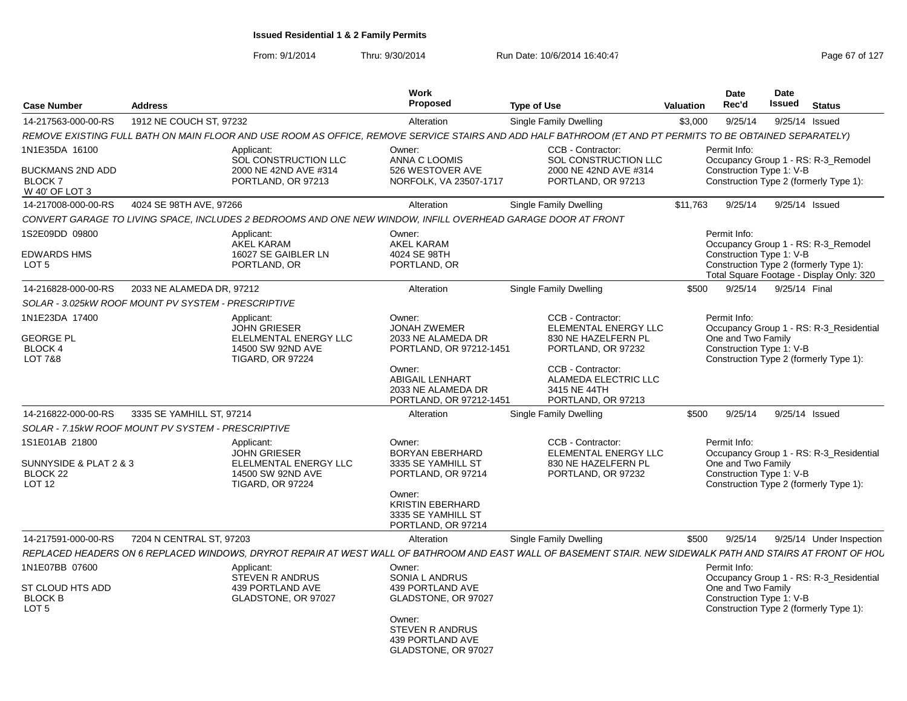From: 9/1/2014

| <b>Case Number</b>                                                               | <b>Address</b>                                                                                                                                               | Work<br><b>Proposed</b>                                                           | <b>Type of Use</b>                                                                     | <b>Date</b><br>Date<br>Issued<br>Rec'd<br><b>Valuation</b>                                               | <b>Status</b>                            |
|----------------------------------------------------------------------------------|--------------------------------------------------------------------------------------------------------------------------------------------------------------|-----------------------------------------------------------------------------------|----------------------------------------------------------------------------------------|----------------------------------------------------------------------------------------------------------|------------------------------------------|
| 14-217563-000-00-RS                                                              | 1912 NE COUCH ST, 97232                                                                                                                                      | Alteration                                                                        | Single Family Dwelling                                                                 | 9/25/14<br>\$3,000                                                                                       | 9/25/14 Issued                           |
|                                                                                  | REMOVE EXISTING FULL BATH ON MAIN FLOOR AND USE ROOM AS OFFICE, REMOVE SERVICE STAIRS AND ADD HALF BATHROOM (ET AND PT PERMITS TO BE OBTAINED SEPARATELY)    |                                                                                   |                                                                                        |                                                                                                          |                                          |
| 1N1E35DA 16100                                                                   | Applicant:<br>SOL CONSTRUCTION LLC                                                                                                                           | Owner:<br>ANNA C LOOMIS                                                           | CCB - Contractor:<br>SOL CONSTRUCTION LLC                                              | Permit Info:                                                                                             | Occupancy Group 1 - RS: R-3 Remodel      |
| <b>BUCKMANS 2ND ADD</b><br>BLOCK <sub>7</sub><br>W 40' OF LOT 3                  | 2000 NE 42ND AVE #314<br>PORTLAND, OR 97213                                                                                                                  | 526 WESTOVER AVE<br>NORFOLK, VA 23507-1717                                        | 2000 NE 42ND AVE #314<br>PORTLAND, OR 97213                                            | Construction Type 1: V-B<br>Construction Type 2 (formerly Type 1):                                       |                                          |
| 14-217008-000-00-RS                                                              | 4024 SE 98TH AVE, 97266                                                                                                                                      | Alteration                                                                        | Single Family Dwelling                                                                 | \$11.763<br>9/25/14                                                                                      | 9/25/14 Issued                           |
|                                                                                  | CONVERT GARAGE TO LIVING SPACE. INCLUDES 2 BEDROOMS AND ONE NEW WINDOW. INFILL OVERHEAD GARAGE DOOR AT FRONT                                                 |                                                                                   |                                                                                        |                                                                                                          |                                          |
| 1S2E09DD 09800                                                                   | Applicant:<br><b>AKEL KARAM</b>                                                                                                                              | Owner:<br>AKEL KARAM                                                              |                                                                                        | Permit Info:                                                                                             | Occupancy Group 1 - RS: R-3_Remodel      |
| <b>EDWARDS HMS</b><br>LOT <sub>5</sub>                                           | 16027 SE GAIBLER LN<br>PORTLAND, OR                                                                                                                          | 4024 SE 98TH<br>PORTLAND, OR                                                      |                                                                                        | Construction Type 1: V-B<br>Construction Type 2 (formerly Type 1):                                       | Total Square Footage - Display Only: 320 |
| 14-216828-000-00-RS                                                              | 2033 NE ALAMEDA DR. 97212                                                                                                                                    | Alteration                                                                        | Single Family Dwelling                                                                 | 9/25/14<br>\$500                                                                                         | 9/25/14 Final                            |
|                                                                                  | SOLAR - 3.025kW ROOF MOUNT PV SYSTEM - PRESCRIPTIVE                                                                                                          |                                                                                   |                                                                                        |                                                                                                          |                                          |
| 1N1E23DA 17400<br><b>GEORGE PL</b><br><b>BLOCK 4</b><br><b>LOT 7&amp;8</b>       | Applicant:<br><b>JOHN GRIESER</b><br>ELELMENTAL ENERGY LLC<br>14500 SW 92ND AVE<br><b>TIGARD, OR 97224</b>                                                   | Owner:<br><b>JONAH ZWEMER</b><br>2033 NE ALAMEDA DR<br>PORTLAND, OR 97212-1451    | CCB - Contractor:<br>ELEMENTAL ENERGY LLC<br>830 NE HAZELFERN PL<br>PORTLAND, OR 97232 | Permit Info:<br>One and Two Family<br>Construction Type 1: V-B<br>Construction Type 2 (formerly Type 1): | Occupancy Group 1 - RS: R-3 Residential  |
|                                                                                  |                                                                                                                                                              | Owner:<br><b>ABIGAIL LENHART</b><br>2033 NE ALAMEDA DR<br>PORTLAND, OR 97212-1451 | CCB - Contractor:<br>ALAMEDA ELECTRIC LLC<br>3415 NE 44TH<br>PORTLAND, OR 97213        |                                                                                                          |                                          |
| 14-216822-000-00-RS                                                              | 3335 SE YAMHILL ST, 97214                                                                                                                                    | Alteration                                                                        | Single Family Dwelling                                                                 | \$500<br>9/25/14                                                                                         | 9/25/14 Issued                           |
|                                                                                  | SOLAR - 7.15kW ROOF MOUNT PV SYSTEM - PRESCRIPTIVE                                                                                                           |                                                                                   |                                                                                        |                                                                                                          |                                          |
| 1S1E01AB 21800<br>SUNNYSIDE & PLAT 2 & 3<br><b>BLOCK 22</b><br>LOT <sub>12</sub> | Applicant:<br><b>JOHN GRIESER</b><br>ELELMENTAL ENERGY LLC<br>14500 SW 92ND AVE<br><b>TIGARD, OR 97224</b>                                                   | Owner:<br><b>BORYAN EBERHARD</b><br>3335 SE YAMHILL ST<br>PORTLAND, OR 97214      | CCB - Contractor:<br>ELEMENTAL ENERGY LLC<br>830 NE HAZELFERN PL<br>PORTLAND, OR 97232 | Permit Info:<br>One and Two Family<br>Construction Type 1: V-B<br>Construction Type 2 (formerly Type 1): | Occupancy Group 1 - RS: R-3 Residential  |
|                                                                                  |                                                                                                                                                              | Owner:<br><b>KRISTIN EBERHARD</b><br>3335 SE YAMHILL ST<br>PORTLAND, OR 97214     |                                                                                        |                                                                                                          |                                          |
| 14-217591-000-00-RS                                                              | 7204 N CENTRAL ST, 97203                                                                                                                                     | Alteration                                                                        | Single Family Dwelling                                                                 | 9/25/14<br>\$500                                                                                         | 9/25/14 Under Inspection                 |
|                                                                                  | REPLACED HEADERS ON 6 REPLACED WINDOWS, DRYROT REPAIR AT WEST WALL OF BATHROOM AND EAST WALL OF BASEMENT STAIR. NEW SIDEWALK PATH AND STAIRS AT FRONT OF HOL |                                                                                   |                                                                                        |                                                                                                          |                                          |
| 1N1E07BB 07600                                                                   | Applicant:<br><b>STEVEN R ANDRUS</b>                                                                                                                         | Owner:<br>SONIA L ANDRUS                                                          |                                                                                        | Permit Info:                                                                                             | Occupancy Group 1 - RS: R-3 Residential  |
| ST CLOUD HTS ADD<br><b>BLOCK B</b><br>LOT <sub>5</sub>                           | 439 PORTLAND AVE<br>GLADSTONE, OR 97027                                                                                                                      | 439 PORTLAND AVE<br>GLADSTONE, OR 97027<br>Owner:                                 |                                                                                        | One and Two Family<br>Construction Type 1: V-B<br>Construction Type 2 (formerly Type 1):                 |                                          |
|                                                                                  |                                                                                                                                                              | <b>STEVEN R ANDRUS</b><br>439 PORTLAND AVE<br>GLADSTONE, OR 97027                 |                                                                                        |                                                                                                          |                                          |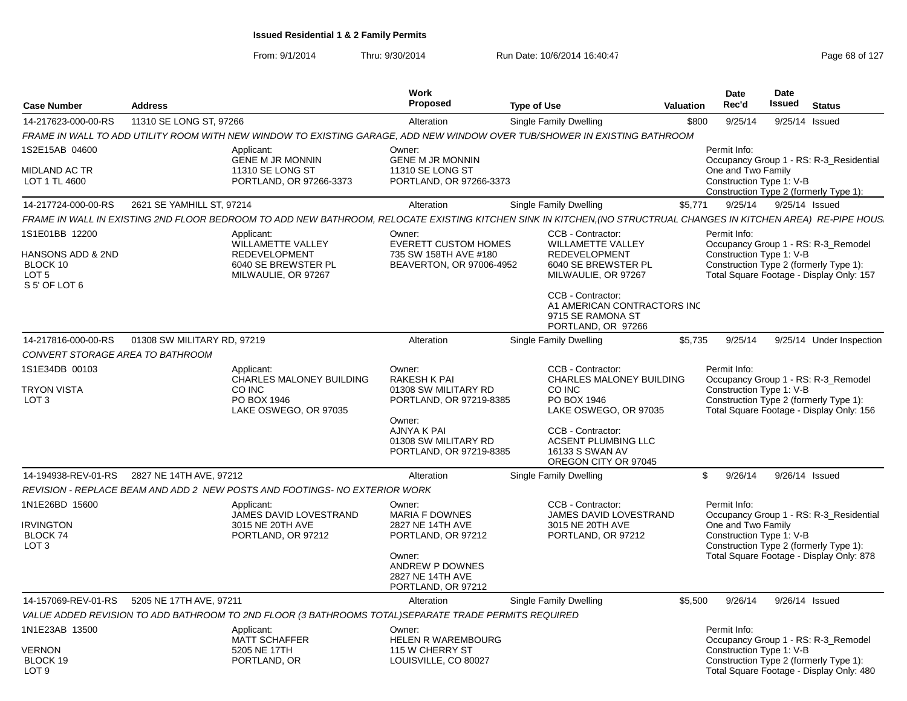|                                                             |                             |                                                                                                                                                                  | <b>Work</b>                                                                                |                                                                                              |           | <b>Date</b>                                                    | Date   |                                                                                    |
|-------------------------------------------------------------|-----------------------------|------------------------------------------------------------------------------------------------------------------------------------------------------------------|--------------------------------------------------------------------------------------------|----------------------------------------------------------------------------------------------|-----------|----------------------------------------------------------------|--------|------------------------------------------------------------------------------------|
| <b>Case Number</b>                                          | <b>Address</b>              |                                                                                                                                                                  | <b>Proposed</b>                                                                            | <b>Type of Use</b>                                                                           | Valuation | Rec'd                                                          | Issued | <b>Status</b>                                                                      |
| 14-217623-000-00-RS                                         | 11310 SE LONG ST, 97266     |                                                                                                                                                                  | Alteration                                                                                 | Single Family Dwelling                                                                       | \$800     | 9/25/14                                                        |        | 9/25/14 Issued                                                                     |
|                                                             |                             | FRAME IN WALL TO ADD UTILITY ROOM WITH NEW WINDOW TO EXISTING GARAGE, ADD NEW WINDOW OVER TUB/SHOWER IN EXISTING BATHROOM                                        |                                                                                            |                                                                                              |           |                                                                |        |                                                                                    |
| 1S2E15AB 04600<br><b>MIDLAND AC TR</b><br>LOT 1 TL 4600     |                             | Applicant:<br><b>GENE M JR MONNIN</b><br>11310 SE LONG ST<br>PORTLAND, OR 97266-3373                                                                             | Owner:<br><b>GENE M JR MONNIN</b><br>11310 SE LONG ST<br>PORTLAND, OR 97266-3373           |                                                                                              |           | Permit Info:<br>One and Two Family<br>Construction Type 1: V-B |        | Occupancy Group 1 - RS: R-3 Residential<br>Construction Type 2 (formerly Type 1):  |
| 14-217724-000-00-RS                                         | 2621 SE YAMHILL ST, 97214   |                                                                                                                                                                  | Alteration                                                                                 | Single Family Dwelling                                                                       | \$5,771   | 9/25/14                                                        |        | 9/25/14 Issued                                                                     |
|                                                             |                             | FRAME IN WALL IN EXISTING 2ND FLOOR BEDROOM TO ADD NEW BATHROOM, RELOCATE EXISTING KITCHEN SINK IN KITCHEN, (NO STRUCTRUAL CHANGES IN KITCHEN AREA) RE-PIPE HOUS |                                                                                            |                                                                                              |           |                                                                |        |                                                                                    |
| 1S1E01BB 12200<br>HANSONS ADD & 2ND<br>BLOCK 10             |                             | Applicant:<br>WILLAMETTE VALLEY<br><b>REDEVELOPMENT</b><br>6040 SE BREWSTER PL                                                                                   | Owner:<br><b>EVERETT CUSTOM HOMES</b><br>735 SW 158TH AVE #180<br>BEAVERTON, OR 97006-4952 | CCB - Contractor:<br><b>WILLAMETTE VALLEY</b><br><b>REDEVELOPMENT</b><br>6040 SE BREWSTER PL |           | Permit Info:<br>Construction Type 1: V-B                       |        | Occupancy Group 1 - RS: R-3_Remodel<br>Construction Type 2 (formerly Type 1):      |
| LOT <sub>5</sub><br>S 5' OF LOT 6                           |                             | MILWAULIE, OR 97267                                                                                                                                              |                                                                                            | MILWAULIE, OR 97267                                                                          |           |                                                                |        | Total Square Footage - Display Only: 157                                           |
|                                                             |                             |                                                                                                                                                                  |                                                                                            | CCB - Contractor:<br>A1 AMERICAN CONTRACTORS INC<br>9715 SE RAMONA ST<br>PORTLAND, OR 97266  |           |                                                                |        |                                                                                    |
| 14-217816-000-00-RS<br>CONVERT STORAGE AREA TO BATHROOM     | 01308 SW MILITARY RD, 97219 |                                                                                                                                                                  | Alteration                                                                                 | <b>Single Family Dwelling</b>                                                                | \$5,735   | 9/25/14                                                        |        | 9/25/14 Under Inspection                                                           |
| 1S1E34DB 00103                                              |                             | Applicant:<br><b>CHARLES MALONEY BUILDING</b>                                                                                                                    | Owner:<br><b>RAKESH K PAI</b>                                                              | CCB - Contractor:<br><b>CHARLES MALONEY BUILDING</b>                                         |           | Permit Info:                                                   |        | Occupancy Group 1 - RS: R-3_Remodel                                                |
| <b>TRYON VISTA</b><br>LOT <sub>3</sub>                      |                             | CO INC<br>PO BOX 1946<br>LAKE OSWEGO, OR 97035                                                                                                                   | 01308 SW MILITARY RD<br>PORTLAND, OR 97219-8385                                            | CO INC<br>PO BOX 1946<br>LAKE OSWEGO, OR 97035                                               |           | Construction Type 1: V-B                                       |        | Construction Type 2 (formerly Type 1):<br>Total Square Footage - Display Only: 156 |
|                                                             |                             |                                                                                                                                                                  | Owner:<br>AJNYA K PAI<br>01308 SW MILITARY RD<br>PORTLAND, OR 97219-8385                   | CCB - Contractor:<br><b>ACSENT PLUMBING LLC</b><br>16133 S SWAN AV<br>OREGON CITY OR 97045   |           |                                                                |        |                                                                                    |
| 14-194938-REV-01-RS                                         | 2827 NE 14TH AVE, 97212     |                                                                                                                                                                  | Alteration                                                                                 | <b>Single Family Dwelling</b>                                                                |           | \$<br>9/26/14                                                  |        | 9/26/14 Issued                                                                     |
|                                                             |                             | REVISION - REPLACE BEAM AND ADD 2 NEW POSTS AND FOOTINGS- NO EXTERIOR WORK                                                                                       |                                                                                            |                                                                                              |           |                                                                |        |                                                                                    |
| 1N1E26BD 15600                                              |                             | Applicant:<br>JAMES DAVID LOVESTRAND                                                                                                                             | Owner:<br><b>MARIA F DOWNES</b>                                                            | CCB - Contractor:<br>JAMES DAVID LOVESTRAND                                                  |           | Permit Info:                                                   |        | Occupancy Group 1 - RS: R-3 Residential                                            |
| <b>IRVINGTON</b><br>BLOCK <sub>74</sub><br>LOT <sub>3</sub> |                             | 3015 NE 20TH AVE<br>PORTLAND, OR 97212                                                                                                                           | 2827 NE 14TH AVE<br>PORTLAND, OR 97212                                                     | 3015 NE 20TH AVE<br>PORTLAND, OR 97212                                                       |           | One and Two Family<br>Construction Type 1: V-B                 |        | Construction Type 2 (formerly Type 1):                                             |
|                                                             |                             |                                                                                                                                                                  | Owner:<br>ANDREW P DOWNES<br>2827 NE 14TH AVE<br>PORTLAND, OR 97212                        |                                                                                              |           |                                                                |        | Total Square Footage - Display Only: 878                                           |
| 14-157069-REV-01-RS                                         | 5205 NE 17TH AVE, 97211     |                                                                                                                                                                  | Alteration                                                                                 | Single Family Dwelling                                                                       | \$5.500   | 9/26/14                                                        |        | 9/26/14 Issued                                                                     |
|                                                             |                             | VALUE ADDED REVISION TO ADD BATHROOM TO 2ND FLOOR (3 BATHROOMS TOTAL)SEPARATE TRADE PERMITS REQUIRED                                                             |                                                                                            |                                                                                              |           |                                                                |        |                                                                                    |
| 1N1E23AB 13500                                              |                             | Applicant:<br><b>MATT SCHAFFER</b>                                                                                                                               | Owner:<br><b>HELEN R WAREMBOURG</b>                                                        |                                                                                              |           | Permit Info:                                                   |        | Occupancy Group 1 - RS: R-3_Remodel                                                |
| <b>VERNON</b><br>BLOCK 19<br>LOT <sub>9</sub>               |                             | 5205 NE 17TH<br>PORTLAND, OR                                                                                                                                     | 115 W CHERRY ST<br>LOUISVILLE, CO 80027                                                    |                                                                                              |           | Construction Type 1: V-B                                       |        | Construction Type 2 (formerly Type 1):<br>Total Square Footage - Display Only: 480 |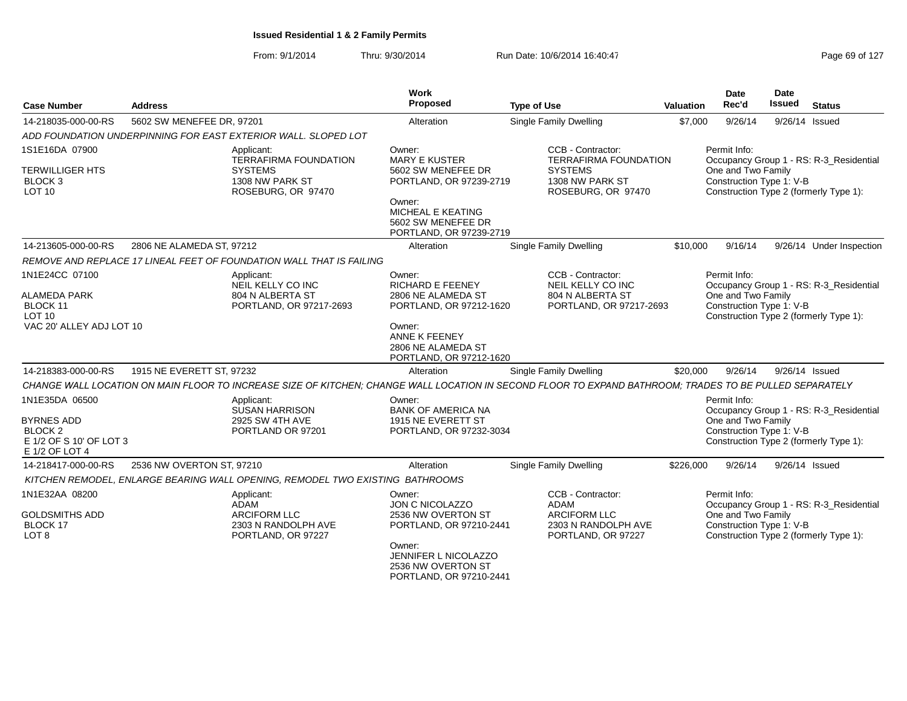From: 9/1/2014Thru: 9/30/2014 Run Date: 10/6/2014 16:40:47

| Page 69 of 127 |  |  |  |
|----------------|--|--|--|
|----------------|--|--|--|

| <b>Case Number</b>                                        | <b>Address</b>                              |                                                                               | Work<br>Proposed                                                                | <b>Type of Use</b>                                                                                                                                      | Valuation                                      | Date<br>Rec'd                                  | Date<br><b>Issued</b> | <b>Status</b>                           |
|-----------------------------------------------------------|---------------------------------------------|-------------------------------------------------------------------------------|---------------------------------------------------------------------------------|---------------------------------------------------------------------------------------------------------------------------------------------------------|------------------------------------------------|------------------------------------------------|-----------------------|-----------------------------------------|
| 14-218035-000-00-RS                                       | 5602 SW MENEFEE DR, 97201                   |                                                                               | Alteration                                                                      | Single Family Dwelling                                                                                                                                  | \$7,000                                        | 9/26/14                                        |                       | 9/26/14 Issued                          |
|                                                           |                                             | ADD FOUNDATION UNDERPINNING FOR EAST EXTERIOR WALL. SLOPED LOT                |                                                                                 |                                                                                                                                                         |                                                |                                                |                       |                                         |
| 1S1E16DA 07900                                            |                                             | Applicant:<br><b>TERRAFIRMA FOUNDATION</b>                                    | Owner:<br><b>MARY E KUSTER</b>                                                  | CCB - Contractor:<br><b>TERRAFIRMA FOUNDATION</b>                                                                                                       |                                                | Permit Info:                                   |                       | Occupancy Group 1 - RS: R-3_Residential |
| <b>TERWILLIGER HTS</b><br><b>BLOCK 3</b><br><b>LOT 10</b> |                                             | <b>SYSTEMS</b><br>1308 NW PARK ST<br>ROSEBURG, OR 97470                       | 5602 SW MENEFEE DR<br>PORTLAND, OR 97239-2719                                   | <b>SYSTEMS</b><br>1308 NW PARK ST<br>ROSEBURG, OR 97470                                                                                                 |                                                | One and Two Family<br>Construction Type 1: V-B |                       | Construction Type 2 (formerly Type 1):  |
|                                                           |                                             |                                                                               | Owner:<br>MICHEAL E KEATING<br>5602 SW MENEFEE DR<br>PORTLAND, OR 97239-2719    |                                                                                                                                                         |                                                |                                                |                       |                                         |
| 14-213605-000-00-RS                                       | 2806 NE ALAMEDA ST, 97212                   |                                                                               | Alteration                                                                      | Single Family Dwelling                                                                                                                                  | \$10,000                                       | 9/16/14                                        |                       | 9/26/14 Under Inspection                |
|                                                           |                                             | REMOVE AND REPLACE 17 LINEAL FEET OF FOUNDATION WALL THAT IS FAILING          |                                                                                 |                                                                                                                                                         |                                                |                                                |                       |                                         |
| 1N1E24CC 07100                                            |                                             | Applicant:<br>NEIL KELLY CO INC                                               | Owner:<br><b>RICHARD E FEENEY</b>                                               | CCB - Contractor:<br>NEIL KELLY CO INC<br>804 N ALBERTA ST                                                                                              |                                                | Permit Info:                                   |                       | Occupancy Group 1 - RS: R-3_Residential |
| <b>ALAMEDA PARK</b><br>BLOCK 11<br>LOT <sub>10</sub>      | 804 N ALBERTA ST<br>PORTLAND, OR 97217-2693 |                                                                               | 2806 NE ALAMEDA ST<br>PORTLAND, OR 97212-1620                                   | PORTLAND, OR 97217-2693                                                                                                                                 | One and Two Family<br>Construction Type 1: V-B |                                                |                       |                                         |
| VAC 20' ALLEY ADJ LOT 10                                  |                                             |                                                                               | Owner:<br>ANNE K FEENEY<br>2806 NE ALAMEDA ST<br>PORTLAND, OR 97212-1620        |                                                                                                                                                         |                                                |                                                |                       | Construction Type 2 (formerly Type 1):  |
| 14-218383-000-00-RS                                       | 1915 NE EVERETT ST, 97232                   |                                                                               | Alteration                                                                      | Single Family Dwelling                                                                                                                                  | \$20,000                                       | 9/26/14                                        |                       | 9/26/14 Issued                          |
|                                                           |                                             |                                                                               |                                                                                 | CHANGE WALL LOCATION ON MAIN FLOOR TO INCREASE SIZE OF KITCHEN; CHANGE WALL LOCATION IN SECOND FLOOR TO EXPAND BATHROOM; TRADES TO BE PULLED SEPARATELY |                                                |                                                |                       |                                         |
| 1N1E35DA 06500                                            |                                             | Applicant:<br><b>SUSAN HARRISON</b>                                           | Owner:<br><b>BANK OF AMERICA NA</b>                                             |                                                                                                                                                         |                                                | Permit Info:                                   |                       | Occupancy Group 1 - RS: R-3_Residential |
| <b>BYRNES ADD</b><br>BLOCK <sub>2</sub>                   |                                             | 2925 SW 4TH AVE<br>PORTLAND OR 97201                                          | 1915 NE EVERETT ST<br>PORTLAND, OR 97232-3034                                   |                                                                                                                                                         |                                                | One and Two Family<br>Construction Type 1: V-B |                       |                                         |
| E 1/2 OF S 10' OF LOT 3<br>E 1/2 OF LOT 4                 |                                             |                                                                               |                                                                                 |                                                                                                                                                         |                                                |                                                |                       | Construction Type 2 (formerly Type 1):  |
| 14-218417-000-00-RS                                       | 2536 NW OVERTON ST, 97210                   |                                                                               | Alteration                                                                      | Single Family Dwelling                                                                                                                                  | \$226,000                                      | 9/26/14                                        |                       | 9/26/14 Issued                          |
|                                                           |                                             | KITCHEN REMODEL, ENLARGE BEARING WALL OPENING, REMODEL TWO EXISTING BATHROOMS |                                                                                 |                                                                                                                                                         |                                                |                                                |                       |                                         |
| 1N1E32AA 08200                                            |                                             | Applicant:<br><b>ADAM</b>                                                     | Owner:<br>JON C NICOLAZZO                                                       | CCB - Contractor:<br>ADAM                                                                                                                               |                                                | Permit Info:                                   |                       | Occupancy Group 1 - RS: R-3_Residential |
| <b>GOLDSMITHS ADD</b><br>BLOCK 17<br>LOT <sub>8</sub>     |                                             | <b>ARCIFORM LLC</b><br>2303 N RANDOLPH AVE<br>PORTLAND, OR 97227              | 2536 NW OVERTON ST<br>PORTLAND, OR 97210-2441                                   | <b>ARCIFORM LLC</b><br>2303 N RANDOLPH AVE<br>PORTLAND, OR 97227                                                                                        |                                                | One and Two Family<br>Construction Type 1: V-B |                       | Construction Type 2 (formerly Type 1):  |
|                                                           |                                             |                                                                               | Owner:<br>JENNIFER L NICOLAZZO<br>2536 NW OVERTON ST<br>PORTLAND, OR 97210-2441 |                                                                                                                                                         |                                                |                                                |                       |                                         |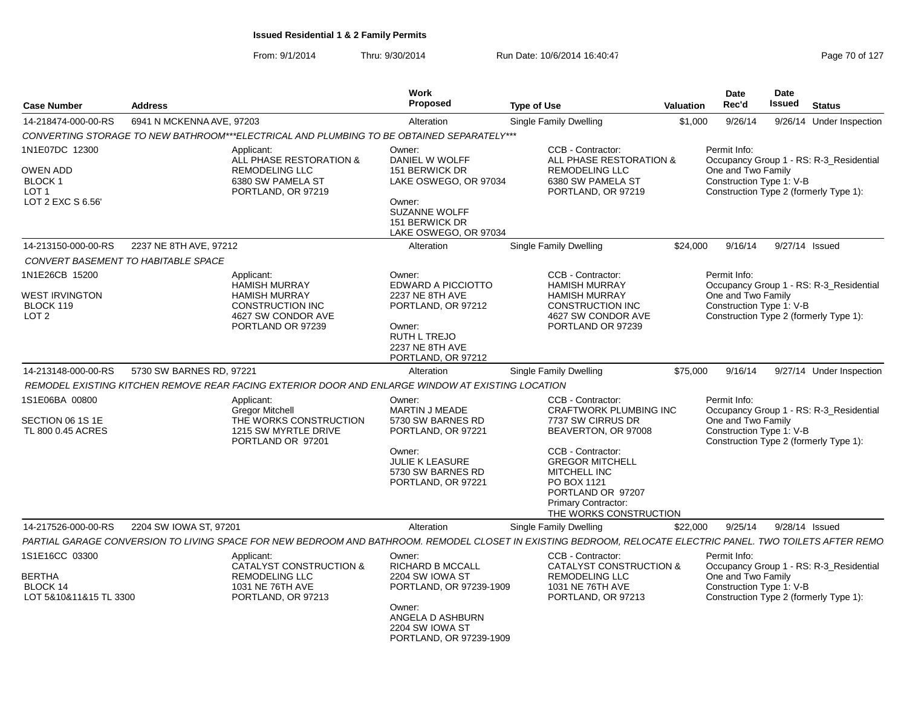| <b>Case Number</b>                                                               | <b>Address</b>                      |                                                                                                                                  | Work<br>Proposed                                                                                                                                              | <b>Type of Use</b>                                                                                                                                                                                                                          | Valuation | Date<br>Rec'd                                                                                            | Date<br><b>Issued</b> | <b>Status</b>                           |
|----------------------------------------------------------------------------------|-------------------------------------|----------------------------------------------------------------------------------------------------------------------------------|---------------------------------------------------------------------------------------------------------------------------------------------------------------|---------------------------------------------------------------------------------------------------------------------------------------------------------------------------------------------------------------------------------------------|-----------|----------------------------------------------------------------------------------------------------------|-----------------------|-----------------------------------------|
| 14-218474-000-00-RS                                                              | 6941 N MCKENNA AVE, 97203           |                                                                                                                                  | Alteration                                                                                                                                                    | <b>Single Family Dwelling</b>                                                                                                                                                                                                               | \$1,000   | 9/26/14                                                                                                  |                       | 9/26/14 Under Inspection                |
|                                                                                  |                                     | CONVERTING STORAGE TO NEW BATHROOM***ELECTRICAL AND PLUMBING TO BE OBTAINED SEPARATELY***                                        |                                                                                                                                                               |                                                                                                                                                                                                                                             |           |                                                                                                          |                       |                                         |
| 1N1E07DC 12300<br><b>OWEN ADD</b><br><b>BLOCK1</b><br>LOT 1<br>LOT 2 EXC S 6.56' |                                     | Applicant:<br>ALL PHASE RESTORATION &<br><b>REMODELING LLC</b><br>6380 SW PAMELA ST<br>PORTLAND, OR 97219                        | Owner:<br>DANIEL W WOLFF<br>151 BERWICK DR<br>LAKE OSWEGO, OR 97034<br>Owner:<br><b>SUZANNE WOLFF</b><br>151 BERWICK DR<br>LAKE OSWEGO, OR 97034              | CCB - Contractor:<br>ALL PHASE RESTORATION &<br><b>REMODELING LLC</b><br>6380 SW PAMELA ST<br>PORTLAND, OR 97219                                                                                                                            |           | Permit Info:<br>One and Two Family<br>Construction Type 1: V-B<br>Construction Type 2 (formerly Type 1): |                       | Occupancy Group 1 - RS: R-3_Residential |
| 14-213150-000-00-RS                                                              | 2237 NE 8TH AVE, 97212              |                                                                                                                                  | Alteration                                                                                                                                                    | <b>Single Family Dwelling</b>                                                                                                                                                                                                               | \$24,000  | 9/16/14                                                                                                  | 9/27/14 Issued        |                                         |
|                                                                                  | CONVERT BASEMENT TO HABITABLE SPACE |                                                                                                                                  |                                                                                                                                                               |                                                                                                                                                                                                                                             |           |                                                                                                          |                       |                                         |
| 1N1E26CB 15200<br><b>WEST IRVINGTON</b><br>BLOCK 119<br>LOT <sub>2</sub>         |                                     | Applicant:<br><b>HAMISH MURRAY</b><br><b>HAMISH MURRAY</b><br><b>CONSTRUCTION INC</b><br>4627 SW CONDOR AVE<br>PORTLAND OR 97239 | Owner:<br>EDWARD A PICCIOTTO<br><b>2237 NE 8TH AVE</b><br>PORTLAND, OR 97212<br>Owner:<br><b>RUTH L TREJO</b><br><b>2237 NE 8TH AVE</b><br>PORTLAND, OR 97212 | CCB - Contractor:<br><b>HAMISH MURRAY</b><br><b>HAMISH MURRAY</b><br><b>CONSTRUCTION INC</b><br>4627 SW CONDOR AVE<br>PORTLAND OR 97239                                                                                                     |           | Permit Info:<br>One and Two Family<br>Construction Type 1: V-B<br>Construction Type 2 (formerly Type 1): |                       | Occupancy Group 1 - RS: R-3_Residential |
| 14-213148-000-00-RS                                                              | 5730 SW BARNES RD, 97221            |                                                                                                                                  | Alteration                                                                                                                                                    | <b>Single Family Dwelling</b>                                                                                                                                                                                                               | \$75,000  | 9/16/14                                                                                                  |                       | 9/27/14 Under Inspection                |
|                                                                                  |                                     | REMODEL EXISTING KITCHEN REMOVE REAR FACING EXTERIOR DOOR AND ENLARGE WINDOW AT EXISTING LOCATION                                |                                                                                                                                                               |                                                                                                                                                                                                                                             |           |                                                                                                          |                       |                                         |
| 1S1E06BA 00800                                                                   |                                     | Applicant:                                                                                                                       | Owner:                                                                                                                                                        | CCB - Contractor:                                                                                                                                                                                                                           |           | Permit Info:                                                                                             |                       |                                         |
| SECTION 06 1S 1E<br>TL 800 0.45 ACRES                                            |                                     | <b>Gregor Mitchell</b><br>THE WORKS CONSTRUCTION<br>1215 SW MYRTLE DRIVE<br>PORTLAND OR 97201                                    | <b>MARTIN J MEADE</b><br>5730 SW BARNES RD<br>PORTLAND, OR 97221<br>Owner:<br><b>JULIE K LEASURE</b><br>5730 SW BARNES RD<br>PORTLAND, OR 97221               | <b>CRAFTWORK PLUMBING INC</b><br>7737 SW CIRRUS DR<br>BEAVERTON, OR 97008<br>CCB - Contractor:<br><b>GREGOR MITCHELL</b><br><b>MITCHELL INC</b><br>PO BOX 1121<br>PORTLAND OR 97207<br><b>Primary Contractor:</b><br>THE WORKS CONSTRUCTION |           | One and Two Family<br>Construction Type 1: V-B<br>Construction Type 2 (formerly Type 1):                 |                       | Occupancy Group 1 - RS: R-3_Residential |
| 14-217526-000-00-RS                                                              | 2204 SW IOWA ST, 97201              |                                                                                                                                  | Alteration                                                                                                                                                    | Single Family Dwelling                                                                                                                                                                                                                      | \$22,000  | 9/25/14                                                                                                  | 9/28/14 Issued        |                                         |
|                                                                                  |                                     |                                                                                                                                  |                                                                                                                                                               | PARTIAL GARAGE CONVERSION TO LIVING SPACE FOR NEW BEDROOM AND BATHROOM. REMODEL CLOSET IN EXISTING BEDROOM, RELOCATE ELECTRIC PANEL. TWO TOILETS AFTER REMO                                                                                 |           |                                                                                                          |                       |                                         |
| 1S1E16CC 03300<br><b>BERTHA</b><br>BLOCK 14<br>LOT 5&10&11&15 TL 3300            |                                     | Applicant:<br>CATALYST CONSTRUCTION &<br><b>REMODELING LLC</b><br>1031 NE 76TH AVE<br>PORTLAND, OR 97213                         | Owner:<br>RICHARD B MCCALL<br>2204 SW IOWA ST<br>PORTLAND, OR 97239-1909<br>Owner:                                                                            | CCB - Contractor:<br>CATALYST CONSTRUCTION &<br><b>REMODELING LLC</b><br>1031 NE 76TH AVE<br>PORTLAND, OR 97213                                                                                                                             |           | Permit Info:<br>One and Two Family<br>Construction Type 1: V-B<br>Construction Type 2 (formerly Type 1): |                       | Occupancy Group 1 - RS: R-3_Residential |
|                                                                                  |                                     |                                                                                                                                  | ANGELA D ASHBURN<br>2204 SW IOWA ST<br>PORTLAND, OR 97239-1909                                                                                                |                                                                                                                                                                                                                                             |           |                                                                                                          |                       |                                         |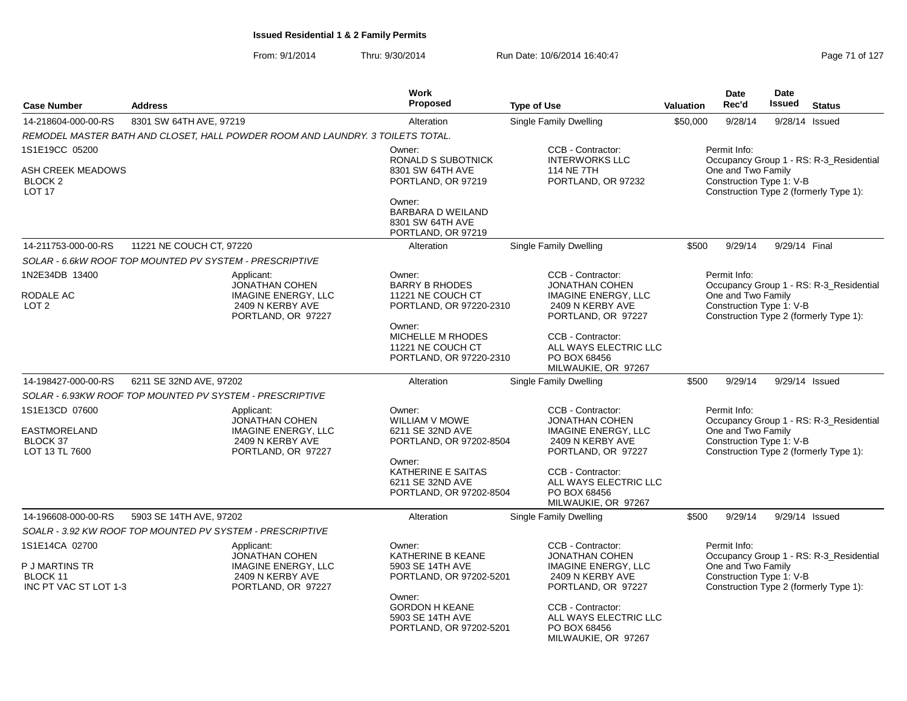|                                                                            |                                                                                                             |                                                                                                             | Work                                                                                                                                                         |                                                                                                                                                                                                         |                                                                                                                                                     | Date                                                           | Date                                                                                                          |                                                                                   |  |
|----------------------------------------------------------------------------|-------------------------------------------------------------------------------------------------------------|-------------------------------------------------------------------------------------------------------------|--------------------------------------------------------------------------------------------------------------------------------------------------------------|---------------------------------------------------------------------------------------------------------------------------------------------------------------------------------------------------------|-----------------------------------------------------------------------------------------------------------------------------------------------------|----------------------------------------------------------------|---------------------------------------------------------------------------------------------------------------|-----------------------------------------------------------------------------------|--|
| <b>Case Number</b>                                                         | <b>Address</b>                                                                                              |                                                                                                             | Proposed                                                                                                                                                     | <b>Type of Use</b>                                                                                                                                                                                      | <b>Valuation</b>                                                                                                                                    | Rec'd                                                          | <b>Issued</b>                                                                                                 | <b>Status</b>                                                                     |  |
| 14-218604-000-00-RS                                                        | 8301 SW 64TH AVE, 97219                                                                                     |                                                                                                             | Alteration                                                                                                                                                   | Single Family Dwelling                                                                                                                                                                                  | \$50,000                                                                                                                                            | 9/28/14                                                        | 9/28/14                                                                                                       | Issued                                                                            |  |
|                                                                            |                                                                                                             | REMODEL MASTER BATH AND CLOSET, HALL POWDER ROOM AND LAUNDRY. 3 TOILETS TOTAL.                              |                                                                                                                                                              |                                                                                                                                                                                                         |                                                                                                                                                     |                                                                |                                                                                                               |                                                                                   |  |
| 1S1E19CC 05200<br>ASH CREEK MEADOWS<br>BLOCK <sub>2</sub><br><b>LOT 17</b> |                                                                                                             |                                                                                                             | Owner:<br>RONALD S SUBOTNICK<br>8301 SW 64TH AVE<br>PORTLAND, OR 97219<br>Owner:                                                                             | CCB - Contractor:<br><b>INTERWORKS LLC</b><br><b>114 NE 7TH</b><br>PORTLAND, OR 97232                                                                                                                   | Permit Info:<br>Occupancy Group 1 - RS: R-3_Residential<br>One and Two Family<br>Construction Type 1: V-B<br>Construction Type 2 (formerly Type 1): |                                                                |                                                                                                               |                                                                                   |  |
|                                                                            |                                                                                                             |                                                                                                             | <b>BARBARA D WEILAND</b><br>8301 SW 64TH AVE<br>PORTLAND, OR 97219                                                                                           |                                                                                                                                                                                                         |                                                                                                                                                     |                                                                |                                                                                                               |                                                                                   |  |
| 14-211753-000-00-RS                                                        | 11221 NE COUCH CT, 97220                                                                                    |                                                                                                             | Alteration                                                                                                                                                   | <b>Single Family Dwelling</b>                                                                                                                                                                           | \$500                                                                                                                                               | 9/29/14                                                        | 9/29/14 Final                                                                                                 |                                                                                   |  |
|                                                                            | SOLAR - 6.6kW ROOF TOP MOUNTED PV SYSTEM - PRESCRIPTIVE                                                     |                                                                                                             |                                                                                                                                                              |                                                                                                                                                                                                         |                                                                                                                                                     |                                                                |                                                                                                               |                                                                                   |  |
| 1N2E34DB 13400<br>RODALE AC<br>LOT <sub>2</sub>                            | Applicant:<br><b>JONATHAN COHEN</b><br><b>IMAGINE ENERGY, LLC</b><br>2409 N KERBY AVE<br>PORTLAND, OR 97227 |                                                                                                             | Owner:<br><b>BARRY B RHODES</b><br>11221 NE COUCH CT<br>PORTLAND, OR 97220-2310<br>Owner:                                                                    | CCB - Contractor:<br><b>JONATHAN COHEN</b><br><b>IMAGINE ENERGY, LLC</b><br>2409 N KERBY AVE<br>PORTLAND, OR 97227                                                                                      |                                                                                                                                                     | Permit Info:<br>One and Two Family                             | Occupancy Group 1 - RS: R-3_Residential<br>Construction Type 1: V-B<br>Construction Type 2 (formerly Type 1): |                                                                                   |  |
|                                                                            |                                                                                                             |                                                                                                             | <b>MICHELLE M RHODES</b><br>11221 NE COUCH CT<br>PORTLAND, OR 97220-2310                                                                                     | CCB - Contractor:<br>ALL WAYS ELECTRIC LLC<br>PO BOX 68456<br>MILWAUKIE, OR 97267                                                                                                                       |                                                                                                                                                     |                                                                |                                                                                                               |                                                                                   |  |
| 14-198427-000-00-RS                                                        | 6211 SE 32ND AVE, 97202                                                                                     |                                                                                                             | Alteration                                                                                                                                                   | Single Family Dwelling                                                                                                                                                                                  | \$500                                                                                                                                               | 9/29/14                                                        |                                                                                                               | 9/29/14 Issued                                                                    |  |
|                                                                            | SOLAR - 6.93KW ROOF TOP MOUNTED PV SYSTEM - PRESCRIPTIVE                                                    |                                                                                                             |                                                                                                                                                              |                                                                                                                                                                                                         |                                                                                                                                                     |                                                                |                                                                                                               |                                                                                   |  |
| 1S1E13CD 07600<br>EASTMORELAND<br>BLOCK 37<br>LOT 13 TL 7600               |                                                                                                             | Applicant:<br><b>JONATHAN COHEN</b><br><b>IMAGINE ENERGY, LLC</b><br>2409 N KERBY AVE<br>PORTLAND, OR 97227 | Owner:<br>WILLIAM V MOWE<br>6211 SE 32ND AVE<br>PORTLAND, OR 97202-8504<br>Owner:<br>KATHERINE E SAITAS<br>6211 SE 32ND AVE<br>PORTLAND, OR 97202-8504       | CCB - Contractor:<br><b>JONATHAN COHEN</b><br><b>IMAGINE ENERGY, LLC</b><br>2409 N KERBY AVE<br>PORTLAND, OR 97227<br>CCB - Contractor:<br>ALL WAYS ELECTRIC LLC<br>PO BOX 68456<br>MILWAUKIE, OR 97267 |                                                                                                                                                     | Permit Info:<br>One and Two Family<br>Construction Type 1: V-B |                                                                                                               | Occupancy Group 1 - RS: R-3_Residential<br>Construction Type 2 (formerly Type 1): |  |
| 14-196608-000-00-RS                                                        | 5903 SE 14TH AVE, 97202                                                                                     |                                                                                                             | Alteration                                                                                                                                                   | Single Family Dwelling                                                                                                                                                                                  | \$500                                                                                                                                               | 9/29/14                                                        |                                                                                                               | 9/29/14 Issued                                                                    |  |
|                                                                            | SOALR - 3.92 KW ROOF TOP MOUNTED PV SYSTEM - PRESCRIPTIVE                                                   |                                                                                                             |                                                                                                                                                              |                                                                                                                                                                                                         |                                                                                                                                                     |                                                                |                                                                                                               |                                                                                   |  |
| 1S1E14CA 02700<br>P J MARTINS TR<br>BLOCK 11<br>INC PT VAC ST LOT 1-3      |                                                                                                             | Applicant:<br><b>JONATHAN COHEN</b><br><b>IMAGINE ENERGY, LLC</b><br>2409 N KERBY AVE<br>PORTLAND, OR 97227 | Owner:<br>KATHERINE B KEANE<br>5903 SE 14TH AVE<br>PORTLAND, OR 97202-5201<br>Owner:<br><b>GORDON H KEANE</b><br>5903 SE 14TH AVE<br>PORTLAND, OR 97202-5201 | CCB - Contractor:<br><b>JONATHAN COHEN</b><br><b>IMAGINE ENERGY, LLC</b><br>2409 N KERBY AVE<br>PORTLAND, OR 97227<br>CCB - Contractor:<br>ALL WAYS ELECTRIC LLC<br>PO BOX 68456<br>MILWAUKIE, OR 97267 |                                                                                                                                                     | Permit Info:<br>One and Two Family<br>Construction Type 1: V-B |                                                                                                               | Occupancy Group 1 - RS: R-3_Residential<br>Construction Type 2 (formerly Type 1): |  |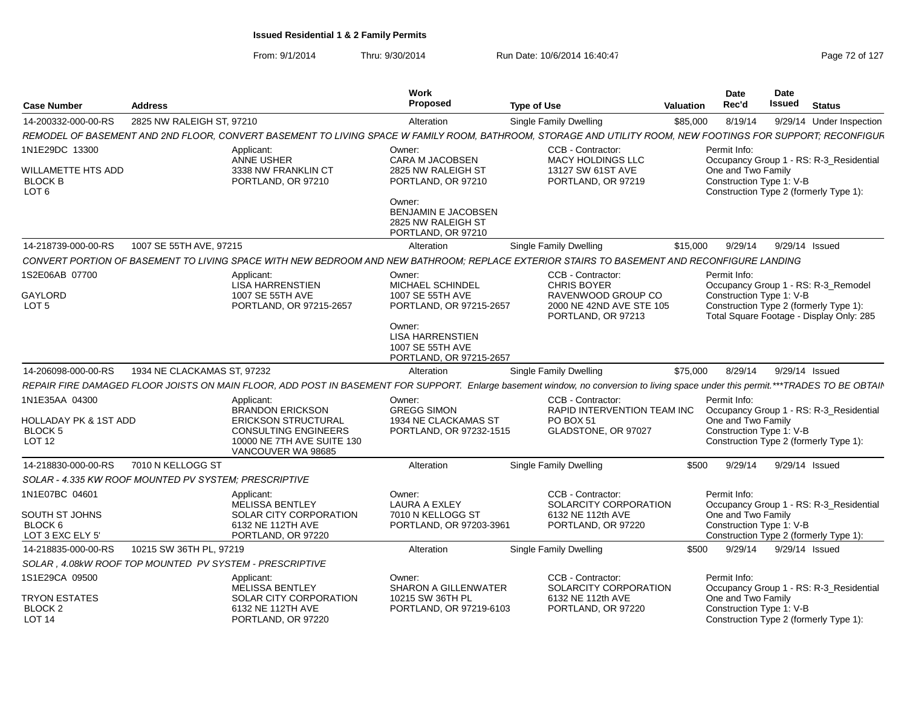| <b>Case Number</b>                                       | <b>Address</b>                                          |                                                                | Work<br>Proposed                                                                 | Type of Use                                                                                                                                                                       | <b>Valuation</b> | Date<br>Rec'd                                  | <b>Date</b><br><b>Issued</b><br><b>Status</b>                                      |
|----------------------------------------------------------|---------------------------------------------------------|----------------------------------------------------------------|----------------------------------------------------------------------------------|-----------------------------------------------------------------------------------------------------------------------------------------------------------------------------------|------------------|------------------------------------------------|------------------------------------------------------------------------------------|
| 14-200332-000-00-RS                                      | 2825 NW RALEIGH ST, 97210                               |                                                                | Alteration                                                                       | Single Family Dwelling                                                                                                                                                            | \$85,000         | 8/19/14                                        | 9/29/14 Under Inspection                                                           |
|                                                          |                                                         |                                                                |                                                                                  | REMODEL OF BASEMENT AND 2ND FLOOR, CONVERT BASEMENT TO LIVING SPACE W FAMILY ROOM, BATHROOM, STORAGE AND UTILITY ROOM, NEW FOOTINGS FOR SUPPORT; RECONFIGUF                       |                  |                                                |                                                                                    |
| 1N1E29DC 13300                                           |                                                         | Applicant:                                                     | Owner:                                                                           | CCB - Contractor:                                                                                                                                                                 |                  | Permit Info:                                   |                                                                                    |
| WILLAMETTE HTS ADD<br><b>BLOCK B</b><br>LOT <sub>6</sub> |                                                         | <b>ANNE USHER</b><br>3338 NW FRANKLIN CT<br>PORTLAND, OR 97210 | <b>CARA M JACOBSEN</b><br>2825 NW RALEIGH ST<br>PORTLAND, OR 97210               | <b>MACY HOLDINGS LLC</b><br>13127 SW 61ST AVE<br>PORTLAND, OR 97219                                                                                                               |                  | One and Two Family<br>Construction Type 1: V-B | Occupancy Group 1 - RS: R-3_Residential<br>Construction Type 2 (formerly Type 1):  |
|                                                          |                                                         |                                                                | Owner:<br>BENJAMIN E JACOBSEN<br>2825 NW RALEIGH ST<br>PORTLAND, OR 97210        |                                                                                                                                                                                   |                  |                                                |                                                                                    |
| 14-218739-000-00-RS                                      | 1007 SE 55TH AVE, 97215                                 |                                                                | Alteration                                                                       | Single Family Dwelling                                                                                                                                                            | \$15,000         | 9/29/14                                        | 9/29/14 Issued                                                                     |
|                                                          |                                                         |                                                                |                                                                                  | CONVERT PORTION OF BASEMENT TO LIVING SPACE WITH NEW BEDROOM AND NEW BATHROOM; REPLACE EXTERIOR STAIRS TO BASEMENT AND RECONFIGURE LANDING                                        |                  |                                                |                                                                                    |
| 1S2E06AB 07700                                           |                                                         | Applicant:<br><b>LISA HARRENSTIEN</b>                          | Owner:<br>MICHAEL SCHINDEL                                                       | CCB - Contractor:<br><b>CHRIS BOYER</b>                                                                                                                                           |                  | Permit Info:                                   | Occupancy Group 1 - RS: R-3_Remodel                                                |
| GAYLORD<br>LOT <sub>5</sub>                              |                                                         | 1007 SE 55TH AVE<br>PORTLAND, OR 97215-2657                    | 1007 SE 55TH AVE<br>PORTLAND, OR 97215-2657                                      | RAVENWOOD GROUP CO<br>2000 NE 42ND AVE STE 105<br>PORTLAND, OR 97213                                                                                                              |                  | Construction Type 1: V-B                       | Construction Type 2 (formerly Type 1):<br>Total Square Footage - Display Only: 285 |
|                                                          |                                                         |                                                                | Owner:<br><b>LISA HARRENSTIEN</b><br>1007 SE 55TH AVE<br>PORTLAND, OR 97215-2657 |                                                                                                                                                                                   |                  |                                                |                                                                                    |
| 14-206098-000-00-RS                                      | 1934 NE CLACKAMAS ST, 97232                             |                                                                | Alteration                                                                       | Single Family Dwelling                                                                                                                                                            | \$75,000         | 8/29/14                                        | 9/29/14 Issued                                                                     |
|                                                          |                                                         |                                                                |                                                                                  | REPAIR FIRE DAMAGED FLOOR JOISTS ON MAIN FLOOR, ADD POST IN BASEMENT FOR SUPPORT. Enlarge basement window, no conversion to living space under this permit.***TRADES TO BE OBTAII |                  |                                                |                                                                                    |
| 1N1E35AA 04300                                           |                                                         | Applicant:                                                     | Owner:                                                                           | CCB - Contractor:                                                                                                                                                                 |                  | Permit Info:                                   |                                                                                    |
| HOLLADAY PK & 1ST ADD                                    |                                                         | <b>BRANDON ERICKSON</b><br><b>ERICKSON STRUCTURAL</b>          | <b>GREGG SIMON</b><br>1934 NE CLACKAMAS ST                                       | RAPID INTERVENTION TEAM INC<br><b>PO BOX 51</b>                                                                                                                                   |                  | One and Two Family                             | Occupancy Group 1 - RS: R-3_Residential                                            |
| <b>BLOCK 5</b>                                           |                                                         | <b>CONSULTING ENGINEERS</b>                                    | PORTLAND, OR 97232-1515                                                          | GLADSTONE, OR 97027                                                                                                                                                               |                  | Construction Type 1: V-B                       |                                                                                    |
| <b>LOT 12</b>                                            |                                                         | 10000 NE 7TH AVE SUITE 130<br>VANCOUVER WA 98685               |                                                                                  |                                                                                                                                                                                   |                  |                                                | Construction Type 2 (formerly Type 1):                                             |
| 14-218830-000-00-RS                                      | 7010 N KELLOGG ST                                       |                                                                | Alteration                                                                       | <b>Single Family Dwelling</b>                                                                                                                                                     | \$500            | 9/29/14                                        | 9/29/14 Issued                                                                     |
|                                                          | SOLAR - 4.335 KW ROOF MOUNTED PV SYSTEM; PRESCRIPTIVE   |                                                                |                                                                                  |                                                                                                                                                                                   |                  |                                                |                                                                                    |
| 1N1E07BC 04601                                           |                                                         | Applicant:<br>MELISSA BENTLEY                                  | Owner:<br><b>LAURA A EXLEY</b>                                                   | CCB - Contractor:<br>SOLARCITY CORPORATION                                                                                                                                        |                  | Permit Info:                                   | Occupancy Group 1 - RS: R-3_Residential                                            |
| SOUTH ST JOHNS                                           |                                                         | <b>SOLAR CITY CORPORATION</b>                                  | 7010 N KELLOGG ST                                                                | 6132 NE 112th AVE                                                                                                                                                                 |                  | One and Two Family                             |                                                                                    |
| BLOCK 6<br>LOT 3 EXC ELY 5'                              |                                                         | 6132 NE 112TH AVE<br>PORTLAND, OR 97220                        | PORTLAND, OR 97203-3961                                                          | PORTLAND, OR 97220                                                                                                                                                                |                  | Construction Type 1: V-B                       | Construction Type 2 (formerly Type 1):                                             |
| 14-218835-000-00-RS                                      | 10215 SW 36TH PL, 97219                                 |                                                                | Alteration                                                                       | Single Family Dwelling                                                                                                                                                            | \$500            | 9/29/14                                        | 9/29/14 Issued                                                                     |
|                                                          | SOLAR, 4.08kW ROOF TOP MOUNTED PV SYSTEM - PRESCRIPTIVE |                                                                |                                                                                  |                                                                                                                                                                                   |                  |                                                |                                                                                    |
| 1S1E29CA 09500                                           |                                                         | Applicant:<br><b>MELISSA BENTLEY</b>                           | Owner:<br>SHARON A GILLENWATER                                                   | CCB - Contractor:<br>SOLARCITY CORPORATION                                                                                                                                        |                  | Permit Info:                                   | Occupancy Group 1 - RS: R-3_Residential                                            |
| <b>TRYON ESTATES</b>                                     |                                                         | SOLAR CITY CORPORATION                                         | 10215 SW 36TH PL                                                                 | 6132 NE 112th AVE                                                                                                                                                                 |                  | One and Two Family                             |                                                                                    |
| BLOCK <sub>2</sub><br><b>LOT 14</b>                      |                                                         | 6132 NE 112TH AVE<br>PORTLAND, OR 97220                        | PORTLAND, OR 97219-6103                                                          | PORTLAND, OR 97220                                                                                                                                                                |                  | Construction Type 1: V-B                       | Construction Type 2 (formerly Type 1):                                             |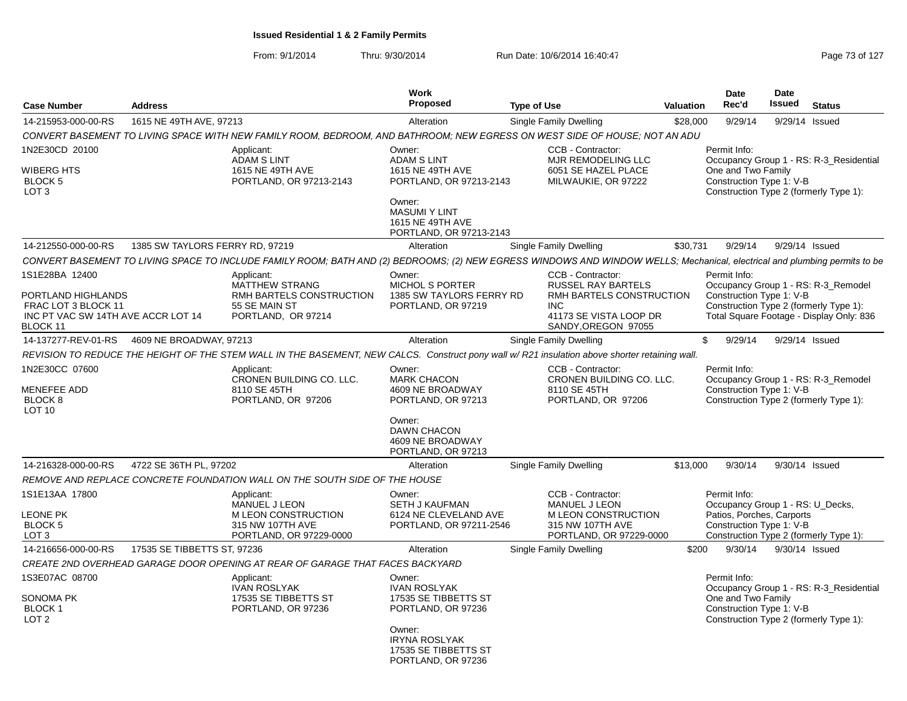| 14-215953-000-00-RS<br>1615 NE 49TH AVE, 97213<br>Single Family Dwelling<br>9/29/14<br>9/29/14 Issued<br>Alteration<br>\$28,000<br>CONVERT BASEMENT TO LIVING SPACE WITH NEW FAMILY ROOM, BEDROOM, AND BATHROOM; NEW EGRESS ON WEST SIDE OF HOUSE; NOT AN ADU<br>1N2E30CD 20100<br>CCB - Contractor:<br>Applicant:<br>Owner:<br>Permit Info:<br><b>ADAM S LINT</b><br><b>ADAM S LINT</b><br>MJR REMODELING LLC<br>Occupancy Group 1 - RS: R-3 Residential<br>One and Two Family<br>WIBERG HTS<br>1615 NE 49TH AVE<br>1615 NE 49TH AVE<br>6051 SE HAZEL PLACE<br>Construction Type 1: V-B<br><b>BLOCK 5</b><br>PORTLAND, OR 97213-2143<br>PORTLAND, OR 97213-2143<br>MILWAUKIE, OR 97222<br>LOT <sub>3</sub><br>Construction Type 2 (formerly Type 1):<br>Owner:<br><b>MASUMI Y LINT</b><br>1615 NE 49TH AVE<br>PORTLAND, OR 97213-2143<br>9/29/14 Issued<br>14-212550-000-00-RS<br>1385 SW TAYLORS FERRY RD, 97219<br>Single Family Dwelling<br>\$30.731<br>9/29/14<br>Alteration<br>CONVERT BASEMENT TO LIVING SPACE TO INCLUDE FAMILY ROOM; BATH AND (2) BEDROOMS; (2) NEW EGRESS WINDOWS AND WINDOW WELLS; Mechanical, electrical and plumbing permits to be<br>1S1E28BA 12400<br>Owner:<br>CCB - Contractor:<br>Permit Info:<br>Applicant:<br><b>MICHOL S PORTER</b><br>Occupancy Group 1 - RS: R-3_Remodel<br><b>MATTHEW STRANG</b><br><b>RUSSEL RAY BARTELS</b><br>Construction Type 1: V-B<br>PORTLAND HIGHLANDS<br>RMH BARTELS CONSTRUCTION<br>1385 SW TAYLORS FERRY RD<br>RMH BARTELS CONSTRUCTION<br>Construction Type 2 (formerly Type 1):<br>FRAC LOT 3 BLOCK 11<br>55 SE MAIN ST<br>PORTLAND, OR 97219<br>INC.<br>Total Square Footage - Display Only: 836<br>INC PT VAC SW 14TH AVE ACCR LOT 14<br>41173 SE VISTA LOOP DR<br>PORTLAND, OR 97214<br>SANDY, OREGON 97055<br>BLOCK 11<br>14-137277-REV-01-RS<br>4609 NE BROADWAY, 97213<br>Alteration<br>Single Family Dwelling<br>\$<br>9/29/14<br>9/29/14 Issued<br>REVISION TO REDUCE THE HEIGHT OF THE STEM WALL IN THE BASEMENT, NEW CALCS. Construct pony wall w/R21 insulation above shorter retaining wall.<br>1N2E30CC 07600<br>Owner:<br>CCB - Contractor:<br>Permit Info:<br>Applicant:<br>CRONEN BUILDING CO. LLC.<br>CRONEN BUILDING CO. LLC.<br><b>MARK CHACON</b><br>Occupancy Group 1 - RS: R-3 Remodel<br>MENEFEE ADD<br>Construction Type 1: V-B<br>8110 SE 45TH<br>4609 NE BROADWAY<br>8110 SE 45TH<br>Construction Type 2 (formerly Type 1):<br>BLOCK <sub>8</sub><br>PORTLAND, OR 97206<br>PORTLAND, OR 97213<br>PORTLAND, OR 97206<br><b>LOT 10</b><br>Owner:<br>DAWN CHACON<br>4609 NE BROADWAY<br>PORTLAND, OR 97213<br>14-216328-000-00-RS<br>4722 SE 36TH PL, 97202<br>Single Family Dwelling<br>\$13,000<br>9/30/14<br>9/30/14 Issued<br>Alteration<br>REMOVE AND REPLACE CONCRETE FOUNDATION WALL ON THE SOUTH SIDE OF THE HOUSE<br>1S1E13AA 17800<br>CCB - Contractor:<br>Permit Info:<br>Applicant:<br>Owner:<br><b>MANUEL J LEON</b><br>Occupancy Group 1 - RS: U Decks,<br><b>MANUEL J LEON</b><br><b>SETH J KAUFMAN</b><br>Patios, Porches, Carports<br><b>LEONE PK</b><br>M LEON CONSTRUCTION<br>6124 NE CLEVELAND AVE<br>M LEON CONSTRUCTION<br>315 NW 107TH AVE<br>Construction Type 1: V-B<br>BLOCK 5<br>315 NW 107TH AVE<br>PORTLAND, OR 97211-2546<br>LOT <sub>3</sub><br>PORTLAND, OR 97229-0000<br>PORTLAND, OR 97229-0000<br>Construction Type 2 (formerly Type 1):<br>17535 SE TIBBETTS ST, 97236<br>\$200<br>9/30/14<br>9/30/14 Issued<br>14-216656-000-00-RS<br>Alteration<br>Single Family Dwelling<br>CREATE 2ND OVERHEAD GARAGE DOOR OPENING AT REAR OF GARAGE THAT FACES BACKYARD<br>1S3E07AC 08700<br>Applicant:<br>Owner:<br>Permit Info:<br><b>IVAN ROSLYAK</b><br><b>IVAN ROSLYAK</b><br>Occupancy Group 1 - RS: R-3_Residential<br>SONOMA PK<br>17535 SE TIBBETTS ST<br>17535 SE TIBBETTS ST<br>One and Two Family<br>Construction Type 1: V-B<br><b>BLOCK1</b><br>PORTLAND, OR 97236<br>PORTLAND, OR 97236<br>LOT <sub>2</sub><br>Construction Type 2 (formerly Type 1): | <b>Case Number</b> | <b>Address</b> | Work<br><b>Proposed</b> | <b>Valuation</b> | Date<br>Rec'd | <b>Date</b><br><b>Issued</b> | <b>Status</b> |  |
|--------------------------------------------------------------------------------------------------------------------------------------------------------------------------------------------------------------------------------------------------------------------------------------------------------------------------------------------------------------------------------------------------------------------------------------------------------------------------------------------------------------------------------------------------------------------------------------------------------------------------------------------------------------------------------------------------------------------------------------------------------------------------------------------------------------------------------------------------------------------------------------------------------------------------------------------------------------------------------------------------------------------------------------------------------------------------------------------------------------------------------------------------------------------------------------------------------------------------------------------------------------------------------------------------------------------------------------------------------------------------------------------------------------------------------------------------------------------------------------------------------------------------------------------------------------------------------------------------------------------------------------------------------------------------------------------------------------------------------------------------------------------------------------------------------------------------------------------------------------------------------------------------------------------------------------------------------------------------------------------------------------------------------------------------------------------------------------------------------------------------------------------------------------------------------------------------------------------------------------------------------------------------------------------------------------------------------------------------------------------------------------------------------------------------------------------------------------------------------------------------------------------------------------------------------------------------------------------------------------------------------------------------------------------------------------------------------------------------------------------------------------------------------------------------------------------------------------------------------------------------------------------------------------------------------------------------------------------------------------------------------------------------------------------------------------------------------------------------------------------------------------------------------------------------------------------------------------------------------------------------------------------------------------------------------------------------------------------------------------------------------------------------------------------------------------------------------------------------------------------------------------------------------------------------------------------------------------------------------------------------------------------------------------------------------------------------------------------------------------------------------------------------------------------------------------------------------------------------------------------------------------------------------------------------------------------------------------------------------------------|--------------------|----------------|-------------------------|------------------|---------------|------------------------------|---------------|--|
|                                                                                                                                                                                                                                                                                                                                                                                                                                                                                                                                                                                                                                                                                                                                                                                                                                                                                                                                                                                                                                                                                                                                                                                                                                                                                                                                                                                                                                                                                                                                                                                                                                                                                                                                                                                                                                                                                                                                                                                                                                                                                                                                                                                                                                                                                                                                                                                                                                                                                                                                                                                                                                                                                                                                                                                                                                                                                                                                                                                                                                                                                                                                                                                                                                                                                                                                                                                                                                                                                                                                                                                                                                                                                                                                                                                                                                                                                                                                                                                            |                    |                |                         |                  |               |                              |               |  |
|                                                                                                                                                                                                                                                                                                                                                                                                                                                                                                                                                                                                                                                                                                                                                                                                                                                                                                                                                                                                                                                                                                                                                                                                                                                                                                                                                                                                                                                                                                                                                                                                                                                                                                                                                                                                                                                                                                                                                                                                                                                                                                                                                                                                                                                                                                                                                                                                                                                                                                                                                                                                                                                                                                                                                                                                                                                                                                                                                                                                                                                                                                                                                                                                                                                                                                                                                                                                                                                                                                                                                                                                                                                                                                                                                                                                                                                                                                                                                                                            |                    |                |                         |                  |               |                              |               |  |
|                                                                                                                                                                                                                                                                                                                                                                                                                                                                                                                                                                                                                                                                                                                                                                                                                                                                                                                                                                                                                                                                                                                                                                                                                                                                                                                                                                                                                                                                                                                                                                                                                                                                                                                                                                                                                                                                                                                                                                                                                                                                                                                                                                                                                                                                                                                                                                                                                                                                                                                                                                                                                                                                                                                                                                                                                                                                                                                                                                                                                                                                                                                                                                                                                                                                                                                                                                                                                                                                                                                                                                                                                                                                                                                                                                                                                                                                                                                                                                                            |                    |                |                         |                  |               |                              |               |  |
|                                                                                                                                                                                                                                                                                                                                                                                                                                                                                                                                                                                                                                                                                                                                                                                                                                                                                                                                                                                                                                                                                                                                                                                                                                                                                                                                                                                                                                                                                                                                                                                                                                                                                                                                                                                                                                                                                                                                                                                                                                                                                                                                                                                                                                                                                                                                                                                                                                                                                                                                                                                                                                                                                                                                                                                                                                                                                                                                                                                                                                                                                                                                                                                                                                                                                                                                                                                                                                                                                                                                                                                                                                                                                                                                                                                                                                                                                                                                                                                            |                    |                |                         |                  |               |                              |               |  |
|                                                                                                                                                                                                                                                                                                                                                                                                                                                                                                                                                                                                                                                                                                                                                                                                                                                                                                                                                                                                                                                                                                                                                                                                                                                                                                                                                                                                                                                                                                                                                                                                                                                                                                                                                                                                                                                                                                                                                                                                                                                                                                                                                                                                                                                                                                                                                                                                                                                                                                                                                                                                                                                                                                                                                                                                                                                                                                                                                                                                                                                                                                                                                                                                                                                                                                                                                                                                                                                                                                                                                                                                                                                                                                                                                                                                                                                                                                                                                                                            |                    |                |                         |                  |               |                              |               |  |
|                                                                                                                                                                                                                                                                                                                                                                                                                                                                                                                                                                                                                                                                                                                                                                                                                                                                                                                                                                                                                                                                                                                                                                                                                                                                                                                                                                                                                                                                                                                                                                                                                                                                                                                                                                                                                                                                                                                                                                                                                                                                                                                                                                                                                                                                                                                                                                                                                                                                                                                                                                                                                                                                                                                                                                                                                                                                                                                                                                                                                                                                                                                                                                                                                                                                                                                                                                                                                                                                                                                                                                                                                                                                                                                                                                                                                                                                                                                                                                                            |                    |                |                         |                  |               |                              |               |  |
|                                                                                                                                                                                                                                                                                                                                                                                                                                                                                                                                                                                                                                                                                                                                                                                                                                                                                                                                                                                                                                                                                                                                                                                                                                                                                                                                                                                                                                                                                                                                                                                                                                                                                                                                                                                                                                                                                                                                                                                                                                                                                                                                                                                                                                                                                                                                                                                                                                                                                                                                                                                                                                                                                                                                                                                                                                                                                                                                                                                                                                                                                                                                                                                                                                                                                                                                                                                                                                                                                                                                                                                                                                                                                                                                                                                                                                                                                                                                                                                            |                    |                |                         |                  |               |                              |               |  |
|                                                                                                                                                                                                                                                                                                                                                                                                                                                                                                                                                                                                                                                                                                                                                                                                                                                                                                                                                                                                                                                                                                                                                                                                                                                                                                                                                                                                                                                                                                                                                                                                                                                                                                                                                                                                                                                                                                                                                                                                                                                                                                                                                                                                                                                                                                                                                                                                                                                                                                                                                                                                                                                                                                                                                                                                                                                                                                                                                                                                                                                                                                                                                                                                                                                                                                                                                                                                                                                                                                                                                                                                                                                                                                                                                                                                                                                                                                                                                                                            |                    |                |                         |                  |               |                              |               |  |
|                                                                                                                                                                                                                                                                                                                                                                                                                                                                                                                                                                                                                                                                                                                                                                                                                                                                                                                                                                                                                                                                                                                                                                                                                                                                                                                                                                                                                                                                                                                                                                                                                                                                                                                                                                                                                                                                                                                                                                                                                                                                                                                                                                                                                                                                                                                                                                                                                                                                                                                                                                                                                                                                                                                                                                                                                                                                                                                                                                                                                                                                                                                                                                                                                                                                                                                                                                                                                                                                                                                                                                                                                                                                                                                                                                                                                                                                                                                                                                                            |                    |                |                         |                  |               |                              |               |  |
|                                                                                                                                                                                                                                                                                                                                                                                                                                                                                                                                                                                                                                                                                                                                                                                                                                                                                                                                                                                                                                                                                                                                                                                                                                                                                                                                                                                                                                                                                                                                                                                                                                                                                                                                                                                                                                                                                                                                                                                                                                                                                                                                                                                                                                                                                                                                                                                                                                                                                                                                                                                                                                                                                                                                                                                                                                                                                                                                                                                                                                                                                                                                                                                                                                                                                                                                                                                                                                                                                                                                                                                                                                                                                                                                                                                                                                                                                                                                                                                            |                    |                |                         |                  |               |                              |               |  |
|                                                                                                                                                                                                                                                                                                                                                                                                                                                                                                                                                                                                                                                                                                                                                                                                                                                                                                                                                                                                                                                                                                                                                                                                                                                                                                                                                                                                                                                                                                                                                                                                                                                                                                                                                                                                                                                                                                                                                                                                                                                                                                                                                                                                                                                                                                                                                                                                                                                                                                                                                                                                                                                                                                                                                                                                                                                                                                                                                                                                                                                                                                                                                                                                                                                                                                                                                                                                                                                                                                                                                                                                                                                                                                                                                                                                                                                                                                                                                                                            |                    |                |                         |                  |               |                              |               |  |
|                                                                                                                                                                                                                                                                                                                                                                                                                                                                                                                                                                                                                                                                                                                                                                                                                                                                                                                                                                                                                                                                                                                                                                                                                                                                                                                                                                                                                                                                                                                                                                                                                                                                                                                                                                                                                                                                                                                                                                                                                                                                                                                                                                                                                                                                                                                                                                                                                                                                                                                                                                                                                                                                                                                                                                                                                                                                                                                                                                                                                                                                                                                                                                                                                                                                                                                                                                                                                                                                                                                                                                                                                                                                                                                                                                                                                                                                                                                                                                                            |                    |                |                         |                  |               |                              |               |  |
|                                                                                                                                                                                                                                                                                                                                                                                                                                                                                                                                                                                                                                                                                                                                                                                                                                                                                                                                                                                                                                                                                                                                                                                                                                                                                                                                                                                                                                                                                                                                                                                                                                                                                                                                                                                                                                                                                                                                                                                                                                                                                                                                                                                                                                                                                                                                                                                                                                                                                                                                                                                                                                                                                                                                                                                                                                                                                                                                                                                                                                                                                                                                                                                                                                                                                                                                                                                                                                                                                                                                                                                                                                                                                                                                                                                                                                                                                                                                                                                            |                    |                |                         |                  |               |                              |               |  |
|                                                                                                                                                                                                                                                                                                                                                                                                                                                                                                                                                                                                                                                                                                                                                                                                                                                                                                                                                                                                                                                                                                                                                                                                                                                                                                                                                                                                                                                                                                                                                                                                                                                                                                                                                                                                                                                                                                                                                                                                                                                                                                                                                                                                                                                                                                                                                                                                                                                                                                                                                                                                                                                                                                                                                                                                                                                                                                                                                                                                                                                                                                                                                                                                                                                                                                                                                                                                                                                                                                                                                                                                                                                                                                                                                                                                                                                                                                                                                                                            |                    |                |                         |                  |               |                              |               |  |
| <b>IRYNA ROSLYAK</b><br>17535 SE TIBBETTS ST                                                                                                                                                                                                                                                                                                                                                                                                                                                                                                                                                                                                                                                                                                                                                                                                                                                                                                                                                                                                                                                                                                                                                                                                                                                                                                                                                                                                                                                                                                                                                                                                                                                                                                                                                                                                                                                                                                                                                                                                                                                                                                                                                                                                                                                                                                                                                                                                                                                                                                                                                                                                                                                                                                                                                                                                                                                                                                                                                                                                                                                                                                                                                                                                                                                                                                                                                                                                                                                                                                                                                                                                                                                                                                                                                                                                                                                                                                                                               |                    |                | Owner:                  |                  |               |                              |               |  |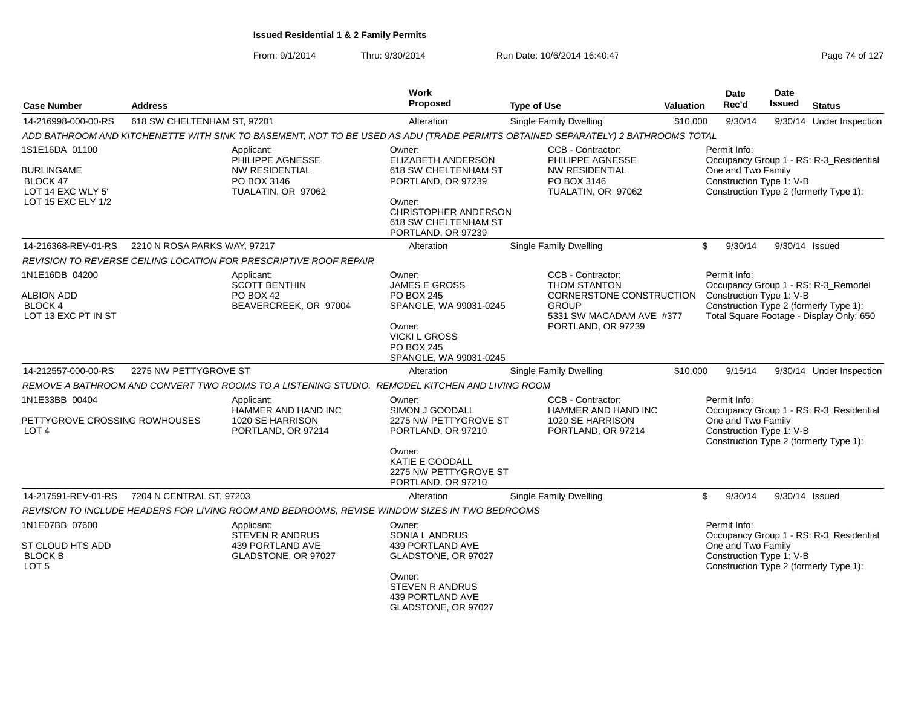|                                                        | <b>Address</b>                       |                                                                                                                                 | <b>Work</b><br><b>Proposed</b>                                               |                                                                      |                  | Date<br>Rec'd                                                                            | <b>Date</b><br><b>Issued</b>                                                                                   |                                         |  |  |
|--------------------------------------------------------|--------------------------------------|---------------------------------------------------------------------------------------------------------------------------------|------------------------------------------------------------------------------|----------------------------------------------------------------------|------------------|------------------------------------------------------------------------------------------|----------------------------------------------------------------------------------------------------------------|-----------------------------------------|--|--|
| <b>Case Number</b>                                     |                                      |                                                                                                                                 |                                                                              | <b>Type of Use</b>                                                   | <b>Valuation</b> |                                                                                          |                                                                                                                | <b>Status</b>                           |  |  |
| 14-216998-000-00-RS                                    | 618 SW CHELTENHAM ST, 97201          |                                                                                                                                 | Alteration                                                                   | <b>Single Family Dwelling</b>                                        | \$10,000         | 9/30/14                                                                                  |                                                                                                                | 9/30/14 Under Inspection                |  |  |
|                                                        |                                      | ADD BATHROOM AND KITCHENETTE WITH SINK TO BASEMENT, NOT TO BE USED AS ADU (TRADE PERMITS OBTAINED SEPARATELY) 2 BATHROOMS TOTAL |                                                                              |                                                                      |                  |                                                                                          |                                                                                                                |                                         |  |  |
| 1S1E16DA 01100                                         |                                      | Applicant:<br>PHILIPPE AGNESSE                                                                                                  | Owner:<br>ELIZABETH ANDERSON                                                 | CCB - Contractor:<br>PHILIPPE AGNESSE                                |                  | Permit Info:                                                                             |                                                                                                                | Occupancy Group 1 - RS: R-3_Residential |  |  |
| <b>BURLINGAME</b><br>BLOCK 47<br>LOT 14 EXC WLY 5'     |                                      | <b>NW RESIDENTIAL</b><br>PO BOX 3146<br>TUALATIN, OR 97062                                                                      | 618 SW CHELTENHAM ST<br>PORTLAND, OR 97239                                   | <b>NW RESIDENTIAL</b><br>PO BOX 3146<br>TUALATIN, OR 97062           |                  | One and Two Family<br>Construction Type 1: V-B<br>Construction Type 2 (formerly Type 1): |                                                                                                                |                                         |  |  |
| LOT 15 EXC ELY 1/2                                     |                                      |                                                                                                                                 | Owner:<br>CHRISTOPHER ANDERSON<br>618 SW CHELTENHAM ST<br>PORTLAND, OR 97239 |                                                                      |                  |                                                                                          |                                                                                                                |                                         |  |  |
| 14-216368-REV-01-RS                                    | 2210 N ROSA PARKS WAY, 97217         |                                                                                                                                 | Alteration                                                                   | Single Family Dwelling                                               |                  | \$<br>9/30/14                                                                            | 9/30/14 Issued                                                                                                 |                                         |  |  |
|                                                        |                                      | REVISION TO REVERSE CEILING LOCATION FOR PRESCRIPTIVE ROOF REPAIR                                                               |                                                                              |                                                                      |                  |                                                                                          |                                                                                                                |                                         |  |  |
| 1N1E16DB 04200                                         |                                      | Applicant:<br><b>SCOTT BENTHIN</b>                                                                                              | Owner:<br><b>JAMES E GROSS</b>                                               | CCB - Contractor:<br><b>THOM STANTON</b>                             |                  | Permit Info:                                                                             |                                                                                                                | Occupancy Group 1 - RS: R-3_Remodel     |  |  |
| ALBION ADD<br><b>BLOCK 4</b><br>LOT 13 EXC PT IN ST    |                                      | <b>PO BOX 42</b><br>BEAVERCREEK, OR 97004                                                                                       | PO BOX 245<br>SPANGLE, WA 99031-0245                                         | CORNERSTONE CONSTRUCTION<br><b>GROUP</b><br>5331 SW MACADAM AVE #377 |                  |                                                                                          | Construction Type 1: V-B<br>Construction Type 2 (formerly Type 1):<br>Total Square Footage - Display Only: 650 |                                         |  |  |
|                                                        |                                      |                                                                                                                                 | Owner:<br><b>VICKI L GROSS</b><br>PO BOX 245<br>SPANGLE, WA 99031-0245       | PORTLAND, OR 97239                                                   |                  |                                                                                          |                                                                                                                |                                         |  |  |
| 14-212557-000-00-RS                                    | 2275 NW PETTYGROVE ST                |                                                                                                                                 | Alteration                                                                   | Single Family Dwelling                                               | \$10,000         | 9/15/14                                                                                  |                                                                                                                | 9/30/14 Under Inspection                |  |  |
|                                                        |                                      | REMOVE A BATHROOM AND CONVERT TWO ROOMS TO A LISTENING STUDIO. REMODEL KITCHEN AND LIVING ROOM                                  |                                                                              |                                                                      |                  |                                                                                          |                                                                                                                |                                         |  |  |
| 1N1E33BB 00404                                         |                                      | Applicant:<br>HAMMER AND HAND INC                                                                                               | Owner:<br>SIMON J GOODALL                                                    | CCB - Contractor:<br>HAMMER AND HAND INC                             |                  | Permit Info:                                                                             |                                                                                                                | Occupancy Group 1 - RS: R-3_Residential |  |  |
| PETTYGROVE CROSSING ROWHOUSES<br>LOT <sub>4</sub>      |                                      | 1020 SE HARRISON<br>PORTLAND, OR 97214                                                                                          | 2275 NW PETTYGROVE ST<br>PORTLAND, OR 97210                                  | 1020 SE HARRISON<br>PORTLAND, OR 97214                               |                  | One and Two Family<br>Construction Type 1: V-B<br>Construction Type 2 (formerly Type 1): |                                                                                                                |                                         |  |  |
|                                                        |                                      |                                                                                                                                 | Owner:<br>KATIE E GOODALL<br>2275 NW PETTYGROVE ST<br>PORTLAND, OR 97210     |                                                                      |                  |                                                                                          |                                                                                                                |                                         |  |  |
| 14-217591-REV-01-RS                                    | 7204 N CENTRAL ST, 97203             |                                                                                                                                 | Alteration                                                                   | Single Family Dwelling                                               |                  | \$<br>9/30/14                                                                            | 9/30/14 Issued                                                                                                 |                                         |  |  |
|                                                        |                                      | REVISION TO INCLUDE HEADERS FOR LIVING ROOM AND BEDROOMS, REVISE WINDOW SIZES IN TWO BEDROOMS                                   |                                                                              |                                                                      |                  |                                                                                          |                                                                                                                |                                         |  |  |
| 1N1E07BB 07600                                         | Applicant:<br><b>STEVEN R ANDRUS</b> |                                                                                                                                 | Owner:<br>SONIA L ANDRUS                                                     |                                                                      |                  | Permit Info:                                                                             |                                                                                                                | Occupancy Group 1 - RS: R-3 Residential |  |  |
| ST CLOUD HTS ADD<br><b>BLOCK B</b><br>LOT <sub>5</sub> |                                      | 439 PORTLAND AVE<br>GLADSTONE, OR 97027                                                                                         | 439 PORTLAND AVE<br>GLADSTONE, OR 97027                                      |                                                                      |                  | One and Two Family<br>Construction Type 1: V-B<br>Construction Type 2 (formerly Type 1): |                                                                                                                |                                         |  |  |
|                                                        |                                      |                                                                                                                                 | Owner:<br><b>STEVEN R ANDRUS</b><br>439 PORTLAND AVE<br>GLADSTONE, OR 97027  |                                                                      |                  |                                                                                          |                                                                                                                |                                         |  |  |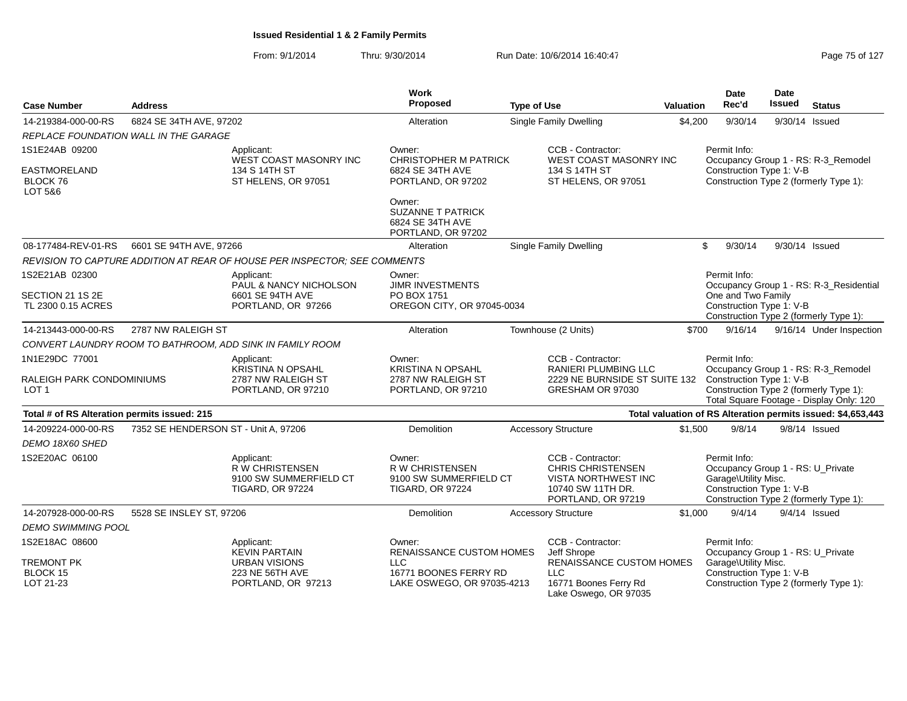| <b>Case Number</b>                            | <b>Address</b>                        |                                                                                          | Work<br><b>Proposed</b>                                                               | <b>Type of Use</b>                                                          |                                                                                                                        | <b>Valuation</b> | <b>Date</b><br>Rec'd                 |                          | <b>Date</b><br><b>Issued</b>           | <b>Status</b>                                                                      |
|-----------------------------------------------|---------------------------------------|------------------------------------------------------------------------------------------|---------------------------------------------------------------------------------------|-----------------------------------------------------------------------------|------------------------------------------------------------------------------------------------------------------------|------------------|--------------------------------------|--------------------------|----------------------------------------|------------------------------------------------------------------------------------|
| 14-219384-000-00-RS                           | 6824 SE 34TH AVE, 97202               |                                                                                          | Alteration                                                                            |                                                                             | <b>Single Family Dwelling</b>                                                                                          | \$4,200          |                                      | 9/30/14                  | 9/30/14 Issued                         |                                                                                    |
|                                               | REPLACE FOUNDATION WALL IN THE GARAGE |                                                                                          |                                                                                       |                                                                             |                                                                                                                        |                  |                                      |                          |                                        |                                                                                    |
| 1S1E24AB 09200                                |                                       | Applicant:<br>WEST COAST MASONRY INC                                                     | Owner:                                                                                | CCB - Contractor:<br><b>CHRISTOPHER M PATRICK</b><br>WEST COAST MASONRY INC |                                                                                                                        |                  |                                      | Permit Info:             |                                        | Occupancy Group 1 - RS: R-3_Remodel                                                |
| EASTMORELAND<br>BLOCK 76<br>LOT 5&6           |                                       | 134 S 14TH ST<br>ST HELENS, OR 97051                                                     | 6824 SE 34TH AVE<br>PORTLAND, OR 97202                                                |                                                                             | 134 S 14TH ST<br>ST HELENS, OR 97051                                                                                   |                  |                                      |                          | Construction Type 1: V-B               | Construction Type 2 (formerly Type 1):                                             |
|                                               |                                       |                                                                                          | Owner:<br><b>SUZANNE T PATRICK</b><br>6824 SE 34TH AVE<br>PORTLAND, OR 97202          |                                                                             |                                                                                                                        |                  |                                      |                          |                                        |                                                                                    |
| 08-177484-REV-01-RS                           | 6601 SE 94TH AVE, 97266               |                                                                                          | Alteration                                                                            |                                                                             | <b>Single Family Dwelling</b>                                                                                          |                  | \$                                   | 9/30/14                  | 9/30/14 Issued                         |                                                                                    |
|                                               |                                       | REVISION TO CAPTURE ADDITION AT REAR OF HOUSE PER INSPECTOR: SEE COMMENTS                |                                                                                       |                                                                             |                                                                                                                        |                  |                                      |                          |                                        |                                                                                    |
| 1S2E21AB 02300                                |                                       | Applicant:<br>PAUL & NANCY NICHOLSON                                                     | Owner:<br><b>JIMR INVESTMENTS</b>                                                     |                                                                             |                                                                                                                        |                  | Permit Info:                         |                          |                                        | Occupancy Group 1 - RS: R-3_Residential                                            |
| SECTION 21 1S 2E                              |                                       | 6601 SE 94TH AVE                                                                         | PO BOX 1751                                                                           |                                                                             |                                                                                                                        |                  | One and Two Family                   |                          |                                        |                                                                                    |
| TL 2300 0.15 ACRES<br>PORTLAND, OR 97266      |                                       | OREGON CITY, OR 97045-0034                                                               |                                                                                       |                                                                             |                                                                                                                        |                  |                                      | Construction Type 1: V-B | Construction Type 2 (formerly Type 1): |                                                                                    |
| 14-213443-000-00-RS                           | 2787 NW RALEIGH ST                    |                                                                                          | Alteration                                                                            |                                                                             | Townhouse (2 Units)                                                                                                    | \$700            |                                      | 9/16/14                  |                                        | 9/16/14 Under Inspection                                                           |
|                                               |                                       | CONVERT LAUNDRY ROOM TO BATHROOM, ADD SINK IN FAMILY ROOM                                |                                                                                       |                                                                             |                                                                                                                        |                  |                                      |                          |                                        |                                                                                    |
| 1N1E29DC 77001                                |                                       | Applicant:<br>KRISTINA N OPSAHL                                                          | Owner:<br><b>KRISTINA N OPSAHL</b>                                                    |                                                                             | CCB - Contractor:<br><b>RANIERI PLUMBING LLC</b>                                                                       |                  | Permit Info:                         |                          |                                        | Occupancy Group 1 - RS: R-3_Remodel                                                |
| RALEIGH PARK CONDOMINIUMS<br>LOT <sub>1</sub> |                                       | 2787 NW RALEIGH ST<br>PORTLAND, OR 97210                                                 | 2787 NW RALEIGH ST<br>PORTLAND, OR 97210                                              |                                                                             | 2229 NE BURNSIDE ST SUITE 132<br>GRESHAM OR 97030                                                                      |                  |                                      |                          | Construction Type 1: V-B               | Construction Type 2 (formerly Type 1):<br>Total Square Footage - Display Only: 120 |
| Total # of RS Alteration permits issued: 215  |                                       |                                                                                          |                                                                                       |                                                                             |                                                                                                                        |                  |                                      |                          |                                        | Total valuation of RS Alteration permits issued: \$4,653,443                       |
| 14-209224-000-00-RS                           | 7352 SE HENDERSON ST - Unit A, 97206  |                                                                                          | Demolition                                                                            |                                                                             | <b>Accessory Structure</b>                                                                                             | \$1,500          |                                      | 9/8/14                   | $9/8/14$ Issued                        |                                                                                    |
| DEMO 18X60 SHED                               |                                       |                                                                                          |                                                                                       |                                                                             |                                                                                                                        |                  |                                      |                          |                                        |                                                                                    |
| 1S2E20AC 06100                                |                                       | Applicant:<br><b>RW CHRISTENSEN</b><br>9100 SW SUMMERFIELD CT<br><b>TIGARD, OR 97224</b> | Owner:<br><b>R W CHRISTENSEN</b><br>9100 SW SUMMERFIELD CT<br><b>TIGARD, OR 97224</b> |                                                                             | CCB - Contractor:<br><b>CHRIS CHRISTENSEN</b><br><b>VISTA NORTHWEST INC</b><br>10740 SW 11TH DR.<br>PORTLAND, OR 97219 |                  | Permit Info:<br>Garage\Utility Misc. |                          | Construction Type 1: V-B               | Occupancy Group 1 - RS: U_Private<br>Construction Type 2 (formerly Type 1):        |
| 14-207928-000-00-RS                           | 5528 SE INSLEY ST, 97206              |                                                                                          | <b>Demolition</b>                                                                     |                                                                             | <b>Accessory Structure</b>                                                                                             | \$1,000          |                                      | 9/4/14                   | $9/4/14$ Issued                        |                                                                                    |
| <b>DEMO SWIMMING POOL</b>                     |                                       |                                                                                          |                                                                                       |                                                                             |                                                                                                                        |                  |                                      |                          |                                        |                                                                                    |
| 1S2E18AC 08600                                |                                       | Applicant:<br><b>KEVIN PARTAIN</b>                                                       | Owner:<br><b>RENAISSANCE CUSTOM HOMES</b>                                             |                                                                             | CCB - Contractor:<br>Jeff Shrope                                                                                       |                  | Permit Info:                         |                          |                                        | Occupancy Group 1 - RS: U_Private                                                  |
| TREMONT PK                                    |                                       | <b>URBAN VISIONS</b>                                                                     | <b>LLC</b>                                                                            |                                                                             | RENAISSANCE CUSTOM HOMES                                                                                               |                  | Garage\Utility Misc.                 |                          |                                        |                                                                                    |
| BLOCK 15                                      |                                       | 223 NE 56TH AVE                                                                          | 16771 BOONES FERRY RD                                                                 |                                                                             | <b>LLC</b>                                                                                                             |                  |                                      |                          | Construction Type 1: V-B               |                                                                                    |
| LOT 21-23                                     |                                       | PORTLAND, OR 97213                                                                       | LAKE OSWEGO, OR 97035-4213                                                            |                                                                             | 16771 Boones Ferry Rd<br>Lake Oswego, OR 97035                                                                         |                  |                                      |                          |                                        | Construction Type 2 (formerly Type 1):                                             |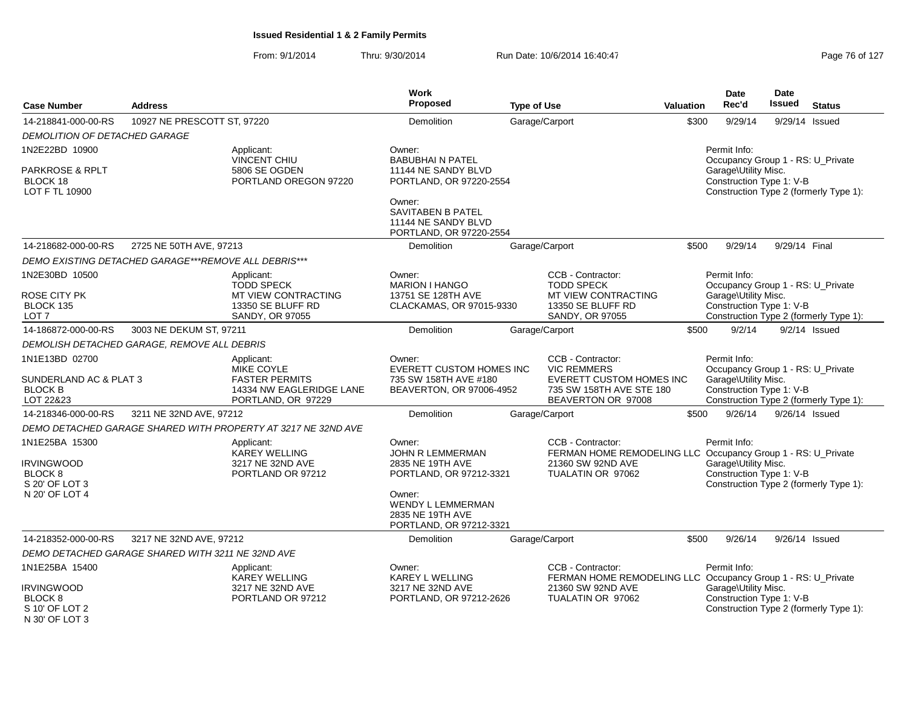| <b>Case Number</b>                                                                            | <b>Address</b>                                       |                                                                                                     | <b>Work</b><br><b>Proposed</b>                                                                                                                                 | <b>Type of Use</b>                                                                                                          | <b>Valuation</b> | <b>Date</b><br>Rec'd                                                                                                                            | <b>Date</b><br><b>Issued</b> | <b>Status</b>                          |
|-----------------------------------------------------------------------------------------------|------------------------------------------------------|-----------------------------------------------------------------------------------------------------|----------------------------------------------------------------------------------------------------------------------------------------------------------------|-----------------------------------------------------------------------------------------------------------------------------|------------------|-------------------------------------------------------------------------------------------------------------------------------------------------|------------------------------|----------------------------------------|
| 14-218841-000-00-RS                                                                           | 10927 NE PRESCOTT ST, 97220                          |                                                                                                     | Demolition                                                                                                                                                     | Garage/Carport                                                                                                              | \$300            | 9/29/14                                                                                                                                         |                              | 9/29/14 Issued                         |
| <b>DEMOLITION OF DETACHED GARAGE</b>                                                          |                                                      |                                                                                                     |                                                                                                                                                                |                                                                                                                             |                  |                                                                                                                                                 |                              |                                        |
| 1N2E22BD 10900                                                                                |                                                      | Applicant:                                                                                          | Owner:                                                                                                                                                         |                                                                                                                             |                  | Permit Info:                                                                                                                                    |                              |                                        |
| PARKROSE & RPLT<br>BLOCK 18<br>LOT F TL 10900                                                 |                                                      | <b>VINCENT CHIU</b><br>5806 SE OGDEN<br>PORTLAND OREGON 97220                                       | <b>BABUBHAIN PATEL</b><br>11144 NE SANDY BLVD<br>PORTLAND, OR 97220-2554<br>Owner:<br>SAVITABEN B PATEL<br>11144 NE SANDY BLVD<br>PORTLAND, OR 97220-2554      |                                                                                                                             |                  | Occupancy Group 1 - RS: U_Private<br>Garage\Utility Misc.<br>Construction Type 1: V-B                                                           |                              | Construction Type 2 (formerly Type 1): |
| 14-218682-000-00-RS                                                                           | 2725 NE 50TH AVE, 97213                              |                                                                                                     | <b>Demolition</b>                                                                                                                                              | Garage/Carport                                                                                                              | \$500            | 9/29/14                                                                                                                                         | 9/29/14 Final                |                                        |
|                                                                                               | DEMO EXISTING DETACHED GARAGE***REMOVE ALL DEBRIS*** |                                                                                                     |                                                                                                                                                                |                                                                                                                             |                  |                                                                                                                                                 |                              |                                        |
| 1N2E30BD 10500<br>ROSE CITY PK<br>BLOCK 135<br>LOT <sub>7</sub>                               |                                                      | Applicant:<br><b>TODD SPECK</b><br>MT VIEW CONTRACTING<br>13350 SE BLUFF RD<br>SANDY, OR 97055      | Owner:<br><b>MARION I HANGO</b><br>13751 SE 128TH AVE<br>CLACKAMAS, OR 97015-9330                                                                              | CCB - Contractor:<br><b>TODD SPECK</b><br>MT VIEW CONTRACTING<br>13350 SE BLUFF RD<br>SANDY, OR 97055                       |                  | Permit Info:<br>Occupancy Group 1 - RS: U_Private<br>Garage\Utility Misc.<br>Construction Type 1: V-B                                           |                              | Construction Type 2 (formerly Type 1): |
| 14-186872-000-00-RS                                                                           | 3003 NE DEKUM ST, 97211                              |                                                                                                     | <b>Demolition</b>                                                                                                                                              | Garage/Carport                                                                                                              | \$500            | 9/2/14                                                                                                                                          |                              | $9/2/14$ Issued                        |
|                                                                                               | DEMOLISH DETACHED GARAGE, REMOVE ALL DEBRIS          |                                                                                                     |                                                                                                                                                                |                                                                                                                             |                  |                                                                                                                                                 |                              |                                        |
| 1N1E13BD 02700<br>SUNDERLAND AC & PLAT 3<br><b>BLOCK B</b><br>LOT 22&23                       |                                                      | Applicant:<br>MIKE COYLE<br><b>FASTER PERMITS</b><br>14334 NW EAGLERIDGE LANE<br>PORTLAND, OR 97229 | Owner:<br>EVERETT CUSTOM HOMES INC<br>735 SW 158TH AVE #180<br>BEAVERTON, OR 97006-4952                                                                        | CCB - Contractor:<br><b>VIC REMMERS</b><br>EVERETT CUSTOM HOMES INC<br>735 SW 158TH AVE STE 180<br>BEAVERTON OR 97008       |                  | Permit Info:<br>Occupancy Group 1 - RS: U_Private<br>Garage\Utility Misc.<br>Construction Type 1: V-B<br>Construction Type 2 (formerly Type 1): |                              |                                        |
| 14-218346-000-00-RS                                                                           | 3211 NE 32ND AVE, 97212                              |                                                                                                     | <b>Demolition</b>                                                                                                                                              | Garage/Carport                                                                                                              | \$500            | 9/26/14                                                                                                                                         |                              | 9/26/14 Issued                         |
|                                                                                               |                                                      | DEMO DETACHED GARAGE SHARED WITH PROPERTY AT 3217 NE 32ND AVE                                       |                                                                                                                                                                |                                                                                                                             |                  |                                                                                                                                                 |                              |                                        |
| 1N1E25BA 15300<br><b>IRVINGWOOD</b><br>BLOCK 8<br>S 20' OF LOT 3<br>N 20' OF LOT 4            |                                                      | Applicant:<br><b>KAREY WELLING</b><br>3217 NE 32ND AVE<br>PORTLAND OR 97212                         | Owner:<br><b>JOHN R LEMMERMAN</b><br>2835 NE 19TH AVE<br>PORTLAND, OR 97212-3321<br>Owner:<br>WENDY L LEMMERMAN<br>2835 NE 19TH AVE<br>PORTLAND, OR 97212-3321 | CCB - Contractor:<br>FERMAN HOME REMODELING LLC Occupancy Group 1 - RS: U Private<br>21360 SW 92ND AVE<br>TUALATIN OR 97062 |                  | Permit Info:<br>Garage\Utility Misc.<br>Construction Type 1: V-B<br>Construction Type 2 (formerly Type 1):                                      |                              |                                        |
| 14-218352-000-00-RS                                                                           | 3217 NE 32ND AVE, 97212                              |                                                                                                     | Demolition                                                                                                                                                     | Garage/Carport                                                                                                              | \$500            | 9/26/14                                                                                                                                         |                              | 9/26/14 Issued                         |
|                                                                                               | DEMO DETACHED GARAGE SHARED WITH 3211 NE 32ND AVE    |                                                                                                     |                                                                                                                                                                |                                                                                                                             |                  |                                                                                                                                                 |                              |                                        |
| 1N1E25BA 15400<br><b>IRVINGWOOD</b><br>BLOCK <sub>8</sub><br>S 10' OF LOT 2<br>N 30' OF LOT 3 |                                                      | Applicant:<br>KAREY WELLING<br>3217 NE 32ND AVE<br>PORTLAND OR 97212                                | Owner:<br><b>KAREY L WELLING</b><br>3217 NE 32ND AVE<br>PORTLAND, OR 97212-2626                                                                                | CCB - Contractor:<br>FERMAN HOME REMODELING LLC Occupancy Group 1 - RS: U_Private<br>21360 SW 92ND AVE<br>TUALATIN OR 97062 |                  | Permit Info:<br>Garage\Utility Misc.<br>Construction Type 1: V-B<br>Construction Type 2 (formerly Type 1):                                      |                              |                                        |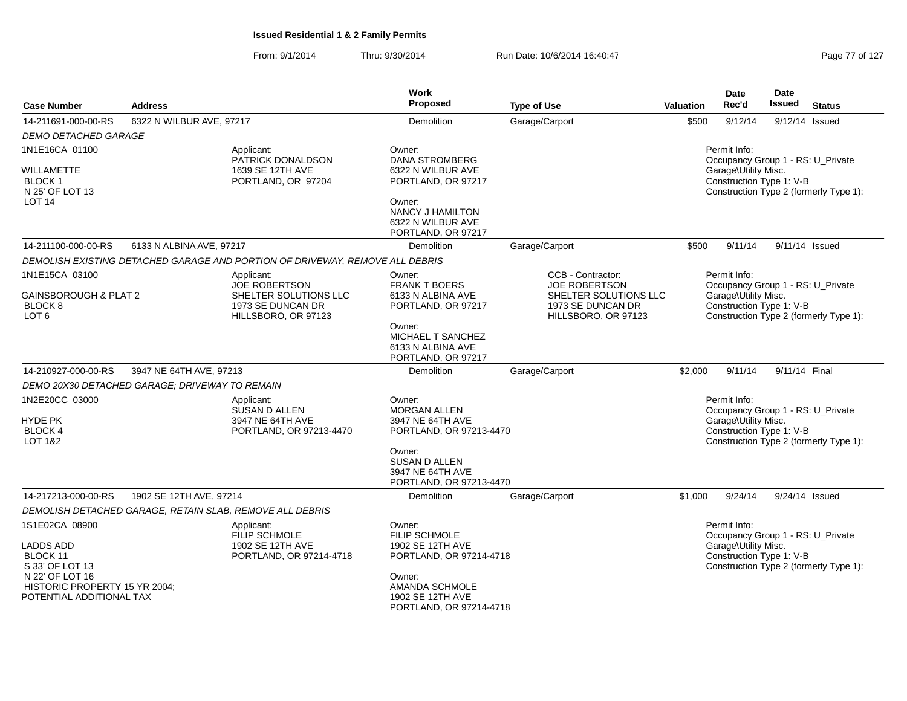| <b>Case Number</b>                                                           | <b>Address</b>                                           |                                                                              | <b>Work</b><br>Proposed                                                 | <b>Type of Use</b>                                                | <b>Valuation</b> | <b>Date</b><br>Rec'd                                                                       | Date<br><b>Issued</b> | <b>Status</b>                          |
|------------------------------------------------------------------------------|----------------------------------------------------------|------------------------------------------------------------------------------|-------------------------------------------------------------------------|-------------------------------------------------------------------|------------------|--------------------------------------------------------------------------------------------|-----------------------|----------------------------------------|
| 14-211691-000-00-RS                                                          | 6322 N WILBUR AVE, 97217                                 |                                                                              | Demolition                                                              | Garage/Carport                                                    | \$500            | 9/12/14                                                                                    |                       | 9/12/14 Issued                         |
| <b>DEMO DETACHED GARAGE</b>                                                  |                                                          |                                                                              |                                                                         |                                                                   |                  |                                                                                            |                       |                                        |
| 1N1E16CA 01100                                                               |                                                          | Applicant:<br>PATRICK DONALDSON                                              | Owner:<br><b>DANA STROMBERG</b>                                         |                                                                   |                  | Permit Info:<br>Occupancy Group 1 - RS: U Private                                          |                       |                                        |
| WILLAMETTE<br><b>BLOCK1</b><br>N 25' OF LOT 13                               |                                                          | 1639 SE 12TH AVE<br>PORTLAND, OR 97204                                       | 6322 N WILBUR AVE<br>PORTLAND, OR 97217                                 |                                                                   |                  | Garage\Utility Misc.<br>Construction Type 1: V-B                                           |                       | Construction Type 2 (formerly Type 1): |
| LOT <sub>14</sub>                                                            |                                                          |                                                                              | Owner:<br>NANCY J HAMILTON<br>6322 N WILBUR AVE<br>PORTLAND, OR 97217   |                                                                   |                  |                                                                                            |                       |                                        |
| 14-211100-000-00-RS                                                          | 6133 N ALBINA AVE, 97217                                 |                                                                              | Demolition                                                              | Garage/Carport                                                    | \$500            | 9/11/14                                                                                    |                       | 9/11/14 Issued                         |
|                                                                              |                                                          | DEMOLISH EXISTING DETACHED GARAGE AND PORTION OF DRIVEWAY, REMOVE ALL DEBRIS |                                                                         |                                                                   |                  |                                                                                            |                       |                                        |
| 1N1E15CA 03100                                                               |                                                          | Applicant:<br><b>JOE ROBERTSON</b>                                           | Owner:<br><b>FRANK T BOERS</b>                                          | CCB - Contractor:<br><b>JOE ROBERTSON</b>                         |                  | Permit Info:<br>Occupancy Group 1 - RS: U Private                                          |                       |                                        |
| <b>GAINSBOROUGH &amp; PLAT 2</b><br>BLOCK 8<br>LOT <sub>6</sub>              |                                                          | SHELTER SOLUTIONS LLC<br>1973 SE DUNCAN DR<br>HILLSBORO, OR 97123            | 6133 N ALBINA AVE<br>PORTLAND, OR 97217                                 | SHELTER SOLUTIONS LLC<br>1973 SE DUNCAN DR<br>HILLSBORO, OR 97123 |                  | Garage\Utility Misc.<br>Construction Type 1: V-B                                           |                       | Construction Type 2 (formerly Type 1): |
|                                                                              |                                                          |                                                                              | Owner:<br>MICHAEL T SANCHEZ<br>6133 N ALBINA AVE<br>PORTLAND, OR 97217  |                                                                   |                  |                                                                                            |                       |                                        |
| 14-210927-000-00-RS                                                          | 3947 NE 64TH AVE, 97213                                  |                                                                              | Demolition                                                              | Garage/Carport                                                    | \$2,000          | 9/11/14                                                                                    | 9/11/14 Final         |                                        |
|                                                                              | DEMO 20X30 DETACHED GARAGE: DRIVEWAY TO REMAIN           |                                                                              |                                                                         |                                                                   |                  |                                                                                            |                       |                                        |
| 1N2E20CC 03000                                                               |                                                          | Applicant:<br>SUSAN D ALLEN                                                  | Owner:<br><b>MORGAN ALLEN</b>                                           |                                                                   |                  | Permit Info:<br>Occupancy Group 1 - RS: U_Private                                          |                       |                                        |
| HYDE PK                                                                      |                                                          | 3947 NE 64TH AVE                                                             | 3947 NE 64TH AVE                                                        |                                                                   |                  | Garage\Utility Misc.                                                                       |                       |                                        |
| <b>BLOCK 4</b><br>LOT 1&2                                                    |                                                          | PORTLAND, OR 97213-4470                                                      | PORTLAND, OR 97213-4470                                                 |                                                                   |                  | Construction Type 1: V-B                                                                   |                       | Construction Type 2 (formerly Type 1): |
|                                                                              |                                                          |                                                                              | Owner:<br>SUSAN D ALLEN<br>3947 NE 64TH AVE<br>PORTLAND, OR 97213-4470  |                                                                   |                  |                                                                                            |                       |                                        |
| 14-217213-000-00-RS                                                          | 1902 SE 12TH AVE, 97214                                  |                                                                              | Demolition                                                              | Garage/Carport                                                    | \$1,000          | 9/24/14                                                                                    |                       | 9/24/14 Issued                         |
|                                                                              | DEMOLISH DETACHED GARAGE, RETAIN SLAB, REMOVE ALL DEBRIS |                                                                              |                                                                         |                                                                   |                  |                                                                                            |                       |                                        |
| 1S1E02CA 08900                                                               |                                                          | Applicant:<br><b>FILIP SCHMOLE</b>                                           | Owner:<br>FILIP SCHMOLE                                                 |                                                                   |                  | Permit Info:<br>Occupancy Group 1 - RS: U Private                                          |                       |                                        |
| <b>LADDS ADD</b><br>BLOCK 11<br>S 33' OF LOT 13                              |                                                          | 1902 SE 12TH AVE<br>PORTLAND, OR 97214-4718                                  | 1902 SE 12TH AVE<br>PORTLAND, OR 97214-4718                             |                                                                   |                  | Garage\Utility Misc.<br>Construction Type 1: V-B<br>Construction Type 2 (formerly Type 1): |                       |                                        |
| N 22' OF LOT 16<br>HISTORIC PROPERTY 15 YR 2004;<br>POTENTIAL ADDITIONAL TAX |                                                          |                                                                              | Owner:<br>AMANDA SCHMOLE<br>1902 SE 12TH AVE<br>PORTLAND, OR 97214-4718 |                                                                   |                  |                                                                                            |                       |                                        |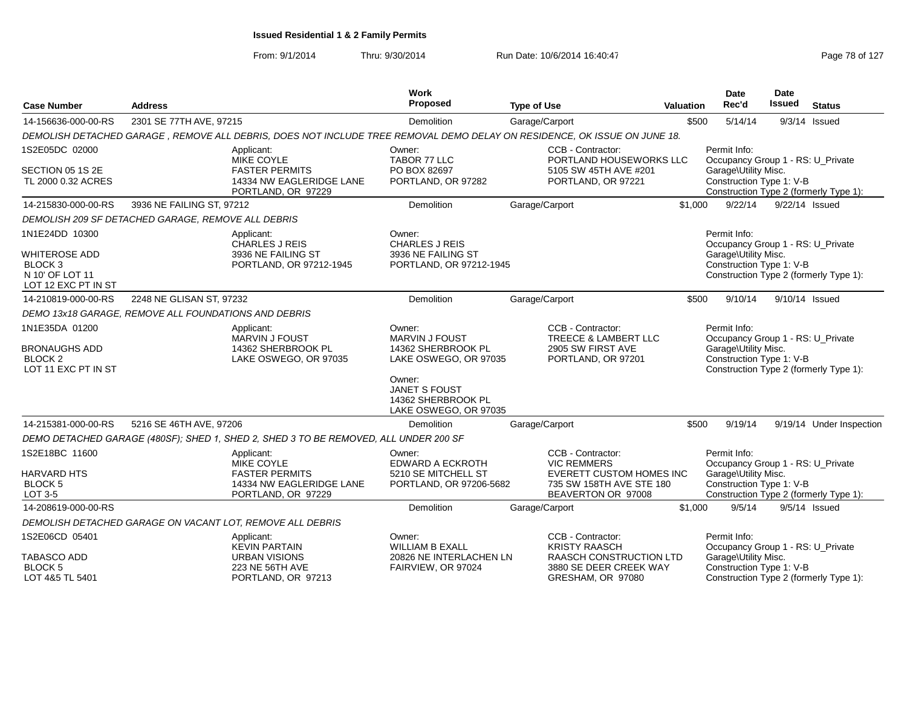| <b>Case Number</b>                                                                             | <b>Address</b>                                       |                                                                                                                          | <b>Work</b><br>Proposed                                               | <b>Type of Use</b> |                                                                           | <b>Valuation</b> | <b>Date</b><br>Rec'd                                               | <b>Date</b><br><b>Issued</b> | <b>Status</b>                          |  |
|------------------------------------------------------------------------------------------------|------------------------------------------------------|--------------------------------------------------------------------------------------------------------------------------|-----------------------------------------------------------------------|--------------------|---------------------------------------------------------------------------|------------------|--------------------------------------------------------------------|------------------------------|----------------------------------------|--|
| 14-156636-000-00-RS                                                                            | 2301 SE 77TH AVE, 97215                              |                                                                                                                          | Demolition                                                            |                    | Garage/Carport                                                            | \$500            | 5/14/14                                                            |                              | $9/3/14$ Issued                        |  |
|                                                                                                |                                                      | DEMOLISH DETACHED GARAGE, REMOVE ALL DEBRIS, DOES NOT INCLUDE TREE REMOVAL DEMO DELAY ON RESIDENCE, OK ISSUE ON JUNE 18. |                                                                       |                    |                                                                           |                  |                                                                    |                              |                                        |  |
| 1S2E05DC 02000<br>Applicant:<br><b>MIKE COYLE</b><br><b>FASTER PERMITS</b><br>SECTION 05 1S 2E |                                                      | Owner:<br>TABOR 77 LLC<br>PO BOX 82697                                                                                   | CCB - Contractor:<br>PORTLAND HOUSEWORKS LLC<br>5105 SW 45TH AVE #201 |                    | Permit Info:<br>Occupancy Group 1 - RS: U_Private<br>Garage\Utility Misc. |                  |                                                                    |                              |                                        |  |
| TL 2000 0.32 ACRES                                                                             | 14334 NW EAGLERIDGE LANE<br>PORTLAND, OR 97229       |                                                                                                                          | PORTLAND, OR 97282                                                    |                    | PORTLAND, OR 97221                                                        |                  | Construction Type 1: V-B<br>Construction Type 2 (formerly Type 1): |                              |                                        |  |
| 14-215830-000-00-RS                                                                            | 3936 NE FAILING ST, 97212                            |                                                                                                                          | <b>Demolition</b>                                                     |                    | Garage/Carport                                                            | \$1,000          | 9/22/14                                                            | 9/22/14 Issued               |                                        |  |
|                                                                                                | DEMOLISH 209 SF DETACHED GARAGE, REMOVE ALL DEBRIS   |                                                                                                                          |                                                                       |                    |                                                                           |                  |                                                                    |                              |                                        |  |
| 1N1E24DD 10300                                                                                 |                                                      | Applicant:<br><b>CHARLES J REIS</b>                                                                                      | Owner:<br><b>CHARLES J REIS</b>                                       |                    |                                                                           |                  | Permit Info:<br>Occupancy Group 1 - RS: U_Private                  |                              |                                        |  |
| <b>WHITEROSE ADD</b>                                                                           |                                                      | 3936 NE FAILING ST                                                                                                       | 3936 NE FAILING ST                                                    |                    |                                                                           |                  | Garage\Utility Misc.                                               |                              |                                        |  |
| BLOCK <sub>3</sub><br>N 10' OF LOT 11<br>LOT 12 EXC PT IN ST                                   |                                                      | PORTLAND, OR 97212-1945                                                                                                  | PORTLAND, OR 97212-1945                                               |                    |                                                                           |                  | Construction Type 1: V-B                                           |                              | Construction Type 2 (formerly Type 1): |  |
| 14-210819-000-00-RS                                                                            | 2248 NE GLISAN ST, 97232                             |                                                                                                                          | <b>Demolition</b>                                                     |                    | Garage/Carport                                                            | \$500            | 9/10/14                                                            | 9/10/14 Issued               |                                        |  |
|                                                                                                | DEMO 13x18 GARAGE, REMOVE ALL FOUNDATIONS AND DEBRIS |                                                                                                                          |                                                                       |                    |                                                                           |                  |                                                                    |                              |                                        |  |
| 1N1E35DA 01200                                                                                 |                                                      | Applicant:<br><b>MARVIN J FOUST</b>                                                                                      | Owner:<br><b>MARVIN J FOUST</b>                                       |                    | CCB - Contractor:<br>TREECE & LAMBERT LLC                                 |                  | Permit Info:<br>Occupancy Group 1 - RS: U_Private                  |                              |                                        |  |
| <b>BRONAUGHS ADD</b><br>BLOCK <sub>2</sub><br>LOT 11 EXC PT IN ST                              |                                                      | 14362 SHERBROOK PL<br>LAKE OSWEGO, OR 97035                                                                              | 14362 SHERBROOK PL<br>LAKE OSWEGO, OR 97035<br>Owner:                 |                    | 2905 SW FIRST AVE<br>PORTLAND, OR 97201                                   |                  | Garage\Utility Misc.<br>Construction Type 1: V-B                   |                              | Construction Type 2 (formerly Type 1): |  |
|                                                                                                |                                                      |                                                                                                                          | <b>JANET S FOUST</b><br>14362 SHERBROOK PL<br>LAKE OSWEGO, OR 97035   |                    |                                                                           |                  |                                                                    |                              |                                        |  |
| 14-215381-000-00-RS                                                                            | 5216 SE 46TH AVE, 97206                              |                                                                                                                          | <b>Demolition</b>                                                     |                    | Garage/Carport                                                            | \$500            | 9/19/14                                                            |                              | 9/19/14 Under Inspection               |  |
|                                                                                                |                                                      | DEMO DETACHED GARAGE (480SF); SHED 1, SHED 2, SHED 3 TO BE REMOVED, ALL UNDER 200 SF                                     |                                                                       |                    |                                                                           |                  |                                                                    |                              |                                        |  |
| 1S2E18BC 11600                                                                                 |                                                      | Applicant:<br><b>MIKE COYLE</b>                                                                                          | Owner:<br><b>EDWARD A ECKROTH</b>                                     |                    | CCB - Contractor:<br><b>VIC REMMERS</b>                                   |                  | Permit Info:<br>Occupancy Group 1 - RS: U_Private                  |                              |                                        |  |
| <b>HARVARD HTS</b>                                                                             |                                                      | <b>FASTER PERMITS</b>                                                                                                    | 5210 SE MITCHELL ST                                                   |                    | <b>EVERETT CUSTOM HOMES INC</b>                                           |                  | Garage\Utility Misc.                                               |                              |                                        |  |
| <b>BLOCK 5</b><br>LOT 3-5                                                                      |                                                      | 14334 NW EAGLERIDGE LANE<br>PORTLAND, OR 97229                                                                           | PORTLAND, OR 97206-5682                                               |                    | 735 SW 158TH AVE STE 180<br>BEAVERTON OR 97008                            |                  | Construction Type 1: V-B                                           |                              | Construction Type 2 (formerly Type 1): |  |
| 14-208619-000-00-RS                                                                            |                                                      |                                                                                                                          | <b>Demolition</b>                                                     |                    | Garage/Carport                                                            | \$1,000          | 9/5/14                                                             |                              | $9/5/14$ Issued                        |  |
|                                                                                                |                                                      | DEMOLISH DETACHED GARAGE ON VACANT LOT, REMOVE ALL DEBRIS                                                                |                                                                       |                    |                                                                           |                  |                                                                    |                              |                                        |  |
| 1S2E06CD 05401                                                                                 |                                                      | Applicant:<br><b>KEVIN PARTAIN</b>                                                                                       | Owner:<br><b>WILLIAM B EXALL</b>                                      |                    | CCB - Contractor:<br><b>KRISTY RAASCH</b>                                 |                  | Permit Info:<br>Occupancy Group 1 - RS: U_Private                  |                              |                                        |  |
| <b>TABASCO ADD</b>                                                                             |                                                      | <b>URBAN VISIONS</b>                                                                                                     | 20826 NE INTERLACHEN LN                                               |                    | <b>RAASCH CONSTRUCTION LTD</b>                                            |                  | Garage\Utility Misc.                                               |                              |                                        |  |
| <b>BLOCK 5</b><br>LOT 4&5 TL 5401                                                              |                                                      | 223 NE 56TH AVE<br>PORTLAND, OR 97213                                                                                    | FAIRVIEW, OR 97024                                                    |                    | 3880 SE DEER CREEK WAY<br>GRESHAM, OR 97080                               |                  | Construction Type 1: V-B                                           |                              | Construction Type 2 (formerly Type 1): |  |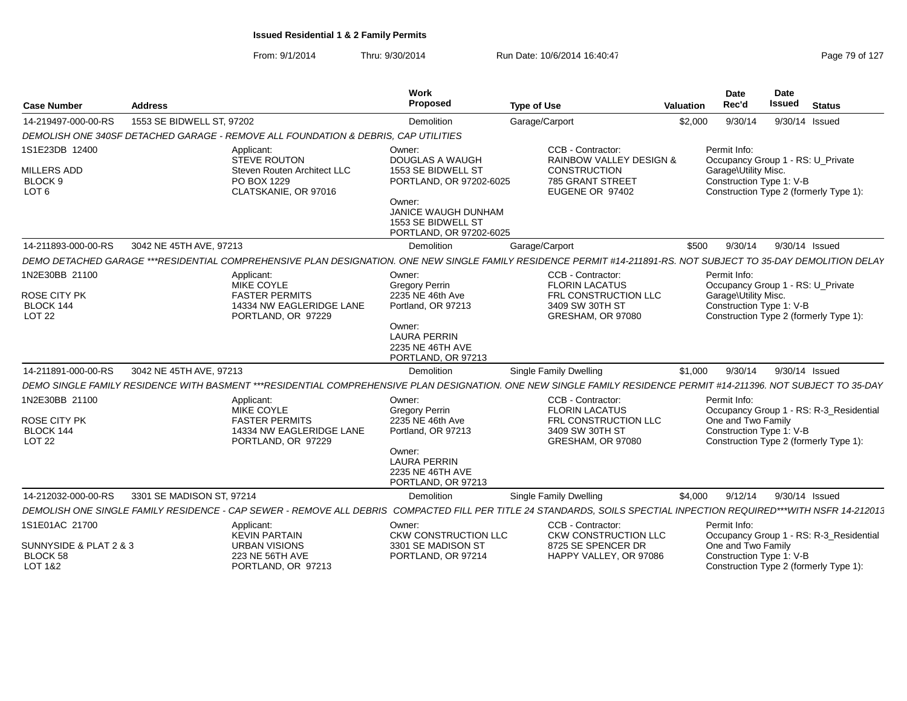| <b>Case Number</b>                                                             | <b>Address</b>                                                                                                                                                      | Work<br>Proposed                                                                                                                                                    | <b>Type of Use</b>                                                                                                    | Valuation | Date<br>Rec'd                                                    | <b>Date</b><br><b>Issued</b> | <b>Status</b>                                                                     |
|--------------------------------------------------------------------------------|---------------------------------------------------------------------------------------------------------------------------------------------------------------------|---------------------------------------------------------------------------------------------------------------------------------------------------------------------|-----------------------------------------------------------------------------------------------------------------------|-----------|------------------------------------------------------------------|------------------------------|-----------------------------------------------------------------------------------|
| 14-219497-000-00-RS                                                            | 1553 SE BIDWELL ST, 97202                                                                                                                                           | Demolition                                                                                                                                                          | Garage/Carport                                                                                                        | \$2,000   | 9/30/14                                                          |                              | 9/30/14 Issued                                                                    |
|                                                                                | DEMOLISH ONE 340SF DETACHED GARAGE - REMOVE ALL FOUNDATION & DEBRIS. CAP UTILITIES                                                                                  |                                                                                                                                                                     |                                                                                                                       |           |                                                                  |                              |                                                                                   |
| 1S1E23DB 12400<br><b>MILLERS ADD</b><br>BLOCK <sub>9</sub><br>LOT <sub>6</sub> | Applicant:<br><b>STEVE ROUTON</b><br>Steven Routen Architect LLC<br>PO BOX 1229<br>CLATSKANIE, OR 97016                                                             | Owner:<br>DOUGLAS A WAUGH<br>1553 SE BIDWELL ST<br>PORTLAND, OR 97202-6025<br>Owner:<br><b>JANICE WAUGH DUNHAM</b><br>1553 SE BIDWELL ST<br>PORTLAND, OR 97202-6025 | CCB - Contractor:<br><b>RAINBOW VALLEY DESIGN &amp;</b><br><b>CONSTRUCTION</b><br>785 GRANT STREET<br>EUGENE OR 97402 |           | Permit Info:<br>Garage\Utility Misc.<br>Construction Type 1: V-B |                              | Occupancy Group 1 - RS: U Private<br>Construction Type 2 (formerly Type 1):       |
| 14-211893-000-00-RS                                                            | 3042 NE 45TH AVE, 97213                                                                                                                                             | Demolition                                                                                                                                                          | Garage/Carport                                                                                                        | \$500     | 9/30/14                                                          |                              | 9/30/14 Issued                                                                    |
|                                                                                | DEMO DETACHED GARAGE ***RESIDENTIAL COMPREHENSIVE PLAN DESIGNATION. ONE NEW SINGLE FAMILY RESIDENCE PERMIT #14-211891-RS. NOT SUBJECT TO 35-DAY DEMOLITION DELAY    |                                                                                                                                                                     |                                                                                                                       |           |                                                                  |                              |                                                                                   |
| 1N2E30BB 21100<br>ROSE CITY PK<br>BLOCK 144<br>LOT <sub>22</sub>               | Applicant:<br><b>MIKE COYLE</b><br><b>FASTER PERMITS</b><br>14334 NW EAGLERIDGE LANE<br>PORTLAND, OR 97229                                                          | Owner:<br><b>Gregory Perrin</b><br>2235 NE 46th Ave<br>Portland, OR 97213<br>Owner:<br><b>LAURA PERRIN</b><br>2235 NE 46TH AVE<br>PORTLAND, OR 97213                | CCB - Contractor:<br><b>FLORIN LACATUS</b><br>FRL CONSTRUCTION LLC<br>3409 SW 30TH ST<br>GRESHAM, OR 97080            |           | Permit Info:<br>Garage\Utility Misc.<br>Construction Type 1: V-B |                              | Occupancy Group 1 - RS: U_Private<br>Construction Type 2 (formerly Type 1):       |
| 14-211891-000-00-RS                                                            | 3042 NE 45TH AVE, 97213                                                                                                                                             | <b>Demolition</b>                                                                                                                                                   | <b>Single Family Dwelling</b>                                                                                         | \$1,000   | 9/30/14                                                          |                              | 9/30/14 Issued                                                                    |
|                                                                                | DEMO SINGLE FAMILY RESIDENCE WITH BASMENT ***RESIDENTIAL COMPREHENSIVE PLAN DESIGNATION. ONE NEW SINGLE FAMILY RESIDENCE PERMIT #14-211396. NOT SUBJECT TO 35-DAY   |                                                                                                                                                                     |                                                                                                                       |           |                                                                  |                              |                                                                                   |
| 1N2E30BB 21100<br><b>ROSE CITY PK</b><br>BLOCK 144<br>LOT <sub>22</sub>        | Applicant:<br><b>MIKE COYLE</b><br><b>FASTER PERMITS</b><br>14334 NW EAGLERIDGE LANE<br>PORTLAND, OR 97229                                                          | Owner:<br><b>Gregory Perrin</b><br>2235 NE 46th Ave<br>Portland, OR 97213<br>Owner:<br><b>LAURA PERRIN</b><br>2235 NE 46TH AVE<br>PORTLAND, OR 97213                | CCB - Contractor:<br><b>FLORIN LACATUS</b><br>FRL CONSTRUCTION LLC<br>3409 SW 30TH ST<br>GRESHAM, OR 97080            |           | Permit Info:<br>One and Two Family<br>Construction Type 1: V-B   |                              | Occupancy Group 1 - RS: R-3_Residential<br>Construction Type 2 (formerly Type 1): |
| 14-212032-000-00-RS                                                            | 3301 SE MADISON ST, 97214                                                                                                                                           | Demolition                                                                                                                                                          | Single Family Dwelling                                                                                                | \$4.000   | 9/12/14                                                          |                              | 9/30/14 Issued                                                                    |
|                                                                                | DEMOLISH ONE SINGLE FAMILY RESIDENCE - CAP SEWER - REMOVE ALL DEBRIS COMPACTED FILL PER TITLE 24 STANDARDS. SOILS SPECTIAL INPECTION REQUIRED***WITH NSFR 14-212013 |                                                                                                                                                                     |                                                                                                                       |           |                                                                  |                              |                                                                                   |
| 1S1E01AC 21700<br>SUNNYSIDE & PLAT 2 & 3<br>BLOCK 58<br>LOT 1&2                | Applicant:<br><b>KEVIN PARTAIN</b><br><b>URBAN VISIONS</b><br>223 NE 56TH AVE<br>PORTLAND, OR 97213                                                                 | Owner:<br><b>CKW CONSTRUCTION LLC</b><br>3301 SE MADISON ST<br>PORTLAND, OR 97214                                                                                   | CCB - Contractor:<br><b>CKW CONSTRUCTION LLC</b><br>8725 SE SPENCER DR<br>HAPPY VALLEY, OR 97086                      |           | Permit Info:<br>One and Two Family<br>Construction Type 1: V-B   |                              | Occupancy Group 1 - RS: R-3_Residential<br>Construction Type 2 (formerly Type 1): |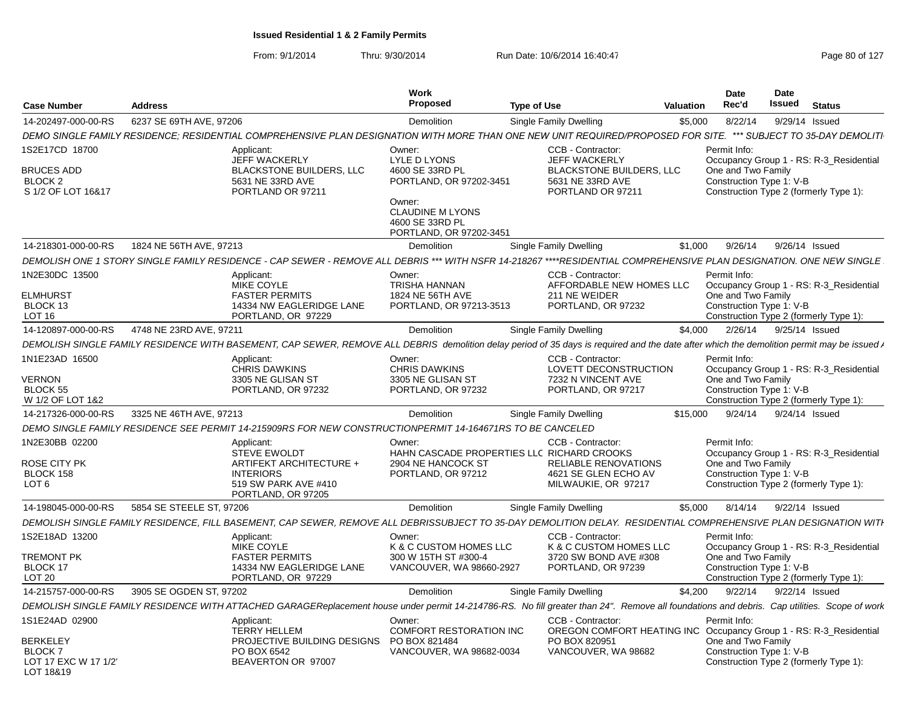| <b>Case Number</b>                                                              | <b>Address</b>                                                                                                                                                                              | Work<br>Proposed                                                                                                                                        | <b>Type of Use</b><br>Valuation                                                                                       |          | <b>Date</b><br><b>Date</b><br>Issued<br>Rec'd                                                            | <b>Status</b>                           |
|---------------------------------------------------------------------------------|---------------------------------------------------------------------------------------------------------------------------------------------------------------------------------------------|---------------------------------------------------------------------------------------------------------------------------------------------------------|-----------------------------------------------------------------------------------------------------------------------|----------|----------------------------------------------------------------------------------------------------------|-----------------------------------------|
| 14-202497-000-00-RS                                                             | 6237 SE 69TH AVE, 97206                                                                                                                                                                     | Demolition                                                                                                                                              | Single Family Dwelling                                                                                                | \$5,000  | 8/22/14                                                                                                  | 9/29/14 Issued                          |
|                                                                                 | DEMO SINGLE FAMILY RESIDENCE; RESIDENTIAL COMPREHENSIVE PLAN DESIGNATION WITH MORE THAN ONE NEW UNIT REQUIRED/PROPOSED FOR SITE.                                                            |                                                                                                                                                         |                                                                                                                       |          |                                                                                                          | *** SUBJECT TO 35-DAY DEMOLITI          |
| 1S2E17CD 18700<br><b>BRUCES ADD</b><br>BLOCK <sub>2</sub><br>S 1/2 OF LOT 16&17 | Applicant:<br>JEFF WACKERLY<br><b>BLACKSTONE BUILDERS, LLC</b><br>5631 NE 33RD AVE<br>PORTLAND OR 97211                                                                                     | Owner:<br>LYLE D LYONS<br>4600 SE 33RD PL<br>PORTLAND, OR 97202-3451<br>Owner:<br><b>CLAUDINE M LYONS</b><br>4600 SE 33RD PL<br>PORTLAND, OR 97202-3451 | CCB - Contractor:<br><b>JEFF WACKERLY</b><br><b>BLACKSTONE BUILDERS, LLC</b><br>5631 NE 33RD AVE<br>PORTLAND OR 97211 |          | Permit Info:<br>One and Two Family<br>Construction Type 1: V-B<br>Construction Type 2 (formerly Type 1): | Occupancy Group 1 - RS: R-3 Residential |
| 14-218301-000-00-RS                                                             | 1824 NE 56TH AVE, 97213                                                                                                                                                                     | Demolition                                                                                                                                              | <b>Single Family Dwelling</b>                                                                                         | \$1.000  | 9/26/14                                                                                                  | 9/26/14 Issued                          |
|                                                                                 | DEMOLISH ONE 1 STORY SINGLE FAMILY RESIDENCE - CAP SEWER - REMOVE ALL DEBRIS *** WITH NSFR 14-218267 ****RESIDENTIAL COMPREHENSIVE PLAN DESIGNATION. ONE NEW SINGLE                         |                                                                                                                                                         |                                                                                                                       |          |                                                                                                          |                                         |
| 1N2E30DC 13500<br><b>ELMHURST</b><br>BLOCK 13<br><b>LOT 16</b>                  | Applicant:<br><b>MIKE COYLE</b><br><b>FASTER PERMITS</b><br>14334 NW EAGLERIDGE LANE<br>PORTLAND, OR 97229                                                                                  | Owner:<br>TRISHA HANNAN<br>1824 NE 56TH AVE<br>PORTLAND, OR 97213-3513                                                                                  | CCB - Contractor:<br>AFFORDABLE NEW HOMES LLC<br>211 NE WEIDER<br>PORTLAND, OR 97232                                  |          | Permit Info:<br>One and Two Family<br>Construction Type 1: V-B<br>Construction Type 2 (formerly Type 1): | Occupancy Group 1 - RS: R-3_Residential |
| 14-120897-000-00-RS                                                             | 4748 NE 23RD AVE, 97211                                                                                                                                                                     | Demolition                                                                                                                                              | <b>Single Family Dwelling</b>                                                                                         | \$4,000  | 2/26/14                                                                                                  | 9/25/14 Issued                          |
|                                                                                 | DEMOLISH SINGLE FAMILY RESIDENCE WITH BASEMENT, CAP SEWER, REMOVE ALL DEBRIS demolition delay period of 35 days is required and the date after which the demolition permit may be issued r  |                                                                                                                                                         |                                                                                                                       |          |                                                                                                          |                                         |
| 1N1E23AD 16500                                                                  | Applicant<br><b>CHRIS DAWKINS</b>                                                                                                                                                           | Owner:<br><b>CHRIS DAWKINS</b>                                                                                                                          | CCB - Contractor:<br>LOVETT DECONSTRUCTION                                                                            |          | Permit Info:                                                                                             | Occupancy Group 1 - RS: R-3 Residential |
| <b>VERNON</b><br>BLOCK 55<br>W 1/2 OF LOT 1&2                                   | 3305 NE GLISAN ST<br>PORTLAND, OR 97232                                                                                                                                                     | 3305 NE GLISAN ST<br>PORTLAND, OR 97232                                                                                                                 | 7232 N VINCENT AVE<br>PORTLAND, OR 97217                                                                              |          | One and Two Family<br>Construction Type 1: V-B<br>Construction Type 2 (formerly Type 1):                 |                                         |
| 14-217326-000-00-RS                                                             | 3325 NE 46TH AVE, 97213                                                                                                                                                                     | Demolition                                                                                                                                              | Single Family Dwelling                                                                                                | \$15,000 | 9/24/14                                                                                                  | 9/24/14 Issued                          |
|                                                                                 | DEMO SINGLE FAMILY RESIDENCE SEE PERMIT 14-215909RS FOR NEW CONSTRUCTIONPERMIT 14-164671RS TO BE CANCELED                                                                                   |                                                                                                                                                         |                                                                                                                       |          |                                                                                                          |                                         |
| 1N2E30BB 02200                                                                  | Applicant:<br><b>STEVE EWOLDT</b>                                                                                                                                                           | Owner:<br>HAHN CASCADE PROPERTIES LLC RICHARD CROOKS                                                                                                    | CCB - Contractor:                                                                                                     |          | Permit Info:                                                                                             | Occupancy Group 1 - RS: R-3_Residential |
| ROSE CITY PK<br>BLOCK 158<br>LOT <sub>6</sub>                                   | ARTIFEKT ARCHITECTURE +<br><b>INTERIORS</b>                                                                                                                                                 | 2904 NE HANCOCK ST<br>PORTLAND, OR 97212                                                                                                                | RELIABLE RENOVATIONS<br>4621 SE GLEN ECHO AV<br>MILWAUKIE, OR 97217                                                   |          | One and Two Family<br>Construction Type 1: V-B                                                           |                                         |
|                                                                                 | 519 SW PARK AVE #410<br>PORTLAND, OR 97205                                                                                                                                                  |                                                                                                                                                         |                                                                                                                       |          | Construction Type 2 (formerly Type 1):                                                                   |                                         |
| 14-198045-000-00-RS                                                             | 5854 SE STEELE ST. 97206                                                                                                                                                                    | Demolition                                                                                                                                              | Single Family Dwelling                                                                                                | \$5,000  | 8/14/14                                                                                                  | 9/22/14 Issued                          |
|                                                                                 | DEMOLISH SINGLE FAMILY RESIDENCE, FILL BASEMENT, CAP SEWER, REMOVE ALL DEBRISSUBJECT TO 35-DAY DEMOLITION DELAY. RESIDENTIAL COMPREHENSIVE PLAN DESIGNATION WITH                            |                                                                                                                                                         |                                                                                                                       |          |                                                                                                          |                                         |
| 1S2E18AD 13200                                                                  | Applicant:<br>MIKE COYLE                                                                                                                                                                    | Owner:<br>K & C CUSTOM HOMES LLC                                                                                                                        | <b>CCB - Contractor:</b><br>K & C CUSTOM HOMES LLC                                                                    |          | Permit Info:                                                                                             | Occupancy Group 1 - RS: R-3_Residential |
| <b>TREMONT PK</b>                                                               | <b>FASTER PERMITS</b>                                                                                                                                                                       | 300 W 15TH ST #300-4                                                                                                                                    | 3720 SW BOND AVE #308                                                                                                 |          | One and Two Family                                                                                       |                                         |
| BLOCK 17                                                                        | 14334 NW EAGLERIDGE LANE                                                                                                                                                                    | VANCOUVER, WA 98660-2927                                                                                                                                | PORTLAND, OR 97239                                                                                                    |          | Construction Type 1: V-B                                                                                 |                                         |
| LOT <sub>20</sub>                                                               | PORTLAND, OR 97229                                                                                                                                                                          |                                                                                                                                                         |                                                                                                                       |          |                                                                                                          | Construction Type 2 (formerly Type 1):  |
| 14-215757-000-00-RS                                                             | 3905 SE OGDEN ST, 97202                                                                                                                                                                     | Demolition                                                                                                                                              | Single Family Dwelling                                                                                                | \$4,200  | 9/22/14                                                                                                  | 9/22/14 Issued                          |
|                                                                                 | DEMOLISH SINGLE FAMILY RESIDENCE WITH ATTACHED GARAGEReplacement house under permit 14-214786-RS. No fill greater than 24". Remove all foundations and debris. Cap utilities. Scope of work |                                                                                                                                                         |                                                                                                                       |          |                                                                                                          |                                         |
| 1S1E24AD 02900                                                                  | Applicant:<br><b>TERRY HELLEM</b>                                                                                                                                                           | Owner:<br><b>COMFORT RESTORATION INC</b>                                                                                                                | CCB - Contractor:<br>OREGON COMFORT HEATING INC Occupancy Group 1 - RS: R-3_Residential                               |          | Permit Info:                                                                                             |                                         |
| <b>BERKELEY</b>                                                                 | PROJECTIVE BUILDING DESIGNS                                                                                                                                                                 | PO BOX 821484                                                                                                                                           | PO BOX 820951                                                                                                         |          | One and Two Family                                                                                       |                                         |
| <b>BLOCK 7</b><br>LOT 17 EXC W 17 1/2'<br>LOT 18&19                             | PO BOX 6542<br>BEAVERTON OR 97007                                                                                                                                                           | VANCOUVER, WA 98682-0034                                                                                                                                | VANCOUVER, WA 98682                                                                                                   |          | Construction Type 1: V-B<br>Construction Type 2 (formerly Type 1):                                       |                                         |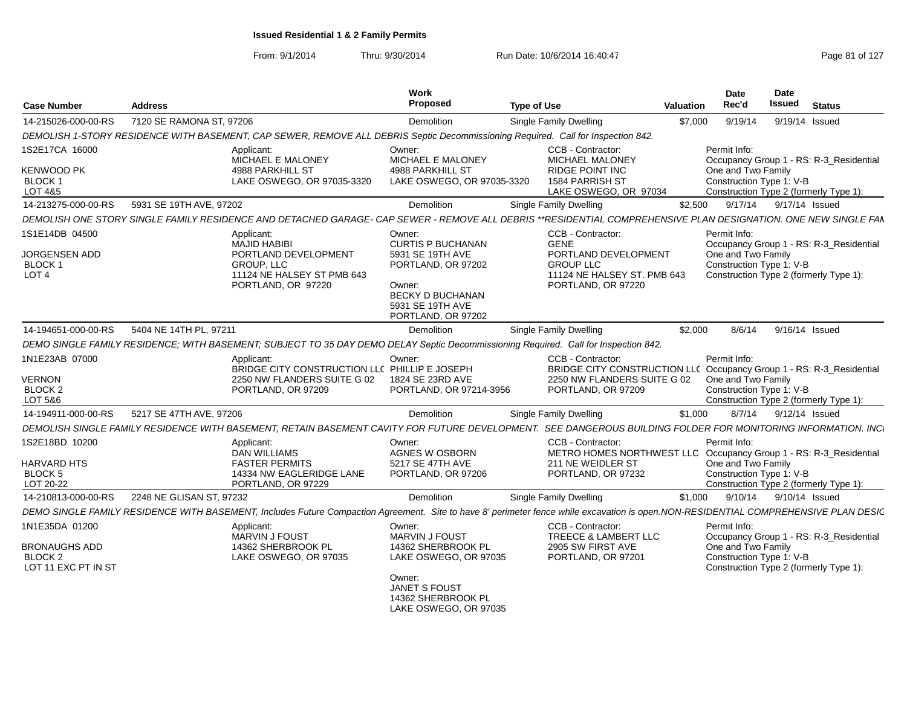| <b>Case Number</b>                                                       | <b>Address</b>           |                                                                                                                                                                                     | Work<br>Proposed                                                                                                                                     | <b>Type of Use</b>                                                                                                                             | Valuation | Date<br>Rec'd                                                                                            | <b>Date</b><br>Issued | <b>Status</b>                           |
|--------------------------------------------------------------------------|--------------------------|-------------------------------------------------------------------------------------------------------------------------------------------------------------------------------------|------------------------------------------------------------------------------------------------------------------------------------------------------|------------------------------------------------------------------------------------------------------------------------------------------------|-----------|----------------------------------------------------------------------------------------------------------|-----------------------|-----------------------------------------|
| 14-215026-000-00-RS                                                      | 7120 SE RAMONA ST, 97206 |                                                                                                                                                                                     | Demolition                                                                                                                                           | Single Family Dwelling                                                                                                                         | \$7,000   | 9/19/14                                                                                                  | 9/19/14 Issued        |                                         |
|                                                                          |                          | DEMOLISH 1-STORY RESIDENCE WITH BASEMENT, CAP SEWER, REMOVE ALL DEBRIS Septic Decommissioning Required. Call for Inspection 842.                                                    |                                                                                                                                                      |                                                                                                                                                |           |                                                                                                          |                       |                                         |
| 1S2E17CA 16000<br><b>KENWOOD PK</b><br>BLOCK 1                           |                          | Applicant:<br>MICHAEL E MALONEY<br><b>4988 PARKHILL ST</b><br>LAKE OSWEGO, OR 97035-3320                                                                                            | Owner:<br>MICHAEL E MALONEY<br>4988 PARKHILL ST<br>LAKE OSWEGO, OR 97035-3320                                                                        | CCB - Contractor:<br>MICHAEL MALONEY<br><b>RIDGE POINT INC</b><br>1584 PARRISH ST                                                              |           | Permit Info:<br>One and Two Family<br>Construction Type 1: V-B                                           |                       | Occupancy Group 1 - RS: R-3 Residential |
| LOT 4&5                                                                  |                          |                                                                                                                                                                                     |                                                                                                                                                      | LAKE OSWEGO, OR 97034                                                                                                                          |           | Construction Type 2 (formerly Type 1):                                                                   |                       |                                         |
| 14-213275-000-00-RS                                                      | 5931 SE 19TH AVE, 97202  |                                                                                                                                                                                     | Demolition                                                                                                                                           | <b>Single Family Dwelling</b>                                                                                                                  | \$2,500   | 9/17/14                                                                                                  | 9/17/14 Issued        |                                         |
|                                                                          |                          | DEMOLISH ONE STORY SINGLE FAMILY RESIDENCE AND DETACHED GARAGE- CAP SEWER - REMOVE ALL DEBRIS **RESIDENTIAL COMPREHENSIVE PLAN DESIGNATION. ONE NEW SINGLE FAN                      |                                                                                                                                                      |                                                                                                                                                |           |                                                                                                          |                       |                                         |
| 1S1E14DB 04500<br>JORGENSEN ADD<br>BLOCK 1<br>LOT <sub>4</sub>           |                          | Applicant:<br><b>MAJID HABIBI</b><br>PORTLAND DEVELOPMENT<br><b>GROUP, LLC</b><br>11124 NE HALSEY ST PMB 643<br>PORTLAND, OR 97220                                                  | Owner:<br><b>CURTIS P BUCHANAN</b><br>5931 SE 19TH AVE<br>PORTLAND, OR 97202<br>Owner:<br>BECKY D BUCHANAN<br>5931 SE 19TH AVE<br>PORTLAND, OR 97202 | CCB - Contractor:<br><b>GENE</b><br>PORTLAND DEVELOPMENT<br><b>GROUP LLC</b><br>11124 NE HALSEY ST. PMB 643<br>PORTLAND, OR 97220              |           | Permit Info:<br>One and Two Family<br>Construction Type 1: V-B<br>Construction Type 2 (formerly Type 1): |                       | Occupancy Group 1 - RS: R-3 Residential |
| 14-194651-000-00-RS                                                      | 5404 NE 14TH PL, 97211   |                                                                                                                                                                                     | Demolition                                                                                                                                           | Single Family Dwelling                                                                                                                         | \$2,000   | 8/6/14                                                                                                   | 9/16/14 Issued        |                                         |
|                                                                          |                          | DEMO SINGLE FAMILY RESIDENCE; WITH BASEMENT; SUBJECT TO 35 DAY DEMO DELAY Septic Decommissioning Required. Call for Inspection 842.                                                 |                                                                                                                                                      |                                                                                                                                                |           |                                                                                                          |                       |                                         |
| 1N1E23AB 07000<br><b>VERNON</b><br>BLOCK <sub>2</sub><br>LOT 5&6         |                          | Applicant:<br>BRIDGE CITY CONSTRUCTION LLC PHILLIP E JOSEPH<br>2250 NW FLANDERS SUITE G 02<br>PORTLAND, OR 97209                                                                    | Owner:<br>1824 SE 23RD AVE<br>PORTLAND, OR 97214-3956                                                                                                | CCB - Contractor:<br>BRIDGE CITY CONSTRUCTION LLC Occupancy Group 1 - RS: R-3 Residential<br>2250 NW FLANDERS SUITE G 02<br>PORTLAND, OR 97209 |           | Permit Info:<br>One and Two Family<br>Construction Type 1: V-B<br>Construction Type 2 (formerly Type 1): |                       |                                         |
| 14-194911-000-00-RS                                                      | 5217 SE 47TH AVE, 97206  |                                                                                                                                                                                     | <b>Demolition</b>                                                                                                                                    | Single Family Dwelling                                                                                                                         | \$1,000   | 8/7/14                                                                                                   | 9/12/14 Issued        |                                         |
|                                                                          |                          | DEMOLISH SINGLE FAMILY RESIDENCE WITH BASEMENT. RETAIN BASEMENT CAVITY FOR FUTURE DEVELOPMENT. SEE DANGEROUS BUILDING FOLDER FOR MONITORING INFORMATION. INC.                       |                                                                                                                                                      |                                                                                                                                                |           |                                                                                                          |                       |                                         |
| 1S2E18BD 10200<br>HARVARD HTS<br>BLOCK 5<br>LOT 20-22                    |                          | Applicant:<br><b>DAN WILLIAMS</b><br><b>FASTER PERMITS</b><br>14334 NW EAGLERIDGE LANE<br>PORTLAND, OR 97229                                                                        | Owner:<br><b>AGNES W OSBORN</b><br>5217 SE 47TH AVE<br>PORTLAND, OR 97206                                                                            | CCB - Contractor:<br>METRO HOMES NORTHWEST LLC Occupancy Group 1 - RS: R-3_Residential<br>211 NE WEIDLER ST<br>PORTLAND, OR 97232              |           | Permit Info:<br>One and Two Family<br>Construction Type 1: V-B<br>Construction Type 2 (formerly Type 1): |                       |                                         |
| 14-210813-000-00-RS                                                      | 2248 NE GLISAN ST, 97232 |                                                                                                                                                                                     | Demolition                                                                                                                                           | Single Family Dwelling                                                                                                                         | \$1,000   | 9/10/14                                                                                                  | 9/10/14 Issued        |                                         |
|                                                                          |                          | DEMO SINGLE FAMILY RESIDENCE WITH BASEMENT, Includes Future Compaction Agreement. Site to have 8' perimeter fence while excavation is open.NON-RESIDENTIAL COMPREHENSIVE PLAN DESIC |                                                                                                                                                      |                                                                                                                                                |           |                                                                                                          |                       |                                         |
| 1N1E35DA 01200<br><b>BRONAUGHS ADD</b><br>BLOCK 2<br>LOT 11 EXC PT IN ST |                          | Applicant:<br><b>MARVIN J FOUST</b><br>14362 SHERBROOK PL<br>LAKE OSWEGO, OR 97035                                                                                                  | Owner:<br><b>MARVIN J FOUST</b><br>14362 SHERBROOK PL<br>LAKE OSWEGO, OR 97035<br>Owner:                                                             | CCB - Contractor:<br>TREECE & LAMBERT LLC<br>2905 SW FIRST AVE<br>PORTLAND, OR 97201                                                           |           | Permit Info:<br>One and Two Family<br>Construction Type 1: V-B<br>Construction Type 2 (formerly Type 1): |                       | Occupancy Group 1 - RS: R-3 Residential |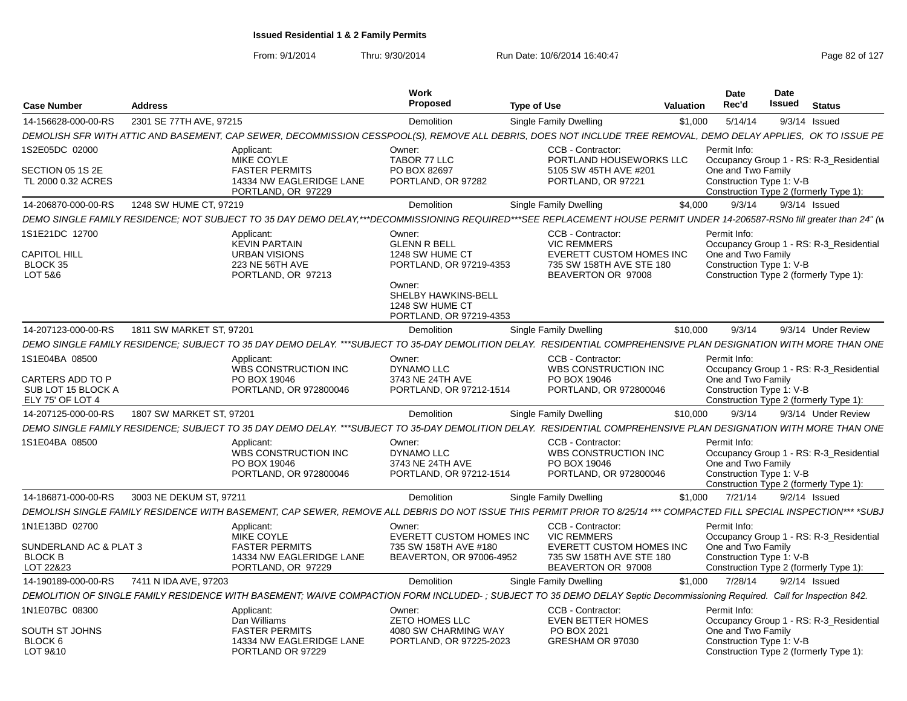From: 9/1/2014

|                                                                              |                          |                                                                                                                                                                          | Work                                                                                                                                                       |                    |                                                                                                                              |           | <b>Date</b>                                                    | Date   |                                                                                   |
|------------------------------------------------------------------------------|--------------------------|--------------------------------------------------------------------------------------------------------------------------------------------------------------------------|------------------------------------------------------------------------------------------------------------------------------------------------------------|--------------------|------------------------------------------------------------------------------------------------------------------------------|-----------|----------------------------------------------------------------|--------|-----------------------------------------------------------------------------------|
| <b>Case Number</b>                                                           | <b>Address</b>           |                                                                                                                                                                          | Proposed                                                                                                                                                   | <b>Type of Use</b> |                                                                                                                              | Valuation | Rec'd                                                          | Issued | <b>Status</b>                                                                     |
| 14-156628-000-00-RS                                                          | 2301 SE 77TH AVE, 97215  |                                                                                                                                                                          | Demolition                                                                                                                                                 |                    | Single Family Dwelling                                                                                                       | \$1.000   | 5/14/14                                                        |        | $9/3/14$ Issued                                                                   |
|                                                                              |                          | DEMOLISH SFR WITH ATTIC AND BASEMENT, CAP SEWER, DECOMMISSION CESSPOOL(S), REMOVE ALL DEBRIS, DOES NOT INCLUDE TREE REMOVAL, DEMO DELAY APPLIES, OK TO ISSUE PE          |                                                                                                                                                            |                    |                                                                                                                              |           |                                                                |        |                                                                                   |
| 1S2E05DC 02000<br>SECTION 05 1S 2E<br>TL 2000 0.32 ACRES                     |                          | Applicant:<br>MIKE COYLE<br><b>FASTER PERMITS</b><br>14334 NW EAGLERIDGE LANE<br>PORTLAND, OR 97229                                                                      | Owner:<br>TABOR 77 LLC<br>PO BOX 82697<br>PORTLAND, OR 97282                                                                                               |                    | CCB - Contractor:<br>PORTLAND HOUSEWORKS LLC<br>5105 SW 45TH AVE #201<br>PORTLAND, OR 97221                                  |           | Permit Info:<br>One and Two Family<br>Construction Type 1: V-B |        | Occupancy Group 1 - RS: R-3_Residential<br>Construction Type 2 (formerly Type 1): |
| 14-206870-000-00-RS                                                          | 1248 SW HUME CT, 97219   |                                                                                                                                                                          | Demolition                                                                                                                                                 |                    | Single Family Dwelling                                                                                                       | \$4.000   | 9/3/14                                                         |        | $9/3/14$ Issued                                                                   |
|                                                                              |                          | DEMO SINGLE FAMILY RESIDENCE: NOT SUBJECT TO 35 DAY DEMO DELAY,***DECOMMISSIONING REQUIRED***SEE REPLACEMENT HOUSE PERMIT UNDER 14-206587-RSNo fill greater than 24" (w  |                                                                                                                                                            |                    |                                                                                                                              |           |                                                                |        |                                                                                   |
| 1S1E21DC 12700<br><b>CAPITOL HILL</b><br>BLOCK 35<br>LOT 5&6                 |                          | Applicant:<br><b>KEVIN PARTAIN</b><br><b>URBAN VISIONS</b><br>223 NE 56TH AVE<br>PORTLAND, OR 97213                                                                      | Owner:<br><b>GLENN R BELL</b><br>1248 SW HUME CT<br>PORTLAND, OR 97219-4353<br>Owner:<br>SHELBY HAWKINS-BELL<br>1248 SW HUME CT<br>PORTLAND, OR 97219-4353 |                    | CCB - Contractor:<br><b>VIC REMMERS</b><br><b>EVERETT CUSTOM HOMES INC</b><br>735 SW 158TH AVE STE 180<br>BEAVERTON OR 97008 |           | Permit Info:<br>One and Two Family<br>Construction Type 1: V-B |        | Occupancy Group 1 - RS: R-3 Residential<br>Construction Type 2 (formerly Type 1): |
| 14-207123-000-00-RS                                                          | 1811 SW MARKET ST, 97201 |                                                                                                                                                                          | <b>Demolition</b>                                                                                                                                          |                    | <b>Single Family Dwelling</b>                                                                                                | \$10,000  | 9/3/14                                                         |        | 9/3/14 Under Review                                                               |
|                                                                              |                          | DEMO SINGLE FAMILY RESIDENCE; SUBJECT TO 35 DAY DEMO DELAY. ***SUBJECT TO 35-DAY DEMOLITION DELAY. RESIDENTIAL COMPREHENSIVE PLAN DESIGNATION WITH MORE THAN ONE         |                                                                                                                                                            |                    |                                                                                                                              |           |                                                                |        |                                                                                   |
| 1S1E04BA 08500<br>CARTERS ADD TO P<br>SUB LOT 15 BLOCK A<br>ELY 75' OF LOT 4 |                          | Applicant:<br>WBS CONSTRUCTION INC<br>PO BOX 19046<br>PORTLAND, OR 972800046                                                                                             | Owner:<br>DYNAMO LLC<br>3743 NE 24TH AVE<br>PORTLAND, OR 97212-1514                                                                                        |                    | CCB - Contractor:<br><b>WBS CONSTRUCTION INC</b><br>PO BOX 19046<br>PORTLAND, OR 972800046                                   |           | Permit Info:<br>One and Two Family<br>Construction Type 1: V-B |        | Occupancy Group 1 - RS: R-3_Residential<br>Construction Type 2 (formerly Type 1): |
| 14-207125-000-00-RS                                                          | 1807 SW MARKET ST, 97201 |                                                                                                                                                                          | <b>Demolition</b>                                                                                                                                          |                    | Single Family Dwelling                                                                                                       | \$10,000  | 9/3/14                                                         |        | 9/3/14 Under Review                                                               |
|                                                                              |                          | DEMO SINGLE FAMILY RESIDENCE: SUBJECT TO 35 DAY DEMO DELAY. ***SUBJECT TO 35-DAY DEMOLITION DELAY. RESIDENTIAL COMPREHENSIVE PLAN DESIGNATION WITH MORE THAN ONE         |                                                                                                                                                            |                    |                                                                                                                              |           |                                                                |        |                                                                                   |
| 1S1E04BA 08500                                                               |                          | Applicant:<br><b>WBS CONSTRUCTION INC</b><br>PO BOX 19046<br>PORTLAND, OR 972800046                                                                                      | Owner:<br>DYNAMO LLC<br>3743 NE 24TH AVE<br>PORTLAND, OR 97212-1514                                                                                        |                    | CCB - Contractor:<br><b>WBS CONSTRUCTION INC</b><br>PO BOX 19046<br>PORTLAND, OR 972800046                                   |           | Permit Info:<br>One and Two Family<br>Construction Type 1: V-B |        | Occupancy Group 1 - RS: R-3 Residential<br>Construction Type 2 (formerly Type 1): |
| 14-186871-000-00-RS                                                          | 3003 NE DEKUM ST, 97211  |                                                                                                                                                                          | <b>Demolition</b>                                                                                                                                          |                    | Single Family Dwelling                                                                                                       | \$1,000   | 7/21/14                                                        |        | $9/2/14$ Issued                                                                   |
|                                                                              |                          | DEMOLISH SINGLE FAMILY RESIDENCE WITH BASEMENT. CAP SEWER. REMOVE ALL DEBRIS DO NOT ISSUE THIS PERMIT PRIOR TO 8/25/14 *** COMPACTED FILL SPECIAL INSPECTION*** *SUBJ    |                                                                                                                                                            |                    |                                                                                                                              |           |                                                                |        |                                                                                   |
| 1N1E13BD 02700<br>SUNDERLAND AC & PLAT 3<br><b>BLOCK B</b><br>LOT 22&23      |                          | Applicant:<br>MIKE COYLE<br><b>FASTER PERMITS</b><br>14334 NW EAGLERIDGE LANE<br>PORTLAND, OR 97229                                                                      | Owner:<br>EVERETT CUSTOM HOMES INC<br>735 SW 158TH AVE #180<br>BEAVERTON, OR 97006-4952                                                                    |                    | CCB - Contractor:<br><b>VIC REMMERS</b><br><b>EVERETT CUSTOM HOMES INC</b><br>735 SW 158TH AVE STE 180<br>BEAVERTON OR 97008 |           | Permit Info:<br>One and Two Family<br>Construction Type 1: V-B |        | Occupancy Group 1 - RS: R-3 Residential<br>Construction Type 2 (formerly Type 1): |
| 14-190189-000-00-RS                                                          | 7411 N IDA AVE, 97203    |                                                                                                                                                                          | Demolition                                                                                                                                                 |                    | Single Family Dwelling                                                                                                       | \$1.000   | 7/28/14                                                        |        | $9/2/14$ Issued                                                                   |
|                                                                              |                          | DEMOLITION OF SINGLE FAMILY RESIDENCE WITH BASEMENT; WAIVE COMPACTION FORM INCLUDED-; SUBJECT TO 35 DEMO DELAY Septic Decommissioning Required. Call for Inspection 842. |                                                                                                                                                            |                    |                                                                                                                              |           |                                                                |        |                                                                                   |
| 1N1E07BC 08300                                                               |                          | Applicant:<br>Dan Williams                                                                                                                                               | Owner:<br><b>ZETO HOMES LLC</b>                                                                                                                            |                    | CCB - Contractor:<br><b>EVEN BETTER HOMES</b>                                                                                |           | Permit Info:                                                   |        | Occupancy Group 1 - RS: R-3 Residential                                           |
| SOUTH ST JOHNS<br>BLOCK 6<br>LOT 9&10                                        |                          | <b>FASTER PERMITS</b><br>14334 NW EAGLERIDGE LANE<br>PORTLAND OR 97229                                                                                                   | 4080 SW CHARMING WAY<br>PORTLAND, OR 97225-2023                                                                                                            |                    | PO BOX 2021<br>GRESHAM OR 97030                                                                                              |           | One and Two Family<br>Construction Type 1: V-B                 |        | Construction Type 2 (formerly Type 1):                                            |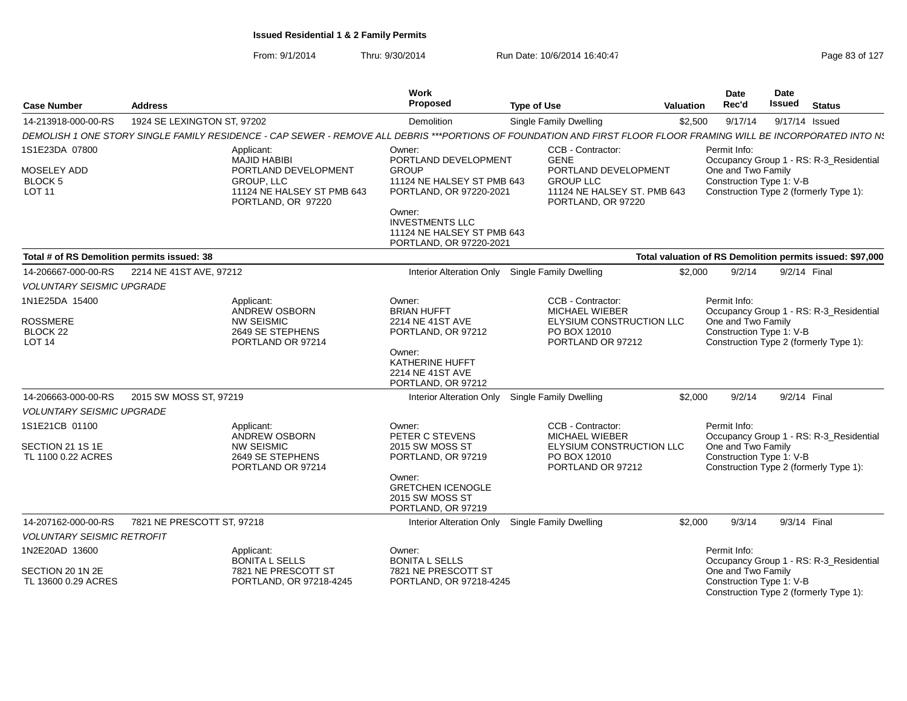| <b>Case Number</b>                             | <b>Address</b>              |                                                                                                                                                                   | Work<br>Proposed                                                                              | <b>Type of Use</b>                                                                                           | Valuation | Date<br>Rec'd                                  | Date<br><b>Issued</b> | <b>Status</b>                                                                     |
|------------------------------------------------|-----------------------------|-------------------------------------------------------------------------------------------------------------------------------------------------------------------|-----------------------------------------------------------------------------------------------|--------------------------------------------------------------------------------------------------------------|-----------|------------------------------------------------|-----------------------|-----------------------------------------------------------------------------------|
| 14-213918-000-00-RS                            | 1924 SE LEXINGTON ST, 97202 |                                                                                                                                                                   | Demolition                                                                                    | <b>Single Family Dwelling</b>                                                                                | \$2,500   | 9/17/14                                        |                       | 9/17/14 Issued                                                                    |
|                                                |                             | DEMOLISH 1 ONE STORY SINGLE FAMILY RESIDENCE - CAP SEWER - REMOVE ALL DEBRIS ***PORTIONS OF FOUNDATION AND FIRST FLOOR FLOOR FRAMING WILL BE INCORPORATED INTO N. |                                                                                               |                                                                                                              |           |                                                |                       |                                                                                   |
| 1S1E23DA 07800                                 |                             | Applicant:                                                                                                                                                        | Owner:                                                                                        | CCB - Contractor:                                                                                            |           | Permit Info:                                   |                       |                                                                                   |
| MOSELEY ADD<br><b>BLOCK 5</b><br><b>LOT 11</b> |                             | <b>MAJID HABIBI</b><br>PORTLAND DEVELOPMENT<br>GROUP, LLC<br>11124 NE HALSEY ST PMB 643<br>PORTLAND, OR 97220                                                     | PORTLAND DEVELOPMENT<br><b>GROUP</b><br>11124 NE HALSEY ST PMB 643<br>PORTLAND, OR 97220-2021 | <b>GENE</b><br>PORTLAND DEVELOPMENT<br><b>GROUP LLC</b><br>11124 NE HALSEY ST. PMB 643<br>PORTLAND, OR 97220 |           | One and Two Family<br>Construction Type 1: V-B |                       | Occupancy Group 1 - RS: R-3 Residential<br>Construction Type 2 (formerly Type 1): |
|                                                |                             |                                                                                                                                                                   | Owner:<br><b>INVESTMENTS LLC</b><br>11124 NE HALSEY ST PMB 643<br>PORTLAND, OR 97220-2021     |                                                                                                              |           |                                                |                       |                                                                                   |
| Total # of RS Demolition permits issued: 38    |                             |                                                                                                                                                                   |                                                                                               |                                                                                                              |           |                                                |                       | Total valuation of RS Demolition permits issued: \$97,000                         |
| 14-206667-000-00-RS                            | 2214 NE 41ST AVE, 97212     |                                                                                                                                                                   |                                                                                               | Interior Alteration Only Single Family Dwelling                                                              | \$2,000   | 9/2/14                                         |                       | 9/2/14 Final                                                                      |
| <b>VOLUNTARY SEISMIC UPGRADE</b>               |                             |                                                                                                                                                                   |                                                                                               |                                                                                                              |           |                                                |                       |                                                                                   |
| 1N1E25DA 15400                                 |                             | Applicant:                                                                                                                                                        | Owner:                                                                                        | CCB - Contractor:                                                                                            |           | Permit Info:                                   |                       |                                                                                   |
| <b>ROSSMERE</b><br>BLOCK 22<br><b>LOT 14</b>   |                             | ANDREW OSBORN<br><b>NW SEISMIC</b><br>2649 SE STEPHENS<br>PORTLAND OR 97214                                                                                       | <b>BRIAN HUFFT</b><br>2214 NE 41ST AVE<br>PORTLAND, OR 97212                                  | <b>MICHAEL WIEBER</b><br>ELYSIUM CONSTRUCTION LLC<br>PO BOX 12010<br>PORTLAND OR 97212                       |           | One and Two Family<br>Construction Type 1: V-B |                       | Occupancy Group 1 - RS: R-3_Residential<br>Construction Type 2 (formerly Type 1): |
|                                                |                             |                                                                                                                                                                   | Owner:<br><b>KATHERINE HUFFT</b><br>2214 NE 41ST AVE<br>PORTLAND, OR 97212                    |                                                                                                              |           |                                                |                       |                                                                                   |
| 14-206663-000-00-RS                            | 2015 SW MOSS ST, 97219      |                                                                                                                                                                   |                                                                                               | Interior Alteration Only Single Family Dwelling                                                              | \$2.000   | 9/2/14                                         |                       | 9/2/14 Final                                                                      |
| <b>VOLUNTARY SEISMIC UPGRADE</b>               |                             |                                                                                                                                                                   |                                                                                               |                                                                                                              |           |                                                |                       |                                                                                   |
| 1S1E21CB 01100                                 |                             | Applicant:<br>ANDREW OSBORN                                                                                                                                       | Owner:<br>PETER C STEVENS                                                                     | CCB - Contractor:<br>MICHAEL WIEBER                                                                          |           | Permit Info:                                   |                       | Occupancy Group 1 - RS: R-3_Residential                                           |
| SECTION 21 1S 1E<br>TL 1100 0.22 ACRES         |                             | <b>NW SEISMIC</b><br>2649 SE STEPHENS<br>PORTLAND OR 97214                                                                                                        | 2015 SW MOSS ST<br>PORTLAND, OR 97219                                                         | ELYSIUM CONSTRUCTION LLC<br>PO BOX 12010<br>PORTLAND OR 97212                                                |           | One and Two Family<br>Construction Type 1: V-B |                       | Construction Type 2 (formerly Type 1):                                            |
|                                                |                             |                                                                                                                                                                   | Owner:<br><b>GRETCHEN ICENOGLE</b><br>2015 SW MOSS ST<br>PORTLAND, OR 97219                   |                                                                                                              |           |                                                |                       |                                                                                   |
| 14-207162-000-00-RS                            | 7821 NE PRESCOTT ST, 97218  |                                                                                                                                                                   | Interior Alteration Only                                                                      | Single Family Dwelling                                                                                       | \$2.000   | 9/3/14                                         |                       | 9/3/14 Final                                                                      |
| <b>VOLUNTARY SEISMIC RETROFIT</b>              |                             |                                                                                                                                                                   |                                                                                               |                                                                                                              |           |                                                |                       |                                                                                   |
| 1N2E20AD 13600                                 |                             | Applicant:<br><b>BONITA L SELLS</b>                                                                                                                               | Owner:<br><b>BONITA L SELLS</b>                                                               |                                                                                                              |           | Permit Info:                                   |                       | Occupancy Group 1 - RS: R-3_Residential                                           |
| SECTION 20 1N 2E<br>TL 13600 0.29 ACRES        |                             | 7821 NE PRESCOTT ST<br>PORTLAND, OR 97218-4245                                                                                                                    | 7821 NE PRESCOTT ST<br>PORTLAND, OR 97218-4245                                                |                                                                                                              |           | One and Two Family<br>Construction Type 1: V-B |                       | Construction Type 2 (formerly Type 1):                                            |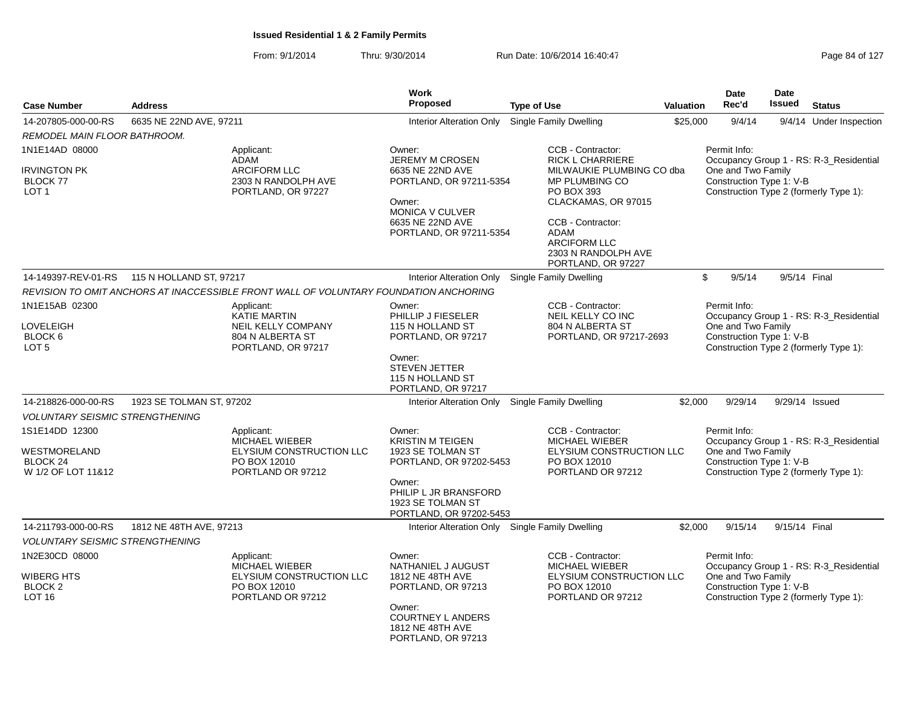From: 9/1/2014Thru: 9/30/2014 Run Date: 10/6/2014 16:40:47 Page 84 of 127

| <b>Case Number</b>                                                      |                                                                                                   | Work<br><b>Proposed</b>                                                                                                                                              |                                                                                                                                                                                                                                   | <b>Valuation</b> | Date<br>Rec'd                                                  | Date<br>Issued                                                                                                                      | <b>Status</b>                                                                     |
|-------------------------------------------------------------------------|---------------------------------------------------------------------------------------------------|----------------------------------------------------------------------------------------------------------------------------------------------------------------------|-----------------------------------------------------------------------------------------------------------------------------------------------------------------------------------------------------------------------------------|------------------|----------------------------------------------------------------|-------------------------------------------------------------------------------------------------------------------------------------|-----------------------------------------------------------------------------------|
|                                                                         | <b>Address</b>                                                                                    |                                                                                                                                                                      | <b>Type of Use</b>                                                                                                                                                                                                                |                  |                                                                |                                                                                                                                     |                                                                                   |
| 14-207805-000-00-RS                                                     | 6635 NE 22ND AVE, 97211                                                                           |                                                                                                                                                                      | Interior Alteration Only Single Family Dwelling                                                                                                                                                                                   | \$25,000         | 9/4/14                                                         |                                                                                                                                     | 9/4/14 Under Inspection                                                           |
| REMODEL MAIN FLOOR BATHROOM.                                            |                                                                                                   |                                                                                                                                                                      |                                                                                                                                                                                                                                   |                  |                                                                |                                                                                                                                     |                                                                                   |
| 1N1E14AD 08000<br>IRVINGTON PK<br><b>BLOCK 77</b><br>LOT <sub>1</sub>   | Applicant:<br>ADAM<br><b>ARCIFORM LLC</b><br>2303 N RANDOLPH AVE<br>PORTLAND, OR 97227            | Owner:<br>JEREMY M CROSEN<br>6635 NE 22ND AVE<br>PORTLAND, OR 97211-5354<br>Owner:<br><b>MONICA V CULVER</b><br>6635 NE 22ND AVE<br>PORTLAND, OR 97211-5354          | CCB - Contractor:<br>RICK L CHARRIERE<br>MILWAUKIE PLUMBING CO dba<br>MP PLUMBING CO<br>PO BOX 393<br>CLACKAMAS, OR 97015<br>CCB - Contractor:<br><b>ADAM</b><br><b>ARCIFORM LLC</b><br>2303 N RANDOLPH AVE<br>PORTLAND, OR 97227 |                  | Permit Info:                                                   | Occupancy Group 1 - RS: R-3_Residential<br>One and Two Family<br>Construction Type 1: V-B<br>Construction Type 2 (formerly Type 1): |                                                                                   |
| 14-149397-REV-01-RS                                                     | 115 N HOLLAND ST, 97217                                                                           | Interior Alteration Only Single Family Dwelling                                                                                                                      |                                                                                                                                                                                                                                   | \$               | 9/5/14                                                         | 9/5/14 Final                                                                                                                        |                                                                                   |
|                                                                         | REVISION TO OMIT ANCHORS AT INACCESSIBLE FRONT WALL OF VOLUNTARY FOUNDATION ANCHORING             |                                                                                                                                                                      |                                                                                                                                                                                                                                   |                  |                                                                |                                                                                                                                     |                                                                                   |
| 1N1E15AB 02300<br>LOVELEIGH<br>BLOCK 6<br>LOT <sub>5</sub>              | Applicant:<br>KATIE MARTIN<br><b>NEIL KELLY COMPANY</b><br>804 N ALBERTA ST<br>PORTLAND, OR 97217 | Owner:<br>PHILLIP J FIESELER<br>115 N HOLLAND ST<br>PORTLAND, OR 97217<br>Owner:<br><b>STEVEN JETTER</b><br>115 N HOLLAND ST<br>PORTLAND, OR 97217                   | CCB - Contractor:<br>NEIL KELLY CO INC<br>804 N ALBERTA ST<br>PORTLAND, OR 97217-2693                                                                                                                                             |                  | Permit Info:<br>One and Two Family<br>Construction Type 1: V-B |                                                                                                                                     | Occupancy Group 1 - RS: R-3_Residential<br>Construction Type 2 (formerly Type 1): |
| 14-218826-000-00-RS                                                     | 1923 SE TOLMAN ST, 97202                                                                          | Interior Alteration Only Single Family Dwelling                                                                                                                      |                                                                                                                                                                                                                                   | \$2,000          | 9/29/14                                                        |                                                                                                                                     | 9/29/14 Issued                                                                    |
| <b>VOLUNTARY SEISMIC STRENGTHENING</b>                                  |                                                                                                   |                                                                                                                                                                      |                                                                                                                                                                                                                                   |                  |                                                                |                                                                                                                                     |                                                                                   |
| 1S1E14DD 12300<br>WESTMORELAND<br>BLOCK 24<br>W 1/2 OF LOT 11&12        | Applicant:<br>MICHAEL WIEBER<br>ELYSIUM CONSTRUCTION LLC<br>PO BOX 12010<br>PORTLAND OR 97212     | Owner:<br><b>KRISTIN M TEIGEN</b><br>1923 SE TOLMAN ST<br>PORTLAND, OR 97202-5453<br>Owner:<br>PHILIP L JR BRANSFORD<br>1923 SE TOLMAN ST<br>PORTLAND, OR 97202-5453 | CCB - Contractor:<br>MICHAEL WIEBER<br>ELYSIUM CONSTRUCTION LLC<br>PO BOX 12010<br>PORTLAND OR 97212                                                                                                                              |                  | Permit Info:<br>One and Two Family<br>Construction Type 1: V-B |                                                                                                                                     | Occupancy Group 1 - RS: R-3 Residential<br>Construction Type 2 (formerly Type 1): |
| 14-211793-000-00-RS                                                     | 1812 NE 48TH AVE, 97213                                                                           | Interior Alteration Only Single Family Dwelling                                                                                                                      |                                                                                                                                                                                                                                   | \$2,000          | 9/15/14                                                        | 9/15/14 Final                                                                                                                       |                                                                                   |
| <b>VOLUNTARY SEISMIC STRENGTHENING</b>                                  |                                                                                                   |                                                                                                                                                                      |                                                                                                                                                                                                                                   |                  |                                                                |                                                                                                                                     |                                                                                   |
| 1N2E30CD 08000<br>WIBERG HTS<br>BLOCK <sub>2</sub><br>LOT <sub>16</sub> | Applicant:<br>MICHAEL WIEBER<br>ELYSIUM CONSTRUCTION LLC<br>PO BOX 12010<br>PORTLAND OR 97212     | Owner:<br>NATHANIEL J AUGUST<br>1812 NE 48TH AVE<br>PORTLAND, OR 97213<br>Owner:<br><b>COURTNEY L ANDERS</b><br>1812 NE 48TH AVE<br>PORTLAND, OR 97213               | CCB - Contractor:<br>MICHAEL WIEBER<br>ELYSIUM CONSTRUCTION LLC<br>PO BOX 12010<br>PORTLAND OR 97212                                                                                                                              |                  | Permit Info:<br>One and Two Family<br>Construction Type 1: V-B |                                                                                                                                     | Occupancy Group 1 - RS: R-3_Residential<br>Construction Type 2 (formerly Type 1): |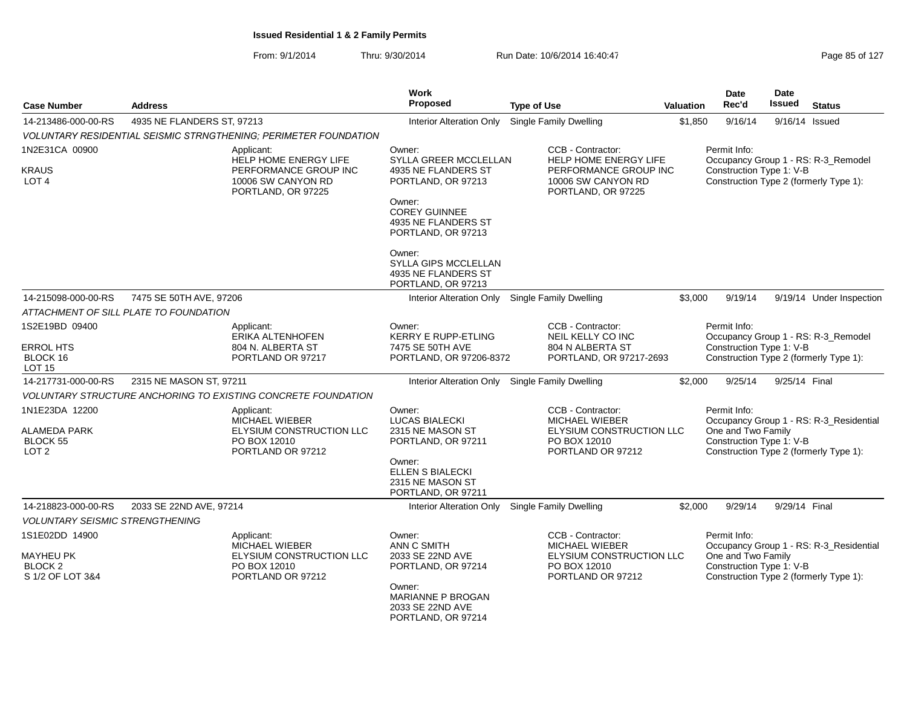| <b>Case Number</b>                                                           | <b>Address</b>                                                                                       | Work<br>Proposed                                                                                                                                         | <b>Type of Use</b>                                                                                          | Valuation | Date<br>Rec'd                                                  | Date<br><b>Issued</b><br><b>Status</b>                                            |
|------------------------------------------------------------------------------|------------------------------------------------------------------------------------------------------|----------------------------------------------------------------------------------------------------------------------------------------------------------|-------------------------------------------------------------------------------------------------------------|-----------|----------------------------------------------------------------|-----------------------------------------------------------------------------------|
| 14-213486-000-00-RS                                                          | 4935 NE FLANDERS ST, 97213                                                                           | <b>Interior Alteration Only</b>                                                                                                                          | <b>Single Family Dwelling</b>                                                                               | \$1,850   | 9/16/14                                                        | 9/16/14 Issued                                                                    |
|                                                                              | VOLUNTARY RESIDENTIAL SEISMIC STRNGTHENING; PERIMETER FOUNDATION                                     |                                                                                                                                                          |                                                                                                             |           |                                                                |                                                                                   |
| 1N2E31CA 00900                                                               | Applicant:                                                                                           | Owner:                                                                                                                                                   | CCB - Contractor:                                                                                           |           | Permit Info:                                                   |                                                                                   |
| <b>KRAUS</b><br>LOT <sub>4</sub>                                             | <b>HELP HOME ENERGY LIFE</b><br>PERFORMANCE GROUP INC<br>10006 SW CANYON RD<br>PORTLAND, OR 97225    | SYLLA GREER MCCLELLAN<br>4935 NE FLANDERS ST<br>PORTLAND, OR 97213<br>Owner:<br><b>COREY GUINNEE</b><br>4935 NE FLANDERS ST<br>PORTLAND, OR 97213        | <b>HELP HOME ENERGY LIFE</b><br>PERFORMANCE GROUP INC<br>10006 SW CANYON RD<br>PORTLAND, OR 97225           |           | Construction Type 1: V-B                                       | Occupancy Group 1 - RS: R-3_Remodel<br>Construction Type 2 (formerly Type 1):     |
|                                                                              |                                                                                                      | Owner:<br>SYLLA GIPS MCCLELLAN<br>4935 NE FLANDERS ST<br>PORTLAND, OR 97213                                                                              |                                                                                                             |           |                                                                |                                                                                   |
| 14-215098-000-00-RS                                                          | 7475 SE 50TH AVE, 97206                                                                              | Interior Alteration Only Single Family Dwelling                                                                                                          |                                                                                                             | \$3,000   | 9/19/14                                                        | 9/19/14 Under Inspection                                                          |
|                                                                              | ATTACHMENT OF SILL PLATE TO FOUNDATION                                                               |                                                                                                                                                          |                                                                                                             |           |                                                                |                                                                                   |
| 1S2E19BD 09400                                                               | Applicant:<br>ERIKA ALTENHOFEN                                                                       | Owner:<br><b>KERRY E RUPP-ETLING</b>                                                                                                                     | CCB - Contractor:<br>NEIL KELLY CO INC                                                                      |           | Permit Info:                                                   | Occupancy Group 1 - RS: R-3_Remodel                                               |
| <b>ERROL HTS</b><br>BLOCK 16<br><b>LOT 15</b>                                | 804 N. ALBERTA ST<br>PORTLAND OR 97217                                                               | 7475 SE 50TH AVE<br>PORTLAND, OR 97206-8372                                                                                                              | 804 N ALBERTA ST<br>PORTLAND, OR 97217-2693                                                                 |           | Construction Type 1: V-B                                       | Construction Type 2 (formerly Type 1):                                            |
| 14-217731-000-00-RS                                                          | 2315 NE MASON ST, 97211                                                                              | Interior Alteration Only Single Family Dwelling                                                                                                          |                                                                                                             | \$2,000   | 9/25/14                                                        | 9/25/14 Final                                                                     |
|                                                                              | VOLUNTARY STRUCTURE ANCHORING TO EXISTING CONCRETE FOUNDATION                                        |                                                                                                                                                          |                                                                                                             |           |                                                                |                                                                                   |
| 1N1E23DA 12200<br><b>ALAMEDA PARK</b><br><b>BLOCK 55</b><br>LOT <sub>2</sub> | Applicant:<br><b>MICHAEL WIEBER</b><br>ELYSIUM CONSTRUCTION LLC<br>PO BOX 12010<br>PORTLAND OR 97212 | Owner:<br><b>LUCAS BIALECKI</b><br>2315 NE MASON ST<br>PORTLAND, OR 97211<br>Owner:<br><b>ELLEN S BIALECKI</b><br>2315 NE MASON ST<br>PORTLAND, OR 97211 | CCB - Contractor:<br><b>MICHAEL WIEBER</b><br>ELYSIUM CONSTRUCTION LLC<br>PO BOX 12010<br>PORTLAND OR 97212 |           | Permit Info:<br>One and Two Family<br>Construction Type 1: V-B | Occupancy Group 1 - RS: R-3_Residential<br>Construction Type 2 (formerly Type 1): |
| 14-218823-000-00-RS                                                          | 2033 SE 22ND AVE, 97214                                                                              | Interior Alteration Only Single Family Dwelling                                                                                                          |                                                                                                             | \$2,000   | 9/29/14                                                        | 9/29/14 Final                                                                     |
| <b>VOLUNTARY SEISMIC STRENGTHENING</b>                                       |                                                                                                      |                                                                                                                                                          |                                                                                                             |           |                                                                |                                                                                   |
| 1S1E02DD 14900<br><b>MAYHEU PK</b><br>BLOCK <sub>2</sub><br>S 1/2 OF LOT 3&4 | Applicant:<br><b>MICHAEL WIEBER</b><br>ELYSIUM CONSTRUCTION LLC<br>PO BOX 12010<br>PORTLAND OR 97212 | Owner:<br>ANN C SMITH<br>2033 SE 22ND AVE<br>PORTLAND, OR 97214<br>Owner:<br>MARIANNE P BROGAN<br>2033 SE 22ND AVE<br>PORTLAND, OR 97214                 | CCB - Contractor:<br><b>MICHAEL WIEBER</b><br>ELYSIUM CONSTRUCTION LLC<br>PO BOX 12010<br>PORTLAND OR 97212 |           | Permit Info:<br>One and Two Family<br>Construction Type 1: V-B | Occupancy Group 1 - RS: R-3_Residential<br>Construction Type 2 (formerly Type 1): |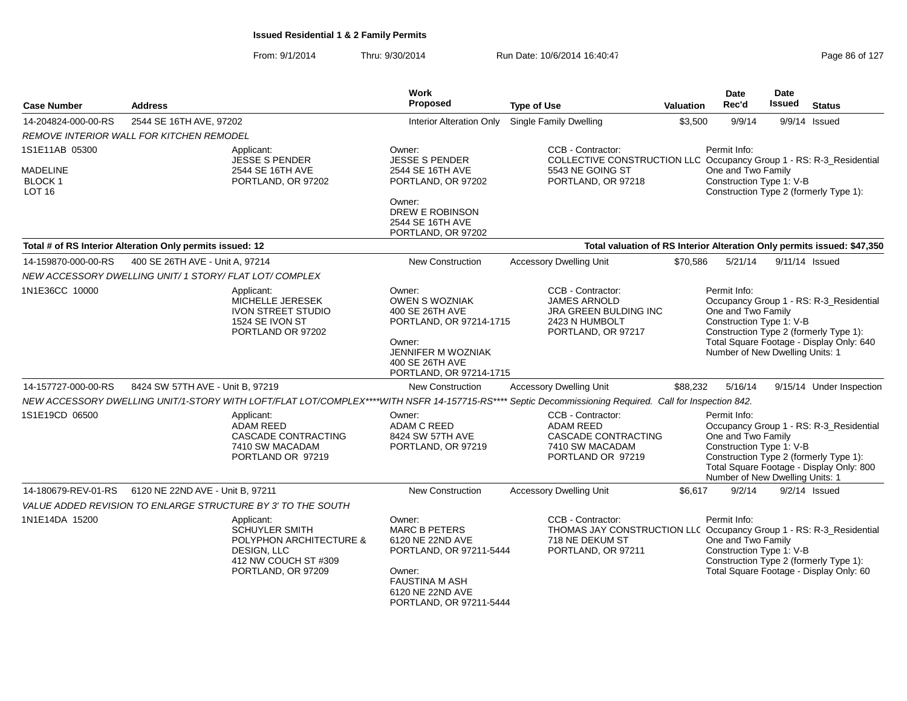| <b>Case Number</b>                                                  | <b>Address</b>                                                                                                                                         | <b>Work</b><br><b>Proposed</b>                                                                                                                                  | <b>Type of Use</b>                                                                                                                 | <b>Valuation</b> | <b>Date</b><br>Rec'd                                                                              | Date<br><b>Issued</b> | <b>Status</b>                                                                                                                 |
|---------------------------------------------------------------------|--------------------------------------------------------------------------------------------------------------------------------------------------------|-----------------------------------------------------------------------------------------------------------------------------------------------------------------|------------------------------------------------------------------------------------------------------------------------------------|------------------|---------------------------------------------------------------------------------------------------|-----------------------|-------------------------------------------------------------------------------------------------------------------------------|
| 14-204824-000-00-RS                                                 | 2544 SE 16TH AVE, 97202                                                                                                                                | <b>Interior Alteration Only</b>                                                                                                                                 | Single Family Dwelling                                                                                                             | \$3,500          | 9/9/14                                                                                            |                       | 9/9/14 Issued                                                                                                                 |
|                                                                     | <b>REMOVE INTERIOR WALL FOR KITCHEN REMODEL</b>                                                                                                        |                                                                                                                                                                 |                                                                                                                                    |                  |                                                                                                   |                       |                                                                                                                               |
| 1S1E11AB 05300<br><b>MADELINE</b><br><b>BLOCK1</b><br><b>LOT 16</b> | Applicant:<br><b>JESSE S PENDER</b><br>2544 SE 16TH AVE<br>PORTLAND, OR 97202                                                                          | Owner:<br><b>JESSE S PENDER</b><br>2544 SE 16TH AVE<br>PORTLAND, OR 97202<br>Owner:<br>DREW E ROBINSON<br>2544 SE 16TH AVE<br>PORTLAND, OR 97202                | CCB - Contractor:<br>COLLECTIVE CONSTRUCTION LLC Occupancy Group 1 - RS: R-3_Residential<br>5543 NE GOING ST<br>PORTLAND, OR 97218 |                  | Permit Info:<br>One and Two Family<br>Construction Type 1: V-B                                    |                       | Construction Type 2 (formerly Type 1):                                                                                        |
|                                                                     | Total # of RS Interior Alteration Only permits issued: 12                                                                                              |                                                                                                                                                                 |                                                                                                                                    |                  |                                                                                                   |                       | Total valuation of RS Interior Alteration Only permits issued: \$47,350                                                       |
| 14-159870-000-00-RS                                                 | 400 SE 26TH AVE - Unit A, 97214<br>NEW ACCESSORY DWELLING UNIT/ 1 STORY/ FLAT LOT/ COMPLEX                                                             | <b>New Construction</b>                                                                                                                                         | <b>Accessory Dwelling Unit</b>                                                                                                     | \$70,586         | 5/21/14                                                                                           |                       | 9/11/14 Issued                                                                                                                |
| 1N1E36CC 10000                                                      | Applicant:<br>MICHELLE JERESEK<br><b>IVON STREET STUDIO</b><br>1524 SE IVON ST<br>PORTLAND OR 97202                                                    | Owner:<br><b>OWEN S WOZNIAK</b><br>400 SE 26TH AVE<br>PORTLAND, OR 97214-1715<br>Owner:<br>JENNIFER M WOZNIAK<br>400 SE 26TH AVE<br>PORTLAND, OR 97214-1715     | CCB - Contractor:<br><b>JAMES ARNOLD</b><br><b>JRA GREEN BULDING INC</b><br>2423 N HUMBOLT<br>PORTLAND, OR 97217                   |                  | Permit Info:<br>One and Two Family<br>Construction Type 1: V-B<br>Number of New Dwelling Units: 1 |                       | Occupancy Group 1 - RS: R-3_Residential<br>Construction Type 2 (formerly Type 1):<br>Total Square Footage - Display Only: 640 |
| 14-157727-000-00-RS                                                 | 8424 SW 57TH AVE - Unit B, 97219                                                                                                                       | <b>New Construction</b>                                                                                                                                         | <b>Accessory Dwelling Unit</b>                                                                                                     | \$88,232         | 5/16/14                                                                                           |                       | 9/15/14 Under Inspection                                                                                                      |
|                                                                     | NEW ACCESSORY DWELLING UNIT/1-STORY WITH LOFT/FLAT LOT/COMPLEX****WITH NSFR 14-157715-RS**** Septic Decommissioning Required. Call for Inspection 842. |                                                                                                                                                                 |                                                                                                                                    |                  |                                                                                                   |                       |                                                                                                                               |
| 1S1E19CD 06500                                                      | Applicant:<br><b>ADAM REED</b><br>CASCADE CONTRACTING<br>7410 SW MACADAM<br>PORTLAND OR 97219                                                          | Owner:<br><b>ADAM C REED</b><br>8424 SW 57TH AVE<br>PORTLAND, OR 97219                                                                                          | CCB - Contractor:<br><b>ADAM REED</b><br>CASCADE CONTRACTING<br>7410 SW MACADAM<br>PORTLAND OR 97219                               |                  | Permit Info:<br>One and Two Family<br>Construction Type 1: V-B<br>Number of New Dwelling Units: 1 |                       | Occupancy Group 1 - RS: R-3_Residential<br>Construction Type 2 (formerly Type 1):<br>Total Square Footage - Display Only: 800 |
| 14-180679-REV-01-RS                                                 | 6120 NE 22ND AVE - Unit B, 97211                                                                                                                       | <b>New Construction</b>                                                                                                                                         | <b>Accessory Dwelling Unit</b>                                                                                                     | \$6,617          | 9/2/14                                                                                            |                       | $9/2/14$ Issued                                                                                                               |
|                                                                     | VALUE ADDED REVISION TO ENLARGE STRUCTURE BY 3' TO THE SOUTH                                                                                           |                                                                                                                                                                 |                                                                                                                                    |                  |                                                                                                   |                       |                                                                                                                               |
| 1N1E14DA 15200                                                      | Applicant:<br><b>SCHUYLER SMITH</b><br>POLYPHON ARCHITECTURE &<br>DESIGN, LLC<br>412 NW COUCH ST #309<br>PORTLAND, OR 97209                            | Owner:<br><b>MARC B PETERS</b><br>6120 NE 22ND AVE<br>PORTLAND, OR 97211-5444<br>Owner:<br><b>FAUSTINA M ASH</b><br>6120 NE 22ND AVE<br>PORTLAND, OR 97211-5444 | CCB - Contractor:<br>THOMAS JAY CONSTRUCTION LLC Occupancy Group 1 - RS: R-3_Residential<br>718 NE DEKUM ST<br>PORTLAND, OR 97211  |                  | Permit Info:<br>One and Two Family<br>Construction Type 1: V-B                                    |                       | Construction Type 2 (formerly Type 1):<br>Total Square Footage - Display Only: 60                                             |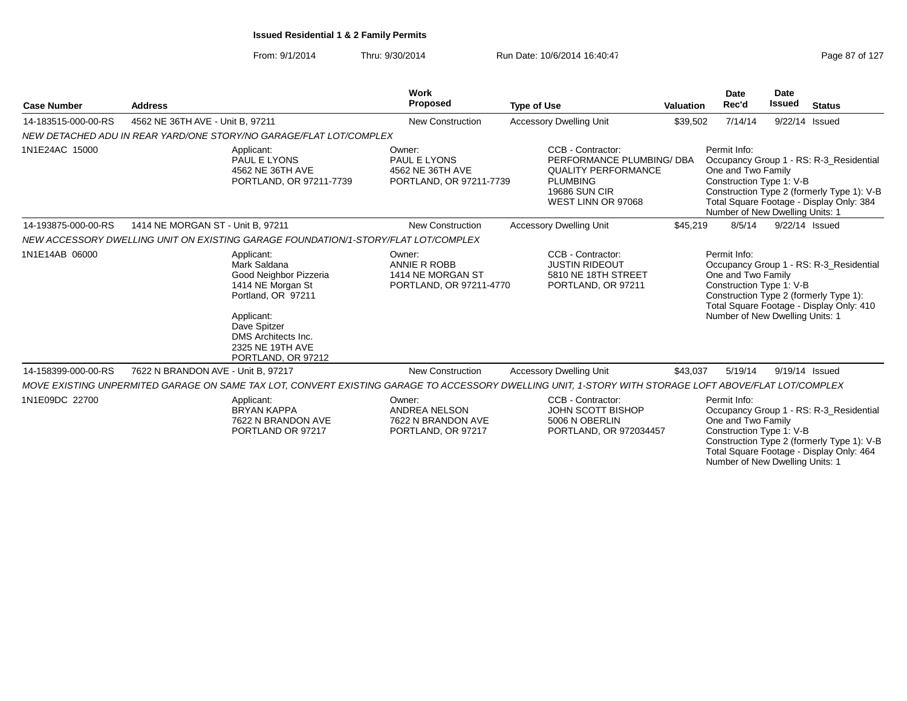From: 9/1/2014Thru: 9/30/2014 Run Date: 10/6/2014 16:40:47 Rege 87 of 127

Number of New Dwelling Units: 1

| <b>Case Number</b>  | <b>Address</b>                     |                                                                                                                                                                                                | Work<br><b>Proposed</b>                                                    | <b>Type of Use</b>                                                                                                                                    | <b>Valuation</b> | <b>Date</b><br>Rec'd                                                                              | <b>Date</b><br><b>Issued</b> | <b>Status</b>                                                                                                                     |
|---------------------|------------------------------------|------------------------------------------------------------------------------------------------------------------------------------------------------------------------------------------------|----------------------------------------------------------------------------|-------------------------------------------------------------------------------------------------------------------------------------------------------|------------------|---------------------------------------------------------------------------------------------------|------------------------------|-----------------------------------------------------------------------------------------------------------------------------------|
| 14-183515-000-00-RS | 4562 NE 36TH AVE - Unit B, 97211   |                                                                                                                                                                                                | <b>New Construction</b>                                                    | <b>Accessory Dwelling Unit</b>                                                                                                                        | \$39,502         | 7/14/14                                                                                           | 9/22/14                      | Issued                                                                                                                            |
|                     |                                    | NEW DETACHED ADU IN REAR YARD/ONE STORY/NO GARAGE/FLAT LOT/COMPLEX                                                                                                                             |                                                                            |                                                                                                                                                       |                  |                                                                                                   |                              |                                                                                                                                   |
| 1N1E24AC 15000      |                                    | Applicant:<br>PAUL E LYONS<br>4562 NE 36TH AVE<br>PORTLAND, OR 97211-7739                                                                                                                      | Owner:<br>PAUL E LYONS<br>4562 NE 36TH AVE<br>PORTLAND, OR 97211-7739      | CCB - Contractor:<br>PERFORMANCE PLUMBING/ DBA<br><b>QUALITY PERFORMANCE</b><br><b>PLUMBING</b><br><b>19686 SUN CIR</b><br>WEST LINN OR 97068         |                  | Permit Info:<br>One and Two Family<br>Construction Type 1: V-B<br>Number of New Dwelling Units: 1 |                              | Occupancy Group 1 - RS: R-3_Residential<br>Construction Type 2 (formerly Type 1): V-B<br>Total Square Footage - Display Only: 384 |
| 14-193875-000-00-RS | 1414 NE MORGAN ST - Unit B, 97211  |                                                                                                                                                                                                | <b>New Construction</b>                                                    | <b>Accessory Dwelling Unit</b>                                                                                                                        | \$45,219         | 8/5/14                                                                                            |                              | 9/22/14 Issued                                                                                                                    |
|                     |                                    | NEW ACCESSORY DWELLING UNIT ON EXISTING GARAGE FOUNDATION/1-STORY/FLAT LOT/COMPLEX                                                                                                             |                                                                            |                                                                                                                                                       |                  |                                                                                                   |                              |                                                                                                                                   |
| 1N1E14AB 06000      |                                    | Applicant:<br>Mark Saldana<br>Good Neighbor Pizzeria<br>1414 NE Morgan St<br>Portland, OR 97211<br>Applicant:<br>Dave Spitzer<br>DMS Architects Inc.<br>2325 NE 19TH AVE<br>PORTLAND, OR 97212 | Owner:<br>ANNIE R ROBB<br>1414 NE MORGAN ST<br>PORTLAND, OR 97211-4770     | CCB - Contractor:<br><b>JUSTIN RIDEOUT</b><br>5810 NE 18TH STREET<br>PORTLAND, OR 97211                                                               |                  | Permit Info:<br>One and Two Family<br>Construction Type 1: V-B<br>Number of New Dwelling Units: 1 |                              | Occupancy Group 1 - RS: R-3_Residential<br>Construction Type 2 (formerly Type 1):<br>Total Square Footage - Display Only: 410     |
| 14-158399-000-00-RS | 7622 N BRANDON AVE - Unit B, 97217 |                                                                                                                                                                                                | <b>New Construction</b>                                                    | <b>Accessory Dwelling Unit</b>                                                                                                                        | \$43,037         | 5/19/14                                                                                           |                              | 9/19/14 Issued                                                                                                                    |
|                     |                                    |                                                                                                                                                                                                |                                                                            | MOVE EXISTING UNPERMITED GARAGE ON SAME TAX LOT, CONVERT EXISTING GARAGE TO ACCESSORY DWELLING UNIT, 1-STORY WITH STORAGE LOFT ABOVE/FLAT LOT/COMPLEX |                  |                                                                                                   |                              |                                                                                                                                   |
| 1N1E09DC 22700      |                                    | Applicant:<br><b>BRYAN KAPPA</b><br>7622 N BRANDON AVE<br>PORTLAND OR 97217                                                                                                                    | Owner:<br><b>ANDREA NELSON</b><br>7622 N BRANDON AVE<br>PORTLAND, OR 97217 | CCB - Contractor:<br>JOHN SCOTT BISHOP<br>5006 N OBERLIN<br>PORTLAND, OR 972034457                                                                    |                  | Permit Info:<br>One and Two Family<br>Construction Type 1: V-B                                    |                              | Occupancy Group 1 - RS: R-3 Residential<br>Construction Type 2 (formerly Type 1): V-B<br>Total Square Footage - Display Only: 464 |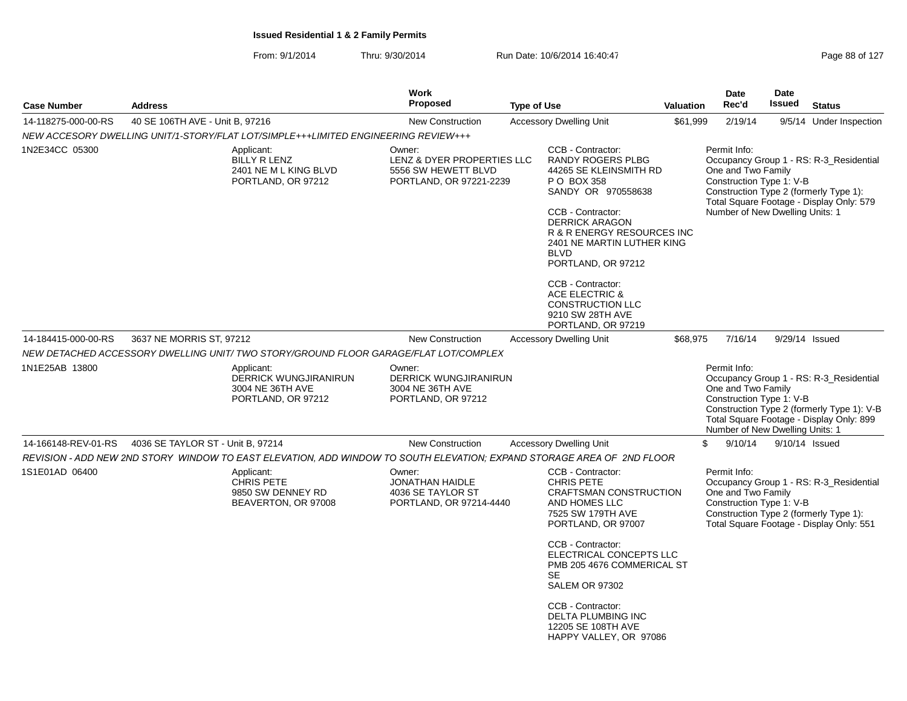|                     |                                                                                                                        | <b>Work</b>                                                                            |                                                                                                                                                                                                                                                             | Date<br>Date |                                                                                                   |        |                                                                                                                                   |  |
|---------------------|------------------------------------------------------------------------------------------------------------------------|----------------------------------------------------------------------------------------|-------------------------------------------------------------------------------------------------------------------------------------------------------------------------------------------------------------------------------------------------------------|--------------|---------------------------------------------------------------------------------------------------|--------|-----------------------------------------------------------------------------------------------------------------------------------|--|
| <b>Case Number</b>  | <b>Address</b>                                                                                                         | <b>Proposed</b>                                                                        | <b>Type of Use</b>                                                                                                                                                                                                                                          | Valuation    | Rec'd                                                                                             | Issued | <b>Status</b>                                                                                                                     |  |
| 14-118275-000-00-RS | 40 SE 106TH AVE - Unit B, 97216                                                                                        | <b>New Construction</b>                                                                | <b>Accessory Dwelling Unit</b>                                                                                                                                                                                                                              | \$61,999     | 2/19/14                                                                                           |        | 9/5/14 Under Inspection                                                                                                           |  |
|                     | NEW ACCESORY DWELLING UNIT/1-STORY/FLAT LOT/SIMPLE+++LIMITED ENGINEERING REVIEW+++                                     |                                                                                        |                                                                                                                                                                                                                                                             |              |                                                                                                   |        |                                                                                                                                   |  |
| 1N2E34CC 05300      | Applicant:<br><b>BILLY R LENZ</b><br>2401 NE M L KING BLVD<br>PORTLAND, OR 97212                                       | Owner:<br>LENZ & DYER PROPERTIES LLC<br>5556 SW HEWETT BLVD<br>PORTLAND, OR 97221-2239 | CCB - Contractor:<br><b>RANDY ROGERS PLBG</b><br>44265 SE KLEINSMITH RD<br>P O BOX 358<br>SANDY OR 970558638<br>CCB - Contractor:<br><b>DERRICK ARAGON</b><br>R & R ENERGY RESOURCES INC<br>2401 NE MARTIN LUTHER KING<br><b>BLVD</b><br>PORTLAND, OR 97212 |              | Permit Info:<br>One and Two Family<br>Construction Type 1: V-B<br>Number of New Dwelling Units: 1 |        | Occupancy Group 1 - RS: R-3_Residential<br>Construction Type 2 (formerly Type 1):<br>Total Square Footage - Display Only: 579     |  |
|                     |                                                                                                                        |                                                                                        | CCB - Contractor:<br><b>ACE ELECTRIC &amp;</b><br><b>CONSTRUCTION LLC</b><br>9210 SW 28TH AVE<br>PORTLAND, OR 97219                                                                                                                                         |              |                                                                                                   |        |                                                                                                                                   |  |
| 14-184415-000-00-RS | 3637 NE MORRIS ST, 97212                                                                                               | <b>New Construction</b>                                                                | <b>Accessory Dwelling Unit</b>                                                                                                                                                                                                                              | \$68,975     | 7/16/14                                                                                           |        | 9/29/14 Issued                                                                                                                    |  |
|                     | NEW DETACHED ACCESSORY DWELLING UNIT/ TWO STORY/GROUND FLOOR GARAGE/FLAT LOT/COMPLEX                                   |                                                                                        |                                                                                                                                                                                                                                                             |              |                                                                                                   |        |                                                                                                                                   |  |
| 1N1E25AB 13800      | Applicant:<br><b>DERRICK WUNGJIRANIRUN</b><br>3004 NE 36TH AVE<br>PORTLAND, OR 97212                                   | Owner:<br><b>DERRICK WUNGJIRANIRUN</b><br>3004 NE 36TH AVE<br>PORTLAND, OR 97212       |                                                                                                                                                                                                                                                             |              | Permit Info:<br>One and Two Family<br>Construction Type 1: V-B<br>Number of New Dwelling Units: 1 |        | Occupancy Group 1 - RS: R-3 Residential<br>Construction Type 2 (formerly Type 1): V-B<br>Total Square Footage - Display Only: 899 |  |
| 14-166148-REV-01-RS | 4036 SE TAYLOR ST - Unit B, 97214                                                                                      | <b>New Construction</b>                                                                | <b>Accessory Dwelling Unit</b>                                                                                                                                                                                                                              |              | \$<br>9/10/14                                                                                     |        | 9/10/14 Issued                                                                                                                    |  |
|                     | REVISION - ADD NEW 2ND STORY WINDOW TO EAST ELEVATION, ADD WINDOW TO SOUTH ELEVATION; EXPAND STORAGE AREA OF 2ND FLOOR |                                                                                        |                                                                                                                                                                                                                                                             |              |                                                                                                   |        |                                                                                                                                   |  |
| 1S1E01AD 06400      | Applicant:<br><b>CHRIS PETE</b><br>9850 SW DENNEY RD<br>BEAVERTON, OR 97008                                            | Owner:<br><b>JONATHAN HAIDLE</b><br>4036 SE TAYLOR ST<br>PORTLAND, OR 97214-4440       | CCB - Contractor:<br><b>CHRIS PETE</b><br>CRAFTSMAN CONSTRUCTION<br>AND HOMES LLC<br>7525 SW 179TH AVE<br>PORTLAND, OR 97007                                                                                                                                |              | Permit Info:<br>One and Two Family<br>Construction Type 1: V-B                                    |        | Occupancy Group 1 - RS: R-3 Residential<br>Construction Type 2 (formerly Type 1):<br>Total Square Footage - Display Only: 551     |  |
|                     |                                                                                                                        |                                                                                        | CCB - Contractor:<br>ELECTRICAL CONCEPTS LLC<br>PMB 205 4676 COMMERICAL ST<br><b>SE</b><br><b>SALEM OR 97302</b>                                                                                                                                            |              |                                                                                                   |        |                                                                                                                                   |  |
|                     |                                                                                                                        |                                                                                        | CCB - Contractor:<br>DELTA PLUMBING INC<br>12205 SE 108TH AVE<br>HAPPY VALLEY, OR 97086                                                                                                                                                                     |              |                                                                                                   |        |                                                                                                                                   |  |
|                     |                                                                                                                        |                                                                                        |                                                                                                                                                                                                                                                             |              |                                                                                                   |        |                                                                                                                                   |  |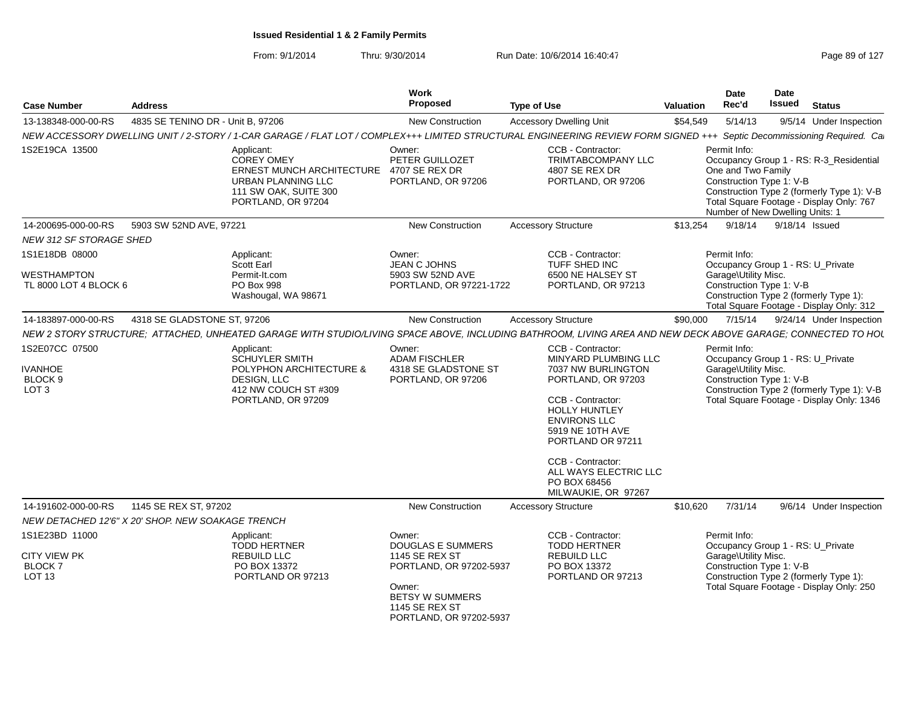| <b>Case Number</b>                                                         | <b>Address</b>                    |                                                                                                                                                                        | Work<br><b>Proposed</b>                                                                                                                                              | <b>Type of Use</b>                                                                                                                                                                                                                                                                             | Valuation | <b>Date</b><br>Rec'd                                                                              | <b>Date</b><br>Issued | <b>Status</b>                                                                                                                     |
|----------------------------------------------------------------------------|-----------------------------------|------------------------------------------------------------------------------------------------------------------------------------------------------------------------|----------------------------------------------------------------------------------------------------------------------------------------------------------------------|------------------------------------------------------------------------------------------------------------------------------------------------------------------------------------------------------------------------------------------------------------------------------------------------|-----------|---------------------------------------------------------------------------------------------------|-----------------------|-----------------------------------------------------------------------------------------------------------------------------------|
| 13-138348-000-00-RS                                                        | 4835 SE TENINO DR - Unit B. 97206 |                                                                                                                                                                        | <b>New Construction</b>                                                                                                                                              | <b>Accessory Dwelling Unit</b>                                                                                                                                                                                                                                                                 | \$54,549  | 5/14/13                                                                                           |                       | 9/5/14 Under Inspection                                                                                                           |
|                                                                            |                                   | NEW ACCESSORY DWELLING UNIT / 2-STORY / 1-CAR GARAGE / FLAT LOT / COMPLEX+++ LIMITED STRUCTURAL ENGINEERING REVIEW FORM SIGNED +++ Septic Decommissioning Required. Ca |                                                                                                                                                                      |                                                                                                                                                                                                                                                                                                |           |                                                                                                   |                       |                                                                                                                                   |
| 1S2E19CA 13500                                                             |                                   | Applicant:<br><b>COREY OMEY</b><br>ERNEST MUNCH ARCHITECTURE<br>URBAN PLANNING LLC<br>111 SW OAK, SUITE 300<br>PORTLAND, OR 97204                                      | Owner:<br>PETER GUILLOZET<br>4707 SE REX DR<br>PORTLAND, OR 97206                                                                                                    | CCB - Contractor:<br><b>TRIMTABCOMPANY LLC</b><br>4807 SE REX DR<br>PORTLAND, OR 97206                                                                                                                                                                                                         |           | Permit Info:<br>One and Two Family<br>Construction Type 1: V-B<br>Number of New Dwelling Units: 1 |                       | Occupancy Group 1 - RS: R-3_Residential<br>Construction Type 2 (formerly Type 1): V-B<br>Total Square Footage - Display Only: 767 |
| 14-200695-000-00-RS                                                        | 5903 SW 52ND AVE, 97221           |                                                                                                                                                                        | <b>New Construction</b>                                                                                                                                              | <b>Accessory Structure</b>                                                                                                                                                                                                                                                                     | \$13,254  | 9/18/14                                                                                           |                       | 9/18/14 Issued                                                                                                                    |
| <b>NEW 312 SF STORAGE SHED</b>                                             |                                   |                                                                                                                                                                        |                                                                                                                                                                      |                                                                                                                                                                                                                                                                                                |           |                                                                                                   |                       |                                                                                                                                   |
| 1S1E18DB 08000<br><b>WESTHAMPTON</b><br>TL 8000 LOT 4 BLOCK 6              |                                   | Applicant:<br><b>Scott Earl</b><br>Permit-It.com<br>PO Box 998<br>Washougal, WA 98671                                                                                  | Owner:<br>JEAN C JOHNS<br>5903 SW 52ND AVE<br>PORTLAND, OR 97221-1722                                                                                                | CCB - Contractor:<br>TUFF SHED INC<br>6500 NE HALSEY ST<br>PORTLAND, OR 97213                                                                                                                                                                                                                  |           | Permit Info:<br>Garage\Utility Misc.<br>Construction Type 1: V-B                                  |                       | Occupancy Group 1 - RS: U_Private<br>Construction Type 2 (formerly Type 1):<br>Total Square Footage - Display Only: 312           |
| 14-183897-000-00-RS                                                        | 4318 SE GLADSTONE ST, 97206       |                                                                                                                                                                        | <b>New Construction</b>                                                                                                                                              | <b>Accessory Structure</b>                                                                                                                                                                                                                                                                     | \$90,000  | 7/15/14                                                                                           |                       | 9/24/14 Under Inspection                                                                                                          |
|                                                                            |                                   | NEW 2 STORY STRUCTURE: ATTACHED, UNHEATED GARAGE WITH STUDIO/LIVING SPACE ABOVE, INCLUDING BATHROOM, LIVING AREA AND NEW DECK ABOVE GARAGE; CONNECTED TO HOU           |                                                                                                                                                                      |                                                                                                                                                                                                                                                                                                |           |                                                                                                   |                       |                                                                                                                                   |
| 1S2E07CC 07500<br><b>IVANHOE</b><br>BLOCK <sub>9</sub><br>LOT <sub>3</sub> |                                   | Applicant:<br><b>SCHUYLER SMITH</b><br>POLYPHON ARCHITECTURE &<br>DESIGN, LLC<br>412 NW COUCH ST #309<br>PORTLAND, OR 97209                                            | Owner:<br><b>ADAM FISCHLER</b><br>4318 SE GLADSTONE ST<br>PORTLAND, OR 97206                                                                                         | CCB - Contractor:<br><b>MINYARD PLUMBING LLC</b><br>7037 NW BURLINGTON<br>PORTLAND, OR 97203<br>CCB - Contractor:<br><b>HOLLY HUNTLEY</b><br><b>ENVIRONS LLC</b><br>5919 NE 10TH AVE<br>PORTLAND OR 97211<br>CCB - Contractor:<br>ALL WAYS ELECTRIC LLC<br>PO BOX 68456<br>MILWAUKIE, OR 97267 |           | Permit Info:<br>Garage\Utility Misc.<br>Construction Type 1: V-B                                  |                       | Occupancy Group 1 - RS: U_Private<br>Construction Type 2 (formerly Type 1): V-B<br>Total Square Footage - Display Only: 1346      |
| 14-191602-000-00-RS<br>NEW DETACHED 12'6" X 20' SHOP. NEW SOAKAGE TRENCH   | 1145 SE REX ST, 97202             |                                                                                                                                                                        | <b>New Construction</b>                                                                                                                                              | <b>Accessory Structure</b>                                                                                                                                                                                                                                                                     | \$10,620  | 7/31/14                                                                                           |                       | 9/6/14 Under Inspection                                                                                                           |
| 1S1E23BD 11000                                                             |                                   | Applicant:                                                                                                                                                             | Owner:                                                                                                                                                               | CCB - Contractor:                                                                                                                                                                                                                                                                              |           | Permit Info:                                                                                      |                       |                                                                                                                                   |
| <b>CITY VIEW PK</b><br><b>BLOCK7</b><br><b>LOT 13</b>                      |                                   | <b>TODD HERTNER</b><br><b>REBUILD LLC</b><br>PO BOX 13372<br>PORTLAND OR 97213                                                                                         | <b>DOUGLAS E SUMMERS</b><br><b>1145 SE REX ST</b><br>PORTLAND, OR 97202-5937<br>Owner:<br><b>BETSY W SUMMERS</b><br><b>1145 SE REX ST</b><br>PORTLAND, OR 97202-5937 | <b>TODD HERTNER</b><br><b>REBUILD LLC</b><br>PO BOX 13372<br>PORTLAND OR 97213                                                                                                                                                                                                                 |           | Garage\Utility Misc.<br>Construction Type 1: V-B                                                  |                       | Occupancy Group 1 - RS: U Private<br>Construction Type 2 (formerly Type 1):<br>Total Square Footage - Display Only: 250           |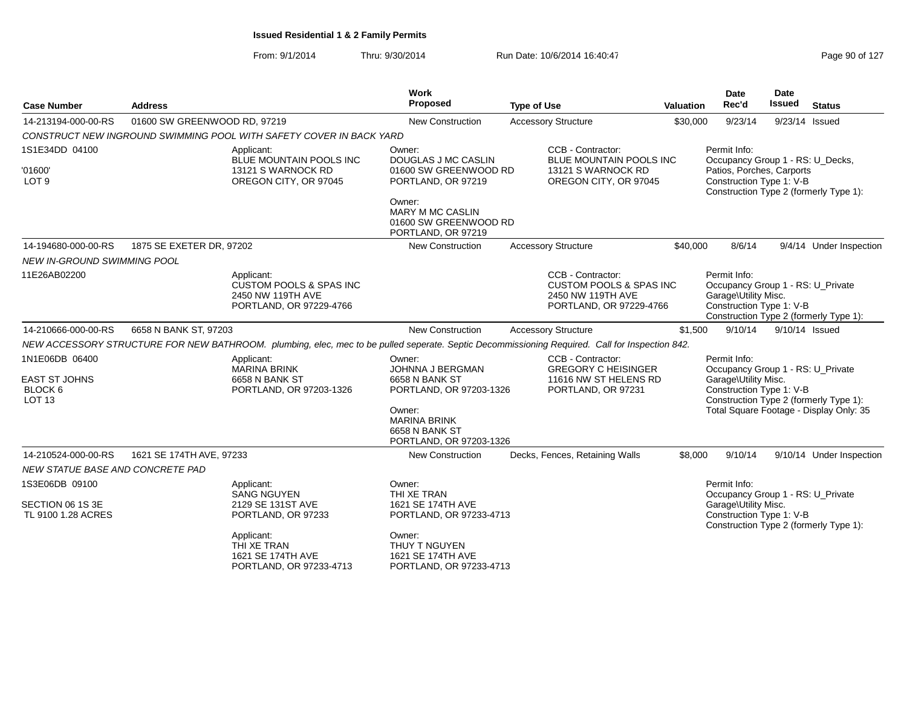| <b>Case Number</b>                                                     | <b>Address</b>               |                                                                                                                                                          | Work<br>Proposed                                                                                                                                      | <b>Type of Use</b>                      | <b>Valuation</b>                                                       | Date<br>Rec'd                                                                                                                                                                              | Date<br><b>Issued</b> | <b>Status</b>                          |
|------------------------------------------------------------------------|------------------------------|----------------------------------------------------------------------------------------------------------------------------------------------------------|-------------------------------------------------------------------------------------------------------------------------------------------------------|-----------------------------------------|------------------------------------------------------------------------|--------------------------------------------------------------------------------------------------------------------------------------------------------------------------------------------|-----------------------|----------------------------------------|
| 14-213194-000-00-RS                                                    | 01600 SW GREENWOOD RD, 97219 |                                                                                                                                                          | <b>New Construction</b>                                                                                                                               | <b>Accessory Structure</b>              | \$30,000                                                               | 9/23/14                                                                                                                                                                                    |                       | 9/23/14 Issued                         |
|                                                                        |                              | CONSTRUCT NEW INGROUND SWIMMING POOL WITH SAFETY COVER IN BACK YARD                                                                                      |                                                                                                                                                       |                                         |                                                                        |                                                                                                                                                                                            |                       |                                        |
| 1S1E34DD 04100<br>'01600'<br>LOT <sub>9</sub>                          |                              | Applicant:<br>BLUE MOUNTAIN POOLS INC<br>13121 S WARNOCK RD<br>OREGON CITY, OR 97045                                                                     | Owner:<br><b>DOUGLAS J MC CASLIN</b><br>01600 SW GREENWOOD RD<br>PORTLAND, OR 97219<br>Owner:<br><b>MARY M MC CASLIN</b>                              | CCB - Contractor:                       | BLUE MOUNTAIN POOLS INC<br>13121 S WARNOCK RD<br>OREGON CITY, OR 97045 | Permit Info:<br>Occupancy Group 1 - RS: U_Decks,<br>Patios, Porches, Carports<br>Construction Type 1: V-B                                                                                  |                       | Construction Type 2 (formerly Type 1): |
|                                                                        |                              |                                                                                                                                                          | 01600 SW GREENWOOD RD<br>PORTLAND, OR 97219                                                                                                           |                                         |                                                                        |                                                                                                                                                                                            |                       |                                        |
| 14-194680-000-00-RS                                                    | 1875 SE EXETER DR, 97202     |                                                                                                                                                          | <b>New Construction</b>                                                                                                                               | <b>Accessory Structure</b>              | \$40,000                                                               | 8/6/14                                                                                                                                                                                     |                       | 9/4/14 Under Inspection                |
| <b>NEW IN-GROUND SWIMMING POOL</b>                                     |                              |                                                                                                                                                          |                                                                                                                                                       |                                         |                                                                        |                                                                                                                                                                                            |                       |                                        |
| 11E26AB02200                                                           |                              | Applicant:<br><b>CUSTOM POOLS &amp; SPAS INC</b><br>2450 NW 119TH AVE<br>PORTLAND, OR 97229-4766                                                         |                                                                                                                                                       | CCB - Contractor:<br>2450 NW 119TH AVE  | <b>CUSTOM POOLS &amp; SPAS INC</b><br>PORTLAND, OR 97229-4766          | Permit Info:<br>Occupancy Group 1 - RS: U_Private<br>Garage\Utility Misc.<br>Construction Type 1: V-B                                                                                      |                       | Construction Type 2 (formerly Type 1): |
| 14-210666-000-00-RS                                                    | 6658 N BANK ST, 97203        |                                                                                                                                                          | <b>New Construction</b>                                                                                                                               | <b>Accessory Structure</b>              | \$1,500                                                                | 9/10/14                                                                                                                                                                                    |                       | 9/10/14 Issued                         |
|                                                                        |                              | NEW ACCESSORY STRUCTURE FOR NEW BATHROOM. plumbing, elec, mec to be pulled seperate. Septic Decommissioning Required. Call for Inspection 842.           |                                                                                                                                                       |                                         |                                                                        |                                                                                                                                                                                            |                       |                                        |
| 1N1E06DB 06400<br>EAST ST JOHNS<br>BLOCK <sub>6</sub><br><b>LOT 13</b> |                              | Applicant:<br><b>MARINA BRINK</b><br>6658 N BANK ST<br>PORTLAND, OR 97203-1326                                                                           | Owner:<br>JOHNNA J BERGMAN<br>6658 N BANK ST<br>PORTLAND, OR 97203-1326<br>Owner:<br><b>MARINA BRINK</b><br>6658 N BANK ST<br>PORTLAND, OR 97203-1326 | CCB - Contractor:<br>PORTLAND, OR 97231 | <b>GREGORY C HEISINGER</b><br>11616 NW ST HELENS RD                    | Permit Info:<br>Occupancy Group 1 - RS: U_Private<br>Garage\Utility Misc.<br>Construction Type 1: V-B<br>Construction Type 2 (formerly Type 1):<br>Total Square Footage - Display Only: 35 |                       |                                        |
| 14-210524-000-00-RS                                                    | 1621 SE 174TH AVE, 97233     |                                                                                                                                                          | <b>New Construction</b>                                                                                                                               | Decks, Fences, Retaining Walls          | \$8,000                                                                | 9/10/14                                                                                                                                                                                    |                       | 9/10/14 Under Inspection               |
| <b>NEW STATUE BASE AND CONCRETE PAD</b>                                |                              |                                                                                                                                                          |                                                                                                                                                       |                                         |                                                                        |                                                                                                                                                                                            |                       |                                        |
| 1S3E06DB 09100<br>SECTION 06 1S 3E<br>TL 9100 1.28 ACRES               |                              | Applicant:<br><b>SANG NGUYEN</b><br>2129 SE 131ST AVE<br>PORTLAND, OR 97233<br>Applicant:<br>THI XE TRAN<br>1621 SE 174TH AVE<br>PORTLAND, OR 97233-4713 | Owner:<br>THI XE TRAN<br>1621 SE 174TH AVE<br>PORTLAND, OR 97233-4713<br>Owner:<br>THUY T NGUYEN<br>1621 SE 174TH AVE<br>PORTLAND, OR 97233-4713      |                                         |                                                                        | Permit Info:<br>Occupancy Group 1 - RS: U_Private<br>Garage\Utility Misc.<br>Construction Type 1: V-B                                                                                      |                       | Construction Type 2 (formerly Type 1): |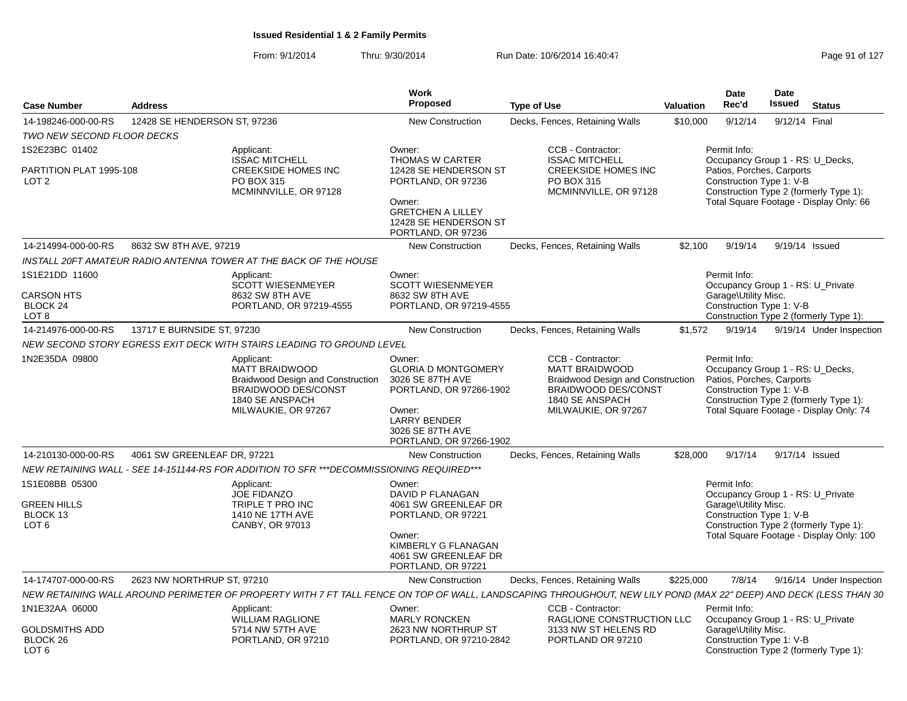|                                                                      |                              |                                                                                                                                                                  | <b>Work</b>                                                                                                                                                         |                                                                                                                                                                |           | Date                                                                  | Date          |                                                                                                                         |
|----------------------------------------------------------------------|------------------------------|------------------------------------------------------------------------------------------------------------------------------------------------------------------|---------------------------------------------------------------------------------------------------------------------------------------------------------------------|----------------------------------------------------------------------------------------------------------------------------------------------------------------|-----------|-----------------------------------------------------------------------|---------------|-------------------------------------------------------------------------------------------------------------------------|
| <b>Case Number</b>                                                   | <b>Address</b>               |                                                                                                                                                                  | Proposed                                                                                                                                                            | <b>Type of Use</b>                                                                                                                                             | Valuation | Rec'd                                                                 | <b>Issued</b> | <b>Status</b>                                                                                                           |
| 14-198246-000-00-RS                                                  | 12428 SE HENDERSON ST, 97236 |                                                                                                                                                                  | <b>New Construction</b>                                                                                                                                             | Decks, Fences, Retaining Walls                                                                                                                                 | \$10,000  | 9/12/14                                                               |               | 9/12/14 Final                                                                                                           |
| TWO NEW SECOND FLOOR DECKS                                           |                              |                                                                                                                                                                  |                                                                                                                                                                     |                                                                                                                                                                |           |                                                                       |               |                                                                                                                         |
| 1S2E23BC 01402<br>PARTITION PLAT 1995-108                            |                              | Applicant:<br><b>ISSAC MITCHELL</b><br><b>CREEKSIDE HOMES INC</b>                                                                                                | Owner:<br><b>THOMAS W CARTER</b><br>12428 SE HENDERSON ST                                                                                                           | CCB - Contractor:<br><b>ISSAC MITCHELL</b><br><b>CREEKSIDE HOMES INC</b>                                                                                       |           | Permit Info:<br>Patios, Porches, Carports                             |               | Occupancy Group 1 - RS: U_Decks,                                                                                        |
| LOT <sub>2</sub>                                                     |                              | PO BOX 315<br>MCMINNVILLE, OR 97128                                                                                                                              | PORTLAND, OR 97236<br>Owner:<br><b>GRETCHEN A LILLEY</b><br>12428 SE HENDERSON ST<br>PORTLAND, OR 97236                                                             | PO BOX 315<br>MCMINNVILLE, OR 97128                                                                                                                            |           | Construction Type 1: V-B                                              |               | Construction Type 2 (formerly Type 1):<br>Total Square Footage - Display Only: 66                                       |
| 14-214994-000-00-RS                                                  | 8632 SW 8TH AVE, 97219       |                                                                                                                                                                  | <b>New Construction</b>                                                                                                                                             | Decks, Fences, Retaining Walls                                                                                                                                 | \$2.100   | 9/19/14                                                               |               | 9/19/14 Issued                                                                                                          |
|                                                                      |                              | INSTALL 20FT AMATEUR RADIO ANTENNA TOWER AT THE BACK OF THE HOUSE                                                                                                |                                                                                                                                                                     |                                                                                                                                                                |           |                                                                       |               |                                                                                                                         |
| 1S1E21DD 11600<br><b>CARSON HTS</b>                                  |                              | Applicant:<br><b>SCOTT WIESENMEYER</b><br>8632 SW 8TH AVE                                                                                                        | Owner:<br><b>SCOTT WIESENMEYER</b><br>8632 SW 8TH AVE                                                                                                               |                                                                                                                                                                |           | Permit Info:<br>Garage\Utility Misc.                                  |               | Occupancy Group 1 - RS: U_Private                                                                                       |
| BLOCK 24<br>LOT <sub>8</sub>                                         |                              | PORTLAND, OR 97219-4555                                                                                                                                          | PORTLAND, OR 97219-4555                                                                                                                                             |                                                                                                                                                                |           | Construction Type 1: V-B                                              |               | Construction Type 2 (formerly Type 1):                                                                                  |
| 14-214976-000-00-RS                                                  | 13717 E BURNSIDE ST, 97230   |                                                                                                                                                                  | <b>New Construction</b>                                                                                                                                             | Decks, Fences, Retaining Walls                                                                                                                                 | \$1,572   | 9/19/14                                                               |               | 9/19/14 Under Inspection                                                                                                |
|                                                                      |                              | NEW SECOND STORY EGRESS EXIT DECK WITH STAIRS LEADING TO GROUND LEVEL                                                                                            |                                                                                                                                                                     |                                                                                                                                                                |           |                                                                       |               |                                                                                                                         |
| 1N2E35DA 09800                                                       |                              | Applicant:<br><b>MATT BRAIDWOOD</b><br><b>Braidwood Design and Construction</b><br>BRAIDWOOD DES/CONST<br>1840 SE ANSPACH<br>MILWAUKIE, OR 97267                 | Owner:<br><b>GLORIA D MONTGOMERY</b><br>3026 SE 87TH AVE<br>PORTLAND, OR 97266-1902<br>Owner:<br><b>LARRY BENDER</b><br>3026 SE 87TH AVE<br>PORTLAND, OR 97266-1902 | CCB - Contractor:<br><b>MATT BRAIDWOOD</b><br><b>Braidwood Design and Construction</b><br><b>BRAIDWOOD DES/CONST</b><br>1840 SE ANSPACH<br>MILWAUKIE, OR 97267 |           | Permit Info:<br>Patios, Porches, Carports<br>Construction Type 1: V-B |               | Occupancy Group 1 - RS: U_Decks,<br>Construction Type 2 (formerly Type 1):<br>Total Square Footage - Display Only: 74   |
| 14-210130-000-00-RS                                                  | 4061 SW GREENLEAF DR. 97221  |                                                                                                                                                                  | <b>New Construction</b>                                                                                                                                             | Decks, Fences, Retaining Walls                                                                                                                                 | \$28,000  | 9/17/14                                                               |               | 9/17/14 Issued                                                                                                          |
|                                                                      |                              | NEW RETAINING WALL - SEE 14-151144-RS FOR ADDITION TO SFR ***DECOMMISSIONING REQUIRED***                                                                         |                                                                                                                                                                     |                                                                                                                                                                |           |                                                                       |               |                                                                                                                         |
| 1S1E08BB 05300<br><b>GREEN HILLS</b><br>BLOCK 13<br>LOT <sub>6</sub> |                              | Applicant:<br><b>JOE FIDANZO</b><br>TRIPLE T PRO INC<br>1410 NE 17TH AVE<br>CANBY, OR 97013                                                                      | Owner:<br>DAVID P FLANAGAN<br>4061 SW GREENLEAF DR<br>PORTLAND, OR 97221<br>Owner:<br>KIMBERLY G FLANAGAN<br>4061 SW GREENLEAF DR<br>PORTLAND, OR 97221             |                                                                                                                                                                |           | Permit Info:<br>Garage\Utility Misc.<br>Construction Type 1: V-B      |               | Occupancy Group 1 - RS: U_Private<br>Construction Type 2 (formerly Type 1):<br>Total Square Footage - Display Only: 100 |
| 14-174707-000-00-RS                                                  | 2623 NW NORTHRUP ST, 97210   |                                                                                                                                                                  | <b>New Construction</b>                                                                                                                                             | Decks, Fences, Retaining Walls                                                                                                                                 | \$225,000 | 7/8/14                                                                |               | 9/16/14 Under Inspection                                                                                                |
|                                                                      |                              | NEW RETAINING WALL AROUND PERIMETER OF PROPERTY WITH 7 FT TALL FENCE ON TOP OF WALL, LANDSCAPING THROUGHOUT, NEW LILY POND (MAX 22" DEEP) AND DECK (LESS THAN 30 |                                                                                                                                                                     |                                                                                                                                                                |           |                                                                       |               |                                                                                                                         |
| 1N1E32AA 06000                                                       |                              | Applicant:<br><b>WILLIAM RAGLIONE</b>                                                                                                                            | Owner:<br><b>MARLY RONCKEN</b>                                                                                                                                      | CCB - Contractor:<br>RAGLIONE CONSTRUCTION LLC                                                                                                                 |           | Permit Info:                                                          |               | Occupancy Group 1 - RS: U_Private                                                                                       |
| <b>GOLDSMITHS ADD</b><br>BLOCK <sub>26</sub><br>LOT <sub>6</sub>     |                              | 5714 NW 57TH AVE<br>PORTLAND, OR 97210                                                                                                                           | 2623 NW NORTHRUP ST<br>PORTLAND, OR 97210-2842                                                                                                                      | 3133 NW ST HELENS RD<br>PORTLAND OR 97210                                                                                                                      |           | Garage\Utility Misc.<br>Construction Type 1: V-B                      |               | Construction Type 2 (formerly Type 1):                                                                                  |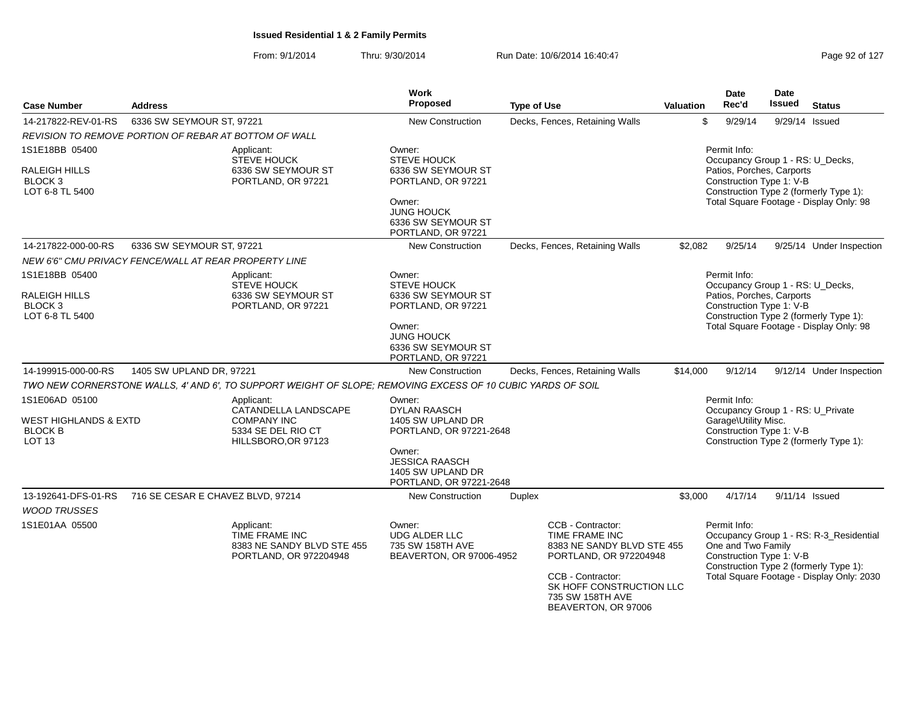| <b>Case Number</b>                                                             | <b>Address</b>                                        |                                                                                                             | Work<br>Proposed                                                                                                                                                 | <b>Type of Use</b> |                                                                                                                                                                                         | <b>Valuation</b>                                                                                                                                                               | <b>Date</b><br>Rec'd                                                                                      | <b>Date</b><br><b>Issued</b> | <b>Status</b>                                                                                                                  |  |  |  |  |
|--------------------------------------------------------------------------------|-------------------------------------------------------|-------------------------------------------------------------------------------------------------------------|------------------------------------------------------------------------------------------------------------------------------------------------------------------|--------------------|-----------------------------------------------------------------------------------------------------------------------------------------------------------------------------------------|--------------------------------------------------------------------------------------------------------------------------------------------------------------------------------|-----------------------------------------------------------------------------------------------------------|------------------------------|--------------------------------------------------------------------------------------------------------------------------------|--|--|--|--|
| 14-217822-REV-01-RS                                                            | 6336 SW SEYMOUR ST, 97221                             |                                                                                                             | <b>New Construction</b>                                                                                                                                          |                    | Decks, Fences, Retaining Walls                                                                                                                                                          | \$                                                                                                                                                                             | 9/29/14                                                                                                   |                              | 9/29/14 Issued                                                                                                                 |  |  |  |  |
|                                                                                | REVISION TO REMOVE PORTION OF REBAR AT BOTTOM OF WALL |                                                                                                             |                                                                                                                                                                  |                    |                                                                                                                                                                                         |                                                                                                                                                                                |                                                                                                           |                              |                                                                                                                                |  |  |  |  |
| 1S1E18BB 05400                                                                 |                                                       | Applicant:                                                                                                  | Owner:                                                                                                                                                           |                    |                                                                                                                                                                                         |                                                                                                                                                                                | Permit Info:                                                                                              |                              |                                                                                                                                |  |  |  |  |
| RALEIGH HILLS<br>BLOCK 3<br>LOT 6-8 TL 5400                                    |                                                       | <b>STEVE HOUCK</b><br>6336 SW SEYMOUR ST<br>PORTLAND, OR 97221                                              | <b>STEVE HOUCK</b><br>6336 SW SEYMOUR ST<br>PORTLAND, OR 97221<br>Owner:<br><b>JUNG HOUCK</b><br>6336 SW SEYMOUR ST                                              |                    |                                                                                                                                                                                         | Occupancy Group 1 - RS: U_Decks,<br>Patios, Porches, Carports<br>Construction Type 1: V-B<br>Construction Type 2 (formerly Type 1):<br>Total Square Footage - Display Only: 98 |                                                                                                           |                              |                                                                                                                                |  |  |  |  |
|                                                                                |                                                       |                                                                                                             | PORTLAND, OR 97221                                                                                                                                               |                    |                                                                                                                                                                                         |                                                                                                                                                                                |                                                                                                           |                              |                                                                                                                                |  |  |  |  |
| 14-217822-000-00-RS                                                            | 6336 SW SEYMOUR ST, 97221                             |                                                                                                             | New Construction                                                                                                                                                 |                    | Decks, Fences, Retaining Walls                                                                                                                                                          | \$2,082                                                                                                                                                                        | 9/25/14                                                                                                   |                              | 9/25/14 Under Inspection                                                                                                       |  |  |  |  |
|                                                                                | NEW 6'6" CMU PRIVACY FENCE/WALL AT REAR PROPERTY LINE |                                                                                                             |                                                                                                                                                                  |                    |                                                                                                                                                                                         |                                                                                                                                                                                |                                                                                                           |                              |                                                                                                                                |  |  |  |  |
| 1S1E18BB 05400<br>RALEIGH HILLS<br><b>BLOCK3</b><br>LOT 6-8 TL 5400            |                                                       | Applicant:<br><b>STEVE HOUCK</b><br>6336 SW SEYMOUR ST<br>PORTLAND, OR 97221                                | Owner:<br><b>STEVE HOUCK</b><br>6336 SW SEYMOUR ST<br>PORTLAND, OR 97221<br>Owner:                                                                               |                    |                                                                                                                                                                                         |                                                                                                                                                                                | Permit Info:<br>Occupancy Group 1 - RS: U_Decks,<br>Patios, Porches, Carports<br>Construction Type 1: V-B |                              | Construction Type 2 (formerly Type 1):<br>Total Square Footage - Display Only: 98                                              |  |  |  |  |
|                                                                                |                                                       |                                                                                                             | <b>JUNG HOUCK</b><br>6336 SW SEYMOUR ST<br>PORTLAND, OR 97221                                                                                                    |                    |                                                                                                                                                                                         |                                                                                                                                                                                |                                                                                                           |                              |                                                                                                                                |  |  |  |  |
| 14-199915-000-00-RS                                                            | 1405 SW UPLAND DR, 97221                              |                                                                                                             | <b>New Construction</b>                                                                                                                                          |                    | Decks, Fences, Retaining Walls                                                                                                                                                          | \$14,000                                                                                                                                                                       | 9/12/14                                                                                                   |                              | 9/12/14 Under Inspection                                                                                                       |  |  |  |  |
|                                                                                |                                                       | TWO NEW CORNERSTONE WALLS, 4' AND 6', TO SUPPORT WEIGHT OF SLOPE; REMOVING EXCESS OF 10 CUBIC YARDS OF SOIL |                                                                                                                                                                  |                    |                                                                                                                                                                                         |                                                                                                                                                                                |                                                                                                           |                              |                                                                                                                                |  |  |  |  |
| 1S1E06AD 05100<br>WEST HIGHLANDS & EXTD<br><b>BLOCK B</b><br>LOT <sub>13</sub> |                                                       | Applicant:<br>CATANDELLA LANDSCAPE<br><b>COMPANY INC</b><br>5334 SE DEL RIO CT<br>HILLSBORO, OR 97123       | Owner:<br><b>DYLAN RAASCH</b><br>1405 SW UPLAND DR<br>PORTLAND, OR 97221-2648<br>Owner:<br><b>JESSICA RAASCH</b><br>1405 SW UPLAND DR<br>PORTLAND, OR 97221-2648 |                    |                                                                                                                                                                                         |                                                                                                                                                                                | Permit Info:<br>Garage\Utility Misc.<br>Construction Type 1: V-B                                          |                              | Occupancy Group 1 - RS: U_Private<br>Construction Type 2 (formerly Type 1):                                                    |  |  |  |  |
| 13-192641-DFS-01-RS<br><b>WOOD TRUSSES</b>                                     | 716 SE CESAR E CHAVEZ BLVD, 97214                     |                                                                                                             | <b>New Construction</b>                                                                                                                                          | <b>Duplex</b>      |                                                                                                                                                                                         | \$3,000                                                                                                                                                                        | 4/17/14                                                                                                   |                              | 9/11/14 Issued                                                                                                                 |  |  |  |  |
| 1S1E01AA 05500                                                                 |                                                       | Applicant:<br>TIME FRAME INC<br>8383 NE SANDY BLVD STE 455<br>PORTLAND, OR 972204948                        | Owner:<br><b>UDG ALDER LLC</b><br>735 SW 158TH AVE<br>BEAVERTON, OR 97006-4952                                                                                   |                    | CCB - Contractor:<br>TIME FRAME INC<br>8383 NE SANDY BLVD STE 455<br>PORTLAND, OR 972204948<br>CCB - Contractor:<br>SK HOFF CONSTRUCTION LLC<br>735 SW 158TH AVE<br>BEAVERTON, OR 97006 |                                                                                                                                                                                | Permit Info:<br>One and Two Family<br>Construction Type 1: V-B                                            |                              | Occupancy Group 1 - RS: R-3_Residential<br>Construction Type 2 (formerly Type 1):<br>Total Square Footage - Display Only: 2030 |  |  |  |  |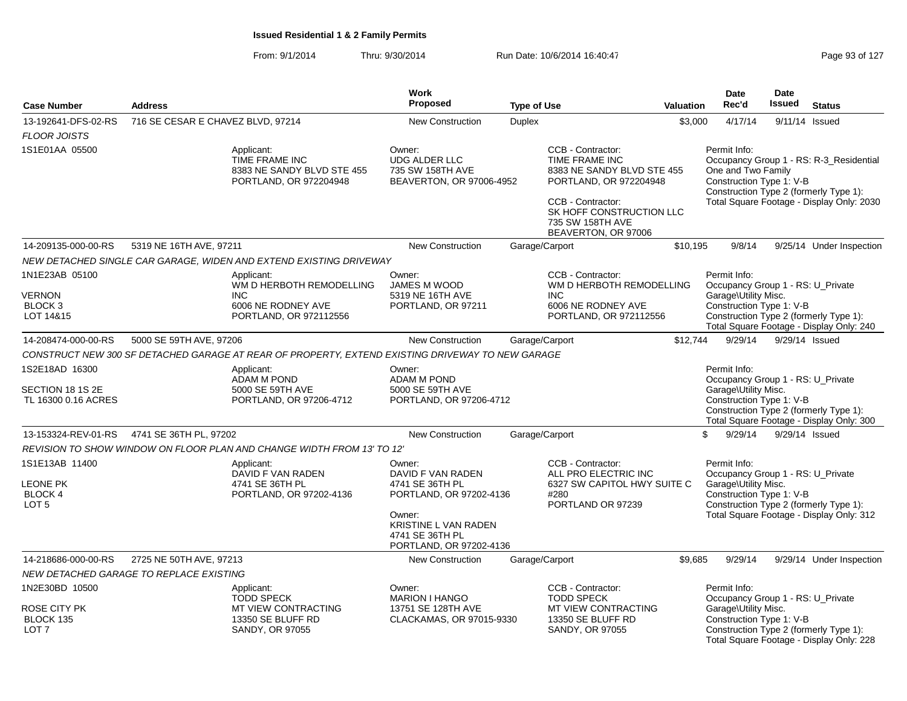| <b>Case Number</b>                                                      | <b>Address</b>                                                                                       | <b>Work</b><br>Proposed                                                                                                                                   | <b>Type of Use</b> | <b>Valuation</b>                                                                                                                                                                        | <b>Date</b><br>Rec'd                                                                                  | <b>Date</b><br><b>Issued</b> | <b>Status</b>                                                                                                                  |
|-------------------------------------------------------------------------|------------------------------------------------------------------------------------------------------|-----------------------------------------------------------------------------------------------------------------------------------------------------------|--------------------|-----------------------------------------------------------------------------------------------------------------------------------------------------------------------------------------|-------------------------------------------------------------------------------------------------------|------------------------------|--------------------------------------------------------------------------------------------------------------------------------|
| 13-192641-DFS-02-RS<br>FLOOR JOISTS                                     | 716 SE CESAR E CHAVEZ BLVD, 97214                                                                    | New Construction                                                                                                                                          | Duplex             | \$3,000                                                                                                                                                                                 | 4/17/14                                                                                               | 9/11/14                      | Issued                                                                                                                         |
| 1S1E01AA 05500                                                          | Applicant:<br>TIME FRAME INC<br>8383 NE SANDY BLVD STE 455<br>PORTLAND, OR 972204948                 | Owner:<br><b>UDG ALDER LLC</b><br>735 SW 158TH AVE<br>BEAVERTON, OR 97006-4952                                                                            |                    | CCB - Contractor:<br>TIME FRAME INC<br>8383 NE SANDY BLVD STE 455<br>PORTLAND, OR 972204948<br>CCB - Contractor:<br>SK HOFF CONSTRUCTION LLC<br>735 SW 158TH AVE<br>BEAVERTON, OR 97006 | Permit Info:<br>One and Two Family<br>Construction Type 1: V-B                                        |                              | Occupancy Group 1 - RS: R-3_Residential<br>Construction Type 2 (formerly Type 1):<br>Total Square Footage - Display Only: 2030 |
| 14-209135-000-00-RS                                                     | 5319 NE 16TH AVE, 97211                                                                              | New Construction                                                                                                                                          | Garage/Carport     | \$10,195                                                                                                                                                                                | 9/8/14                                                                                                |                              | 9/25/14 Under Inspection                                                                                                       |
|                                                                         | NEW DETACHED SINGLE CAR GARAGE, WIDEN AND EXTEND EXISTING DRIVEWAY                                   |                                                                                                                                                           |                    |                                                                                                                                                                                         |                                                                                                       |                              |                                                                                                                                |
| 1N1E23AB 05100<br>VERNON<br>BLOCK <sub>3</sub><br>LOT 14&15             | Applicant:<br>WM D HERBOTH REMODELLING<br><b>INC</b><br>6006 NE RODNEY AVE<br>PORTLAND, OR 972112556 | Owner:<br>JAMES M WOOD<br>5319 NE 16TH AVE<br>PORTLAND, OR 97211                                                                                          | <b>INC</b>         | CCB - Contractor:<br>WM D HERBOTH REMODELLING<br>6006 NE RODNEY AVE<br>PORTLAND, OR 972112556                                                                                           | Permit Info:<br>Occupancy Group 1 - RS: U_Private<br>Garage\Utility Misc.<br>Construction Type 1: V-B |                              | Construction Type 2 (formerly Type 1):<br>Total Square Footage - Display Only: 240                                             |
| 14-208474-000-00-RS                                                     | 5000 SE 59TH AVE, 97206                                                                              | <b>New Construction</b>                                                                                                                                   | Garage/Carport     | \$12,744                                                                                                                                                                                | 9/29/14                                                                                               |                              | 9/29/14 Issued                                                                                                                 |
|                                                                         | CONSTRUCT NEW 300 SF DETACHED GARAGE AT REAR OF PROPERTY, EXTEND EXISTING DRIVEWAY TO NEW GARAGE     |                                                                                                                                                           |                    |                                                                                                                                                                                         |                                                                                                       |                              |                                                                                                                                |
| 1S2E18AD 16300<br>SECTION 18 1S 2E<br>TL 16300 0.16 ACRES               | Applicant:<br><b>ADAM M POND</b><br>5000 SE 59TH AVE<br>PORTLAND, OR 97206-4712                      | Owner:<br><b>ADAM M POND</b><br>5000 SE 59TH AVE<br>PORTLAND, OR 97206-4712                                                                               |                    |                                                                                                                                                                                         | Permit Info:<br>Occupancy Group 1 - RS: U Private<br>Garage\Utility Misc.<br>Construction Type 1: V-B |                              | Construction Type 2 (formerly Type 1):<br>Total Square Footage - Display Only: 300                                             |
| 13-153324-REV-01-RS                                                     | 4741 SE 36TH PL, 97202                                                                               | New Construction                                                                                                                                          | Garage/Carport     | \$                                                                                                                                                                                      | 9/29/14                                                                                               |                              | 9/29/14 Issued                                                                                                                 |
|                                                                         | REVISION TO SHOW WINDOW ON FLOOR PLAN AND CHANGE WIDTH FROM 13' TO 12'                               |                                                                                                                                                           |                    |                                                                                                                                                                                         |                                                                                                       |                              |                                                                                                                                |
| 1S1E13AB 11400<br><b>LEONE PK</b><br><b>BLOCK 4</b><br>LOT <sub>5</sub> | Applicant:<br>DAVID F VAN RADEN<br>4741 SE 36TH PL<br>PORTLAND, OR 97202-4136                        | Owner:<br>DAVID F VAN RADEN<br>4741 SE 36TH PL<br>PORTLAND, OR 97202-4136<br>Owner:<br>KRISTINE L VAN RADEN<br>4741 SE 36TH PL<br>PORTLAND, OR 97202-4136 | #280               | CCB - Contractor:<br>ALL PRO ELECTRIC INC<br>6327 SW CAPITOL HWY SUITE C<br>PORTLAND OR 97239                                                                                           | Permit Info:<br>Occupancy Group 1 - RS: U_Private<br>Garage\Utility Misc.<br>Construction Type 1: V-B |                              | Construction Type 2 (formerly Type 1):<br>Total Square Footage - Display Only: 312                                             |
| 14-218686-000-00-RS                                                     | 2725 NE 50TH AVE, 97213                                                                              | <b>New Construction</b>                                                                                                                                   | Garage/Carport     | \$9,685                                                                                                                                                                                 | 9/29/14                                                                                               |                              | 9/29/14 Under Inspection                                                                                                       |
|                                                                         | NEW DETACHED GARAGE TO REPLACE EXISTING                                                              |                                                                                                                                                           |                    |                                                                                                                                                                                         |                                                                                                       |                              |                                                                                                                                |
| 1N2E30BD 10500<br>ROSE CITY PK<br>BLOCK 135<br>LOT <sub>7</sub>         | Applicant:<br><b>TODD SPECK</b><br>MT VIEW CONTRACTING<br>13350 SE BLUFF RD<br>SANDY, OR 97055       | Owner:<br><b>MARION I HANGO</b><br>13751 SE 128TH AVE<br>CLACKAMAS, OR 97015-9330                                                                         | <b>TODD SPECK</b>  | CCB - Contractor:<br>MT VIEW CONTRACTING<br>13350 SE BLUFF RD<br>SANDY, OR 97055                                                                                                        | Permit Info:<br>Occupancy Group 1 - RS: U_Private<br>Garage\Utility Misc.<br>Construction Type 1: V-B |                              | Construction Type 2 (formerly Type 1):<br>Total Square Footage - Display Only: 228                                             |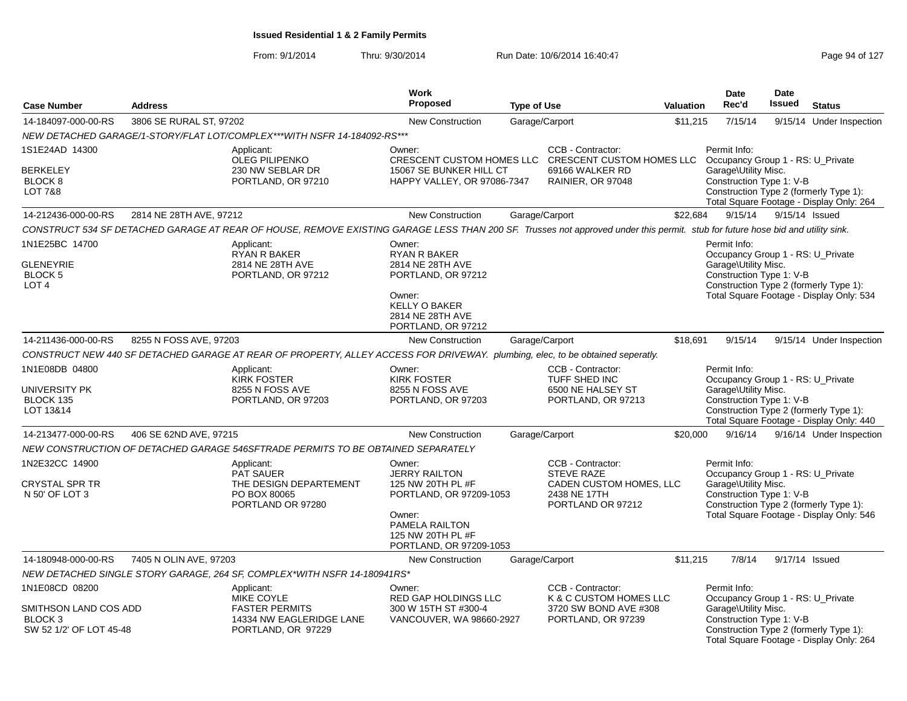| <b>Case Number</b>                                                                       | <b>Address</b>          |                                                                                                                                                                                | <b>Work</b><br>Proposed                                                                                                                                    | <b>Type of Use</b> |                                                                                                        | <b>Valuation</b> | <b>Date</b><br>Rec'd                                                                                                                            | <b>Date</b><br><b>Issued</b> | <b>Status</b>                                                                      |
|------------------------------------------------------------------------------------------|-------------------------|--------------------------------------------------------------------------------------------------------------------------------------------------------------------------------|------------------------------------------------------------------------------------------------------------------------------------------------------------|--------------------|--------------------------------------------------------------------------------------------------------|------------------|-------------------------------------------------------------------------------------------------------------------------------------------------|------------------------------|------------------------------------------------------------------------------------|
| 14-184097-000-00-RS                                                                      | 3806 SE RURAL ST, 97202 |                                                                                                                                                                                | <b>New Construction</b>                                                                                                                                    |                    | Garage/Carport                                                                                         | \$11,215         | 7/15/14                                                                                                                                         |                              | 9/15/14 Under Inspection                                                           |
|                                                                                          |                         | NEW DETACHED GARAGE/1-STORY/FLAT LOT/COMPLEX***WITH NSFR 14-184092-RS***                                                                                                       |                                                                                                                                                            |                    |                                                                                                        |                  |                                                                                                                                                 |                              |                                                                                    |
| 1S1E24AD 14300<br><b>BERKELEY</b><br>BLOCK <sub>8</sub><br><b>LOT 7&amp;8</b>            |                         | Applicant:<br><b>OLEG PILIPENKO</b><br>230 NW SEBLAR DR<br>PORTLAND, OR 97210                                                                                                  | Owner:<br>CRESCENT CUSTOM HOMES LLC<br>15067 SE BUNKER HILL CT<br>HAPPY VALLEY, OR 97086-7347                                                              |                    | CCB - Contractor:<br><b>CRESCENT CUSTOM HOMES LLC</b><br>69166 WALKER RD<br>RAINIER, OR 97048          |                  | Permit Info:<br>Occupancy Group 1 - RS: U_Private<br>Garage\Utility Misc.<br>Construction Type 1: V-B<br>Construction Type 2 (formerly Type 1): |                              | Total Square Footage - Display Only: 264                                           |
| 14-212436-000-00-RS                                                                      | 2814 NE 28TH AVE, 97212 |                                                                                                                                                                                | <b>New Construction</b>                                                                                                                                    |                    | Garage/Carport                                                                                         | \$22,684         | 9/15/14                                                                                                                                         |                              | 9/15/14 Issued                                                                     |
|                                                                                          |                         | CONSTRUCT 534 SF DETACHED GARAGE AT REAR OF HOUSE, REMOVE EXISTING GARAGE LESS THAN 200 SF. Trusses not approved under this permit. stub for future hose bid and utility sink. |                                                                                                                                                            |                    |                                                                                                        |                  |                                                                                                                                                 |                              |                                                                                    |
| 1N1E25BC 14700<br><b>GLENEYRIE</b><br>BLOCK 5<br>LOT <sub>4</sub>                        |                         | Applicant:<br>RYAN R BAKER<br>2814 NE 28TH AVE<br>PORTLAND, OR 97212                                                                                                           | Owner:<br><b>RYAN R BAKER</b><br>2814 NE 28TH AVE<br>PORTLAND, OR 97212<br>Owner:<br><b>KELLY O BAKER</b><br>2814 NE 28TH AVE<br>PORTLAND, OR 97212        |                    |                                                                                                        |                  | Permit Info:<br>Occupancy Group 1 - RS: U Private<br>Garage\Utility Misc.<br>Construction Type 1: V-B                                           |                              | Construction Type 2 (formerly Type 1):<br>Total Square Footage - Display Only: 534 |
| 14-211436-000-00-RS                                                                      | 8255 N FOSS AVE, 97203  |                                                                                                                                                                                | <b>New Construction</b>                                                                                                                                    |                    | Garage/Carport                                                                                         | \$18,691         | 9/15/14                                                                                                                                         |                              | 9/15/14 Under Inspection                                                           |
|                                                                                          |                         | CONSTRUCT NEW 440 SF DETACHED GARAGE AT REAR OF PROPERTY, ALLEY ACCESS FOR DRIVEWAY. plumbing, elec, to be obtained seperatly.                                                 |                                                                                                                                                            |                    |                                                                                                        |                  |                                                                                                                                                 |                              |                                                                                    |
| 1N1E08DB 04800<br>UNIVERSITY PK<br>BLOCK 135<br>LOT 13&14                                |                         | Applicant:<br><b>KIRK FOSTER</b><br>8255 N FOSS AVE<br>PORTLAND, OR 97203                                                                                                      | Owner:<br><b>KIRK FOSTER</b><br>8255 N FOSS AVE<br>PORTLAND, OR 97203                                                                                      |                    | CCB - Contractor:<br>TUFF SHED INC<br>6500 NE HALSEY ST<br>PORTLAND, OR 97213                          |                  | Permit Info:<br>Occupancy Group 1 - RS: U Private<br>Garage\Utility Misc.<br>Construction Type 1: V-B                                           |                              | Construction Type 2 (formerly Type 1):<br>Total Square Footage - Display Only: 440 |
| 14-213477-000-00-RS                                                                      | 406 SE 62ND AVE, 97215  |                                                                                                                                                                                | <b>New Construction</b>                                                                                                                                    |                    | Garage/Carport                                                                                         | \$20,000         | 9/16/14                                                                                                                                         |                              | 9/16/14 Under Inspection                                                           |
|                                                                                          |                         | NEW CONSTRUCTION OF DETACHED GARAGE 546SFTRADE PERMITS TO BE OBTAINED SEPARATELY                                                                                               |                                                                                                                                                            |                    |                                                                                                        |                  |                                                                                                                                                 |                              |                                                                                    |
| 1N2E32CC 14900<br><b>CRYSTAL SPR TR</b><br>N 50' OF LOT 3                                |                         | Applicant:<br><b>PAT SAUER</b><br>THE DESIGN DEPARTEMENT<br>PO BOX 80065<br>PORTLAND OR 97280                                                                                  | Owner:<br><b>JERRY RAILTON</b><br>125 NW 20TH PL #F<br>PORTLAND, OR 97209-1053<br>Owner:<br>PAMELA RAILTON<br>125 NW 20TH PL #F<br>PORTLAND, OR 97209-1053 |                    | CCB - Contractor:<br><b>STEVE RAZE</b><br>CADEN CUSTOM HOMES, LLC<br>2438 NE 17TH<br>PORTLAND OR 97212 |                  | Permit Info:<br>Occupancy Group 1 - RS: U_Private<br>Garage\Utility Misc.<br>Construction Type 1: V-B                                           |                              | Construction Type 2 (formerly Type 1):<br>Total Square Footage - Display Only: 546 |
| 14-180948-000-00-RS                                                                      | 7405 N OLIN AVE, 97203  |                                                                                                                                                                                | <b>New Construction</b>                                                                                                                                    |                    | Garage/Carport                                                                                         | \$11,215         | 7/8/14                                                                                                                                          |                              | 9/17/14 Issued                                                                     |
|                                                                                          |                         | NEW DETACHED SINGLE STORY GARAGE, 264 SF, COMPLEX*WITH NSFR 14-180941RS*                                                                                                       |                                                                                                                                                            |                    |                                                                                                        |                  |                                                                                                                                                 |                              |                                                                                    |
| 1N1E08CD 08200<br>SMITHSON LAND COS ADD<br>BLOCK <sub>3</sub><br>SW 52 1/2' OF LOT 45-48 |                         | Applicant:<br>MIKE COYLE<br><b>FASTER PERMITS</b><br>14334 NW EAGLERIDGE LANE<br>PORTLAND, OR 97229                                                                            | Owner:<br>RED GAP HOLDINGS LLC<br>300 W 15TH ST #300-4<br>VANCOUVER, WA 98660-2927                                                                         |                    | CCB - Contractor:<br>K & C CUSTOM HOMES LLC<br>3720 SW BOND AVE #308<br>PORTLAND, OR 97239             |                  | Permit Info:<br>Occupancy Group 1 - RS: U_Private<br>Garage\Utility Misc.<br>Construction Type 1: V-B                                           |                              | Construction Type 2 (formerly Type 1):<br>Total Square Footage - Display Only: 264 |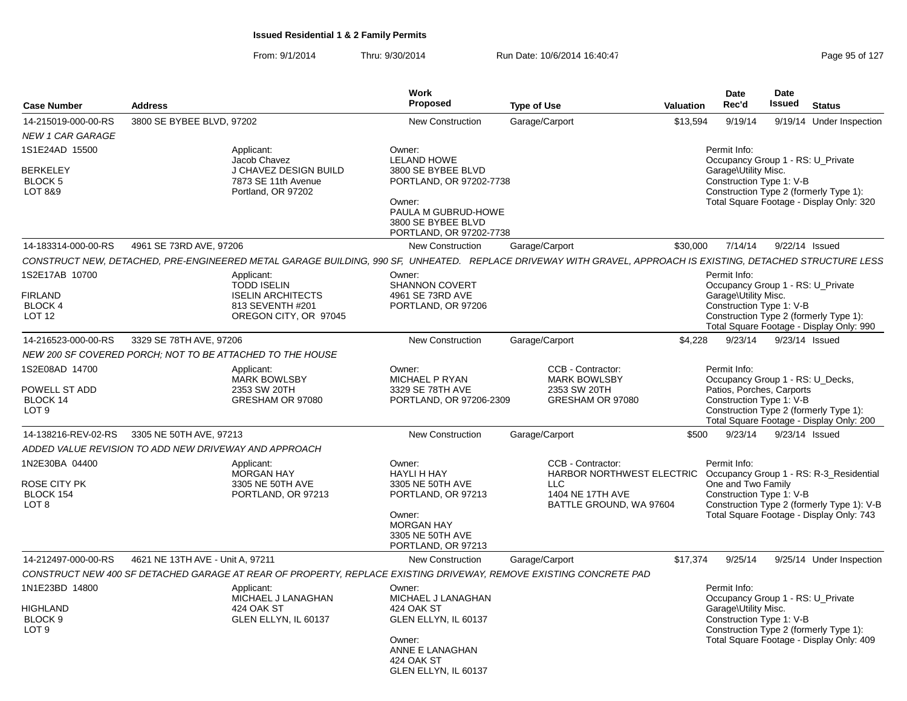| <b>Case Number</b>                                                  | <b>Address</b>                                                                                                                                               | <b>Work</b><br>Proposed                                                   | <b>Type of Use</b>                             | <b>Valuation</b> | Date<br>Rec'd                                                    | Date<br><b>Issued</b> | <b>Status</b>                                                                                                           |
|---------------------------------------------------------------------|--------------------------------------------------------------------------------------------------------------------------------------------------------------|---------------------------------------------------------------------------|------------------------------------------------|------------------|------------------------------------------------------------------|-----------------------|-------------------------------------------------------------------------------------------------------------------------|
| 14-215019-000-00-RS                                                 | 3800 SE BYBEE BLVD, 97202                                                                                                                                    | New Construction                                                          | Garage/Carport                                 | \$13,594         | 9/19/14                                                          |                       | 9/19/14 Under Inspection                                                                                                |
| <b>NEW 1 CAR GARAGE</b>                                             |                                                                                                                                                              |                                                                           |                                                |                  |                                                                  |                       |                                                                                                                         |
| 1S1E24AD 15500                                                      | Applicant:<br>Jacob Chavez                                                                                                                                   | Owner:<br><b>LELAND HOWE</b>                                              |                                                |                  | Permit Info:                                                     |                       | Occupancy Group 1 - RS: U_Private                                                                                       |
| <b>BERKELEY</b><br><b>BLOCK 5</b><br>LOT 8&9                        | J CHAVEZ DESIGN BUILD<br>7873 SE 11th Avenue<br>Portland, OR 97202                                                                                           | 3800 SE BYBEE BLVD<br>PORTLAND, OR 97202-7738<br>Owner:                   |                                                |                  | Garage\Utility Misc.<br>Construction Type 1: V-B                 |                       | Construction Type 2 (formerly Type 1):<br>Total Square Footage - Display Only: 320                                      |
|                                                                     |                                                                                                                                                              | PAULA M GUBRUD-HOWE<br>3800 SE BYBEE BLVD<br>PORTLAND, OR 97202-7738      |                                                |                  |                                                                  |                       |                                                                                                                         |
| 14-183314-000-00-RS                                                 | 4961 SE 73RD AVE, 97206                                                                                                                                      | <b>New Construction</b>                                                   | Garage/Carport                                 | \$30,000         | 7/14/14                                                          |                       | 9/22/14 Issued                                                                                                          |
|                                                                     | CONSTRUCT NEW. DETACHED. PRE-ENGINEERED METAL GARAGE BUILDING. 990 SF. UNHEATED. REPLACE DRIVEWAY WITH GRAVEL. APPROACH IS EXISTING. DETACHED STRUCTURE LESS |                                                                           |                                                |                  |                                                                  |                       |                                                                                                                         |
| 1S2E17AB 10700<br><b>FIRLAND</b><br><b>BLOCK 4</b><br><b>LOT 12</b> | Applicant:<br><b>TODD ISELIN</b><br><b>ISELIN ARCHITECTS</b><br>813 SEVENTH #201<br>OREGON CITY, OR 97045                                                    | Owner:<br><b>SHANNON COVERT</b><br>4961 SE 73RD AVE<br>PORTLAND, OR 97206 |                                                |                  | Permit Info:<br>Garage\Utility Misc.<br>Construction Type 1: V-B |                       | Occupancy Group 1 - RS: U Private<br>Construction Type 2 (formerly Type 1):<br>Total Square Footage - Display Only: 990 |
| 14-216523-000-00-RS                                                 | 3329 SE 78TH AVE, 97206                                                                                                                                      | <b>New Construction</b>                                                   | Garage/Carport                                 | \$4,228          | 9/23/14                                                          |                       | 9/23/14 Issued                                                                                                          |
|                                                                     | NEW 200 SF COVERED PORCH; NOT TO BE ATTACHED TO THE HOUSE                                                                                                    |                                                                           |                                                |                  |                                                                  |                       |                                                                                                                         |
| 1S2E08AD 14700                                                      | Applicant:                                                                                                                                                   | Owner:                                                                    | CCB - Contractor:                              |                  | Permit Info:                                                     |                       |                                                                                                                         |
|                                                                     | <b>MARK BOWLSBY</b>                                                                                                                                          | MICHAEL P RYAN                                                            | <b>MARK BOWLSBY</b>                            |                  |                                                                  |                       | Occupancy Group 1 - RS: U Decks,                                                                                        |
| POWELL ST ADD<br><b>BLOCK 14</b>                                    | 2353 SW 20TH<br>GRESHAM OR 97080                                                                                                                             | 3329 SE 78TH AVE<br>PORTLAND, OR 97206-2309                               | 2353 SW 20TH<br>GRESHAM OR 97080               |                  | Patios, Porches, Carports                                        |                       |                                                                                                                         |
| LOT <sub>9</sub>                                                    |                                                                                                                                                              |                                                                           |                                                |                  | Construction Type 1: V-B                                         |                       | Construction Type 2 (formerly Type 1):<br>Total Square Footage - Display Only: 200                                      |
| 14-138216-REV-02-RS                                                 | 3305 NE 50TH AVE, 97213                                                                                                                                      | <b>New Construction</b>                                                   | Garage/Carport                                 | \$500            | 9/23/14                                                          |                       | 9/23/14 Issued                                                                                                          |
|                                                                     | ADDED VALUE REVISION TO ADD NEW DRIVEWAY AND APPROACH                                                                                                        |                                                                           |                                                |                  |                                                                  |                       |                                                                                                                         |
| 1N2E30BA 04400                                                      | Applicant:<br><b>MORGAN HAY</b>                                                                                                                              | Owner:<br><b>HAYLI H HAY</b>                                              | CCB - Contractor:<br>HARBOR NORTHWEST ELECTRIC |                  | Permit Info:                                                     |                       | Occupancy Group 1 - RS: R-3_Residential                                                                                 |
| ROSE CITY PK<br>BLOCK 154                                           | 3305 NE 50TH AVE<br>PORTLAND, OR 97213                                                                                                                       | 3305 NE 50TH AVE<br>PORTLAND, OR 97213                                    | LLC<br>1404 NE 17TH AVE                        |                  | One and Two Family<br>Construction Type 1: V-B                   |                       |                                                                                                                         |
| LOT 8                                                               |                                                                                                                                                              | Owner:<br><b>MORGAN HAY</b><br>3305 NE 50TH AVE<br>PORTLAND, OR 97213     | BATTLE GROUND, WA 97604                        |                  |                                                                  |                       | Construction Type 2 (formerly Type 1): V-B<br>Total Square Footage - Display Only: 743                                  |
| 14-212497-000-00-RS                                                 | 4621 NE 13TH AVE - Unit A. 97211                                                                                                                             | <b>New Construction</b>                                                   | Garage/Carport                                 | \$17,374         | 9/25/14                                                          |                       | 9/25/14 Under Inspection                                                                                                |
|                                                                     | CONSTRUCT NEW 400 SF DETACHED GARAGE AT REAR OF PROPERTY, REPLACE EXISTING DRIVEWAY, REMOVE EXISTING CONCRETE PAD                                            |                                                                           |                                                |                  |                                                                  |                       |                                                                                                                         |
| 1N1E23BD 14800                                                      | Applicant:<br>MICHAEL J LANAGHAN                                                                                                                             | Owner:<br>MICHAEL J LANAGHAN                                              |                                                |                  | Permit Info:                                                     |                       | Occupancy Group 1 - RS: U Private                                                                                       |
| <b>HIGHLAND</b><br>BLOCK <sub>9</sub><br>LOT <sub>9</sub>           | 424 OAK ST<br>GLEN ELLYN, IL 60137                                                                                                                           | 424 OAK ST<br>GLEN ELLYN, IL 60137                                        |                                                |                  | Garage\Utility Misc.<br>Construction Type 1: V-B                 |                       | Construction Type 2 (formerly Type 1):                                                                                  |
|                                                                     |                                                                                                                                                              | Owner:<br>ANNE E LANAGHAN<br>424 OAK ST<br>GLEN ELLYN, IL 60137           |                                                |                  |                                                                  |                       | Total Square Footage - Display Only: 409                                                                                |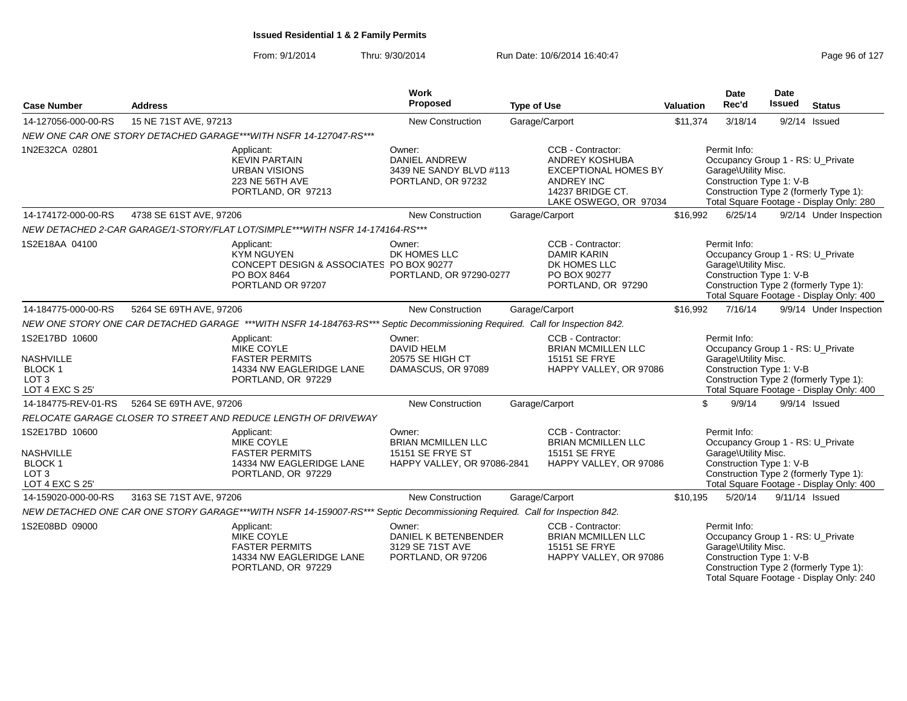| <b>Case Number</b>                                                                         | <b>Address</b>          |                                                                                                                              | Work<br>Proposed                                                                | <b>Type of Use</b>                                                                                                                   | Valuation | Date<br>Rec'd                                                                                         | <b>Date</b><br><b>Issued</b> | <b>Status</b>                                                                      |
|--------------------------------------------------------------------------------------------|-------------------------|------------------------------------------------------------------------------------------------------------------------------|---------------------------------------------------------------------------------|--------------------------------------------------------------------------------------------------------------------------------------|-----------|-------------------------------------------------------------------------------------------------------|------------------------------|------------------------------------------------------------------------------------|
| 14-127056-000-00-RS                                                                        | 15 NE 71ST AVE, 97213   |                                                                                                                              | <b>New Construction</b>                                                         | Garage/Carport                                                                                                                       | \$11,374  | 3/18/14                                                                                               |                              | $9/2/14$ Issued                                                                    |
|                                                                                            |                         | NEW ONE CAR ONE STORY DETACHED GARAGE***WITH NSFR 14-127047-RS***                                                            |                                                                                 |                                                                                                                                      |           |                                                                                                       |                              |                                                                                    |
| 1N2E32CA 02801                                                                             |                         | Applicant:<br><b>KEVIN PARTAIN</b><br><b>URBAN VISIONS</b><br>223 NE 56TH AVE<br>PORTLAND, OR 97213                          | Owner:<br><b>DANIEL ANDREW</b><br>3439 NE SANDY BLVD #113<br>PORTLAND, OR 97232 | CCB - Contractor:<br>ANDREY KOSHUBA<br><b>EXCEPTIONAL HOMES BY</b><br><b>ANDREY INC</b><br>14237 BRIDGE CT.<br>LAKE OSWEGO, OR 97034 |           | Permit Info:<br>Occupancy Group 1 - RS: U_Private<br>Garage\Utility Misc.<br>Construction Type 1: V-B |                              | Construction Type 2 (formerly Type 1):<br>Total Square Footage - Display Only: 280 |
| 14-174172-000-00-RS                                                                        | 4738 SE 61ST AVE, 97206 |                                                                                                                              | <b>New Construction</b>                                                         | Garage/Carport                                                                                                                       | \$16,992  | 6/25/14                                                                                               |                              | 9/2/14 Under Inspection                                                            |
|                                                                                            |                         | NEW DETACHED 2-CAR GARAGE/1-STORY/FLAT LOT/SIMPLE***WITH NSFR 14-174164-RS***                                                |                                                                                 |                                                                                                                                      |           |                                                                                                       |                              |                                                                                    |
| 1S2E18AA 04100                                                                             |                         | Applicant:<br><b>KYM NGUYEN</b><br>CONCEPT DESIGN & ASSOCIATES PO BOX 90277<br>PO BOX 8464<br>PORTLAND OR 97207              | Owner:<br>DK HOMES LLC<br>PORTLAND, OR 97290-0277                               | CCB - Contractor:<br><b>DAMIR KARIN</b><br>DK HOMES LLC<br>PO BOX 90277<br>PORTLAND, OR 97290                                        |           | Permit Info:<br>Occupancy Group 1 - RS: U Private<br>Garage\Utility Misc.<br>Construction Type 1: V-B |                              | Construction Type 2 (formerly Type 1):<br>Total Square Footage - Display Only: 400 |
| 14-184775-000-00-RS                                                                        | 5264 SE 69TH AVE, 97206 |                                                                                                                              | <b>New Construction</b>                                                         | Garage/Carport                                                                                                                       | \$16,992  | 7/16/14                                                                                               |                              | 9/9/14 Under Inspection                                                            |
|                                                                                            |                         | NEW ONE STORY ONE CAR DETACHED GARAGE ***WITH NSFR 14-184763-RS*** Septic Decommissioning Required. Call for Inspection 842. |                                                                                 |                                                                                                                                      |           |                                                                                                       |                              |                                                                                    |
| 1S2E17BD 10600<br><b>NASHVILLE</b><br><b>BLOCK1</b><br>LOT <sub>3</sub><br>LOT 4 EXC S 25' |                         | Applicant:<br>MIKE COYLE<br><b>FASTER PERMITS</b><br>14334 NW EAGLERIDGE LANE<br>PORTLAND, OR 97229                          | Owner:<br><b>DAVID HELM</b><br>20575 SE HIGH CT<br>DAMASCUS, OR 97089           | CCB - Contractor:<br><b>BRIAN MCMILLEN LLC</b><br>15151 SE FRYE<br>HAPPY VALLEY, OR 97086                                            |           | Permit Info:<br>Occupancy Group 1 - RS: U_Private<br>Garage\Utility Misc.<br>Construction Type 1: V-B |                              | Construction Type 2 (formerly Type 1):<br>Total Square Footage - Display Only: 400 |
| 14-184775-REV-01-RS                                                                        | 5264 SE 69TH AVE, 97206 |                                                                                                                              | <b>New Construction</b>                                                         | Garage/Carport                                                                                                                       |           | \$<br>9/9/14                                                                                          |                              | $9/9/14$ Issued                                                                    |
|                                                                                            |                         | RELOCATE GARAGE CLOSER TO STREET AND REDUCE LENGTH OF DRIVEWAY                                                               |                                                                                 |                                                                                                                                      |           |                                                                                                       |                              |                                                                                    |
| 1S2E17BD 10600<br><b>NASHVILLE</b><br>BLOCK 1<br>LOT <sub>3</sub><br>LOT 4 EXC S 25'       |                         | Applicant:<br><b>MIKE COYLE</b><br><b>FASTER PERMITS</b><br>14334 NW EAGLERIDGE LANE<br>PORTLAND, OR 97229                   | Owner:<br>BRIAN MCMILLEN LLC<br>15151 SE FRYE ST<br>HAPPY VALLEY, OR 97086-2841 | CCB - Contractor:<br><b>BRIAN MCMILLEN LLC</b><br>15151 SE FRYE<br>HAPPY VALLEY, OR 97086                                            |           | Permit Info:<br>Occupancy Group 1 - RS: U_Private<br>Garage\Utility Misc.<br>Construction Type 1: V-B |                              | Construction Type 2 (formerly Type 1):<br>Total Square Footage - Display Only: 400 |
| 14-159020-000-00-RS                                                                        | 3163 SE 71ST AVE, 97206 |                                                                                                                              | <b>New Construction</b>                                                         | Garage/Carport                                                                                                                       | \$10,195  | 5/20/14                                                                                               |                              | 9/11/14 Issued                                                                     |
|                                                                                            |                         | NEW DETACHED ONE CAR ONE STORY GARAGE***WITH NSFR 14-159007-RS*** Septic Decommissioning Required. Call for Inspection 842.  |                                                                                 |                                                                                                                                      |           |                                                                                                       |                              |                                                                                    |
| 1S2E08BD 09000                                                                             |                         | Applicant:<br>MIKE COYLE<br><b>FASTER PERMITS</b><br>14334 NW EAGLERIDGE LANE<br>PORTLAND, OR 97229                          | Owner:<br>DANIEL K BETENBENDER<br>3129 SE 71ST AVE<br>PORTLAND, OR 97206        | CCB - Contractor:<br><b>BRIAN MCMILLEN LLC</b><br>15151 SE FRYE<br>HAPPY VALLEY, OR 97086                                            |           | Permit Info:<br>Occupancy Group 1 - RS: U_Private<br>Garage\Utility Misc.<br>Construction Type 1: V-B |                              | Construction Type 2 (formerly Type 1):<br>Total Square Footage - Display Only: 240 |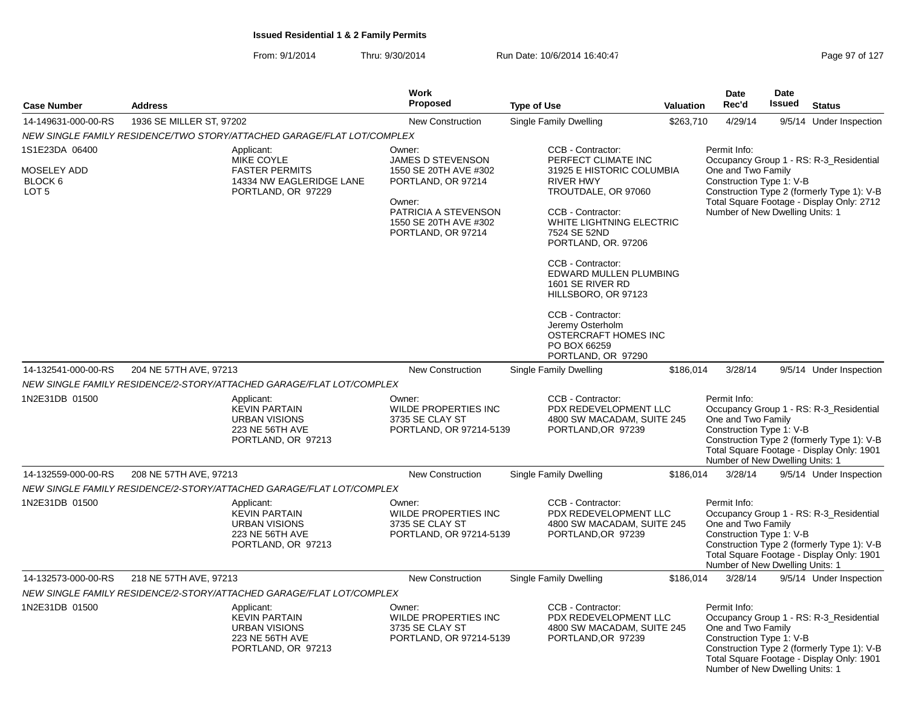From: 9/1/2014Thru: 9/30/2014 Run Date: 10/6/2014 16:40:47 Page 97 of 127

| <b>Case Number</b>                                           | <b>Address</b>                                                                                      | Work<br>Proposed                                                                                                                                            | <b>Type of Use</b>                                                                                                                                                                                                                                                                                                                                                                                        | Valuation | <b>Date</b><br>Rec'd                                                                              | <b>Date</b><br><b>Issued</b> | <b>Status</b>                                                                                                                      |
|--------------------------------------------------------------|-----------------------------------------------------------------------------------------------------|-------------------------------------------------------------------------------------------------------------------------------------------------------------|-----------------------------------------------------------------------------------------------------------------------------------------------------------------------------------------------------------------------------------------------------------------------------------------------------------------------------------------------------------------------------------------------------------|-----------|---------------------------------------------------------------------------------------------------|------------------------------|------------------------------------------------------------------------------------------------------------------------------------|
|                                                              |                                                                                                     |                                                                                                                                                             |                                                                                                                                                                                                                                                                                                                                                                                                           |           |                                                                                                   |                              |                                                                                                                                    |
| 14-149631-000-00-RS                                          | 1936 SE MILLER ST, 97202                                                                            | New Construction                                                                                                                                            | Single Family Dwelling                                                                                                                                                                                                                                                                                                                                                                                    | \$263,710 | 4/29/14                                                                                           |                              | 9/5/14 Under Inspection                                                                                                            |
|                                                              | NEW SINGLE FAMILY RESIDENCE/TWO STORY/ATTACHED GARAGE/FLAT LOT/COMPLEX                              |                                                                                                                                                             |                                                                                                                                                                                                                                                                                                                                                                                                           |           |                                                                                                   |                              |                                                                                                                                    |
| 1S1E23DA 06400<br>MOSELEY ADD<br>BLOCK 6<br>LOT <sub>5</sub> | Applicant:<br>MIKE COYLE<br><b>FASTER PERMITS</b><br>14334 NW EAGLERIDGE LANE<br>PORTLAND, OR 97229 | Owner:<br>JAMES D STEVENSON<br>1550 SE 20TH AVE #302<br>PORTLAND, OR 97214<br>Owner:<br>PATRICIA A STEVENSON<br>1550 SE 20TH AVE #302<br>PORTLAND, OR 97214 | CCB - Contractor:<br>PERFECT CLIMATE INC<br>31925 E HISTORIC COLUMBIA<br><b>RIVER HWY</b><br>TROUTDALE, OR 97060<br>CCB - Contractor:<br>WHITE LIGHTNING ELECTRIC<br>7524 SE 52ND<br>PORTLAND, OR. 97206<br>CCB - Contractor:<br>EDWARD MULLEN PLUMBING<br>1601 SE RIVER RD<br>HILLSBORO, OR 97123<br>CCB - Contractor:<br>Jeremy Osterholm<br>OSTERCRAFT HOMES INC<br>PO BOX 66259<br>PORTLAND, OR 97290 |           | Permit Info:<br>One and Two Family<br>Construction Type 1: V-B<br>Number of New Dwelling Units: 1 |                              | Occupancy Group 1 - RS: R-3_Residential<br>Construction Type 2 (formerly Type 1): V-B<br>Total Square Footage - Display Only: 2712 |
| 14-132541-000-00-RS                                          | 204 NE 57TH AVE, 97213                                                                              | <b>New Construction</b>                                                                                                                                     | <b>Single Family Dwelling</b>                                                                                                                                                                                                                                                                                                                                                                             | \$186.014 | 3/28/14                                                                                           |                              | 9/5/14 Under Inspection                                                                                                            |
|                                                              | NEW SINGLE FAMILY RESIDENCE/2-STORY/ATTACHED GARAGE/FLAT LOT/COMPLEX                                |                                                                                                                                                             |                                                                                                                                                                                                                                                                                                                                                                                                           |           |                                                                                                   |                              |                                                                                                                                    |
| 1N2E31DB 01500                                               | Applicant:<br><b>KEVIN PARTAIN</b><br><b>URBAN VISIONS</b><br>223 NE 56TH AVE<br>PORTLAND, OR 97213 | Owner:<br><b>WILDE PROPERTIES INC</b><br>3735 SE CLAY ST<br>PORTLAND, OR 97214-5139                                                                         | CCB - Contractor:<br>PDX REDEVELOPMENT LLC<br>4800 SW MACADAM, SUITE 245<br>PORTLAND, OR 97239                                                                                                                                                                                                                                                                                                            |           | Permit Info:<br>One and Two Family<br>Construction Type 1: V-B<br>Number of New Dwelling Units: 1 |                              | Occupancy Group 1 - RS: R-3 Residential<br>Construction Type 2 (formerly Type 1): V-B<br>Total Square Footage - Display Only: 1901 |
| 14-132559-000-00-RS                                          | 208 NE 57TH AVE, 97213                                                                              | New Construction                                                                                                                                            | Single Family Dwelling                                                                                                                                                                                                                                                                                                                                                                                    | \$186,014 | 3/28/14                                                                                           |                              | 9/5/14 Under Inspection                                                                                                            |
|                                                              | NEW SINGLE FAMILY RESIDENCE/2-STORY/ATTACHED GARAGE/FLAT LOT/COMPLEX                                |                                                                                                                                                             |                                                                                                                                                                                                                                                                                                                                                                                                           |           |                                                                                                   |                              |                                                                                                                                    |
| 1N2E31DB 01500                                               | Applicant:<br><b>KEVIN PARTAIN</b><br><b>URBAN VISIONS</b><br>223 NE 56TH AVE<br>PORTLAND, OR 97213 | Owner:<br>WILDE PROPERTIES INC<br>3735 SE CLAY ST<br>PORTLAND, OR 97214-5139                                                                                | CCB - Contractor:<br>PDX REDEVELOPMENT LLC<br>4800 SW MACADAM, SUITE 245<br>PORTLAND, OR 97239                                                                                                                                                                                                                                                                                                            |           | Permit Info:<br>One and Two Family<br>Construction Type 1: V-B<br>Number of New Dwelling Units: 1 |                              | Occupancy Group 1 - RS: R-3 Residential<br>Construction Type 2 (formerly Type 1): V-B<br>Total Square Footage - Display Only: 1901 |
| 14-132573-000-00-RS                                          | 218 NE 57TH AVE, 97213                                                                              | New Construction                                                                                                                                            | Single Family Dwelling                                                                                                                                                                                                                                                                                                                                                                                    | \$186,014 | 3/28/14                                                                                           |                              | 9/5/14 Under Inspection                                                                                                            |
|                                                              | NEW SINGLE FAMILY RESIDENCE/2-STORY/ATTACHED GARAGE/FLAT LOT/COMPLEX                                |                                                                                                                                                             |                                                                                                                                                                                                                                                                                                                                                                                                           |           |                                                                                                   |                              |                                                                                                                                    |
| 1N2E31DB 01500                                               | Applicant:<br><b>KEVIN PARTAIN</b><br><b>URBAN VISIONS</b><br>223 NE 56TH AVE<br>PORTLAND, OR 97213 | Owner:<br><b>WILDE PROPERTIES INC</b><br>3735 SE CLAY ST<br>PORTLAND, OR 97214-5139                                                                         | CCB - Contractor:<br>PDX REDEVELOPMENT LLC<br>4800 SW MACADAM, SUITE 245<br>PORTLAND, OR 97239                                                                                                                                                                                                                                                                                                            |           | Permit Info:<br>One and Two Family<br>Construction Type 1: V-B<br>Number of New Dwelling Units: 1 |                              | Occupancy Group 1 - RS: R-3_Residential<br>Construction Type 2 (formerly Type 1): V-B<br>Total Square Footage - Display Only: 1901 |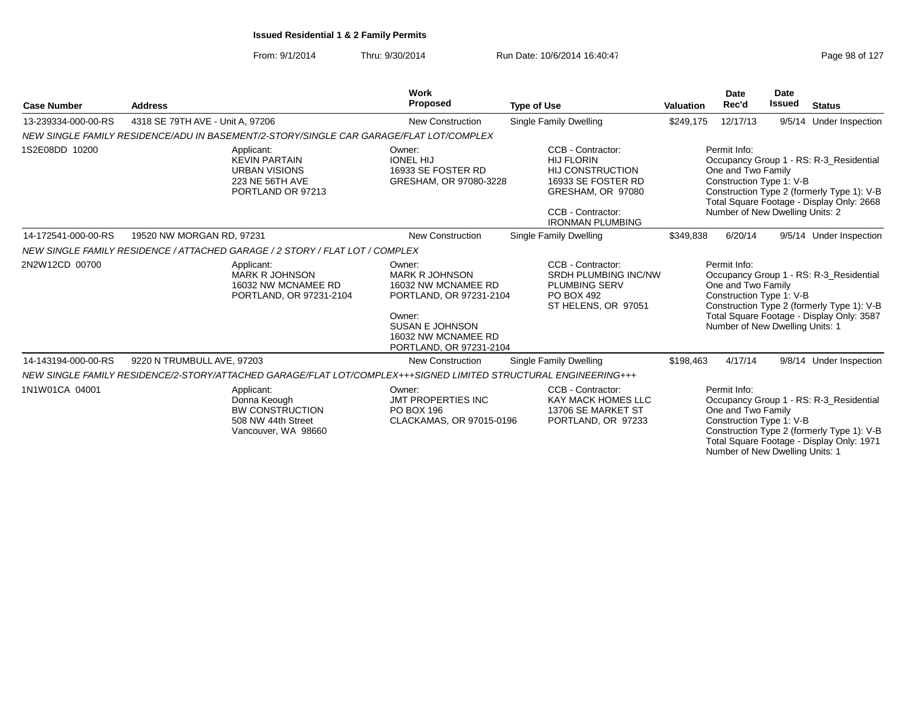From: 9/1/2014Thru: 9/30/2014 Run Date: 10/6/2014 16:40:47 Run Date: 10/6/2014 16:40:47

Number of New Dwelling Units: 1

|                     |                                  |                                                                                                                 | <b>Work</b>                                                                                                                                                             |                                                                                                                                                              |                  | <b>Date</b>                                                                                       | <b>Date</b>   |                                                                                                                                    |
|---------------------|----------------------------------|-----------------------------------------------------------------------------------------------------------------|-------------------------------------------------------------------------------------------------------------------------------------------------------------------------|--------------------------------------------------------------------------------------------------------------------------------------------------------------|------------------|---------------------------------------------------------------------------------------------------|---------------|------------------------------------------------------------------------------------------------------------------------------------|
| <b>Case Number</b>  | <b>Address</b>                   |                                                                                                                 | <b>Proposed</b>                                                                                                                                                         | <b>Type of Use</b>                                                                                                                                           | <b>Valuation</b> | Rec'd                                                                                             | <b>Issued</b> | <b>Status</b>                                                                                                                      |
| 13-239334-000-00-RS | 4318 SE 79TH AVE - Unit A, 97206 |                                                                                                                 | <b>New Construction</b>                                                                                                                                                 | Single Family Dwelling                                                                                                                                       | \$249,175        | 12/17/13                                                                                          |               | 9/5/14 Under Inspection                                                                                                            |
|                     |                                  | NEW SINGLE FAMILY RESIDENCE/ADU IN BASEMENT/2-STORY/SINGLE CAR GARAGE/FLAT LOT/COMPLEX                          |                                                                                                                                                                         |                                                                                                                                                              |                  |                                                                                                   |               |                                                                                                                                    |
| 1S2E08DD 10200      |                                  | Applicant:<br><b>KEVIN PARTAIN</b><br><b>URBAN VISIONS</b><br>223 NE 56TH AVE<br>PORTLAND OR 97213              | Owner:<br><b>IONEL HIJ</b><br>16933 SE FOSTER RD<br>GRESHAM, OR 97080-3228                                                                                              | CCB - Contractor:<br><b>HIJ FLORIN</b><br><b>HIJ CONSTRUCTION</b><br>16933 SE FOSTER RD<br>GRESHAM, OR 97080<br>CCB - Contractor:<br><b>IRONMAN PLUMBING</b> |                  | Permit Info:<br>One and Two Family<br>Construction Type 1: V-B<br>Number of New Dwelling Units: 2 |               | Occupancy Group 1 - RS: R-3_Residential<br>Construction Type 2 (formerly Type 1): V-B<br>Total Square Footage - Display Only: 2668 |
| 14-172541-000-00-RS | 19520 NW MORGAN RD, 97231        |                                                                                                                 | <b>New Construction</b>                                                                                                                                                 | Single Family Dwelling                                                                                                                                       | \$349,838        | 6/20/14                                                                                           |               | 9/5/14 Under Inspection                                                                                                            |
|                     |                                  | NEW SINGLE FAMILY RESIDENCE / ATTACHED GARAGE / 2 STORY / FLAT LOT / COMPLEX                                    |                                                                                                                                                                         |                                                                                                                                                              |                  |                                                                                                   |               |                                                                                                                                    |
| 2N2W12CD 00700      |                                  | Applicant:<br><b>MARK R JOHNSON</b><br>16032 NW MCNAMEE RD<br>PORTLAND, OR 97231-2104                           | Owner:<br><b>MARK R JOHNSON</b><br>16032 NW MCNAMEE RD<br>PORTLAND, OR 97231-2104<br>Owner:<br><b>SUSAN E JOHNSON</b><br>16032 NW MCNAMEE RD<br>PORTLAND, OR 97231-2104 | CCB - Contractor:<br><b>SRDH PLUMBING INC/NW</b><br><b>PLUMBING SERV</b><br>PO BOX 492<br>ST HELENS, OR 97051                                                |                  | Permit Info:<br>One and Two Family<br>Construction Type 1: V-B<br>Number of New Dwelling Units: 1 |               | Occupancy Group 1 - RS: R-3_Residential<br>Construction Type 2 (formerly Type 1): V-B<br>Total Square Footage - Display Only: 3587 |
| 14-143194-000-00-RS | 9220 N TRUMBULL AVE, 97203       |                                                                                                                 | <b>New Construction</b>                                                                                                                                                 | Single Family Dwelling                                                                                                                                       | \$198,463        | 4/17/14                                                                                           |               | 9/8/14 Under Inspection                                                                                                            |
|                     |                                  | NEW SINGLE FAMILY RESIDENCE/2-STORY/ATTACHED GARAGE/FLAT LOT/COMPLEX+++SIGNED LIMITED STRUCTURAL ENGINEERING+++ |                                                                                                                                                                         |                                                                                                                                                              |                  |                                                                                                   |               |                                                                                                                                    |
| 1N1W01CA 04001      |                                  | Applicant:<br>Donna Keough<br><b>BW CONSTRUCTION</b><br>508 NW 44th Street<br>Vancouver, WA 98660               | Owner:<br><b>JMT PROPERTIES INC</b><br>PO BOX 196<br>CLACKAMAS, OR 97015-0196                                                                                           | CCB - Contractor:<br><b>KAY MACK HOMES LLC</b><br>13706 SE MARKET ST<br>PORTLAND, OR 97233                                                                   |                  | Permit Info:<br>One and Two Family<br>Construction Type 1: V-B                                    |               | Occupancy Group 1 - RS: R-3 Residential<br>Construction Type 2 (formerly Type 1): V-B<br>Total Square Footage - Display Only: 1971 |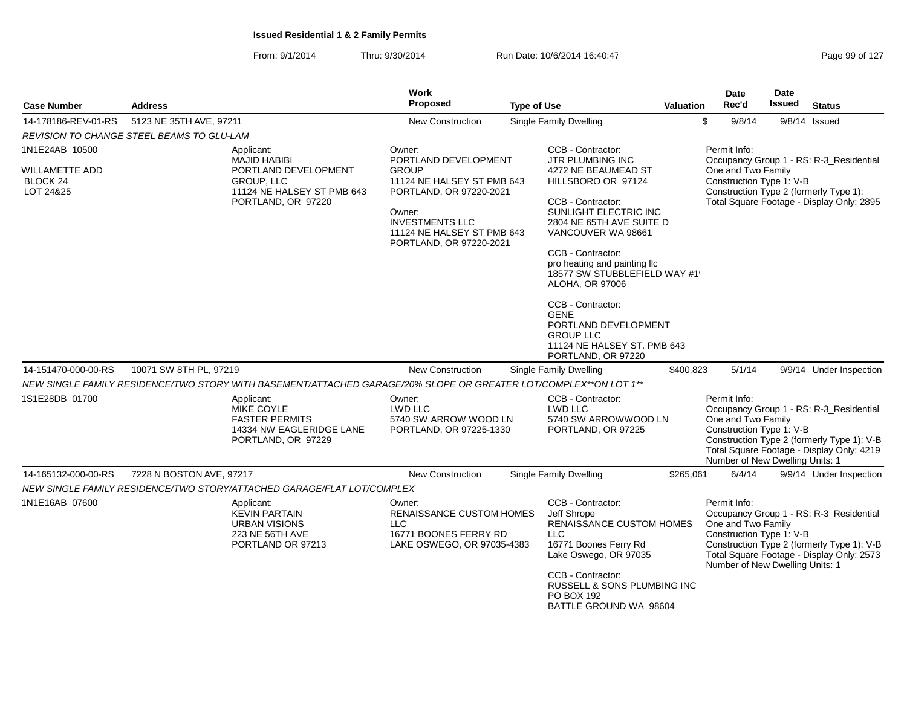| <b>Case Number</b>                                        | <b>Address</b>                                                                                                   | Work<br>Proposed                                                                                                                                                   | <b>Type of Use</b>                                                                                                                                                                                                                                                                                                                                                                             | Valuation | <b>Date</b><br>Rec'd                                                                              | <b>Date</b><br>Issued | <b>Status</b>                                                                                                                      |
|-----------------------------------------------------------|------------------------------------------------------------------------------------------------------------------|--------------------------------------------------------------------------------------------------------------------------------------------------------------------|------------------------------------------------------------------------------------------------------------------------------------------------------------------------------------------------------------------------------------------------------------------------------------------------------------------------------------------------------------------------------------------------|-----------|---------------------------------------------------------------------------------------------------|-----------------------|------------------------------------------------------------------------------------------------------------------------------------|
| 14-178186-REV-01-RS                                       | 5123 NE 35TH AVE, 97211                                                                                          | <b>New Construction</b>                                                                                                                                            | <b>Single Family Dwelling</b>                                                                                                                                                                                                                                                                                                                                                                  |           | \$<br>9/8/14                                                                                      |                       | $9/8/14$ Issued                                                                                                                    |
|                                                           | REVISION TO CHANGE STEEL BEAMS TO GLU-LAM                                                                        |                                                                                                                                                                    |                                                                                                                                                                                                                                                                                                                                                                                                |           |                                                                                                   |                       |                                                                                                                                    |
| 1N1E24AB 10500                                            | Applicant:<br><b>MAJID HABIBI</b>                                                                                | Owner:<br>PORTLAND DEVELOPMENT                                                                                                                                     | CCB - Contractor:<br><b>JTR PLUMBING INC</b>                                                                                                                                                                                                                                                                                                                                                   |           | Permit Info:                                                                                      |                       | Occupancy Group 1 - RS: R-3_Residential                                                                                            |
| <b>WILLAMETTE ADD</b><br>BLOCK <sub>24</sub><br>LOT 24&25 | PORTLAND DEVELOPMENT<br><b>GROUP, LLC</b><br>11124 NE HALSEY ST PMB 643<br>PORTLAND, OR 97220                    | <b>GROUP</b><br>11124 NE HALSEY ST PMB 643<br>PORTLAND, OR 97220-2021<br>Owner:<br><b>INVESTMENTS LLC</b><br>11124 NE HALSEY ST PMB 643<br>PORTLAND, OR 97220-2021 | 4272 NE BEAUMEAD ST<br>HILLSBORO OR 97124<br>CCB - Contractor:<br>SUNLIGHT ELECTRIC INC<br>2804 NE 65TH AVE SUITE D<br>VANCOUVER WA 98661<br>CCB - Contractor:<br>pro heating and painting Ilc<br>18577 SW STUBBLEFIELD WAY #1!<br><b>ALOHA, OR 97006</b><br>CCB - Contractor:<br><b>GENE</b><br>PORTLAND DEVELOPMENT<br><b>GROUP LLC</b><br>11124 NE HALSEY ST. PMB 643<br>PORTLAND, OR 97220 |           | One and Two Family<br>Construction Type 1: V-B                                                    |                       | Construction Type 2 (formerly Type 1):<br>Total Square Footage - Display Only: 2895                                                |
| 14-151470-000-00-RS                                       | 10071 SW 8TH PL, 97219                                                                                           | <b>New Construction</b>                                                                                                                                            | Single Family Dwelling                                                                                                                                                                                                                                                                                                                                                                         | \$400,823 | 5/1/14                                                                                            |                       | 9/9/14 Under Inspection                                                                                                            |
|                                                           | NEW SINGLE FAMILY RESIDENCE/TWO STORY WITH BASEMENT/ATTACHED GARAGE/20% SLOPE OR GREATER LOT/COMPLEX**ON LOT 1** |                                                                                                                                                                    |                                                                                                                                                                                                                                                                                                                                                                                                |           |                                                                                                   |                       |                                                                                                                                    |
| 1S1E28DB 01700                                            | Applicant:<br><b>MIKE COYLE</b><br><b>FASTER PERMITS</b><br>14334 NW EAGLERIDGE LANE<br>PORTLAND, OR 97229       | Owner:<br>LWD LLC<br>5740 SW ARROW WOOD LN<br>PORTLAND, OR 97225-1330                                                                                              | CCB - Contractor:<br><b>LWD LLC</b><br>5740 SW ARROWWOOD LN<br>PORTLAND, OR 97225                                                                                                                                                                                                                                                                                                              |           | Permit Info:<br>One and Two Family<br>Construction Type 1: V-B<br>Number of New Dwelling Units: 1 |                       | Occupancy Group 1 - RS: R-3_Residential<br>Construction Type 2 (formerly Type 1): V-B<br>Total Square Footage - Display Only: 4219 |
| 14-165132-000-00-RS                                       | 7228 N BOSTON AVE, 97217                                                                                         | <b>New Construction</b>                                                                                                                                            | Single Family Dwelling                                                                                                                                                                                                                                                                                                                                                                         | \$265,061 | 6/4/14                                                                                            |                       | 9/9/14 Under Inspection                                                                                                            |
|                                                           | NEW SINGLE FAMILY RESIDENCE/TWO STORY/ATTACHED GARAGE/FLAT LOT/COMPLEX                                           |                                                                                                                                                                    |                                                                                                                                                                                                                                                                                                                                                                                                |           |                                                                                                   |                       |                                                                                                                                    |
| 1N1E16AB 07600                                            | Applicant:<br><b>KEVIN PARTAIN</b><br><b>URBAN VISIONS</b><br><b>223 NE 56TH AVE</b><br>PORTLAND OR 97213        | Owner:<br>RENAISSANCE CUSTOM HOMES<br><b>LLC</b><br>16771 BOONES FERRY RD<br>LAKE OSWEGO, OR 97035-4383                                                            | CCB - Contractor:<br>Jeff Shrope<br><b>RENAISSANCE CUSTOM HOMES</b><br><b>LLC</b><br>16771 Boones Ferry Rd<br>Lake Oswego, OR 97035<br>CCB - Contractor:<br>RUSSELL & SONS PLUMBING INC<br><b>PO BOX 192</b><br>BATTLE GROUND WA 98604                                                                                                                                                         |           | Permit Info:<br>One and Two Family<br>Construction Type 1: V-B<br>Number of New Dwelling Units: 1 |                       | Occupancy Group 1 - RS: R-3_Residential<br>Construction Type 2 (formerly Type 1): V-B<br>Total Square Footage - Display Only: 2573 |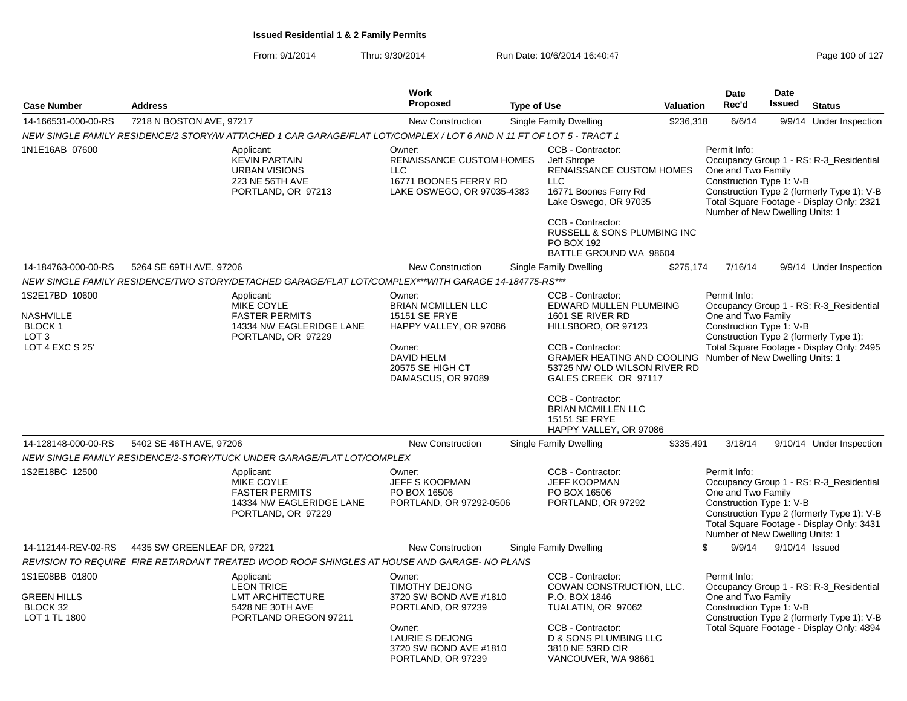|                                                                                      |                             |                                                                                                                     | <b>Work</b>                                                                                                                                                  |                    |                                                                                                                                                                                                                                                                                                                                |           | Date                                                                                              | <b>Date</b>    |                                                                                                                                    |
|--------------------------------------------------------------------------------------|-----------------------------|---------------------------------------------------------------------------------------------------------------------|--------------------------------------------------------------------------------------------------------------------------------------------------------------|--------------------|--------------------------------------------------------------------------------------------------------------------------------------------------------------------------------------------------------------------------------------------------------------------------------------------------------------------------------|-----------|---------------------------------------------------------------------------------------------------|----------------|------------------------------------------------------------------------------------------------------------------------------------|
| <b>Case Number</b>                                                                   | <b>Address</b>              |                                                                                                                     | Proposed                                                                                                                                                     | <b>Type of Use</b> |                                                                                                                                                                                                                                                                                                                                | Valuation | Rec'd                                                                                             | <b>Issued</b>  | <b>Status</b>                                                                                                                      |
| 14-166531-000-00-RS                                                                  | 7218 N BOSTON AVE, 97217    |                                                                                                                     | New Construction                                                                                                                                             |                    | <b>Single Family Dwelling</b>                                                                                                                                                                                                                                                                                                  | \$236,318 | 6/6/14                                                                                            |                | 9/9/14 Under Inspection                                                                                                            |
|                                                                                      |                             | NEW SINGLE FAMILY RESIDENCE/2 STORY/W ATTACHED 1 CAR GARAGE/FLAT LOT/COMPLEX / LOT 6 AND N 11 FT OF LOT 5 - TRACT 1 |                                                                                                                                                              |                    |                                                                                                                                                                                                                                                                                                                                |           |                                                                                                   |                |                                                                                                                                    |
| 1N1E16AB 07600                                                                       |                             | Applicant:<br><b>KEVIN PARTAIN</b><br><b>URBAN VISIONS</b><br>223 NE 56TH AVE<br>PORTLAND, OR 97213                 | Owner:<br><b>RENAISSANCE CUSTOM HOMES</b><br><b>LLC</b><br>16771 BOONES FERRY RD<br>LAKE OSWEGO, OR 97035-4383                                               |                    | CCB - Contractor:<br>Jeff Shrope<br><b>RENAISSANCE CUSTOM HOMES</b><br>LLC<br>16771 Boones Ferry Rd<br>Lake Oswego, OR 97035<br>CCB - Contractor:<br><b>RUSSELL &amp; SONS PLUMBING INC</b><br>PO BOX 192<br>BATTLE GROUND WA 98604                                                                                            |           | Permit Info:<br>One and Two Family<br>Construction Type 1: V-B<br>Number of New Dwelling Units: 1 |                | Occupancy Group 1 - RS: R-3_Residential<br>Construction Type 2 (formerly Type 1): V-B<br>Total Square Footage - Display Only: 2321 |
| 14-184763-000-00-RS                                                                  | 5264 SE 69TH AVE, 97206     |                                                                                                                     | <b>New Construction</b>                                                                                                                                      |                    | Single Family Dwelling                                                                                                                                                                                                                                                                                                         | \$275,174 | 7/16/14                                                                                           |                | 9/9/14 Under Inspection                                                                                                            |
|                                                                                      |                             | NEW SINGLE FAMILY RESIDENCE/TWO STORY/DETACHED GARAGE/FLAT LOT/COMPLEX***WITH GARAGE 14-184775-RS***                |                                                                                                                                                              |                    |                                                                                                                                                                                                                                                                                                                                |           |                                                                                                   |                |                                                                                                                                    |
| 1S2E17BD 10600<br><b>NASHVILLE</b><br>BLOCK 1<br>LOT <sub>3</sub><br>LOT 4 EXC S 25' |                             | Applicant:<br>MIKE COYLE<br><b>FASTER PERMITS</b><br>14334 NW EAGLERIDGE LANE<br>PORTLAND, OR 97229                 | Owner:<br><b>BRIAN MCMILLEN LLC</b><br>15151 SE FRYE<br>HAPPY VALLEY, OR 97086<br>Owner:<br><b>DAVID HELM</b><br>20575 SE HIGH CT<br>DAMASCUS, OR 97089      |                    | CCB - Contractor:<br>EDWARD MULLEN PLUMBING<br>1601 SE RIVER RD<br>HILLSBORO, OR 97123<br>CCB - Contractor:<br>GRAMER HEATING AND COOLING Number of New Dwelling Units: 1<br>53725 NW OLD WILSON RIVER RD<br>GALES CREEK OR 97117<br>CCB - Contractor:<br><b>BRIAN MCMILLEN LLC</b><br>15151 SE FRYE<br>HAPPY VALLEY, OR 97086 |           | Permit Info:<br>One and Two Family<br>Construction Type 1: V-B                                    |                | Occupancy Group 1 - RS: R-3_Residential<br>Construction Type 2 (formerly Type 1):<br>Total Square Footage - Display Only: 2495     |
| 14-128148-000-00-RS                                                                  | 5402 SE 46TH AVE, 97206     |                                                                                                                     | <b>New Construction</b>                                                                                                                                      |                    | Single Family Dwelling                                                                                                                                                                                                                                                                                                         | \$335,491 | 3/18/14                                                                                           |                | 9/10/14 Under Inspection                                                                                                           |
|                                                                                      |                             | NEW SINGLE FAMILY RESIDENCE/2-STORY/TUCK UNDER GARAGE/FLAT LOT/COMPLEX                                              |                                                                                                                                                              |                    |                                                                                                                                                                                                                                                                                                                                |           |                                                                                                   |                |                                                                                                                                    |
| 1S2E18BC 12500                                                                       |                             | Applicant:<br>MIKE COYLE<br><b>FASTER PERMITS</b><br>14334 NW EAGLERIDGE LANE<br>PORTLAND, OR 97229                 | Owner:<br>JEFF S KOOPMAN<br>PO BOX 16506<br>PORTLAND, OR 97292-0506                                                                                          |                    | CCB - Contractor:<br><b>JEFF KOOPMAN</b><br>PO BOX 16506<br>PORTLAND, OR 97292                                                                                                                                                                                                                                                 |           | Permit Info:<br>One and Two Family<br>Construction Type 1: V-B<br>Number of New Dwelling Units: 1 |                | Occupancy Group 1 - RS: R-3_Residential<br>Construction Type 2 (formerly Type 1): V-B<br>Total Square Footage - Display Only: 3431 |
| 14-112144-REV-02-RS                                                                  | 4435 SW GREENLEAF DR, 97221 |                                                                                                                     | <b>New Construction</b>                                                                                                                                      |                    | <b>Single Family Dwelling</b>                                                                                                                                                                                                                                                                                                  |           | \$<br>9/9/14                                                                                      | 9/10/14 Issued |                                                                                                                                    |
|                                                                                      |                             | REVISION TO REQUIRE FIRE RETARDANT TREATED WOOD ROOF SHINGLES AT HOUSE AND GARAGE- NO PLANS                         |                                                                                                                                                              |                    |                                                                                                                                                                                                                                                                                                                                |           |                                                                                                   |                |                                                                                                                                    |
| 1S1E08BB 01800<br><b>GREEN HILLS</b><br>BLOCK 32<br>LOT 1 TL 1800                    |                             | Applicant:<br><b>LEON TRICE</b><br><b>LMT ARCHITECTURE</b><br>5428 NE 30TH AVE<br>PORTLAND OREGON 97211             | Owner:<br><b>TIMOTHY DEJONG</b><br>3720 SW BOND AVE #1810<br>PORTLAND, OR 97239<br>Owner:<br>LAURIE S DEJONG<br>3720 SW BOND AVE #1810<br>PORTLAND, OR 97239 |                    | CCB - Contractor:<br>COWAN CONSTRUCTION, LLC.<br>P.O. BOX 1846<br>TUALATIN, OR 97062<br>CCB - Contractor:<br>D & SONS PLUMBING LLC<br>3810 NE 53RD CIR<br>VANCOUVER, WA 98661                                                                                                                                                  |           | Permit Info:<br>One and Two Family<br>Construction Type 1: V-B                                    |                | Occupancy Group 1 - RS: R-3_Residential<br>Construction Type 2 (formerly Type 1): V-B<br>Total Square Footage - Display Only: 4894 |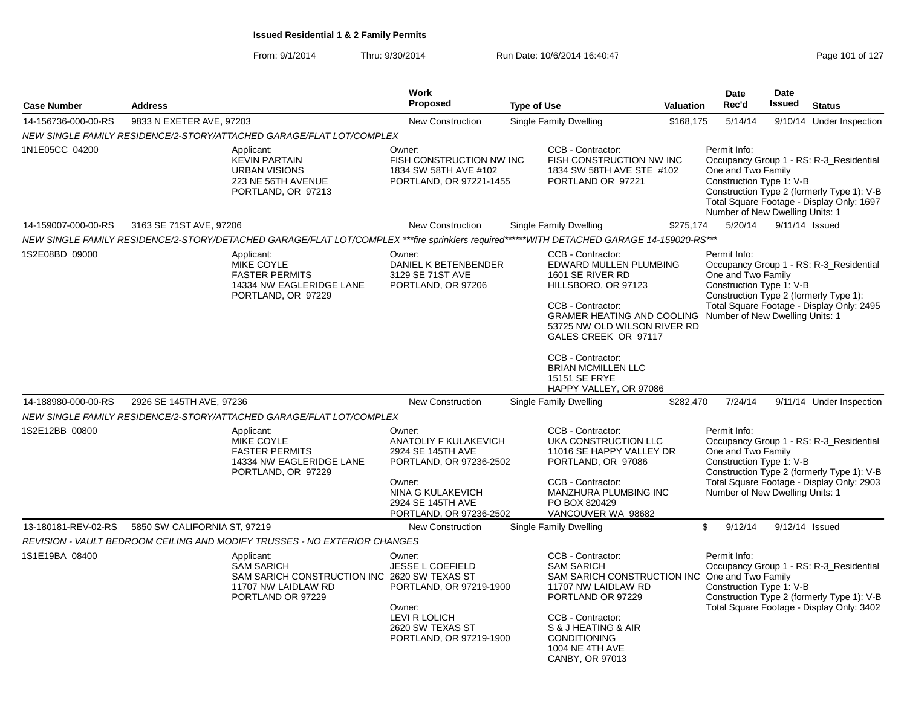| <b>Case Number</b>  | <b>Address</b>               |                                                                                                                                            | Work<br>Proposed                                                                                                                              | <b>Type of Use</b> |                                                                                                                                                                                                                                                                                            | <b>Valuation</b> | <b>Date</b><br>Rec'd                                                                              | <b>Date</b><br><b>Issued</b> | <b>Status</b>                                                                                                                      |
|---------------------|------------------------------|--------------------------------------------------------------------------------------------------------------------------------------------|-----------------------------------------------------------------------------------------------------------------------------------------------|--------------------|--------------------------------------------------------------------------------------------------------------------------------------------------------------------------------------------------------------------------------------------------------------------------------------------|------------------|---------------------------------------------------------------------------------------------------|------------------------------|------------------------------------------------------------------------------------------------------------------------------------|
| 14-156736-000-00-RS | 9833 N EXETER AVE, 97203     |                                                                                                                                            | <b>New Construction</b>                                                                                                                       |                    | Single Family Dwelling                                                                                                                                                                                                                                                                     | \$168,175        | 5/14/14                                                                                           |                              | 9/10/14 Under Inspection                                                                                                           |
|                     |                              | NEW SINGLE FAMILY RESIDENCE/2-STORY/ATTACHED GARAGE/FLAT LOT/COMPLEX                                                                       |                                                                                                                                               |                    |                                                                                                                                                                                                                                                                                            |                  |                                                                                                   |                              |                                                                                                                                    |
| 1N1E05CC 04200      |                              | Applicant:<br><b>KEVIN PARTAIN</b><br><b>URBAN VISIONS</b><br>223 NE 56TH AVENUE<br>PORTLAND, OR 97213                                     | Owner:<br>FISH CONSTRUCTION NW INC<br>1834 SW 58TH AVE #102<br>PORTLAND, OR 97221-1455                                                        |                    | CCB - Contractor:<br>FISH CONSTRUCTION NW INC<br>1834 SW 58TH AVE STE #102<br>PORTLAND OR 97221                                                                                                                                                                                            |                  | Permit Info:<br>One and Two Family<br>Construction Type 1: V-B<br>Number of New Dwelling Units: 1 |                              | Occupancy Group 1 - RS: R-3_Residential<br>Construction Type 2 (formerly Type 1): V-B<br>Total Square Footage - Display Only: 1697 |
| 14-159007-000-00-RS | 3163 SE 71ST AVE, 97206      |                                                                                                                                            | <b>New Construction</b>                                                                                                                       |                    | Single Family Dwelling                                                                                                                                                                                                                                                                     | \$275,174        | 5/20/14                                                                                           |                              | 9/11/14 Issued                                                                                                                     |
|                     |                              | NEW SINGLE FAMILY RESIDENCE/2-STORY/DETACHED GARAGE/FLAT LOT/COMPLEX ***fire sprinklers required******WITH DETACHED GARAGE 14-159020-RS*** |                                                                                                                                               |                    |                                                                                                                                                                                                                                                                                            |                  |                                                                                                   |                              |                                                                                                                                    |
| 1S2E08BD 09000      |                              | Applicant:<br>MIKE COYLE<br><b>FASTER PERMITS</b><br>14334 NW EAGLERIDGE LANE<br>PORTLAND, OR 97229                                        | Owner:<br>DANIEL K BETENBENDER<br>3129 SE 71ST AVE<br>PORTLAND, OR 97206                                                                      |                    | CCB - Contractor:<br>EDWARD MULLEN PLUMBING<br>1601 SE RIVER RD<br>HILLSBORO, OR 97123<br>CCB - Contractor:<br><b>GRAMER HEATING AND COOLING Number of New Dwelling Units: 1</b><br>53725 NW OLD WILSON RIVER RD<br>GALES CREEK OR 97117<br>CCB - Contractor:<br><b>BRIAN MCMILLEN LLC</b> |                  | Permit Info:<br>One and Two Family<br>Construction Type 1: V-B                                    |                              | Occupancy Group 1 - RS: R-3 Residential<br>Construction Type 2 (formerly Type 1):<br>Total Square Footage - Display Only: 2495     |
|                     |                              |                                                                                                                                            |                                                                                                                                               |                    | <b>15151 SE FRYE</b><br>HAPPY VALLEY, OR 97086                                                                                                                                                                                                                                             |                  |                                                                                                   |                              |                                                                                                                                    |
| 14-188980-000-00-RS | 2926 SE 145TH AVE, 97236     |                                                                                                                                            | <b>New Construction</b>                                                                                                                       |                    | <b>Single Family Dwelling</b>                                                                                                                                                                                                                                                              | \$282,470        | 7/24/14                                                                                           |                              | 9/11/14 Under Inspection                                                                                                           |
|                     |                              | NEW SINGLE FAMILY RESIDENCE/2-STORY/ATTACHED GARAGE/FLAT LOT/COMPLEX                                                                       |                                                                                                                                               |                    |                                                                                                                                                                                                                                                                                            |                  |                                                                                                   |                              |                                                                                                                                    |
| 1S2E12BB 00800      |                              | Applicant:<br>MIKE COYLE<br><b>FASTER PERMITS</b><br>14334 NW EAGLERIDGE LANE<br>PORTLAND, OR 97229                                        | Owner:<br>ANATOLIY F KULAKEVICH<br>2924 SE 145TH AVE<br>PORTLAND, OR 97236-2502<br>Owner:<br>NINA G KULAKEVICH                                |                    | CCB - Contractor:<br>UKA CONSTRUCTION LLC<br>11016 SE HAPPY VALLEY DR<br>PORTLAND, OR 97086<br>CCB - Contractor:<br>MANZHURA PLUMBING INC                                                                                                                                                  |                  | Permit Info:<br>One and Two Family<br>Construction Type 1: V-B<br>Number of New Dwelling Units: 1 |                              | Occupancy Group 1 - RS: R-3_Residential<br>Construction Type 2 (formerly Type 1): V-B<br>Total Square Footage - Display Only: 2903 |
|                     |                              |                                                                                                                                            | 2924 SE 145TH AVE<br>PORTLAND, OR 97236-2502                                                                                                  |                    | PO BOX 820429<br>VANCOUVER WA 98682                                                                                                                                                                                                                                                        |                  |                                                                                                   |                              |                                                                                                                                    |
| 13-180181-REV-02-RS | 5850 SW CALIFORNIA ST, 97219 |                                                                                                                                            | <b>New Construction</b>                                                                                                                       |                    | Single Family Dwelling                                                                                                                                                                                                                                                                     |                  | \$<br>9/12/14                                                                                     |                              | 9/12/14 Issued                                                                                                                     |
|                     |                              | REVISION - VAULT BEDROOM CEILING AND MODIFY TRUSSES - NO EXTERIOR CHANGES                                                                  |                                                                                                                                               |                    |                                                                                                                                                                                                                                                                                            |                  |                                                                                                   |                              |                                                                                                                                    |
| 1S1E19BA 08400      |                              | Applicant:<br><b>SAM SARICH</b><br>SAM SARICH CONSTRUCTION INC 2620 SW TEXAS ST<br>11707 NW LAIDLAW RD<br>PORTLAND OR 97229                | Owner:<br><b>JESSE L COEFIELD</b><br>PORTLAND, OR 97219-1900<br>Owner:<br><b>LEVI R LOLICH</b><br>2620 SW TEXAS ST<br>PORTLAND, OR 97219-1900 |                    | CCB - Contractor:<br><b>SAM SARICH</b><br>SAM SARICH CONSTRUCTION INC One and Two Family<br>11707 NW LAIDLAW RD<br>PORTLAND OR 97229<br>CCB - Contractor:<br>S & J HEATING & AIR<br><b>CONDITIONING</b><br>1004 NE 4TH AVE<br>CANBY, OR 97013                                              |                  | Permit Info:<br>Construction Type 1: V-B                                                          |                              | Occupancy Group 1 - RS: R-3_Residential<br>Construction Type 2 (formerly Type 1): V-B<br>Total Square Footage - Display Only: 3402 |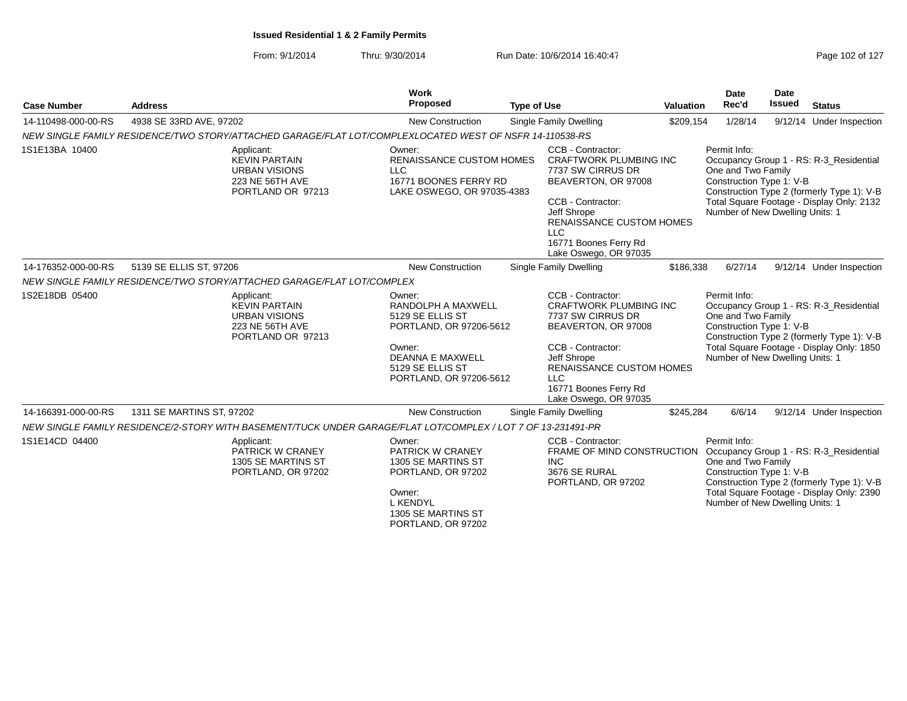| <b>Case Number</b>  | <b>Address</b>                                                                                               | Work<br>Proposed                                                                                                                                                | <b>Type of Use</b> |                                                                                                                                                                                                                                | Valuation | <b>Date</b><br>Rec'd                                                                              | Date<br><b>Issued</b> | <b>Status</b>                                                                                                                      |
|---------------------|--------------------------------------------------------------------------------------------------------------|-----------------------------------------------------------------------------------------------------------------------------------------------------------------|--------------------|--------------------------------------------------------------------------------------------------------------------------------------------------------------------------------------------------------------------------------|-----------|---------------------------------------------------------------------------------------------------|-----------------------|------------------------------------------------------------------------------------------------------------------------------------|
| 14-110498-000-00-RS | 4938 SE 33RD AVE, 97202                                                                                      | New Construction                                                                                                                                                |                    | <b>Single Family Dwelling</b>                                                                                                                                                                                                  | \$209,154 | 1/28/14                                                                                           |                       | 9/12/14 Under Inspection                                                                                                           |
|                     | NEW SINGLE FAMILY RESIDENCE/TWO STORY/ATTACHED GARAGE/FLAT LOT/COMPLEXLOCATED WEST OF NSFR 14-110538-RS      |                                                                                                                                                                 |                    |                                                                                                                                                                                                                                |           |                                                                                                   |                       |                                                                                                                                    |
| 1S1E13BA 10400      | Applicant:<br><b>KEVIN PARTAIN</b><br><b>URBAN VISIONS</b><br>223 NE 56TH AVE<br>PORTLAND OR 97213           | Owner:<br><b>RENAISSANCE CUSTOM HOMES</b><br><b>LLC</b><br>16771 BOONES FERRY RD<br>LAKE OSWEGO, OR 97035-4383                                                  |                    | CCB - Contractor:<br><b>CRAFTWORK PLUMBING INC</b><br>7737 SW CIRRUS DR<br>BEAVERTON, OR 97008<br>CCB - Contractor:<br>Jeff Shrope<br>RENAISSANCE CUSTOM HOMES<br><b>LLC</b><br>16771 Boones Ferry Rd<br>Lake Oswego, OR 97035 |           | Permit Info:<br>One and Two Family<br>Construction Type 1: V-B<br>Number of New Dwelling Units: 1 |                       | Occupancy Group 1 - RS: R-3 Residential<br>Construction Type 2 (formerly Type 1): V-B<br>Total Square Footage - Display Only: 2132 |
| 14-176352-000-00-RS | 5139 SE ELLIS ST, 97206                                                                                      | <b>New Construction</b>                                                                                                                                         |                    | Single Family Dwelling                                                                                                                                                                                                         | \$186,338 | 6/27/14                                                                                           |                       | 9/12/14 Under Inspection                                                                                                           |
|                     | NEW SINGLE FAMILY RESIDENCE/TWO STORY/ATTACHED GARAGE/FLAT LOT/COMPLEX                                       |                                                                                                                                                                 |                    |                                                                                                                                                                                                                                |           |                                                                                                   |                       |                                                                                                                                    |
| 1S2E18DB 05400      | Applicant:<br><b>KEVIN PARTAIN</b><br><b>URBAN VISIONS</b><br>223 NE 56TH AVE<br>PORTLAND OR 97213           | Owner:<br>RANDOLPH A MAXWELL<br>5129 SE ELLIS ST<br>PORTLAND, OR 97206-5612<br>Owner:<br><b>DEANNA E MAXWELL</b><br>5129 SE ELLIS ST<br>PORTLAND, OR 97206-5612 |                    | CCB - Contractor:<br><b>CRAFTWORK PLUMBING INC</b><br>7737 SW CIRRUS DR<br>BEAVERTON, OR 97008<br>CCB - Contractor:<br>Jeff Shrope<br>RENAISSANCE CUSTOM HOMES<br><b>LLC</b><br>16771 Boones Ferry Rd<br>Lake Oswego, OR 97035 |           | Permit Info:<br>One and Two Family<br>Construction Type 1: V-B<br>Number of New Dwelling Units: 1 |                       | Occupancy Group 1 - RS: R-3 Residential<br>Construction Type 2 (formerly Type 1): V-B<br>Total Square Footage - Display Only: 1850 |
| 14-166391-000-00-RS | 1311 SE MARTINS ST, 97202                                                                                    | <b>New Construction</b>                                                                                                                                         |                    | Single Family Dwelling                                                                                                                                                                                                         | \$245,284 | 6/6/14                                                                                            |                       | 9/12/14 Under Inspection                                                                                                           |
|                     | NEW SINGLE FAMILY RESIDENCE/2-STORY WITH BASEMENT/TUCK UNDER GARAGE/FLAT LOT/COMPLEX / LOT 7 OF 13-231491-PR |                                                                                                                                                                 |                    |                                                                                                                                                                                                                                |           |                                                                                                   |                       |                                                                                                                                    |
| 1S1E14CD 04400      | Applicant:<br>PATRICK W CRANEY<br>1305 SE MARTINS ST<br>PORTLAND, OR 97202                                   | Owner:<br><b>PATRICK W CRANEY</b><br>1305 SE MARTINS ST<br>PORTLAND, OR 97202<br>Owner:<br><b>L KENDYL</b><br>1305 SE MARTINS ST<br>PORTLAND, OR 97202          |                    | CCB - Contractor:<br>FRAME OF MIND CONSTRUCTION<br><b>INC</b><br>3676 SE RURAL<br>PORTLAND, OR 97202                                                                                                                           |           | Permit Info:<br>One and Two Family<br>Construction Type 1: V-B<br>Number of New Dwelling Units: 1 |                       | Occupancy Group 1 - RS: R-3_Residential<br>Construction Type 2 (formerly Type 1): V-B<br>Total Square Footage - Display Only: 2390 |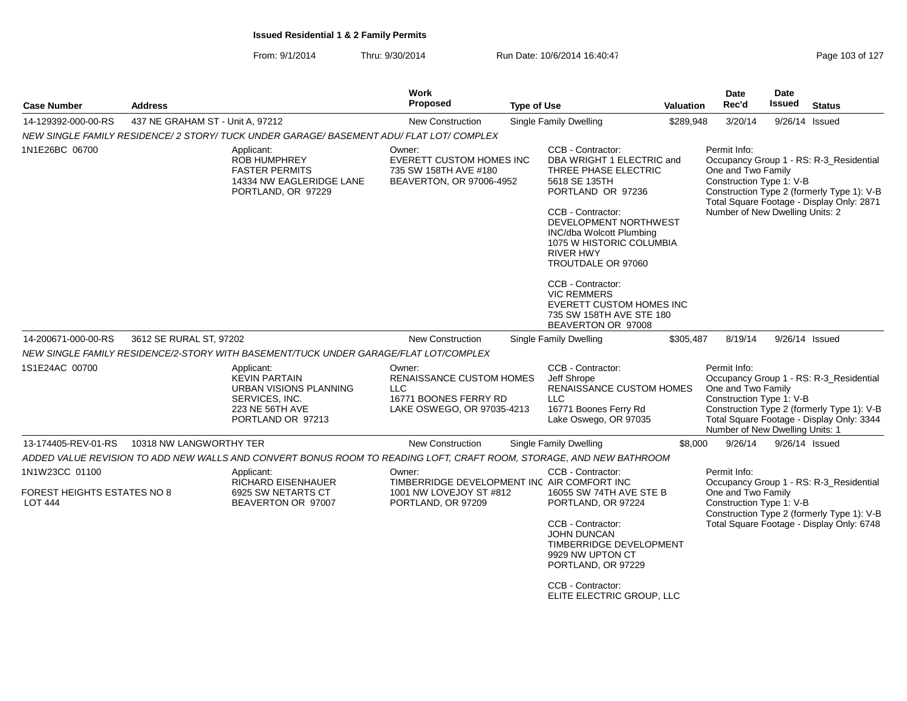| <b>Case Number</b>                                              | <b>Address</b>                   |                                                                                                                               | Work<br><b>Proposed</b>                                                                                        | <b>Type of Use</b> |                                                                                                                                                                                                                                                                                                                                                                                       | <b>Valuation</b> | Date<br>Rec'd                                                                                     | Date<br>Issued   | <b>Status</b>                                                                                                                      |
|-----------------------------------------------------------------|----------------------------------|-------------------------------------------------------------------------------------------------------------------------------|----------------------------------------------------------------------------------------------------------------|--------------------|---------------------------------------------------------------------------------------------------------------------------------------------------------------------------------------------------------------------------------------------------------------------------------------------------------------------------------------------------------------------------------------|------------------|---------------------------------------------------------------------------------------------------|------------------|------------------------------------------------------------------------------------------------------------------------------------|
| 14-129392-000-00-RS                                             | 437 NE GRAHAM ST - Unit A. 97212 |                                                                                                                               | <b>New Construction</b>                                                                                        |                    | <b>Single Family Dwelling</b>                                                                                                                                                                                                                                                                                                                                                         | \$289,948        | 3/20/14                                                                                           | 9/26/14 Issued   |                                                                                                                                    |
|                                                                 |                                  | NEW SINGLE FAMILY RESIDENCE/2 STORY/ TUCK UNDER GARAGE/ BASEMENT ADU/ FLAT LOT/ COMPLEX                                       |                                                                                                                |                    |                                                                                                                                                                                                                                                                                                                                                                                       |                  |                                                                                                   |                  |                                                                                                                                    |
| 1N1E26BC 06700                                                  |                                  | Applicant:<br><b>ROB HUMPHREY</b><br><b>FASTER PERMITS</b><br>14334 NW EAGLERIDGE LANE<br>PORTLAND, OR 97229                  | Owner:<br><b>EVERETT CUSTOM HOMES INC</b><br>735 SW 158TH AVE #180<br>BEAVERTON, OR 97006-4952                 |                    | CCB - Contractor:<br>DBA WRIGHT 1 ELECTRIC and<br>THREE PHASE ELECTRIC<br>5618 SE 135TH<br>PORTLAND OR 97236<br>CCB - Contractor:<br>DEVELOPMENT NORTHWEST<br>INC/dba Wolcott Plumbing<br>1075 W HISTORIC COLUMBIA<br><b>RIVER HWY</b><br>TROUTDALE OR 97060<br>CCB - Contractor:<br><b>VIC REMMERS</b><br>EVERETT CUSTOM HOMES INC<br>735 SW 158TH AVE STE 180<br>BEAVERTON OR 97008 |                  | Permit Info:<br>One and Two Family<br>Construction Type 1: V-B<br>Number of New Dwelling Units: 2 |                  | Occupancy Group 1 - RS: R-3 Residential<br>Construction Type 2 (formerly Type 1): V-B<br>Total Square Footage - Display Only: 2871 |
| 14-200671-000-00-RS                                             | 3612 SE RURAL ST, 97202          |                                                                                                                               | <b>New Construction</b>                                                                                        |                    | <b>Single Family Dwelling</b>                                                                                                                                                                                                                                                                                                                                                         | \$305,487        | 8/19/14                                                                                           | $9/26/14$ Issued |                                                                                                                                    |
|                                                                 |                                  | NEW SINGLE FAMILY RESIDENCE/2-STORY WITH BASEMENT/TUCK UNDER GARAGE/FLAT LOT/COMPLEX                                          |                                                                                                                |                    |                                                                                                                                                                                                                                                                                                                                                                                       |                  |                                                                                                   |                  |                                                                                                                                    |
| 1S1E24AC 00700                                                  |                                  | Applicant:<br><b>KEVIN PARTAIN</b><br><b>URBAN VISIONS PLANNING</b><br>SERVICES, INC.<br>223 NE 56TH AVE<br>PORTLAND OR 97213 | Owner:<br><b>RENAISSANCE CUSTOM HOMES</b><br><b>LLC</b><br>16771 BOONES FERRY RD<br>LAKE OSWEGO, OR 97035-4213 |                    | CCB - Contractor:<br>Jeff Shrope<br>RENAISSANCE CUSTOM HOMES<br>$\sqcup$ C<br>16771 Boones Ferry Rd<br>Lake Oswego, OR 97035                                                                                                                                                                                                                                                          |                  | Permit Info:<br>One and Two Family<br>Construction Type 1: V-B<br>Number of New Dwelling Units: 1 |                  | Occupancy Group 1 - RS: R-3 Residential<br>Construction Type 2 (formerly Type 1): V-B<br>Total Square Footage - Display Only: 3344 |
| 13-174405-REV-01-RS                                             | 10318 NW LANGWORTHY TER          |                                                                                                                               | <b>New Construction</b>                                                                                        |                    | <b>Single Family Dwelling</b>                                                                                                                                                                                                                                                                                                                                                         | \$8,000          | 9/26/14                                                                                           | $9/26/14$ Issued |                                                                                                                                    |
|                                                                 |                                  | ADDED VALUE REVISION TO ADD NEW WALLS AND CONVERT BONUS ROOM TO READING LOFT, CRAFT ROOM, STORAGE, AND NEW BATHROOM           |                                                                                                                |                    |                                                                                                                                                                                                                                                                                                                                                                                       |                  |                                                                                                   |                  |                                                                                                                                    |
| 1N1W23CC 01100<br>FOREST HEIGHTS ESTATES NO 8<br><b>LOT 444</b> |                                  | Applicant:<br><b>RICHARD EISENHAUER</b><br>6925 SW NETARTS CT<br>BEAVERTON OR 97007                                           | Owner:<br>TIMBERRIDGE DEVELOPMENT INC AIR COMFORT INC<br>1001 NW LOVEJOY ST #812<br>PORTLAND, OR 97209         |                    | CCB - Contractor:<br>16055 SW 74TH AVE STE B<br>PORTLAND, OR 97224<br>CCB - Contractor:<br>JOHN DUNCAN<br><b>TIMBERRIDGE DEVELOPMENT</b><br>9929 NW UPTON CT<br>PORTLAND, OR 97229<br>CCB - Contractor:<br>ELITE ELECTRIC GROUP, LLC                                                                                                                                                  |                  | Permit Info:<br>One and Two Family<br>Construction Type 1: V-B                                    |                  | Occupancy Group 1 - RS: R-3_Residential<br>Construction Type 2 (formerly Type 1): V-B<br>Total Square Footage - Display Only: 6748 |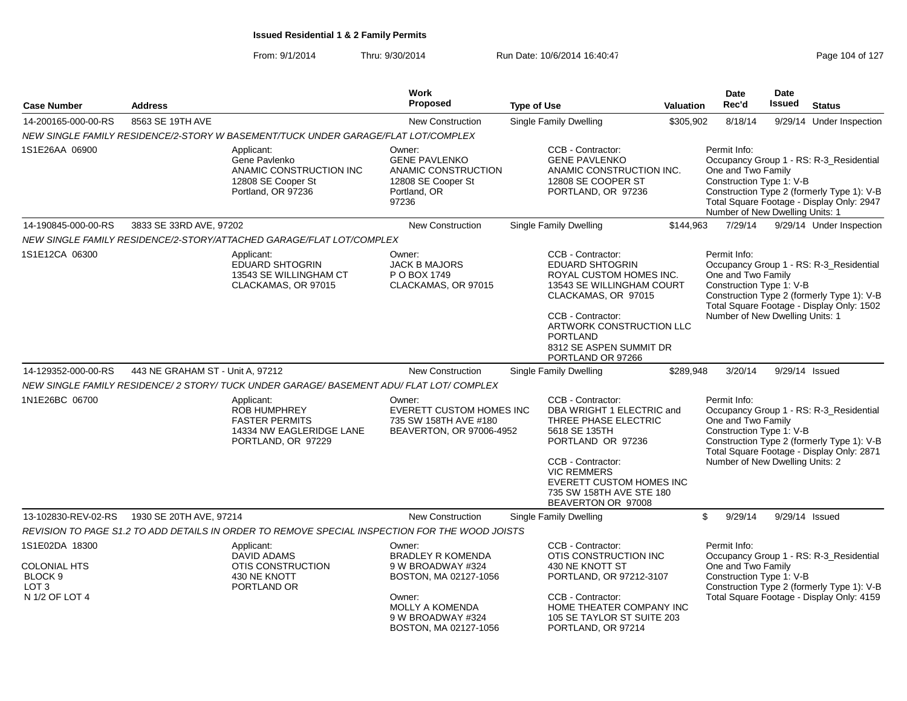From: 9/1/2014Thru: 9/30/2014 Run Date: 10/6/2014 16:40:47 Rege 104 of 127

| <b>Case Number</b>                                                                                | <b>Address</b>                   |                                                                                                              | Work<br><b>Proposed</b>                                                                                                                                            | <b>Type of Use</b>                  |                                                                                                                                                                                                                      | <b>Valuation</b> | Date<br>Rec'd                                                                                     | Date<br><b>Issued</b> | <b>Status</b>                                                                                                                      |
|---------------------------------------------------------------------------------------------------|----------------------------------|--------------------------------------------------------------------------------------------------------------|--------------------------------------------------------------------------------------------------------------------------------------------------------------------|-------------------------------------|----------------------------------------------------------------------------------------------------------------------------------------------------------------------------------------------------------------------|------------------|---------------------------------------------------------------------------------------------------|-----------------------|------------------------------------------------------------------------------------------------------------------------------------|
| 14-200165-000-00-RS                                                                               | 8563 SE 19TH AVE                 |                                                                                                              | <b>New Construction</b>                                                                                                                                            | Single Family Dwelling              |                                                                                                                                                                                                                      | \$305,902        | 8/18/14                                                                                           |                       | 9/29/14 Under Inspection                                                                                                           |
|                                                                                                   |                                  | NEW SINGLE FAMILY RESIDENCE/2-STORY W BASEMENT/TUCK UNDER GARAGE/FLAT LOT/COMPLEX                            |                                                                                                                                                                    |                                     |                                                                                                                                                                                                                      |                  |                                                                                                   |                       |                                                                                                                                    |
| 1S1E26AA 06900                                                                                    |                                  | Applicant:<br>Gene Pavlenko<br>ANAMIC CONSTRUCTION INC<br>12808 SE Cooper St<br>Portland, OR 97236           | Owner:<br><b>GENE PAVLENKO</b><br>ANAMIC CONSTRUCTION<br>12808 SE Cooper St<br>Portland, OR<br>97236                                                               |                                     | CCB - Contractor:<br><b>GENE PAVLENKO</b><br>ANAMIC CONSTRUCTION INC.<br>12808 SE COOPER ST<br>PORTLAND, OR 97236                                                                                                    |                  | Permit Info:<br>One and Two Family<br>Construction Type 1: V-B<br>Number of New Dwelling Units: 1 |                       | Occupancy Group 1 - RS: R-3_Residential<br>Construction Type 2 (formerly Type 1): V-B<br>Total Square Footage - Display Only: 2947 |
| 14-190845-000-00-RS                                                                               | 3833 SE 33RD AVE, 97202          |                                                                                                              | New Construction                                                                                                                                                   | <b>Single Family Dwelling</b>       |                                                                                                                                                                                                                      | \$144,963        | 7/29/14                                                                                           |                       | 9/29/14 Under Inspection                                                                                                           |
|                                                                                                   |                                  | NEW SINGLE FAMILY RESIDENCE/2-STORY/ATTACHED GARAGE/FLAT LOT/COMPLEX                                         |                                                                                                                                                                    |                                     |                                                                                                                                                                                                                      |                  |                                                                                                   |                       |                                                                                                                                    |
| 1S1E12CA 06300                                                                                    |                                  | Applicant:<br><b>EDUARD SHTOGRIN</b><br>13543 SE WILLINGHAM CT<br>CLACKAMAS, OR 97015                        | Owner:<br><b>JACK B MAJORS</b><br>P O BOX 1749<br>CLACKAMAS, OR 97015                                                                                              | <b>PORTLAND</b>                     | CCB - Contractor:<br>EDUARD SHTOGRIN<br>ROYAL CUSTOM HOMES INC.<br>13543 SE WILLINGHAM COURT<br>CLACKAMAS, OR 97015<br>CCB - Contractor:<br>ARTWORK CONSTRUCTION LLC<br>8312 SE ASPEN SUMMIT DR<br>PORTLAND OR 97266 |                  | Permit Info:<br>One and Two Family<br>Construction Type 1: V-B<br>Number of New Dwelling Units: 1 |                       | Occupancy Group 1 - RS: R-3_Residential<br>Construction Type 2 (formerly Type 1): V-B<br>Total Square Footage - Display Only: 1502 |
| 14-129352-000-00-RS                                                                               | 443 NE GRAHAM ST - Unit A, 97212 |                                                                                                              | <b>New Construction</b>                                                                                                                                            | Single Family Dwelling              |                                                                                                                                                                                                                      | \$289,948        | 3/20/14                                                                                           | 9/29/14 Issued        |                                                                                                                                    |
|                                                                                                   |                                  | NEW SINGLE FAMILY RESIDENCE/2 STORY/ TUCK UNDER GARAGE/ BASEMENT ADU/ FLAT LOT/ COMPLEX                      |                                                                                                                                                                    |                                     |                                                                                                                                                                                                                      |                  |                                                                                                   |                       |                                                                                                                                    |
| 1N1E26BC 06700                                                                                    |                                  | Applicant:<br><b>ROB HUMPHREY</b><br><b>FASTER PERMITS</b><br>14334 NW EAGLERIDGE LANE<br>PORTLAND, OR 97229 | Owner:<br>EVERETT CUSTOM HOMES INC<br>735 SW 158TH AVE #180<br>BEAVERTON, OR 97006-4952                                                                            | 5618 SE 135TH<br><b>VIC REMMERS</b> | CCB - Contractor:<br>DBA WRIGHT 1 ELECTRIC and<br>THREE PHASE ELECTRIC<br>PORTLAND OR 97236<br>CCB - Contractor:<br>EVERETT CUSTOM HOMES INC<br>735 SW 158TH AVE STE 180<br>BEAVERTON OR 97008                       |                  | Permit Info:<br>One and Two Family<br>Construction Type 1: V-B<br>Number of New Dwelling Units: 2 |                       | Occupancy Group 1 - RS: R-3_Residential<br>Construction Type 2 (formerly Type 1): V-B<br>Total Square Footage - Display Only: 2871 |
| 13-102830-REV-02-RS                                                                               | 1930 SE 20TH AVE, 97214          |                                                                                                              | <b>New Construction</b>                                                                                                                                            | <b>Single Family Dwelling</b>       |                                                                                                                                                                                                                      | \$               | 9/29/14                                                                                           | 9/29/14 Issued        |                                                                                                                                    |
|                                                                                                   |                                  | REVISION TO PAGE S1.2 TO ADD DETAILS IN ORDER TO REMOVE SPECIAL INSPECTION FOR THE WOOD JOISTS               |                                                                                                                                                                    |                                     |                                                                                                                                                                                                                      |                  |                                                                                                   |                       |                                                                                                                                    |
| 1S1E02DA 18300<br><b>COLONIAL HTS</b><br>BLOCK <sub>9</sub><br>LOT <sub>3</sub><br>N 1/2 OF LOT 4 |                                  | Applicant:<br><b>DAVID ADAMS</b><br>OTIS CONSTRUCTION<br>430 NE KNOTT<br>PORTLAND OR                         | Owner:<br><b>BRADLEY R KOMENDA</b><br>9 W BROADWAY #324<br>BOSTON, MA 02127-1056<br>Owner:<br><b>MOLLY A KOMENDA</b><br>9 W BROADWAY #324<br>BOSTON, MA 02127-1056 |                                     | CCB - Contractor:<br>OTIS CONSTRUCTION INC<br>430 NE KNOTT ST<br>PORTLAND, OR 97212-3107<br>CCB - Contractor:<br>HOME THEATER COMPANY INC<br>105 SE TAYLOR ST SUITE 203<br>PORTLAND, OR 97214                        |                  | Permit Info:<br>One and Two Family<br>Construction Type 1: V-B                                    |                       | Occupancy Group 1 - RS: R-3_Residential<br>Construction Type 2 (formerly Type 1): V-B<br>Total Square Footage - Display Only: 4159 |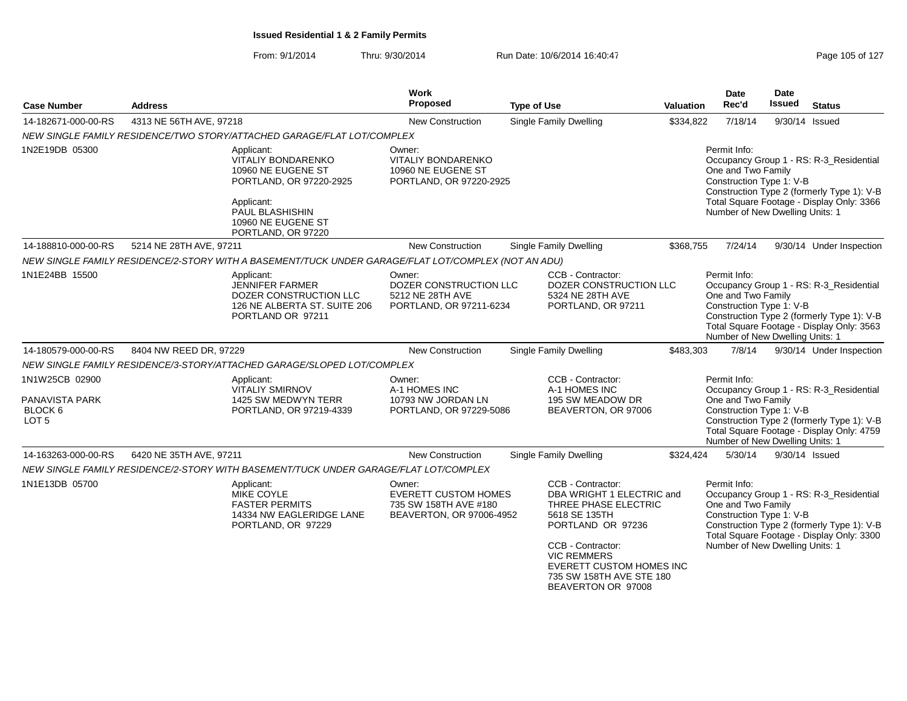| <b>Case Number</b>                                              | <b>Address</b>                                                                                                                                                        | <b>Work</b><br>Proposed                                                                    | <b>Type of Use</b>                                                                                                                                                                                                                           | <b>Valuation</b> | Date<br>Rec'd                                                                                     | <b>Date</b><br>Issued | <b>Status</b>                                                                                                                      |
|-----------------------------------------------------------------|-----------------------------------------------------------------------------------------------------------------------------------------------------------------------|--------------------------------------------------------------------------------------------|----------------------------------------------------------------------------------------------------------------------------------------------------------------------------------------------------------------------------------------------|------------------|---------------------------------------------------------------------------------------------------|-----------------------|------------------------------------------------------------------------------------------------------------------------------------|
| 14-182671-000-00-RS                                             | 4313 NE 56TH AVE, 97218                                                                                                                                               | <b>New Construction</b>                                                                    | <b>Single Family Dwelling</b>                                                                                                                                                                                                                | \$334,822        | 7/18/14                                                                                           | 9/30/14 Issued        |                                                                                                                                    |
|                                                                 | NEW SINGLE FAMILY RESIDENCE/TWO STORY/ATTACHED GARAGE/FLAT LOT/COMPLEX                                                                                                |                                                                                            |                                                                                                                                                                                                                                              |                  |                                                                                                   |                       |                                                                                                                                    |
| 1N2E19DB 05300                                                  | Applicant:<br><b>VITALIY BONDARENKO</b><br>10960 NE EUGENE ST<br>PORTLAND, OR 97220-2925<br>Applicant:<br>PAUL BLASHISHIN<br>10960 NE EUGENE ST<br>PORTLAND, OR 97220 | Owner:<br><b>VITALIY BONDARENKO</b><br>10960 NE EUGENE ST<br>PORTLAND, OR 97220-2925       |                                                                                                                                                                                                                                              |                  | Permit Info:<br>One and Two Family<br>Construction Type 1: V-B<br>Number of New Dwelling Units: 1 |                       | Occupancy Group 1 - RS: R-3 Residential<br>Construction Type 2 (formerly Type 1): V-B<br>Total Square Footage - Display Only: 3366 |
| 14-188810-000-00-RS                                             | 5214 NE 28TH AVE, 97211                                                                                                                                               | New Construction                                                                           | Single Family Dwelling                                                                                                                                                                                                                       | \$368,755        | 7/24/14                                                                                           |                       | 9/30/14 Under Inspection                                                                                                           |
|                                                                 | NEW SINGLE FAMILY RESIDENCE/2-STORY WITH A BASEMENT/TUCK UNDER GARAGE/FLAT LOT/COMPLEX (NOT AN ADU)                                                                   |                                                                                            |                                                                                                                                                                                                                                              |                  |                                                                                                   |                       |                                                                                                                                    |
| 1N1E24BB 15500                                                  | Applicant:<br><b>JENNIFER FARMER</b><br>DOZER CONSTRUCTION LLC<br>126 NE ALBERTA ST. SUITE 206<br>PORTLAND OR 97211                                                   | Owner:<br>DOZER CONSTRUCTION LLC<br>5212 NE 28TH AVE<br>PORTLAND, OR 97211-6234            | CCB - Contractor:<br>DOZER CONSTRUCTION LLC<br>5324 NE 28TH AVE<br>PORTLAND, OR 97211                                                                                                                                                        |                  | Permit Info:<br>One and Two Family<br>Construction Type 1: V-B<br>Number of New Dwelling Units: 1 |                       | Occupancy Group 1 - RS: R-3_Residential<br>Construction Type 2 (formerly Type 1): V-B<br>Total Square Footage - Display Only: 3563 |
| 14-180579-000-00-RS                                             | 8404 NW REED DR, 97229                                                                                                                                                | New Construction                                                                           | <b>Single Family Dwelling</b>                                                                                                                                                                                                                | \$483,303        | 7/8/14                                                                                            |                       | 9/30/14 Under Inspection                                                                                                           |
|                                                                 | NEW SINGLE FAMILY RESIDENCE/3-STORY/ATTACHED GARAGE/SLOPED LOT/COMPLEX                                                                                                |                                                                                            |                                                                                                                                                                                                                                              |                  |                                                                                                   |                       |                                                                                                                                    |
| 1N1W25CB 02900<br>PANAVISTA PARK<br>BLOCK 6<br>LOT <sub>5</sub> | Applicant:<br><b>VITALIY SMIRNOV</b><br>1425 SW MEDWYN TERR<br>PORTLAND, OR 97219-4339                                                                                | Owner:<br>A-1 HOMES INC<br>10793 NW JORDAN LN<br>PORTLAND, OR 97229-5086                   | CCB - Contractor:<br>A-1 HOMES INC<br>195 SW MEADOW DR<br>BEAVERTON, OR 97006                                                                                                                                                                |                  | Permit Info:<br>One and Two Family<br>Construction Type 1: V-B<br>Number of New Dwelling Units: 1 |                       | Occupancy Group 1 - RS: R-3 Residential<br>Construction Type 2 (formerly Type 1): V-B<br>Total Square Footage - Display Only: 4759 |
| 14-163263-000-00-RS                                             | 6420 NE 35TH AVE, 97211                                                                                                                                               | New Construction                                                                           | Single Family Dwelling                                                                                                                                                                                                                       | \$324,424        | 5/30/14                                                                                           |                       | 9/30/14 Issued                                                                                                                     |
|                                                                 | NEW SINGLE FAMILY RESIDENCE/2-STORY WITH BASEMENT/TUCK UNDER GARAGE/FLAT LOT/COMPLEX                                                                                  |                                                                                            |                                                                                                                                                                                                                                              |                  |                                                                                                   |                       |                                                                                                                                    |
| 1N1E13DB 05700                                                  | Applicant:<br>MIKE COYLE<br><b>FASTER PERMITS</b><br>14334 NW EAGLERIDGE LANE<br>PORTLAND, OR 97229                                                                   | Owner:<br><b>EVERETT CUSTOM HOMES</b><br>735 SW 158TH AVE #180<br>BEAVERTON, OR 97006-4952 | CCB - Contractor:<br>DBA WRIGHT 1 ELECTRIC and<br>THREE PHASE ELECTRIC<br>5618 SE 135TH<br>PORTLAND OR 97236<br>CCB - Contractor:<br><b>VIC REMMERS</b><br><b>EVERETT CUSTOM HOMES INC</b><br>735 SW 158TH AVE STE 180<br>BEAVERTON OR 97008 |                  | Permit Info:<br>One and Two Family<br>Construction Type 1: V-B<br>Number of New Dwelling Units: 1 |                       | Occupancy Group 1 - RS: R-3_Residential<br>Construction Type 2 (formerly Type 1): V-B<br>Total Square Footage - Display Only: 3300 |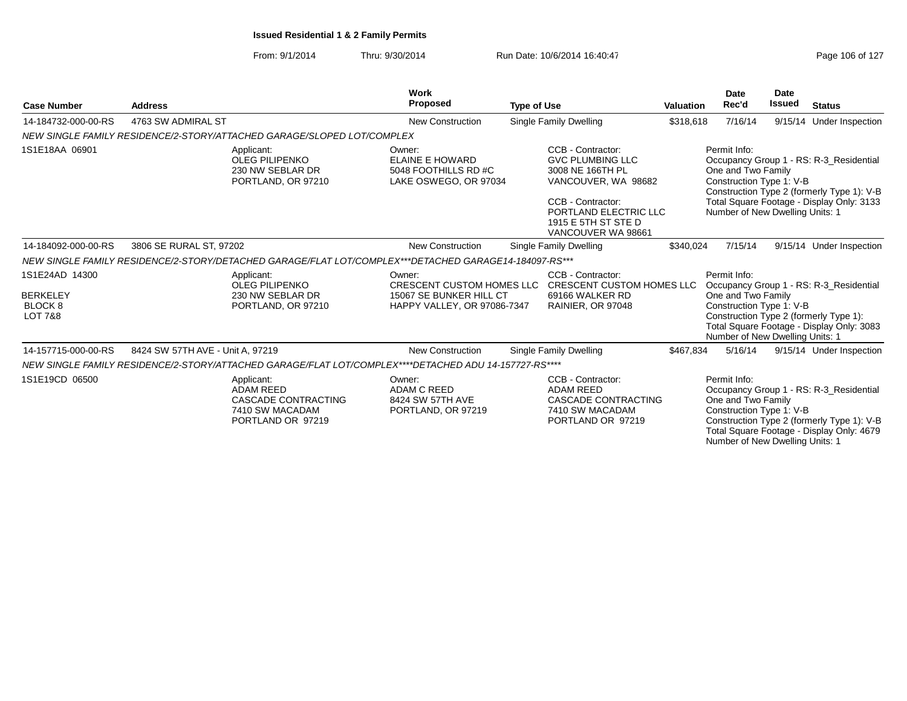### From: 9/1/2014Thru: 9/30/2014 Run Date: 10/6/2014 16:40:47

| Page 106 of 127 |  |  |
|-----------------|--|--|
|-----------------|--|--|

|                                                                           |                                                                                               | Work                                                                                                  |                                                                                                                                                                                    |                  | <b>Date</b>                                                                                       | <b>Date</b>   |                                                                                                                                    |
|---------------------------------------------------------------------------|-----------------------------------------------------------------------------------------------|-------------------------------------------------------------------------------------------------------|------------------------------------------------------------------------------------------------------------------------------------------------------------------------------------|------------------|---------------------------------------------------------------------------------------------------|---------------|------------------------------------------------------------------------------------------------------------------------------------|
| <b>Case Number</b>                                                        | <b>Address</b>                                                                                | Proposed                                                                                              | <b>Type of Use</b>                                                                                                                                                                 | <b>Valuation</b> | Rec'd                                                                                             | <b>Issued</b> | <b>Status</b>                                                                                                                      |
| 14-184732-000-00-RS                                                       | 4763 SW ADMIRAL ST                                                                            | <b>New Construction</b>                                                                               | Single Family Dwelling                                                                                                                                                             | \$318,618        | 7/16/14                                                                                           |               | 9/15/14 Under Inspection                                                                                                           |
|                                                                           | NEW SINGLE FAMILY RESIDENCE/2-STORY/ATTACHED GARAGE/SLOPED LOT/COMPLEX                        |                                                                                                       |                                                                                                                                                                                    |                  |                                                                                                   |               |                                                                                                                                    |
| 1S1E18AA 06901                                                            | Applicant:<br><b>OLEG PILIPENKO</b><br>230 NW SEBLAR DR<br>PORTLAND, OR 97210                 | Owner:<br><b>ELAINE E HOWARD</b><br>5048 FOOTHILLS RD #C<br>LAKE OSWEGO, OR 97034                     | CCB - Contractor:<br><b>GVC PLUMBING LLC</b><br>3008 NE 166TH PL<br>VANCOUVER, WA 98682<br>CCB - Contractor:<br>PORTLAND ELECTRIC LLC<br>1915 E 5TH ST STE D<br>VANCOUVER WA 98661 |                  | Permit Info:<br>One and Two Family<br>Construction Type 1: V-B<br>Number of New Dwelling Units: 1 |               | Occupancy Group 1 - RS: R-3_Residential<br>Construction Type 2 (formerly Type 1): V-B<br>Total Square Footage - Display Only: 3133 |
| 14-184092-000-00-RS                                                       | 3806 SE RURAL ST, 97202                                                                       | <b>New Construction</b>                                                                               | Single Family Dwelling                                                                                                                                                             | \$340,024        | 7/15/14                                                                                           |               | 9/15/14 Under Inspection                                                                                                           |
|                                                                           |                                                                                               | NEW SINGLE FAMILY RESIDENCE/2-STORY/DETACHED GARAGE/FLAT LOT/COMPLEX***DETACHED GARAGE14-184097-RS*** |                                                                                                                                                                                    |                  |                                                                                                   |               |                                                                                                                                    |
| 1S1E24AD 14300<br><b>BERKELEY</b><br><b>BLOCK 8</b><br><b>LOT 7&amp;8</b> | Applicant:<br><b>OLEG PILIPENKO</b><br>230 NW SEBLAR DR<br>PORTLAND, OR 97210                 | Owner:<br><b>CRESCENT CUSTOM HOMES LLC</b><br>15067 SE BUNKER HILL CT<br>HAPPY VALLEY, OR 97086-7347  | CCB - Contractor:<br><b>CRESCENT CUSTOM HOMES LLC</b><br>69166 WALKER RD<br>RAINIER, OR 97048                                                                                      |                  | Permit Info:<br>One and Two Family<br>Construction Type 1: V-B<br>Number of New Dwelling Units: 1 |               | Occupancy Group 1 - RS: R-3 Residential<br>Construction Type 2 (formerly Type 1):<br>Total Square Footage - Display Only: 3083     |
| 14-157715-000-00-RS                                                       | 8424 SW 57TH AVE - Unit A, 97219                                                              | <b>New Construction</b>                                                                               | Single Family Dwelling                                                                                                                                                             | \$467,834        | 5/16/14                                                                                           |               | 9/15/14 Under Inspection                                                                                                           |
|                                                                           |                                                                                               | NEW SINGLE FAMILY RESIDENCE/2-STORY/ATTACHED GARAGE/FLAT LOT/COMPLEX****DETACHED ADU 14-157727-RS**** |                                                                                                                                                                                    |                  |                                                                                                   |               |                                                                                                                                    |
| 1S1E19CD 06500                                                            | Applicant:<br><b>ADAM REED</b><br>CASCADE CONTRACTING<br>7410 SW MACADAM<br>PORTLAND OR 97219 | Owner:<br><b>ADAM C REED</b><br>8424 SW 57TH AVE<br>PORTLAND, OR 97219                                | CCB - Contractor:<br><b>ADAM REED</b><br>CASCADE CONTRACTING<br>7410 SW MACADAM<br>PORTLAND OR 97219                                                                               |                  | Permit Info:<br>One and Two Family<br>Construction Type 1: V-B<br>Number of New Dwelling Units: 1 |               | Occupancy Group 1 - RS: R-3_Residential<br>Construction Type 2 (formerly Type 1): V-B<br>Total Square Footage - Display Only: 4679 |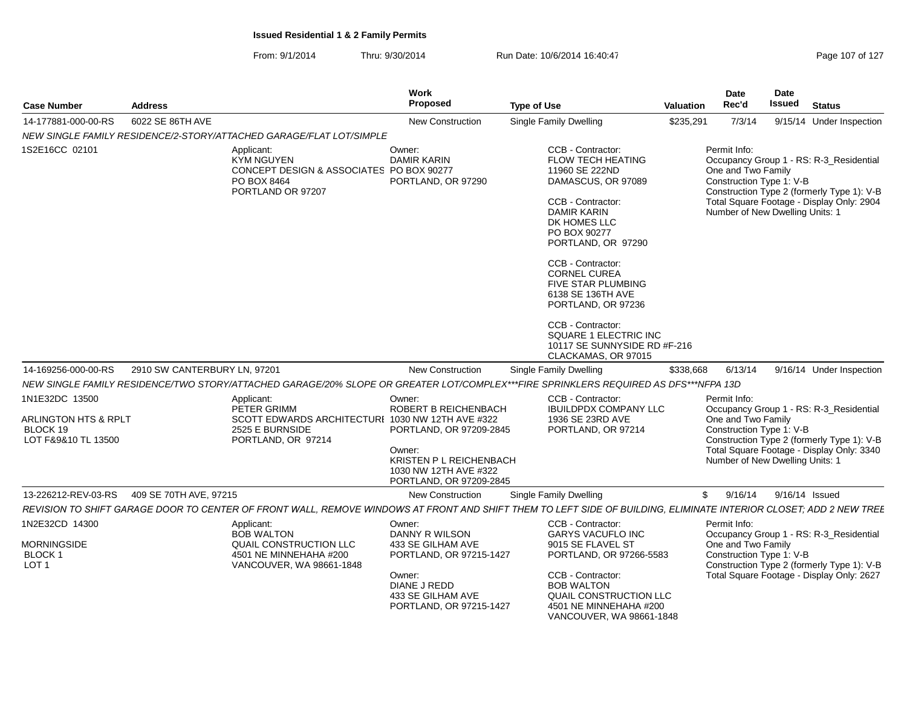From: 9/1/2014Thru: 9/30/2014 Run Date: 10/6/2014 16:40:47 Rege 107 of 127

|                                                                           |                              |                                                                                                                        | Work<br>Proposed                                                                                                                                   |                                                                                                                                                                                                                                                                                                                          |                  | <b>Date</b>                                                                                       | Date<br>Issued |                                                                                                                                    |
|---------------------------------------------------------------------------|------------------------------|------------------------------------------------------------------------------------------------------------------------|----------------------------------------------------------------------------------------------------------------------------------------------------|--------------------------------------------------------------------------------------------------------------------------------------------------------------------------------------------------------------------------------------------------------------------------------------------------------------------------|------------------|---------------------------------------------------------------------------------------------------|----------------|------------------------------------------------------------------------------------------------------------------------------------|
| <b>Case Number</b>                                                        | <b>Address</b>               |                                                                                                                        |                                                                                                                                                    | <b>Type of Use</b>                                                                                                                                                                                                                                                                                                       | <b>Valuation</b> | Rec'd                                                                                             |                | <b>Status</b>                                                                                                                      |
| 14-177881-000-00-RS                                                       | 6022 SE 86TH AVE             |                                                                                                                        | <b>New Construction</b>                                                                                                                            | Single Family Dwelling                                                                                                                                                                                                                                                                                                   | \$235,291        | 7/3/14                                                                                            |                | 9/15/14 Under Inspection                                                                                                           |
|                                                                           |                              | NEW SINGLE FAMILY RESIDENCE/2-STORY/ATTACHED GARAGE/FLAT LOT/SIMPLE                                                    |                                                                                                                                                    |                                                                                                                                                                                                                                                                                                                          |                  |                                                                                                   |                |                                                                                                                                    |
| 1S2E16CC 02101                                                            |                              | Applicant:<br><b>KYM NGUYEN</b><br>CONCEPT DESIGN & ASSOCIATES PO BOX 90277<br>PO BOX 8464<br>PORTLAND OR 97207        | Owner:<br><b>DAMIR KARIN</b><br>PORTLAND, OR 97290                                                                                                 | CCB - Contractor:<br>FLOW TECH HEATING<br>11960 SE 222ND<br>DAMASCUS, OR 97089<br>CCB - Contractor:<br><b>DAMIR KARIN</b><br>DK HOMES LLC<br>PO BOX 90277<br>PORTLAND, OR 97290<br>CCB - Contractor:<br><b>CORNEL CUREA</b><br><b>FIVE STAR PLUMBING</b><br>6138 SE 136TH AVE<br>PORTLAND, OR 97236<br>CCB - Contractor: |                  | Permit Info:<br>One and Two Family<br>Construction Type 1: V-B<br>Number of New Dwelling Units: 1 |                | Occupancy Group 1 - RS: R-3_Residential<br>Construction Type 2 (formerly Type 1): V-B<br>Total Square Footage - Display Only: 2904 |
|                                                                           |                              |                                                                                                                        |                                                                                                                                                    | SQUARE 1 ELECTRIC INC<br>10117 SE SUNNYSIDE RD #F-216<br>CLACKAMAS, OR 97015                                                                                                                                                                                                                                             |                  |                                                                                                   |                |                                                                                                                                    |
| 14-169256-000-00-RS                                                       | 2910 SW CANTERBURY LN, 97201 |                                                                                                                        | <b>New Construction</b>                                                                                                                            | Single Family Dwelling                                                                                                                                                                                                                                                                                                   | \$338,668        | 6/13/14                                                                                           |                | 9/16/14 Under Inspection                                                                                                           |
|                                                                           |                              |                                                                                                                        |                                                                                                                                                    | NEW SINGLE FAMILY RESIDENCE/TWO STORY/ATTACHED GARAGE/20% SLOPE OR GREATER LOT/COMPLEX***FIRE SPRINKLERS REQUIRED AS DFS***NFPA 13D                                                                                                                                                                                      |                  |                                                                                                   |                |                                                                                                                                    |
| 1N1E32DC 13500<br>ARLINGTON HTS & RPLT<br>BLOCK 19<br>LOT F&9&10 TL 13500 |                              | Applicant:<br>PETER GRIMM<br>SCOTT EDWARDS ARCHITECTURI 1030 NW 12TH AVE #322<br>2525 E BURNSIDE<br>PORTLAND, OR 97214 | Owner:<br>ROBERT B REICHENBACH<br>PORTLAND, OR 97209-2845<br>Owner:<br>KRISTEN P L REICHENBACH<br>1030 NW 12TH AVE #322<br>PORTLAND, OR 97209-2845 | CCB - Contractor:<br><b>IBUILDPDX COMPANY LLC</b><br>1936 SE 23RD AVE<br>PORTLAND, OR 97214                                                                                                                                                                                                                              |                  | Permit Info:<br>One and Two Family<br>Construction Type 1: V-B<br>Number of New Dwelling Units: 1 |                | Occupancy Group 1 - RS: R-3_Residential<br>Construction Type 2 (formerly Type 1): V-B<br>Total Square Footage - Display Only: 3340 |
| 13-226212-REV-03-RS                                                       | 409 SE 70TH AVE, 97215       |                                                                                                                        | <b>New Construction</b>                                                                                                                            | Single Family Dwelling                                                                                                                                                                                                                                                                                                   | \$               | 9/16/14                                                                                           |                | 9/16/14 Issued                                                                                                                     |
|                                                                           |                              |                                                                                                                        |                                                                                                                                                    | REVISION TO SHIFT GARAGE DOOR TO CENTER OF FRONT WALL, REMOVE WINDOWS AT FRONT AND SHIFT THEM TO LEFT SIDE OF BUILDING, ELIMINATE INTERIOR CLOSET; ADD 2 NEW TREE                                                                                                                                                        |                  |                                                                                                   |                |                                                                                                                                    |
| 1N2E32CD 14300<br><b>MORNINGSIDE</b><br><b>BLOCK1</b><br>LOT <sub>1</sub> |                              | Applicant:<br><b>BOB WALTON</b><br>QUAIL CONSTRUCTION LLC<br>4501 NE MINNEHAHA #200<br>VANCOUVER, WA 98661-1848        | Owner:<br>DANNY R WILSON<br>433 SE GILHAM AVE<br>PORTLAND, OR 97215-1427<br>Owner:<br>DIANE J REDD<br>433 SE GILHAM AVE<br>PORTLAND, OR 97215-1427 | CCB - Contractor:<br><b>GARYS VACUFLO INC</b><br>9015 SE FLAVEL ST<br>PORTLAND, OR 97266-5583<br>CCB - Contractor:<br><b>BOB WALTON</b><br><b>QUAIL CONSTRUCTION LLC</b><br>4501 NE MINNEHAHA #200<br>VANCOUVER, WA 98661-1848                                                                                           |                  | Permit Info:<br>One and Two Family<br>Construction Type 1: V-B                                    |                | Occupancy Group 1 - RS: R-3_Residential<br>Construction Type 2 (formerly Type 1): V-B<br>Total Square Footage - Display Only: 2627 |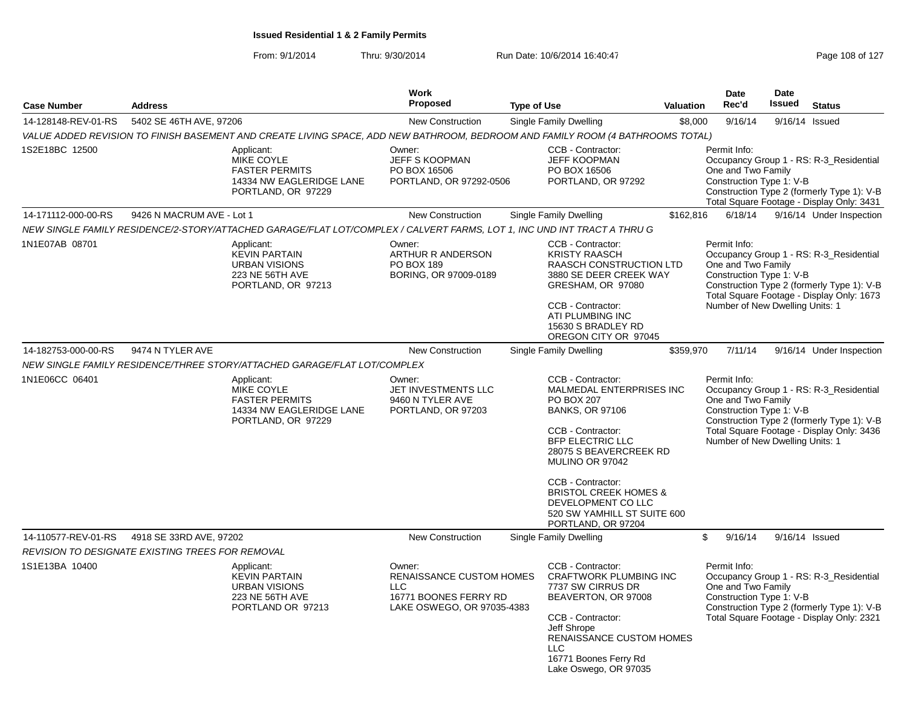| <b>Case Number</b>  | <b>Address</b>                                   |                                                                                                                                | Work<br>Proposed                                                                                               | <b>Type of Use</b>                                                                                                                                                                                                                                                                                                            | <b>Valuation</b> | <b>Date</b><br>Rec'd                                                                              | <b>Date</b><br>Issued | <b>Status</b>                                                                                                                      |
|---------------------|--------------------------------------------------|--------------------------------------------------------------------------------------------------------------------------------|----------------------------------------------------------------------------------------------------------------|-------------------------------------------------------------------------------------------------------------------------------------------------------------------------------------------------------------------------------------------------------------------------------------------------------------------------------|------------------|---------------------------------------------------------------------------------------------------|-----------------------|------------------------------------------------------------------------------------------------------------------------------------|
|                     | 5402 SE 46TH AVE, 97206                          |                                                                                                                                |                                                                                                                |                                                                                                                                                                                                                                                                                                                               |                  | 9/16/14                                                                                           |                       |                                                                                                                                    |
| 14-128148-REV-01-RS |                                                  | VALUE ADDED REVISION TO FINISH BASEMENT AND CREATE LIVING SPACE, ADD NEW BATHROOM, BEDROOM AND FAMILY ROOM (4 BATHROOMS TOTAL) | New Construction                                                                                               | Single Family Dwelling                                                                                                                                                                                                                                                                                                        | \$8,000          |                                                                                                   |                       | 9/16/14 Issued                                                                                                                     |
| 1S2E18BC 12500      |                                                  | Applicant:<br><b>MIKE COYLE</b><br><b>FASTER PERMITS</b><br>14334 NW EAGLERIDGE LANE<br>PORTLAND, OR 97229                     | Owner:<br><b>JEFF S KOOPMAN</b><br>PO BOX 16506<br>PORTLAND, OR 97292-0506                                     | CCB - Contractor:<br><b>JEFF KOOPMAN</b><br>PO BOX 16506<br>PORTLAND, OR 97292                                                                                                                                                                                                                                                |                  | Permit Info:<br>One and Two Family<br>Construction Type 1: V-B                                    |                       | Occupancy Group 1 - RS: R-3_Residential<br>Construction Type 2 (formerly Type 1): V-B<br>Total Square Footage - Display Only: 3431 |
| 14-171112-000-00-RS | 9426 N MACRUM AVE - Lot 1                        |                                                                                                                                | <b>New Construction</b>                                                                                        | <b>Single Family Dwelling</b>                                                                                                                                                                                                                                                                                                 | \$162,816        | 6/18/14                                                                                           |                       | 9/16/14 Under Inspection                                                                                                           |
|                     |                                                  | NEW SINGLE FAMILY RESIDENCE/2-STORY/ATTACHED GARAGE/FLAT LOT/COMPLEX / CALVERT FARMS, LOT 1, INC UND INT TRACT A THRU G        |                                                                                                                |                                                                                                                                                                                                                                                                                                                               |                  |                                                                                                   |                       |                                                                                                                                    |
| 1N1E07AB 08701      |                                                  | Applicant:<br><b>KEVIN PARTAIN</b><br><b>URBAN VISIONS</b><br>223 NE 56TH AVE<br>PORTLAND, OR 97213                            | Owner:<br><b>ARTHUR R ANDERSON</b><br>PO BOX 189<br>BORING, OR 97009-0189                                      | CCB - Contractor:<br><b>KRISTY RAASCH</b><br><b>RAASCH CONSTRUCTION LTD</b><br>3880 SE DEER CREEK WAY<br>GRESHAM, OR 97080<br>CCB - Contractor:<br>ATI PLUMBING INC<br>15630 S BRADLEY RD<br>OREGON CITY OR 97045                                                                                                             |                  | Permit Info:<br>One and Two Family<br>Construction Type 1: V-B<br>Number of New Dwelling Units: 1 |                       | Occupancy Group 1 - RS: R-3 Residential<br>Construction Type 2 (formerly Type 1): V-B<br>Total Square Footage - Display Only: 1673 |
| 14-182753-000-00-RS | 9474 N TYLER AVE                                 |                                                                                                                                | <b>New Construction</b>                                                                                        | <b>Single Family Dwelling</b>                                                                                                                                                                                                                                                                                                 | \$359,970        | 7/11/14                                                                                           |                       | 9/16/14 Under Inspection                                                                                                           |
|                     |                                                  | NEW SINGLE FAMILY RESIDENCE/THREE STORY/ATTACHED GARAGE/FLAT LOT/COMPLEX                                                       |                                                                                                                |                                                                                                                                                                                                                                                                                                                               |                  |                                                                                                   |                       |                                                                                                                                    |
| 1N1E06CC 06401      |                                                  | Applicant:<br><b>MIKE COYLE</b><br><b>FASTER PERMITS</b><br>14334 NW EAGLERIDGE LANE<br>PORTLAND, OR 97229                     | Owner:<br>JET INVESTMENTS LLC<br>9460 N TYLER AVE<br>PORTLAND, OR 97203                                        | CCB - Contractor:<br>MALMEDAL ENTERPRISES INC<br><b>PO BOX 207</b><br><b>BANKS, OR 97106</b><br>CCB - Contractor:<br><b>BFP ELECTRIC LLC</b><br>28075 S BEAVERCREEK RD<br>MULINO OR 97042<br>CCB - Contractor:<br><b>BRISTOL CREEK HOMES &amp;</b><br>DEVELOPMENT CO LLC<br>520 SW YAMHILL ST SUITE 600<br>PORTLAND, OR 97204 |                  | Permit Info:<br>One and Two Family<br>Construction Type 1: V-B<br>Number of New Dwelling Units: 1 |                       | Occupancy Group 1 - RS: R-3_Residential<br>Construction Type 2 (formerly Type 1): V-B<br>Total Square Footage - Display Only: 3436 |
| 14-110577-REV-01-RS | 4918 SE 33RD AVE, 97202                          |                                                                                                                                | <b>New Construction</b>                                                                                        | <b>Single Family Dwelling</b>                                                                                                                                                                                                                                                                                                 |                  | \$<br>9/16/14                                                                                     |                       | 9/16/14 Issued                                                                                                                     |
|                     | REVISION TO DESIGNATE EXISTING TREES FOR REMOVAL |                                                                                                                                |                                                                                                                |                                                                                                                                                                                                                                                                                                                               |                  |                                                                                                   |                       |                                                                                                                                    |
| 1S1E13BA 10400      |                                                  | Applicant:<br><b>KEVIN PARTAIN</b><br>URBAN VISIONS<br>223 NE 56TH AVE<br>PORTLAND OR 97213                                    | Owner:<br><b>RENAISSANCE CUSTOM HOMES</b><br><b>LLC</b><br>16771 BOONES FERRY RD<br>LAKE OSWEGO, OR 97035-4383 | CCB - Contractor:<br>CRAFTWORK PLUMBING INC<br>7737 SW CIRRUS DR<br>BEAVERTON, OR 97008<br>CCB - Contractor:<br>Jeff Shrope<br>RENAISSANCE CUSTOM HOMES<br><b>LLC</b><br>16771 Boones Ferry Rd<br>Lake Oswego, OR 97035                                                                                                       |                  | Permit Info:<br>One and Two Family<br>Construction Type 1: V-B                                    |                       | Occupancy Group 1 - RS: R-3_Residential<br>Construction Type 2 (formerly Type 1): V-B<br>Total Square Footage - Display Only: 2321 |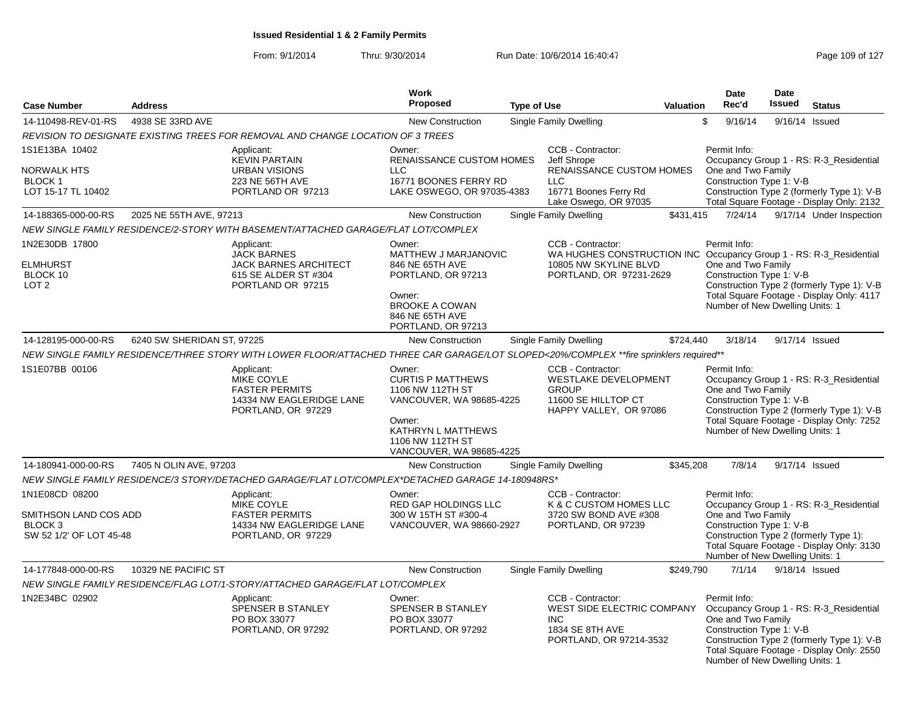| <b>Case Number</b>                                                                       | <b>Address</b>             |                                                                                                                                        | Work<br>Proposed                                                                                                                                                   |                    |                                                                                                                                             | Valuation | Date<br>Rec'd                                                                                     | Date<br><b>Issued</b>                                                             | <b>Status</b>                                                                                                                      |
|------------------------------------------------------------------------------------------|----------------------------|----------------------------------------------------------------------------------------------------------------------------------------|--------------------------------------------------------------------------------------------------------------------------------------------------------------------|--------------------|---------------------------------------------------------------------------------------------------------------------------------------------|-----------|---------------------------------------------------------------------------------------------------|-----------------------------------------------------------------------------------|------------------------------------------------------------------------------------------------------------------------------------|
|                                                                                          |                            |                                                                                                                                        |                                                                                                                                                                    | <b>Type of Use</b> |                                                                                                                                             |           |                                                                                                   |                                                                                   |                                                                                                                                    |
| 14-110498-REV-01-RS                                                                      | 4938 SE 33RD AVE           |                                                                                                                                        | New Construction                                                                                                                                                   |                    | Single Family Dwelling                                                                                                                      |           | \$<br>9/16/14                                                                                     |                                                                                   | 9/16/14 Issued                                                                                                                     |
|                                                                                          |                            | REVISION TO DESIGNATE EXISTING TREES FOR REMOVAL AND CHANGE LOCATION OF 3 TREES                                                        |                                                                                                                                                                    |                    |                                                                                                                                             |           |                                                                                                   |                                                                                   |                                                                                                                                    |
| 1S1E13BA 10402<br>NORWALK HTS<br>BLOCK 1<br>LOT 15-17 TL 10402                           |                            | Applicant:<br><b>KEVIN PARTAIN</b><br><b>URBAN VISIONS</b><br>223 NE 56TH AVE<br>PORTLAND OR 97213                                     | Owner:<br><b>RENAISSANCE CUSTOM HOMES</b><br><b>LLC</b><br>16771 BOONES FERRY RD<br>LAKE OSWEGO, OR 97035-4383                                                     |                    | CCB - Contractor:<br>Jeff Shrope<br>RENAISSANCE CUSTOM HOMES<br><b>LLC</b><br>16771 Boones Ferry Rd<br>Lake Oswego, OR 97035                |           | Permit Info:<br>One and Two Family<br>Construction Type 1: V-B                                    |                                                                                   | Occupancy Group 1 - RS: R-3 Residential<br>Construction Type 2 (formerly Type 1): V-B<br>Total Square Footage - Display Only: 2132 |
| 14-188365-000-00-RS                                                                      | 2025 NE 55TH AVE, 97213    |                                                                                                                                        | <b>New Construction</b>                                                                                                                                            |                    | Single Family Dwelling                                                                                                                      | \$431,415 | 7/24/14                                                                                           |                                                                                   | 9/17/14 Under Inspection                                                                                                           |
|                                                                                          |                            | NEW SINGLE FAMILY RESIDENCE/2-STORY WITH BASEMENT/ATTACHED GARAGE/FLAT LOT/COMPLEX                                                     |                                                                                                                                                                    |                    |                                                                                                                                             |           |                                                                                                   |                                                                                   |                                                                                                                                    |
| 1N2E30DB 17800<br><b>ELMHURST</b><br>BLOCK 10<br>LOT <sub>2</sub>                        |                            | Applicant:<br><b>JACK BARNES</b><br><b>JACK BARNES ARCHITECT</b><br>615 SE ALDER ST #304<br>PORTLAND OR 97215                          | Owner:<br>MATTHEW J MARJANOVIC<br>846 NE 65TH AVE<br>PORTLAND, OR 97213<br>Owner:<br><b>BROOKE A COWAN</b><br>846 NE 65TH AVE<br>PORTLAND, OR 97213                |                    | CCB - Contractor:<br>WA HUGHES CONSTRUCTION INC Occupancy Group 1 - RS: R-3 Residential<br>10805 NW SKYLINE BLVD<br>PORTLAND, OR 97231-2629 |           | Permit Info:<br>One and Two Family<br>Construction Type 1: V-B<br>Number of New Dwelling Units: 1 |                                                                                   | Construction Type 2 (formerly Type 1): V-B<br>Total Square Footage - Display Only: 4117                                            |
| 14-128195-000-00-RS                                                                      | 6240 SW SHERIDAN ST, 97225 |                                                                                                                                        | New Construction                                                                                                                                                   |                    | Single Family Dwelling                                                                                                                      | \$724,440 | 3/18/14                                                                                           |                                                                                   | 9/17/14 Issued                                                                                                                     |
|                                                                                          |                            | NEW SINGLE FAMILY RESIDENCE/THREE STORY WITH LOWER FLOOR/ATTACHED THREE CAR GARAGE/LOT SLOPED<20%/COMPLEX **fire sprinklers required** |                                                                                                                                                                    |                    |                                                                                                                                             |           |                                                                                                   |                                                                                   |                                                                                                                                    |
| 1S1E07BB 00106                                                                           |                            | Applicant:<br>MIKE COYLE<br><b>FASTER PERMITS</b><br>14334 NW EAGLERIDGE LANE<br>PORTLAND, OR 97229                                    | Owner:<br><b>CURTIS P MATTHEWS</b><br>1106 NW 112TH ST<br>VANCOUVER, WA 98685-4225<br>Owner:<br>KATHRYN L MATTHEWS<br>1106 NW 112TH ST<br>VANCOUVER, WA 98685-4225 |                    | CCB - Contractor:<br><b>WESTLAKE DEVELOPMENT</b><br><b>GROUP</b><br>11600 SE HILLTOP CT<br>HAPPY VALLEY, OR 97086                           |           |                                                                                                   | One and Two Family<br>Construction Type 1: V-B<br>Number of New Dwelling Units: 1 | Occupancy Group 1 - RS: R-3_Residential<br>Construction Type 2 (formerly Type 1): V-B<br>Total Square Footage - Display Only: 7252 |
| 14-180941-000-00-RS                                                                      | 7405 N OLIN AVE, 97203     |                                                                                                                                        | <b>New Construction</b>                                                                                                                                            |                    | Single Family Dwelling                                                                                                                      | \$345,208 | 7/8/14                                                                                            |                                                                                   | 9/17/14 Issued                                                                                                                     |
|                                                                                          |                            | NEW SINGLE FAMILY RESIDENCE/3 STORY/DETACHED GARAGE/FLAT LOT/COMPLEX*DETACHED GARAGE 14-180948RS*                                      |                                                                                                                                                                    |                    |                                                                                                                                             |           |                                                                                                   |                                                                                   |                                                                                                                                    |
| 1N1E08CD 08200<br>SMITHSON LAND COS ADD<br>BLOCK <sub>3</sub><br>SW 52 1/2' OF LOT 45-48 |                            | Applicant:<br><b>MIKE COYLE</b><br><b>FASTER PERMITS</b><br>14334 NW EAGLERIDGE LANE<br>PORTLAND, OR 97229                             | Owner:<br><b>RED GAP HOLDINGS LLC</b><br>300 W 15TH ST #300-4<br>VANCOUVER, WA 98660-2927                                                                          |                    | CCB - Contractor:<br>K & C CUSTOM HOMES LLC<br>3720 SW BOND AVE #308<br>PORTLAND, OR 97239                                                  |           | Permit Info:<br>One and Two Family<br>Construction Type 1: V-B<br>Number of New Dwelling Units: 1 |                                                                                   | Occupancy Group 1 - RS: R-3_Residential<br>Construction Type 2 (formerly Type 1):<br>Total Square Footage - Display Only: 3130     |
| 14-177848-000-00-RS                                                                      | 10329 NE PACIFIC ST        |                                                                                                                                        | <b>New Construction</b>                                                                                                                                            |                    | Single Family Dwelling                                                                                                                      | \$249.790 | 7/1/14                                                                                            |                                                                                   | 9/18/14 Issued                                                                                                                     |
|                                                                                          |                            | NEW SINGLE FAMILY RESIDENCE/FLAG LOT/1-STORY/ATTACHED GARAGE/FLAT LOT/COMPLEX                                                          |                                                                                                                                                                    |                    |                                                                                                                                             |           |                                                                                                   |                                                                                   |                                                                                                                                    |
| 1N2E34BC 02902                                                                           |                            | Applicant:<br>SPENSER B STANLEY<br>PO BOX 33077<br>PORTLAND, OR 97292                                                                  | Owner:<br>SPENSER B STANLEY<br>PO BOX 33077<br>PORTLAND, OR 97292                                                                                                  |                    | CCB - Contractor:<br>WEST SIDE ELECTRIC COMPANY<br><b>INC</b><br>1834 SE 8TH AVE<br>PORTLAND, OR 97214-3532                                 |           | Permit Info:<br>One and Two Family<br>Construction Type 1: V-B<br>Number of New Dwelling Units: 1 |                                                                                   | Occupancy Group 1 - RS: R-3_Residential<br>Construction Type 2 (formerly Type 1): V-B<br>Total Square Footage - Display Only: 2550 |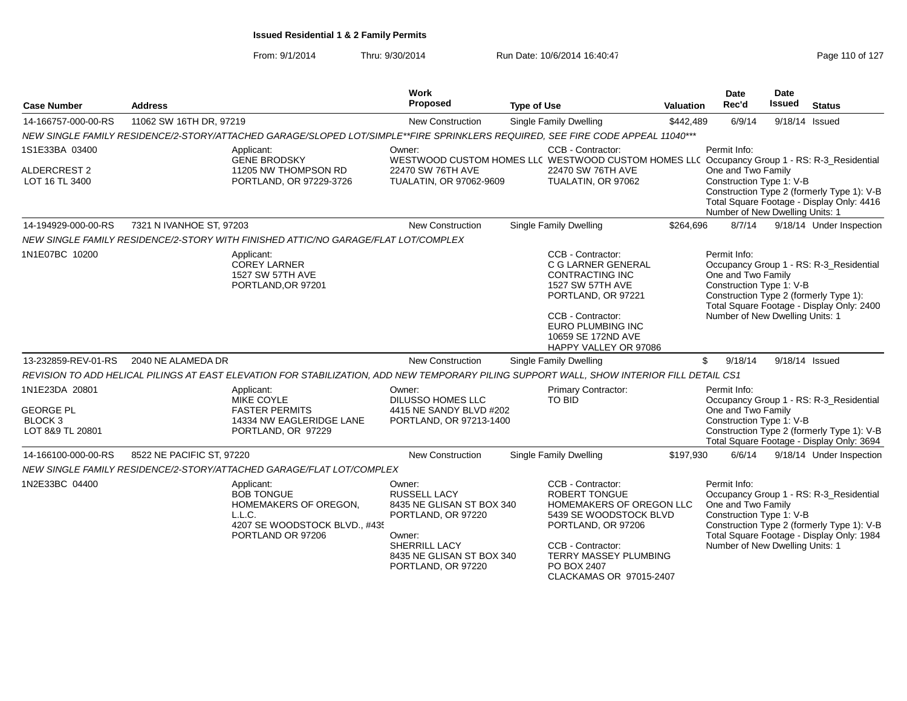| <b>Case Number</b>                                                           | <b>Address</b>            |                                                                                                                                           | Work<br>Proposed                                                                                                                                               | <b>Type of Use</b> |                                                                                                                                                                                                               | <b>Valuation</b> | <b>Date</b><br>Rec'd                                                                              | Date<br><b>Issued</b> | <b>Status</b>                                                                                                                      |
|------------------------------------------------------------------------------|---------------------------|-------------------------------------------------------------------------------------------------------------------------------------------|----------------------------------------------------------------------------------------------------------------------------------------------------------------|--------------------|---------------------------------------------------------------------------------------------------------------------------------------------------------------------------------------------------------------|------------------|---------------------------------------------------------------------------------------------------|-----------------------|------------------------------------------------------------------------------------------------------------------------------------|
| 14-166757-000-00-RS                                                          | 11062 SW 16TH DR, 97219   |                                                                                                                                           | <b>New Construction</b>                                                                                                                                        |                    | <b>Single Family Dwelling</b>                                                                                                                                                                                 | \$442.489        | 6/9/14                                                                                            | 9/18/14 Issued        |                                                                                                                                    |
|                                                                              |                           | NEW SINGLE FAMILY RESIDENCE/2-STORY/ATTACHED GARAGE/SLOPED LOT/SIMPLE**FIRE SPRINKLERS REQUIRED, SEE FIRE CODE APPEAL 11040***            |                                                                                                                                                                |                    |                                                                                                                                                                                                               |                  |                                                                                                   |                       |                                                                                                                                    |
| 1S1E33BA 03400<br>ALDERCREST 2<br>LOT 16 TL 3400                             |                           | Applicant:<br><b>GENE BRODSKY</b><br>11205 NW THOMPSON RD<br>PORTLAND, OR 97229-3726                                                      | Owner:<br>WESTWOOD CUSTOM HOMES LL( WESTWOOD CUSTOM HOMES LL( Occupancy Group 1 - RS: R-3_Residential<br>22470 SW 76TH AVE<br>TUALATIN, OR 97062-9609          |                    | CCB - Contractor:<br>22470 SW 76TH AVE<br>TUALATIN, OR 97062                                                                                                                                                  |                  | Permit Info:<br>One and Two Family<br>Construction Type 1: V-B<br>Number of New Dwelling Units: 1 |                       | Construction Type 2 (formerly Type 1): V-B<br>Total Square Footage - Display Only: 4416                                            |
| 14-194929-000-00-RS                                                          | 7321 N IVANHOE ST. 97203  |                                                                                                                                           | <b>New Construction</b>                                                                                                                                        |                    | <b>Single Family Dwelling</b>                                                                                                                                                                                 | \$264,696        | 8/7/14                                                                                            |                       | 9/18/14 Under Inspection                                                                                                           |
|                                                                              |                           | NEW SINGLE FAMILY RESIDENCE/2-STORY WITH FINISHED ATTIC/NO GARAGE/FLAT LOT/COMPLEX                                                        |                                                                                                                                                                |                    |                                                                                                                                                                                                               |                  |                                                                                                   |                       |                                                                                                                                    |
| 1N1E07BC 10200                                                               |                           | Applicant:<br><b>COREY LARNER</b><br>1527 SW 57TH AVE<br>PORTLAND, OR 97201                                                               |                                                                                                                                                                |                    | CCB - Contractor:<br>C G LARNER GENERAL<br><b>CONTRACTING INC</b><br>1527 SW 57TH AVE<br>PORTLAND, OR 97221<br>CCB - Contractor:<br>EURO PLUMBING INC<br>10659 SE 172ND AVE<br>HAPPY VALLEY OR 97086          |                  | Permit Info:<br>One and Two Family<br>Construction Type 1: V-B<br>Number of New Dwelling Units: 1 |                       | Occupancy Group 1 - RS: R-3_Residential<br>Construction Type 2 (formerly Type 1):<br>Total Square Footage - Display Only: 2400     |
| 13-232859-REV-01-RS                                                          | 2040 NE ALAMEDA DR        |                                                                                                                                           | New Construction                                                                                                                                               |                    | Single Family Dwelling                                                                                                                                                                                        |                  | \$<br>9/18/14                                                                                     | 9/18/14 Issued        |                                                                                                                                    |
|                                                                              |                           | REVISION TO ADD HELICAL PILINGS AT EAST ELEVATION FOR STABILIZATION, ADD NEW TEMPORARY PILING SUPPORT WALL, SHOW INTERIOR FILL DETAIL CS1 |                                                                                                                                                                |                    |                                                                                                                                                                                                               |                  |                                                                                                   |                       |                                                                                                                                    |
| 1N1E23DA 20801<br><b>GEORGE PL</b><br>BLOCK <sub>3</sub><br>LOT 8&9 TL 20801 |                           | Applicant:<br>MIKE COYLE<br><b>FASTER PERMITS</b><br>14334 NW EAGLERIDGE LANE<br>PORTLAND, OR 97229                                       | Owner:<br>DILUSSO HOMES LLC<br>4415 NE SANDY BLVD #202<br>PORTLAND, OR 97213-1400                                                                              |                    | Primary Contractor:<br>TO BID                                                                                                                                                                                 |                  | Permit Info:<br>One and Two Family<br>Construction Type 1: V-B                                    |                       | Occupancy Group 1 - RS: R-3_Residential<br>Construction Type 2 (formerly Type 1): V-B<br>Total Square Footage - Display Only: 3694 |
| 14-166100-000-00-RS                                                          | 8522 NE PACIFIC ST, 97220 |                                                                                                                                           | <b>New Construction</b>                                                                                                                                        |                    | <b>Single Family Dwelling</b>                                                                                                                                                                                 | \$197,930        | 6/6/14                                                                                            |                       | 9/18/14 Under Inspection                                                                                                           |
|                                                                              |                           | NEW SINGLE FAMILY RESIDENCE/2-STORY/ATTACHED GARAGE/FLAT LOT/COMPLEX                                                                      |                                                                                                                                                                |                    |                                                                                                                                                                                                               |                  |                                                                                                   |                       |                                                                                                                                    |
| 1N2E33BC 04400                                                               |                           | Applicant:<br><b>BOB TONGUE</b><br>HOMEMAKERS OF OREGON,<br>L.L.C.<br>4207 SE WOODSTOCK BLVD., #435<br>PORTLAND OR 97206                  | Owner:<br><b>RUSSELL LACY</b><br>8435 NE GLISAN ST BOX 340<br>PORTLAND, OR 97220<br>Owner:<br>SHERRILL LACY<br>8435 NE GLISAN ST BOX 340<br>PORTLAND, OR 97220 |                    | CCB - Contractor:<br><b>ROBERT TONGUE</b><br>HOMEMAKERS OF OREGON LLC<br>5439 SE WOODSTOCK BLVD<br>PORTLAND, OR 97206<br>CCB - Contractor:<br>TERRY MASSEY PLUMBING<br>PO BOX 2407<br>CLACKAMAS OR 97015-2407 |                  | Permit Info:<br>One and Two Family<br>Construction Type 1: V-B<br>Number of New Dwelling Units: 1 |                       | Occupancy Group 1 - RS: R-3_Residential<br>Construction Type 2 (formerly Type 1): V-B<br>Total Square Footage - Display Only: 1984 |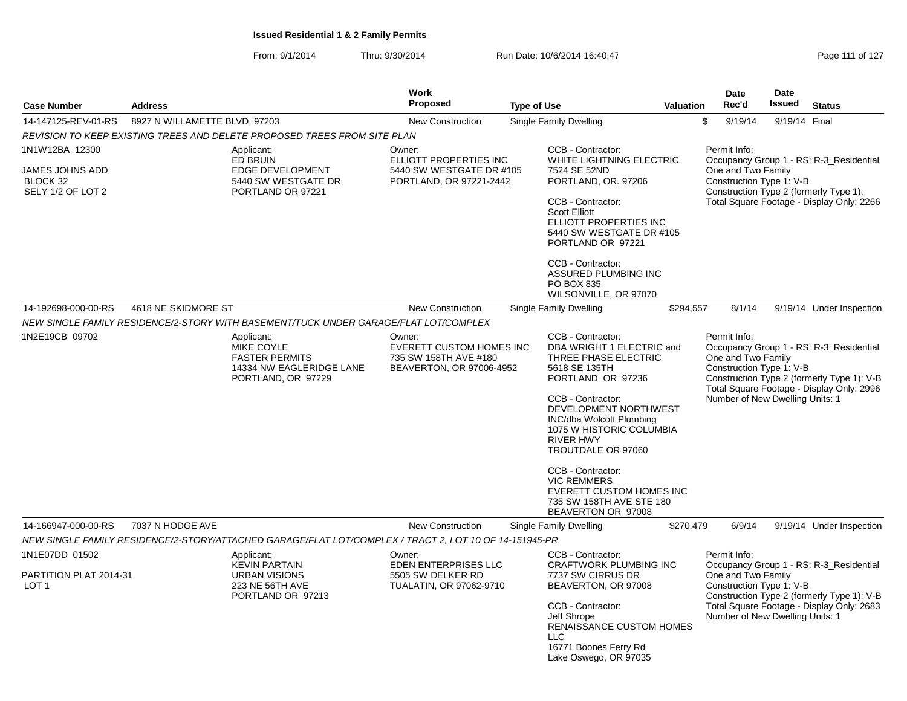From: 9/1/2014Thru: 9/30/2014 Run Date: 10/6/2014 16:40:47 Rege 111 of 127

| <b>Case Number</b>                                                        | <b>Address</b>                |                                                                                                                                                                                                    | Work<br><b>Proposed</b>                                                                        | <b>Type of Use</b> |                                                                                                                                                                                                                                                                                                                                                                                       | <b>Valuation</b> | <b>Date</b><br>Rec'd                                                                              | <b>Date</b><br><b>Issued</b> | <b>Status</b>                                                                                                                      |
|---------------------------------------------------------------------------|-------------------------------|----------------------------------------------------------------------------------------------------------------------------------------------------------------------------------------------------|------------------------------------------------------------------------------------------------|--------------------|---------------------------------------------------------------------------------------------------------------------------------------------------------------------------------------------------------------------------------------------------------------------------------------------------------------------------------------------------------------------------------------|------------------|---------------------------------------------------------------------------------------------------|------------------------------|------------------------------------------------------------------------------------------------------------------------------------|
| 14-147125-REV-01-RS                                                       | 8927 N WILLAMETTE BLVD, 97203 |                                                                                                                                                                                                    | <b>New Construction</b>                                                                        |                    | Single Family Dwelling                                                                                                                                                                                                                                                                                                                                                                |                  | \$<br>9/19/14                                                                                     | 9/19/14 Final                |                                                                                                                                    |
|                                                                           |                               |                                                                                                                                                                                                    |                                                                                                |                    |                                                                                                                                                                                                                                                                                                                                                                                       |                  |                                                                                                   |                              |                                                                                                                                    |
| 1N1W12BA 12300<br><b>JAMES JOHNS ADD</b><br>BLOCK 32<br>SELY 1/2 OF LOT 2 |                               | REVISION TO KEEP EXISTING TREES AND DELETE PROPOSED TREES FROM SITE PLAN<br>Applicant:<br><b>ED BRUIN</b><br>EDGE DEVELOPMENT<br>5440 SW WESTGATE DR<br>PORTLAND OR 97221                          | Owner:<br>ELLIOTT PROPERTIES INC<br>5440 SW WESTGATE DR #105<br>PORTLAND, OR 97221-2442        |                    | CCB - Contractor:<br>WHITE LIGHTNING ELECTRIC<br>7524 SE 52ND<br>PORTLAND, OR. 97206<br>CCB - Contractor:<br><b>Scott Elliott</b><br>ELLIOTT PROPERTIES INC<br>5440 SW WESTGATE DR #105<br>PORTLAND OR 97221<br>CCB - Contractor:<br>ASSURED PLUMBING INC<br>PO BOX 835                                                                                                               |                  | Permit Info:<br>One and Two Family<br>Construction Type 1: V-B                                    |                              | Occupancy Group 1 - RS: R-3_Residential<br>Construction Type 2 (formerly Type 1):<br>Total Square Footage - Display Only: 2266     |
|                                                                           |                               |                                                                                                                                                                                                    |                                                                                                |                    | WILSONVILLE, OR 97070                                                                                                                                                                                                                                                                                                                                                                 |                  |                                                                                                   |                              |                                                                                                                                    |
| 14-192698-000-00-RS                                                       | 4618 NE SKIDMORE ST           |                                                                                                                                                                                                    | <b>New Construction</b>                                                                        |                    | Single Family Dwelling                                                                                                                                                                                                                                                                                                                                                                | \$294,557        | 8/1/14                                                                                            |                              | 9/19/14 Under Inspection                                                                                                           |
| 1N2E19CB 09702                                                            |                               | NEW SINGLE FAMILY RESIDENCE/2-STORY WITH BASEMENT/TUCK UNDER GARAGE/FLAT LOT/COMPLEX<br>Applicant:<br><b>MIKE COYLE</b><br><b>FASTER PERMITS</b><br>14334 NW EAGLERIDGE LANE<br>PORTLAND, OR 97229 | Owner:<br><b>EVERETT CUSTOM HOMES INC</b><br>735 SW 158TH AVE #180<br>BEAVERTON, OR 97006-4952 |                    | CCB - Contractor:<br>DBA WRIGHT 1 ELECTRIC and<br>THREE PHASE ELECTRIC<br>5618 SE 135TH<br>PORTLAND OR 97236<br>CCB - Contractor:<br>DEVELOPMENT NORTHWEST<br>INC/dba Wolcott Plumbing<br>1075 W HISTORIC COLUMBIA<br><b>RIVER HWY</b><br>TROUTDALE OR 97060<br>CCB - Contractor:<br><b>VIC REMMERS</b><br>EVERETT CUSTOM HOMES INC<br>735 SW 158TH AVE STE 180<br>BEAVERTON OR 97008 |                  | Permit Info:<br>One and Two Family<br>Construction Type 1: V-B<br>Number of New Dwelling Units: 1 |                              | Occupancy Group 1 - RS: R-3 Residential<br>Construction Type 2 (formerly Type 1): V-B<br>Total Square Footage - Display Only: 2996 |
| 14-166947-000-00-RS                                                       | 7037 N HODGE AVE              |                                                                                                                                                                                                    | <b>New Construction</b>                                                                        |                    | <b>Single Family Dwelling</b>                                                                                                                                                                                                                                                                                                                                                         | \$270,479        | 6/9/14                                                                                            |                              | 9/19/14 Under Inspection                                                                                                           |
|                                                                           |                               | NEW SINGLE FAMILY RESIDENCE/2-STORY/ATTACHED GARAGE/FLAT LOT/COMPLEX / TRACT 2, LOT 10 OF 14-151945-PR                                                                                             |                                                                                                |                    |                                                                                                                                                                                                                                                                                                                                                                                       |                  |                                                                                                   |                              |                                                                                                                                    |
| 1N1E07DD 01502<br>PARTITION PLAT 2014-31<br>LOT <sub>1</sub>              |                               | Applicant:<br><b>KEVIN PARTAIN</b><br><b>URBAN VISIONS</b><br>223 NE 56TH AVE<br>PORTLAND OR 97213                                                                                                 | Owner:<br>EDEN ENTERPRISES LLC<br>5505 SW DELKER RD<br>TUALATIN, OR 97062-9710                 |                    | CCB - Contractor:<br><b>CRAFTWORK PLUMBING INC</b><br>7737 SW CIRRUS DR<br>BEAVERTON, OR 97008<br>CCB - Contractor:<br>Jeff Shrope<br><b>RENAISSANCE CUSTOM HOMES</b><br><b>LLC</b><br>16771 Boones Ferry Rd<br>Lake Oswego, OR 97035                                                                                                                                                 |                  | Permit Info:<br>One and Two Family<br>Construction Type 1: V-B<br>Number of New Dwelling Units: 1 |                              | Occupancy Group 1 - RS: R-3_Residential<br>Construction Type 2 (formerly Type 1): V-B<br>Total Square Footage - Display Only: 2683 |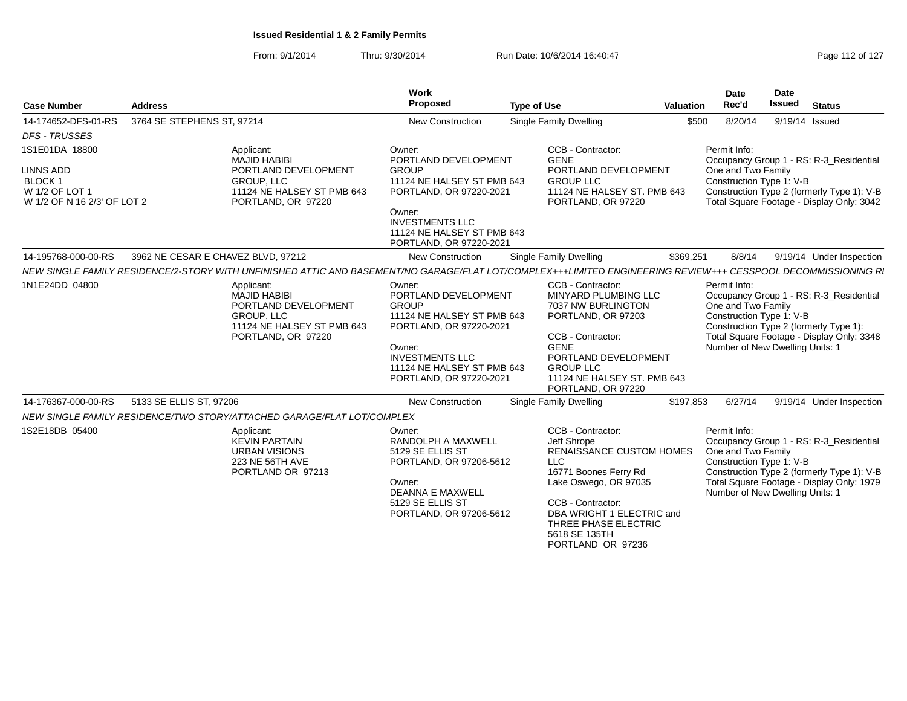| <b>Case Number</b>                                                                             | <b>Address</b>                                                                                                                                                | Work<br>Proposed                                                                                                                                                                                     | <b>Type of Use</b>                                                                                                                                                                                                                                  | <b>Valuation</b> | <b>Date</b><br>Rec'd                                                                              | Date<br><b>Issued</b> | <b>Status</b>                                                                                                                      |
|------------------------------------------------------------------------------------------------|---------------------------------------------------------------------------------------------------------------------------------------------------------------|------------------------------------------------------------------------------------------------------------------------------------------------------------------------------------------------------|-----------------------------------------------------------------------------------------------------------------------------------------------------------------------------------------------------------------------------------------------------|------------------|---------------------------------------------------------------------------------------------------|-----------------------|------------------------------------------------------------------------------------------------------------------------------------|
| 14-174652-DFS-01-RS                                                                            | 3764 SE STEPHENS ST, 97214                                                                                                                                    | <b>New Construction</b>                                                                                                                                                                              | Single Family Dwelling                                                                                                                                                                                                                              | \$500            | 8/20/14                                                                                           | 9/19/14 Issued        |                                                                                                                                    |
| <b>DFS - TRUSSES</b>                                                                           |                                                                                                                                                               |                                                                                                                                                                                                      |                                                                                                                                                                                                                                                     |                  |                                                                                                   |                       |                                                                                                                                    |
| 1S1E01DA 18800<br><b>LINNS ADD</b><br>BLOCK 1<br>W 1/2 OF LOT 1<br>W 1/2 OF N 16 2/3' OF LOT 2 | Applicant:<br><b>MAJID HABIBI</b><br>PORTLAND DEVELOPMENT<br>GROUP, LLC<br>11124 NE HALSEY ST PMB 643<br>PORTLAND, OR 97220                                   | Owner:<br>PORTLAND DEVELOPMENT<br><b>GROUP</b><br>11124 NE HALSEY ST PMB 643<br>PORTLAND, OR 97220-2021<br>Owner:<br><b>INVESTMENTS LLC</b><br>11124 NE HALSEY ST PMB 643<br>PORTLAND, OR 97220-2021 | CCB - Contractor:<br><b>GENE</b><br>PORTLAND DEVELOPMENT<br><b>GROUP LLC</b><br>11124 NE HALSEY ST. PMB 643<br>PORTLAND, OR 97220                                                                                                                   |                  | Permit Info:<br>One and Two Family<br>Construction Type 1: V-B                                    |                       | Occupancy Group 1 - RS: R-3 Residential<br>Construction Type 2 (formerly Type 1): V-B<br>Total Square Footage - Display Only: 3042 |
| 14-195768-000-00-RS                                                                            | 3962 NE CESAR E CHAVEZ BLVD, 97212                                                                                                                            | <b>New Construction</b>                                                                                                                                                                              | <b>Single Family Dwelling</b>                                                                                                                                                                                                                       | \$369,251        | 8/8/14                                                                                            |                       | 9/19/14 Under Inspection                                                                                                           |
|                                                                                                | NEW SINGLE FAMILY RESIDENCE/2-STORY WITH UNFINISHED ATTIC AND BASEMENT/NO GARAGE/FLAT LOT/COMPLEX+++LIMITED ENGINEERING REVIEW+++ CESSPOOL DECOMMISSIONING RI |                                                                                                                                                                                                      |                                                                                                                                                                                                                                                     |                  |                                                                                                   |                       |                                                                                                                                    |
| 1N1E24DD 04800                                                                                 | Applicant:<br><b>MAJID HABIBI</b><br>PORTLAND DEVELOPMENT<br>GROUP, LLC<br>11124 NE HALSEY ST PMB 643<br>PORTLAND, OR 97220                                   | Owner:<br>PORTLAND DEVELOPMENT<br><b>GROUP</b><br>11124 NE HALSEY ST PMB 643<br>PORTLAND, OR 97220-2021<br>Owner:<br><b>INVESTMENTS LLC</b><br>11124 NE HALSEY ST PMB 643<br>PORTLAND, OR 97220-2021 | CCB - Contractor:<br>MINYARD PLUMBING LLC<br>7037 NW BURLINGTON<br>PORTLAND, OR 97203<br>CCB - Contractor:<br><b>GENE</b><br>PORTLAND DEVELOPMENT<br><b>GROUP LLC</b><br>11124 NE HALSEY ST. PMB 643<br>PORTLAND, OR 97220                          |                  | Permit Info:<br>One and Two Family<br>Construction Type 1: V-B<br>Number of New Dwelling Units: 1 |                       | Occupancy Group 1 - RS: R-3_Residential<br>Construction Type 2 (formerly Type 1):<br>Total Square Footage - Display Only: 3348     |
| 14-176367-000-00-RS                                                                            | 5133 SE ELLIS ST, 97206                                                                                                                                       | <b>New Construction</b>                                                                                                                                                                              | <b>Single Family Dwelling</b>                                                                                                                                                                                                                       | \$197,853        | 6/27/14                                                                                           |                       | 9/19/14 Under Inspection                                                                                                           |
|                                                                                                | NEW SINGLE FAMILY RESIDENCE/TWO STORY/ATTACHED GARAGE/FLAT LOT/COMPLEX                                                                                        |                                                                                                                                                                                                      |                                                                                                                                                                                                                                                     |                  |                                                                                                   |                       |                                                                                                                                    |
| 1S2E18DB 05400                                                                                 | Applicant:<br><b>KEVIN PARTAIN</b><br><b>URBAN VISIONS</b><br>223 NE 56TH AVE<br>PORTLAND OR 97213                                                            | Owner:<br>RANDOLPH A MAXWELL<br>5129 SE ELLIS ST<br>PORTLAND, OR 97206-5612<br>Owner:<br><b>DEANNA E MAXWELL</b><br>5129 SE ELLIS ST<br>PORTLAND, OR 97206-5612                                      | CCB - Contractor:<br>Jeff Shrope<br><b>RENAISSANCE CUSTOM HOMES</b><br><b>LLC</b><br>16771 Boones Ferry Rd<br>Lake Oswego, OR 97035<br>CCB - Contractor:<br>DBA WRIGHT 1 ELECTRIC and<br>THREE PHASE ELECTRIC<br>5618 SE 135TH<br>PORTLAND OR 97236 |                  | Permit Info:<br>One and Two Family<br>Construction Type 1: V-B<br>Number of New Dwelling Units: 1 |                       | Occupancy Group 1 - RS: R-3 Residential<br>Construction Type 2 (formerly Type 1): V-B<br>Total Square Footage - Display Only: 1979 |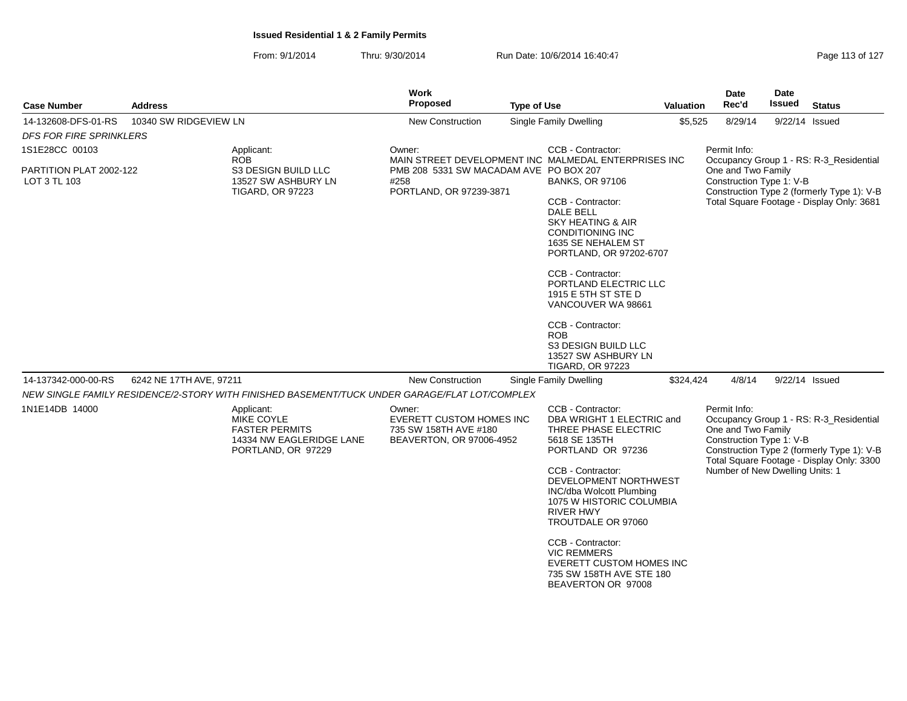| <b>Case Number</b>                      | Address                 |                                                                                                     | <b>Work</b><br><b>Proposed</b>                                                                                                    | <b>Type of Use</b> | <b>Valuation</b>                                                                                                                                                                                                                                                                                                                                        | <b>Date</b><br>Rec'd | <b>Date</b><br><b>Issued</b>                                                                      | <b>Status</b>                           |                                                                                                                                    |
|-----------------------------------------|-------------------------|-----------------------------------------------------------------------------------------------------|-----------------------------------------------------------------------------------------------------------------------------------|--------------------|---------------------------------------------------------------------------------------------------------------------------------------------------------------------------------------------------------------------------------------------------------------------------------------------------------------------------------------------------------|----------------------|---------------------------------------------------------------------------------------------------|-----------------------------------------|------------------------------------------------------------------------------------------------------------------------------------|
| 14-132608-DFS-01-RS                     | 10340 SW RIDGEVIEW LN   |                                                                                                     | <b>New Construction</b>                                                                                                           |                    | Single Family Dwelling                                                                                                                                                                                                                                                                                                                                  | \$5,525              | 8/29/14                                                                                           | 9/22/14 Issued                          |                                                                                                                                    |
| <b>DFS FOR FIRE SPRINKLERS</b>          |                         |                                                                                                     |                                                                                                                                   |                    |                                                                                                                                                                                                                                                                                                                                                         |                      |                                                                                                   |                                         |                                                                                                                                    |
| 1S1E28CC 00103                          |                         | Applicant:<br><b>ROB</b>                                                                            |                                                                                                                                   | CCB - Contractor:  |                                                                                                                                                                                                                                                                                                                                                         | Permit Info:         |                                                                                                   | Occupancy Group 1 - RS: R-3_Residential |                                                                                                                                    |
| PARTITION PLAT 2002-122<br>LOT 3 TL 103 |                         | S3 DESIGN BUILD LLC<br>13527 SW ASHBURY LN<br><b>TIGARD, OR 97223</b>                               | MAIN STREET DEVELOPMENT INC MALMEDAL ENTERPRISES INC<br>PMB 208 5331 SW MACADAM AVE PO BOX 207<br>#258<br>PORTLAND, OR 97239-3871 |                    | <b>BANKS, OR 97106</b><br>CCB - Contractor:<br><b>DALE BELL</b><br><b>SKY HEATING &amp; AIR</b><br><b>CONDITIONING INC</b><br>1635 SE NEHALEM ST<br>PORTLAND, OR 97202-6707<br>CCB - Contractor:<br>PORTLAND ELECTRIC LLC<br>1915 E 5TH ST STE D<br>VANCOUVER WA 98661<br>CCB - Contractor:<br><b>ROB</b><br>S3 DESIGN BUILD LLC<br>13527 SW ASHBURY LN |                      | One and Two Family<br>Construction Type 1: V-B                                                    |                                         | Construction Type 2 (formerly Type 1): V-B<br>Total Square Footage - Display Only: 3681                                            |
| 14-137342-000-00-RS                     | 6242 NE 17TH AVE, 97211 |                                                                                                     | New Construction                                                                                                                  |                    | Single Family Dwelling                                                                                                                                                                                                                                                                                                                                  | \$324,424            | 4/8/14                                                                                            | 9/22/14 Issued                          |                                                                                                                                    |
|                                         |                         | NEW SINGLE FAMILY RESIDENCE/2-STORY WITH FINISHED BASEMENT/TUCK UNDER GARAGE/FLAT LOT/COMPLEX       |                                                                                                                                   |                    |                                                                                                                                                                                                                                                                                                                                                         |                      |                                                                                                   |                                         |                                                                                                                                    |
| 1N1E14DB 14000                          |                         | Applicant:<br>MIKE COYLE<br><b>FASTER PERMITS</b><br>14334 NW EAGLERIDGE LANE<br>PORTLAND, OR 97229 | Owner:<br>EVERETT CUSTOM HOMES INC<br>735 SW 158TH AVE #180<br>BEAVERTON, OR 97006-4952                                           |                    | CCB - Contractor:<br>DBA WRIGHT 1 ELECTRIC and<br>THREE PHASE ELECTRIC<br>5618 SE 135TH<br>PORTLAND OR 97236<br>CCB - Contractor:<br>DEVELOPMENT NORTHWEST<br>INC/dba Wolcott Plumbing<br>1075 W HISTORIC COLUMBIA<br><b>RIVER HWY</b><br>TROUTDALE OR 97060                                                                                            |                      | Permit Info:<br>One and Two Family<br>Construction Type 1: V-B<br>Number of New Dwelling Units: 1 |                                         | Occupancy Group 1 - RS: R-3_Residential<br>Construction Type 2 (formerly Type 1): V-B<br>Total Square Footage - Display Only: 3300 |
|                                         |                         |                                                                                                     |                                                                                                                                   |                    | CCB - Contractor:<br><b>VIC REMMERS</b><br><b>EVERETT CUSTOM HOMES INC</b><br>735 SW 158TH AVE STE 180<br>BEAVERTON OR 97008                                                                                                                                                                                                                            |                      |                                                                                                   |                                         |                                                                                                                                    |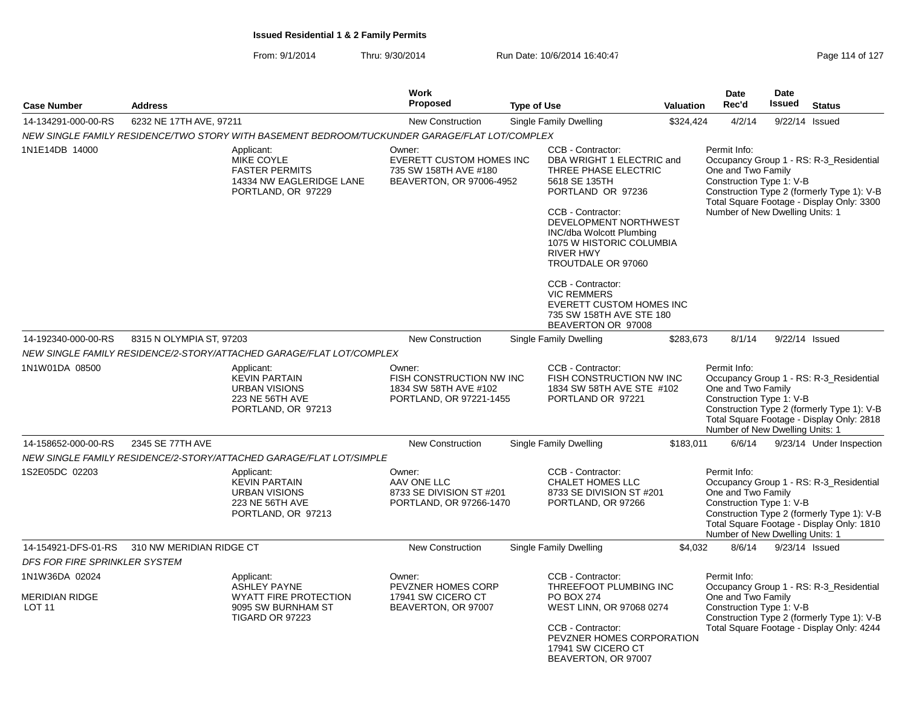|                               |                          |                                                                                                            | Work                                                                                           |                    |                                                                                                                                                                                                                                                                     |           | <b>Date</b>                                                                                       | <b>Date</b>   |                                                                                                                                    |
|-------------------------------|--------------------------|------------------------------------------------------------------------------------------------------------|------------------------------------------------------------------------------------------------|--------------------|---------------------------------------------------------------------------------------------------------------------------------------------------------------------------------------------------------------------------------------------------------------------|-----------|---------------------------------------------------------------------------------------------------|---------------|------------------------------------------------------------------------------------------------------------------------------------|
| <b>Case Number</b>            | <b>Address</b>           |                                                                                                            | <b>Proposed</b>                                                                                | <b>Type of Use</b> |                                                                                                                                                                                                                                                                     | Valuation | Rec'd                                                                                             | <b>Issued</b> | <b>Status</b>                                                                                                                      |
| 14-134291-000-00-RS           | 6232 NE 17TH AVE, 97211  |                                                                                                            | New Construction                                                                               |                    | Single Family Dwelling                                                                                                                                                                                                                                              | \$324,424 | 4/2/14                                                                                            |               | 9/22/14 Issued                                                                                                                     |
|                               |                          | NEW SINGLE FAMILY RESIDENCE/TWO STORY WITH BASEMENT BEDROOM/TUCKUNDER GARAGE/FLAT LOT/COMPLEX              |                                                                                                |                    |                                                                                                                                                                                                                                                                     |           |                                                                                                   |               |                                                                                                                                    |
| 1N1E14DB 14000                |                          | Applicant:<br><b>MIKE COYLE</b><br><b>FASTER PERMITS</b><br>14334 NW EAGLERIDGE LANE<br>PORTLAND, OR 97229 | Owner:<br><b>EVERETT CUSTOM HOMES INC</b><br>735 SW 158TH AVE #180<br>BEAVERTON, OR 97006-4952 |                    | CCB - Contractor:<br>DBA WRIGHT 1 ELECTRIC and<br>THREE PHASE ELECTRIC<br>5618 SE 135TH<br>PORTLAND OR 97236<br>CCB - Contractor:<br>DEVELOPMENT NORTHWEST<br><b>INC/dba Wolcott Plumbing</b><br>1075 W HISTORIC COLUMBIA<br><b>RIVER HWY</b><br>TROUTDALE OR 97060 |           | Permit Info:<br>One and Two Family<br>Construction Type 1: V-B<br>Number of New Dwelling Units: 1 |               | Occupancy Group 1 - RS: R-3 Residential<br>Construction Type 2 (formerly Type 1): V-B<br>Total Square Footage - Display Only: 3300 |
|                               |                          |                                                                                                            |                                                                                                |                    | CCB - Contractor:<br><b>VIC REMMERS</b><br><b>EVERETT CUSTOM HOMES INC</b><br>735 SW 158TH AVE STE 180<br>BEAVERTON OR 97008                                                                                                                                        |           |                                                                                                   |               |                                                                                                                                    |
| 14-192340-000-00-RS           | 8315 N OLYMPIA ST, 97203 |                                                                                                            | New Construction                                                                               |                    | Single Family Dwelling                                                                                                                                                                                                                                              | \$283,673 | 8/1/14                                                                                            |               | 9/22/14 Issued                                                                                                                     |
|                               |                          | NEW SINGLE FAMILY RESIDENCE/2-STORY/ATTACHED GARAGE/FLAT LOT/COMPLEX                                       |                                                                                                |                    |                                                                                                                                                                                                                                                                     |           |                                                                                                   |               |                                                                                                                                    |
| 1N1W01DA 08500                |                          | Applicant:<br><b>KEVIN PARTAIN</b><br><b>URBAN VISIONS</b><br>223 NE 56TH AVE<br>PORTLAND, OR 97213        | Owner:<br>FISH CONSTRUCTION NW INC<br>1834 SW 58TH AVE #102<br>PORTLAND, OR 97221-1455         |                    | CCB - Contractor:<br>FISH CONSTRUCTION NW INC<br>1834 SW 58TH AVE STE #102<br>PORTLAND OR 97221                                                                                                                                                                     |           | Permit Info:<br>One and Two Family<br>Construction Type 1: V-B<br>Number of New Dwelling Units: 1 |               | Occupancy Group 1 - RS: R-3_Residential<br>Construction Type 2 (formerly Type 1): V-B<br>Total Square Footage - Display Only: 2818 |
| 14-158652-000-00-RS           | 2345 SE 77TH AVE         |                                                                                                            | <b>New Construction</b>                                                                        |                    | <b>Single Family Dwelling</b>                                                                                                                                                                                                                                       | \$183,011 | 6/6/14                                                                                            |               | 9/23/14 Under Inspection                                                                                                           |
|                               |                          | NEW SINGLE FAMILY RESIDENCE/2-STORY/ATTACHED GARAGE/FLAT LOT/SIMPLE                                        |                                                                                                |                    |                                                                                                                                                                                                                                                                     |           |                                                                                                   |               |                                                                                                                                    |
| 1S2E05DC 02203                |                          | Applicant:<br><b>KEVIN PARTAIN</b><br><b>URBAN VISIONS</b><br>223 NE 56TH AVE<br>PORTLAND, OR 97213        | Owner:<br>AAV ONE LLC<br>8733 SE DIVISION ST #201<br>PORTLAND, OR 97266-1470                   |                    | CCB - Contractor:<br>CHALET HOMES LLC<br>8733 SE DIVISION ST #201<br>PORTLAND, OR 97266                                                                                                                                                                             |           | Permit Info:<br>One and Two Family<br>Construction Type 1: V-B<br>Number of New Dwelling Units: 1 |               | Occupancy Group 1 - RS: R-3_Residential<br>Construction Type 2 (formerly Type 1): V-B<br>Total Square Footage - Display Only: 1810 |
| 14-154921-DFS-01-RS           | 310 NW MERIDIAN RIDGE CT |                                                                                                            | <b>New Construction</b>                                                                        |                    | Single Family Dwelling                                                                                                                                                                                                                                              | \$4,032   | 8/6/14                                                                                            |               | 9/23/14 Issued                                                                                                                     |
| DFS FOR FIRE SPRINKLER SYSTEM |                          |                                                                                                            |                                                                                                |                    |                                                                                                                                                                                                                                                                     |           |                                                                                                   |               |                                                                                                                                    |
| 1N1W36DA 02024                |                          | Applicant:<br><b>ASHLEY PAYNE</b>                                                                          | Owner:<br>PEVZNER HOMES CORP                                                                   |                    | CCB - Contractor:<br>THREEFOOT PLUMBING INC                                                                                                                                                                                                                         |           | Permit Info:                                                                                      |               | Occupancy Group 1 - RS: R-3_Residential                                                                                            |
| MERIDIAN RIDGE<br>LOT 11      |                          | <b>WYATT FIRE PROTECTION</b><br>9095 SW BURNHAM ST<br>TIGARD OR 97223                                      | 17941 SW CICERO CT<br>BEAVERTON, OR 97007                                                      |                    | PO BOX 274<br>WEST LINN, OR 97068 0274<br>CCB - Contractor:<br>PEVZNER HOMES CORPORATION<br>17941 SW CICERO CT<br>BEAVERTON, OR 97007                                                                                                                               |           | One and Two Family<br>Construction Type 1: V-B                                                    |               | Construction Type 2 (formerly Type 1): V-B<br>Total Square Footage - Display Only: 4244                                            |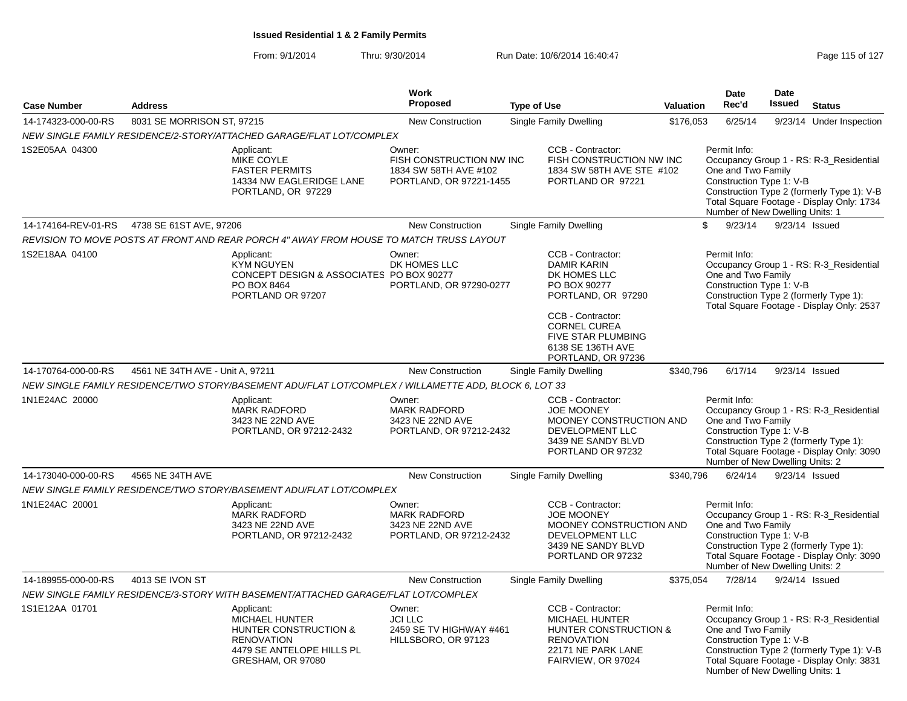|                     |                                  |                                                                                                                                                | Work                                                                                   |                                                                         |                                                                            | <b>Date</b>                                                                                                                                 | <b>Date</b>    |                                                                                                                                    |
|---------------------|----------------------------------|------------------------------------------------------------------------------------------------------------------------------------------------|----------------------------------------------------------------------------------------|-------------------------------------------------------------------------|----------------------------------------------------------------------------|---------------------------------------------------------------------------------------------------------------------------------------------|----------------|------------------------------------------------------------------------------------------------------------------------------------|
| <b>Case Number</b>  | <b>Address</b>                   |                                                                                                                                                | <b>Proposed</b>                                                                        | <b>Type of Use</b>                                                      | Valuation                                                                  | Rec'd                                                                                                                                       | Issued         | <b>Status</b>                                                                                                                      |
| 14-174323-000-00-RS | 8031 SE MORRISON ST, 97215       |                                                                                                                                                | <b>New Construction</b>                                                                | Single Family Dwelling                                                  | \$176,053                                                                  | 6/25/14                                                                                                                                     |                | 9/23/14 Under Inspection                                                                                                           |
|                     |                                  | NEW SINGLE FAMILY RESIDENCE/2-STORY/ATTACHED GARAGE/FLAT LOT/COMPLEX                                                                           |                                                                                        |                                                                         |                                                                            |                                                                                                                                             |                |                                                                                                                                    |
| 1S2E05AA 04300      |                                  | Applicant:<br>MIKE COYLE<br><b>FASTER PERMITS</b><br>14334 NW EAGLERIDGE LANE<br>PORTLAND, OR 97229                                            | Owner:<br>FISH CONSTRUCTION NW INC<br>1834 SW 58TH AVE #102<br>PORTLAND, OR 97221-1455 | CCB - Contractor:                                                       | FISH CONSTRUCTION NW INC<br>1834 SW 58TH AVE STE #102<br>PORTLAND OR 97221 | Permit Info:<br>One and Two Family<br>Construction Type 1: V-B<br>Number of New Dwelling Units: 1                                           |                | Occupancy Group 1 - RS: R-3_Residential<br>Construction Type 2 (formerly Type 1): V-B<br>Total Square Footage - Display Only: 1734 |
| 14-174164-REV-01-RS | 4738 SE 61ST AVE, 97206          |                                                                                                                                                | <b>New Construction</b>                                                                | Single Family Dwelling                                                  |                                                                            | \$<br>9/23/14                                                                                                                               | 9/23/14 Issued |                                                                                                                                    |
|                     |                                  | REVISION TO MOVE POSTS AT FRONT AND REAR PORCH 4" AWAY FROM HOUSE TO MATCH TRUSS LAYOUT                                                        |                                                                                        |                                                                         |                                                                            |                                                                                                                                             |                |                                                                                                                                    |
| 1S2E18AA 04100      |                                  | Applicant:<br><b>KYM NGUYEN</b><br>CONCEPT DESIGN & ASSOCIATES PO BOX 90277<br>PO BOX 8464<br>PORTLAND OR 97207                                | Owner:<br>DK HOMES LLC<br>PORTLAND, OR 97290-0277                                      | CCB - Contractor:<br><b>DAMIR KARIN</b><br>DK HOMES LLC<br>PO BOX 90277 | PORTLAND, OR 97290                                                         | Permit Info:<br>One and Two Family<br>Construction Type 1: V-B<br>Construction Type 2 (formerly Type 1):                                    |                | Occupancy Group 1 - RS: R-3 Residential<br>Total Square Footage - Display Only: 2537                                               |
|                     |                                  |                                                                                                                                                |                                                                                        | CCB - Contractor:<br><b>CORNEL CUREA</b><br>6138 SE 136TH AVE           | <b>FIVE STAR PLUMBING</b><br>PORTLAND, OR 97236                            |                                                                                                                                             |                |                                                                                                                                    |
| 14-170764-000-00-RS | 4561 NE 34TH AVE - Unit A, 97211 |                                                                                                                                                | <b>New Construction</b>                                                                | Single Family Dwelling                                                  | \$340,796                                                                  | 6/17/14                                                                                                                                     | 9/23/14 Issued |                                                                                                                                    |
|                     |                                  | NEW SINGLE FAMILY RESIDENCE/TWO STORY/BASEMENT ADU/FLAT LOT/COMPLEX / WILLAMETTE ADD, BLOCK 6, LOT 33                                          |                                                                                        |                                                                         |                                                                            |                                                                                                                                             |                |                                                                                                                                    |
| 1N1E24AC 20000      |                                  | Applicant:<br><b>MARK RADFORD</b><br>3423 NE 22ND AVE<br>PORTLAND, OR 97212-2432                                                               | Owner:<br><b>MARK RADFORD</b><br>3423 NE 22ND AVE<br>PORTLAND, OR 97212-2432           | CCB - Contractor:<br><b>JOE MOONEY</b><br>DEVELOPMENT LLC               | MOONEY CONSTRUCTION AND<br>3439 NE SANDY BLVD<br>PORTLAND OR 97232         | Permit Info:<br>One and Two Family<br>Construction Type 1: V-B<br>Construction Type 2 (formerly Type 1):<br>Number of New Dwelling Units: 2 |                | Occupancy Group 1 - RS: R-3_Residential<br>Total Square Footage - Display Only: 3090                                               |
| 14-173040-000-00-RS | 4565 NE 34TH AVE                 |                                                                                                                                                | <b>New Construction</b>                                                                | <b>Single Family Dwelling</b>                                           | \$340.796                                                                  | 6/24/14                                                                                                                                     | 9/23/14 Issued |                                                                                                                                    |
|                     |                                  | NEW SINGLE FAMILY RESIDENCE/TWO STORY/BASEMENT ADU/FLAT LOT/COMPLEX                                                                            |                                                                                        |                                                                         |                                                                            |                                                                                                                                             |                |                                                                                                                                    |
| 1N1E24AC 20001      |                                  | Applicant:<br><b>MARK RADFORD</b><br>3423 NE 22ND AVE<br>PORTLAND, OR 97212-2432                                                               | Owner:<br><b>MARK RADFORD</b><br>3423 NE 22ND AVE<br>PORTLAND, OR 97212-2432           | CCB - Contractor:<br><b>JOE MOONEY</b><br>DEVELOPMENT LLC               | MOONEY CONSTRUCTION AND<br>3439 NE SANDY BLVD<br>PORTLAND OR 97232         | Permit Info:<br>One and Two Family<br>Construction Type 1: V-B<br>Construction Type 2 (formerly Type 1):<br>Number of New Dwelling Units: 2 |                | Occupancy Group 1 - RS: R-3 Residential<br>Total Square Footage - Display Only: 3090                                               |
| 14-189955-000-00-RS | 4013 SE IVON ST                  |                                                                                                                                                | <b>New Construction</b>                                                                | Single Family Dwelling                                                  | \$375,054                                                                  | 7/28/14                                                                                                                                     | 9/24/14 Issued |                                                                                                                                    |
|                     |                                  | NEW SINGLE FAMILY RESIDENCE/3-STORY WITH BASEMENT/ATTACHED GARAGE/FLAT LOT/COMPLEX                                                             |                                                                                        |                                                                         |                                                                            |                                                                                                                                             |                |                                                                                                                                    |
| 1S1E12AA 01701      |                                  | Applicant:<br><b>MICHAEL HUNTER</b><br><b>HUNTER CONSTRUCTION &amp;</b><br><b>RENOVATION</b><br>4479 SE ANTELOPE HILLS PL<br>GRESHAM, OR 97080 | Owner:<br><b>JCI LLC</b><br>2459 SE TV HIGHWAY #461<br>HILLSBORO, OR 97123             | CCB - Contractor:<br><b>MICHAEL HUNTER</b><br><b>RENOVATION</b>         | HUNTER CONSTRUCTION &<br>22171 NE PARK LANE<br>FAIRVIEW, OR 97024          | Permit Info:<br>One and Two Family<br>Construction Type 1: V-B<br>Number of New Dwelling Units: 1                                           |                | Occupancy Group 1 - RS: R-3 Residential<br>Construction Type 2 (formerly Type 1): V-B<br>Total Square Footage - Display Only: 3831 |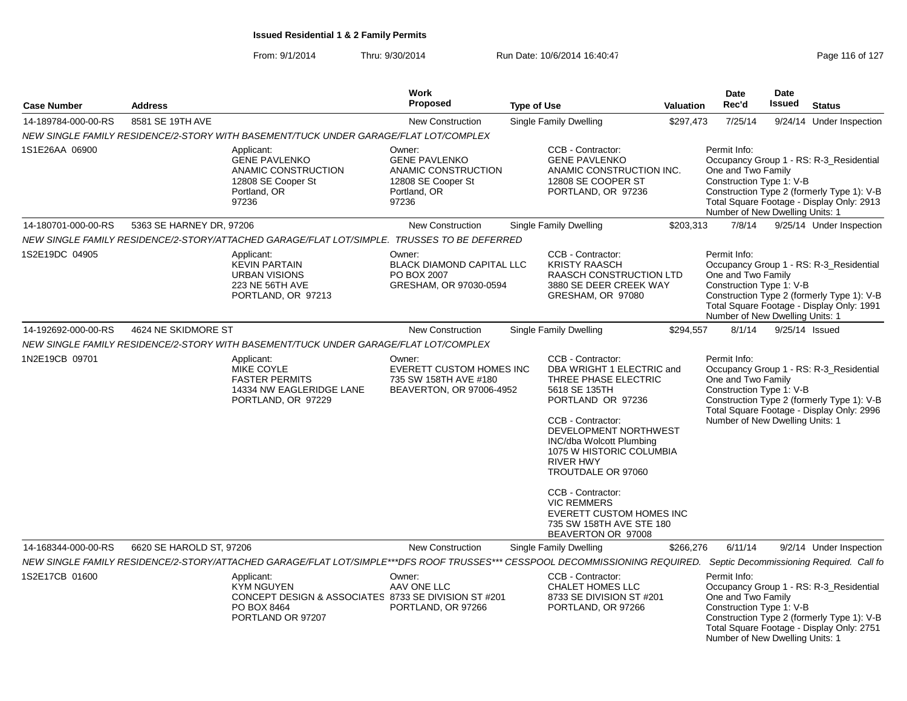| <b>Case Number</b>  | <b>Address</b>           |                                                                                                                              | Work<br><b>Proposed</b>                                                                              | <b>Type of Use</b>                                                                                                                                                                                                                                                                                                                                                                           | Valuation | Date<br>Rec'd                                                                                     | <b>Date</b><br><b>Issued</b> | <b>Status</b>                                                                                                                      |
|---------------------|--------------------------|------------------------------------------------------------------------------------------------------------------------------|------------------------------------------------------------------------------------------------------|----------------------------------------------------------------------------------------------------------------------------------------------------------------------------------------------------------------------------------------------------------------------------------------------------------------------------------------------------------------------------------------------|-----------|---------------------------------------------------------------------------------------------------|------------------------------|------------------------------------------------------------------------------------------------------------------------------------|
| 14-189784-000-00-RS | 8581 SE 19TH AVE         |                                                                                                                              | <b>New Construction</b>                                                                              | <b>Single Family Dwelling</b>                                                                                                                                                                                                                                                                                                                                                                | \$297,473 | 7/25/14                                                                                           |                              | 9/24/14 Under Inspection                                                                                                           |
|                     |                          | NEW SINGLE FAMILY RESIDENCE/2-STORY WITH BASEMENT/TUCK UNDER GARAGE/FLAT LOT/COMPLEX                                         |                                                                                                      |                                                                                                                                                                                                                                                                                                                                                                                              |           |                                                                                                   |                              |                                                                                                                                    |
| 1S1E26AA 06900      |                          | Applicant:<br><b>GENE PAVLENKO</b><br>ANAMIC CONSTRUCTION<br>12808 SE Cooper St<br>Portland, OR<br>97236                     | Owner:<br><b>GENE PAVLENKO</b><br>ANAMIC CONSTRUCTION<br>12808 SE Cooper St<br>Portland, OR<br>97236 | CCB - Contractor:<br><b>GENE PAVLENKO</b><br>ANAMIC CONSTRUCTION INC.<br>12808 SE COOPER ST<br>PORTLAND, OR 97236                                                                                                                                                                                                                                                                            |           | Permit Info:<br>One and Two Family<br>Construction Type 1: V-B<br>Number of New Dwelling Units: 1 |                              | Occupancy Group 1 - RS: R-3_Residential<br>Construction Type 2 (formerly Type 1): V-B<br>Total Square Footage - Display Only: 2913 |
| 14-180701-000-00-RS | 5363 SE HARNEY DR, 97206 |                                                                                                                              | <b>New Construction</b>                                                                              | Single Family Dwelling                                                                                                                                                                                                                                                                                                                                                                       | \$203,313 | 7/8/14                                                                                            |                              | 9/25/14 Under Inspection                                                                                                           |
|                     |                          | NEW SINGLE FAMILY RESIDENCE/2-STORY/ATTACHED GARAGE/FLAT LOT/SIMPLE. TRUSSES TO BE DEFERRED                                  |                                                                                                      |                                                                                                                                                                                                                                                                                                                                                                                              |           |                                                                                                   |                              |                                                                                                                                    |
| 1S2E19DC 04905      |                          | Applicant:<br><b>KEVIN PARTAIN</b><br><b>URBAN VISIONS</b><br>223 NE 56TH AVE<br>PORTLAND, OR 97213                          | Owner:<br><b>BLACK DIAMOND CAPITAL LLC</b><br>PO BOX 2007<br>GRESHAM, OR 97030-0594                  | CCB - Contractor:<br><b>KRISTY RAASCH</b><br><b>RAASCH CONSTRUCTION LTD</b><br>3880 SE DEER CREEK WAY<br>GRESHAM, OR 97080                                                                                                                                                                                                                                                                   |           | Permit Info:<br>One and Two Family<br>Construction Type 1: V-B<br>Number of New Dwelling Units: 1 |                              | Occupancy Group 1 - RS: R-3_Residential<br>Construction Type 2 (formerly Type 1): V-B<br>Total Square Footage - Display Only: 1991 |
| 14-192692-000-00-RS | 4624 NE SKIDMORE ST      |                                                                                                                              | <b>New Construction</b>                                                                              | <b>Single Family Dwelling</b>                                                                                                                                                                                                                                                                                                                                                                | \$294,557 | 8/1/14                                                                                            |                              | 9/25/14 Issued                                                                                                                     |
|                     |                          | NEW SINGLE FAMILY RESIDENCE/2-STORY WITH BASEMENT/TUCK UNDER GARAGE/FLAT LOT/COMPLEX                                         |                                                                                                      |                                                                                                                                                                                                                                                                                                                                                                                              |           |                                                                                                   |                              |                                                                                                                                    |
| 1N2E19CB 09701      |                          | Applicant:<br><b>MIKE COYLE</b><br><b>FASTER PERMITS</b><br>14334 NW EAGLERIDGE LANE<br>PORTLAND, OR 97229                   | Owner:<br><b>EVERETT CUSTOM HOMES INC</b><br>735 SW 158TH AVE #180<br>BEAVERTON, OR 97006-4952       | CCB - Contractor:<br>DBA WRIGHT 1 ELECTRIC and<br>THREE PHASE ELECTRIC<br>5618 SE 135TH<br>PORTLAND OR 97236<br>CCB - Contractor:<br>DEVELOPMENT NORTHWEST<br><b>INC/dba Wolcott Plumbing</b><br>1075 W HISTORIC COLUMBIA<br><b>RIVER HWY</b><br>TROUTDALE OR 97060<br>CCB - Contractor:<br><b>VIC REMMERS</b><br>EVERETT CUSTOM HOMES INC<br>735 SW 158TH AVE STE 180<br>BEAVERTON OR 97008 |           | Permit Info:<br>One and Two Family<br>Construction Type 1: V-B<br>Number of New Dwelling Units: 1 |                              | Occupancy Group 1 - RS: R-3_Residential<br>Construction Type 2 (formerly Type 1): V-B<br>Total Square Footage - Display Only: 2996 |
| 14-168344-000-00-RS | 6620 SE HAROLD ST, 97206 |                                                                                                                              | <b>New Construction</b>                                                                              | Single Family Dwelling                                                                                                                                                                                                                                                                                                                                                                       | \$266,276 | 6/11/14                                                                                           |                              | 9/2/14 Under Inspection                                                                                                            |
|                     |                          | NEW SINGLE FAMILY RESIDENCE/2-STORY/ATTACHED GARAGE/FLAT LOT/SIMPLE***DFS ROOF TRUSSES*** CESSPOOL DECOMMISSIONING REQUIRED. |                                                                                                      |                                                                                                                                                                                                                                                                                                                                                                                              |           |                                                                                                   |                              | Septic Decommissioning Required. Call fo                                                                                           |
| 1S2E17CB 01600      |                          | Applicant:<br><b>KYM NGUYEN</b><br>CONCEPT DESIGN & ASSOCIATES 8733 SE DIVISION ST #201<br>PO BOX 8464<br>PORTLAND OR 97207  | Owner:<br>AAV ONE LLC<br>PORTLAND, OR 97266                                                          | CCB - Contractor:<br><b>CHALET HOMES LLC</b><br>8733 SE DIVISION ST #201<br>PORTLAND, OR 97266                                                                                                                                                                                                                                                                                               |           | Permit Info:<br>One and Two Family<br>Construction Type 1: V-B<br>Number of New Dwelling Units: 1 |                              | Occupancy Group 1 - RS: R-3_Residential<br>Construction Type 2 (formerly Type 1): V-B<br>Total Square Footage - Display Only: 2751 |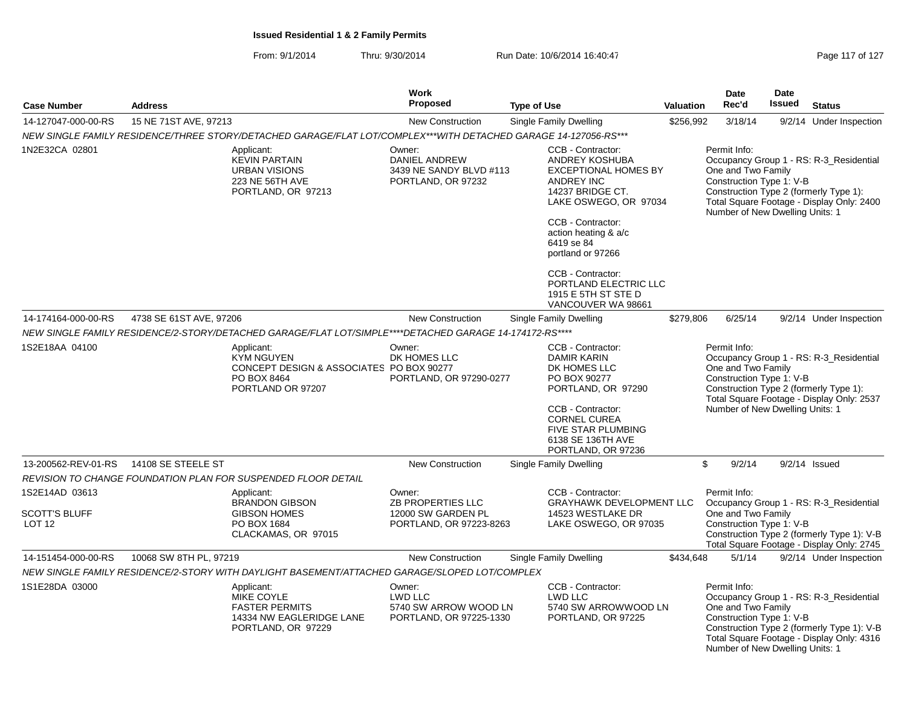From: 9/1/2014Thru: 9/30/2014 Run Date: 10/6/2014 16:40:47 Rege 117 of 127

|                                                             |                                                                                                                 |                                          | Work                                                                                |  |                                                                                                                                                                                                                      |                                                                                                                                                                                                                                     | Date                                                                                              | <b>Date</b> |                                                                                                                                    |
|-------------------------------------------------------------|-----------------------------------------------------------------------------------------------------------------|------------------------------------------|-------------------------------------------------------------------------------------|--|----------------------------------------------------------------------------------------------------------------------------------------------------------------------------------------------------------------------|-------------------------------------------------------------------------------------------------------------------------------------------------------------------------------------------------------------------------------------|---------------------------------------------------------------------------------------------------|-------------|------------------------------------------------------------------------------------------------------------------------------------|
| <b>Case Number</b>                                          | <b>Address</b>                                                                                                  |                                          | <b>Proposed</b>                                                                     |  | <b>Type of Use</b>                                                                                                                                                                                                   | Valuation                                                                                                                                                                                                                           | Rec'd                                                                                             | Issued      | <b>Status</b>                                                                                                                      |
| 14-127047-000-00-RS                                         | 15 NE 71ST AVE, 97213                                                                                           |                                          | <b>New Construction</b>                                                             |  | Single Family Dwelling                                                                                                                                                                                               | \$256,992                                                                                                                                                                                                                           | 3/18/14                                                                                           |             | 9/2/14 Under Inspection                                                                                                            |
|                                                             | NEW SINGLE FAMILY RESIDENCE/THREE STORY/DETACHED GARAGE/FLAT LOT/COMPLEX***WITH DETACHED GARAGE 14-127056-RS*** |                                          |                                                                                     |  |                                                                                                                                                                                                                      |                                                                                                                                                                                                                                     |                                                                                                   |             |                                                                                                                                    |
| 1N2E32CA 02801                                              | Applicant:<br><b>KEVIN PARTAIN</b><br><b>URBAN VISIONS</b><br>223 NE 56TH AVE<br>PORTLAND, OR 97213             |                                          | Owner:<br>DANIEL ANDREW<br>3439 NE SANDY BLVD #113<br>PORTLAND, OR 97232            |  | CCB - Contractor:<br>ANDREY KOSHUBA<br><b>EXCEPTIONAL HOMES BY</b><br><b>ANDREY INC</b><br>14237 BRIDGE CT.<br>LAKE OSWEGO, OR 97034<br>CCB - Contractor:<br>action heating & a/c<br>6419 se 84<br>portland or 97266 |                                                                                                                                                                                                                                     | Permit Info:<br>One and Two Family<br>Construction Type 1: V-B<br>Number of New Dwelling Units: 1 |             | Occupancy Group 1 - RS: R-3_Residential<br>Construction Type 2 (formerly Type 1):<br>Total Square Footage - Display Only: 2400     |
|                                                             |                                                                                                                 |                                          |                                                                                     |  | CCB - Contractor:<br>PORTLAND ELECTRIC LLC<br>1915 E 5TH ST STE D<br>VANCOUVER WA 98661                                                                                                                              |                                                                                                                                                                                                                                     |                                                                                                   |             |                                                                                                                                    |
| 14-174164-000-00-RS                                         | 4738 SE 61ST AVE, 97206                                                                                         |                                          | <b>New Construction</b>                                                             |  | Single Family Dwelling                                                                                                                                                                                               | \$279,806                                                                                                                                                                                                                           | 6/25/14                                                                                           |             | 9/2/14 Under Inspection                                                                                                            |
|                                                             | NEW SINGLE FAMILY RESIDENCE/2-STORY/DETACHED GARAGE/FLAT LOT/SIMPLE****DETACHED GARAGE 14-174172-RS****         |                                          |                                                                                     |  |                                                                                                                                                                                                                      |                                                                                                                                                                                                                                     |                                                                                                   |             |                                                                                                                                    |
| 1S2E18AA 04100                                              | Applicant:<br><b>KYM NGUYEN</b><br>PO BOX 8464<br>PORTLAND OR 97207                                             | CONCEPT DESIGN & ASSOCIATES PO BOX 90277 | Owner:<br>DK HOMES LLC<br>PORTLAND, OR 97290-0277                                   |  | CCB - Contractor:<br><b>DAMIR KARIN</b><br>DK HOMES LLC<br>PO BOX 90277<br>PORTLAND, OR 97290<br>CCB - Contractor:<br><b>CORNEL CUREA</b><br>FIVE STAR PLUMBING                                                      | Permit Info:<br>Occupancy Group 1 - RS: R-3 Residential<br>One and Two Family<br>Construction Type 1: V-B<br>Construction Type 2 (formerly Type 1):<br>Total Square Footage - Display Only: 2537<br>Number of New Dwelling Units: 1 |                                                                                                   |             |                                                                                                                                    |
|                                                             |                                                                                                                 |                                          |                                                                                     |  | 6138 SE 136TH AVE<br>PORTLAND, OR 97236                                                                                                                                                                              |                                                                                                                                                                                                                                     |                                                                                                   |             |                                                                                                                                    |
| 13-200562-REV-01-RS                                         | 14108 SE STEELE ST                                                                                              |                                          | <b>New Construction</b>                                                             |  | Single Family Dwelling                                                                                                                                                                                               |                                                                                                                                                                                                                                     | \$<br>9/2/14                                                                                      |             | $9/2/14$ Issued                                                                                                                    |
|                                                             | REVISION TO CHANGE FOUNDATION PLAN FOR SUSPENDED FLOOR DETAIL                                                   |                                          |                                                                                     |  |                                                                                                                                                                                                                      |                                                                                                                                                                                                                                     |                                                                                                   |             |                                                                                                                                    |
| 1S2E14AD 03613<br><b>SCOTT'S BLUFF</b><br>LOT <sub>12</sub> | Applicant:<br><b>BRANDON GIBSON</b><br><b>GIBSON HOMES</b><br>PO BOX 1684<br>CLACKAMAS, OR 97015                |                                          | Owner:<br><b>ZB PROPERTIES LLC</b><br>12000 SW GARDEN PL<br>PORTLAND, OR 97223-8263 |  | CCB - Contractor:<br><b>GRAYHAWK DEVELOPMENT LLC</b><br>14523 WESTLAKE DR<br>LAKE OSWEGO, OR 97035                                                                                                                   |                                                                                                                                                                                                                                     | Permit Info:<br>One and Two Family<br>Construction Type 1: V-B                                    |             | Occupancy Group 1 - RS: R-3 Residential<br>Construction Type 2 (formerly Type 1): V-B<br>Total Square Footage - Display Only: 2745 |
| 14-151454-000-00-RS                                         | 10068 SW 8TH PL, 97219                                                                                          |                                          | <b>New Construction</b>                                                             |  | Single Family Dwelling                                                                                                                                                                                               | \$434,648                                                                                                                                                                                                                           | 5/1/14                                                                                            |             | 9/2/14 Under Inspection                                                                                                            |
|                                                             | NEW SINGLE FAMILY RESIDENCE/2-STORY WITH DAYLIGHT BASEMENT/ATTACHED GARAGE/SLOPED LOT/COMPLEX                   |                                          |                                                                                     |  |                                                                                                                                                                                                                      |                                                                                                                                                                                                                                     |                                                                                                   |             |                                                                                                                                    |
| 1S1E28DA 03000                                              | Applicant:<br>MIKE COYLE<br><b>FASTER PERMITS</b><br>PORTLAND, OR 97229                                         | 14334 NW EAGLERIDGE LANE                 | Owner:<br>LWD LLC<br>5740 SW ARROW WOOD LN<br>PORTLAND, OR 97225-1330               |  | CCB - Contractor:<br><b>LWD LLC</b><br>5740 SW ARROWWOOD LN<br>PORTLAND, OR 97225                                                                                                                                    |                                                                                                                                                                                                                                     | Permit Info:<br>One and Two Family<br>Construction Type 1: V-B<br>Number of New Dwelling Units: 1 |             | Occupancy Group 1 - RS: R-3_Residential<br>Construction Type 2 (formerly Type 1): V-B<br>Total Square Footage - Display Only: 4316 |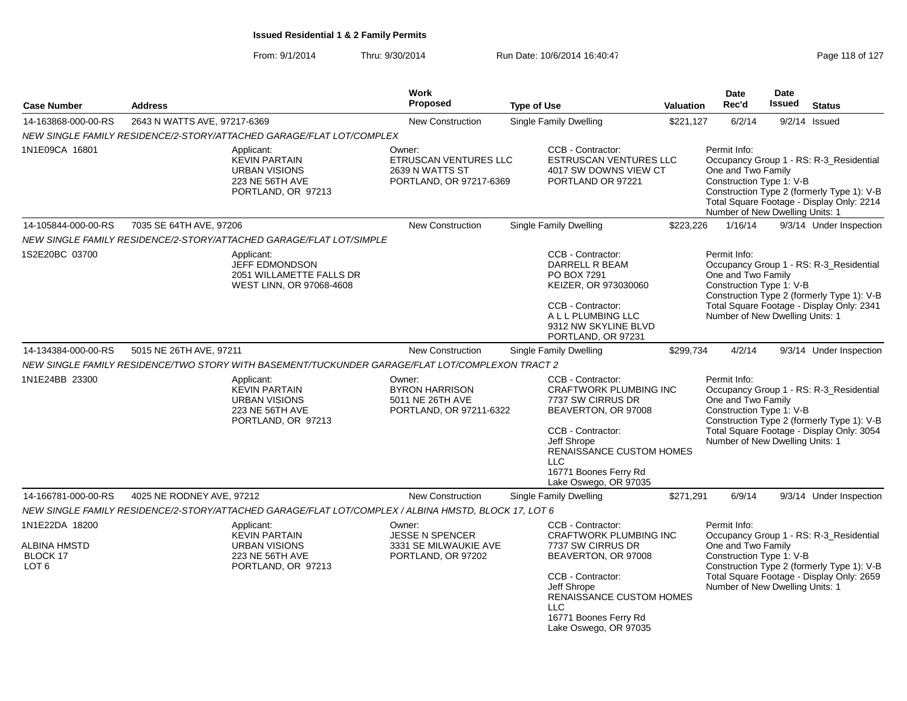|                                                     |                                                                                       |                                                                                                                                                                                                                                                                                                                                                                                                         | Work<br><b>Proposed</b>                                                              |                                                                                                           |                                                                                                                                                                                                    |                                                                                                   | <b>Date</b><br>Rec'd                                                                              | <b>Date</b><br><b>Issued</b>                                                                                                       |                                                                                                                                    |
|-----------------------------------------------------|---------------------------------------------------------------------------------------|---------------------------------------------------------------------------------------------------------------------------------------------------------------------------------------------------------------------------------------------------------------------------------------------------------------------------------------------------------------------------------------------------------|--------------------------------------------------------------------------------------|-----------------------------------------------------------------------------------------------------------|----------------------------------------------------------------------------------------------------------------------------------------------------------------------------------------------------|---------------------------------------------------------------------------------------------------|---------------------------------------------------------------------------------------------------|------------------------------------------------------------------------------------------------------------------------------------|------------------------------------------------------------------------------------------------------------------------------------|
| <b>Case Number</b>                                  | <b>Address</b>                                                                        |                                                                                                                                                                                                                                                                                                                                                                                                         |                                                                                      | <b>Type of Use</b>                                                                                        |                                                                                                                                                                                                    | Valuation                                                                                         |                                                                                                   |                                                                                                                                    | <b>Status</b>                                                                                                                      |
| 14-163868-000-00-RS                                 | 2643 N WATTS AVE, 97217-6369                                                          |                                                                                                                                                                                                                                                                                                                                                                                                         | <b>New Construction</b>                                                              |                                                                                                           | <b>Single Family Dwelling</b>                                                                                                                                                                      | \$221.127                                                                                         | 6/2/14                                                                                            |                                                                                                                                    | $9/2/14$ Issued                                                                                                                    |
| 1N1E09CA 16801                                      |                                                                                       | NEW SINGLE FAMILY RESIDENCE/2-STORY/ATTACHED GARAGE/FLAT LOT/COMPLEX<br>Applicant:<br><b>KEVIN PARTAIN</b><br><b>URBAN VISIONS</b><br>223 NE 56TH AVE<br>PORTLAND, OR 97213                                                                                                                                                                                                                             | Owner:<br><b>ETRUSCAN VENTURES LLC</b><br>2639 N WATTS ST<br>PORTLAND, OR 97217-6369 |                                                                                                           | CCB - Contractor:<br><b>ESTRUSCAN VENTURES LLC</b><br>4017 SW DOWNS VIEW CT<br>PORTLAND OR 97221                                                                                                   |                                                                                                   | Permit Info:<br>One and Two Family<br>Construction Type 1: V-B                                    |                                                                                                                                    | Occupancy Group 1 - RS: R-3_Residential<br>Construction Type 2 (formerly Type 1): V-B                                              |
|                                                     |                                                                                       |                                                                                                                                                                                                                                                                                                                                                                                                         |                                                                                      |                                                                                                           |                                                                                                                                                                                                    |                                                                                                   | Number of New Dwelling Units: 1                                                                   |                                                                                                                                    | Total Square Footage - Display Only: 2214                                                                                          |
| 14-105844-000-00-RS                                 | 7035 SE 64TH AVE, 97206                                                               |                                                                                                                                                                                                                                                                                                                                                                                                         | <b>New Construction</b>                                                              |                                                                                                           | Single Family Dwelling                                                                                                                                                                             | \$223,226                                                                                         | 1/16/14                                                                                           |                                                                                                                                    | 9/3/14 Under Inspection                                                                                                            |
|                                                     |                                                                                       | NEW SINGLE FAMILY RESIDENCE/2-STORY/ATTACHED GARAGE/FLAT LOT/SIMPLE                                                                                                                                                                                                                                                                                                                                     |                                                                                      |                                                                                                           |                                                                                                                                                                                                    |                                                                                                   |                                                                                                   |                                                                                                                                    |                                                                                                                                    |
| 1S2E20BC 03700                                      |                                                                                       | Applicant:<br><b>JEFF EDMONDSON</b><br>2051 WILLAMETTE FALLS DR<br>WEST LINN, OR 97068-4608                                                                                                                                                                                                                                                                                                             |                                                                                      |                                                                                                           | CCB - Contractor:<br>DARRELL R BEAM<br>PO BOX 7291<br>KEIZER, OR 973030060<br>CCB - Contractor:<br>A L L PLUMBING LLC<br>9312 NW SKYLINE BLVD<br>PORTLAND, OR 97231                                |                                                                                                   | Permit Info:<br>One and Two Family<br>Construction Type 1: V-B<br>Number of New Dwelling Units: 1 |                                                                                                                                    | Occupancy Group 1 - RS: R-3_Residential<br>Construction Type 2 (formerly Type 1): V-B<br>Total Square Footage - Display Only: 2341 |
| 14-134384-000-00-RS                                 | 5015 NE 26TH AVE, 97211                                                               |                                                                                                                                                                                                                                                                                                                                                                                                         | New Construction                                                                     |                                                                                                           | Single Family Dwelling                                                                                                                                                                             | \$299,734                                                                                         | 4/2/14                                                                                            |                                                                                                                                    | 9/3/14 Under Inspection                                                                                                            |
|                                                     |                                                                                       |                                                                                                                                                                                                                                                                                                                                                                                                         |                                                                                      |                                                                                                           |                                                                                                                                                                                                    |                                                                                                   |                                                                                                   |                                                                                                                                    |                                                                                                                                    |
| 1N1E24BB 23300                                      |                                                                                       | NEW SINGLE FAMILY RESIDENCE/TWO STORY WITH BASEMENT/TUCKUNDER GARAGE/FLAT LOT/COMPLEXON TRACT 2<br>CCB - Contractor:<br>Applicant:<br>Owner:<br><b>KEVIN PARTAIN</b><br><b>BYRON HARRISON</b><br><b>URBAN VISIONS</b><br>5011 NE 26TH AVE<br>7737 SW CIRRUS DR<br>223 NE 56TH AVE<br>PORTLAND, OR 97211-6322<br>PORTLAND, OR 97213<br>CCB - Contractor:<br>Jeff Shrope<br>LLC.<br>16771 Boones Ferry Rd |                                                                                      | <b>CRAFTWORK PLUMBING INC</b><br>BEAVERTON, OR 97008<br>RENAISSANCE CUSTOM HOMES<br>Lake Oswego, OR 97035 |                                                                                                                                                                                                    | Permit Info:<br>One and Two Family<br>Construction Type 1: V-B<br>Number of New Dwelling Units: 1 |                                                                                                   | Occupancy Group 1 - RS: R-3_Residential<br>Construction Type 2 (formerly Type 1): V-B<br>Total Square Footage - Display Only: 3054 |                                                                                                                                    |
| 14-166781-000-00-RS                                 | 4025 NE RODNEY AVE, 97212                                                             |                                                                                                                                                                                                                                                                                                                                                                                                         | New Construction                                                                     |                                                                                                           | Single Family Dwelling                                                                                                                                                                             | \$271,291                                                                                         | 6/9/14                                                                                            |                                                                                                                                    | 9/3/14 Under Inspection                                                                                                            |
|                                                     |                                                                                       | NEW SINGLE FAMILY RESIDENCE/2-STORY/ATTACHED GARAGE/FLAT LOT/COMPLEX / ALBINA HMSTD, BLOCK 17, LOT 6                                                                                                                                                                                                                                                                                                    |                                                                                      |                                                                                                           |                                                                                                                                                                                                    |                                                                                                   |                                                                                                   |                                                                                                                                    |                                                                                                                                    |
| 1N1E22DA 18200                                      |                                                                                       | Applicant:                                                                                                                                                                                                                                                                                                                                                                                              | Owner:                                                                               |                                                                                                           | CCB - Contractor:                                                                                                                                                                                  |                                                                                                   | Permit Info:                                                                                      |                                                                                                                                    | Occupancy Group 1 - RS: R-3_Residential                                                                                            |
| <b>ALBINA HMSTD</b><br>BLOCK 17<br>LOT <sub>6</sub> | <b>KEVIN PARTAIN</b><br><b>URBAN VISIONS</b><br>223 NE 56TH AVE<br>PORTLAND, OR 97213 |                                                                                                                                                                                                                                                                                                                                                                                                         | <b>JESSE N SPENCER</b><br>3331 SE MILWAUKIE AVE<br>PORTLAND, OR 97202                |                                                                                                           | <b>CRAFTWORK PLUMBING INC</b><br>7737 SW CIRRUS DR<br>BEAVERTON, OR 97008<br>CCB - Contractor:<br>Jeff Shrope<br>RENAISSANCE CUSTOM HOMES<br>LLC<br>16771 Boones Ferry Rd<br>Lake Oswego, OR 97035 |                                                                                                   | One and Two Family<br>Construction Type 1: V-B<br>Number of New Dwelling Units: 1                 |                                                                                                                                    | Construction Type 2 (formerly Type 1): V-B<br>Total Square Footage - Display Only: 2659                                            |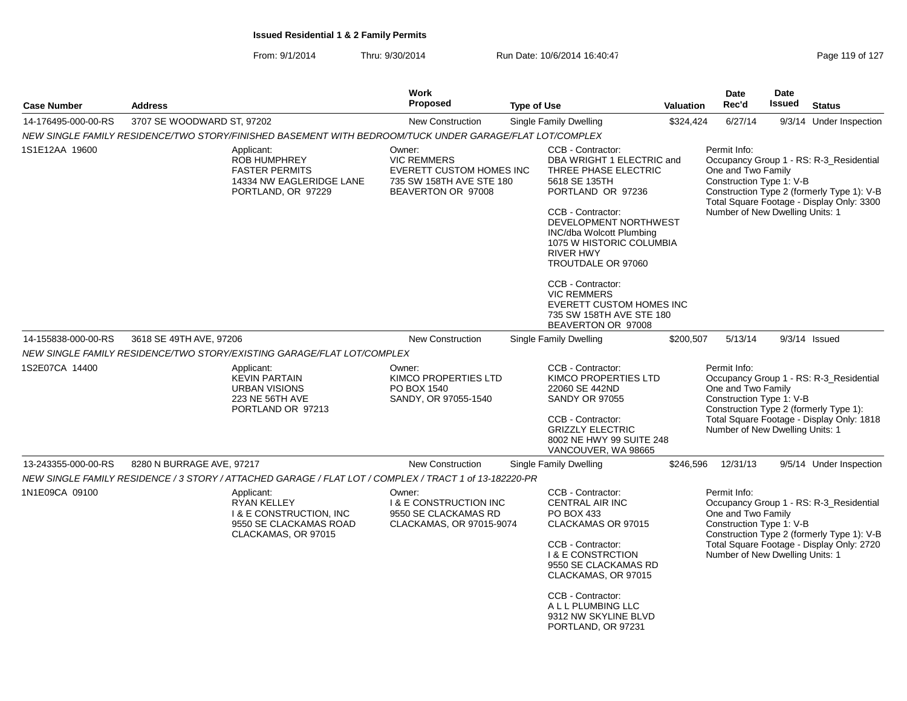| <b>Case Number</b>  | <b>Address</b>                                                                                                   | Work<br><b>Proposed</b>                                                                                                                                                                                                                                          | <b>Type of Use</b>                                                                                                                                                                                                                                                                                                                                                                                  | Valuation                                                                                                                                                                                                                           | Date<br>Rec'd                                                                                     | <b>Date</b><br><b>Issued</b> | <b>Status</b>                                                                                                                      |
|---------------------|------------------------------------------------------------------------------------------------------------------|------------------------------------------------------------------------------------------------------------------------------------------------------------------------------------------------------------------------------------------------------------------|-----------------------------------------------------------------------------------------------------------------------------------------------------------------------------------------------------------------------------------------------------------------------------------------------------------------------------------------------------------------------------------------------------|-------------------------------------------------------------------------------------------------------------------------------------------------------------------------------------------------------------------------------------|---------------------------------------------------------------------------------------------------|------------------------------|------------------------------------------------------------------------------------------------------------------------------------|
| 14-176495-000-00-RS | 3707 SE WOODWARD ST, 97202                                                                                       | <b>New Construction</b>                                                                                                                                                                                                                                          | <b>Single Family Dwelling</b>                                                                                                                                                                                                                                                                                                                                                                       | \$324,424                                                                                                                                                                                                                           | 6/27/14                                                                                           |                              | 9/3/14 Under Inspection                                                                                                            |
|                     | NEW SINGLE FAMILY RESIDENCE/TWO STORY/FINISHED BASEMENT WITH BEDROOM/TUCK UNDER GARAGE/FLAT LOT/COMPLEX          |                                                                                                                                                                                                                                                                  |                                                                                                                                                                                                                                                                                                                                                                                                     |                                                                                                                                                                                                                                     |                                                                                                   |                              |                                                                                                                                    |
| 1S1E12AA 19600      | Applicant:<br>ROB HUMPHREY<br><b>FASTER PERMITS</b><br>14334 NW EAGLERIDGE LANE<br>PORTLAND, OR 97229            | Owner:<br><b>VIC REMMERS</b><br><b>EVERETT CUSTOM HOMES INC</b><br>735 SW 158TH AVE STE 180<br>BEAVERTON OR 97008                                                                                                                                                | CCB - Contractor:<br>DBA WRIGHT 1 ELECTRIC and<br>THREE PHASE ELECTRIC<br>5618 SE 135TH<br>PORTLAND OR 97236<br>CCB - Contractor:<br>DEVELOPMENT NORTHWEST<br><b>INC/dba Wolcott Plumbing</b><br>1075 W HISTORIC COLUMBIA<br><b>RIVER HWY</b><br>TROUTDALE OR 97060<br>CCB - Contractor:<br><b>VIC REMMERS</b><br><b>EVERETT CUSTOM HOMES INC</b><br>735 SW 158TH AVE STE 180<br>BEAVERTON OR 97008 |                                                                                                                                                                                                                                     | Permit Info:<br>One and Two Family<br>Construction Type 1: V-B<br>Number of New Dwelling Units: 1 |                              | Occupancy Group 1 - RS: R-3_Residential<br>Construction Type 2 (formerly Type 1): V-B<br>Total Square Footage - Display Only: 3300 |
| 14-155838-000-00-RS | 3618 SE 49TH AVE, 97206                                                                                          | <b>New Construction</b>                                                                                                                                                                                                                                          | Single Family Dwelling                                                                                                                                                                                                                                                                                                                                                                              | \$200,507                                                                                                                                                                                                                           | 5/13/14                                                                                           |                              | $9/3/14$ Issued                                                                                                                    |
|                     | NEW SINGLE FAMILY RESIDENCE/TWO STORY/EXISTING GARAGE/FLAT LOT/COMPLEX                                           |                                                                                                                                                                                                                                                                  |                                                                                                                                                                                                                                                                                                                                                                                                     |                                                                                                                                                                                                                                     |                                                                                                   |                              |                                                                                                                                    |
| 1S2E07CA 14400      | Applicant:<br><b>KEVIN PARTAIN</b><br><b>URBAN VISIONS</b><br>223 NE 56TH AVE<br>PORTLAND OR 97213               | CCB - Contractor:<br>Owner:<br>KIMCO PROPERTIES LTD<br>KIMCO PROPERTIES LTD<br>PO BOX 1540<br>22060 SE 442ND<br>SANDY, OR 97055-1540<br><b>SANDY OR 97055</b><br>CCB - Contractor:<br><b>GRIZZLY ELECTRIC</b><br>8002 NE HWY 99 SUITE 248<br>VANCOUVER, WA 98665 |                                                                                                                                                                                                                                                                                                                                                                                                     | Permit Info:<br>Occupancy Group 1 - RS: R-3_Residential<br>One and Two Family<br>Construction Type 1: V-B<br>Construction Type 2 (formerly Type 1):<br>Total Square Footage - Display Only: 1818<br>Number of New Dwelling Units: 1 |                                                                                                   |                              |                                                                                                                                    |
| 13-243355-000-00-RS | 8280 N BURRAGE AVE, 97217                                                                                        | <b>New Construction</b>                                                                                                                                                                                                                                          | Single Family Dwelling                                                                                                                                                                                                                                                                                                                                                                              | \$246,596                                                                                                                                                                                                                           | 12/31/13                                                                                          |                              | 9/5/14 Under Inspection                                                                                                            |
|                     | NEW SINGLE FAMILY RESIDENCE / 3 STORY / ATTACHED GARAGE / FLAT LOT / COMPLEX / TRACT 1 of 13-182220-PR           |                                                                                                                                                                                                                                                                  |                                                                                                                                                                                                                                                                                                                                                                                                     |                                                                                                                                                                                                                                     |                                                                                                   |                              |                                                                                                                                    |
| 1N1E09CA 09100      | Applicant:<br>RYAN KELLEY<br><b>I &amp; E CONSTRUCTION, INC</b><br>9550 SE CLACKAMAS ROAD<br>CLACKAMAS, OR 97015 | Owner:<br><b>I &amp; E CONSTRUCTION INC</b><br>9550 SE CLACKAMAS RD<br>CLACKAMAS, OR 97015-9074                                                                                                                                                                  | CCB - Contractor:<br><b>CENTRAL AIR INC</b><br>PO BOX 433<br>CLACKAMAS OR 97015<br>CCB - Contractor:<br><b>I &amp; E CONSTRCTION</b><br>9550 SE CLACKAMAS RD<br>CLACKAMAS, OR 97015<br>CCB - Contractor:<br>A L L PLUMBING LLC<br>9312 NW SKYLINE BLVD<br>PORTLAND, OR 97231                                                                                                                        |                                                                                                                                                                                                                                     | Permit Info:<br>One and Two Family<br>Construction Type 1: V-B<br>Number of New Dwelling Units: 1 |                              | Occupancy Group 1 - RS: R-3_Residential<br>Construction Type 2 (formerly Type 1): V-B<br>Total Square Footage - Display Only: 2720 |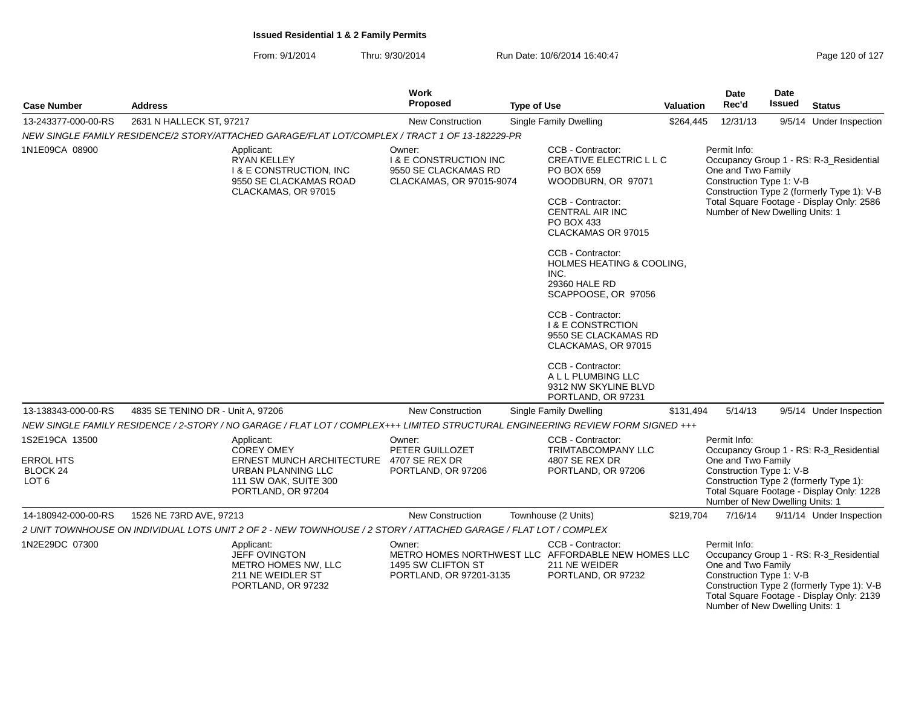From: 9/1/2014Thru: 9/30/2014 Run Date: 10/6/2014 16:40:47 Rege 120 of 127

| <b>Case Number</b>                                                 | <b>Address</b>                    |                                                                                                                                          | Work<br><b>Proposed</b>                                                                         | <b>Type of Use</b> |                                                                                                                                                                                                                                                                                                                                                                                                                                                     | Valuation | Date<br>Rec'd                                                                                     | Date<br><b>Issued</b> | <b>Status</b>                                                                                                                      |
|--------------------------------------------------------------------|-----------------------------------|------------------------------------------------------------------------------------------------------------------------------------------|-------------------------------------------------------------------------------------------------|--------------------|-----------------------------------------------------------------------------------------------------------------------------------------------------------------------------------------------------------------------------------------------------------------------------------------------------------------------------------------------------------------------------------------------------------------------------------------------------|-----------|---------------------------------------------------------------------------------------------------|-----------------------|------------------------------------------------------------------------------------------------------------------------------------|
| 13-243377-000-00-RS                                                | 2631 N HALLECK ST, 97217          |                                                                                                                                          | <b>New Construction</b>                                                                         |                    | Single Family Dwelling                                                                                                                                                                                                                                                                                                                                                                                                                              | \$264,445 | 12/31/13                                                                                          |                       | 9/5/14 Under Inspection                                                                                                            |
|                                                                    |                                   | NEW SINGLE FAMILY RESIDENCE/2 STORY/ATTACHED GARAGE/FLAT LOT/COMPLEX / TRACT 1 OF 13-182229-PR                                           |                                                                                                 |                    |                                                                                                                                                                                                                                                                                                                                                                                                                                                     |           |                                                                                                   |                       |                                                                                                                                    |
| 1N1E09CA 08900                                                     |                                   | Applicant:<br><b>RYAN KELLEY</b><br><b>I &amp; E CONSTRUCTION, INC</b><br>9550 SE CLACKAMAS ROAD<br>CLACKAMAS, OR 97015                  | Owner:<br><b>I &amp; E CONSTRUCTION INC</b><br>9550 SE CLACKAMAS RD<br>CLACKAMAS, OR 97015-9074 |                    | CCB - Contractor:<br><b>CREATIVE ELECTRIC L L C</b><br>PO BOX 659<br>WOODBURN, OR 97071<br>CCB - Contractor:<br><b>CENTRAL AIR INC</b><br>PO BOX 433<br>CLACKAMAS OR 97015<br>CCB - Contractor:<br>HOLMES HEATING & COOLING,<br>INC.<br>29360 HALE RD<br>SCAPPOOSE, OR 97056<br>CCB - Contractor:<br><b>I &amp; E CONSTRCTION</b><br>9550 SE CLACKAMAS RD<br>CLACKAMAS, OR 97015<br>CCB - Contractor:<br>A L L PLUMBING LLC<br>9312 NW SKYLINE BLVD |           | Permit Info:<br>One and Two Family<br>Construction Type 1: V-B<br>Number of New Dwelling Units: 1 |                       | Occupancy Group 1 - RS: R-3_Residential<br>Construction Type 2 (formerly Type 1): V-B<br>Total Square Footage - Display Only: 2586 |
| 13-138343-000-00-RS                                                | 4835 SE TENINO DR - Unit A, 97206 |                                                                                                                                          | <b>New Construction</b>                                                                         |                    | PORTLAND, OR 97231<br><b>Single Family Dwelling</b>                                                                                                                                                                                                                                                                                                                                                                                                 | \$131.494 | 5/14/13                                                                                           |                       | 9/5/14 Under Inspection                                                                                                            |
|                                                                    |                                   | NEW SINGLE FAMILY RESIDENCE / 2-STORY / NO GARAGE / FLAT LOT / COMPLEX+++ LIMITED STRUCTURAL ENGINEERING REVIEW FORM SIGNED +++          |                                                                                                 |                    |                                                                                                                                                                                                                                                                                                                                                                                                                                                     |           |                                                                                                   |                       |                                                                                                                                    |
| 1S2E19CA 13500<br><b>ERROL HTS</b><br>BLOCK 24<br>LOT <sub>6</sub> |                                   | Applicant:<br><b>COREY OMEY</b><br><b>ERNEST MUNCH ARCHITECTURE</b><br>URBAN PLANNING LLC<br>111 SW OAK, SUITE 300<br>PORTLAND, OR 97204 | Owner:<br>PETER GUILLOZET<br>4707 SE REX DR<br>PORTLAND, OR 97206                               |                    | CCB - Contractor:<br><b>TRIMTABCOMPANY LLC</b><br>4807 SE REX DR<br>PORTLAND, OR 97206                                                                                                                                                                                                                                                                                                                                                              |           | Permit Info:<br>One and Two Family<br>Construction Type 1: V-B<br>Number of New Dwelling Units: 1 |                       | Occupancy Group 1 - RS: R-3_Residential<br>Construction Type 2 (formerly Type 1):<br>Total Square Footage - Display Only: 1228     |
| 14-180942-000-00-RS                                                | 1526 NE 73RD AVE, 97213           |                                                                                                                                          | New Construction                                                                                |                    | Townhouse (2 Units)                                                                                                                                                                                                                                                                                                                                                                                                                                 | \$219,704 | 7/16/14                                                                                           |                       | 9/11/14 Under Inspection                                                                                                           |
|                                                                    |                                   | 2 UNIT TOWNHOUSE ON INDIVIDUAL LOTS UNIT 2 OF 2 - NEW TOWNHOUSE / 2 STORY / ATTACHED GARAGE / FLAT LOT / COMPLEX                         |                                                                                                 |                    |                                                                                                                                                                                                                                                                                                                                                                                                                                                     |           |                                                                                                   |                       |                                                                                                                                    |
| 1N2E29DC 07300                                                     |                                   | Applicant:<br>JEFF OVINGTON<br>METRO HOMES NW, LLC<br>211 NE WEIDLER ST<br>PORTLAND, OR 97232                                            | Owner:<br>1495 SW CLIFTON ST<br>PORTLAND, OR 97201-3135                                         |                    | CCB - Contractor:<br>METRO HOMES NORTHWEST LLC AFFORDABLE NEW HOMES LLC<br>211 NE WEIDER<br>PORTLAND, OR 97232                                                                                                                                                                                                                                                                                                                                      |           | Permit Info:<br>One and Two Family<br>Construction Type 1: V-B<br>Number of New Dwelling Units: 1 |                       | Occupancy Group 1 - RS: R-3_Residential<br>Construction Type 2 (formerly Type 1): V-B<br>Total Square Footage - Display Only: 2139 |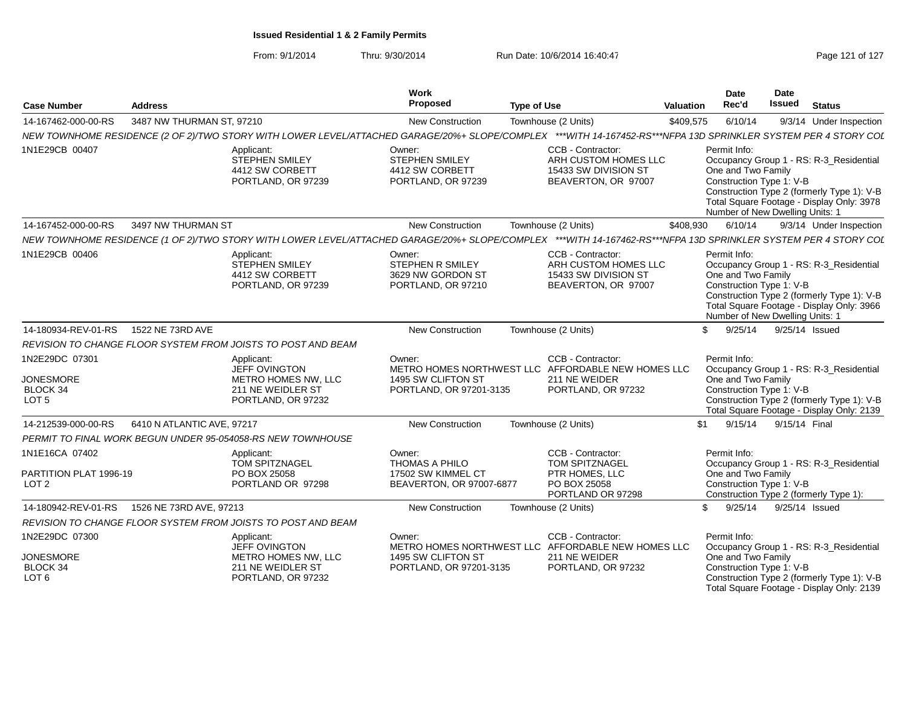From: 9/1/2014Thru: 9/30/2014 Run Date: 10/6/2014 16:40:47 Rege 121 of 127

| <b>Case Number</b>                                                        | <b>Address</b>             |                                                                                               | Work<br>Proposed                                                                  | <b>Type of Use</b>                                                                                                                                             | Valuation | Date<br>Rec'd                                                                                     | Date<br><b>Issued</b> | <b>Status</b>                                                                                                                      |
|---------------------------------------------------------------------------|----------------------------|-----------------------------------------------------------------------------------------------|-----------------------------------------------------------------------------------|----------------------------------------------------------------------------------------------------------------------------------------------------------------|-----------|---------------------------------------------------------------------------------------------------|-----------------------|------------------------------------------------------------------------------------------------------------------------------------|
| 14-167462-000-00-RS                                                       | 3487 NW THURMAN ST, 97210  |                                                                                               | <b>New Construction</b>                                                           | Townhouse (2 Units)                                                                                                                                            | \$409,575 | 6/10/14                                                                                           |                       | 9/3/14 Under Inspection                                                                                                            |
|                                                                           |                            |                                                                                               |                                                                                   | NEW TOWNHOME RESIDENCE (2 OF 2)/TWO STORY WITH LOWER LEVEL/ATTACHED GARAGE/20%+ SLOPE/COMPLEX ***WITH 14-167452-RS***NFPA 13D SPRINKLER SYSTEM PER 4 STORY COL |           |                                                                                                   |                       |                                                                                                                                    |
| 1N1E29CB 00407                                                            |                            | Applicant:<br><b>STEPHEN SMILEY</b><br>4412 SW CORBETT<br>PORTLAND, OR 97239                  | Owner:<br>STEPHEN SMILEY<br>4412 SW CORBETT<br>PORTLAND, OR 97239                 | CCB - Contractor:<br>ARH CUSTOM HOMES LLC<br>15433 SW DIVISION ST<br>BEAVERTON, OR 97007                                                                       |           | Permit Info:<br>One and Two Family<br>Construction Type 1: V-B<br>Number of New Dwelling Units: 1 |                       | Occupancy Group 1 - RS: R-3_Residential<br>Construction Type 2 (formerly Type 1): V-B<br>Total Square Footage - Display Only: 3978 |
| 14-167452-000-00-RS                                                       | 3497 NW THURMAN ST         |                                                                                               | <b>New Construction</b>                                                           | Townhouse (2 Units)                                                                                                                                            | \$408,930 | 6/10/14                                                                                           |                       | 9/3/14 Under Inspection                                                                                                            |
|                                                                           |                            |                                                                                               |                                                                                   | NEW TOWNHOME RESIDENCE (1 OF 2)/TWO STORY WITH LOWER LEVEL/ATTACHED GARAGE/20%+ SLOPE/COMPLEX ***WITH 14-167462-RS***NFPA 13D SPRINKLER SYSTEM PER 4 STORY COL |           |                                                                                                   |                       |                                                                                                                                    |
| 1N1E29CB 00406                                                            |                            | Applicant:<br>STEPHEN SMILEY<br>4412 SW CORBETT<br>PORTLAND, OR 97239                         | Owner:<br>STEPHEN R SMILEY<br>3629 NW GORDON ST<br>PORTLAND, OR 97210             | CCB - Contractor:<br>ARH CUSTOM HOMES LLC<br>15433 SW DIVISION ST<br>BEAVERTON, OR 97007                                                                       |           | Permit Info:<br>One and Two Family<br>Construction Type 1: V-B<br>Number of New Dwelling Units: 1 |                       | Occupancy Group 1 - RS: R-3_Residential<br>Construction Type 2 (formerly Type 1): V-B<br>Total Square Footage - Display Only: 3966 |
| 14-180934-REV-01-RS                                                       | 1522 NE 73RD AVE           |                                                                                               | <b>New Construction</b>                                                           | Townhouse (2 Units)                                                                                                                                            | \$        | 9/25/14                                                                                           |                       | 9/25/14 Issued                                                                                                                     |
|                                                                           |                            | REVISION TO CHANGE FLOOR SYSTEM FROM JOISTS TO POST AND BEAM                                  |                                                                                   |                                                                                                                                                                |           |                                                                                                   |                       |                                                                                                                                    |
| 1N2E29DC 07301<br><b>JONESMORE</b><br>BLOCK 34<br>LOT <sub>5</sub>        |                            | Applicant:<br>JEFF OVINGTON<br>METRO HOMES NW, LLC<br>211 NE WEIDLER ST<br>PORTLAND, OR 97232 | Owner:<br>1495 SW CLIFTON ST<br>PORTLAND, OR 97201-3135                           | CCB - Contractor:<br>METRO HOMES NORTHWEST LLC AFFORDABLE NEW HOMES LLC<br>211 NE WEIDER<br>PORTLAND, OR 97232                                                 |           | Permit Info:<br>One and Two Family<br>Construction Type 1: V-B                                    |                       | Occupancy Group 1 - RS: R-3_Residential<br>Construction Type 2 (formerly Type 1): V-B<br>Total Square Footage - Display Only: 2139 |
| 14-212539-000-00-RS                                                       | 6410 N ATLANTIC AVE, 97217 |                                                                                               | <b>New Construction</b>                                                           | Townhouse (2 Units)                                                                                                                                            | \$1       | 9/15/14                                                                                           | 9/15/14 Final         |                                                                                                                                    |
|                                                                           |                            | PERMIT TO FINAL WORK BEGUN UNDER 95-054058-RS NEW TOWNHOUSE                                   |                                                                                   |                                                                                                                                                                |           |                                                                                                   |                       |                                                                                                                                    |
| 1N1E16CA 07402<br>PARTITION PLAT 1996-19<br>LOT <sub>2</sub>              |                            | Applicant:<br><b>TOM SPITZNAGEL</b><br>PO BOX 25058<br>PORTLAND OR 97298                      | Owner:<br><b>THOMAS A PHILO</b><br>17502 SW KIMMEL CT<br>BEAVERTON, OR 97007-6877 | CCB - Contractor:<br><b>TOM SPITZNAGEL</b><br>PTR HOMES, LLC<br>PO BOX 25058<br>PORTLAND OR 97298                                                              |           | Permit Info:<br>One and Two Family<br>Construction Type 1: V-B                                    |                       | Occupancy Group 1 - RS: R-3 Residential<br>Construction Type 2 (formerly Type 1):                                                  |
| 14-180942-REV-01-RS                                                       | 1526 NE 73RD AVE, 97213    |                                                                                               | New Construction                                                                  | Townhouse (2 Units)                                                                                                                                            | \$        | 9/25/14                                                                                           |                       | 9/25/14 Issued                                                                                                                     |
|                                                                           |                            | REVISION TO CHANGE FLOOR SYSTEM FROM JOISTS TO POST AND BEAM                                  |                                                                                   |                                                                                                                                                                |           |                                                                                                   |                       |                                                                                                                                    |
| 1N2E29DC 07300<br><b>JONESMORE</b><br><b>BLOCK 34</b><br>LOT <sub>6</sub> |                            | Applicant:<br>JEFF OVINGTON<br>METRO HOMES NW, LLC<br>211 NE WEIDLER ST<br>PORTLAND, OR 97232 | Owner:<br>1495 SW CLIFTON ST<br>PORTLAND, OR 97201-3135                           | CCB - Contractor:<br>METRO HOMES NORTHWEST LLC AFFORDABLE NEW HOMES LLC<br>211 NE WEIDER<br>PORTLAND, OR 97232                                                 |           | Permit Info:<br>One and Two Family<br>Construction Type 1: V-B                                    |                       | Occupancy Group 1 - RS: R-3_Residential<br>Construction Type 2 (formerly Type 1): V-B<br>Total Square Footage - Display Only: 2139 |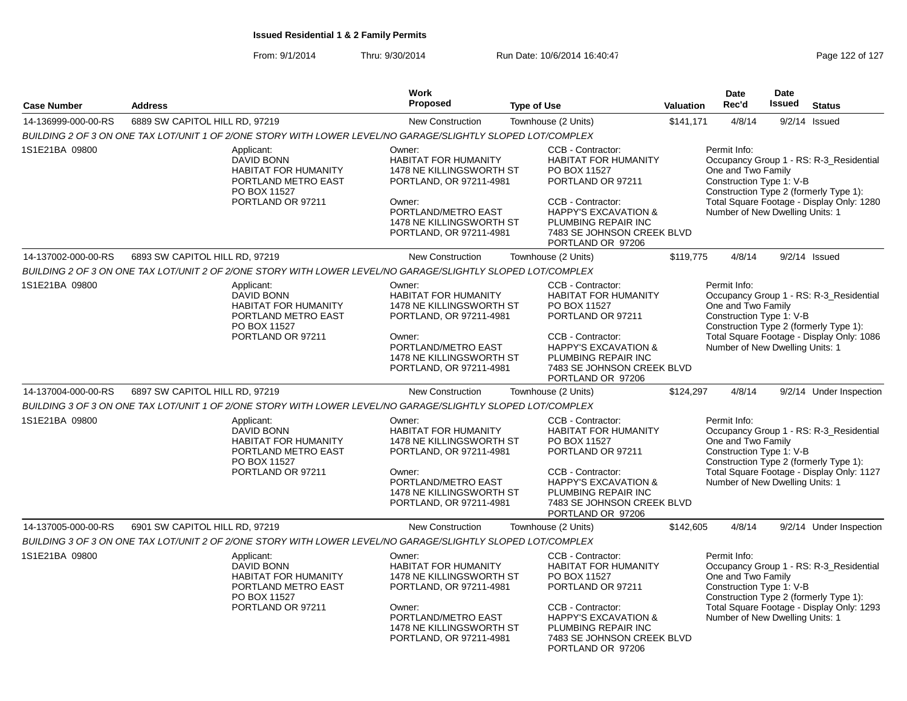From: 9/1/2014Thru: 9/30/2014 Run Date: 10/6/2014 16:40:47 Rege 122 of 127

|                     |                                                                                                                            | <b>Work</b>                                                                                                                                                                           |                                                                                                                                                                                                                         |           | <b>Date</b>                                                                                                                                         | Date                                      |                                                                                      |
|---------------------|----------------------------------------------------------------------------------------------------------------------------|---------------------------------------------------------------------------------------------------------------------------------------------------------------------------------------|-------------------------------------------------------------------------------------------------------------------------------------------------------------------------------------------------------------------------|-----------|-----------------------------------------------------------------------------------------------------------------------------------------------------|-------------------------------------------|--------------------------------------------------------------------------------------|
| <b>Case Number</b>  | <b>Address</b>                                                                                                             | Proposed                                                                                                                                                                              | <b>Type of Use</b>                                                                                                                                                                                                      | Valuation | Rec'd                                                                                                                                               | <b>Issued</b>                             | <b>Status</b>                                                                        |
| 14-136999-000-00-RS | 6889 SW CAPITOL HILL RD, 97219                                                                                             | New Construction                                                                                                                                                                      | Townhouse (2 Units)                                                                                                                                                                                                     | \$141,171 | 4/8/14                                                                                                                                              |                                           | $9/2/14$ Issued                                                                      |
|                     | BUILDING 2 OF 3 ON ONE TAX LOT/UNIT 1 OF 2/ONE STORY WITH LOWER LEVEL/NO GARAGE/SLIGHTLY SLOPED LOT/COMPLEX                |                                                                                                                                                                                       |                                                                                                                                                                                                                         |           |                                                                                                                                                     |                                           |                                                                                      |
| 1S1E21BA 09800      | Applicant:<br><b>DAVID BONN</b><br>HABITAT FOR HUMANITY<br>PORTLAND METRO EAST<br>PO BOX 11527<br>PORTLAND OR 97211        | Owner:<br><b>HABITAT FOR HUMANITY</b><br>1478 NE KILLINGSWORTH ST<br>PORTLAND, OR 97211-4981<br>Owner:<br>PORTLAND/METRO EAST<br>1478 NE KILLINGSWORTH ST<br>PORTLAND, OR 97211-4981  | CCB - Contractor:<br><b>HABITAT FOR HUMANITY</b><br>PO BOX 11527<br>PORTLAND OR 97211<br>CCB - Contractor:<br><b>HAPPY'S EXCAVATION &amp;</b><br>PLUMBING REPAIR INC<br>7483 SE JOHNSON CREEK BLVD<br>PORTLAND OR 97206 |           | Permit Info:<br>One and Two Family<br>Construction Type 1: V-B<br>Construction Type 2 (formerly Type 1):<br>Number of New Dwelling Units: 1         |                                           | Occupancy Group 1 - RS: R-3_Residential<br>Total Square Footage - Display Only: 1280 |
| 14-137002-000-00-RS | 6893 SW CAPITOL HILL RD, 97219                                                                                             | <b>New Construction</b>                                                                                                                                                               | Townhouse (2 Units)                                                                                                                                                                                                     | \$119,775 | 4/8/14                                                                                                                                              |                                           | $9/2/14$ Issued                                                                      |
|                     | BUILDING 2 OF 3 ON ONE TAX LOT/UNIT 2 OF 2/ONE STORY WITH LOWER LEVEL/NO GARAGE/SLIGHTLY SLOPED LOT/COMPLEX                |                                                                                                                                                                                       |                                                                                                                                                                                                                         |           |                                                                                                                                                     |                                           |                                                                                      |
| 1S1E21BA 09800      | Applicant:<br><b>DAVID BONN</b><br><b>HABITAT FOR HUMANITY</b><br>PORTLAND METRO EAST<br>PO BOX 11527                      | CCB - Contractor:<br>Owner:<br><b>HABITAT FOR HUMANITY</b><br><b>HABITAT FOR HUMANITY</b><br>1478 NE KILLINGSWORTH ST<br>PO BOX 11527<br>PORTLAND OR 97211<br>PORTLAND, OR 97211-4981 |                                                                                                                                                                                                                         |           | Permit Info:<br>Occupancy Group 1 - RS: R-3 Residential<br>One and Two Family<br>Construction Type 1: V-B<br>Construction Type 2 (formerly Type 1): |                                           |                                                                                      |
|                     | PORTLAND OR 97211                                                                                                          | Owner:<br>PORTLAND/METRO EAST<br>1478 NE KILLINGSWORTH ST<br>PORTLAND, OR 97211-4981                                                                                                  | CCB - Contractor:<br><b>HAPPY'S EXCAVATION &amp;</b><br>PLUMBING REPAIR INC<br>7483 SE JOHNSON CREEK BLVD<br>PORTLAND OR 97206                                                                                          |           | Number of New Dwelling Units: 1                                                                                                                     | Total Square Footage - Display Only: 1086 |                                                                                      |
| 14-137004-000-00-RS | 6897 SW CAPITOL HILL RD, 97219                                                                                             | <b>New Construction</b>                                                                                                                                                               | Townhouse (2 Units)                                                                                                                                                                                                     | \$124,297 | 4/8/14                                                                                                                                              |                                           | 9/2/14 Under Inspection                                                              |
|                     | BUILDING 3 OF 3 ON ONE TAX LOT/UNIT 1 OF 2/ONE STORY WITH LOWER LEVEL/NO GARAGE/SLIGHTLY SLOPED LOT/COMPLEX                |                                                                                                                                                                                       |                                                                                                                                                                                                                         |           |                                                                                                                                                     |                                           |                                                                                      |
| 1S1E21BA 09800      | Applicant:<br><b>DAVID BONN</b><br><b>HABITAT FOR HUMANITY</b><br>PORTLAND METRO EAST<br>PO BOX 11527<br>PORTLAND OR 97211 | Owner:<br><b>HABITAT FOR HUMANITY</b><br>1478 NE KILLINGSWORTH ST<br>PORTLAND, OR 97211-4981<br>Owner:<br>PORTLAND/METRO EAST<br>1478 NE KILLINGSWORTH ST<br>PORTLAND, OR 97211-4981  | CCB - Contractor:<br><b>HABITAT FOR HUMANITY</b><br>PO BOX 11527<br>PORTLAND OR 97211<br>CCB - Contractor:<br><b>HAPPY'S EXCAVATION &amp;</b><br>PLUMBING REPAIR INC<br>7483 SE JOHNSON CREEK BLVD                      |           | Permit Info:<br>One and Two Family<br>Construction Type 1: V-B<br>Construction Type 2 (formerly Type 1):<br>Number of New Dwelling Units: 1         |                                           | Occupancy Group 1 - RS: R-3 Residential<br>Total Square Footage - Display Only: 1127 |
|                     |                                                                                                                            |                                                                                                                                                                                       | PORTLAND OR 97206                                                                                                                                                                                                       |           |                                                                                                                                                     |                                           |                                                                                      |
| 14-137005-000-00-RS | 6901 SW CAPITOL HILL RD, 97219                                                                                             | New Construction                                                                                                                                                                      | Townhouse (2 Units)                                                                                                                                                                                                     | \$142,605 | 4/8/14                                                                                                                                              |                                           | 9/2/14 Under Inspection                                                              |
|                     | BUILDING 3 OF 3 ON ONE TAX LOT/UNIT 2 OF 2/ONE STORY WITH LOWER LEVEL/NO GARAGE/SLIGHTLY SLOPED LOT/COMPLEX                |                                                                                                                                                                                       |                                                                                                                                                                                                                         |           |                                                                                                                                                     |                                           |                                                                                      |
| 1S1E21BA 09800      | Applicant:<br>DAVID BONN<br><b>HABITAT FOR HUMANITY</b><br>PORTLAND METRO EAST<br>PO BOX 11527                             | Owner:<br><b>HABITAT FOR HUMANITY</b><br>1478 NE KILLINGSWORTH ST<br>PORTLAND, OR 97211-4981                                                                                          | CCB - Contractor:<br><b>HABITAT FOR HUMANITY</b><br>PO BOX 11527<br>PORTLAND OR 97211                                                                                                                                   |           | Permit Info:<br>Occupancy Group 1 - RS: R-3 Residential<br>One and Two Family<br>Construction Type 1: V-B<br>Construction Type 2 (formerly Type 1): |                                           |                                                                                      |
|                     | PORTLAND OR 97211                                                                                                          | Owner:<br>PORTLAND/METRO EAST<br>1478 NE KILLINGSWORTH ST<br>PORTLAND, OR 97211-4981                                                                                                  | CCB - Contractor:<br><b>HAPPY'S EXCAVATION &amp;</b><br>PLUMBING REPAIR INC<br>7483 SE JOHNSON CREEK BLVD<br>PORTLAND OR 97206                                                                                          |           | Number of New Dwelling Units: 1                                                                                                                     | Total Square Footage - Display Only: 1293 |                                                                                      |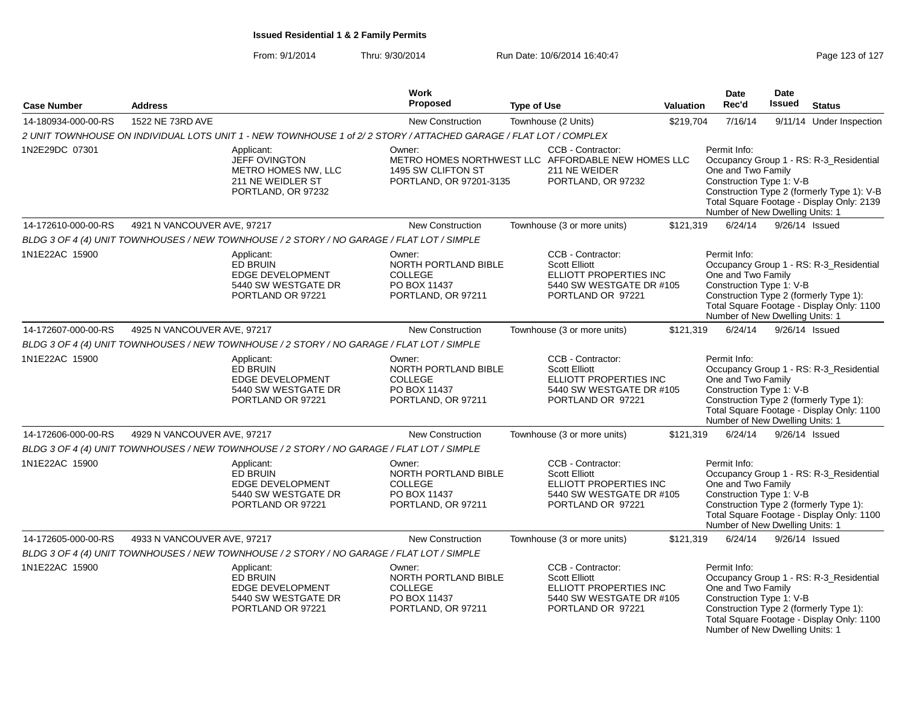| <b>Case Number</b>  | <b>Address</b>              |                                                                                                                  | Work<br><b>Proposed</b>                                                                                       | <b>Type of Use</b> |                                                                                                                      | <b>Valuation</b> | <b>Date</b><br>Rec'd                                                                                                                        | <b>Date</b><br><b>Issued</b> | <b>Status</b>                                                                                                                      |
|---------------------|-----------------------------|------------------------------------------------------------------------------------------------------------------|---------------------------------------------------------------------------------------------------------------|--------------------|----------------------------------------------------------------------------------------------------------------------|------------------|---------------------------------------------------------------------------------------------------------------------------------------------|------------------------------|------------------------------------------------------------------------------------------------------------------------------------|
| 14-180934-000-00-RS | 1522 NE 73RD AVE            |                                                                                                                  | <b>New Construction</b>                                                                                       |                    | Townhouse (2 Units)                                                                                                  | \$219,704        | 7/16/14                                                                                                                                     | 9/11/14                      | Under Inspection                                                                                                                   |
|                     |                             | 2 UNIT TOWNHOUSE ON INDIVIDUAL LOTS UNIT 1 - NEW TOWNHOUSE 1 of 2/2 STORY / ATTACHED GARAGE / FLAT LOT / COMPLEX |                                                                                                               |                    |                                                                                                                      |                  |                                                                                                                                             |                              |                                                                                                                                    |
| 1N2E29DC 07301      |                             | Applicant:<br>JEFF OVINGTON<br>METRO HOMES NW. LLC<br>211 NE WEIDLER ST<br>PORTLAND, OR 97232                    | Owner:<br>METRO HOMES NORTHWEST LLC AFFORDABLE NEW HOMES LLC<br>1495 SW CLIFTON ST<br>PORTLAND, OR 97201-3135 |                    | CCB - Contractor:<br>211 NE WEIDER<br>PORTLAND, OR 97232                                                             |                  | Permit Info:<br>One and Two Family<br>Construction Type 1: V-B<br>Number of New Dwelling Units: 1                                           |                              | Occupancy Group 1 - RS: R-3_Residential<br>Construction Type 2 (formerly Type 1): V-B<br>Total Square Footage - Display Only: 2139 |
| 14-172610-000-00-RS | 4921 N VANCOUVER AVE, 97217 |                                                                                                                  | <b>New Construction</b>                                                                                       |                    | Townhouse (3 or more units)                                                                                          | \$121,319        | 6/24/14                                                                                                                                     |                              | 9/26/14 Issued                                                                                                                     |
|                     |                             | BLDG 3 OF 4 (4) UNIT TOWNHOUSES / NEW TOWNHOUSE / 2 STORY / NO GARAGE / FLAT LOT / SIMPLE                        |                                                                                                               |                    |                                                                                                                      |                  |                                                                                                                                             |                              |                                                                                                                                    |
| 1N1E22AC 15900      |                             | Applicant:<br>ED BRUIN<br>EDGE DEVELOPMENT<br>5440 SW WESTGATE DR<br>PORTLAND OR 97221                           | Owner:<br>NORTH PORTLAND BIBLE<br>COLLEGE<br>PO BOX 11437<br>PORTLAND, OR 97211                               |                    | CCB - Contractor:<br><b>Scott Elliott</b><br>ELLIOTT PROPERTIES INC<br>5440 SW WESTGATE DR #105<br>PORTLAND OR 97221 |                  | Permit Info:<br>One and Two Family<br>Construction Type 1: V-B<br>Construction Type 2 (formerly Type 1):<br>Number of New Dwelling Units: 1 |                              | Occupancy Group 1 - RS: R-3_Residential<br>Total Square Footage - Display Only: 1100                                               |
| 14-172607-000-00-RS | 4925 N VANCOUVER AVE, 97217 |                                                                                                                  | New Construction                                                                                              |                    | Townhouse (3 or more units)                                                                                          | \$121,319        | 6/24/14                                                                                                                                     |                              | 9/26/14 Issued                                                                                                                     |
|                     |                             | BLDG 3 OF 4 (4) UNIT TOWNHOUSES / NEW TOWNHOUSE / 2 STORY / NO GARAGE / FLAT LOT / SIMPLE                        |                                                                                                               |                    |                                                                                                                      |                  |                                                                                                                                             |                              |                                                                                                                                    |
| 1N1E22AC 15900      |                             | Applicant:<br>ED BRUIN<br>EDGE DEVELOPMENT<br>5440 SW WESTGATE DR<br>PORTLAND OR 97221                           | Owner:<br>NORTH PORTLAND BIBLE<br><b>COLLEGE</b><br>PO BOX 11437<br>PORTLAND, OR 97211                        |                    | CCB - Contractor:<br><b>Scott Elliott</b><br>ELLIOTT PROPERTIES INC<br>5440 SW WESTGATE DR #105<br>PORTLAND OR 97221 |                  | Permit Info:<br>One and Two Family<br>Construction Type 1: V-B<br>Number of New Dwelling Units: 1                                           |                              | Occupancy Group 1 - RS: R-3_Residential<br>Construction Type 2 (formerly Type 1):<br>Total Square Footage - Display Only: 1100     |
| 14-172606-000-00-RS | 4929 N VANCOUVER AVE, 97217 |                                                                                                                  | <b>New Construction</b>                                                                                       |                    | Townhouse (3 or more units)                                                                                          | \$121,319        | 6/24/14                                                                                                                                     |                              | 9/26/14 Issued                                                                                                                     |
|                     |                             | BLDG 3 OF 4 (4) UNIT TOWNHOUSES / NEW TOWNHOUSE / 2 STORY / NO GARAGE / FLAT LOT / SIMPLE                        |                                                                                                               |                    |                                                                                                                      |                  |                                                                                                                                             |                              |                                                                                                                                    |
| 1N1E22AC 15900      |                             | Applicant:<br>ED BRUIN<br>EDGE DEVELOPMENT<br>5440 SW WESTGATE DR<br>PORTLAND OR 97221                           | Owner:<br>NORTH PORTLAND BIBLE<br><b>COLLEGE</b><br>PO BOX 11437<br>PORTLAND, OR 97211                        |                    | CCB - Contractor:<br><b>Scott Elliott</b><br>ELLIOTT PROPERTIES INC<br>5440 SW WESTGATE DR #105<br>PORTLAND OR 97221 |                  | Permit Info:<br>One and Two Family<br>Construction Type 1: V-B<br>Number of New Dwelling Units: 1                                           |                              | Occupancy Group 1 - RS: R-3_Residential<br>Construction Type 2 (formerly Type 1):<br>Total Square Footage - Display Only: 1100     |
| 14-172605-000-00-RS | 4933 N VANCOUVER AVE, 97217 |                                                                                                                  | <b>New Construction</b>                                                                                       |                    | Townhouse (3 or more units)                                                                                          | \$121,319        | 6/24/14                                                                                                                                     |                              | 9/26/14 Issued                                                                                                                     |
|                     |                             | BLDG 3 OF 4 (4) UNIT TOWNHOUSES / NEW TOWNHOUSE / 2 STORY / NO GARAGE / FLAT LOT / SIMPLE                        |                                                                                                               |                    |                                                                                                                      |                  |                                                                                                                                             |                              |                                                                                                                                    |
| 1N1E22AC 15900      |                             | Applicant:<br>ED BRUIN<br>EDGE DEVELOPMENT<br>5440 SW WESTGATE DR<br>PORTLAND OR 97221                           | Owner:<br>NORTH PORTLAND BIBLE<br><b>COLLEGE</b><br>PO BOX 11437<br>PORTLAND, OR 97211                        |                    | CCB - Contractor:<br><b>Scott Elliott</b><br>ELLIOTT PROPERTIES INC<br>5440 SW WESTGATE DR #105<br>PORTLAND OR 97221 |                  | Permit Info:<br>One and Two Family<br>Construction Type 1: V-B<br>Number of New Dwelling Units: 1                                           |                              | Occupancy Group 1 - RS: R-3_Residential<br>Construction Type 2 (formerly Type 1):<br>Total Square Footage - Display Only: 1100     |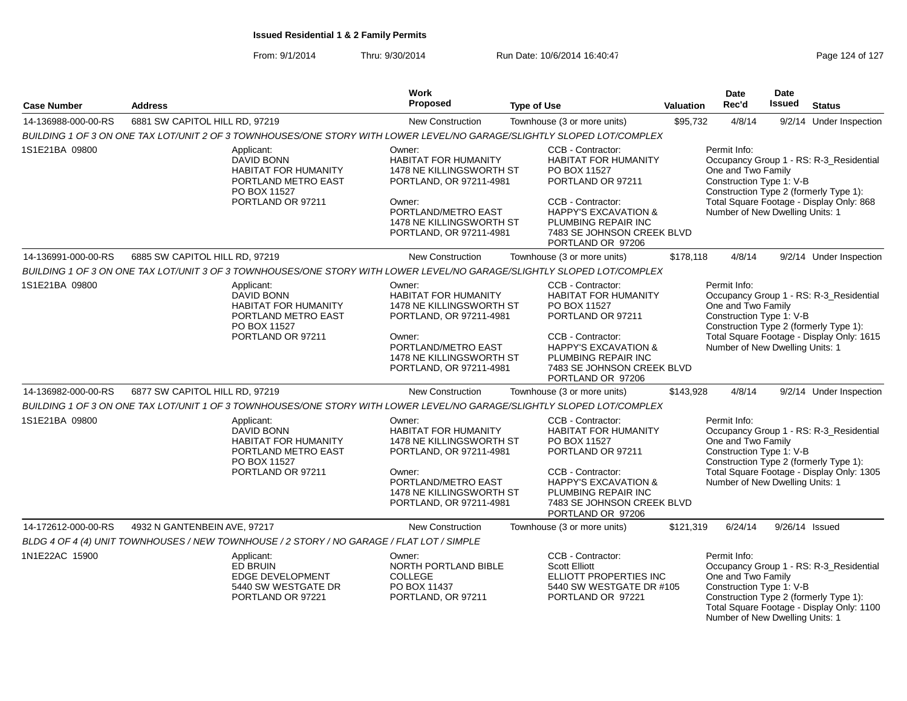From: 9/1/2014Thru: 9/30/2014 Run Date: 10/6/2014 16:40:47 Rege 124 of 127

| <b>Case Number</b>  | <b>Address</b>                                                                                                             | Work<br><b>Proposed</b>                                                                                                                                                              | <b>Type of Use</b>                                                                                                                                                                                                      | Valuation | <b>Date</b><br>Rec'd                                                                              | <b>Date</b><br>Issued                          | <b>Status</b>                                                                                                                  |  |
|---------------------|----------------------------------------------------------------------------------------------------------------------------|--------------------------------------------------------------------------------------------------------------------------------------------------------------------------------------|-------------------------------------------------------------------------------------------------------------------------------------------------------------------------------------------------------------------------|-----------|---------------------------------------------------------------------------------------------------|------------------------------------------------|--------------------------------------------------------------------------------------------------------------------------------|--|
| 14-136988-000-00-RS | 6881 SW CAPITOL HILL RD, 97219                                                                                             | New Construction                                                                                                                                                                     | Townhouse (3 or more units)                                                                                                                                                                                             | \$95,732  | 4/8/14                                                                                            |                                                | 9/2/14 Under Inspection                                                                                                        |  |
|                     | BUILDING 1 OF 3 ON ONE TAX LOT/UNIT 2 OF 3 TOWNHOUSES/ONE STORY WITH LOWER LEVEL/NO GARAGE/SLIGHTLY SLOPED LOT/COMPLEX     |                                                                                                                                                                                      |                                                                                                                                                                                                                         |           |                                                                                                   |                                                |                                                                                                                                |  |
| 1S1E21BA 09800      | Applicant:<br><b>DAVID BONN</b><br><b>HABITAT FOR HUMANITY</b><br>PORTLAND METRO EAST<br>PO BOX 11527<br>PORTLAND OR 97211 | Owner:<br><b>HABITAT FOR HUMANITY</b><br>1478 NE KILLINGSWORTH ST<br>PORTLAND, OR 97211-4981<br>Owner:<br>PORTLAND/METRO EAST<br>1478 NE KILLINGSWORTH ST<br>PORTLAND, OR 97211-4981 | CCB - Contractor:<br><b>HABITAT FOR HUMANITY</b><br>PO BOX 11527<br>PORTLAND OR 97211<br>CCB - Contractor:<br><b>HAPPY'S EXCAVATION &amp;</b><br>PLUMBING REPAIR INC<br>7483 SE JOHNSON CREEK BLVD<br>PORTLAND OR 97206 |           | Permit Info:<br>One and Two Family<br>Construction Type 1: V-B<br>Number of New Dwelling Units: 1 |                                                | Occupancy Group 1 - RS: R-3_Residential<br>Construction Type 2 (formerly Type 1):<br>Total Square Footage - Display Only: 868  |  |
| 14-136991-000-00-RS | 6885 SW CAPITOL HILL RD, 97219                                                                                             | New Construction                                                                                                                                                                     | Townhouse (3 or more units)                                                                                                                                                                                             | \$178,118 | 4/8/14                                                                                            |                                                | 9/2/14 Under Inspection                                                                                                        |  |
|                     | BUILDING 1 OF 3 ON ONE TAX LOT/UNIT 3 OF 3 TOWNHOUSES/ONE STORY WITH LOWER LEVEL/NO GARAGE/SLIGHTLY SLOPED LOT/COMPLEX     |                                                                                                                                                                                      |                                                                                                                                                                                                                         |           |                                                                                                   |                                                |                                                                                                                                |  |
| 1S1E21BA 09800      | Applicant:<br>DAVID BONN<br><b>HABITAT FOR HUMANITY</b><br>PORTLAND METRO EAST<br>PO BOX 11527                             | Owner:<br><b>HABITAT FOR HUMANITY</b>                                                                                                                                                | CCB - Contractor:<br><b>HABITAT FOR HUMANITY</b><br>PO BOX 11527<br>1478 NE KILLINGSWORTH ST<br>PORTLAND OR 97211<br>PORTLAND, OR 97211-4981                                                                            |           |                                                                                                   | One and Two Family<br>Construction Type 1: V-B | Occupancy Group 1 - RS: R-3_Residential<br>Construction Type 2 (formerly Type 1):                                              |  |
| PORTLAND OR 97211   |                                                                                                                            | Owner:<br>PORTLAND/METRO EAST<br>1478 NE KILLINGSWORTH ST<br>PORTLAND, OR 97211-4981                                                                                                 | CCB - Contractor:<br><b>HAPPY'S EXCAVATION &amp;</b><br>PLUMBING REPAIR INC<br>7483 SE JOHNSON CREEK BLVD<br>PORTLAND OR 97206                                                                                          |           | Number of New Dwelling Units: 1                                                                   | Total Square Footage - Display Only: 1615      |                                                                                                                                |  |
| 14-136982-000-00-RS | 6877 SW CAPITOL HILL RD, 97219                                                                                             | <b>New Construction</b>                                                                                                                                                              | Townhouse (3 or more units)                                                                                                                                                                                             | \$143,928 | 4/8/14                                                                                            |                                                | 9/2/14 Under Inspection                                                                                                        |  |
|                     | BUILDING 1 OF 3 ON ONE TAX LOT/UNIT 1 OF 3 TOWNHOUSES/ONE STORY WITH LOWER LEVEL/NO GARAGE/SLIGHTLY SLOPED LOT/COMPLEX     |                                                                                                                                                                                      |                                                                                                                                                                                                                         |           |                                                                                                   |                                                |                                                                                                                                |  |
| 1S1E21BA 09800      | Applicant:<br>DAVID BONN<br>HABITAT FOR HUMANITY<br>PORTLAND METRO EAST<br>PO BOX 11527<br>PORTLAND OR 97211               | Owner:<br><b>HABITAT FOR HUMANITY</b><br>1478 NE KILLINGSWORTH ST<br>PORTLAND, OR 97211-4981<br>Owner:                                                                               | CCB - Contractor:<br><b>HABITAT FOR HUMANITY</b><br>PO BOX 11527<br>PORTLAND OR 97211<br>CCB - Contractor:                                                                                                              |           | Permit Info:<br>One and Two Family<br>Construction Type 1: V-B                                    |                                                | Occupancy Group 1 - RS: R-3_Residential<br>Construction Type 2 (formerly Type 1):                                              |  |
|                     |                                                                                                                            | PORTLAND/METRO EAST<br>1478 NE KILLINGSWORTH ST<br>PORTLAND, OR 97211-4981                                                                                                           | <b>HAPPY'S EXCAVATION &amp;</b><br>PLUMBING REPAIR INC<br>7483 SE JOHNSON CREEK BLVD<br>PORTLAND OR 97206                                                                                                               |           | Total Square Footage - Display Only: 1305<br>Number of New Dwelling Units: 1                      |                                                |                                                                                                                                |  |
| 14-172612-000-00-RS | 4932 N GANTENBEIN AVE, 97217                                                                                               | <b>New Construction</b>                                                                                                                                                              | Townhouse (3 or more units)                                                                                                                                                                                             | \$121,319 | 6/24/14                                                                                           |                                                | 9/26/14 Issued                                                                                                                 |  |
|                     | BLDG 4 OF 4 (4) UNIT TOWNHOUSES / NEW TOWNHOUSE / 2 STORY / NO GARAGE / FLAT LOT / SIMPLE                                  |                                                                                                                                                                                      |                                                                                                                                                                                                                         |           |                                                                                                   |                                                |                                                                                                                                |  |
| 1N1E22AC 15900      | Applicant:<br>ED BRUIN<br>EDGE DEVELOPMENT<br>5440 SW WESTGATE DR<br>PORTLAND OR 97221                                     | Owner:<br><b>NORTH PORTLAND BIBLE</b><br><b>COLLEGE</b><br>PO BOX 11437<br>PORTLAND, OR 97211                                                                                        | CCB - Contractor:<br><b>Scott Elliott</b><br>ELLIOTT PROPERTIES INC<br>5440 SW WESTGATE DR #105<br>PORTLAND OR 97221                                                                                                    |           | Permit Info:<br>One and Two Family<br>Construction Type 1: V-B<br>Number of New Dwelling Units: 1 |                                                | Occupancy Group 1 - RS: R-3_Residential<br>Construction Type 2 (formerly Type 1):<br>Total Square Footage - Display Only: 1100 |  |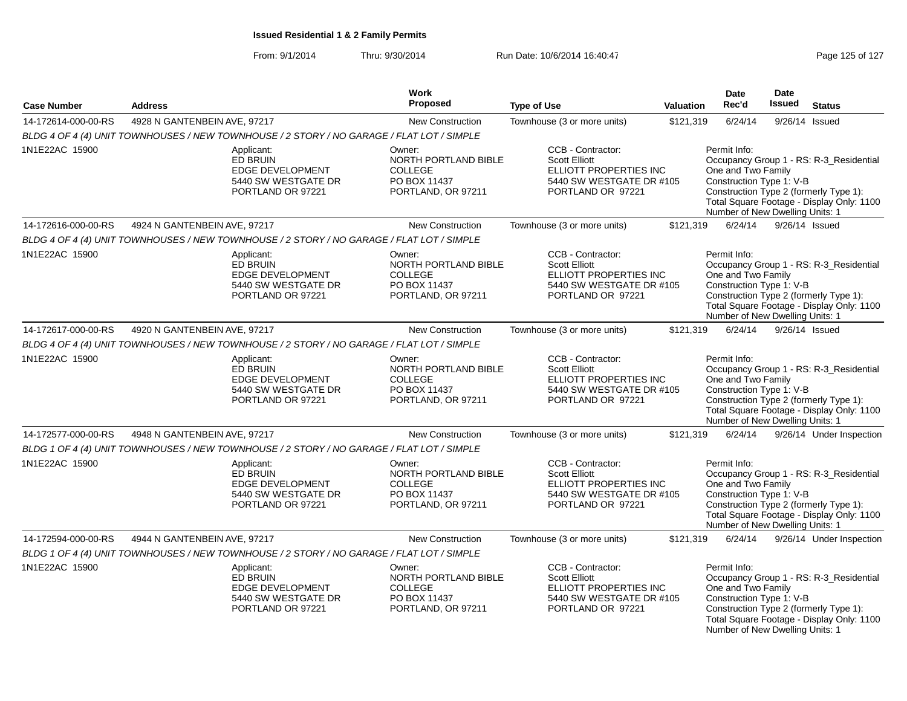| <b>Case Number</b>  | <b>Address</b>                                                                                | Work<br><b>Proposed</b><br><b>Type of Use</b>                                                 |                                                                                                                      |           | <b>Date</b><br>Rec'd<br>Valuation                                                                 |         | <b>Date</b><br>Issued                                                                                                          |  | <b>Status</b> |
|---------------------|-----------------------------------------------------------------------------------------------|-----------------------------------------------------------------------------------------------|----------------------------------------------------------------------------------------------------------------------|-----------|---------------------------------------------------------------------------------------------------|---------|--------------------------------------------------------------------------------------------------------------------------------|--|---------------|
| 14-172614-000-00-RS | 4928 N GANTENBEIN AVE, 97217                                                                  | <b>New Construction</b>                                                                       | Townhouse (3 or more units)                                                                                          | \$121,319 | 6/24/14                                                                                           | 9/26/14 | Issued                                                                                                                         |  |               |
|                     | BLDG 4 OF 4 (4) UNIT TOWNHOUSES / NEW TOWNHOUSE / 2 STORY / NO GARAGE / FLAT LOT / SIMPLE     |                                                                                               |                                                                                                                      |           |                                                                                                   |         |                                                                                                                                |  |               |
| 1N1E22AC 15900      | Applicant:<br>ED BRUIN<br>EDGE DEVELOPMENT<br>5440 SW WESTGATE DR<br>PORTLAND OR 97221        | Owner:<br>NORTH PORTLAND BIBLE<br><b>COLLEGE</b><br>PO BOX 11437<br>PORTLAND, OR 97211        | CCB - Contractor:<br><b>Scott Elliott</b><br>ELLIOTT PROPERTIES INC<br>5440 SW WESTGATE DR #105<br>PORTLAND OR 97221 |           | Permit Info:<br>One and Two Family<br>Construction Type 1: V-B<br>Number of New Dwelling Units: 1 |         | Occupancy Group 1 - RS: R-3_Residential<br>Construction Type 2 (formerly Type 1):<br>Total Square Footage - Display Only: 1100 |  |               |
| 14-172616-000-00-RS | 4924 N GANTENBEIN AVE, 97217                                                                  | New Construction                                                                              | Townhouse (3 or more units)                                                                                          | \$121,319 | 6/24/14                                                                                           |         | $9/26/14$ Issued                                                                                                               |  |               |
|                     | BLDG 4 OF 4 (4) UNIT TOWNHOUSES / NEW TOWNHOUSE / 2 STORY / NO GARAGE / FLAT LOT / SIMPLE     |                                                                                               |                                                                                                                      |           |                                                                                                   |         |                                                                                                                                |  |               |
| 1N1E22AC 15900      | Applicant:<br><b>ED BRUIN</b><br>EDGE DEVELOPMENT<br>5440 SW WESTGATE DR<br>PORTLAND OR 97221 | Owner:<br><b>NORTH PORTLAND BIBLE</b><br><b>COLLEGE</b><br>PO BOX 11437<br>PORTLAND, OR 97211 | CCB - Contractor:<br><b>Scott Elliott</b><br>ELLIOTT PROPERTIES INC<br>5440 SW WESTGATE DR #105<br>PORTLAND OR 97221 |           | Permit Info:<br>One and Two Family<br>Construction Type 1: V-B<br>Number of New Dwelling Units: 1 |         | Occupancy Group 1 - RS: R-3_Residential<br>Construction Type 2 (formerly Type 1):<br>Total Square Footage - Display Only: 1100 |  |               |
| 14-172617-000-00-RS | 4920 N GANTENBEIN AVE, 97217                                                                  | <b>New Construction</b>                                                                       | Townhouse (3 or more units)                                                                                          | \$121,319 | 6/24/14                                                                                           |         | 9/26/14 Issued                                                                                                                 |  |               |
|                     | BLDG 4 OF 4 (4) UNIT TOWNHOUSES / NEW TOWNHOUSE / 2 STORY / NO GARAGE / FLAT LOT / SIMPLE     |                                                                                               |                                                                                                                      |           |                                                                                                   |         |                                                                                                                                |  |               |
| 1N1E22AC 15900      | Applicant:<br>ED BRUIN<br>EDGE DEVELOPMENT<br>5440 SW WESTGATE DR<br>PORTLAND OR 97221        | Owner:<br>NORTH PORTLAND BIBLE<br><b>COLLEGE</b><br>PO BOX 11437<br>PORTLAND, OR 97211        | CCB - Contractor:<br><b>Scott Elliott</b><br>ELLIOTT PROPERTIES INC<br>5440 SW WESTGATE DR #105<br>PORTLAND OR 97221 |           | Permit Info:<br>One and Two Family<br>Construction Type 1: V-B<br>Number of New Dwelling Units: 1 |         | Occupancy Group 1 - RS: R-3_Residential<br>Construction Type 2 (formerly Type 1):<br>Total Square Footage - Display Only: 1100 |  |               |
| 14-172577-000-00-RS | 4948 N GANTENBEIN AVE, 97217                                                                  | <b>New Construction</b>                                                                       | Townhouse (3 or more units)                                                                                          | \$121,319 | 6/24/14                                                                                           |         | 9/26/14 Under Inspection                                                                                                       |  |               |
|                     | BLDG 1 OF 4 (4) UNIT TOWNHOUSES / NEW TOWNHOUSE / 2 STORY / NO GARAGE / FLAT LOT / SIMPLE     |                                                                                               |                                                                                                                      |           |                                                                                                   |         |                                                                                                                                |  |               |
| 1N1E22AC 15900      | Applicant:<br><b>ED BRUIN</b><br>EDGE DEVELOPMENT<br>5440 SW WESTGATE DR<br>PORTLAND OR 97221 | Owner:<br>NORTH PORTLAND BIBLE<br><b>COLLEGE</b><br>PO BOX 11437<br>PORTLAND, OR 97211        | CCB - Contractor:<br><b>Scott Elliott</b><br>ELLIOTT PROPERTIES INC<br>5440 SW WESTGATE DR #105<br>PORTLAND OR 97221 |           | Permit Info:<br>One and Two Family<br>Construction Type 1: V-B<br>Number of New Dwelling Units: 1 |         | Occupancy Group 1 - RS: R-3_Residential<br>Construction Type 2 (formerly Type 1):<br>Total Square Footage - Display Only: 1100 |  |               |
| 14-172594-000-00-RS | 4944 N GANTENBEIN AVE, 97217                                                                  | <b>New Construction</b>                                                                       | Townhouse (3 or more units)                                                                                          | \$121,319 | 6/24/14                                                                                           |         | 9/26/14 Under Inspection                                                                                                       |  |               |
|                     | BLDG 1 OF 4 (4) UNIT TOWNHOUSES / NEW TOWNHOUSE / 2 STORY / NO GARAGE / FLAT LOT / SIMPLE     |                                                                                               |                                                                                                                      |           |                                                                                                   |         |                                                                                                                                |  |               |
| 1N1E22AC 15900      | Applicant:<br><b>ED BRUIN</b><br>EDGE DEVELOPMENT<br>5440 SW WESTGATE DR<br>PORTLAND OR 97221 | Owner:<br><b>NORTH PORTLAND BIBLE</b><br><b>COLLEGE</b><br>PO BOX 11437<br>PORTLAND, OR 97211 | CCB - Contractor:<br><b>Scott Elliott</b><br>ELLIOTT PROPERTIES INC<br>5440 SW WESTGATE DR #105<br>PORTLAND OR 97221 |           | Permit Info:<br>One and Two Family<br>Construction Type 1: V-B<br>Number of New Dwelling Units: 1 |         | Occupancy Group 1 - RS: R-3_Residential<br>Construction Type 2 (formerly Type 1):<br>Total Square Footage - Display Only: 1100 |  |               |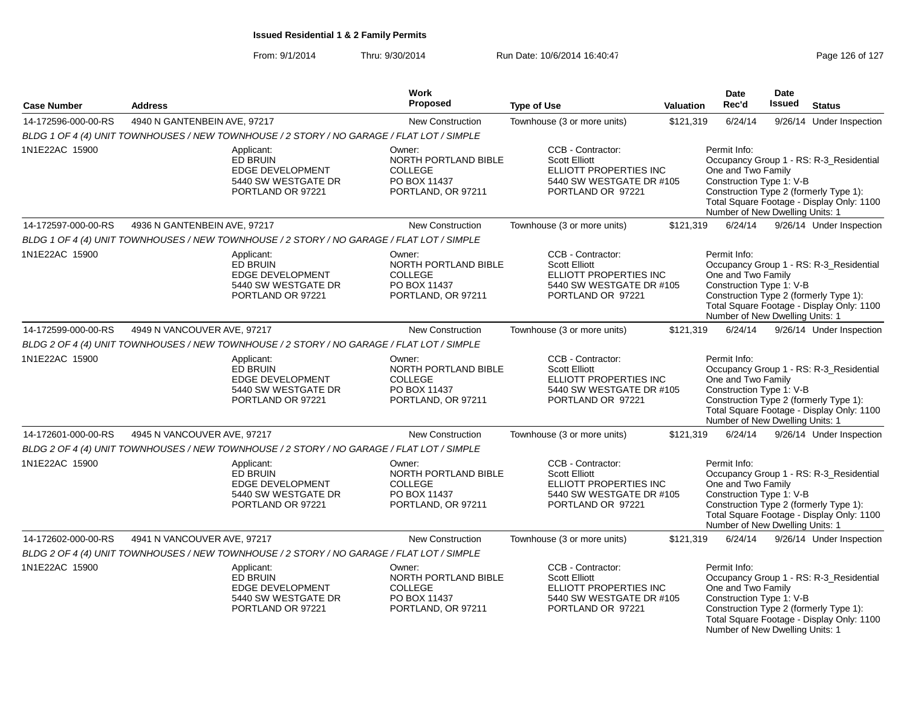From: 9/1/2014Thru: 9/30/2014 Run Date: 10/6/2014 16:40:47 Rege 126 of 127

| <b>Case Number</b>  | <b>Address</b>                                                                                | <b>Work</b><br><b>Proposed</b>                                                                | <b>Type of Use</b>          | Valuation                                                                                    | <b>Date</b><br>Rec'd                                                                              | <b>Date</b><br>Issued | <b>Status</b>                                                                                                                  |
|---------------------|-----------------------------------------------------------------------------------------------|-----------------------------------------------------------------------------------------------|-----------------------------|----------------------------------------------------------------------------------------------|---------------------------------------------------------------------------------------------------|-----------------------|--------------------------------------------------------------------------------------------------------------------------------|
| 14-172596-000-00-RS | 4940 N GANTENBEIN AVE, 97217                                                                  | <b>New Construction</b>                                                                       | Townhouse (3 or more units) | \$121,319                                                                                    | 6/24/14                                                                                           |                       | 9/26/14 Under Inspection                                                                                                       |
|                     | BLDG 1 OF 4 (4) UNIT TOWNHOUSES / NEW TOWNHOUSE / 2 STORY / NO GARAGE / FLAT LOT / SIMPLE     |                                                                                               |                             |                                                                                              |                                                                                                   |                       |                                                                                                                                |
| 1N1E22AC 15900      | Applicant:<br>ED BRUIN<br>EDGE DEVELOPMENT<br>5440 SW WESTGATE DR<br>PORTLAND OR 97221        | Owner:<br>NORTH PORTLAND BIBLE<br><b>COLLEGE</b><br>PO BOX 11437<br>PORTLAND, OR 97211        | <b>Scott Elliott</b>        | CCB - Contractor:<br>ELLIOTT PROPERTIES INC<br>5440 SW WESTGATE DR #105<br>PORTLAND OR 97221 | Permit Info:<br>One and Two Family<br>Construction Type 1: V-B<br>Number of New Dwelling Units: 1 |                       | Occupancy Group 1 - RS: R-3_Residential<br>Construction Type 2 (formerly Type 1):<br>Total Square Footage - Display Only: 1100 |
| 14-172597-000-00-RS | 4936 N GANTENBEIN AVE, 97217                                                                  | New Construction                                                                              | Townhouse (3 or more units) | \$121,319                                                                                    | 6/24/14                                                                                           |                       | 9/26/14 Under Inspection                                                                                                       |
|                     | BLDG 1 OF 4 (4) UNIT TOWNHOUSES / NEW TOWNHOUSE / 2 STORY / NO GARAGE / FLAT LOT / SIMPLE     |                                                                                               |                             |                                                                                              |                                                                                                   |                       |                                                                                                                                |
| 1N1E22AC 15900      | Applicant:<br><b>ED BRUIN</b><br>EDGE DEVELOPMENT<br>5440 SW WESTGATE DR<br>PORTLAND OR 97221 | Owner:<br><b>NORTH PORTLAND BIBLE</b><br><b>COLLEGE</b><br>PO BOX 11437<br>PORTLAND, OR 97211 | <b>Scott Elliott</b>        | CCB - Contractor:<br>ELLIOTT PROPERTIES INC<br>5440 SW WESTGATE DR #105<br>PORTLAND OR 97221 | Permit Info:<br>One and Two Family<br>Construction Type 1: V-B<br>Number of New Dwelling Units: 1 |                       | Occupancy Group 1 - RS: R-3_Residential<br>Construction Type 2 (formerly Type 1):<br>Total Square Footage - Display Only: 1100 |
| 14-172599-000-00-RS | 4949 N VANCOUVER AVE, 97217                                                                   | <b>New Construction</b>                                                                       | Townhouse (3 or more units) | \$121,319                                                                                    | 6/24/14                                                                                           |                       | 9/26/14 Under Inspection                                                                                                       |
|                     | BLDG 2 OF 4 (4) UNIT TOWNHOUSES / NEW TOWNHOUSE / 2 STORY / NO GARAGE / FLAT LOT / SIMPLE     |                                                                                               |                             |                                                                                              |                                                                                                   |                       |                                                                                                                                |
| 1N1E22AC 15900      | Applicant:<br>ED BRUIN<br>EDGE DEVELOPMENT<br>5440 SW WESTGATE DR<br>PORTLAND OR 97221        | Owner:<br>NORTH PORTLAND BIBLE<br><b>COLLEGE</b><br>PO BOX 11437<br>PORTLAND, OR 97211        | <b>Scott Elliott</b>        | CCB - Contractor:<br>ELLIOTT PROPERTIES INC<br>5440 SW WESTGATE DR #105<br>PORTLAND OR 97221 | Permit Info:<br>One and Two Family<br>Construction Type 1: V-B<br>Number of New Dwelling Units: 1 |                       | Occupancy Group 1 - RS: R-3_Residential<br>Construction Type 2 (formerly Type 1):<br>Total Square Footage - Display Only: 1100 |
| 14-172601-000-00-RS | 4945 N VANCOUVER AVE, 97217                                                                   | <b>New Construction</b>                                                                       | Townhouse (3 or more units) | \$121,319                                                                                    | 6/24/14                                                                                           |                       | 9/26/14 Under Inspection                                                                                                       |
|                     | BLDG 2 OF 4 (4) UNIT TOWNHOUSES / NEW TOWNHOUSE / 2 STORY / NO GARAGE / FLAT LOT / SIMPLE     |                                                                                               |                             |                                                                                              |                                                                                                   |                       |                                                                                                                                |
| 1N1E22AC 15900      | Applicant:<br><b>ED BRUIN</b><br>EDGE DEVELOPMENT<br>5440 SW WESTGATE DR<br>PORTLAND OR 97221 | Owner:<br>NORTH PORTLAND BIBLE<br><b>COLLEGE</b><br>PO BOX 11437<br>PORTLAND, OR 97211        | <b>Scott Elliott</b>        | CCB - Contractor:<br>ELLIOTT PROPERTIES INC<br>5440 SW WESTGATE DR #105<br>PORTLAND OR 97221 | Permit Info:<br>One and Two Family<br>Construction Type 1: V-B<br>Number of New Dwelling Units: 1 |                       | Occupancy Group 1 - RS: R-3_Residential<br>Construction Type 2 (formerly Type 1):<br>Total Square Footage - Display Only: 1100 |
| 14-172602-000-00-RS | 4941 N VANCOUVER AVE, 97217                                                                   | <b>New Construction</b>                                                                       | Townhouse (3 or more units) | \$121,319                                                                                    | 6/24/14                                                                                           |                       | 9/26/14 Under Inspection                                                                                                       |
|                     | BLDG 2 OF 4 (4) UNIT TOWNHOUSES / NEW TOWNHOUSE / 2 STORY / NO GARAGE / FLAT LOT / SIMPLE     |                                                                                               |                             |                                                                                              |                                                                                                   |                       |                                                                                                                                |
| 1N1E22AC 15900      | Applicant:<br><b>ED BRUIN</b><br>EDGE DEVELOPMENT<br>5440 SW WESTGATE DR<br>PORTLAND OR 97221 | Owner:<br><b>NORTH PORTLAND BIBLE</b><br><b>COLLEGE</b><br>PO BOX 11437<br>PORTLAND, OR 97211 | <b>Scott Elliott</b>        | CCB - Contractor:<br>ELLIOTT PROPERTIES INC<br>5440 SW WESTGATE DR #105<br>PORTLAND OR 97221 | Permit Info:<br>One and Two Family<br>Construction Type 1: V-B<br>Number of New Dwelling Units: 1 |                       | Occupancy Group 1 - RS: R-3_Residential<br>Construction Type 2 (formerly Type 1):<br>Total Square Footage - Display Only: 1100 |